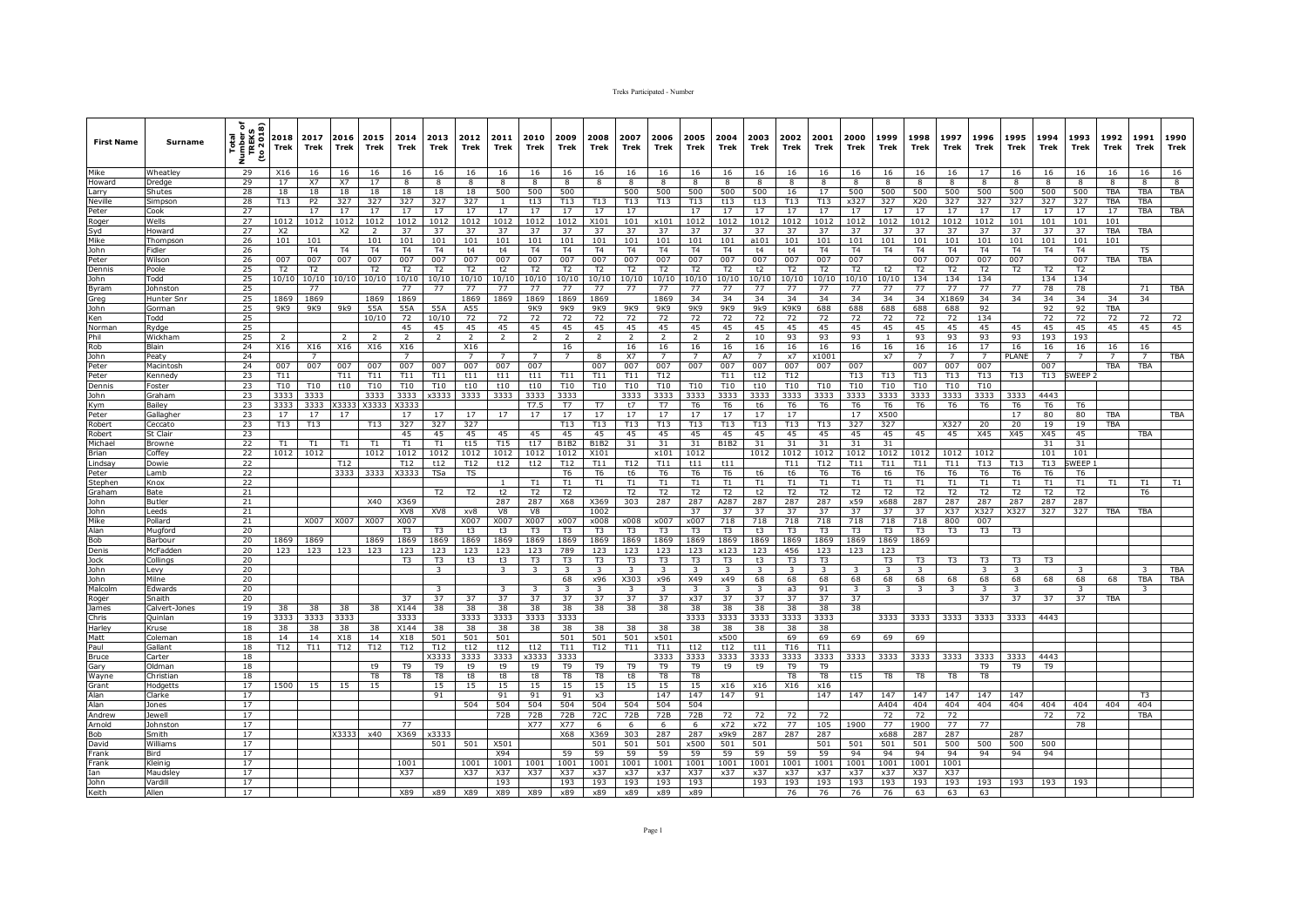| <b>First Name</b> | Surname           | ৢ<br><b>TREKS</b><br>to 2018)<br>Total<br>E<br>ź | 2018<br>Trek   | 2017<br>Trek   | 2016<br>Trek           | 2015<br>Trek             | 2014<br>Trek    | 2013<br>Trek         | 2012<br>Trek         | 2011<br>Trek         | 2010<br>Trek         | 2009<br>Trek            | 2008<br>Trek         | 2007<br>Trek         | 2006<br>Trek            | 2005<br>Trek         | 2004<br>Trek         | 2003<br>Trek            | 2002<br>Trek   | 2001<br>Trek   | 2000<br><b>Trek</b> | 1999<br>Trek       | 1998<br>Trek   | 1997<br>Trek   | 1996<br>Trek   | 1995<br>Trek   | 1994<br>Trek   | 1993<br>Trek       | 1992<br>Trek         | 1991<br>Trek   | 1990<br>Trek |
|-------------------|-------------------|--------------------------------------------------|----------------|----------------|------------------------|--------------------------|-----------------|----------------------|----------------------|----------------------|----------------------|-------------------------|----------------------|----------------------|-------------------------|----------------------|----------------------|-------------------------|----------------|----------------|---------------------|--------------------|----------------|----------------|----------------|----------------|----------------|--------------------|----------------------|----------------|--------------|
| Mike              | <b>Wheatley</b>   | 29                                               | X16            | 16             | 16                     | 16                       | 16              | -16                  | 16                   | 16                   | 16                   | 16                      | 16                   | 16                   | 16                      | 16                   | 16                   | 16                      | 16             | 16             | 16                  | 16                 | 16             | 16             | 17             | 16             | 16             | 16                 | 16                   | 16             | 16           |
| Howard            | Dredae            | 29                                               | 17             | X7             | <b>X7</b>              | 17                       | 8               | 8                    | 8                    | 8                    | 8                    | 8                       |                      | 8                    | 8                       | 8                    | 8                    | 8                       | $\mathbf{R}$   | 8              | 8                   | R                  | 8              | 8              | 8              | 8              | 8              | 8                  | 8                    | 8              | 8            |
| Larry             | Shutes            | 28                                               | 18             | 18             | 18                     | 18                       | 18              | 18                   | 18                   | 500                  | 500                  | 500                     |                      | 500                  | 500                     | 500                  | 500                  | 500                     | 16             | 17             | 500                 | 500                | 500            | 500            | 500            | 500            | 500            | 500                | TBA                  | TBA            | <b>TBA</b>   |
| Neville           | Simpson           | 28                                               | T13            | <b>P2</b>      | 327                    | 327                      | 327             | 327                  | 327                  |                      | t13                  | T13                     | T13                  | T13                  | T13                     | T13                  | t13                  | t13                     | T13            | T13            | x327                | 327                | X20            | 327            | 327            | 327            | 327            | 327                | <b>TBA</b>           | <b>TBA</b>     |              |
| Peter             | Cook              | 27                                               |                | 17             | 17                     | 17                       | 17              | 17                   | 17                   | 17                   | 17                   | 17                      | 17                   | 17                   |                         | 17                   | 17                   | 17                      | 17             | 17             | 17                  | 17                 | 17             | 17             | 17             | 17             | 17             | 17                 | 17                   | TBA            | TBA          |
| Roger             | Wells             | 27                                               | 1012           | 1012           | 1012                   | 1012                     | 1012            | 1012                 | 1012                 | 1012                 | 1012                 | 1012                    | X101                 | 101                  | x101                    | 1012                 | 1012                 | 1012                    | 1012           | 1012           | 1012                | 1012               | 1012           | 1012           | 1012           | 101            | 101            | 101                | 101                  |                |              |
| Syd               | Howard            | 27                                               | X2             |                | X <sub>2</sub>         | $\overline{2}$           | 37              | 37                   | 37                   | 37                   | 37                   | 37                      | 37                   | 37                   | 37                      | 37                   | 37                   | 37                      | 37             | 37             | 37                  | 37                 | 37             | 37             | 37             | 37             | 37             | 37                 | <b>TBA</b>           | TBA            |              |
| Mike              | Thompso           | 26                                               | 101            | 101            |                        | 101                      | 101             | 101                  | 101                  | 101                  | 101                  | 101                     | 101                  | 101                  | 101                     | 101                  | 101                  | a101                    | 101            | 101            | 101                 | 101                | 101            | 101            | 101            | 101            | 101            | 101                | 101                  |                |              |
| John              | Fidler            | 26                                               |                | <b>T4</b>      | T <sub>4</sub>         | T <sub>4</sub>           | T <sub>4</sub>  | <b>T4</b>            | t4                   | t4                   | T <sub>4</sub>       | T <sub>4</sub>          | <b>T4</b>            | T <sub>4</sub>       | T4                      | T <sub>4</sub>       | T <sub>4</sub>       | t4                      | t4             | T <sub>4</sub> | T <sub>4</sub>      | T <sub>4</sub>     | T <sub>4</sub> | T <sub>4</sub> | T <sub>4</sub> | T <sub>4</sub> | T4             | T <sub>4</sub>     |                      | T <sub>5</sub> |              |
| Peter             | Wilson            | 26                                               | 007            | 007            | 007                    | 007                      | 007             | 007                  | 007                  | 007                  | 007                  | 007                     | 007                  | 007                  | 007                     | 007                  | 007                  | 007                     | 007            | 007            | 007                 |                    | 007            | 007            | 007            | 007            |                | 007                | TBA                  | <b>TBA</b>     |              |
| Dennis            | Poole             | 25                                               | T <sub>2</sub> | T <sub>2</sub> |                        | T <sub>2</sub>           | <b>T2</b>       | T <sub>2</sub>       | T <sub>2</sub>       | t2                   | T <sub>2</sub>       | T <sub>2</sub>          | T <sub>2</sub>       | T <sub>2</sub>       | T <sub>2</sub>          | T <sub>2</sub>       | T <sub>2</sub>       | t2                      | T <sub>2</sub> | T <sub>2</sub> | T <sub>2</sub>      | t2                 | T <sub>2</sub> | T <sub>2</sub> | T <sub>2</sub> | T <sub>2</sub> | T <sub>2</sub> | T <sub>2</sub>     |                      |                |              |
| ohn               | Todd              | 25                                               | 10/10          | 10/10          | 10/10                  | 10/10                    | 10/10           | 10/10                | 10/10                | 10/10                | 10/10                | 10/10                   | 10/10                | 10/10                | 10/10                   | 10/10                | 10/10                | 10/10                   | 10/10          | 10/10          | 10/10               | 10/10              | 134            | 134            | 134            |                | 134            | 134                |                      |                |              |
| vram              | ohnstor           | 25                                               |                | 77             |                        |                          | 77              | 77                   | 77                   | 77                   | 77                   | 77                      | 77                   | 77                   | 77                      | 77                   | 77                   | 77                      | 77             | 77             | 77                  | 77                 | 77             | 77             | 77             | 77             | 78             | 78                 |                      | 71             | <b>TBA</b>   |
| Greg              | Hunter Sn         | 25                                               | 1869           | 1869           |                        | 1869                     | 1869            |                      | 1869                 | 1869                 | 1869                 | 1869                    | 1869                 |                      | 1869                    | 34                   | 34                   | 34                      | 34             | 34             | 34                  | 34                 | 34             | X1869          | 34             | 34             | 34             | 34                 | 34                   | 34             |              |
| John              | Gorman            | 25                                               | 9K9            | 9K9            | 9k9                    | 55A                      | 55A             | 55A                  | A55                  |                      | 9K9                  | 9K9                     | 9K9                  | 9K9                  | 9K9                     | 9K9                  | 9K9                  | 9k9                     | K9K9           | 688            | 688                 | 688                | 688            | 688            | 92             |                | 92             | 92                 | TBA                  |                |              |
| Ken               | Todd              | 25<br>25                                         |                |                |                        | 10/10                    | 72<br>45        | 10/10                | 72                   | 72                   | 72                   | 72                      | 72                   | 72                   | 72                      | 72                   | 72                   | 72                      | 72             | 72             | 72                  | 72                 | 72             | 72             | 134            |                | 72             | 72                 | 72                   | 72             | 72           |
| Norman<br>Phil    | Rydge             | 25                                               | $\overline{2}$ |                | $\overline{z}$         | $\overline{\phantom{a}}$ | $\overline{z}$  | 45<br>$\overline{2}$ | 45<br>$\overline{2}$ | 45<br>$\overline{2}$ | 45<br>$\overline{2}$ | 45<br>$\overline{z}$    | 45<br>$\overline{z}$ | 45<br>$\overline{2}$ | 45<br>$\overline{2}$    | 45<br>$\overline{2}$ | 45<br>$\overline{2}$ | 45                      | 45<br>93       | 45<br>93       | 45<br>93            | 45<br>$\mathbf{1}$ | 45<br>93       | 45<br>93       | 45<br>93       | 45<br>93       | 45<br>193      | 45<br>193          | 45                   | 45             | 45           |
| Rob               | Wickham<br>Blain  | 24                                               | X16            | X16            | X16                    | X16                      | X16             |                      | X16                  |                      |                      | 16                      |                      | 16                   | 16                      | 16                   |                      | 10<br>16                | 16             | 16             | 16                  | 16                 | 16             | 16             | 17             | 16             | 16             | 16                 |                      | 16             |              |
|                   | Peaty             | 24                                               |                | $\overline{7}$ |                        |                          | $7\overline{ }$ |                      | $\overline{7}$       |                      | $\overline{7}$       | $\overline{7}$          | 8                    | <b>X7</b>            | $7^{\circ}$             | $\overline{7}$       | 16<br>A7             | $\overline{7}$          | x7             | x1001          |                     | x7                 | $\overline{7}$ | $\overline{7}$ | $\overline{7}$ | PLANE          | $\overline{7}$ | $\overline{7}$     | 16<br>$\overline{7}$ | $\overline{7}$ | TBA          |
| John<br>Peter     | Macintosh         | 24                                               | 007            | 007            | 007                    | 007                      | 007             | 007                  | 007                  | 007                  | 007                  |                         | 007                  | 007                  | 007                     | 007                  | 007                  | 007                     | 007            | 007            | 007                 |                    | 007            | 007            | 007            |                | 007            |                    | <b>TBA</b>           | <b>TBA</b>     |              |
| Peter             | Kennedy           | 23                                               | T11            |                | T11                    | T11                      | T11             | T11                  | t11                  | t11                  | t11                  | T11                     | T11                  | T11                  | T12                     |                      | T11                  | t12                     | T12            |                | T13                 | T13                | T13            | T13            | T13            | T13            | T13            | SWEEP <sub>2</sub> |                      |                |              |
| Dennis            | Foster            | 23                                               | T10            | <b>T10</b>     | t10                    | T10                      | T10             | <b>T10</b>           | t10                  | t10                  | t10                  | T <sub>10</sub>         | T10                  | <b>T10</b>           | T10                     | T10                  | T10                  | t10                     | T10            | T10            | T10                 | T10                | T10            | T10            | T10            |                |                |                    |                      |                |              |
| <b>John</b>       | Graham            | 23                                               | 3333           | 3333           |                        | 3333                     | 3333            | x3333                | 3333                 | 3333                 | 3333                 | 3333                    |                      | 3333                 | 3333                    | 3333                 | 3333                 | 3333                    | 3333           | 3333           | 3333                | 3333               | 3333           | 3333           | 3333           | 3333           | 4443           |                    |                      |                |              |
| ym                | Bailey            | 23                                               | 3333           | 3333           | X333.                  | X3333                    | X3333           |                      |                      |                      | T7.5                 | <b>T7</b>               | T7                   | t7                   | <b>T7</b>               | T <sub>6</sub>       | T <sub>6</sub>       | t6                      | T <sub>6</sub> | T <sub>6</sub> | T <sub>6</sub>      | T <sub>6</sub>     | T <sub>6</sub> | T <sub>6</sub> | T <sub>6</sub> | T <sub>6</sub> | T <sub>6</sub> | T <sub>6</sub>     |                      |                |              |
| Peter             | Gallaghe          | 23                                               | 17             | 17             | 17                     |                          | 17              | 17                   | 17                   | 17                   | 17                   | 17                      | 17                   | 17                   | 17                      | 17                   | 17                   | 17                      | 17             |                | 17                  | X500               |                |                |                | 17             | 80             | 80                 | TBA                  |                | TBA          |
| obert             | `eccato           | 23                                               | T13            | T13            |                        | T13                      | 327             | 327                  | 327                  |                      |                      | T13                     | T13                  | T13                  | T13                     | T13                  | T <sub>13</sub>      | T13                     | T13            | T13            | 327                 | 327                |                | X327           | 20             | 20             | 19             | 19                 | TBA                  |                |              |
| Robert            | St Clair          | 23                                               |                |                |                        |                          | 45              | 45                   | 45                   | 45                   | 45                   | 45                      | 45                   | 45                   | 45                      | 45                   | 45                   | 45                      | 45             | 45             | 45                  | 45                 | 45             | 45             | X45            | X45            | X45            | 45                 |                      | TBA            |              |
| lichael           | Browne            | 22                                               | T1             | T1             | T1                     | T1                       | T1              | T1                   | t15                  | T15                  | t17                  | <b>B1B2</b>             | <b>B1B2</b>          | 31                   | 31                      | 31                   | <b>B1B2</b>          | 31                      | 31             | 31             | 31                  | 31                 |                |                |                |                | 31             | 31                 |                      |                |              |
| rian              | Coffey            | 22                                               | 1012           | 1012           |                        | 1012                     | 1012            | 1012                 | 1012                 | 1012                 | 1012                 | 1012                    | X101                 |                      | x101                    | 1012                 |                      | 1012                    | 1012           | 1012           | 1012                | 1012               | 1012           | 1012           | 1012           |                | 101            | 101                |                      |                |              |
| indsay            | Dowie             | 22                                               |                |                | T12                    |                          | T12             | t12                  | T12                  | t12                  | t12                  | T12                     | T11                  | T12                  | T11                     | t11                  | t11                  |                         | T11            | T12            | T11                 | T11                | T11            | T11            | T13            | T13            | T13            | WEEP               |                      |                |              |
| Peter             | amh               | 22                                               |                |                | 3333                   | 3333                     | <b>X333</b>     | <b>TSa</b>           | TS                   |                      |                      | T <sub>6</sub>          | T <sub>6</sub>       | t6                   | T6                      | T <sub>6</sub>       | T6                   | t6                      | t6             | T6             | T6                  | t6                 | T <sub>6</sub> | T <sub>6</sub> | T <sub>6</sub> | T6             | T6             | T6                 |                      |                |              |
| Stephen           | Knox              | 22                                               |                |                |                        |                          |                 |                      |                      |                      | T1                   | T1                      | T1                   | T1                   | T1                      | T1                   | T1                   | T1                      | T1             | T1             | T1                  | $\mathsf{T1}$      | T1             | T1             | T1             | T1             | T1             | T1                 | T1                   | T1             | T1           |
| Graham            | Bate              | 21                                               |                |                |                        |                          |                 | T2                   | T2                   | t2                   | T <sub>2</sub>       | T <sub>2</sub>          |                      | T <sub>2</sub>       | T <sub>2</sub>          | T <sub>2</sub>       | T2                   | t2                      | T <sub>2</sub> | T <sub>2</sub> | <b>T2</b>           | T <sub>2</sub>     | T2             | T <sub>2</sub> | T <sub>2</sub> | T2             | T <sub>2</sub> | T <sub>2</sub>     |                      | T6             |              |
| John              | <b>Butler</b>     | 21                                               |                |                |                        | X40                      | X369            |                      |                      | 287                  | 287                  | X68                     | X369                 | 303                  | 287                     | 287                  | A287                 | 287                     | 287            | 287            | x59                 | x688               | 287            | 287            | 287            | 287            | 287            | 287                |                      |                |              |
| John              | Leeds             | 21                                               |                |                |                        |                          | XV8             | XV8                  | xv8                  | V8                   | V8                   |                         | 1002                 |                      |                         | 37                   | 37                   | 37                      | 37             | 37             | 37                  | 37                 | 37             | X37            | X327           | X327           | 327            | 327                | TBA                  | TBA            |              |
| Mike              | Pollard           | 21                                               |                | X007           | X007                   | X007                     | X007            |                      | X007                 | X007                 | X007                 | x007                    | x008                 | x008                 | x007                    | x007                 | 718                  | 718                     | 718            | 718            | 718                 | 718                | 718            | 800            | 007            |                |                |                    |                      |                |              |
| Alan              | Muaforc           | 20                                               |                |                |                        |                          | T <sub>3</sub>  | T <sub>3</sub>       | t3                   | t3                   | T <sub>3</sub>       | T3                      | T3                   | T <sub>3</sub>       | T <sub>3</sub>          | T <sub>3</sub>       | T <sub>3</sub>       | t3                      | T <sub>3</sub> | T <sub>3</sub> | T <sub>3</sub>      | T <sub>3</sub>     | T <sub>3</sub> | T <sub>3</sub> | T <sub>3</sub> | T <sub>3</sub> |                |                    |                      |                |              |
| <b>Bob</b>        | Barbour           | 20                                               | 1869           | 1869           |                        | 1869                     | 1869            | 1869                 | 1869                 | 1869                 | 1869                 | 1869                    | 1869                 | 1869                 | 1869                    | 1869                 | 1869                 | 1869                    | 1869           | 1869           | 1869                | 1869               | 1869           |                |                |                |                |                    |                      |                |              |
| Denis             | McFadder          | 20                                               | 123            | 123            | 123                    | 123                      | 123             | 123                  | 123                  | 123                  | 123                  | 789                     | 123                  | 123                  | 123                     | 123                  | x123                 | 123                     | 456            | 123            | 123                 | 123                |                |                |                |                |                |                    |                      |                |              |
| <b>Jock</b>       | ollinas           | 20                                               |                |                |                        |                          | T <sub>3</sub>  | T3                   | t3                   | t3                   | T3                   | T3                      | T <sub>3</sub>       | T <sub>3</sub>       | T3                      | T3                   | T3                   | t3                      | T <sub>3</sub> | T <sub>3</sub> |                     | T3                 | T3             | T <sub>3</sub> | T <sub>3</sub> | T3             | T <sub>3</sub> |                    |                      |                |              |
| John              | .evy              | 20                                               |                |                |                        |                          |                 | 3                    |                      | 3                    | $\mathbf{3}$         | $\overline{\mathbf{3}}$ | 3                    | 3                    | $\overline{\mathbf{3}}$ | 3                    | 3                    | $\overline{\mathbf{3}}$ | 3              | 3              | 3                   | 3                  | 3.             |                |                | 3              |                |                    |                      | 3              | TBA          |
| John              | Milne             | 20                                               |                |                |                        |                          |                 |                      |                      |                      |                      | 68                      | x96                  | X303                 | x96                     | X49                  | x49                  | 68                      | 68             | 68             | 68                  | 68                 | 68             | 68             | 68             | 68             | 68             | 68                 | 68                   | TBA            | TBA          |
| Malcolm           | dwards            | 20                                               |                |                |                        |                          |                 |                      |                      |                      | $\mathbf{R}$         | $\overline{\mathbf{3}}$ |                      | 3                    | $\overline{3}$          | $\mathbf{R}$         | 3                    | $\overline{\mathbf{3}}$ | a3             | 91             | $\overline{3}$      | $\mathbf{R}$       | 3              | -3             | $\mathbf{z}$   | 3              |                | $\mathbf{R}$       |                      | 3              |              |
| Roger             | Snaith            | 20                                               |                |                |                        |                          | 37              | 37                   | 37                   | 37                   | 37                   | 37                      | 37                   | 37                   | 37                      | x37                  | 37                   | 37                      | 37             | 37             | 37                  |                    |                |                | 37             | 37             | 37             | 37                 | TBA                  |                |              |
| James             | Calvert-Jones     | 19<br>19                                         | 38<br>3333     | 38<br>3333     | 38<br>3333             | 38                       | X144<br>3333    | 38                   | 38<br>3333           | 38                   | 38<br>3333           | 38<br>3333              | 38                   | 38                   | 38                      | 38                   | 38<br>3333           | 38                      | 38             | 38             | 38                  | 3333               | 3333           | 3333           | 3333           | 3333           | 4443           |                    |                      |                |              |
| Chris             | Ouinlan           |                                                  |                |                |                        |                          |                 |                      |                      | 3333                 |                      |                         |                      |                      |                         | 3333                 |                      | 3333                    | 3333           | 3333           |                     |                    |                |                |                |                |                |                    |                      |                |              |
| Harley<br>Matt    | Kruse             | 18<br>18                                         | 38             | 38             | 38                     | 38<br>14                 | X144<br>X18     | 38<br>501            | 38<br>501            | 38<br>501            | 38                   | 38<br>501               | 38<br>501            | 38<br>501            | 38<br>x501              | 38                   | 38<br>x500           | 38                      | 38<br>69       | 38<br>69       | 69                  | 69                 |                |                |                |                |                |                    |                      |                |              |
| Paul              | olemar<br>Gallant | 18                                               | 14<br>T12      | 14<br>T11      | X18<br>T <sub>12</sub> | <b>T12</b>               | T12             | T12                  | t12                  | t12                  | t12                  | T11                     | T12                  | T11                  | T11                     | t12                  | t12                  | t11                     | T16            | T11            |                     |                    | 69             |                |                |                |                |                    |                      |                |              |
| Bruce             | Carter            | 18                                               |                |                |                        |                          |                 | X3333                | 3333                 | 3333                 | x3333                | 3333                    |                      |                      | 3333                    | 3333                 | 3333                 | 3333                    | 3333           | 3333           | 3333                | 3333               | 3333           | 3333           | 3333           | 3333           | 4443           |                    |                      |                |              |
| Gary              | Oldman            | 18                                               |                |                |                        | t9                       | T <sub>9</sub>  | T <sub>9</sub>       | t9                   | t9                   | t9                   | T <sub>9</sub>          | T <sub>9</sub>       | T <sub>9</sub>       | T9                      | T <sub>9</sub>       | t9                   | t9                      | T <sub>9</sub> | T <sub>9</sub> |                     |                    |                |                | T <sub>9</sub> | T <sub>9</sub> | T9             |                    |                      |                |              |
| Wayne             | Christian         | 18                                               |                |                |                        | T8                       | T8              | T8                   | t8                   | t8                   | t8                   | T8                      | T8                   | t8                   | T8                      | T8                   |                      |                         | T8             | T8             | t15                 | T8                 | T8             | T8             | T8             |                |                |                    |                      |                |              |
| Grant             | lodgetts          | 17                                               | 1500           | 15             | 15                     | 15                       |                 | 15                   | 15                   | 15                   | 15                   | 15                      | 15                   | 15                   | 15                      | 15                   | x16                  | x16                     | X16            | x16            |                     |                    |                |                |                |                |                |                    |                      |                |              |
| Alan              | Clarke            | 17                                               |                |                |                        |                          |                 | 91                   |                      | 91                   | 91                   | 91                      | x3                   |                      | 147                     | 147                  | 147                  | 91                      |                | 147            | 147                 | 147                | 147            | 147            | 147            | 147            |                |                    |                      | T <sub>3</sub> |              |
| Alan              | Jones             | 17                                               |                |                |                        |                          |                 |                      | 504                  | 504                  | 504                  | 504                     | 504                  | 504                  | 504                     | 504                  |                      |                         |                |                |                     | A404               | 404            | 404            | 404            | 404            | 404            | 404                | 404                  | 404            |              |
| Andrew            | ewel              | 17                                               |                |                |                        |                          |                 |                      |                      | 72B                  | 72B                  | 72B                     | 72C                  | 72B                  | 72B                     | 72B                  | 72                   | 72                      | 72             | 72             |                     | 72                 | 72             | 72             |                |                | 72             | 72                 |                      | TBA            |              |
| Arnold            | Johnston          | 17                                               |                |                |                        |                          | 77              |                      |                      |                      | X77                  | X77                     | 6                    | 6                    | 6                       | 6                    | x72                  | x72                     | 77             | 105            | 1900                | 77                 | 1900           | 77             | 77             |                |                | 78                 |                      |                |              |
| Bob               | Smith             | 17                                               |                |                | X3333                  | x40                      | X369            | x3333                |                      |                      |                      | <b>X68</b>              | X369                 | 303                  | 287                     | 287                  | x9k9                 | 287                     | 287            | 287            |                     | x688               | 287            | 287            |                | 287            |                |                    |                      |                |              |
| David             | Williams          | 17                                               |                |                |                        |                          |                 | 501                  | 501                  | X501                 |                      |                         | 501                  | 501                  | 501                     | x500                 | 501                  | 501                     |                | 501            | 501                 | 501                | 501            | 500            | 500            | 500            | 500            |                    |                      |                |              |
| Frank             | Bird              | 17                                               |                |                |                        |                          |                 |                      |                      | X94                  |                      | 59                      | 59                   | 59                   | 59                      | 59                   | 59                   | 59                      | 59             | 59             | 94                  | 94                 | 94             | 94             | 94             | 94             | 94             |                    |                      |                |              |
| Frank             | Kleinig           | 17                                               |                |                |                        |                          | 1001            |                      | 1001                 | 1001                 | 1001                 | 1001                    | 1001                 | 1001                 | 1001                    | 1001                 | 1001                 | 1001                    | 1001           | 1001           | 1001                | 1001               | 1001           | 1001           |                |                |                |                    |                      |                |              |
| Ian               | Maudsley          | 17                                               |                |                |                        |                          | X37             |                      | X37                  | X37                  | X37                  | X37                     | x37                  | x37                  | x37                     | X37                  | x37                  | x37                     | x37            | x37            | x37                 | x37                | X37            | X37            |                |                |                |                    |                      |                |              |
| John<br>Keith     | /ardill           | 17                                               |                |                |                        |                          |                 |                      |                      | 193                  |                      | 193                     | 193                  | 193                  | 193                     | 193                  |                      | 193                     | 193            | 193            | 193                 | 193                | 193            | 193            | 193            | 193            | 193            | 193                |                      |                |              |
|                   | Allen             | 17                                               |                |                |                        |                          | X89             | x89                  | X89                  | X89                  | X89                  | x89                     | x89                  | x89                  | x89                     | x89                  |                      |                         | 76             | 76             | 76                  | 76                 | 63             | 63             | 63             |                |                |                    |                      |                |              |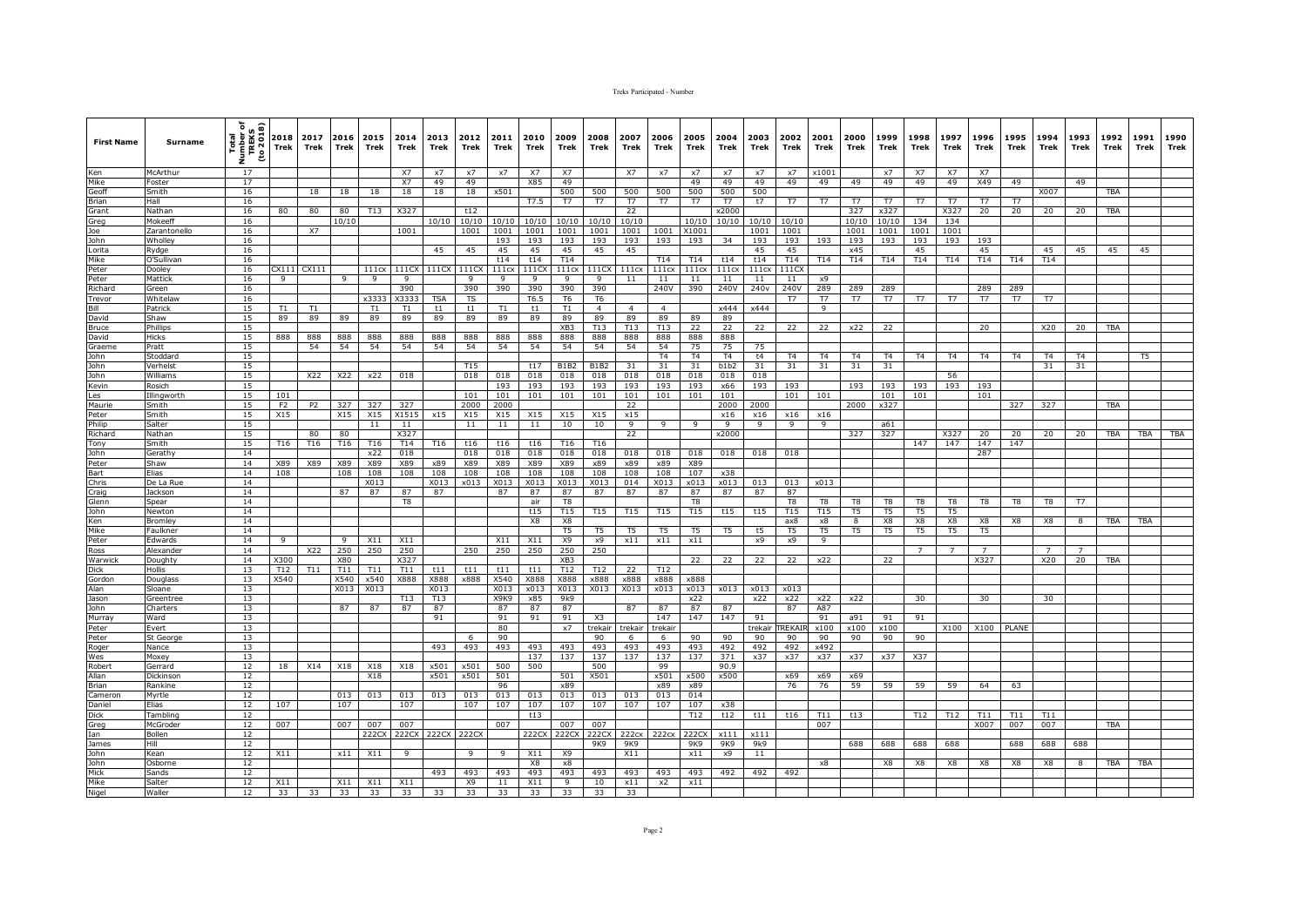| <b>First Name</b>      | <b>Surname</b>       | ৳<br>2018)<br>Total<br>Lumber<br>TREKS<br>to 20<br>ž. | 2018<br>Trek   | 2017<br>Trek   | 2016<br><b>Trek</b> | 2015<br>Trek | 2014<br>Trek   | 2013<br>Trek | 2012<br>Trek | 2011<br>Trek | 2010<br>Trek   | 2009<br>Trek    | 2008<br>Trek   | 2007<br>Trek   | 2006<br>Trek    | 2005<br>Trek   | 2004<br>Trek   | 2003<br>Trek     | 2002<br>Trek    | 2001<br>Trek    | 2000<br>Trek   | 1999<br>Trek   | 1998<br>Trek   | 1997<br>Trek   | 1996<br>Trek   | 1995<br>Trek   | 1994<br>Trek   | 1993<br>Trek | 1992<br>Trek | 1991<br>Trek | 1990<br>Trek |
|------------------------|----------------------|-------------------------------------------------------|----------------|----------------|---------------------|--------------|----------------|--------------|--------------|--------------|----------------|-----------------|----------------|----------------|-----------------|----------------|----------------|------------------|-----------------|-----------------|----------------|----------------|----------------|----------------|----------------|----------------|----------------|--------------|--------------|--------------|--------------|
| Ken                    | McArthur             | 17                                                    |                |                |                     |              | <b>X7</b>      | $\times$ 7   | $\times 7$   | x7           | <b>X7</b>      | <b>X7</b>       |                | <b>X7</b>      | $\times 7$      | $\times 7$     | $\times$ 7     | x7               | x7              | x1001           |                | x7             | <b>X7</b>      | <b>X7</b>      | <b>X7</b>      |                |                |              |              |              |              |
| Mike                   | Foster               | 17                                                    |                |                |                     |              | <b>X7</b>      | 49           | 49           |              | X85            | 49              |                |                |                 | 49             | 49             | 49               | 49              | 49              | 49             | 49             | 49             | 49             | X49            | 49             |                | 49           |              |              |              |
| Geoff                  | Smith                | 16                                                    |                | 18             | 18                  | 18           | 18             | 18           | 18           | x501         |                | 500             | 500            | 500            | 500             | 500            | 500            | 500              |                 |                 |                |                |                |                |                |                | X007           |              | TBA          |              |              |
| Brian<br>Grant         | Hall                 | 16                                                    |                |                |                     |              |                |              |              |              | T7.5           | T7              | <b>T7</b>      | <b>T7</b>      | $\overline{17}$ | T7             | T7             | t7               | T7              | <b>T7</b>       | T7             | T7             | T7             | T <sub>7</sub> | T7             | T7             |                |              |              |              |              |
|                        | Nathan               | 16                                                    | 80             | 80             | 80                  | <b>T13</b>   | X327           |              | t12          |              |                |                 |                | 22             |                 |                | x2000          |                  |                 |                 | 327            | x327           |                | X327           | 20             | 20             | 20             | 20           | TBA          |              |              |
| Greg                   | Mokeeff              | 16                                                    |                |                | 10/10               |              |                | 10/10        | 10/10        | 10/10        | 10/10          | 10/10           | 10/10          | 10/10          |                 | 10/10          | 10/10          | 10/10            | 10/10           |                 | 10/10          | 10/10          | 134            | 134            |                |                |                |              |              |              |              |
| Joe                    | Zarantonello         | 16                                                    |                | X7             |                     |              | 1001           |              | 1001         | 1001         | 1001           | 1001            | 1001           | 1001           | 1001            | X1001          |                | 1001             | 1001            |                 | 1001           | 1001           | 1001           | 1001           |                |                |                |              |              |              |              |
| John                   | Wholley              | 16                                                    |                |                |                     |              |                |              |              | 193          | 193            | 193             | 193            | 193            | 193             | 193            | 34             | 193              | 193             | 193             | 193            | 193            | 193            | 193            | 193            |                |                |              |              |              |              |
| Lorita                 | Rydge                | 16                                                    |                |                |                     |              |                | 45           | 45           | 45           | 45             | 45              | 45             | 45             |                 |                |                | 45               | 45              |                 | x45            |                | 45             |                | 45             |                | 45             | 45           | 45           | 45           |              |
| Mike                   | O'Sullivar           | 16<br>16                                              | CX111          | CX111          |                     | 111cx        |                | 111CX        |              | t14          | t14<br>111CX   | T14             |                |                | T14             | T14<br>111cx   | t14<br>111cx   | t14<br>111cx     | T14<br>111C     | T14             | T14            | T14            | T14            | T14            | T14            | T14            | T14            |              |              |              |              |
| Peter<br>Peter         | Dooley<br>Mattick    | 16                                                    | 9              |                | 9                   | 9            | 111C<br>9      |              | 111CX<br>9   | 111cx<br>9   | 9              | 111cx<br>9      | 111CX<br>9     | 111cx<br>11    | 111cx<br>11     | 11             | 11             | 11               | 11              | x9              |                |                |                |                |                |                |                |              |              |              |              |
| Richard                | Green                | 16                                                    |                |                |                     |              | 390            |              | 390          | 390          | 390            | 390             | 390            |                | 240V            | 390            | 240V           | 240 <sub>v</sub> | 240V            | 289             | 289            | 289            |                |                | 289            | 289            |                |              |              |              |              |
| Trevor                 | Whitelaw             | 16                                                    |                |                |                     | x3333        | X3333          | <b>TSA</b>   | TS           |              | T6.5           | T6              | T <sub>6</sub> |                |                 |                |                |                  | T7              | T7              | T7             | <b>T7</b>      | T7             | T7             | T7             | T7             | T7             |              |              |              |              |
| Bill                   | Patrick              | 15                                                    | T1             | T1             |                     | T1           | T1             | t1           | t1           | T1           | t1             | T1              | $\overline{4}$ | $\overline{4}$ | $\overline{4}$  |                | x444           | x444             |                 | $\mathbf{q}$    |                |                |                |                |                |                |                |              |              |              |              |
| David                  | Shaw                 | 15                                                    | 89             | 89             | 89                  | 89           | 89             | 89           | 89           | 89           | 89             | 89              | 89             | 89             | 89              | 89             | 89             |                  |                 |                 |                |                |                |                |                |                |                |              |              |              |              |
| Bruce                  | Phillips             | 15                                                    |                |                |                     |              |                |              |              |              |                | XB3             | T13            | T13            | T13             | 22             | 22             | 22               | 22              | 22              | x22            | 22             |                |                | 20             |                | X20            | 20           | <b>TBA</b>   |              |              |
|                        | Hicks                | 15                                                    | 888            | 888            | 888                 | 888          | 888            | 888          | 888          | 888          | 888            | 888             | 888            | 888            | 888             | 888            | 888            |                  |                 |                 |                |                |                |                |                |                |                |              |              |              |              |
| David<br>Graeme        | Pratt                | 15                                                    |                | 54             | 54                  | 54           | 54             | 54           | 54           | 54           | 54             | 54              | 54             | 54             | 54              | 75             | 75             | 75               |                 |                 |                |                |                |                |                |                |                |              |              |              |              |
| John                   | Stoddard             | 15                                                    |                |                |                     |              |                |              |              |              |                |                 |                |                | <b>T4</b>       | <b>T4</b>      | T <sub>4</sub> | t4               | T <sub>4</sub>  | T <sub>4</sub>  | <b>T4</b>      | T <sub>4</sub> | <b>T4</b>      | T <sub>4</sub> | <b>T4</b>      | T <sub>4</sub> | T <sub>4</sub> | <b>T4</b>    |              | T5           |              |
| John                   | Verhelst             | 15                                                    |                |                |                     |              |                |              | T15          |              | t17            | <b>B1B2</b>     | <b>B1B2</b>    | 31             | 31              | 31             | b1b2           | 31               | 31              | 31              | 31             | 31             |                |                |                |                | 31             | 31           |              |              |              |
| John <sup>-</sup>      | Williams             | 15                                                    |                | X22            | X22                 | x22          | 018            |              | 018          | 018          | 018            | 018             | 018            | 018            | 018             | 018            | 018            | 018              |                 |                 |                |                |                | 56             |                |                |                |              |              |              |              |
| Kevin                  | Rosich               | 15                                                    |                |                |                     |              |                |              |              | 193          | 193            | 193             | 193            | 193            | 193             | 193            | x66            | 193              | 193             |                 | 193            | 193            | 193            | 193            | 193            |                |                |              |              |              |              |
| Les                    | Illingworth          | 15                                                    | 101            |                |                     |              |                |              | 101          | 101          | 101            | 101             | 101            | 101            | 101             | 101            | 101            |                  | 101             | 101             |                | 101            | 101            |                | 101            |                |                |              |              |              |              |
| Maurie<br>Peter        | Smith                | 15                                                    | F <sub>2</sub> | P <sub>2</sub> | 327                 | 327          | 327            |              | 2000         | 2000         |                |                 |                | 22             |                 |                | 2000           | 2000             |                 |                 | 2000           | x327           |                |                |                | 327            | 327            |              | <b>TBA</b>   |              |              |
|                        | Smith                | 15                                                    | X15            |                | X15                 | X15          | X1515          | x15          | X15          | X15          | X15            | X15             | X15            | x15            |                 |                | x16            | x16              | x16             | x16             |                |                |                |                |                |                |                |              |              |              |              |
| Philip                 | Salter               | 15                                                    |                |                |                     | 11           | 11             |              | 11           | 11           | 11             | 10              | 10             | 9              | 9               | 9              | $\mathsf{Q}$   | 9                | $\mathbf{Q}$    | $\mathbf{q}$    |                | a61            |                |                |                |                |                |              |              |              |              |
| Richard                | Nathan               | 15                                                    |                | 80             | 80                  |              | X327           |              |              |              |                |                 |                | 22             |                 |                | x2000          |                  |                 |                 | 327            | 327            |                | X327           | 20             | 20             | 20             | 20           | TBA          | TBA          | TBA          |
| Tony                   | Smith                | 15                                                    | T16            | T16            | T16                 | T16          | T14            | T16          | t16          | t16          | t16            | T16             | T16            |                |                 |                |                |                  |                 |                 |                |                | 147            | 147            | 147            | 147            |                |              |              |              |              |
| John<br>Peter          | Gerathy              | 14                                                    |                |                |                     | x22          | 018            |              | 018          | 018          | 018            | 018             | 018            | 018            | 018             | 018            | 018            | 018              | 018             |                 |                |                |                |                | 287            |                |                |              |              |              |              |
|                        | Shaw                 | 14<br>14                                              | X89<br>108     | X89            | X89<br>108          | X89<br>108   | X89<br>108     | x89<br>108   | X89<br>108   | X89<br>108   | X89<br>108     | X89<br>108      | x89<br>108     | x89<br>108     | x89<br>108      | X89<br>107     | x38            |                  |                 |                 |                |                |                |                |                |                |                |              |              |              |              |
|                        | Elias<br>De La Rue   | 14                                                    |                |                |                     | X013         |                | X013         | x013         | X013         | X013           | X013            | X013           | 014            | X013            | x013           | x013           | 013              | 013             | x013            |                |                |                |                |                |                |                |              |              |              |              |
| Bart<br>Chris<br>Craig | Jackson              | 14                                                    |                |                | 87                  | 87           | 87             | 87           |              | 87           | 87             | 87              | 87             | 87             | 87              | 87             | 87             | 87               | 87              |                 |                |                |                |                |                |                |                |              |              |              |              |
| Glenn                  | Spear                | 14                                                    |                |                |                     |              | T <sub>8</sub> |              |              |              | air            | T <sub>8</sub>  |                |                |                 | T <sub>8</sub> |                |                  | T <sub>8</sub>  | T <sub>8</sub>  | T <sub>8</sub> | T8             | T <sub>8</sub> | T <sub>8</sub> | T8             | T8             | T8             | <b>T7</b>    |              |              |              |
| John                   | Newton               | 14                                                    |                |                |                     |              |                |              |              |              | t15            | T15             | T15            | T15            | T15             | T15            | t15            | t15              | T <sub>15</sub> | T <sub>15</sub> | T5             | T5             | T5             | T5             |                |                |                |              |              |              |              |
| Ken                    | Bromley              | 14                                                    |                |                |                     |              |                |              |              |              | X8             | X8              |                |                |                 |                |                |                  | ax8             | x8              | 8              | X8             | X8             | X8             | X8             | X8             | X8             | 8            | TBA          | TBA          |              |
| Mike                   | Faulkner             | 14                                                    |                |                |                     |              |                |              |              |              |                | T <sub>5</sub>  | T <sub>5</sub> | T <sub>5</sub> | T <sub>5</sub>  | T <sub>5</sub> | T <sub>5</sub> | t5               | T <sub>5</sub>  | T <sub>5</sub>  | T <sub>5</sub> | T <sub>5</sub> | T <sub>5</sub> | T <sub>5</sub> | T <sub>5</sub> |                |                |              |              |              |              |
| Peter                  | Edwards              | 14                                                    | 9              |                | 9                   | X11          | X11            |              |              | X11          | X11            | <b>X9</b>       | x9             | x11            | x11             | x11            |                | x9               | x9              | 9               |                |                |                |                |                |                |                |              |              |              |              |
| Ross<br>Warwick        | Alexander            | 14                                                    |                | X22            | 250                 | 250          | 250            |              | 250          | 250          | 250            | 250             | 250            |                |                 |                |                |                  |                 |                 |                |                | $\overline{7}$ | $\overline{7}$ |                |                | $\overline{7}$ |              |              |              |              |
|                        | Doughty              | 14                                                    | X300           |                | X80                 |              | X327           |              |              |              |                | XB <sub>3</sub> |                |                |                 | 22             | 22             | 22               | 22              | x22             |                | 22             |                |                | X327           |                | X20            | 20           | <b>TBA</b>   |              |              |
| Dick                   | Hollis               | 13                                                    | T12            | T11            | T11                 | T11          | T11            | t11          | t11          | t11          | t11            | T12             | T12            | 22             | T12             |                |                |                  |                 |                 |                |                |                |                |                |                |                |              |              |              |              |
| Gordon                 | Douglass             | 13                                                    | X540           |                | X540                | x540         | X888           | X888         | x888         | X540         | X888           | X888            | x888           | x888           | x888            | x888           |                |                  |                 |                 |                |                |                |                |                |                |                |              |              |              |              |
| Alan                   | Sloane               | 13                                                    |                |                | X013                | X013         |                | X013         |              | X013         | x013           | X013            | X013           | X013           | x013            | x013           | x013           | x013             | x013            |                 |                |                |                |                |                |                |                |              |              |              |              |
| Jason                  | Greentree            | 13                                                    |                |                |                     |              | T13            | T13          |              | X9K9         | x85            | 9k9             |                |                |                 | x22            |                | x22              | x22             | x22             | x22            |                | 30             |                | 30             |                | 30             |              |              |              |              |
| John                   | Charters             | 13                                                    |                |                | 87                  | 87           | 87             | 87           |              | 87           | 87             | 87              |                | 87             | 87              | 87             | 87             |                  | 87              | A87             |                |                |                |                |                |                |                |              |              |              |              |
| Murray                 | Ward                 | 13                                                    |                |                |                     |              |                | 91           |              | 91           | 91             | 91              | X3             |                | 147             | 147            | 147            | 91               |                 | 91              | a91            | 91             | 91             |                |                |                |                |              |              |              |              |
| Peter                  | Evert                | 13                                                    |                |                |                     |              |                |              |              | 80           |                | x7              | trekair        | trekair        | trekair         |                |                | trekair          | TREKAIR         | x100            | x100           | x100           |                | X100           | X100           | PLANE          |                |              |              |              |              |
| Peter                  | St Georg             | 13                                                    |                |                |                     |              |                |              | 6            | 90           |                |                 | 90             | -6             | 6               | 90             | 90             | 90               | 90              | 90              | 90             | 90             | 90             |                |                |                |                |              |              |              |              |
| Roger                  | Nance                | 13                                                    |                |                |                     |              |                | 493          | 493          | 493          | 493            | 493             | 493            | 493            | 493             | 493            | 492            | 492              | 492             | x492            |                |                |                |                |                |                |                |              |              |              |              |
| Wes                    | Moxey                | 13                                                    |                |                |                     |              |                |              |              |              | 137            | 137             | 137            | 137            | 137             | 137            | 371            | x37              | x37             | x37             | x37            | x37            | X37            |                |                |                |                |              |              |              |              |
| Robert<br>Allan        | Gerrard<br>Dickinsor | 12<br>12                                              | 18             | X14            | X18                 | X18<br>X18   | X18            | x501<br>x501 | x501<br>x501 | 500<br>501   | 500            | 501             | 500<br>X501    |                | 99<br>x501      | x500           | 90.9<br>x500   |                  | x69             | x69             | x69            |                |                |                |                |                |                |              |              |              |              |
| Brian                  | Rankine              | 12                                                    |                |                |                     |              |                |              |              | 96           |                | x89             |                |                | x89             | x89            |                |                  | 76              | 76              | 59             | 59             | 59             | 59             | 64             | 63             |                |              |              |              |              |
| Cameron                | Myrtle               | 12                                                    |                |                | 013                 | 013          | 013            | 013          | 013          | 013          | 013            | 013             | 013            | 013            | 013             | 014            |                |                  |                 |                 |                |                |                |                |                |                |                |              |              |              |              |
| Daniel                 | Elias                | 12                                                    | 107            |                | 107                 |              | 107            |              | 107          | 107          | 107            | 107             | 107            | 107            | 107             | 107            | x38            |                  |                 |                 |                |                |                |                |                |                |                |              |              |              |              |
| Dick                   | Tambling             | 12                                                    |                |                |                     |              |                |              |              |              | t13            |                 |                |                |                 | T12            | t12            | t11              | t16             | T11             | t13            |                | T12            | T12            | T11            | T11            | T11            |              |              |              |              |
| Greg                   | McGroder             | 12                                                    | 007            |                | 007                 | 007          | 007            |              |              | 007          |                | 007             | 007            |                |                 |                |                |                  |                 | 007             |                |                |                |                | X007           | 007            | 007            |              | TBA          |              |              |
| Ian                    | Bollen               | 12                                                    |                |                |                     | 222CX        | 222CX          | 222CX        | 222CX        |              | 222CX          | 222CX           | 222CX          | 222cx          | 222cx           | 222CX          | x111           | x111             |                 |                 |                |                |                |                |                |                |                |              |              |              |              |
| James                  | Hill                 | 12                                                    |                |                |                     |              |                |              |              |              |                |                 | 9K9            | 9K9            |                 | 9K9            | 9K9            | 9k9              |                 |                 | 688            | 688            | 688            | 688            |                | 688            | 688            | 688          |              |              |              |
| John                   | Kean                 | 12                                                    | X11            |                | x11                 | X11          | <b>q</b>       |              | 9            | 9            | X11            | <b>X9</b>       |                | X11            |                 | x11            | x9             | 11               |                 |                 |                |                |                |                |                |                |                |              |              |              |              |
| John                   | Osborne              | 12                                                    |                |                |                     |              |                |              |              |              | X <sub>8</sub> | x8              |                |                |                 |                |                |                  |                 | $\times 8$      |                | X8             | X8             | X8             | X8             | X8             | X8             | 8            | TBA          | <b>TBA</b>   |              |
| Mick                   | Sands                | 12                                                    |                |                |                     |              |                | 493          | 493          | 493          | 493            | 493             | 493            | 493            | 493             | 493            | 492            | 492              | 492             |                 |                |                |                |                |                |                |                |              |              |              |              |
| Mike                   | Salter               | 12                                                    | X11            |                | X11                 | X11          | X11            |              | X9           | 11           | X11            | $\mathbf{Q}$    | 10             | x11            | x2              | x11            |                |                  |                 |                 |                |                |                |                |                |                |                |              |              |              |              |
| Nigel                  | Waller               | 12                                                    | 33             | 33             | 33                  | 33           | 33             | 33           | 33           | 33           | 33             | 33              | 33             | 33             |                 |                |                |                  |                 |                 |                |                |                |                |                |                |                |              |              |              |              |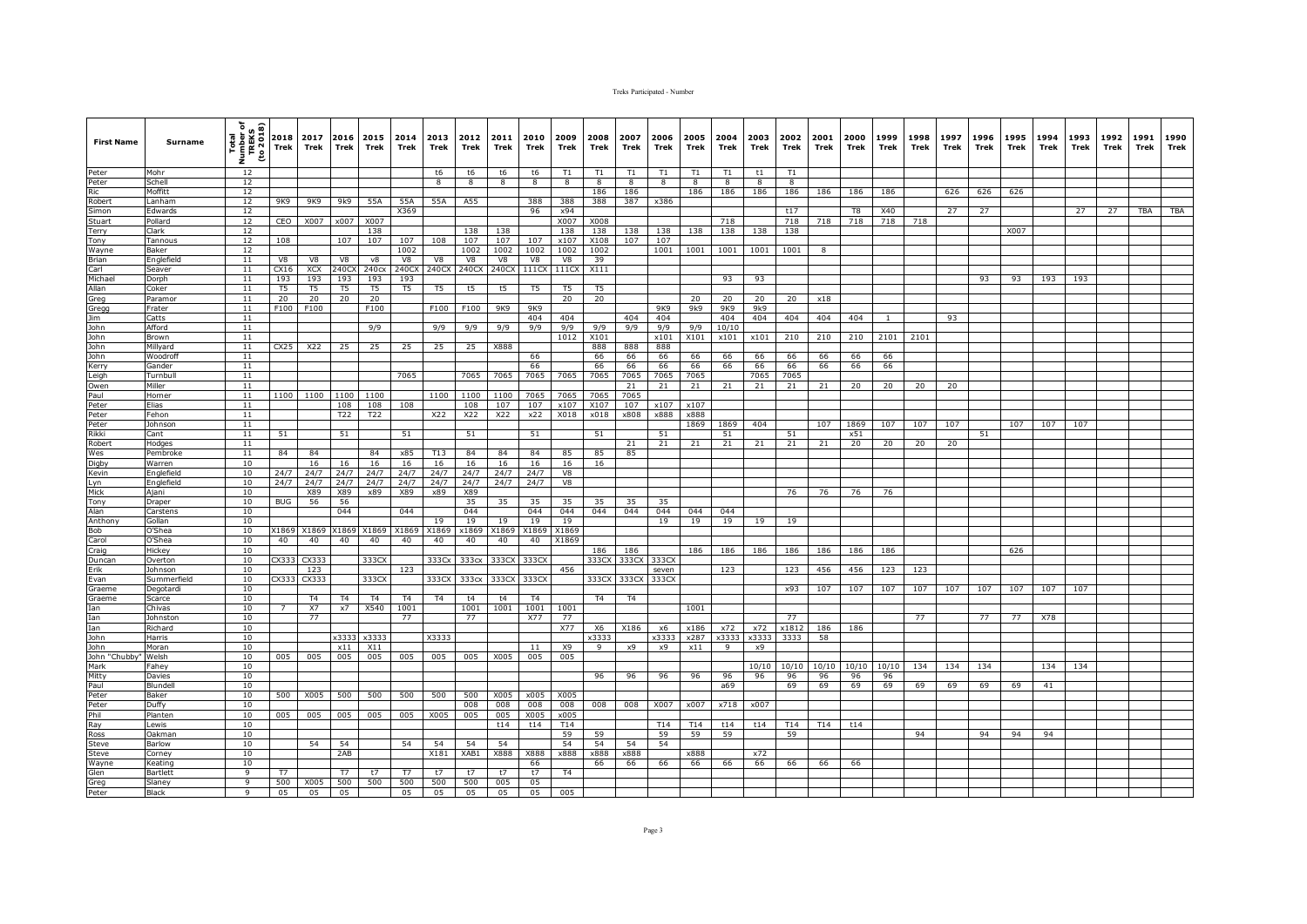| <b>First Name</b>                                                                                         | Surname            | Total<br>Number of<br>TREKS<br>(to 2018)<br>ž. | 2018<br>Trek   | 2017<br>Trek                | 2016<br><b>Trek</b>  | 2015<br>Trek | 2014<br>Trek      | 2013<br>Trek   | 2012<br>Trek      | 2011<br>Trek | 2010<br>Trek   | 2009<br>Trek   | 2008<br>Trek   | 2007<br>Trek   | 2006<br>Trek | 2005<br>Trek | 2004<br>Trek | 2003<br>Trek | 2002<br>Trek | 2001<br>Trek | 2000<br>Trek   | 1999<br>Trek | 1998<br>Trek | 1997<br>Trek | 1996<br>Trek | 1995<br>Trek | 1994<br>Trek | 1993<br>Trek | 1992<br>Trek | 1991<br>Trek | 1990<br>Trek |
|-----------------------------------------------------------------------------------------------------------|--------------------|------------------------------------------------|----------------|-----------------------------|----------------------|--------------|-------------------|----------------|-------------------|--------------|----------------|----------------|----------------|----------------|--------------|--------------|--------------|--------------|--------------|--------------|----------------|--------------|--------------|--------------|--------------|--------------|--------------|--------------|--------------|--------------|--------------|
| Peter                                                                                                     | Mohr               | 12                                             |                |                             |                      |              |                   | t6             | t6                | t6           | t6             | T1             | T1             | T1             | T1           | T1           | T1           | t1           | T1           |              |                |              |              |              |              |              |              |              |              |              |              |
| Peter<br>Ric<br>Robert<br>Simon                                                                           | Schell             | 12                                             |                |                             |                      |              |                   | R.             | 8                 | 8            | 8              | 8              | 8              | 8              | 8            | 8            | 8            | 8            | 8            |              |                |              |              |              |              |              |              |              |              |              |              |
|                                                                                                           | Moffitt<br>Lanham  | 12<br>12                                       | 9K9            | 9K9                         | 9k9                  | 55A          | 55A               | 55A            | A55               |              | 388            | 388            | 186<br>388     | 186<br>387     | x386         | 186          | 186          | 186          | 186          | 186          | 186            | 186          |              | 626          | 626          | 626          |              |              |              |              |              |
|                                                                                                           | Edwards            | 12                                             |                |                             |                      |              | X369              |                |                   |              | 96             | x94            |                |                |              |              |              |              | t17          |              | T <sub>8</sub> | X40          |              | 27           | 27           |              |              | 27           | 27           | TBA          | <b>TBA</b>   |
| Stuart                                                                                                    | Pollard            | 12                                             | CEO            | X007                        | x007                 | X007         |                   |                |                   |              |                | X007           | X008           |                |              |              | 718          |              | 718          | 718          | 718            | 718          | 718          |              |              |              |              |              |              |              |              |
| Terry                                                                                                     | Clark              | 12                                             |                |                             |                      | 138          |                   |                | 138               | 138          |                | 138            | 138            | 138            | 138          | 138          | 138          | 138          | 138          |              |                |              |              |              |              | X007         |              |              |              |              |              |
| Tony                                                                                                      | Tannous            | 12                                             | 108            |                             | 107                  | 107          | 107               | 108            | 107               | 107          | 107            | x107           | X108           | 107            | 107          |              |              |              |              |              |                |              |              |              |              |              |              |              |              |              |              |
| Wayne                                                                                                     | Baker              | 12                                             |                |                             |                      |              | 1002              |                | 1002              | 1002         | 1002           | 1002           | 1002           |                | 1001         | 1001         | 1001         | 1001         | 1001         | 8            |                |              |              |              |              |              |              |              |              |              |              |
| Brian<br>Carl                                                                                             | Englefield         | 11                                             | V8             | V8                          | V8                   | V8           | V8                | V8             | V8                | V8           | V8             | V8             | 39             |                |              |              |              |              |              |              |                |              |              |              |              |              |              |              |              |              |              |
| Michael                                                                                                   | Seaver             | 11<br>11                                       | CX16<br>193    | XCX<br>193                  | 240C<br>193          | 240cx<br>193 | 240CX<br>193      | 240CX          | 240CX             | 240CX        | 111CX          | 111CX          | X111           |                |              |              | 93           | 93           |              |              |                |              |              |              | 93           |              |              |              |              |              |              |
| Allan                                                                                                     | Dorph<br>Coker     | 11                                             | T <sub>5</sub> | T <sub>5</sub>              | T <sub>5</sub>       | T5           | T <sub>5</sub>    | T <sub>5</sub> | t5                | t5           | T <sub>5</sub> | T <sub>5</sub> | T <sub>5</sub> |                |              |              |              |              |              |              |                |              |              |              |              | 93           | 193          | 193          |              |              |              |
|                                                                                                           | Paramor            | 11                                             | 20             | 20                          | 20                   | 20           |                   |                |                   |              |                | 20             | 20             |                |              | 20           | 20           | 20           | 20           | x18          |                |              |              |              |              |              |              |              |              |              |              |
| Allan<br>Gregg<br>Jim<br>John<br>John<br>John                                                             | Frater             | 11                                             | F100           | F100                        |                      | F100         |                   | F100           | F100              | 9K9          | 9K9            |                |                |                | 9K9          | 9k9          | 9K9          | 9k9          |              |              |                |              |              |              |              |              |              |              |              |              |              |
|                                                                                                           | Catts              | 11                                             |                |                             |                      |              |                   |                |                   |              | 404            | 404            |                | 404            | 404          |              | 404          | 404          | 404          | 404          | 404            | $\mathbf{1}$ |              | 93           |              |              |              |              |              |              |              |
|                                                                                                           | Afford             | 11                                             |                |                             |                      | 9/9          |                   | 9/9            | 9/9               | 9/9          | 9/9            | 9/9            | 9/9            | 9/9            | 9/9          | 9/9          | 10/10        |              |              |              |                |              |              |              |              |              |              |              |              |              |              |
|                                                                                                           | Brown              | 11                                             |                |                             |                      |              |                   |                |                   |              |                | 1012           | X101           |                | x101         | X101         | x101         | x101         | 210          | 210          | 210            | 2101         | 2101         |              |              |              |              |              |              |              |              |
|                                                                                                           | Millyard           | 11                                             | CX25           | X22                         | 25                   | 25           | 25                | 25             | 25                | X888         |                |                | 888            | 888            | 888          |              |              |              |              |              |                |              |              |              |              |              |              |              |              |              |              |
| John                                                                                                      | Woodroff           | 11<br>11                                       |                |                             |                      |              |                   |                |                   |              | 66             |                | 66             | 66             | 66           | 66           | 66           | 66           | 66           | 66           | 66             | 66           |              |              |              |              |              |              |              |              |              |
| Kerry<br>Leigh                                                                                            | Gander<br>Turnbull | 11                                             |                |                             |                      |              | 7065              |                | 7065              | 7065         | 66<br>7065     | 7065           | 66<br>7065     | 66<br>7065     | 66<br>7065   | 66<br>7065   | 66           | 66<br>7065   | 66<br>7065   | 66           | 66             | 66           |              |              |              |              |              |              |              |              |              |
| Owen                                                                                                      | Miller             | 11                                             |                |                             |                      |              |                   |                |                   |              |                |                |                | 21             | 21           | 21           | 21           | 21           | 21           | 21           | 20             | 20           | 20           | 20           |              |              |              |              |              |              |              |
|                                                                                                           | Horner             | 11                                             | 1100           | 1100                        | 1100                 | 1100         |                   | 1100           | 1100              | 1100         | 7065           | 7065           | 7065           | 7065           |              |              |              |              |              |              |                |              |              |              |              |              |              |              |              |              |              |
| Paul<br>Peter<br>Peter                                                                                    | Elias              | 11                                             |                |                             | 108                  | 108          | 108               |                | 108               | 107          | 107            | x107           | X107           | 107            | x107         | x107         |              |              |              |              |                |              |              |              |              |              |              |              |              |              |              |
|                                                                                                           | Fehon              | 11                                             |                |                             | T22                  | T22          |                   | X22            | X22               | X22          | x22            | X018           | x018           | x808           | x888         | x888         |              |              |              |              |                |              |              |              |              |              |              |              |              |              |              |
| Peter                                                                                                     | Johnson            | 11                                             |                |                             |                      |              |                   |                |                   |              |                |                |                |                |              | 1869         | 1869         | 404          |              | 107          | 1869           | 107          | 107          | 107          |              | 107          | 107          | 107          |              |              |              |
| Rikki<br>Robert<br>Wes                                                                                    | Cant               | 11                                             | 51             |                             | 51                   |              | 51                |                | 51                |              | 51             |                | 51             |                | 51           |              | 51           |              | 51           |              | x51            |              |              |              | 51           |              |              |              |              |              |              |
|                                                                                                           | Hodges<br>Pembroke | 11<br>11                                       | 84             | 84                          |                      | 84           | x85               | T13            | 84                | 84           | 84             | 85             | 85             | 21<br>85       | 21           | 21           | 21           | 21           | 21           | 21           | 20             | 20           | 20           | 20           |              |              |              |              |              |              |              |
| Digby                                                                                                     | Warren             | 10                                             |                | 16                          | 16                   | 16           | 16                | 16             | 16                | 16           | 16             | 16             | 16             |                |              |              |              |              |              |              |                |              |              |              |              |              |              |              |              |              |              |
|                                                                                                           | Englefield         | 10                                             | 24/7           | 24/7                        | 24/7                 | 24/7         | 24/7              | 24/7           | 24/7              | 24/7         | 24/7           | V8             |                |                |              |              |              |              |              |              |                |              |              |              |              |              |              |              |              |              |              |
| Kevin<br>Kevin<br>Lyn<br>Mick<br>Tony                                                                     | Englefield         | 10                                             | 24/7           | 24/7                        | 24/7                 | 24/7         | 24/7              | 24/7           | 24/7              | 24/7         | 24/7           | V8             |                |                |              |              |              |              |              |              |                |              |              |              |              |              |              |              |              |              |              |
|                                                                                                           | Ajani              | 10                                             |                | X89                         | X89                  | x89          | X89               | x89            | X89               |              |                |                |                |                |              |              |              |              | 76           | 76           | 76             | 76           |              |              |              |              |              |              |              |              |              |
|                                                                                                           | Draper             | 10                                             | <b>BUG</b>     | 56                          | 56                   |              |                   |                | 35                | 35           | 35             | 35             | 35             | 35             | 35           |              |              |              |              |              |                |              |              |              |              |              |              |              |              |              |              |
| Alan<br>Anthony                                                                                           | Carstens           | 10                                             |                |                             | 044                  |              | 044               |                | 044               |              | 044            | 044            | 044            | 044            | 044          | 044          | 044          |              |              |              |                |              |              |              |              |              |              |              |              |              |              |
| Bob                                                                                                       | Gollan<br>O'Shea   | 10<br>10                                       | (1869          | X1869                       | $186$                | X186         | X1869             | 19<br>X1869    | 19<br>x1869       | 19<br>X1869  | 19<br>X1869    | 19<br>X1869    |                |                | 19           | 19           | 19           | 19           | 19           |              |                |              |              |              |              |              |              |              |              |              |              |
|                                                                                                           | O'Shea             | 10                                             | 40             | 40                          | 40                   | 40           | 40                | 40             | 40                | 40           | 40             | X1869          |                |                |              |              |              |              |              |              |                |              |              |              |              |              |              |              |              |              |              |
|                                                                                                           | Hickey             | 10                                             |                |                             |                      |              |                   |                |                   |              |                |                | 186            | 186            |              | 186          | 186          | 186          | 186          | 186          | 186            | 186          |              |              |              | 626          |              |              |              |              |              |
| Carol<br>Craig<br>Duncan                                                                                  | Overton            | 10                                             | CX333          | CX333                       |                      | 333CX        |                   | 333Cx          | 333cx             | 333CX        | 333CX          |                | 333CX          | 333CX          | 333CX        |              |              |              |              |              |                |              |              |              |              |              |              |              |              |              |              |
| Erik                                                                                                      | Johnson            | 10                                             |                | 123                         |                      |              | 123               |                |                   |              |                | 456            |                |                | seven        |              | 123          |              | 123          | 456          | 456            | 123          | 123          |              |              |              |              |              |              |              |              |
| Evan<br>Graeme                                                                                            | Summerfield        | 10                                             | CX333          | CX333                       |                      | 333CX        |                   | 333CX          | 333 <sub>cx</sub> | 333CX        | 333CX          |                |                | 333CX 333CX    | 333CX        |              |              |              |              |              |                |              |              |              |              |              |              |              |              |              |              |
|                                                                                                           | Degotardi          | 10                                             |                |                             |                      |              |                   |                |                   |              |                |                |                |                |              |              |              |              | x93          | 107          | 107            | 107          | 107          | 107          | 107          | 107          | 107          | 107          |              |              |              |
| Graeme                                                                                                    | Scarce             | 10<br>10                                       | $\overline{7}$ | T <sub>4</sub><br><b>X7</b> | T <sub>4</sub><br>x7 | <b>T4</b>    | <b>T4</b><br>1001 | T <sub>4</sub> | t4<br>1001        | t4           | T <sub>4</sub> |                | <b>T4</b>      | T <sub>4</sub> |              |              |              |              |              |              |                |              |              |              |              |              |              |              |              |              |              |
| Ian<br>Ian                                                                                                | Chivas<br>Johnston | 10                                             |                | 77                          |                      | X540         | 77                |                | 77                | 1001         | 1001<br>X77    | 1001<br>77     |                |                |              | 1001         |              |              | 77           |              |                |              | 77           |              | 77           | 77           | X78          |              |              |              |              |
| Ian                                                                                                       | Richard            | 10                                             |                |                             |                      |              |                   |                |                   |              |                | <b>X77</b>     | X6             | X186           | x6           | x186         | x72          | x72          | x1812        | 186          | 186            |              |              |              |              |              |              |              |              |              |              |
| John                                                                                                      | Harris             | 10                                             |                |                             | ‹3333                | x3333        |                   | X3333          |                   |              |                |                | x3333          |                | x3333        | x287         | x3333        | x3333        | 3333         | 58           |                |              |              |              |              |              |              |              |              |              |              |
|                                                                                                           | Moran              | 10                                             |                |                             | x11                  | X11          |                   |                |                   |              | 11             | <b>X9</b>      | 9              | x9             | x9           | x11          | 9            | x9           |              |              |                |              |              |              |              |              |              |              |              |              |              |
|                                                                                                           | Welsh              | 10                                             | 005            | 005                         | 005                  | 005          | 005               | 005            | 005               | X005         | 005            | 005            |                |                |              |              |              |              |              |              |                |              |              |              |              |              |              |              |              |              |              |
|                                                                                                           | Fahey              | 10                                             |                |                             |                      |              |                   |                |                   |              |                |                |                |                |              |              |              | 10/10        | 10/10        | 10/10        | 10/10          | 10/10        | 134          | 134          | 134          |              | 134          | 134          |              |              |              |
|                                                                                                           | Davies             | 10                                             |                |                             |                      |              |                   |                |                   |              |                |                | 96             | 96             | 96           | 96           | 96           | 96           | 96           | 96           | 96             | 96           |              |              |              |              |              |              |              |              |              |
| John<br>John "Chubby"<br>Mark<br>Mark<br>Mark<br>Peter<br>Peter<br>Peter<br>Ray<br>Ross<br>Steve<br>Steve | Blundel<br>Baker   | 10<br>10                                       | 500            | X005                        | 500                  | 500          | 500               | 500            | 500               | X005         | x005           | X005           |                |                |              |              | a69          |              | 69           | 69           | 69             | 69           | 69           | 69           | 69           | 69           | 41           |              |              |              |              |
|                                                                                                           | Duffy              | 10                                             |                |                             |                      |              |                   |                | 008               | 008          | 008            | 008            | 008            | 008            | X007         | x007         | x718         | x007         |              |              |                |              |              |              |              |              |              |              |              |              |              |
|                                                                                                           | Planten            | 10                                             | 005            | 005                         | 005                  | 005          | 005               | X005           | 005               | 005          | X005           | x005           |                |                |              |              |              |              |              |              |                |              |              |              |              |              |              |              |              |              |              |
|                                                                                                           | Lewis              | 10                                             |                |                             |                      |              |                   |                |                   | t14          | t14            | T14            |                |                | T14          | T14          | t14          | t14          | T14          | T14          | t14            |              |              |              |              |              |              |              |              |              |              |
|                                                                                                           | Oakman             | 10                                             |                |                             |                      |              |                   |                |                   |              |                | 59             | 59             |                | 59           | 59           | 59           |              | 59           |              |                |              | 94           |              | 94           | 94           | 94           |              |              |              |              |
|                                                                                                           | Barlow             | 10                                             |                | 54                          | 54                   |              | 54                | 54             | 54                | 54           |                | 54             | 54             | 54             | 54           |              |              |              |              |              |                |              |              |              |              |              |              |              |              |              |              |
| Steve                                                                                                     | Corney             | 10                                             |                |                             | 2AB                  |              |                   | X181           | XAB1              | X888         | X888           | x888           | x888           | x888           |              | x888         |              | x72          |              |              |                |              |              |              |              |              |              |              |              |              |              |
| Wayne                                                                                                     | Keating            | 10<br>$\overline{9}$                           |                |                             | <b>T7</b>            | t7           |                   |                |                   |              | 66<br>t7       |                | 66             | 66             | 66           | 66           | 66           | 66           | 66           | 66           | 66             |              |              |              |              |              |              |              |              |              |              |
| Glen<br>Greg                                                                                              | Bartlett<br>Slaney | 9                                              | T7<br>500      | X005                        | 500                  | 500          | T7<br>500         | t7<br>500      | t7<br>500         | t7<br>005    | 05             | T <sub>4</sub> |                |                |              |              |              |              |              |              |                |              |              |              |              |              |              |              |              |              |              |
| Peter                                                                                                     | Black              | 9                                              | 05             | 05                          | 05                   |              | 05                | 05             | 05                | 05           | 05             | 005            |                |                |              |              |              |              |              |              |                |              |              |              |              |              |              |              |              |              |              |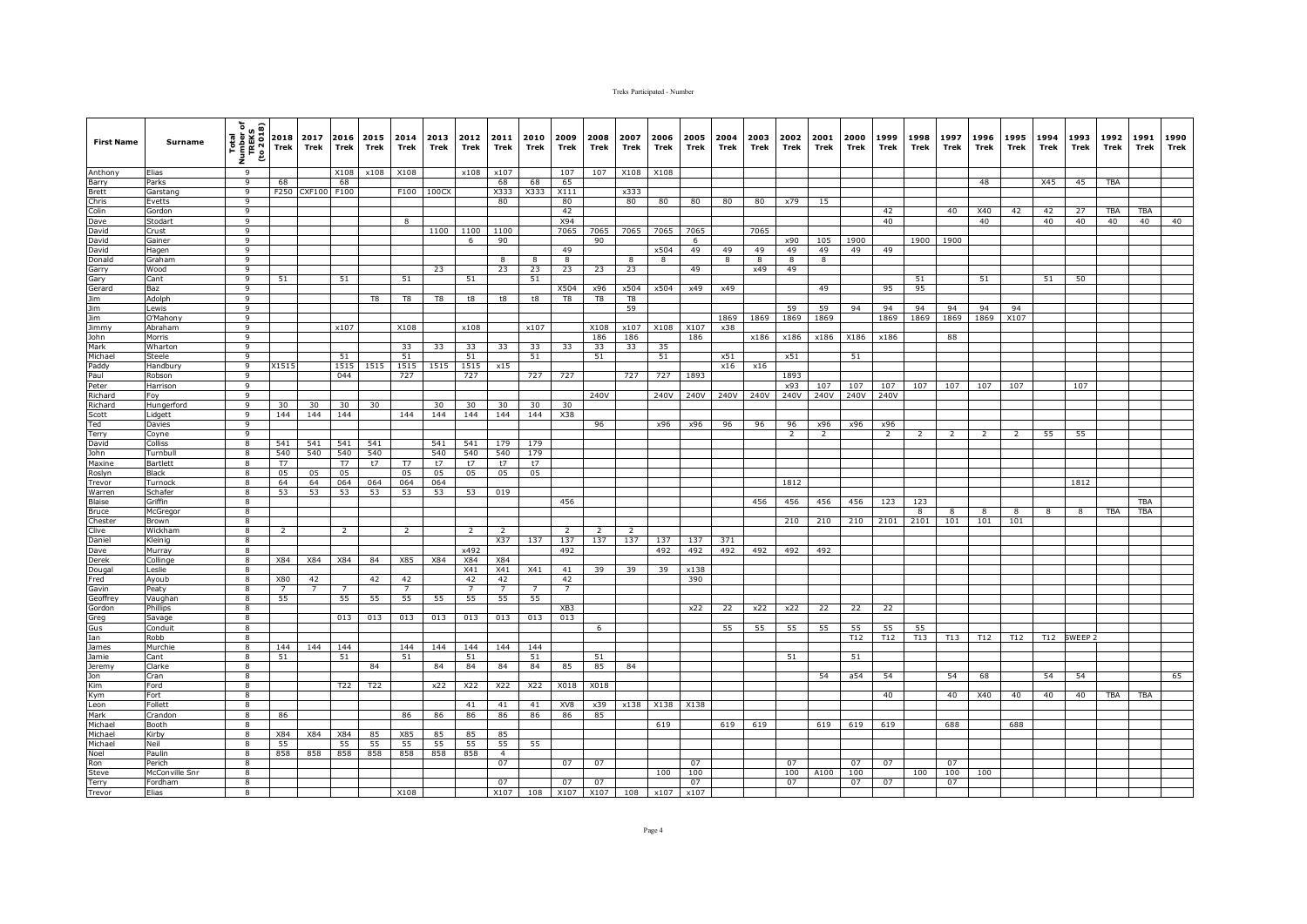| <b>First Name</b>                                     | Surname             | Total<br>Number of<br>TREKS<br>(to 2018)<br>i<br>Z | 2018<br><b>Trek</b> | 2017<br>Trek   | 2016<br><b>Trek</b> | 2015<br>Trek | 2014<br>Trek   | 2013<br>Trek | 2012<br>Trek   | 2011<br>Trek         | 2010<br>Trek            | 2009<br>Trek    | 2008<br>Trek | 2007<br>Trek | 2006<br>Trek            | 2005<br>Trek | 2004<br>Trek   | 2003<br>Trek            | 2002<br>Trek            | 2001<br>Trek        | 2000<br>Trek | 1999<br>Trek   | 1998<br>Trek | 1997<br>Trek    | 1996<br>Trek | 1995<br>Trek   | 1994<br>Trek | 1993<br>Trek       | 1992<br>Trek     | 1991<br>Trek | 1990<br>Trek |
|-------------------------------------------------------|---------------------|----------------------------------------------------|---------------------|----------------|---------------------|--------------|----------------|--------------|----------------|----------------------|-------------------------|-----------------|--------------|--------------|-------------------------|--------------|----------------|-------------------------|-------------------------|---------------------|--------------|----------------|--------------|-----------------|--------------|----------------|--------------|--------------------|------------------|--------------|--------------|
| Anthony                                               | Elias               | $\overline{q}$                                     |                     |                | X108                | x108         | X108           |              | x108           | x107                 |                         | 107             | 107          | X108         | X108                    |              |                |                         |                         |                     |              |                |              |                 |              |                |              |                    |                  |              |              |
| Barry                                                 | Parks               | 9                                                  | 68                  |                | 68                  |              |                |              |                | 68                   | 68                      | 65              |              |              |                         |              |                |                         |                         |                     |              |                |              |                 | 48           |                | X45          | 45                 | <b>TBA</b>       |              |              |
| Brett<br>Chris<br>Colin                               | Garstang            | $\overline{9}$                                     | F250                | <b>CXF100</b>  | F100                |              | F100           | 100CX        |                | X333                 | X333                    | X111            |              | x333         |                         |              |                |                         |                         |                     |              |                |              |                 |              |                |              |                    |                  |              |              |
|                                                       | Evetts              | 9<br>$\overline{9}$                                |                     |                |                     |              |                |              |                | 80                   |                         | 80<br>42        |              | 80           | 80                      | 80           | 80             | 80                      | x79                     | 15                  |              | 42             |              | 40              |              |                |              | 27                 |                  | <b>TBA</b>   |              |
|                                                       | Gordon<br>Stodart   | 9                                                  |                     |                |                     |              | 8              |              |                |                      |                         | X94             |              |              |                         |              |                |                         |                         |                     |              | 40             |              |                 | X40<br>40    | 42             | 42<br>40     | 40                 | <b>TBA</b><br>40 | 40           | 40           |
| Dave<br>David<br>David                                | Crust               | 9                                                  |                     |                |                     |              |                | 1100         | 1100           | 1100                 |                         | 7065            | 7065         | 7065         | 7065                    | 7065         |                | 7065                    |                         |                     |              |                |              |                 |              |                |              |                    |                  |              |              |
|                                                       | Gainer              | 9                                                  |                     |                |                     |              |                |              | 6              | 90                   |                         |                 | 90           |              |                         | 6            |                |                         | x90                     | 105                 | 1900         |                | 1900         | 1900            |              |                |              |                    |                  |              |              |
| David                                                 | Hagen               | 9                                                  |                     |                |                     |              |                |              |                |                      |                         | 49              |              |              | x504                    | 49           | 49             | 49                      | 49                      | 49                  | 49           | 49             |              |                 |              |                |              |                    |                  |              |              |
|                                                       | Graham              | $\overline{9}$                                     |                     |                |                     |              |                |              |                | 8                    | $\overline{\mathbf{8}}$ | $^{\circ}$      |              | 8            | $\overline{\mathbf{8}}$ |              | $\overline{8}$ | $\overline{\mathbf{8}}$ | $\overline{\mathbf{8}}$ | 8                   |              |                |              |                 |              |                |              |                    |                  |              |              |
| Donald<br>Garry                                       | Wood                | 9                                                  |                     |                |                     |              |                | 23           |                | 23                   | 23                      | 23              | 23           | 23           |                         | 49           |                | x49                     | 49                      |                     |              |                |              |                 |              |                |              |                    |                  |              |              |
| Gary                                                  | Cant                | 9                                                  | 51                  |                | 51                  |              | 51             |              | 51             |                      | 51                      |                 |              |              |                         |              |                |                         |                         |                     |              |                | 51           |                 | 51           |                | 51           | 50                 |                  |              |              |
| Gerard                                                | Baz                 | $\mathsf{q}$                                       |                     |                |                     |              |                |              |                |                      |                         | X504            | x96          | x504         | x504                    | x49          | x49            |                         |                         | 49                  |              | 95             | 95           |                 |              |                |              |                    |                  |              |              |
| Jim<br>Jim<br>Jim<br>Jim<br>Jimmy<br>John<br>Mark     | Adolph              | 9                                                  |                     |                |                     | T8           | T8             | T8           | t8             | t8                   | t8                      | T8              | T8           | T8           |                         |              |                |                         |                         |                     |              |                |              |                 |              |                |              |                    |                  |              |              |
|                                                       | Lewis               | 9                                                  |                     |                |                     |              |                |              |                |                      |                         |                 |              | 59           |                         |              |                |                         | 59                      | 59                  | 94           | 94             | 94           | 94              | 94           | 94             |              |                    |                  |              |              |
|                                                       | O'Mahony<br>Abraham | 9<br>$\overline{9}$                                |                     |                | x107                |              | X108           |              | x108           |                      | x107                    |                 | X108         | x107         | X108                    | X107         | 1869<br>x38    | 1869                    | 1869                    | 1869                |              | 1869           | 1869         | 1869            | 1869         | X107           |              |                    |                  |              |              |
|                                                       | Morris              | $\overline{9}$                                     |                     |                |                     |              |                |              |                |                      |                         |                 | 186          | 186          |                         | 186          |                | x186                    | x186                    | x186                | X186         | x186           |              | 88              |              |                |              |                    |                  |              |              |
|                                                       | Wharton             | 9                                                  |                     |                |                     |              | 33             | 33           | 33             | 33                   | 33                      | 33              | 33           | 33           | 35                      |              |                |                         |                         |                     |              |                |              |                 |              |                |              |                    |                  |              |              |
| Michael                                               | Steele              | $\mathsf{q}$                                       |                     |                | 51                  |              | 51             |              | 51             |                      | 51                      |                 | 51           |              | 51                      |              | x51            |                         | x51                     |                     | 51           |                |              |                 |              |                |              |                    |                  |              |              |
| Paddy<br>Paddy<br>Paul                                | Handbury            | 9                                                  | X1515               |                | 1515                | 1515         | 1515           | 1515         | 1515           | x15                  |                         |                 |              |              |                         |              | x16            | x16                     |                         |                     |              |                |              |                 |              |                |              |                    |                  |              |              |
|                                                       | Robson              | 9                                                  |                     |                | 044                 |              | 727            |              | 727            |                      | 727                     | 727             |              | 727          | 727                     | 1893         |                |                         | 1893                    |                     |              |                |              |                 |              |                |              |                    |                  |              |              |
| Peter                                                 | Harrison            | 9                                                  |                     |                |                     |              |                |              |                |                      |                         |                 |              |              |                         |              |                |                         | x93                     | 107                 | 107          | 107            | 107          | 107             | 107          | 107            |              | 107                |                  |              |              |
|                                                       | Foy                 | $\overline{q}$                                     |                     |                |                     |              |                |              |                |                      |                         |                 | 240V         |              | 240V                    | 240V         | 240V           | 240V                    | 240V                    | 240V                | 240V         | 240V           |              |                 |              |                |              |                    |                  |              |              |
| Richard<br>Richard<br>Scott                           | Hungerford          | 9                                                  | 30                  | 30             | 30                  | 30           |                | 30           | 30             | 30                   | 30                      | 30              |              |              |                         |              |                |                         |                         |                     |              |                |              |                 |              |                |              |                    |                  |              |              |
|                                                       | Lidgett             | 9                                                  | 144                 | 144            | 144                 |              | 144            | 144          | 144            | 144                  | 144                     | X38             |              |              |                         |              |                |                         |                         |                     |              |                |              |                 |              |                |              |                    |                  |              |              |
| Ted                                                   | Davies              | 9<br>9                                             |                     |                |                     |              |                |              |                |                      |                         |                 | 96           |              | x96                     | x96          | 96             | 96                      | 96                      | x96<br><sup>2</sup> | x96          | x96            |              |                 |              |                |              |                    |                  |              |              |
| Terry                                                 | Coyne<br>Colliss    | 8                                                  | 541                 | 541            | 541                 | 541          |                | 541          | 541            | 179                  | 179                     |                 |              |              |                         |              |                |                         | 2                       |                     |              | $\overline{2}$ | 2            | 2               | 2            | $\overline{2}$ | 55           | 55                 |                  |              |              |
| David<br>John                                         | Turnbul             | 8                                                  | 540                 | 540            | 540                 | 540          |                | 540          | 540            | 540                  | 179                     |                 |              |              |                         |              |                |                         |                         |                     |              |                |              |                 |              |                |              |                    |                  |              |              |
| Maxine                                                | Bartlett            | 8                                                  | T7                  |                | T7                  | t7           | T7             | t7           | t7             | t7                   | t7                      |                 |              |              |                         |              |                |                         |                         |                     |              |                |              |                 |              |                |              |                    |                  |              |              |
| Roslyn                                                | Black               | $\overline{\mathbf{8}}$                            | 05                  | 05             | 05                  |              | 05             | 05           | 05             | 05                   | 05                      |                 |              |              |                         |              |                |                         |                         |                     |              |                |              |                 |              |                |              |                    |                  |              |              |
| Trevor                                                | Turnock             | 8                                                  | 64                  | 64             | 064                 | 064          | 064            | 064          |                |                      |                         |                 |              |              |                         |              |                |                         | 1812                    |                     |              |                |              |                 |              |                |              | 1812               |                  |              |              |
| Warren                                                | Schafer             | 8                                                  | 53                  | 53             | 53                  | 53           | 53             | 53           | 53             | 019                  |                         |                 |              |              |                         |              |                |                         |                         |                     |              |                |              |                 |              |                |              |                    |                  |              |              |
| Blaise                                                | Griffin             | 8                                                  |                     |                |                     |              |                |              |                |                      |                         | 456             |              |              |                         |              |                | 456                     | 456                     | 456                 | 456          | 123            | 123          |                 |              |                |              |                    |                  | <b>TBA</b>   |              |
| Bruce                                                 | McGrego             | $\overline{8}$                                     |                     |                |                     |              |                |              |                |                      |                         |                 |              |              |                         |              |                |                         |                         |                     |              |                | 8            | 8               | 8            | 8              | 8            | 8                  | TBA              | <b>TBA</b>   |              |
| Chester                                               | Brown               | 8                                                  |                     |                |                     |              |                |              |                | $\overline{z}$       |                         | $\overline{z}$  |              |              |                         |              |                |                         | 210                     | 210                 | 210          | 2101           | 2101         | 101             | 101          | 101            |              |                    |                  |              |              |
| Clive<br>Daniel                                       | Wickham<br>Kleinig  | 8<br>8                                             | $\overline{2}$      |                | $\overline{2}$      |              | $\overline{2}$ |              | $\overline{z}$ | X37                  | 137                     | 137             | 137          | 137          | 137                     | 137          | 371            |                         |                         |                     |              |                |              |                 |              |                |              |                    |                  |              |              |
| Dave                                                  | Murray              | 8                                                  |                     |                |                     |              |                |              | x492           |                      |                         | 492             |              |              | 492                     | 492          | 492            | 492                     | 492                     | 492                 |              |                |              |                 |              |                |              |                    |                  |              |              |
| Derek                                                 | Collinge            | 8                                                  | X84                 | X84            | X84                 | 84           | X85            | X84          | X84            | X84                  |                         |                 |              |              |                         |              |                |                         |                         |                     |              |                |              |                 |              |                |              |                    |                  |              |              |
| Dougal                                                | Leslie              | 8                                                  |                     |                |                     |              |                |              | X41            | X41                  | X41                     | 41              | 39           | 39           | 39                      | x138         |                |                         |                         |                     |              |                |              |                 |              |                |              |                    |                  |              |              |
|                                                       | Ayoub               | $\overline{\mathbf{8}}$                            | X80                 | 42             |                     | 42           | 42             |              | 42             | 42                   |                         | 42              |              |              |                         | 390          |                |                         |                         |                     |              |                |              |                 |              |                |              |                    |                  |              |              |
| Fred<br>Gavin<br>Geoffrey                             | Peaty               | 8                                                  | $\overline{7}$      | $\overline{7}$ | $\overline{7}$      |              | $\overline{7}$ |              | $\overline{7}$ | $\overline{7}$       | $\overline{7}$          | $\overline{7}$  |              |              |                         |              |                |                         |                         |                     |              |                |              |                 |              |                |              |                    |                  |              |              |
|                                                       | Vaughar             | 8                                                  | 55                  |                | 55                  | 55           | 55             | 55           | 55             | 55                   | 55                      |                 |              |              |                         |              |                |                         |                         |                     |              |                |              |                 |              |                |              |                    |                  |              |              |
| Gordon                                                | Phillips            | 8                                                  |                     |                |                     |              |                |              |                |                      |                         | XB <sub>3</sub> |              |              |                         | x22          | 22             | x22                     | x22                     | 22                  | 22           | 22             |              |                 |              |                |              |                    |                  |              |              |
| Greg<br>Gus                                           | Savage              | 8                                                  |                     |                | 013                 | 013          | 013            | 013          | 013            | 013                  | 013                     | 013             |              |              |                         |              |                |                         |                         |                     |              |                |              |                 |              |                |              |                    |                  |              |              |
|                                                       | Conduit             | $\overline{\mathbf{8}}$                            |                     |                |                     |              |                |              |                |                      |                         |                 | 6            |              |                         |              | 55             | 55                      | 55                      | 55                  | 55           | 55             | 55           |                 |              |                |              |                    |                  |              |              |
| Ian                                                   | Robb<br>Murchie     | 8<br>8                                             | 144                 | 144            | 144                 |              | 144            | 144          | 144            | 144                  | 144                     |                 |              |              |                         |              |                |                         |                         |                     | T12          | T12            | T13          | T <sub>13</sub> | T12          | T12            | T12          | SWEEP <sub>2</sub> |                  |              |              |
|                                                       | Cant                | 8                                                  | 51                  |                | 51                  |              | 51             |              | 51             |                      | 51                      |                 | 51           |              |                         |              |                |                         | 51                      |                     | 51           |                |              |                 |              |                |              |                    |                  |              |              |
|                                                       | Clarke              | 8                                                  |                     |                |                     | 84           |                | 84           | 84             | 84                   | 84                      | 85              | 85           | 84           |                         |              |                |                         |                         |                     |              |                |              |                 |              |                |              |                    |                  |              |              |
| James<br>Jamie<br>Jeremy<br>Jon<br>Kim<br>Kym<br>Leon | Cran                | 8                                                  |                     |                |                     |              |                |              |                |                      |                         |                 |              |              |                         |              |                |                         |                         | 54                  | a54          | 54             |              | 54              | 68           |                | 54           | 54                 |                  |              | 65           |
|                                                       | Ford                | 8                                                  |                     |                | T22                 | T22          |                | x22          | X22            | X22                  | X22                     | X018            | X018         |              |                         |              |                |                         |                         |                     |              |                |              |                 |              |                |              |                    |                  |              |              |
|                                                       | Fort                | 8                                                  |                     |                |                     |              |                |              |                |                      |                         |                 |              |              |                         |              |                |                         |                         |                     |              | 40             |              | 40              | X40          | 40             | 40           | 40                 | TBA              | <b>TBA</b>   |              |
|                                                       | Follett             | 8                                                  |                     |                |                     |              |                |              | 41             | 41                   | 41                      | XV8             | x39          | x138         | X138                    | X138         |                |                         |                         |                     |              |                |              |                 |              |                |              |                    |                  |              |              |
| Mark<br>Michael                                       | Crandon             | 8                                                  | 86                  |                |                     |              | 86             | 86           | 86             | 86                   | 86                      | 86              | 85           |              |                         |              |                |                         |                         |                     |              |                |              |                 |              |                |              |                    |                  |              |              |
|                                                       | Booth               | 8                                                  |                     |                |                     |              |                |              |                |                      |                         |                 |              |              | 619                     |              | 619            | 619                     |                         | 619                 | 619          | 619            |              | 688             |              | 688            |              |                    |                  |              |              |
| Michael                                               | Kirby               | 8                                                  | X84                 | X84            | X84                 | 85           | X85            | 85           | 85             | 85                   |                         |                 |              |              |                         |              |                |                         |                         |                     |              |                |              |                 |              |                |              |                    |                  |              |              |
| Michael                                               | Neil<br>Paulin      | 8<br>8                                             | 55<br>858           | 858            | 55<br>858           | 55<br>858    | 55<br>858      | 55<br>858    | 55<br>858      | 55<br>$\overline{4}$ | 55                      |                 |              |              |                         |              |                |                         |                         |                     |              |                |              |                 |              |                |              |                    |                  |              |              |
| Noel                                                  | Perich              | $\overline{8}$                                     |                     |                |                     |              |                |              |                | 07                   |                         | 07              | 07           |              |                         | 07           |                |                         | 07                      |                     | 07           | 07             |              | 07              |              |                |              |                    |                  |              |              |
| Ron<br>Steve<br>Terry                                 | McConville Snr      | $\overline{8}$                                     |                     |                |                     |              |                |              |                |                      |                         |                 |              |              | 100                     | 100          |                |                         | 100                     | A100                | 100          |                | 100          | 100             | 100          |                |              |                    |                  |              |              |
|                                                       | Fordham             | 8                                                  |                     |                |                     |              |                |              |                | 07                   |                         | 07              | 07           |              |                         | 07           |                |                         | 07                      |                     | 07           | 07             |              | 07              |              |                |              |                    |                  |              |              |
| Trevor                                                | Elias               | 8                                                  |                     |                |                     |              | X108           |              |                | X107                 | 108                     | X107            | X107         | 108          | x107                    | x107         |                |                         |                         |                     |              |                |              |                 |              |                |              |                    |                  |              |              |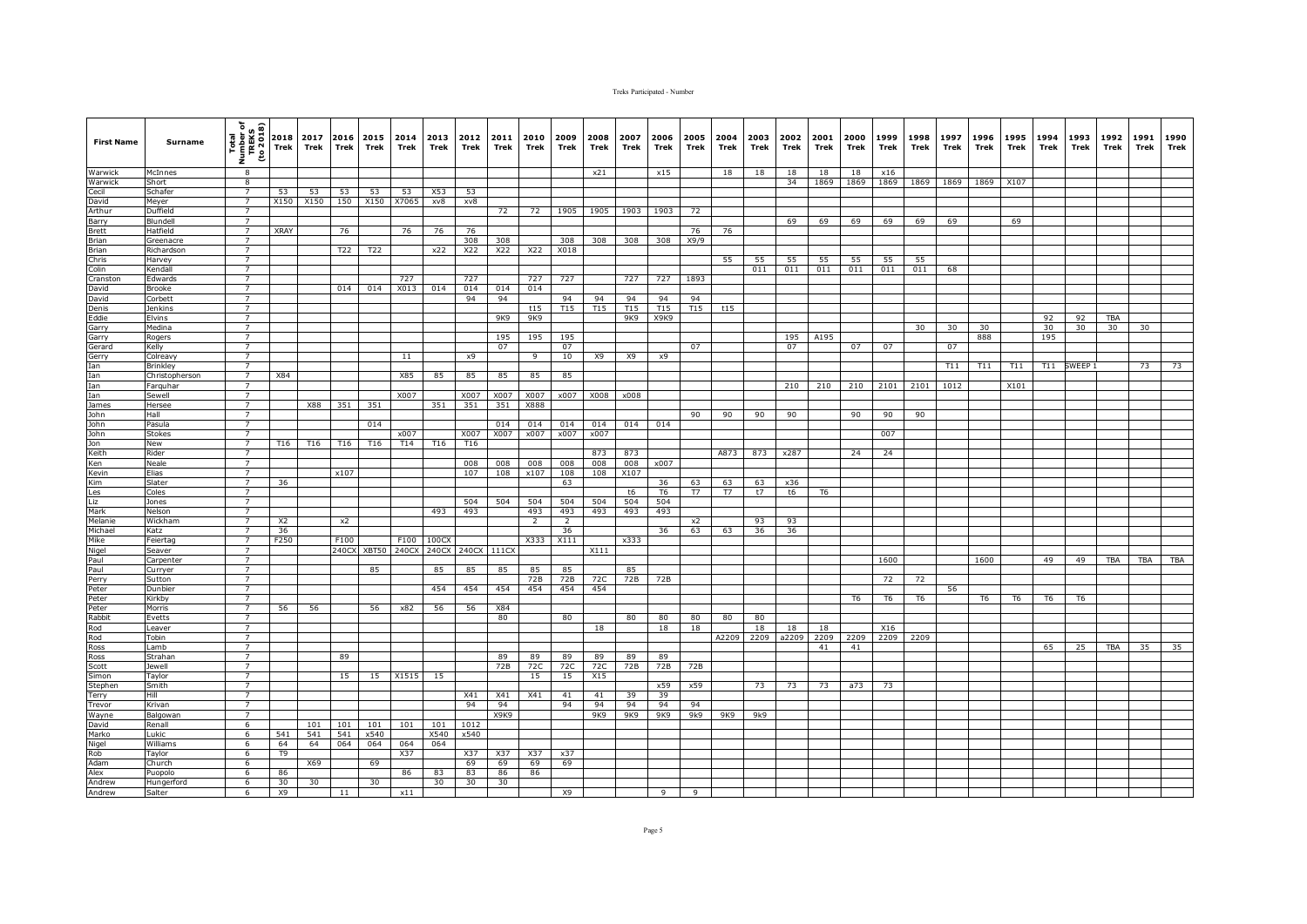| <b>First Name</b>                                                                       | <b>Surname</b>    | Total<br>Number of<br>TREKS<br>The 2018<br>ž. | 2018<br>Trek   | 2017<br>Trek | Trek  | 2016 2015<br>Trek | 2014<br>Trek | 2013<br>Trek      | 2012<br>Trek | 2011<br>Trek | 2010<br>Trek   | 2009<br>Trek   | 2008<br>Trek | 2007<br>Trek | 2006<br>Trek   | 2005<br>Trek    | 2004<br>Trek | 2003<br>Trek | 2002<br>Trek | 2001<br>Trek | 2000<br>Trek | 1999<br>Trek   | 1998<br>Trek | 1997<br>Trek | 1996<br>Trek | 1995<br>Trek | 1994<br>Trek | 1993<br>Trek | 1992<br>Trek | 1991<br>Trek | 1990<br>Trek |
|-----------------------------------------------------------------------------------------|-------------------|-----------------------------------------------|----------------|--------------|-------|-------------------|--------------|-------------------|--------------|--------------|----------------|----------------|--------------|--------------|----------------|-----------------|--------------|--------------|--------------|--------------|--------------|----------------|--------------|--------------|--------------|--------------|--------------|--------------|--------------|--------------|--------------|
| Warwick                                                                                 | McInnes           | 8                                             |                |              |       |                   |              |                   |              |              |                |                | x21          |              | x15            |                 | 18           | 18           | 18           | 18           | 18           | x16            |              |              |              |              |              |              |              |              |              |
| Warwick                                                                                 | Short             | 8                                             |                |              |       |                   |              |                   |              |              |                |                |              |              |                |                 |              |              | 34           | 1869         | 1869         | 1869           | 1869         | 1869         | 1869         | X107         |              |              |              |              |              |
| Cecil                                                                                   | Schafer           | $\overline{7}$                                | 53             | 53           | 53    | 53                | 53           | X53               | 53           |              |                |                |              |              |                |                 |              |              |              |              |              |                |              |              |              |              |              |              |              |              |              |
| David                                                                                   | Meyer             | $\overline{7}$                                | X150           | X150         | 150   | X150 X7065        |              | xv8               | xv8          |              |                |                |              |              |                |                 |              |              |              |              |              |                |              |              |              |              |              |              |              |              |              |
| Arthur                                                                                  | Duffield          | $\overline{7}$                                |                |              |       |                   |              |                   |              | 72           | 72             | 1905           | 1905         | 1903         | 1903           | 72              |              |              |              |              |              |                |              |              |              |              |              |              |              |              |              |
| Barry                                                                                   | Blundell          | $\overline{7}$                                |                |              |       |                   |              |                   |              |              |                |                |              |              |                |                 |              |              | 69           | 69           | 69           | 69             | 69           | 69           |              | 69           |              |              |              |              |              |
| Brett                                                                                   | Hatfield          | $\overline{7}$                                | <b>XRAY</b>    |              | 76    |                   | 76           | 76                | 76           |              |                |                |              |              |                | 76              | 76           |              |              |              |              |                |              |              |              |              |              |              |              |              |              |
| Brian                                                                                   | Greenacre         | $\overline{7}$                                |                |              |       |                   |              |                   | 308          | 308          |                | 308            | 308          | 308          | 308            | X9/9            |              |              |              |              |              |                |              |              |              |              |              |              |              |              |              |
| Brian                                                                                   | Richardson        | $\overline{7}$                                |                |              | T22   | T22               |              | x22               | X22          | X22          | X22            | X018           |              |              |                |                 |              |              |              |              |              |                |              |              |              |              |              |              |              |              |              |
|                                                                                         | Harvey            | $\overline{7}$                                |                |              |       |                   |              |                   |              |              |                |                |              |              |                |                 | 55           | 55           | 55           | 55           | 55           | 55             | 55           |              |              |              |              |              |              |              |              |
| Chris<br>Colin<br>Cranston                                                              | Kendall           | $\overline{7}$                                |                |              |       |                   |              |                   |              |              |                |                |              |              |                |                 |              | 011          | 011          | 011          | 011          | 011            | 011          | 68           |              |              |              |              |              |              |              |
|                                                                                         | Edwards           | $\overline{7}$<br>$\overline{7}$              |                |              |       |                   | 727          |                   | 727          |              | 727            | 727            |              | 727          | 727            | 1893            |              |              |              |              |              |                |              |              |              |              |              |              |              |              |              |
| David                                                                                   | Brooke            | $\overline{7}$                                |                |              | 014   | 014               | X013         | 014               | 014          | 014          | 014            |                |              |              |                |                 |              |              |              |              |              |                |              |              |              |              |              |              |              |              |              |
| David                                                                                   | Corbett           |                                               |                |              |       |                   |              |                   | 94           | 94           |                | 94             | 94           | 94           | 94             | 94              |              |              |              |              |              |                |              |              |              |              |              |              |              |              |              |
| Denis                                                                                   | Jenkins<br>Elvins | $\overline{7}$<br>$\overline{7}$              |                |              |       |                   |              |                   |              | 9K9          | t15<br>9K9     | <b>T15</b>     | T15          | T15<br>9K9   | T15<br>X9K9    | T <sub>15</sub> | t15          |              |              |              |              |                |              |              |              |              | 92           |              | TBA          |              |              |
| Eddie                                                                                   | Medina            | $\overline{7}$                                |                |              |       |                   |              |                   |              |              |                |                |              |              |                |                 |              |              |              |              |              |                | 30           | 30           | 30           |              | 30           | 92<br>30     | 30           | 30           |              |
| Garry                                                                                   | Rogers            | $\overline{7}$                                |                |              |       |                   |              |                   |              | 195          | 195            | 195            |              |              |                |                 |              |              | 195          | A195         |              |                |              |              | 888          |              | 195          |              |              |              |              |
|                                                                                         | Kelly             | $\overline{7}$                                |                |              |       |                   |              |                   |              | 07           |                | 07             |              |              |                | 07              |              |              | 07           |              | 07           | 07             |              | 07           |              |              |              |              |              |              |              |
| Garry<br>Gerard<br>Gerry<br>Ian<br>Ian<br>Ian<br>John<br>John                           | Colreavy          | $\overline{7}$                                |                |              |       |                   | 11           |                   | x9           |              | 9              | 10             | X9           | X9           | x9             |                 |              |              |              |              |              |                |              |              |              |              |              |              |              |              |              |
|                                                                                         | Brinkley          | $\overline{7}$                                |                |              |       |                   |              |                   |              |              |                |                |              |              |                |                 |              |              |              |              |              |                |              | T11          | T11          | T11          | T11          | SWEEP:       |              | 73           | 73           |
|                                                                                         | Christopherson    | $\overline{7}$                                | X84            |              |       |                   | X85          | 85                | 85           | 85           | 85             | 85             |              |              |                |                 |              |              |              |              |              |                |              |              |              |              |              |              |              |              |              |
|                                                                                         | Farguhar          | $\overline{7}$                                |                |              |       |                   |              |                   |              |              |                |                |              |              |                |                 |              |              | 210          | 210          | 210          | 2101           | 2101         | 1012         |              | X101         |              |              |              |              |              |
|                                                                                         | Sewell            | $\overline{7}$                                |                |              |       |                   | X007         |                   | X007         | X007         | X007           | x007           | X008         | x008         |                |                 |              |              |              |              |              |                |              |              |              |              |              |              |              |              |              |
|                                                                                         | Hersee            | $\overline{7}$                                |                | X88          | 351   | 351               |              | 351               | 351          | 351          | X888           |                |              |              |                |                 |              |              |              |              |              |                |              |              |              |              |              |              |              |              |              |
|                                                                                         | Hall              | $\overline{7}$                                |                |              |       |                   |              |                   |              |              |                |                |              |              |                | 90              | 90           | 90           | 90           |              | 90           | 90             | 90           |              |              |              |              |              |              |              |              |
| John                                                                                    | Pasula            | $\overline{7}$                                |                |              |       | 014               |              |                   |              | 014          | 014            | 014            | 014          | 014          | 014            |                 |              |              |              |              |              |                |              |              |              |              |              |              |              |              |              |
|                                                                                         | <b>Stokes</b>     | $\overline{7}$                                |                |              |       |                   | x007         |                   | X007         | X007         | x007           | x007           | x007         |              |                |                 |              |              |              |              |              | 007            |              |              |              |              |              |              |              |              |              |
|                                                                                         | New               | $7^{\circ}$                                   | T16            | T16          | T16   | T16               | T14          | T16               | T16          |              |                |                |              |              |                |                 |              |              |              |              |              |                |              |              |              |              |              |              |              |              |              |
| John<br>Jon<br>Keith<br>Ken<br>Kevin<br>Kim<br>Les<br>Liz<br>Mark<br>Melanie<br>Michael | Rider             | $\overline{7}$                                |                |              |       |                   |              |                   |              |              |                |                | 873          | 873          |                |                 | A873         | 873          | x287         |              | 24           | 24             |              |              |              |              |              |              |              |              |              |
|                                                                                         | Neale             | $\overline{7}$                                |                |              |       |                   |              |                   | 008          | 008          | 008            | 008            | 008          | 008          | x007           |                 |              |              |              |              |              |                |              |              |              |              |              |              |              |              |              |
|                                                                                         | Elias             | $\overline{7}$                                |                |              | x107  |                   |              |                   | 107          | 108          | x107           | 108            | 108          | X107         |                |                 |              |              |              |              |              |                |              |              |              |              |              |              |              |              |              |
|                                                                                         | Slater            | $\overline{7}$                                | 36             |              |       |                   |              |                   |              |              |                | 63             |              |              | 36             | 63              | 63           | 63           | x36          |              |              |                |              |              |              |              |              |              |              |              |              |
|                                                                                         | Coles             | $\overline{7}$                                |                |              |       |                   |              |                   |              |              |                |                |              | t6           | T <sub>6</sub> | T7              | <b>T7</b>    | t7           | t6           | T6           |              |                |              |              |              |              |              |              |              |              |              |
|                                                                                         | Jones             | $\overline{7}$                                |                |              |       |                   |              |                   | 504          | 504          | 504            | 504            | 504          | 504          | 504            |                 |              |              |              |              |              |                |              |              |              |              |              |              |              |              |              |
|                                                                                         | Nelson            | $\overline{7}$                                |                |              |       |                   |              | 493               | 493          |              | 493            | 493            | 493          | 493          | 493            |                 |              |              |              |              |              |                |              |              |              |              |              |              |              |              |              |
|                                                                                         | Wickhan           | $\overline{7}$                                | X <sub>2</sub> |              | x2    |                   |              |                   |              |              | $\overline{2}$ | $\overline{2}$ |              |              |                | x2              |              | 93           | 93           |              |              |                |              |              |              |              |              |              |              |              |              |
|                                                                                         | Katz              | $\overline{7}$                                | 36             |              |       |                   |              |                   |              |              |                | 36             |              |              | 36             | 63              | 63           | 36           | 36           |              |              |                |              |              |              |              |              |              |              |              |              |
|                                                                                         | Feiertag          | $\overline{7}$                                | F250           |              | F100  |                   | F100         | 100CX             |              |              | X333           | X111           |              | x333         |                |                 |              |              |              |              |              |                |              |              |              |              |              |              |              |              |              |
|                                                                                         | Seaver            | $\overline{7}$                                |                |              | 240CX | XBT50             | 240CX        | 240CX 240CX 111CX |              |              |                |                | X111         |              |                |                 |              |              |              |              |              |                |              |              |              |              |              |              |              |              |              |
|                                                                                         | Carpenter         | $\overline{7}$                                |                |              |       |                   |              |                   |              |              |                |                |              |              |                |                 |              |              |              |              |              | 1600           |              |              | 1600         |              | 49           | 49           | TBA          | TBA          | TBA          |
|                                                                                         | Curryer           | $\overline{7}$                                |                |              |       | 85                |              | 85                | 85           | 85           | 85             | 85             |              | 85           |                |                 |              |              |              |              |              |                |              |              |              |              |              |              |              |              |              |
|                                                                                         | Sutton            | $\overline{7}$                                |                |              |       |                   |              |                   |              |              | 72B            | 72B            | 72C          | 72B          | 72B            |                 |              |              |              |              |              | 72             | 72           |              |              |              |              |              |              |              |              |
| Mike<br>Nigel<br>Paul<br>Perry<br>Peter<br>Peter                                        | Dunbier           | $\overline{7}$                                |                |              |       |                   |              | 454               | 454          | 454          | 454            | 454            | 454          |              |                |                 |              |              |              |              |              |                |              | 56           |              |              |              |              |              |              |              |
|                                                                                         | Kirkby            | $\overline{7}$                                |                |              |       |                   |              |                   |              |              |                |                |              |              |                |                 |              |              |              |              | T6           | T <sub>6</sub> | T6           |              | T6           | T6           | T6           | Т6           |              |              |              |
| Peter                                                                                   | Morris            | $\overline{7}$                                | 56             | 56           |       | 56                | x82          | 56                | 56           | X84          |                |                |              |              |                |                 |              |              |              |              |              |                |              |              |              |              |              |              |              |              |              |
|                                                                                         | Evetts            | $\overline{7}$<br>$\overline{7}$              |                |              |       |                   |              |                   |              | 80           |                | 80             |              | 80           | 80             | 80              | 80           | 80           |              |              |              |                |              |              |              |              |              |              |              |              |              |
|                                                                                         | Leaver            |                                               |                |              |       |                   |              |                   |              |              |                |                | 18           |              | 18             | 18              |              | 18           | 18           | 18           |              | X16            |              |              |              |              |              |              |              |              |              |
| Feter<br>Rabbit<br>Rod<br>Ross<br>Ross<br>Scott<br>Simon                                | Tobin<br>Lamb     | $7^{\circ}$<br>$\overline{7}$                 |                |              |       |                   |              |                   |              |              |                |                |              |              |                |                 | A2209        | 2209         | a2209        | 2209<br>41   | 2209<br>41   | 2209           | 2209         |              |              |              | 65           | 25           | <b>TBA</b>   | 35           | 35           |
|                                                                                         | Strahan           | $7^{\circ}$                                   |                |              | 89    |                   |              |                   |              |              | 89             | 89             | 89           | 89           | 89             |                 |              |              |              |              |              |                |              |              |              |              |              |              |              |              |              |
|                                                                                         |                   | $\overline{7}$                                |                |              |       |                   |              |                   |              | 89<br>72B    |                | 72C            |              | 72B          | 72B            |                 |              |              |              |              |              |                |              |              |              |              |              |              |              |              |              |
|                                                                                         | Jewell<br>Taylor  | $\overline{7}$                                |                |              | 15    | 15                | X1515        | 15                |              |              | 72C<br>15      | 15             | 72C<br>X15   |              |                | 72B             |              |              |              |              |              |                |              |              |              |              |              |              |              |              |              |
| Stephen                                                                                 | Smith             | $\overline{7}$                                |                |              |       |                   |              |                   |              |              |                |                |              |              | x59            | x59             |              | 73           | 73           | 73           | a73          | 73             |              |              |              |              |              |              |              |              |              |
| Terry                                                                                   | Hill              | $\overline{7}$                                |                |              |       |                   |              |                   | X41          | X41          | X41            | 41             | 41           | 39           | 39             |                 |              |              |              |              |              |                |              |              |              |              |              |              |              |              |              |
| Trevor                                                                                  | Krivan            | $7\overline{ }$                               |                |              |       |                   |              |                   | 94           | 94           |                | 94             | 94           | 94           | 94             | 94              |              |              |              |              |              |                |              |              |              |              |              |              |              |              |              |
| Wayne                                                                                   | Balgowan          | $\overline{7}$                                |                |              |       |                   |              |                   |              | X9K9         |                |                | 9K9          | 9K9          | 9K9            | 9k9             | 9K9          | 9k9          |              |              |              |                |              |              |              |              |              |              |              |              |              |
| David                                                                                   | Renall            | 6                                             |                | 101          | 101   | 101               | 101          | 101               | 1012         |              |                |                |              |              |                |                 |              |              |              |              |              |                |              |              |              |              |              |              |              |              |              |
|                                                                                         | Lukic             | 6                                             | 541            | 541          | 541   | x540              |              | X540              | x540         |              |                |                |              |              |                |                 |              |              |              |              |              |                |              |              |              |              |              |              |              |              |              |
| Marko<br>Nigel                                                                          | Williams          | 6                                             | 64             | 64           | 064   | 064               | 064          | 064               |              |              |                |                |              |              |                |                 |              |              |              |              |              |                |              |              |              |              |              |              |              |              |              |
| Rob                                                                                     | Taylor            | 6                                             | T <sub>9</sub> |              |       |                   | X37          |                   | X37          | X37          | X37            | x37            |              |              |                |                 |              |              |              |              |              |                |              |              |              |              |              |              |              |              |              |
|                                                                                         | Church            | 6                                             |                | X69          |       | 69                |              |                   | 69           | 69           | 69             | 69             |              |              |                |                 |              |              |              |              |              |                |              |              |              |              |              |              |              |              |              |
| Adam<br>Alex<br>Andrew<br>Andrew                                                        | Puopolo           | 6                                             | 86             |              |       |                   | 86           | 83                | 83           | 86           | 86             |                |              |              |                |                 |              |              |              |              |              |                |              |              |              |              |              |              |              |              |              |
|                                                                                         | Hungerford        | 6                                             | 30             | 30           |       | 30                |              | 30                | 30           | 30           |                |                |              |              |                |                 |              |              |              |              |              |                |              |              |              |              |              |              |              |              |              |
|                                                                                         | Salter            | 6                                             | X9             |              | 11    |                   | x11          |                   |              |              |                | X9             |              |              | 9              |                 |              |              |              |              |              |                |              |              |              |              |              |              |              |              |              |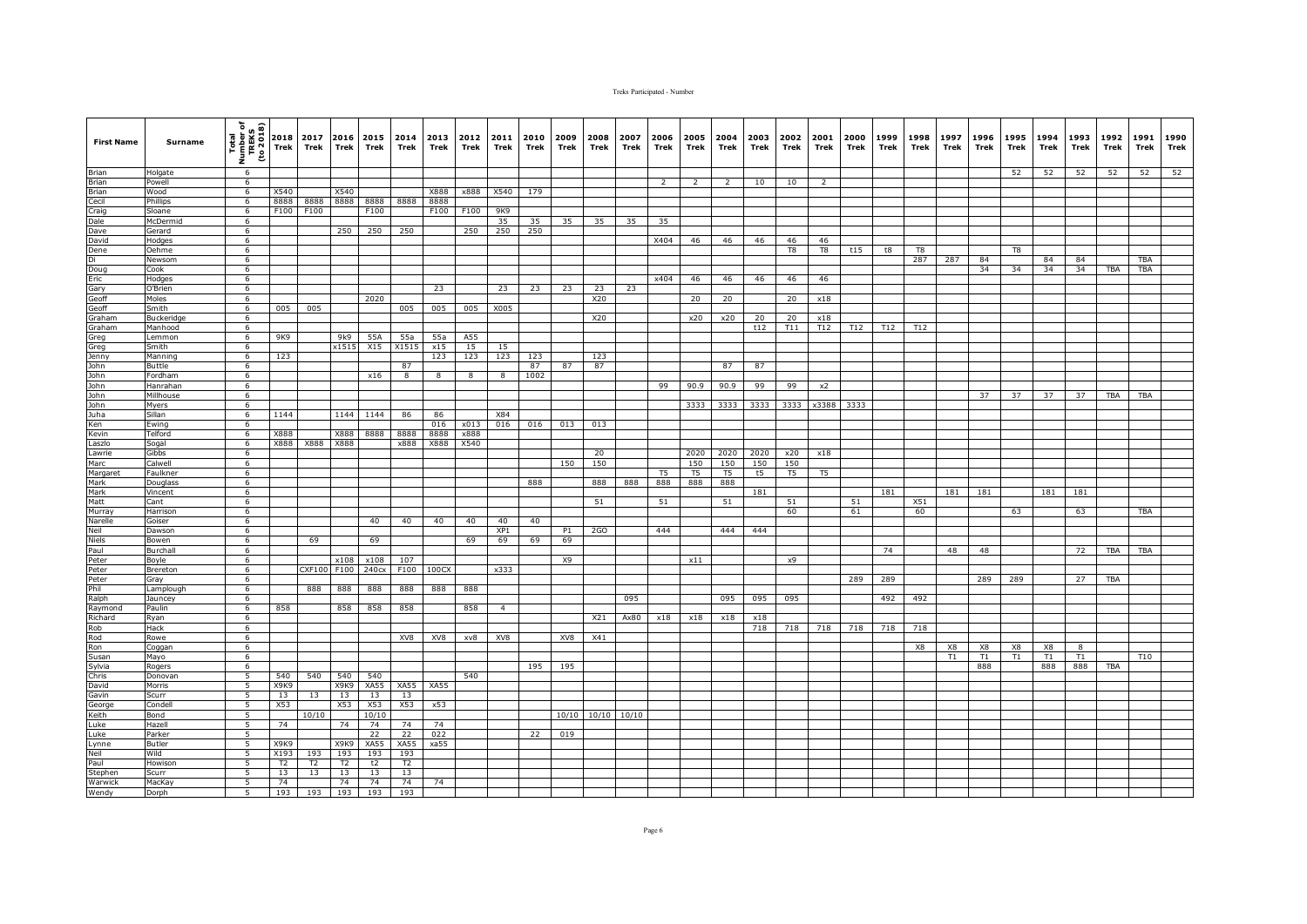| <b>First Name</b>                            | Surname            | Total<br>Number of<br>TREKS<br>TREKS<br>The 2018<br>Ē, | 2018<br><b>Trek</b> | 2017<br>Trek  | 2016 2015<br>Trek | Trek         | 2014<br>Trek | 2013<br>Trek | 2012<br>Trek | 2011<br>Trek    | 2010<br>Trek | 2009<br>Trek | 2008<br>Trek    | 2007<br>Trek    | 2006<br>Trek             | 2005<br>Trek             | 2004<br>Trek | 2003<br>Trek | 2002<br>Trek | 2001<br>Trek   | 2000<br>Trek | 1999<br>Trek | 1998<br>Trek   | 1997<br>Trek | 1996<br>Trek | 1995<br>Trek   | 1994<br>Trek | 1993<br>Trek | 1992<br>Trek | 1991<br>Trek | 1990<br>Trek |
|----------------------------------------------|--------------------|--------------------------------------------------------|---------------------|---------------|-------------------|--------------|--------------|--------------|--------------|-----------------|--------------|--------------|-----------------|-----------------|--------------------------|--------------------------|--------------|--------------|--------------|----------------|--------------|--------------|----------------|--------------|--------------|----------------|--------------|--------------|--------------|--------------|--------------|
| <b>Brian</b>                                 | Holgate            | 6                                                      |                     |               |                   |              |              |              |              |                 |              |              |                 |                 |                          |                          |              |              |              |                |              |              |                |              |              | 52             | 52           | 52           | 52           | 52           | 52           |
| Brian                                        | Powell             | 6                                                      |                     |               |                   |              |              |              |              |                 |              |              |                 |                 | $\overline{\phantom{a}}$ | $\overline{\phantom{a}}$ | 2            | 10           | 10           | 2              |              |              |                |              |              |                |              |              |              |              |              |
| Brian                                        | Wood               | 6                                                      | X540                |               | X540              |              |              | X888         | x888         | X540            | 179          |              |                 |                 |                          |                          |              |              |              |                |              |              |                |              |              |                |              |              |              |              |              |
| Cecil<br>Craig<br>Dale                       | Phillips<br>Sloane | 6<br>6                                                 | 8888<br>F100        | 8888<br>F100  | 8888              | 8888<br>F100 | 8888         | 8888<br>F100 | F100         | 9K9             |              |              |                 |                 |                          |                          |              |              |              |                |              |              |                |              |              |                |              |              |              |              |              |
|                                              | McDermid           | 6                                                      |                     |               |                   |              |              |              |              | 35              | 35           | 35           | 35              | 35              | 35                       |                          |              |              |              |                |              |              |                |              |              |                |              |              |              |              |              |
| Dave                                         | Gerard             | 6                                                      |                     |               | 250               | 250          | 250          |              | 250          | 250             | 250          |              |                 |                 |                          |                          |              |              |              |                |              |              |                |              |              |                |              |              |              |              |              |
| David                                        | Hodges             | 6                                                      |                     |               |                   |              |              |              |              |                 |              |              |                 |                 | X404                     | 46                       | 46           | 46           | 46           | 46             |              |              |                |              |              |                |              |              |              |              |              |
|                                              | Oehme              | 6                                                      |                     |               |                   |              |              |              |              |                 |              |              |                 |                 |                          |                          |              |              | T8           | T8             | t15          | t8           | T <sub>8</sub> |              |              | T <sub>8</sub> |              |              |              |              |              |
|                                              | Newsom             | 6                                                      |                     |               |                   |              |              |              |              |                 |              |              |                 |                 |                          |                          |              |              |              |                |              |              | 287            | 287          | 84           |                | 84           | 84           |              | <b>TBA</b>   |              |
| Dene<br>Di<br>Doug<br>Eric<br>Gary<br>Geoff  | Cook               | 6                                                      |                     |               |                   |              |              |              |              |                 |              |              |                 |                 |                          |                          |              |              |              |                |              |              |                |              | 34           | 34             | 34           | 34           | TBA          | TBA          |              |
|                                              | Hodges             | 6                                                      |                     |               |                   |              |              |              |              |                 |              |              |                 |                 | x404                     | 46                       | 46           | 46           | 46           | 46             |              |              |                |              |              |                |              |              |              |              |              |
|                                              | O'Brien            | 6                                                      |                     |               |                   |              |              | 23           |              | 23              | 23           | 23           | 23              | 23              |                          |                          |              |              |              |                |              |              |                |              |              |                |              |              |              |              |              |
| Geoff                                        | Moles<br>Smith     | 6<br>6                                                 | 005                 | 005           |                   | 2020         | 005          | 005          | 005          | X005            |              |              | X20             |                 |                          | 20                       | 20           |              | 20           | x18            |              |              |                |              |              |                |              |              |              |              |              |
| Graham                                       | Buckeridge         | 6                                                      |                     |               |                   |              |              |              |              |                 |              |              | X20             |                 |                          | x20                      | x20          | 20           | 20           | x18            |              |              |                |              |              |                |              |              |              |              |              |
| Graham                                       | Manhood            | 6                                                      |                     |               |                   |              |              |              |              |                 |              |              |                 |                 |                          |                          |              | t12          | T11          | T12            | T12          | T12          | T12            |              |              |                |              |              |              |              |              |
|                                              | emmon              | $6\overline{6}$                                        | 9K9                 |               | 9k9               | 55A          | 55a          | 55a          | A55          |                 |              |              |                 |                 |                          |                          |              |              |              |                |              |              |                |              |              |                |              |              |              |              |              |
| Greg<br>Greg                                 | Smith              | 6                                                      |                     |               | x1515             | X15          | X1515        | x15          | 15           | 15              |              |              |                 |                 |                          |                          |              |              |              |                |              |              |                |              |              |                |              |              |              |              |              |
| Jenny                                        | Manning            | 6                                                      | 123                 |               |                   |              |              | 123          | 123          | 123             | 123          |              | 123             |                 |                          |                          |              |              |              |                |              |              |                |              |              |                |              |              |              |              |              |
| John                                         | Buttle             | 6                                                      |                     |               |                   |              | 87           |              |              |                 | 87           | 87           | 87              |                 |                          |                          | 87           | 87           |              |                |              |              |                |              |              |                |              |              |              |              |              |
| John                                         | Fordham            | 6                                                      |                     |               |                   | x16          | 8            | 8            | 8            | 8               | 1002         |              |                 |                 |                          |                          |              |              |              |                |              |              |                |              |              |                |              |              |              |              |              |
| John<br>John<br>John<br>Juha<br>Ken<br>Kevin | Hanrahan           | 6                                                      |                     |               |                   |              |              |              |              |                 |              |              |                 |                 | 99                       | 90.9                     | 90.9         | 99           | 99           | x2             |              |              |                |              |              |                |              |              |              |              |              |
|                                              | Millhouse          | 6                                                      |                     |               |                   |              |              |              |              |                 |              |              |                 |                 |                          |                          |              |              |              |                |              |              |                |              | 37           | 37             | 37           | 37           | TBA          | <b>TBA</b>   |              |
|                                              | Myers<br>Sillan    | 6<br>6                                                 | 1144                |               | 1144              | 1144         | 86           | 86           |              | X84             |              |              |                 |                 |                          | 3333                     | 3333         | 3333         | 3333         | x3388          | 3333         |              |                |              |              |                |              |              |              |              |              |
|                                              | Ewing              | -6                                                     |                     |               |                   |              |              | 016          | x013         | 016             | 016          | 013          | 013             |                 |                          |                          |              |              |              |                |              |              |                |              |              |                |              |              |              |              |              |
|                                              | Telford            | 6                                                      | X888                |               | X888              | 8888         | 8888         | 8888         | x888         |                 |              |              |                 |                 |                          |                          |              |              |              |                |              |              |                |              |              |                |              |              |              |              |              |
| Laszlo                                       | Sogal              | 6                                                      | X888                | X888          | X888              |              | x888         | X888         | X540         |                 |              |              |                 |                 |                          |                          |              |              |              |                |              |              |                |              |              |                |              |              |              |              |              |
| Lawrie                                       | Gibbs              | 6                                                      |                     |               |                   |              |              |              |              |                 |              |              | 20              |                 |                          | 2020                     | 2020         | 2020         | x20          | x18            |              |              |                |              |              |                |              |              |              |              |              |
| Marc                                         | Calwell            | 6                                                      |                     |               |                   |              |              |              |              |                 |              | 150          | 150             |                 |                          | 150                      | 150          | 150          | 150          |                |              |              |                |              |              |                |              |              |              |              |              |
| Margaret                                     | Faulkner           | 6                                                      |                     |               |                   |              |              |              |              |                 |              |              |                 |                 | T <sub>5</sub>           | T <sub>5</sub>           | T5           | t5           | T5           | T <sub>5</sub> |              |              |                |              |              |                |              |              |              |              |              |
| Mark                                         | Douglass           | 6                                                      |                     |               |                   |              |              |              |              |                 | 888          |              | 888             | 888             | 888                      | 888                      | 888          |              |              |                |              |              |                |              |              |                |              |              |              |              |              |
| Mark<br>Matt                                 | Vincent            | 6                                                      |                     |               |                   |              |              |              |              |                 |              |              |                 |                 |                          |                          |              | 181          |              |                |              | 181          |                | 181          | 181          |                | 181          | 181          |              |              |              |
|                                              | Cant               | 6                                                      |                     |               |                   |              |              |              |              |                 |              |              | 51              |                 | 51                       |                          | 51           |              | 51           |                | 51           |              | X51            |              |              |                |              |              |              |              |              |
| Murray<br>Narelle                            | Harrison<br>Goiser | 6<br>6                                                 |                     |               |                   | 40           | 40           | 40           | 40           | 40              | 40           |              |                 |                 |                          |                          |              |              | 60           |                | 61           |              | 60             |              |              | 63             |              | 63           |              | <b>TBA</b>   |              |
| Neil                                         | Dawson             | 6                                                      |                     |               |                   |              |              |              |              | XP <sub>1</sub> |              | P1           | 2G <sub>0</sub> |                 | 444                      |                          | 444          | 444          |              |                |              |              |                |              |              |                |              |              |              |              |              |
|                                              | Bowen              | 6                                                      |                     | 69            |                   | 69           |              |              | 69           | 69              | 69           | 69           |                 |                 |                          |                          |              |              |              |                |              |              |                |              |              |                |              |              |              |              |              |
| Niels<br>Paul                                | Burchall           | 6                                                      |                     |               |                   |              |              |              |              |                 |              |              |                 |                 |                          |                          |              |              |              |                |              | 74           |                | 48           | 48           |                |              | 72           | TBA          | TBA          |              |
| Peter<br>Peter                               | Boyle              | 6                                                      |                     |               | x108              | x108         | 107          |              |              |                 |              | X9           |                 |                 |                          | x11                      |              |              | x9           |                |              |              |                |              |              |                |              |              |              |              |              |
|                                              | Brereton           | 6                                                      |                     | <b>CXF100</b> | F100              | 240cx        | F100         | 100CX        |              | x333            |              |              |                 |                 |                          |                          |              |              |              |                |              |              |                |              |              |                |              |              |              |              |              |
|                                              | Gray               | 6                                                      |                     |               |                   |              |              |              |              |                 |              |              |                 |                 |                          |                          |              |              |              |                | 289          | 289          |                |              | 289          | 289            |              | 27           | <b>TBA</b>   |              |              |
| Peter<br>Phil<br>Ralph                       | Lamplough          | 6                                                      |                     | 888           | 888               | 888          | 888          | 888          | 888          |                 |              |              |                 |                 |                          |                          |              |              |              |                |              |              |                |              |              |                |              |              |              |              |              |
|                                              | Jauncey            | 6                                                      |                     |               |                   |              |              |              |              |                 |              |              |                 | 095             |                          |                          | 095          | 095          | 095          |                |              | 492          | 492            |              |              |                |              |              |              |              |              |
| Raiph<br>Raymond<br>Richard<br>Rob<br>Rod    | Paulin             | 6                                                      | 858                 |               | 858               | 858          | 858          |              | 858          | $\overline{a}$  |              |              |                 |                 |                          |                          |              |              |              |                |              |              |                |              |              |                |              |              |              |              |              |
|                                              | Ryan               | 6<br>$6\overline{6}$                                   |                     |               |                   |              |              |              |              |                 |              |              | X21             | Ax80            | x18                      | x18                      | x18          | x18<br>718   | 718          | 718            | 718          | 718          | 718            |              |              |                |              |              |              |              |              |
|                                              | Hack<br>Rowe       | 6                                                      |                     |               |                   |              | XV8          | XV8          | xv8          | XV8             |              | XV8          | X41             |                 |                          |                          |              |              |              |                |              |              |                |              |              |                |              |              |              |              |              |
| Ron                                          | Coggan             | 6                                                      |                     |               |                   |              |              |              |              |                 |              |              |                 |                 |                          |                          |              |              |              |                |              |              | X8             | X8           | X8           | X8             | X8           | 8            |              |              |              |
| Susan                                        | Mayo               | 6                                                      |                     |               |                   |              |              |              |              |                 |              |              |                 |                 |                          |                          |              |              |              |                |              |              |                | T1           | T1           | T1             | T1           | T1           |              | T10          |              |
| Sylvia                                       | Rogers             | 6                                                      |                     |               |                   |              |              |              |              |                 | 195          | 195          |                 |                 |                          |                          |              |              |              |                |              |              |                |              | 888          |                | 888          | 888          | TBA          |              |              |
| Chris                                        | Donovar            | 5                                                      | 540                 | 540           | 540               | 540          |              |              | 540          |                 |              |              |                 |                 |                          |                          |              |              |              |                |              |              |                |              |              |                |              |              |              |              |              |
| David                                        | Morris             | 5                                                      | X9K9                |               | X9K9              | XA55         | XA55         | XA55         |              |                 |              |              |                 |                 |                          |                          |              |              |              |                |              |              |                |              |              |                |              |              |              |              |              |
| Gavin<br>Gavin                               | Scurr              | 5                                                      | 13                  | 13            | 13                | 13           | 13           |              |              |                 |              |              |                 |                 |                          |                          |              |              |              |                |              |              |                |              |              |                |              |              |              |              |              |
|                                              | Condell            | 5                                                      | X53                 |               | X53               | X53          | X53          | x53          |              |                 |              |              |                 |                 |                          |                          |              |              |              |                |              |              |                |              |              |                |              |              |              |              |              |
| Keith                                        | Bond               | 5                                                      |                     | 10/10         |                   | 10/10        |              |              |              |                 |              | 10/10        |                 | $10/10$ $10/10$ |                          |                          |              |              |              |                |              |              |                |              |              |                |              |              |              |              |              |
| Luke<br>Luke                                 | Hazell             | 5<br>5                                                 | 74                  |               | 74                | 74<br>22     | 74<br>22     | 74<br>022    |              |                 | 22           | 019          |                 |                 |                          |                          |              |              |              |                |              |              |                |              |              |                |              |              |              |              |              |
| Lynne                                        | Parker<br>Butler   | 5                                                      | X9K9                |               | X9K9              | XA55         | <b>XA55</b>  | xa55         |              |                 |              |              |                 |                 |                          |                          |              |              |              |                |              |              |                |              |              |                |              |              |              |              |              |
| Neil                                         | Wild               | 5                                                      | X193                | 193           | 193               | 193          | 193          |              |              |                 |              |              |                 |                 |                          |                          |              |              |              |                |              |              |                |              |              |                |              |              |              |              |              |
| Paul                                         | Howison            | 5                                                      | T2                  | T2            | T2                | t2           | T2           |              |              |                 |              |              |                 |                 |                          |                          |              |              |              |                |              |              |                |              |              |                |              |              |              |              |              |
|                                              | Scurr              | $\overline{5}$                                         | 13                  | 13            | 13                | 13           | 13           |              |              |                 |              |              |                 |                 |                          |                          |              |              |              |                |              |              |                |              |              |                |              |              |              |              |              |
| Stephen<br>Warwick<br>Wendy                  | MacKay             | 5                                                      | 74                  |               | 74                | 74           | 74           | 74           |              |                 |              |              |                 |                 |                          |                          |              |              |              |                |              |              |                |              |              |                |              |              |              |              |              |
|                                              | Dorph              | 5                                                      | 193                 | 193           | 193               | 193          | 193          |              |              |                 |              |              |                 |                 |                          |                          |              |              |              |                |              |              |                |              |              |                |              |              |              |              |              |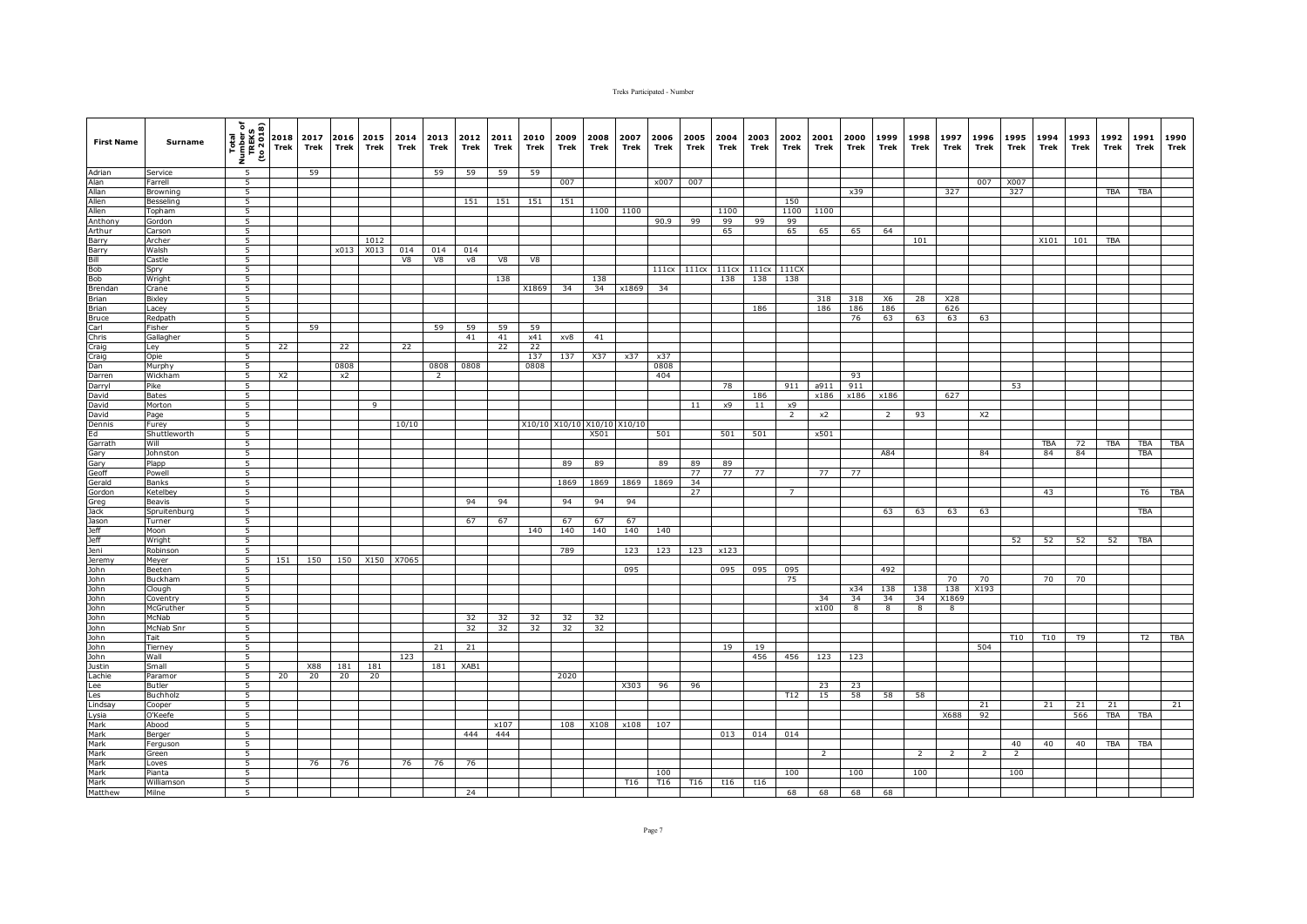| <b>First Name</b>                                                                                                                                                                 | <b>Surname</b>       | $\begin{array}{c}\n\begin{array}{c}\n\text{Time} \\ \text{Time} \\ \text{Time} \\ \text{Time} \\ \text{Time} \\ \text{1}\n\end{array}\n\end{array}$ |                | 2017<br>Trek | Trek | 2016 2015<br>Trek | 2014<br>Trek | 2013<br>Trek   | 2012<br><b>Trek</b> | 2011<br>Trek | 2010<br>Trek | 2009<br>Trek  | 2008<br>Trek | 2007<br>Trek  | 2006<br>Trek | 2005<br>Trek | 2004<br>Trek | 2003<br>Trek | 2002<br>Trek   | 2001<br>Trek | 2000<br>Trek | 1999<br>Trek   | 1998<br>Trek   | 1997<br>Trek | 1996<br>Trek   | 1995<br>Trek | 1994 1993<br>Trek | Trek | 1992<br>Trek | 1991<br>Trek | 1990<br>Trek |
|-----------------------------------------------------------------------------------------------------------------------------------------------------------------------------------|----------------------|-----------------------------------------------------------------------------------------------------------------------------------------------------|----------------|--------------|------|-------------------|--------------|----------------|---------------------|--------------|--------------|---------------|--------------|---------------|--------------|--------------|--------------|--------------|----------------|--------------|--------------|----------------|----------------|--------------|----------------|--------------|-------------------|------|--------------|--------------|--------------|
| Adrian<br>Alan                                                                                                                                                                    | Service              | 5                                                                                                                                                   |                | 59           |      |                   |              | 59             | 59                  | 59           | 59           |               |              |               |              |              |              |              |                |              |              |                |                |              |                |              |                   |      |              |              |              |
|                                                                                                                                                                                   | Farrell              | 5                                                                                                                                                   |                |              |      |                   |              |                |                     |              |              | 007           |              |               | x007         | 007          |              |              |                |              |              |                |                |              | 007            | X007         |                   |      |              |              |              |
|                                                                                                                                                                                   | Browning             | $5\overline{)}$                                                                                                                                     |                |              |      |                   |              |                |                     |              |              |               |              |               |              |              |              |              |                |              | x39          |                |                | 327          |                | 327          |                   |      | <b>TBA</b>   | <b>TBA</b>   |              |
|                                                                                                                                                                                   | Besseling            | $\overline{5}$                                                                                                                                      |                |              |      |                   |              |                | 151                 | 151          | 151          | 151           |              |               |              |              |              |              | 150            |              |              |                |                |              |                |              |                   |      |              |              |              |
|                                                                                                                                                                                   | Topham               | 5<br>5                                                                                                                                              |                |              |      |                   |              |                |                     |              |              |               |              | 1100 1100     |              |              | 1100<br>99   |              | 1100           | 1100         |              |                |                |              |                |              |                   |      |              |              |              |
|                                                                                                                                                                                   | Gordon<br>Carson     | 5                                                                                                                                                   |                |              |      |                   |              |                |                     |              |              |               |              |               | 90.9         | 99           | 65           | 99           | 99<br>65       | 65           | 65           | 64             |                |              |                |              |                   |      |              |              |              |
| Alan<br>Allan<br>Allen<br>Allen<br>Anthony<br>Arthur<br>Barry                                                                                                                     | Archer               | 5                                                                                                                                                   |                |              |      | 1012              |              |                |                     |              |              |               |              |               |              |              |              |              |                |              |              |                | 101            |              |                |              | X101              | 101  | TBA          |              |              |
|                                                                                                                                                                                   | Walsh                | 5                                                                                                                                                   |                |              | x013 | X013              | 014          | 014            | 014                 |              |              |               |              |               |              |              |              |              |                |              |              |                |                |              |                |              |                   |      |              |              |              |
|                                                                                                                                                                                   | Castle               | 5                                                                                                                                                   |                |              |      |                   | V8           | V8             | v8                  | V8           | V8           |               |              |               |              |              |              |              |                |              |              |                |                |              |                |              |                   |      |              |              |              |
| Barry<br>Bill<br>Bob<br>Bob<br>Brendan                                                                                                                                            | Spry                 | 5                                                                                                                                                   |                |              |      |                   |              |                |                     |              |              |               |              |               | 111cx        | 111cx        | 111cx        | 111cx        | 111CX          |              |              |                |                |              |                |              |                   |      |              |              |              |
|                                                                                                                                                                                   | Wright               | $\overline{5}$                                                                                                                                      |                |              |      |                   |              |                |                     | 138          |              |               | 138          |               |              |              | 138          | 138          | 138            |              |              |                |                |              |                |              |                   |      |              |              |              |
|                                                                                                                                                                                   | Crane                | 5                                                                                                                                                   |                |              |      |                   |              |                |                     |              | X1869        | 34            | 34           | x1869         | 34           |              |              |              |                |              |              |                |                |              |                |              |                   |      |              |              |              |
|                                                                                                                                                                                   | Bixley               | 5                                                                                                                                                   |                |              |      |                   |              |                |                     |              |              |               |              |               |              |              |              |              |                | 318          | 318          | X6             | 28             | X28          |                |              |                   |      |              |              |              |
| Brian<br>Brian<br>Bruce                                                                                                                                                           | Lacey                | 5                                                                                                                                                   |                |              |      |                   |              |                |                     |              |              |               |              |               |              |              |              | 186          |                | 186          | 186          | 186            |                | 626          |                |              |                   |      |              |              |              |
|                                                                                                                                                                                   | Redpath<br>Fisher    | 5<br>$\overline{5}$                                                                                                                                 |                | 59           |      |                   |              | 59             | 59                  | 59           | 59           |               |              |               |              |              |              |              |                |              | 76           | 63             | 63             | 63           | 63             |              |                   |      |              |              |              |
|                                                                                                                                                                                   | Gallagher            | $\overline{5}$                                                                                                                                      |                |              |      |                   |              |                | 41                  | 41           | x41          | xv8           | 41           |               |              |              |              |              |                |              |              |                |                |              |                |              |                   |      |              |              |              |
|                                                                                                                                                                                   | Ley                  | $\overline{5}$                                                                                                                                      | 22             |              | 22   |                   | 22           |                |                     | 22           | 22           |               |              |               |              |              |              |              |                |              |              |                |                |              |                |              |                   |      |              |              |              |
|                                                                                                                                                                                   | Opie                 | 5                                                                                                                                                   |                |              |      |                   |              |                |                     |              | 137          | 137           | X37          | x37           | x37          |              |              |              |                |              |              |                |                |              |                |              |                   |      |              |              |              |
|                                                                                                                                                                                   | Murphy               | $\overline{5}$                                                                                                                                      |                |              | 0808 |                   |              | 0808           | 0808                |              | 0808         |               |              |               | 0808         |              |              |              |                |              |              |                |                |              |                |              |                   |      |              |              |              |
|                                                                                                                                                                                   | Wickham              | 5                                                                                                                                                   | X <sub>2</sub> |              | x2   |                   |              | $\overline{2}$ |                     |              |              |               |              |               | 404          |              |              |              |                |              | 93           |                |                |              |                |              |                   |      |              |              |              |
| Carl<br>Carl<br>Craig<br>Craig<br>Dan<br>Darren<br>Darryl                                                                                                                         | Pike                 | 5                                                                                                                                                   |                |              |      |                   |              |                |                     |              |              |               |              |               |              |              | 78           |              | 911            | a911         | 911          |                |                |              |                | 53           |                   |      |              |              |              |
| David                                                                                                                                                                             | <b>Bates</b>         | $\overline{5}$                                                                                                                                      |                |              |      |                   |              |                |                     |              |              |               |              |               |              |              |              | 186          |                | x186         | x186         | x186           |                | 627          |                |              |                   |      |              |              |              |
| David                                                                                                                                                                             | Morton               | 5                                                                                                                                                   |                |              |      | 9                 |              |                |                     |              |              |               |              |               |              | 11           | x9           | 11           | x9             |              |              |                |                |              |                |              |                   |      |              |              |              |
| David                                                                                                                                                                             | Page                 | 5                                                                                                                                                   |                |              |      |                   |              |                |                     |              |              |               |              |               |              |              |              |              | $\overline{2}$ | x2           |              | $\overline{2}$ | 93             |              | X <sub>2</sub> |              |                   |      |              |              |              |
|                                                                                                                                                                                   | Furey                | 5                                                                                                                                                   |                |              |      |                   | 10/10        |                |                     |              |              | X10/10 X10/10 |              | X10/10 X10/10 |              |              |              |              |                | x501         |              |                |                |              |                |              |                   |      |              |              |              |
|                                                                                                                                                                                   | Shuttleworth<br>Will | 5<br>5                                                                                                                                              |                |              |      |                   |              |                |                     |              |              |               | X501         |               | 501          |              | 501          | 501          |                |              |              |                |                |              |                |              | TBA               | 72   | TBA          | TBA          | <b>TBA</b>   |
|                                                                                                                                                                                   | Johnston             | 5                                                                                                                                                   |                |              |      |                   |              |                |                     |              |              |               |              |               |              |              |              |              |                |              |              | A84            |                |              | 84             |              | 84                | 84   |              | TBA          |              |
|                                                                                                                                                                                   | Plapp                | 5                                                                                                                                                   |                |              |      |                   |              |                |                     |              |              | 89            | 89           |               | 89           | 89           | 89           |              |                |              |              |                |                |              |                |              |                   |      |              |              |              |
|                                                                                                                                                                                   | Powell               | 5                                                                                                                                                   |                |              |      |                   |              |                |                     |              |              |               |              |               |              | 77           | 77           | 77           |                | 77           | 77           |                |                |              |                |              |                   |      |              |              |              |
|                                                                                                                                                                                   | Banks                | $\overline{5}$                                                                                                                                      |                |              |      |                   |              |                |                     |              |              | 1869          | 1869         | 1869          | 1869         | 34           |              |              |                |              |              |                |                |              |                |              |                   |      |              |              |              |
|                                                                                                                                                                                   | Ketelbey             | 5                                                                                                                                                   |                |              |      |                   |              |                |                     |              |              |               |              |               |              | 27           |              |              | $7^{\circ}$    |              |              |                |                |              |                |              | 43                |      |              | T6           | TBA          |
|                                                                                                                                                                                   | Beavis               | 5                                                                                                                                                   |                |              |      |                   |              |                | 94                  | 94           |              | 94            | 94           | 94            |              |              |              |              |                |              |              |                |                |              |                |              |                   |      |              |              |              |
|                                                                                                                                                                                   | Spruitenburg         | 5                                                                                                                                                   |                |              |      |                   |              |                |                     |              |              |               |              |               |              |              |              |              |                |              |              | 63             | 63             | 63           | 63             |              |                   |      |              | TBA          |              |
|                                                                                                                                                                                   | Turner               | 5                                                                                                                                                   |                |              |      |                   |              |                | 67                  | 67           |              | 67            | 67           | 67            |              |              |              |              |                |              |              |                |                |              |                |              |                   |      |              |              |              |
|                                                                                                                                                                                   | Moon                 | 5<br>$\overline{5}$                                                                                                                                 |                |              |      |                   |              |                |                     |              | 140          | 140           | 140          | 140           | 140          |              |              |              |                |              |              |                |                |              |                | 52           | 52                | 52   | 52           | <b>TBA</b>   |              |
|                                                                                                                                                                                   | Wright<br>Robinson   | 5                                                                                                                                                   |                |              |      |                   |              |                |                     |              |              | 789           |              | 123           | 123          | 123          | x123         |              |                |              |              |                |                |              |                |              |                   |      |              |              |              |
|                                                                                                                                                                                   | Meyer                | $\overline{5}$                                                                                                                                      | 151            | 150          | 150  | X150              | X7065        |                |                     |              |              |               |              |               |              |              |              |              |                |              |              |                |                |              |                |              |                   |      |              |              |              |
|                                                                                                                                                                                   | Beeten               | 5                                                                                                                                                   |                |              |      |                   |              |                |                     |              |              |               |              | 095           |              |              | 095          | 095          | 095            |              |              | 492            |                |              |                |              |                   |      |              |              |              |
|                                                                                                                                                                                   | Buckham              | 5                                                                                                                                                   |                |              |      |                   |              |                |                     |              |              |               |              |               |              |              |              |              | 75             |              |              |                |                | 70           | 70             |              | 70                | 70   |              |              |              |
| Dennis<br>Ed Garrath<br>Garrath Gerefidd<br>Gerefidd Grordon<br>Jackson<br>Jeff Jennis<br>John John<br>John John<br>John John<br>John John<br>John John<br>John John<br>John John | Clough               | 5                                                                                                                                                   |                |              |      |                   |              |                |                     |              |              |               |              |               |              |              |              |              |                |              | x34          | 138            | 138            | 138          | X193           |              |                   |      |              |              |              |
|                                                                                                                                                                                   | Coventry             | 5                                                                                                                                                   |                |              |      |                   |              |                |                     |              |              |               |              |               |              |              |              |              |                | 34           | 34           | 34             | 34             | X1869        |                |              |                   |      |              |              |              |
|                                                                                                                                                                                   | McGruther            | $\overline{5}$                                                                                                                                      |                |              |      |                   |              |                |                     |              |              |               |              |               |              |              |              |              |                | x100         | 8            | $\overline{8}$ | $\overline{8}$ | 8            |                |              |                   |      |              |              |              |
|                                                                                                                                                                                   | McNab                | $\overline{5}$                                                                                                                                      |                |              |      |                   |              |                | 32                  | 32           | 32           | 32            | 32           |               |              |              |              |              |                |              |              |                |                |              |                |              |                   |      |              |              |              |
|                                                                                                                                                                                   | McNab Snr            | 5                                                                                                                                                   |                |              |      |                   |              |                | 32                  | 32           | 32           | 32            | 32           |               |              |              |              |              |                |              |              |                |                |              |                |              |                   |      |              |              |              |
|                                                                                                                                                                                   | Tait                 | 5<br>5                                                                                                                                              |                |              |      |                   |              | 21             | 21                  |              |              |               |              |               |              |              | 19           | 19           |                |              |              |                |                |              | 504            | T10          | T10               | T9   |              | T2           | TBA          |
|                                                                                                                                                                                   | Tierney<br>Wall      | $\overline{5}$                                                                                                                                      |                |              |      |                   | 123          |                |                     |              |              |               |              |               |              |              |              | 456          | 456            | 123          | 123          |                |                |              |                |              |                   |      |              |              |              |
|                                                                                                                                                                                   | Small                | 5                                                                                                                                                   |                | X88          | 181  | 181               |              | 181            | XAB1                |              |              |               |              |               |              |              |              |              |                |              |              |                |                |              |                |              |                   |      |              |              |              |
|                                                                                                                                                                                   | Paramor              | 5                                                                                                                                                   | 20             | 20           | 20   | 20                |              |                |                     |              |              | 2020          |              |               |              |              |              |              |                |              |              |                |                |              |                |              |                   |      |              |              |              |
|                                                                                                                                                                                   | <b>Butler</b>        | $\overline{5}$                                                                                                                                      |                |              |      |                   |              |                |                     |              |              |               |              | X303          | 96           | 96           |              |              |                | 23           | 23           |                |                |              |                |              |                   |      |              |              |              |
|                                                                                                                                                                                   | Buchholz             | $\overline{5}$                                                                                                                                      |                |              |      |                   |              |                |                     |              |              |               |              |               |              |              |              |              | T12            | 15           | 58           | 58             | 58             |              |                |              |                   |      |              |              |              |
| Lee<br>Les<br>Lindsay<br>Lysia                                                                                                                                                    | Cooper               | $5\overline{)}$                                                                                                                                     |                |              |      |                   |              |                |                     |              |              |               |              |               |              |              |              |              |                |              |              |                |                |              | 21             |              | 21                | 21   | 21           |              | 21           |
|                                                                                                                                                                                   | O'Keefe              | 5                                                                                                                                                   |                |              |      |                   |              |                |                     |              |              |               |              |               |              |              |              |              |                |              |              |                |                | X688         | 92             |              |                   | 566  | <b>TBA</b>   | <b>TBA</b>   |              |
|                                                                                                                                                                                   | Abood                | 5                                                                                                                                                   |                |              |      |                   |              |                |                     | x107         |              | 108           | X108         | x108          | 107          |              |              |              |                |              |              |                |                |              |                |              |                   |      |              |              |              |
| Mark<br>Mark<br>Mark                                                                                                                                                              | Berger               | 5                                                                                                                                                   |                |              |      |                   |              |                | 444                 | 444          |              |               |              |               |              |              | 013          | 014          | 014            |              |              |                |                |              |                |              |                   |      |              |              |              |
|                                                                                                                                                                                   | Ferguson             | 5                                                                                                                                                   |                |              |      |                   |              |                |                     |              |              |               |              |               |              |              |              |              |                |              |              |                |                |              |                | 40           | 40                | 40   | <b>TBA</b>   | TBA          |              |
|                                                                                                                                                                                   | Green                | 5<br>5                                                                                                                                              |                |              |      |                   |              |                |                     |              |              |               |              |               |              |              |              |              |                | 2            |              |                | <sup>2</sup>   | <sup>2</sup> | 2              | 2            |                   |      |              |              |              |
|                                                                                                                                                                                   | Loves<br>Pianta      | $\overline{5}$                                                                                                                                      |                | 76           | 76   |                   | 76           | 76             | 76                  |              |              |               |              |               | 100          |              |              |              | 100            |              | 100          |                | 100            |              |                | 100          |                   |      |              |              |              |
|                                                                                                                                                                                   | Williamson           | 5                                                                                                                                                   |                |              |      |                   |              |                |                     |              |              |               |              | T16           | T16          | T16          | t16          | t16          |                |              |              |                |                |              |                |              |                   |      |              |              |              |
| Mark<br>Mark<br>Mark<br>Mark<br>Matthew                                                                                                                                           | Milne                | 5                                                                                                                                                   |                |              |      |                   |              |                | 24                  |              |              |               |              |               |              |              |              |              | 68             | 68           | 68           | 68             |                |              |                |              |                   |      |              |              |              |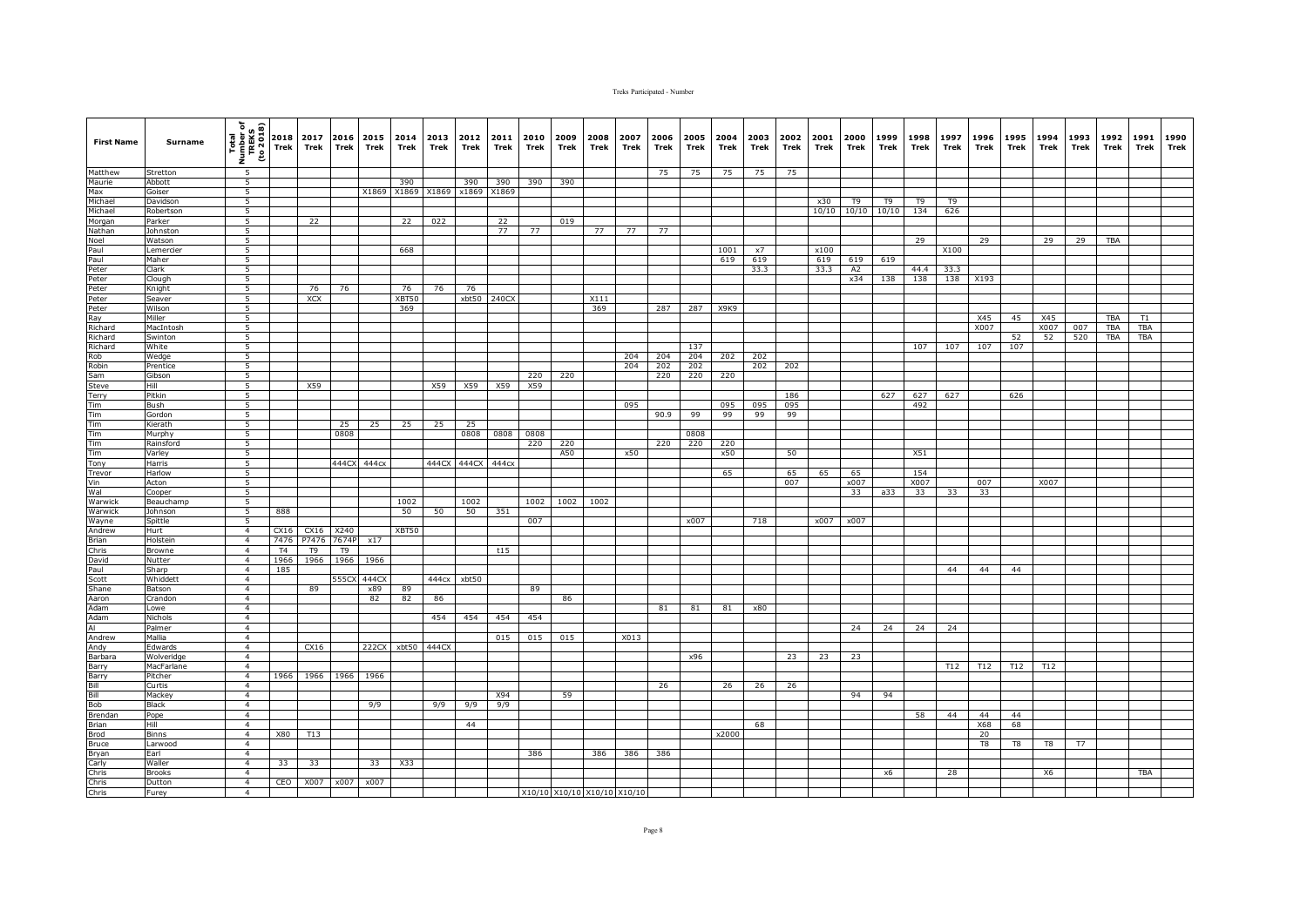| <b>First Name</b>                 | Surname          | Total<br>Number of<br>TREKS<br>(to 2018) | Trek           | 2018 2017<br>Trek | Trek           | 2016 2015<br>Trek | 2014<br>Trek | 2013 2012<br>Trek | Trek  | 2011<br>Trek     | 2010<br>Trek | 2009<br>Trek | 2008<br>Trek                | 2007<br>Trek | 2006<br>Trek | 2005<br>Trek | 2004<br>Trek | 2003<br>Trek | 2002<br>Trek | 2001<br>Trek | 2000<br>Trek   | 1999<br>Trek      | 1998<br>Trek   | 1997<br>Trek   | 1996<br>Trek | 1995<br>Trek | 1994<br>Trek | 1993<br>Trek | 1992<br>Trek | 1991<br>Trek | 1990<br>Trek |
|-----------------------------------|------------------|------------------------------------------|----------------|-------------------|----------------|-------------------|--------------|-------------------|-------|------------------|--------------|--------------|-----------------------------|--------------|--------------|--------------|--------------|--------------|--------------|--------------|----------------|-------------------|----------------|----------------|--------------|--------------|--------------|--------------|--------------|--------------|--------------|
| Matthew                           | Stretton         | -5                                       |                |                   |                |                   |              |                   |       |                  |              |              |                             |              | 75           | 75           | 75           | 75           | 75           |              |                |                   |                |                |              |              |              |              |              |              |              |
| Maurie                            | Abbott           | 5                                        |                |                   |                |                   | 390          |                   | 390   | 390              | 390          | 390          |                             |              |              |              |              |              |              |              |                |                   |                |                |              |              |              |              |              |              |              |
| Max                               | Goiser           | $\overline{5}$                           |                |                   |                | X1869             |              | X1869 X1869       | x1869 | X1869            |              |              |                             |              |              |              |              |              |              |              |                |                   |                |                |              |              |              |              |              |              |              |
| Michael                           | Davidson         | 5                                        |                |                   |                |                   |              |                   |       |                  |              |              |                             |              |              |              |              |              |              | x30          | T <sub>9</sub> | T <sub>9</sub>    | T <sub>9</sub> | T <sub>9</sub> |              |              |              |              |              |              |              |
| Michael                           | Robertson        | 5                                        |                |                   |                |                   |              |                   |       |                  |              |              |                             |              |              |              |              |              |              |              |                | 10/10 10/10 10/10 | 134            | 626            |              |              |              |              |              |              |              |
| Morgan                            | Parker           | 5                                        |                | 22                |                |                   | 22           | 022               |       | 22               |              | 019          |                             |              |              |              |              |              |              |              |                |                   |                |                |              |              |              |              |              |              |              |
| Nathan                            | Johnston         | 5                                        |                |                   |                |                   |              |                   |       | 77               | 77           |              | 77                          | 77           | 77           |              |              |              |              |              |                |                   |                |                |              |              |              |              |              |              |              |
| Noel                              | Watson           | 5                                        |                |                   |                |                   |              |                   |       |                  |              |              |                             |              |              |              |              |              |              |              |                |                   | 29             |                | 29           |              | 29           | 29           | <b>TBA</b>   |              |              |
| Paul                              | Lemercier        | $\overline{5}$                           |                |                   |                |                   | 668          |                   |       |                  |              |              |                             |              |              |              | 1001         | $\times 7$   |              | x100         |                |                   |                | X100           |              |              |              |              |              |              |              |
| Paul                              | Maher            | $\overline{5}$                           |                |                   |                |                   |              |                   |       |                  |              |              |                             |              |              |              | 619          | 619          |              | 619          | 619            | 619               |                |                |              |              |              |              |              |              |              |
| Peter                             | Clark            | 5                                        |                |                   |                |                   |              |                   |       |                  |              |              |                             |              |              |              |              | 33.3         |              | 33.3         | A <sub>2</sub> |                   | 44.4           | 33.3           |              |              |              |              |              |              |              |
| Peter                             | Clough           | 5<br>5                                   |                |                   |                |                   |              |                   |       |                  |              |              |                             |              |              |              |              |              |              |              | x34            | 138               | 138            | 138            | X193         |              |              |              |              |              |              |
| Peter                             | Knight           |                                          |                | 76                | 76             |                   | 76           | 76                | 76    |                  |              |              |                             |              |              |              |              |              |              |              |                |                   |                |                |              |              |              |              |              |              |              |
| Peter                             | Seaver           | 5                                        |                | XCX               |                |                   | XBT50        |                   | xbt50 | 240CX            |              |              | X111                        |              |              |              |              |              |              |              |                |                   |                |                |              |              |              |              |              |              |              |
| Peter<br>Ray                      | Wilson<br>Miller | 5<br>5                                   |                |                   |                |                   | 369          |                   |       |                  |              |              | 369                         |              | 287          | 287          | X9K9         |              |              |              |                |                   |                |                | X45          | 45           | X45          |              | <b>TBA</b>   | T1           |              |
| Richard                           | MacIntosh        | 5                                        |                |                   |                |                   |              |                   |       |                  |              |              |                             |              |              |              |              |              |              |              |                |                   |                |                | X007         |              | X007         | 007          | <b>TBA</b>   | <b>TBA</b>   |              |
| Richard                           | Swinton          | $\overline{5}$                           |                |                   |                |                   |              |                   |       |                  |              |              |                             |              |              |              |              |              |              |              |                |                   |                |                |              | 52           | 52           | 520          | <b>TBA</b>   | <b>TBA</b>   |              |
| Richard                           | White            | 5                                        |                |                   |                |                   |              |                   |       |                  |              |              |                             |              |              | 137          |              |              |              |              |                |                   | 107            | 107            | 107          | 107          |              |              |              |              |              |
| Rob                               | Wedge            | 5                                        |                |                   |                |                   |              |                   |       |                  |              |              |                             | 204          | 204          | 204          | 202          | 202          |              |              |                |                   |                |                |              |              |              |              |              |              |              |
| Robin                             | Prentice         | 5                                        |                |                   |                |                   |              |                   |       |                  |              |              |                             | 204          | 202          | 202          |              | 202          | 202          |              |                |                   |                |                |              |              |              |              |              |              |              |
| Sam                               | Gibson           | 5                                        |                |                   |                |                   |              |                   |       |                  | 220          | 220          |                             |              | 220          | 220          | 220          |              |              |              |                |                   |                |                |              |              |              |              |              |              |              |
| Steve                             | Hill             | 5                                        |                | X59               |                |                   |              | X59               | X59   | X59              | X59          |              |                             |              |              |              |              |              |              |              |                |                   |                |                |              |              |              |              |              |              |              |
| <b>Terry</b>                      | Pitkin           | 5                                        |                |                   |                |                   |              |                   |       |                  |              |              |                             |              |              |              |              |              | 186          |              |                | 627               | 627            | 627            |              | 626          |              |              |              |              |              |
|                                   | Bush             | $5\overline{)}$                          |                |                   |                |                   |              |                   |       |                  |              |              |                             | 095          |              |              | 095          | 095          | 095          |              |                |                   | 492            |                |              |              |              |              |              |              |              |
| $\frac{T \text{Im}}{T \text{Im}}$ | Gordon           | 5                                        |                |                   |                |                   |              |                   |       |                  |              |              |                             |              | 90.9         | 99           | 99           | 99           | 99           |              |                |                   |                |                |              |              |              |              |              |              |              |
| $\frac{1}{\text{Tim}}$            | Kierath          | 5                                        |                |                   | 25             | 25                | 25           | 25                | 25    |                  |              |              |                             |              |              |              |              |              |              |              |                |                   |                |                |              |              |              |              |              |              |              |
|                                   | Murphy           | 5                                        |                |                   | 0808           |                   |              |                   | 0808  | 0808             | 0808         |              |                             |              |              | 0808         |              |              |              |              |                |                   |                |                |              |              |              |              |              |              |              |
| Tim                               | Rainsford        | 5                                        |                |                   |                |                   |              |                   |       |                  | 220          | 220          |                             |              | 220          | 220          | 220          |              |              |              |                |                   |                |                |              |              |              |              |              |              |              |
| Tim                               | Varley           | 5                                        |                |                   |                |                   |              |                   |       |                  |              | A50          |                             | x50          |              |              | x50          |              | 50           |              |                |                   | X51            |                |              |              |              |              |              |              |              |
| Tony                              | Harris           | $\overline{5}$                           |                |                   | 444CX          | 444cx             |              | 444CX             | 444CX | 444 <sub>C</sub> |              |              |                             |              |              |              |              |              |              |              |                |                   |                |                |              |              |              |              |              |              |              |
| Trevor                            | Harlow           | 5                                        |                |                   |                |                   |              |                   |       |                  |              |              |                             |              |              |              | 65           |              | 65           | 65           | 65             |                   | 154            |                |              |              |              |              |              |              |              |
| Vin                               | Acton            | $5\overline{)}$                          |                |                   |                |                   |              |                   |       |                  |              |              |                             |              |              |              |              |              | 007          |              | x007           |                   | X007           |                | 007          |              | X007         |              |              |              |              |
| Wal                               | Cooper           | 5 <sup>2</sup>                           |                |                   |                |                   |              |                   |       |                  |              |              |                             |              |              |              |              |              |              |              | 33             | a33               | 33             | 33             | 33           |              |              |              |              |              |              |
| Warwick                           | Beauchamp        | 5                                        |                |                   |                |                   | 1002         |                   | 1002  |                  | 1002         | 1002         | 1002                        |              |              |              |              |              |              |              |                |                   |                |                |              |              |              |              |              |              |              |
| Warwick                           | Johnson          | $\overline{5}$                           | 888            |                   |                |                   | 50           | 50                | 50    | 351              |              |              |                             |              |              |              |              |              |              |              |                |                   |                |                |              |              |              |              |              |              |              |
| Wayne                             | Spittle          | 5                                        |                |                   |                |                   |              |                   |       |                  | 007          |              |                             |              |              | x007         |              | 718          |              | x007         | x007           |                   |                |                |              |              |              |              |              |              |              |
| Andrew                            | Hurt             | $\overline{4}$                           | CX16           | CX16              | X240           |                   | XBT50        |                   |       |                  |              |              |                             |              |              |              |              |              |              |              |                |                   |                |                |              |              |              |              |              |              |              |
| Brian                             | Holstein         | $\overline{4}$                           | 7476           | P7476             | 7674P          | x17               |              |                   |       |                  |              |              |                             |              |              |              |              |              |              |              |                |                   |                |                |              |              |              |              |              |              |              |
| Chris                             | Browne           | $\overline{4}$                           | T <sub>4</sub> | T <sub>9</sub>    | T <sub>9</sub> |                   |              |                   |       | t15              |              |              |                             |              |              |              |              |              |              |              |                |                   |                |                |              |              |              |              |              |              |              |
| David                             | Nutter           | $\overline{4}$                           | 1966           | 1966              | 1966           | 1966              |              |                   |       |                  |              |              |                             |              |              |              |              |              |              |              |                |                   |                |                |              |              |              |              |              |              |              |
| Paul                              | Sharp            | $\overline{4}$                           | 185            |                   |                |                   |              |                   |       |                  |              |              |                             |              |              |              |              |              |              |              |                |                   |                | 44             | 44           | 44           |              |              |              |              |              |
| Scott                             | Whiddett         | $\overline{4}$                           |                |                   | 555C           | 444CX             |              | 444cx             | xbt50 |                  |              |              |                             |              |              |              |              |              |              |              |                |                   |                |                |              |              |              |              |              |              |              |
| Shane                             | Batson           | $\overline{4}$                           |                | 89                |                | x89               | 89           |                   |       |                  | 89           |              |                             |              |              |              |              |              |              |              |                |                   |                |                |              |              |              |              |              |              |              |
| Aaron                             | Crandon          | $\overline{4}$<br>$\overline{4}$         |                |                   |                | 82                | 82           | 86                |       |                  |              | 86           |                             |              |              |              |              |              |              |              |                |                   |                |                |              |              |              |              |              |              |              |
| Adam                              | Lowe             | 4                                        |                |                   |                |                   |              | 454               | 454   |                  |              |              |                             |              | 81           | 81           | 81           | x80          |              |              |                |                   |                |                |              |              |              |              |              |              |              |
| Adam<br>AI                        | Nichols          | $\overline{4}$                           |                |                   |                |                   |              |                   |       | 454              | 454          |              |                             |              |              |              |              |              |              |              | 24             | 24                | 24             | 24             |              |              |              |              |              |              |              |
|                                   | Palmer<br>Mallia | $\overline{4}$                           |                |                   |                |                   |              |                   |       |                  |              |              |                             |              |              |              |              |              |              |              |                |                   |                |                |              |              |              |              |              |              |              |
| Andrew<br>Andy                    | Edwards          | $\overline{4}$                           |                | CX16              |                | 222CX             |              | xbt50 444CX       |       | 015              | 015          | 015          |                             | X013         |              |              |              |              |              |              |                |                   |                |                |              |              |              |              |              |              |              |
| Barbara                           | Wolveridge       | $\overline{4}$                           |                |                   |                |                   |              |                   |       |                  |              |              |                             |              |              | x96          |              |              | 23           | 23           | 23             |                   |                |                |              |              |              |              |              |              |              |
| Barry                             | MacFarlane       | $\overline{4}$                           |                |                   |                |                   |              |                   |       |                  |              |              |                             |              |              |              |              |              |              |              |                |                   |                | T12            | T12          | T12          | T12          |              |              |              |              |
| Barry                             | Pitcher          | $\overline{4}$                           | 1966           | 1966              | 1966           | 1966              |              |                   |       |                  |              |              |                             |              |              |              |              |              |              |              |                |                   |                |                |              |              |              |              |              |              |              |
| Bill                              | Curtis           | $\overline{4}$                           |                |                   |                |                   |              |                   |       |                  |              |              |                             |              | 26           |              | 26           | 26           | 26           |              |                |                   |                |                |              |              |              |              |              |              |              |
|                                   | Mackey           | $\overline{4}$                           |                |                   |                |                   |              |                   |       | X94              |              | 59           |                             |              |              |              |              |              |              |              | 94             | 94                |                |                |              |              |              |              |              |              |              |
| Bill<br>Bob                       | Black            | $\overline{4}$                           |                |                   |                | 9/9               |              | 9/9               | 9/9   | 9/9              |              |              |                             |              |              |              |              |              |              |              |                |                   |                |                |              |              |              |              |              |              |              |
| Brendan                           | Pope             | $\overline{4}$                           |                |                   |                |                   |              |                   |       |                  |              |              |                             |              |              |              |              |              |              |              |                |                   | 58             | 44             | 44           | 44           |              |              |              |              |              |
| <b>Brian</b>                      | Hill             | $\overline{4}$                           |                |                   |                |                   |              |                   | 44    |                  |              |              |                             |              |              |              |              | 68           |              |              |                |                   |                |                | X68          | 68           |              |              |              |              |              |
| Brod                              | <b>Binns</b>     | $\overline{4}$                           | X80            | T13               |                |                   |              |                   |       |                  |              |              |                             |              |              |              | x2000        |              |              |              |                |                   |                |                | 20           |              |              |              |              |              |              |
| Bruce                             | Larwood          | $\overline{4}$                           |                |                   |                |                   |              |                   |       |                  |              |              |                             |              |              |              |              |              |              |              |                |                   |                |                | T8           | T8           | T8           | T7           |              |              |              |
| Bryan                             | Earl             | $\overline{4}$                           |                |                   |                |                   |              |                   |       |                  | 386          |              | 386                         | 386          | 386          |              |              |              |              |              |                |                   |                |                |              |              |              |              |              |              |              |
| Carly                             | Waller           | $\overline{4}$                           | 33             | 33                |                | 33                | X33          |                   |       |                  |              |              |                             |              |              |              |              |              |              |              |                |                   |                |                |              |              |              |              |              |              |              |
| Chris                             | <b>Brooks</b>    | $\overline{4}$                           |                |                   |                |                   |              |                   |       |                  |              |              |                             |              |              |              |              |              |              |              |                | x6                |                | 28             |              |              | X6           |              |              | TBA          |              |
|                                   | Dutton           | $\overline{4}$                           | CEO            | X007              | x007           | x007              |              |                   |       |                  |              |              |                             |              |              |              |              |              |              |              |                |                   |                |                |              |              |              |              |              |              |              |
| Chris<br>Chris                    | Furey            | $\overline{4}$                           |                |                   |                |                   |              |                   |       |                  |              |              | X10/10 X10/10 X10/10 X10/10 |              |              |              |              |              |              |              |                |                   |                |                |              |              |              |              |              |              |              |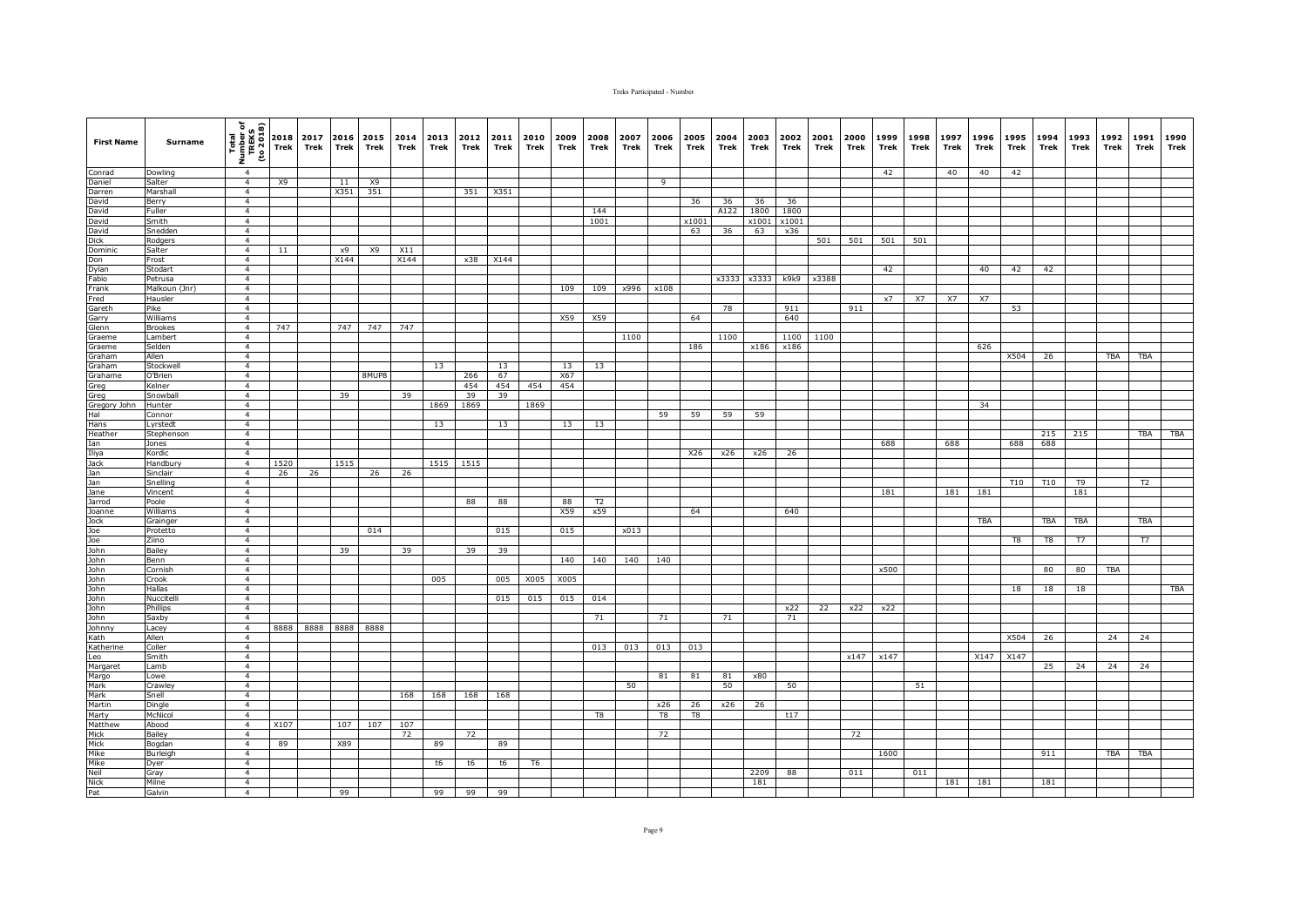| <b>First Name</b>                           | <b>Surname</b>           | Total<br>Number of<br>TREKS<br>(to 2018) | 2018<br><b>Trek</b> | 2017<br>Trek | 2016 2015<br>Trek | Trek      | 2014<br>Trek | 2013<br>Trek | 2012<br>Trek | 2011<br>Trek | 2010<br>Trek   | 2009<br>Trek | 2008<br>Trek          | 2007<br>Trek | 2006<br>Trek | 2005<br>Trek | 2004<br>Trek | 2003<br>Trek | 2002<br>Trek | 2001<br>Trek | 2000<br>Trek | 1999<br>Trek | 1998<br>Trek | 1997<br>Trek | 1996<br>Trek | 1995<br>Trek | 1994<br>Trek | 1993<br>Trek | 1992<br>Trek | 1991<br>Trek   | 1990<br>Trek |
|---------------------------------------------|--------------------------|------------------------------------------|---------------------|--------------|-------------------|-----------|--------------|--------------|--------------|--------------|----------------|--------------|-----------------------|--------------|--------------|--------------|--------------|--------------|--------------|--------------|--------------|--------------|--------------|--------------|--------------|--------------|--------------|--------------|--------------|----------------|--------------|
| Conrad                                      | Dowling                  | $\overline{4}$                           |                     |              |                   |           |              |              |              |              |                |              |                       |              |              |              |              |              |              |              |              | 42           |              | 40           | 40           | 42           |              |              |              |                |              |
| Daniel                                      | Salter                   | $\overline{4}$                           | <b>X9</b>           |              | 11                | X9        |              |              |              |              |                |              |                       |              | 9            |              |              |              |              |              |              |              |              |              |              |              |              |              |              |                |              |
| Darren                                      | Marshall                 | $\overline{4}$                           |                     |              | X351              | 351       |              |              | 351          | X351         |                |              |                       |              |              |              |              |              |              |              |              |              |              |              |              |              |              |              |              |                |              |
| David<br>David                              | Berry<br>Fuller          | $\overline{4}$<br>4                      |                     |              |                   |           |              |              |              |              |                |              | 144                   |              |              | 36           | 36<br>A122   | 36<br>1800   | 36<br>1800   |              |              |              |              |              |              |              |              |              |              |                |              |
| David                                       | Smith                    | 4                                        |                     |              |                   |           |              |              |              |              |                |              | 1001                  |              |              | x1001        |              | x1001        | x1001        |              |              |              |              |              |              |              |              |              |              |                |              |
| David                                       | Snedden                  | $\overline{4}$                           |                     |              |                   |           |              |              |              |              |                |              |                       |              |              | 63           | 36           | 63           | x36          |              |              |              |              |              |              |              |              |              |              |                |              |
| Dick                                        | Rodgers                  | $\overline{4}$                           |                     |              |                   |           |              |              |              |              |                |              |                       |              |              |              |              |              |              | 501          | 501          | 501          | 501          |              |              |              |              |              |              |                |              |
| Dominic<br>Don                              | Salter                   | $\overline{4}$                           | 11                  |              | x9                | X9        | X11          |              |              |              |                |              |                       |              |              |              |              |              |              |              |              |              |              |              |              |              |              |              |              |                |              |
|                                             | Frost                    | $\overline{4}$                           |                     |              | X144              |           | X144         |              |              | x38 X144     |                |              |                       |              |              |              |              |              |              |              |              |              |              |              |              |              |              |              |              |                |              |
| Dylan                                       | Stodart                  | $\overline{4}$<br>$\overline{a}$         |                     |              |                   |           |              |              |              |              |                |              |                       |              |              |              |              |              |              |              |              | 42           |              |              | 40           | 42           | 42           |              |              |                |              |
| Fabio<br>Frank                              | Petrusa<br>Malkoun (Jnr) | $\overline{4}$                           |                     |              |                   |           |              |              |              |              |                | 109          | 109                   | x996         | x108         |              | x3333        | x3333        | k9k9         | x3388        |              |              |              |              |              |              |              |              |              |                |              |
| Fred                                        | Hausler                  | 4                                        |                     |              |                   |           |              |              |              |              |                |              |                       |              |              |              |              |              |              |              |              | x7           | X7           | X7           | X7           |              |              |              |              |                |              |
| Gareth                                      | Pike                     | $\overline{4}$                           |                     |              |                   |           |              |              |              |              |                |              |                       |              |              |              | 78           |              | 911          |              | 911          |              |              |              |              | 53           |              |              |              |                |              |
| Garry                                       | Williams                 | $\overline{4}$                           |                     |              |                   |           |              |              |              |              |                | X59          | X59                   |              |              | 64           |              |              | 640          |              |              |              |              |              |              |              |              |              |              |                |              |
| Glenn                                       | <b>Brookes</b>           | $\overline{4}$                           | 747                 |              |                   | 747 747   | 747          |              |              |              |                |              |                       |              |              |              |              |              |              |              |              |              |              |              |              |              |              |              |              |                |              |
| Graeme                                      | Lambert                  | $\overline{4}$                           |                     |              |                   |           |              |              |              |              |                |              |                       | 1100         |              |              | 1100         |              |              | 1100 1100    |              |              |              |              |              |              |              |              |              |                |              |
| Graeme                                      | Selden                   | $\overline{4}$<br>$\overline{4}$         |                     |              |                   |           |              |              |              |              |                |              |                       |              |              | 186          |              | x186         | x186         |              |              |              |              |              | 626          |              |              |              |              |                |              |
| Graham<br>Graham                            | Allen<br>Stockwel        | 4                                        |                     |              |                   |           |              | 13           |              | 13           |                | 13           | 13                    |              |              |              |              |              |              |              |              |              |              |              |              | X504         | 26           |              | <b>TBA</b>   | <b>TBA</b>     |              |
| Grahame                                     | O'Brien                  | 4                                        |                     |              |                   | 8MUP8     |              |              | 266          | 67           |                | X67          |                       |              |              |              |              |              |              |              |              |              |              |              |              |              |              |              |              |                |              |
| Greg                                        | Kelner                   | $\overline{4}$                           |                     |              |                   |           |              |              | 454          | 454          | 454            | 454          |                       |              |              |              |              |              |              |              |              |              |              |              |              |              |              |              |              |                |              |
| Greg                                        | Snowbal                  | $\overline{4}$                           |                     |              | 39                |           | 39           |              | 39           | 39           |                |              |                       |              |              |              |              |              |              |              |              |              |              |              |              |              |              |              |              |                |              |
| Gregory John<br>Hal<br>Hans<br>Heather      | Hunter                   | $\overline{4}$                           |                     |              |                   |           |              | 1869         | 1869         |              | 1869           |              |                       |              |              |              |              |              |              |              |              |              |              |              | 34           |              |              |              |              |                |              |
|                                             | Connor                   | $\overline{4}$                           |                     |              |                   |           |              |              |              |              |                |              |                       |              | 59           | 59           | 59           | 59           |              |              |              |              |              |              |              |              |              |              |              |                |              |
|                                             | Lyrstedt                 | $\overline{4}$                           |                     |              |                   |           |              | 13           |              | 13           |                | 13           | 13                    |              |              |              |              |              |              |              |              |              |              |              |              |              |              |              |              |                |              |
| Ian                                         | Stephenson<br>Jones      | $\overline{4}$<br>$\overline{4}$         |                     |              |                   |           |              |              |              |              |                |              |                       |              |              |              |              |              |              |              |              | 688          |              | 688          |              | 688          | 215<br>688   | 215          |              | TBA            | TBA          |
|                                             | Kordic                   | $\overline{4}$                           |                     |              |                   |           |              |              |              |              |                |              |                       |              |              | X26          | x26          | x26          | 26           |              |              |              |              |              |              |              |              |              |              |                |              |
| Ian<br>Iliya<br>Jack<br>Jan                 | Handbury                 | $\overline{4}$                           | 1520                |              | 1515              |           |              | 1515 1515    |              |              |                |              |                       |              |              |              |              |              |              |              |              |              |              |              |              |              |              |              |              |                |              |
|                                             | Sinclair                 | $\overline{4}$                           | 26                  | 26           |                   | 26        | 26           |              |              |              |                |              |                       |              |              |              |              |              |              |              |              |              |              |              |              |              |              |              |              |                |              |
|                                             | Snelling                 | $\overline{4}$                           |                     |              |                   |           |              |              |              |              |                |              |                       |              |              |              |              |              |              |              |              |              |              |              |              | <b>T10</b>   | <b>T10</b>   | T9           |              | T <sub>2</sub> |              |
| Jane                                        | Vincent                  | $\overline{4}$                           |                     |              |                   |           |              |              |              |              |                |              |                       |              |              |              |              |              |              |              |              | 181          |              | 181          | 181          |              |              | 181          |              |                |              |
| Jarrod<br>Joanne                            | Poole<br>Williams        | $\overline{4}$<br>4                      |                     |              |                   |           |              |              | 88           | 88           |                | 88<br>X59    | T <sub>2</sub><br>x59 |              |              | 64           |              |              | 640          |              |              |              |              |              |              |              |              |              |              |                |              |
|                                             | Grainger                 | $\overline{4}$                           |                     |              |                   |           |              |              |              |              |                |              |                       |              |              |              |              |              |              |              |              |              |              |              | TBA          |              | TBA          | TBA          |              | TBA            |              |
| Jock<br>Jock<br>Joe<br>John<br>John<br>John | Protetto                 | $\overline{4}$                           |                     |              |                   | 014       |              |              |              | 015          |                | 015          |                       | x013         |              |              |              |              |              |              |              |              |              |              |              |              |              |              |              |                |              |
|                                             | Ziino                    | $\overline{4}$                           |                     |              |                   |           |              |              |              |              |                |              |                       |              |              |              |              |              |              |              |              |              |              |              |              | T8           | T8           | <b>T7</b>    |              | T7             |              |
|                                             | Bailey                   | $\overline{4}$                           |                     |              | 39                |           | 39           |              | 39           | 39           |                |              |                       |              |              |              |              |              |              |              |              |              |              |              |              |              |              |              |              |                |              |
|                                             | Benn                     | $\overline{4}$                           |                     |              |                   |           |              |              |              |              |                | 140          | 140                   | 140          | 140          |              |              |              |              |              |              |              |              |              |              |              |              |              |              |                |              |
|                                             | Cornish                  | $\overline{4}$                           |                     |              |                   |           |              |              |              |              |                |              |                       |              |              |              |              |              |              |              |              | x500         |              |              |              |              | 80           | 80           | TBA          |                |              |
|                                             | Crook<br>Hallas          | $\overline{4}$<br>$\overline{4}$         |                     |              |                   |           |              | 005          |              | 005          | X005           | X005         |                       |              |              |              |              |              |              |              |              |              |              |              |              |              | 18           | 18           |              |                | TBA          |
|                                             | Nuccitell                | 4                                        |                     |              |                   |           |              |              |              | 015          | 015            | 015          | 014                   |              |              |              |              |              |              |              |              |              |              |              |              | 18           |              |              |              |                |              |
| John<br>John<br>John<br>John                | Phillips                 | $\overline{4}$                           |                     |              |                   |           |              |              |              |              |                |              |                       |              |              |              |              |              | x22          | 22           | x22          | x22          |              |              |              |              |              |              |              |                |              |
| John<br>John<br>Johnny<br>Kath<br>Katherine | Saxby                    | $\overline{4}$                           |                     |              |                   |           |              |              |              |              |                |              | 71                    |              | 71           |              | 71           |              | 71           |              |              |              |              |              |              |              |              |              |              |                |              |
|                                             | Lacey                    | $\overline{4}$                           | 8888                | 8888         |                   | 8888 8888 |              |              |              |              |                |              |                       |              |              |              |              |              |              |              |              |              |              |              |              |              |              |              |              |                |              |
|                                             | Allen                    | $\overline{4}$                           |                     |              |                   |           |              |              |              |              |                |              |                       |              |              |              |              |              |              |              |              |              |              |              |              | X504         | 26           |              | 24           | 24             |              |
| Leo                                         | Coller                   | $\overline{4}$<br>$\overline{4}$         |                     |              |                   |           |              |              |              |              |                |              | 013                   | 013          | 013          | 013          |              |              |              |              |              | x147 x147    |              |              | X147         | X147         |              |              |              |                |              |
|                                             | Smith<br>Lamb            | $\overline{4}$                           |                     |              |                   |           |              |              |              |              |                |              |                       |              |              |              |              |              |              |              |              |              |              |              |              |              | 25           | 24           | 24           | 24             |              |
| Margaret<br>Margo<br>Mark<br>Mark           | Lowe                     | $\overline{4}$                           |                     |              |                   |           |              |              |              |              |                |              |                       |              | 81           | 81           | 81           | x80          |              |              |              |              |              |              |              |              |              |              |              |                |              |
|                                             | Crawley                  | $\overline{4}$                           |                     |              |                   |           |              |              |              |              |                |              |                       | 50           |              |              | 50           |              | 50           |              |              |              | 51           |              |              |              |              |              |              |                |              |
|                                             | Snell                    | $\overline{4}$                           |                     |              |                   |           | 168          | 168          | 168          | 168          |                |              |                       |              |              |              |              |              |              |              |              |              |              |              |              |              |              |              |              |                |              |
| Martin<br>Marty                             | Dingle                   | $\overline{4}$                           |                     |              |                   |           |              |              |              |              |                |              |                       |              | x26          | 26           | x26          | 26           |              |              |              |              |              |              |              |              |              |              |              |                |              |
|                                             | <b>McNicol</b>           | $\overline{4}$                           |                     |              |                   |           |              |              |              |              |                |              | T8                    |              | T8           | T8           |              |              | t17          |              |              |              |              |              |              |              |              |              |              |                |              |
| Matthew                                     | Abood                    | $\overline{4}$                           | X107                |              | 107               | 107       | 107          |              |              |              |                |              |                       |              |              |              |              |              |              |              |              |              |              |              |              |              |              |              |              |                |              |
| Mick                                        | Bailey                   | $\overline{4}$<br>$\overline{4}$         | 89                  |              | X89               |           | 72           | 89           | 72           | 89           |                |              |                       |              | 72           |              |              |              |              |              | 72           |              |              |              |              |              |              |              |              |                |              |
|                                             | Bogdan<br>Burleigh       | $\overline{4}$                           |                     |              |                   |           |              |              |              |              |                |              |                       |              |              |              |              |              |              |              |              | 1600         |              |              |              |              | 911          |              | <b>TBA</b>   | <b>TBA</b>     |              |
|                                             | Dyer                     | $\overline{4}$                           |                     |              |                   |           |              | t6           | t6           | t6           | T <sub>6</sub> |              |                       |              |              |              |              |              |              |              |              |              |              |              |              |              |              |              |              |                |              |
| Mick<br>Mick<br>Mike<br>Mike<br>Neil        | Gray                     | $\overline{4}$                           |                     |              |                   |           |              |              |              |              |                |              |                       |              |              |              |              | 2209         | 88           |              | 011          |              | 011          |              |              |              |              |              |              |                |              |
| Nick<br>Pat                                 | Milne                    | $\overline{4}$                           |                     |              |                   |           |              |              |              |              |                |              |                       |              |              |              |              | 181          |              |              |              |              |              | 181          | 181          |              | 181          |              |              |                |              |
|                                             | Galvin                   | $\overline{4}$                           |                     |              | 99                |           |              | 99           | 99           | 99           |                |              |                       |              |              |              |              |              |              |              |              |              |              |              |              |              |              |              |              |                |              |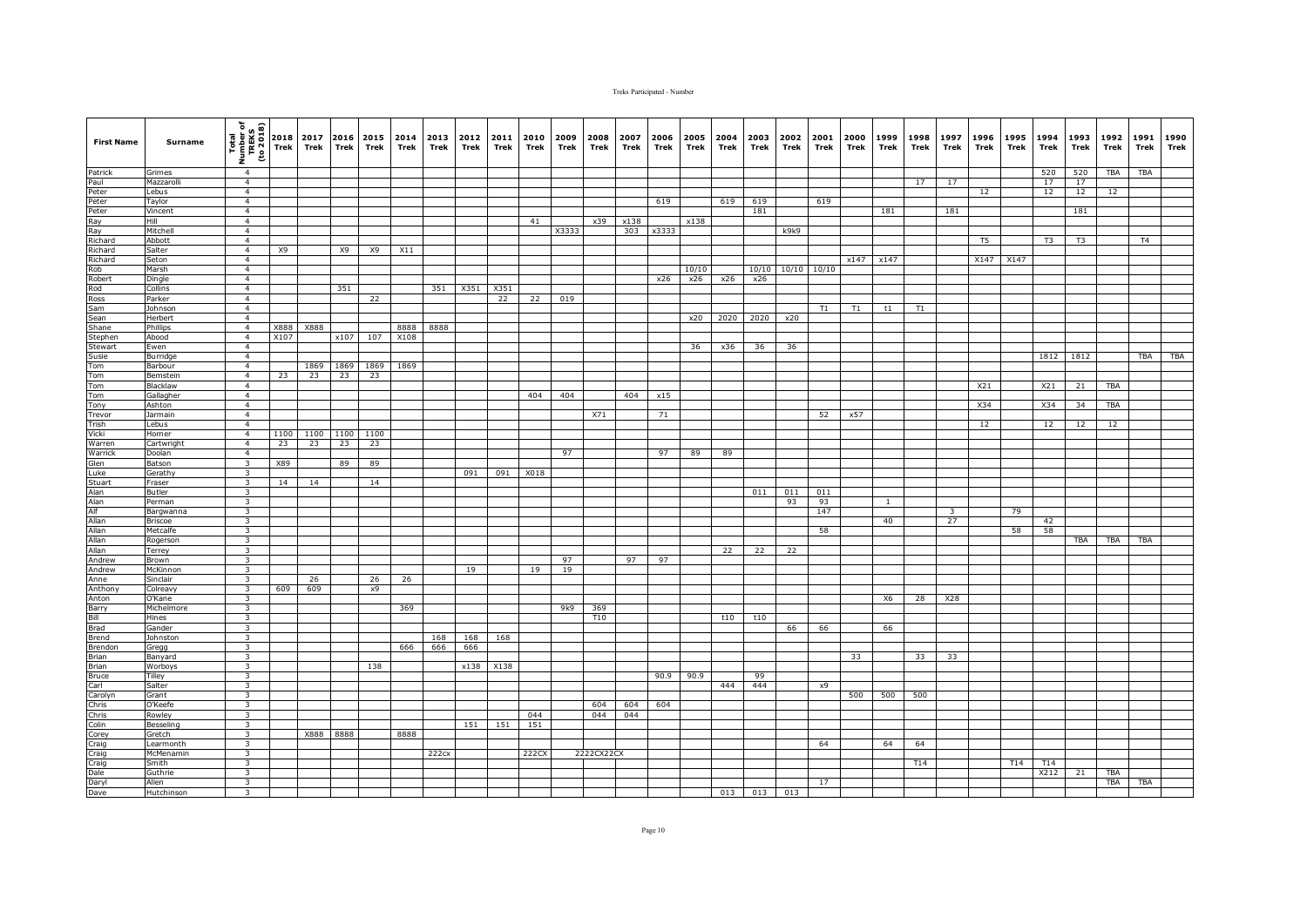| <b>First Name</b>                                                                                                                       | <b>Surname</b>        | Total<br>Number of<br>TREKS<br>TREKS<br>The 2018<br>E, | 2018<br><b>Trek</b> | 2017<br>Trek | 2016 2015<br>Trek | Trek     | 2014<br>Trek | 2013<br>Trek | 2012<br>Trek | 2011<br>Trek | 2010<br>Trek | 2009<br>Trek | 2008<br>Trek | 2007<br><b>Trek</b> | 2006<br>Trek | 2005<br>Trek | 2004<br>Trek | 2003<br>Trek  | 2002<br>Trek | 2001<br>Trek | 2000<br>Trek | 1999<br>Trek | 1998<br>Trek | 1997<br>Trek | 1996<br>Trek   | 1995<br>Trek | 1994<br>Trek | 1993<br>Trek | 1992<br>Trek | 1991<br>Trek   | 1990<br>Trek |
|-----------------------------------------------------------------------------------------------------------------------------------------|-----------------------|--------------------------------------------------------|---------------------|--------------|-------------------|----------|--------------|--------------|--------------|--------------|--------------|--------------|--------------|---------------------|--------------|--------------|--------------|---------------|--------------|--------------|--------------|--------------|--------------|--------------|----------------|--------------|--------------|--------------|--------------|----------------|--------------|
| Patrick                                                                                                                                 | Grimes                | $\overline{4}$                                         |                     |              |                   |          |              |              |              |              |              |              |              |                     |              |              |              |               |              |              |              |              |              |              |                |              | 520          | 520          | <b>TBA</b>   | <b>TBA</b>     |              |
| Paul<br>Peter                                                                                                                           | Mazzarolli            | $\overline{4}$                                         |                     |              |                   |          |              |              |              |              |              |              |              |                     |              |              |              |               |              |              |              |              | 17           | 17           |                |              | 17           | 17           |              |                |              |
| Peter                                                                                                                                   | Lebus<br>Taylor       | $\overline{4}$<br>$\overline{4}$                       |                     |              |                   |          |              |              |              |              |              |              |              |                     | 619          |              | 619          | 619           |              | 619          |              |              |              |              | 12             |              | 12           | 12           | 12           |                |              |
| Peter                                                                                                                                   | Vincent               | $\overline{4}$                                         |                     |              |                   |          |              |              |              |              |              |              |              |                     |              |              |              | 181           |              |              |              | 181          |              | 181          |                |              |              | 181          |              |                |              |
| Ray<br>Ray<br>Richard                                                                                                                   | Hill                  | 4                                                      |                     |              |                   |          |              |              |              |              | 41           |              | x39          | x138                |              | x138         |              |               |              |              |              |              |              |              |                |              |              |              |              |                |              |
|                                                                                                                                         | Mitchell              | $\overline{4}$                                         |                     |              |                   |          |              |              |              |              |              | X3333        |              | 303                 | x3333        |              |              |               | k9k9         |              |              |              |              |              |                |              |              |              |              |                |              |
|                                                                                                                                         | Abbott                | $\overline{4}$                                         |                     |              |                   |          |              |              |              |              |              |              |              |                     |              |              |              |               |              |              |              |              |              |              | T <sub>5</sub> |              | T3           | T3           |              | T <sub>4</sub> |              |
| Richard                                                                                                                                 | Salter                | $\overline{4}$                                         | X9                  |              | X9                | X9       | X11          |              |              |              |              |              |              |                     |              |              |              |               |              |              |              |              |              |              |                |              |              |              |              |                |              |
|                                                                                                                                         | Seton<br>Marsh        | $\overline{4}$<br>$\overline{4}$                       |                     |              |                   |          |              |              |              |              |              |              |              |                     |              | 10/10        |              | 10/10         | 10/10        | 10/10        | x147         | x147         |              |              | X147           | X147         |              |              |              |                |              |
|                                                                                                                                         | Dingle                | $\overline{a}$                                         |                     |              |                   |          |              |              |              |              |              |              |              |                     | x26          | x26          | x26          | x26           |              |              |              |              |              |              |                |              |              |              |              |                |              |
|                                                                                                                                         | Collins               | $\overline{4}$                                         |                     |              | 351               |          |              | 351          | X351         | X351         |              |              |              |                     |              |              |              |               |              |              |              |              |              |              |                |              |              |              |              |                |              |
| Richard<br>Richard<br>Robert<br>Rod<br>Ross<br>Sam<br>Sean<br>Stephen<br>Stephen<br>Stephen<br>Stephen<br>Stephen<br>Stephen<br>Stephen | Parker                | $\overline{4}$                                         |                     |              |                   | 22       |              |              |              | 22           | 22           | 019          |              |                     |              |              |              |               |              |              |              |              |              |              |                |              |              |              |              |                |              |
|                                                                                                                                         | Johnson               | $\overline{4}$                                         |                     |              |                   |          |              |              |              |              |              |              |              |                     |              |              |              |               |              | T1           | T1           | t1           | T1           |              |                |              |              |              |              |                |              |
|                                                                                                                                         | Herbert               | $\overline{4}$                                         |                     |              |                   |          |              |              |              |              |              |              |              |                     |              | x20          | 2020         | 2020          | x20          |              |              |              |              |              |                |              |              |              |              |                |              |
|                                                                                                                                         | Phillips              | $\overline{4}$                                         | X888                | X888         |                   |          | 8888         | 8888         |              |              |              |              |              |                     |              |              |              |               |              |              |              |              |              |              |                |              |              |              |              |                |              |
|                                                                                                                                         | Abood<br>Ewen         | $\overline{4}$<br>$\overline{4}$                       | X107                |              |                   | x107 107 | X108         |              |              |              |              |              |              |                     |              | 36           | x36          | 36            | 36           |              |              |              |              |              |                |              |              |              |              |                |              |
| Susie                                                                                                                                   | Burridge              | $\overline{4}$                                         |                     |              |                   |          |              |              |              |              |              |              |              |                     |              |              |              |               |              |              |              |              |              |              |                |              |              | 1812 1812    |              | <b>TBA</b>     | <b>TBA</b>   |
| Tom                                                                                                                                     | Barbour               | 4                                                      |                     | 1869         | 1869              | 1869     | 1869         |              |              |              |              |              |              |                     |              |              |              |               |              |              |              |              |              |              |                |              |              |              |              |                |              |
| Tom                                                                                                                                     | Bemsteir              | 4                                                      | 23                  | 23           | 23                | 23       |              |              |              |              |              |              |              |                     |              |              |              |               |              |              |              |              |              |              |                |              |              |              |              |                |              |
| Tom<br>Tom<br>Tony                                                                                                                      | Blacklaw              | $\overline{4}$                                         |                     |              |                   |          |              |              |              |              |              |              |              |                     |              |              |              |               |              |              |              |              |              |              | X21            |              | X21          | 21           | <b>TBA</b>   |                |              |
|                                                                                                                                         | Gallagher             | $\overline{4}$                                         |                     |              |                   |          |              |              |              |              | 404          | 404          |              | 404                 | x15          |              |              |               |              |              |              |              |              |              |                |              |              |              |              |                |              |
|                                                                                                                                         | Ashton<br>Jarmain     | $\overline{4}$<br>$\overline{4}$                       |                     |              |                   |          |              |              |              |              |              |              |              |                     |              |              |              |               |              |              |              |              |              |              | X34            |              | X34          | 34           | <b>TBA</b>   |                |              |
|                                                                                                                                         | Lebus                 | $\overline{4}$                                         |                     |              |                   |          |              |              |              |              |              |              | X71          |                     | 71           |              |              |               |              | 52           | x57          |              |              |              | 12             |              | 12           | 12           | 12           |                |              |
| Trevor<br>Trevor<br>Trish<br>Vicki                                                                                                      | Horner                | $\overline{4}$                                         | 1100                | 1100         | 1100              | 1100     |              |              |              |              |              |              |              |                     |              |              |              |               |              |              |              |              |              |              |                |              |              |              |              |                |              |
| Warren                                                                                                                                  | Cartwright            | $\overline{4}$                                         | 23                  | 23           | 23                | 23       |              |              |              |              |              |              |              |                     |              |              |              |               |              |              |              |              |              |              |                |              |              |              |              |                |              |
|                                                                                                                                         | Doolan                | $\overline{4}$                                         |                     |              |                   |          |              |              |              |              |              | 97           |              |                     | 97           | 89           | 89           |               |              |              |              |              |              |              |                |              |              |              |              |                |              |
|                                                                                                                                         | Batson                | $\overline{\mathbf{3}}$                                | X89                 |              | 89                | 89       |              |              |              |              |              |              |              |                     |              |              |              |               |              |              |              |              |              |              |                |              |              |              |              |                |              |
| Warrick<br>Glen<br>Luke<br>Stuart<br>Alan<br>Alan<br>Alf<br>Allan<br>Allan<br>Allan                                                     | Gerathy<br>Fraser     | $\overline{\mathbf{3}}$<br>$\overline{\mathbf{3}}$     | 14                  | 14           |                   | 14       |              |              | 091          | 091          | X018         |              |              |                     |              |              |              |               |              |              |              |              |              |              |                |              |              |              |              |                |              |
|                                                                                                                                         | Butler                | $\overline{\mathbf{3}}$                                |                     |              |                   |          |              |              |              |              |              |              |              |                     |              |              |              | 011           | 011          | 011          |              |              |              |              |                |              |              |              |              |                |              |
|                                                                                                                                         | Perman                | $\overline{\mathbf{3}}$                                |                     |              |                   |          |              |              |              |              |              |              |              |                     |              |              |              |               | 93           | 93           |              | $\mathbf{1}$ |              |              |                |              |              |              |              |                |              |
|                                                                                                                                         | Bargwanna             | $\overline{\mathbf{3}}$                                |                     |              |                   |          |              |              |              |              |              |              |              |                     |              |              |              |               |              | 147          |              |              |              | 3            |                | 79           |              |              |              |                |              |
|                                                                                                                                         | <b>Briscoe</b>        | $\overline{\mathbf{3}}$                                |                     |              |                   |          |              |              |              |              |              |              |              |                     |              |              |              |               |              |              |              | 40           |              | 27           |                |              | 42           |              |              |                |              |
|                                                                                                                                         | Metcalfe              | $\overline{\mathbf{3}}$                                |                     |              |                   |          |              |              |              |              |              |              |              |                     |              |              |              |               |              | 58           |              |              |              |              |                | 58           | 58           |              |              |                |              |
|                                                                                                                                         | Rogerson              | $\overline{\mathbf{3}}$<br>$\overline{\mathbf{3}}$     |                     |              |                   |          |              |              |              |              |              |              |              |                     |              |              | 22           | 22            | 22           |              |              |              |              |              |                |              |              | TBA          | TBA          | TBA            |              |
|                                                                                                                                         | Terrey<br>Brown       | $\overline{\mathbf{3}}$                                |                     |              |                   |          |              |              |              |              |              | 97           |              | 97                  | 97           |              |              |               |              |              |              |              |              |              |                |              |              |              |              |                |              |
|                                                                                                                                         | McKinnon              | 3                                                      |                     |              |                   |          |              |              | 19           |              | 19           | 19           |              |                     |              |              |              |               |              |              |              |              |              |              |                |              |              |              |              |                |              |
|                                                                                                                                         | Sinclair              | $\overline{\mathbf{3}}$                                |                     | 26           |                   | 26       | 26           |              |              |              |              |              |              |                     |              |              |              |               |              |              |              |              |              |              |                |              |              |              |              |                |              |
| Andrew<br>Andrew<br>Anne<br>Anthony                                                                                                     | Colreavy              | $\overline{\mathbf{3}}$                                | 609                 | 609          |                   | x9       |              |              |              |              |              |              |              |                     |              |              |              |               |              |              |              |              |              |              |                |              |              |              |              |                |              |
|                                                                                                                                         | O'Kane                | $\overline{\mathbf{3}}$                                |                     |              |                   |          |              |              |              |              |              |              |              |                     |              |              |              |               |              |              |              | X6           | 28           | X28          |                |              |              |              |              |                |              |
| Anton<br>Barry<br>Bill                                                                                                                  | Michelmore<br>Hines   | 3<br>$\overline{\mathbf{3}}$                           |                     |              |                   |          | 369          |              |              |              |              | 9k9          | 369<br>T10   |                     |              |              | t10          | t10           |              |              |              |              |              |              |                |              |              |              |              |                |              |
|                                                                                                                                         | Gander                | $\overline{\mathbf{3}}$                                |                     |              |                   |          |              |              |              |              |              |              |              |                     |              |              |              |               | 66           | 66           |              | 66           |              |              |                |              |              |              |              |                |              |
| Brad<br>Brad<br>Brend                                                                                                                   | Johnston              | $\overline{\mathbf{3}}$                                |                     |              |                   |          |              | 168          | 168          | 168          |              |              |              |                     |              |              |              |               |              |              |              |              |              |              |                |              |              |              |              |                |              |
| Brendon                                                                                                                                 | Gregg                 | 3                                                      |                     |              |                   |          | 666          | 666          | 666          |              |              |              |              |                     |              |              |              |               |              |              |              |              |              |              |                |              |              |              |              |                |              |
| Brian                                                                                                                                   | Banyard               | $\overline{\mathbf{3}}$                                |                     |              |                   |          |              |              |              |              |              |              |              |                     |              |              |              |               |              |              | 33           |              | 33           | 33           |                |              |              |              |              |                |              |
| <b>Brian</b>                                                                                                                            | Worboys               | $\overline{\mathbf{3}}$                                |                     |              |                   | 138      |              |              | x138         | X138         |              |              |              |                     |              |              |              |               |              |              |              |              |              |              |                |              |              |              |              |                |              |
| Bruce                                                                                                                                   | Tilley<br>Salter      | $\overline{\mathbf{3}}$<br>$\overline{\mathbf{3}}$     |                     |              |                   |          |              |              |              |              |              |              |              |                     | 90.9         | 90.9         | 444          | 99<br>444     |              | x9           |              |              |              |              |                |              |              |              |              |                |              |
|                                                                                                                                         | Grant                 | $\overline{\mathbf{3}}$                                |                     |              |                   |          |              |              |              |              |              |              |              |                     |              |              |              |               |              |              | 500          | 500          | 500          |              |                |              |              |              |              |                |              |
| Carl<br>Carolyn<br>Chris<br>Chris<br>Colin<br>Corey                                                                                     | O'Keefe               | $\overline{\mathbf{3}}$                                |                     |              |                   |          |              |              |              |              |              |              | 604          | 604                 | 604          |              |              |               |              |              |              |              |              |              |                |              |              |              |              |                |              |
|                                                                                                                                         | Rowley                | 3                                                      |                     |              |                   |          |              |              |              |              | 044          |              | 044          | 044                 |              |              |              |               |              |              |              |              |              |              |                |              |              |              |              |                |              |
|                                                                                                                                         | Besseling             | 3                                                      |                     |              |                   |          |              |              | 151          | 151          | 151          |              |              |                     |              |              |              |               |              |              |              |              |              |              |                |              |              |              |              |                |              |
|                                                                                                                                         | Gretch                | $\overline{\mathbf{3}}$                                |                     | X888         | 8888              |          | 8888         |              |              |              |              |              |              |                     |              |              |              |               |              |              |              |              |              |              |                |              |              |              |              |                |              |
| Craig                                                                                                                                   | earmonth<br>McMenamin | $\overline{\mathbf{3}}$<br>$\overline{\mathbf{3}}$     |                     |              |                   |          |              | 222cx        |              |              | 222CX        |              | 2222CX22CX   |                     |              |              |              |               |              | 64           |              | 64           | 64           |              |                |              |              |              |              |                |              |
| Craig                                                                                                                                   | Smith                 | $\overline{\mathbf{3}}$                                |                     |              |                   |          |              |              |              |              |              |              |              |                     |              |              |              |               |              |              |              |              | T14          |              |                | T14          | T14          |              |              |                |              |
| Craig<br>Dale<br>Daryl<br>Dave                                                                                                          | Guthrie               | $\overline{\mathbf{3}}$                                |                     |              |                   |          |              |              |              |              |              |              |              |                     |              |              |              |               |              |              |              |              |              |              |                |              | X212         | 21           | <b>TBA</b>   |                |              |
|                                                                                                                                         | Allen                 | $\overline{\mathbf{3}}$                                |                     |              |                   |          |              |              |              |              |              |              |              |                     |              |              |              |               |              | 17           |              |              |              |              |                |              |              |              | TBA          | <b>TBA</b>     |              |
|                                                                                                                                         | Hutchinson            | $\overline{\mathbf{3}}$                                |                     |              |                   |          |              |              |              |              |              |              |              |                     |              |              |              | $013$ 013 013 |              |              |              |              |              |              |                |              |              |              |              |                |              |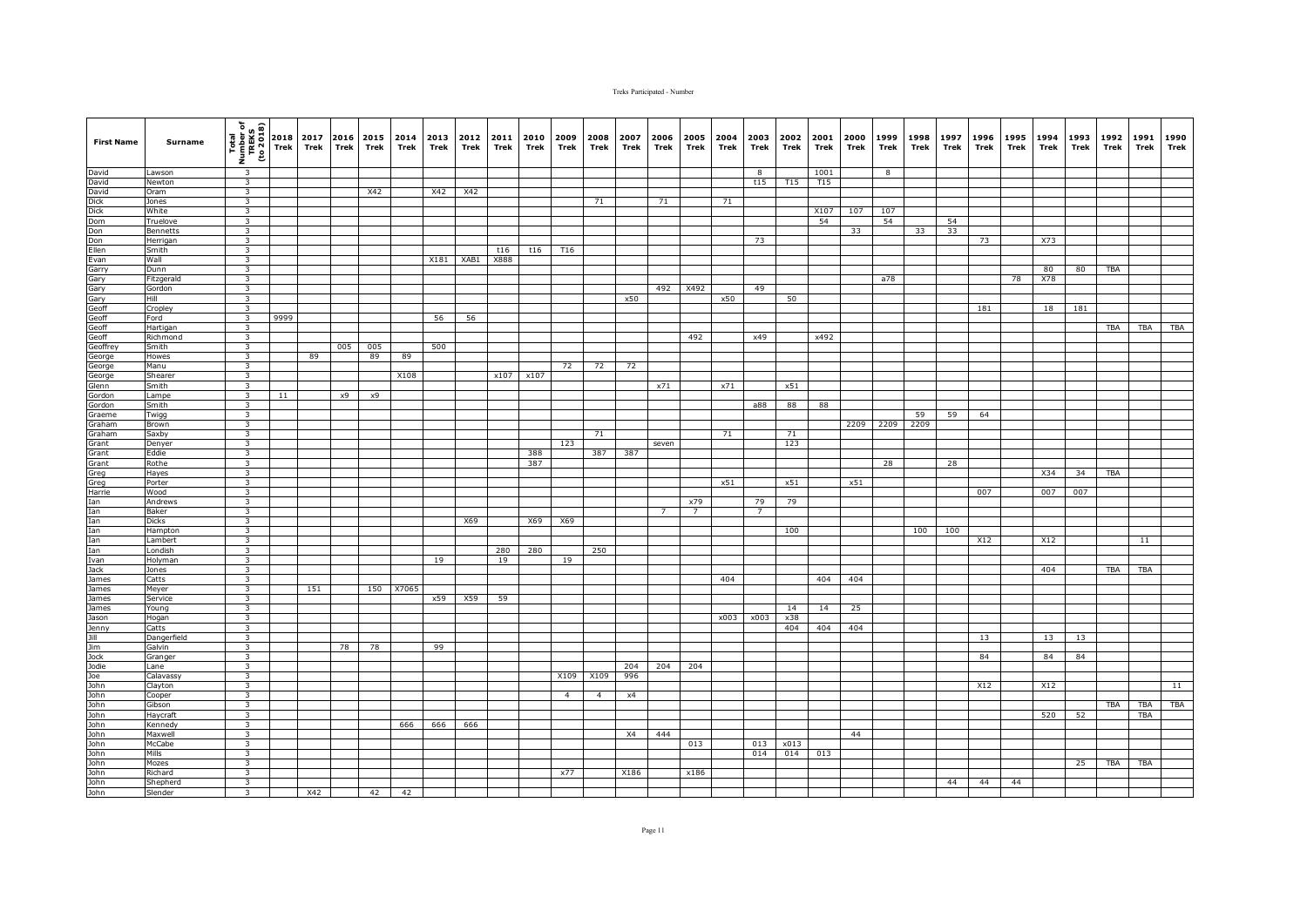| <b>First Name</b>                                                                               | Surname               | Total<br>Number of<br>TREKS<br>TREKS<br>To 2018)   | 2018<br>Trek | Trek | <b>Trek</b> | 2017 2016 2015<br>Trek | 2014<br>Trek | 2013<br>Trek | 2012<br>Trek  | 2011<br>Trek | 2010<br>Trek | 2009<br>Trek   | 2008<br>Trek   | 2007<br>Trek | 2006<br>Trek   | 2005<br>Trek    | 2004<br>Trek | 2003<br>Trek   | 2002<br>Trek | 2001<br>Trek | 2000<br>Trek | 1999<br>Trek | 1998<br>Trek | 1997<br>Trek | 1996<br>Trek | 1995<br>Trek | 1994<br>Trek | 1993<br>Trek | 1992<br>Trek | 1991<br>Trek | 1990<br>Trek |
|-------------------------------------------------------------------------------------------------|-----------------------|----------------------------------------------------|--------------|------|-------------|------------------------|--------------|--------------|---------------|--------------|--------------|----------------|----------------|--------------|----------------|-----------------|--------------|----------------|--------------|--------------|--------------|--------------|--------------|--------------|--------------|--------------|--------------|--------------|--------------|--------------|--------------|
| David                                                                                           | Lawson                | $\overline{\mathbf{3}}$                            |              |      |             |                        |              |              |               |              |              |                |                |              |                |                 |              | 8              |              | 1001         |              | 8            |              |              |              |              |              |              |              |              |              |
| David                                                                                           | Newton                | $\overline{\mathbf{3}}$                            |              |      |             |                        |              |              |               |              |              |                |                |              |                |                 |              | t15            | T15          | T15          |              |              |              |              |              |              |              |              |              |              |              |
| David                                                                                           | Oram                  | $\overline{\mathbf{3}}$                            |              |      |             | X42                    |              | X42          | X42           |              |              |                |                |              |                |                 |              |                |              |              |              |              |              |              |              |              |              |              |              |              |              |
|                                                                                                 | Jones<br>White        | $\overline{\mathbf{3}}$                            |              |      |             |                        |              |              |               |              |              |                | 71             |              | 71             |                 | 71           |                |              | X107         |              |              |              |              |              |              |              |              |              |              |              |
|                                                                                                 | Truelove              | $\overline{\mathbf{3}}$<br>3                       |              |      |             |                        |              |              |               |              |              |                |                |              |                |                 |              |                |              | 54           | 107          | 107<br>54    |              | 54           |              |              |              |              |              |              |              |
|                                                                                                 | Bennetts              | $\overline{\mathbf{3}}$                            |              |      |             |                        |              |              |               |              |              |                |                |              |                |                 |              |                |              |              | 33           |              | 33           | 33           |              |              |              |              |              |              |              |
|                                                                                                 | Herrigan              | $\overline{\mathbf{3}}$                            |              |      |             |                        |              |              |               |              |              |                |                |              |                |                 |              | 73             |              |              |              |              |              |              | 73           |              | X73          |              |              |              |              |
|                                                                                                 | Smith                 | $\overline{\mathbf{3}}$                            |              |      |             |                        |              |              |               | t16          | t16          | T16            |                |              |                |                 |              |                |              |              |              |              |              |              |              |              |              |              |              |              |              |
|                                                                                                 | Wall                  | $\overline{\mathbf{3}}$                            |              |      |             |                        |              |              | $X181$ $XAB1$ | X888         |              |                |                |              |                |                 |              |                |              |              |              |              |              |              |              |              |              |              |              |              |              |
|                                                                                                 | Dunn                  | $\overline{\mathbf{3}}$                            |              |      |             |                        |              |              |               |              |              |                |                |              |                |                 |              |                |              |              |              |              |              |              |              |              | 80           | 80           | TBA          |              |              |
|                                                                                                 | Fitzgerald            | 3                                                  |              |      |             |                        |              |              |               |              |              |                |                |              |                |                 |              |                |              |              |              | a78          |              |              |              | 78           | X78          |              |              |              |              |
|                                                                                                 | Gordon                | 3                                                  |              |      |             |                        |              |              |               |              |              |                |                |              | 492            | X492            |              | 49             |              |              |              |              |              |              |              |              |              |              |              |              |              |
|                                                                                                 | Hill                  | $\overline{\mathbf{3}}$                            |              |      |             |                        |              |              |               |              |              |                |                | x50          |                |                 | x50          |                | 50           |              |              |              |              |              |              |              |              |              |              |              |              |
| Dick<br>Dick<br>Dom<br>Don<br>Don<br>Ellen<br>Evan<br>Garry<br>Garry<br>Garry<br>Geoff<br>Geoff | Cropley               | $\overline{\mathbf{3}}$                            |              |      |             |                        |              |              |               |              |              |                |                |              |                |                 |              |                |              |              |              |              |              |              | 181          |              | 18           | 181          |              |              |              |
|                                                                                                 | Ford                  | $\overline{\mathbf{3}}$<br>$\overline{\mathbf{3}}$ | 9999         |      |             |                        |              | 56           | 56            |              |              |                |                |              |                |                 |              |                |              |              |              |              |              |              |              |              |              |              | <b>TBA</b>   | TBA          | <b>TBA</b>   |
|                                                                                                 | Hartigan<br>Richmond  | $\overline{\mathbf{3}}$                            |              |      |             |                        |              |              |               |              |              |                |                |              |                | 492             |              | x49            |              | x492         |              |              |              |              |              |              |              |              |              |              |              |
| Geoff<br>Geoff                                                                                  | Smith                 | $\overline{\mathbf{3}}$                            |              |      | 005         | 005                    |              | 500          |               |              |              |                |                |              |                |                 |              |                |              |              |              |              |              |              |              |              |              |              |              |              |              |
| George                                                                                          | Howes                 | 3                                                  |              | 89   |             | 89                     | 89           |              |               |              |              |                |                |              |                |                 |              |                |              |              |              |              |              |              |              |              |              |              |              |              |              |
| George                                                                                          | Manu                  | $\overline{\mathbf{3}}$                            |              |      |             |                        |              |              |               |              |              | 72             | 72             | 72           |                |                 |              |                |              |              |              |              |              |              |              |              |              |              |              |              |              |
| George                                                                                          | Shearer               | $\overline{\mathbf{3}}$                            |              |      |             |                        | X108         |              |               | x107         | x107         |                |                |              |                |                 |              |                |              |              |              |              |              |              |              |              |              |              |              |              |              |
| Glenn                                                                                           | Smith                 | $\overline{\mathbf{3}}$                            |              |      |             |                        |              |              |               |              |              |                |                |              | x71            |                 | x71          |                | x51          |              |              |              |              |              |              |              |              |              |              |              |              |
| Gordon                                                                                          | Lampe                 | $\overline{\mathbf{3}}$                            | 11           |      | x9          | x9                     |              |              |               |              |              |                |                |              |                |                 |              |                |              |              |              |              |              |              |              |              |              |              |              |              |              |
| Gordon                                                                                          | Smith                 | $\overline{\mathbf{3}}$                            |              |      |             |                        |              |              |               |              |              |                |                |              |                |                 |              | a88            | 88           | 88           |              |              |              |              |              |              |              |              |              |              |              |
| Graeme                                                                                          | Twigg                 | $\overline{\mathbf{3}}$                            |              |      |             |                        |              |              |               |              |              |                |                |              |                |                 |              |                |              |              |              |              | 59           | 59           | 64           |              |              |              |              |              |              |
| Graham<br>Graham                                                                                | Brown                 | $\overline{\mathbf{3}}$<br>$\overline{\mathbf{3}}$ |              |      |             |                        |              |              |               |              |              |                |                |              |                |                 | 71           |                | 71           |              | 2209         | 2209         | 2209         |              |              |              |              |              |              |              |              |
| Grant                                                                                           | Saxby<br>Denyer       | $\overline{\mathbf{3}}$                            |              |      |             |                        |              |              |               |              |              | 123            | 71             |              | seven          |                 |              |                | 123          |              |              |              |              |              |              |              |              |              |              |              |              |
| Grant                                                                                           | Eddie                 | 3                                                  |              |      |             |                        |              |              |               |              | 388          |                | 387            | 387          |                |                 |              |                |              |              |              |              |              |              |              |              |              |              |              |              |              |
| Grant                                                                                           | Rothe                 | 3                                                  |              |      |             |                        |              |              |               |              | 387          |                |                |              |                |                 |              |                |              |              |              | 28           |              | 28           |              |              |              |              |              |              |              |
|                                                                                                 | Hayes                 | $\overline{\mathbf{3}}$                            |              |      |             |                        |              |              |               |              |              |                |                |              |                |                 |              |                |              |              |              |              |              |              |              |              | X34          | 34           | <b>TBA</b>   |              |              |
|                                                                                                 | Porter                | $\overline{\mathbf{3}}$                            |              |      |             |                        |              |              |               |              |              |                |                |              |                |                 | x51          |                | x51          |              | x51          |              |              |              |              |              |              |              |              |              |              |
|                                                                                                 | Wood                  | $\overline{\mathbf{3}}$                            |              |      |             |                        |              |              |               |              |              |                |                |              |                |                 |              |                |              |              |              |              |              |              | 007          |              | 007          | 007          |              |              |              |
|                                                                                                 | Andrews               | $\overline{\mathbf{3}}$                            |              |      |             |                        |              |              |               |              |              |                |                |              |                | x79             |              | 79             | 79           |              |              |              |              |              |              |              |              |              |              |              |              |
|                                                                                                 | Baker                 | $\overline{\mathbf{3}}$                            |              |      |             |                        |              |              |               |              |              |                |                |              | $\overline{7}$ | $7\overline{ }$ |              | $\overline{7}$ |              |              |              |              |              |              |              |              |              |              |              |              |              |
|                                                                                                 | <b>Dicks</b>          | $\overline{\mathbf{3}}$                            |              |      |             |                        |              |              | X69           |              | X69          | X69            |                |              |                |                 |              |                |              |              |              |              |              |              |              |              |              |              |              |              |              |
|                                                                                                 | Hampton<br>Lambert    | 3<br>$\overline{\mathbf{3}}$                       |              |      |             |                        |              |              |               |              |              |                |                |              |                |                 |              |                | 100          |              |              |              | 100          | 100          | X12          |              | X12          |              |              | 11           |              |
|                                                                                                 | Londish               | $\overline{\mathbf{3}}$                            |              |      |             |                        |              |              |               | 280          | 280          |                | 250            |              |                |                 |              |                |              |              |              |              |              |              |              |              |              |              |              |              |              |
|                                                                                                 | Holyman               | 3                                                  |              |      |             |                        |              | 19           |               | 19           |              | 19             |                |              |                |                 |              |                |              |              |              |              |              |              |              |              |              |              |              |              |              |
|                                                                                                 | Jones                 | $\overline{\mathbf{3}}$                            |              |      |             |                        |              |              |               |              |              |                |                |              |                |                 |              |                |              |              |              |              |              |              |              |              | 404          |              | TBA          | TBA          |              |
|                                                                                                 | Catts                 | 3                                                  |              |      |             |                        |              |              |               |              |              |                |                |              |                |                 | 404          |                |              | 404          | 404          |              |              |              |              |              |              |              |              |              |              |
|                                                                                                 | Meyer                 | $\overline{\mathbf{3}}$                            |              | 151  |             |                        | 150 X7065    |              |               |              |              |                |                |              |                |                 |              |                |              |              |              |              |              |              |              |              |              |              |              |              |              |
| James                                                                                           | Service               | $\overline{\mathbf{3}}$                            |              |      |             |                        |              | x59          | X59           | 59           |              |                |                |              |                |                 |              |                |              |              |              |              |              |              |              |              |              |              |              |              |              |
| James                                                                                           | Young                 | $\overline{\mathbf{3}}$                            |              |      |             |                        |              |              |               |              |              |                |                |              |                |                 |              |                | 14           | 14           | 25           |              |              |              |              |              |              |              |              |              |              |
|                                                                                                 | Hogan                 | $\overline{\mathbf{3}}$                            |              |      |             |                        |              |              |               |              |              |                |                |              |                |                 | x003         | x003           | x38          |              |              |              |              |              |              |              |              |              |              |              |              |
|                                                                                                 | Catts                 | $\overline{\mathbf{3}}$                            |              |      |             |                        |              |              |               |              |              |                |                |              |                |                 |              |                | 404          | 404          | 404          |              |              |              |              |              |              |              |              |              |              |
|                                                                                                 | Dangerfield<br>Galvin | $\overline{\mathbf{3}}$<br>3                       |              |      | 78          | 78                     |              | 99           |               |              |              |                |                |              |                |                 |              |                |              |              |              |              |              |              | 13           |              | 13           | 13           |              |              |              |
|                                                                                                 | Granger               | $\overline{\mathbf{3}}$                            |              |      |             |                        |              |              |               |              |              |                |                |              |                |                 |              |                |              |              |              |              |              |              | 84           |              | 84           | 84           |              |              |              |
|                                                                                                 | Lane                  | $\overline{\mathbf{3}}$                            |              |      |             |                        |              |              |               |              |              |                |                | 204          | 204            | 204             |              |                |              |              |              |              |              |              |              |              |              |              |              |              |              |
|                                                                                                 | Calavassy             | $\overline{\mathbf{3}}$                            |              |      |             |                        |              |              |               |              |              | X109           | X109           | 996          |                |                 |              |                |              |              |              |              |              |              |              |              |              |              |              |              |              |
|                                                                                                 | Clayton               | $\overline{\mathbf{3}}$                            |              |      |             |                        |              |              |               |              |              |                |                |              |                |                 |              |                |              |              |              |              |              |              | X12          |              | X12          |              |              |              | 11           |
| Jason<br>Jenny<br>Jill<br>Jim<br>Jock<br>Jodie<br>John<br>John<br>John<br>John<br>John          | Cooper                | $\overline{\mathbf{3}}$                            |              |      |             |                        |              |              |               |              |              | $\overline{4}$ | $\overline{4}$ | x4           |                |                 |              |                |              |              |              |              |              |              |              |              |              |              |              |              |              |
|                                                                                                 | Gibson                | $\overline{\mathbf{3}}$                            |              |      |             |                        |              |              |               |              |              |                |                |              |                |                 |              |                |              |              |              |              |              |              |              |              |              |              | TBA          | TBA          | TBA          |
|                                                                                                 | Haycraft              | 3                                                  |              |      |             |                        |              |              |               |              |              |                |                |              |                |                 |              |                |              |              |              |              |              |              |              |              | 520          | 52           |              | <b>TBA</b>   |              |
|                                                                                                 | Kennedy               | $\overline{\mathbf{3}}$                            |              |      |             |                        | 666          | 666          | 666           |              |              |                |                |              |                |                 |              |                |              |              |              |              |              |              |              |              |              |              |              |              |              |
|                                                                                                 | Maxwell               | $\overline{\mathbf{3}}$                            |              |      |             |                        |              |              |               |              |              |                |                | X4           | 444            |                 |              |                |              |              | 44           |              |              |              |              |              |              |              |              |              |              |
| John                                                                                            | McCabe<br>Mills       | $\overline{\mathbf{3}}$<br>$\overline{\mathbf{3}}$ |              |      |             |                        |              |              |               |              |              |                |                |              |                | 013             |              | 013<br>014     | x013<br>014  | 013          |              |              |              |              |              |              |              |              |              |              |              |
| John<br>John                                                                                    | Mozes                 | $\overline{\mathbf{3}}$                            |              |      |             |                        |              |              |               |              |              |                |                |              |                |                 |              |                |              |              |              |              |              |              |              |              |              | 25           | <b>TBA</b>   | <b>TBA</b>   |              |
|                                                                                                 | Richard               | $\overline{\mathbf{3}}$                            |              |      |             |                        |              |              |               |              |              | x77            |                | X186         |                | x186            |              |                |              |              |              |              |              |              |              |              |              |              |              |              |              |
| John<br>John<br>John                                                                            | Shepherd              | $\overline{\mathbf{3}}$                            |              |      |             |                        |              |              |               |              |              |                |                |              |                |                 |              |                |              |              |              |              |              | 44           | 44           | 44           |              |              |              |              |              |
|                                                                                                 | Slender               | $\overline{\mathbf{3}}$                            |              | X42  |             | 42                     | 42           |              |               |              |              |                |                |              |                |                 |              |                |              |              |              |              |              |              |              |              |              |              |              |              |              |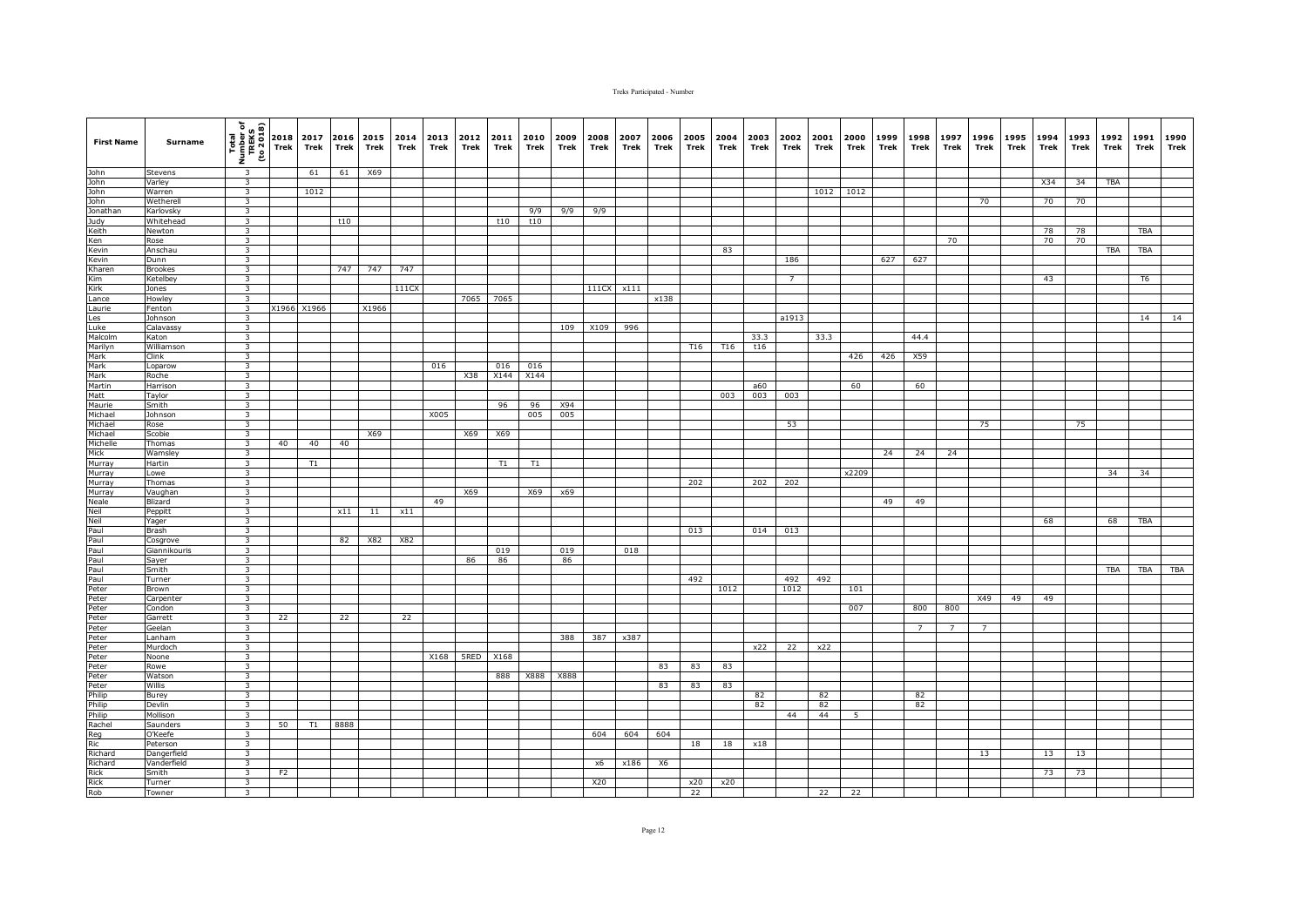| <b>First Name</b>                                                                                                                                                                                                                                                                                                              | Surname                 | $\begin{array}{c}\n\hline\n\text{Total} \\ \hline\n\text{Time} \\ \text{Time} \\ \text{Time} \\ \hline\n\end{array}\n\quad\n\begin{bmatrix}\n\text{Total} \\ \text{Time} \\ \text{Total} \\ \text{Time} \\ \text{Time} \\ \text{Time} \\ \hline\n\end{bmatrix}\n\quad\n\begin{bmatrix}\n\text{Total} \\ \text{Total} \\ \text{The image} \\ \text{The image}\n\end{bmatrix}$ |                | 2017<br>Trek | 2016<br>Trek | 2015<br>Trek | 2014<br>Trek | 2013<br>Trek | 2012<br>Trek | 2011<br>Trek | 2010<br>Trek | 2009<br>Trek | 2008<br>Trek | 2007<br>Trek | 2006<br>Trek | 2005<br>Trek | 2004<br>Trek | 2003<br>Trek | 2002<br>Trek   | 2001<br>Trek | 2000<br>Trek | 1999<br>Trek | 1998<br>Trek    | 1997<br>Trek   | 1996<br><b>Trek</b> | 1995<br>Trek | 1994<br>Trek | 1993<br>Trek | 1992<br>Trek | 1991<br>Trek   | 1990<br>Trek |
|--------------------------------------------------------------------------------------------------------------------------------------------------------------------------------------------------------------------------------------------------------------------------------------------------------------------------------|-------------------------|------------------------------------------------------------------------------------------------------------------------------------------------------------------------------------------------------------------------------------------------------------------------------------------------------------------------------------------------------------------------------|----------------|--------------|--------------|--------------|--------------|--------------|--------------|--------------|--------------|--------------|--------------|--------------|--------------|--------------|--------------|--------------|----------------|--------------|--------------|--------------|-----------------|----------------|---------------------|--------------|--------------|--------------|--------------|----------------|--------------|
| John<br>John<br>John<br>Jonathan<br>John<br>Jonathan<br>Keith<br>Ken Kevin<br>Kharen<br>Kirk<br>Lince                                                                                                                                                                                                                          | Stevens                 | $\overline{\mathbf{3}}$                                                                                                                                                                                                                                                                                                                                                      |                | 61           | 61           | X69          |              |              |              |              |              |              |              |              |              |              |              |              |                |              |              |              |                 |                |                     |              |              |              |              |                |              |
|                                                                                                                                                                                                                                                                                                                                | Varley                  | $\overline{\mathbf{3}}$                                                                                                                                                                                                                                                                                                                                                      |                |              |              |              |              |              |              |              |              |              |              |              |              |              |              |              |                |              |              |              |                 |                |                     |              | X34          | 34           | <b>TBA</b>   |                |              |
|                                                                                                                                                                                                                                                                                                                                | Warren                  | $\overline{\mathbf{3}}$                                                                                                                                                                                                                                                                                                                                                      |                | 1012         |              |              |              |              |              |              |              |              |              |              |              |              |              |              |                |              | 1012 1012    |              |                 |                |                     |              |              |              |              |                |              |
|                                                                                                                                                                                                                                                                                                                                | Wetherell               | 3                                                                                                                                                                                                                                                                                                                                                                            |                |              |              |              |              |              |              |              |              |              |              |              |              |              |              |              |                |              |              |              |                 |                | 70                  |              | 70           | 70           |              |                |              |
|                                                                                                                                                                                                                                                                                                                                | Karlovsky               | $\overline{\mathbf{3}}$<br>$\overline{\mathbf{3}}$                                                                                                                                                                                                                                                                                                                           |                |              |              |              |              |              |              |              | 9/9          | 9/9          | 9/9          |              |              |              |              |              |                |              |              |              |                 |                |                     |              |              |              |              |                |              |
|                                                                                                                                                                                                                                                                                                                                | Whitehead<br>Newton     | $\overline{\mathbf{3}}$                                                                                                                                                                                                                                                                                                                                                      |                |              | t10          |              |              |              |              | t10          | t10          |              |              |              |              |              |              |              |                |              |              |              |                 |                |                     |              | 78           | 78           |              | <b>TBA</b>     |              |
|                                                                                                                                                                                                                                                                                                                                | Rose                    | $\overline{\mathbf{3}}$                                                                                                                                                                                                                                                                                                                                                      |                |              |              |              |              |              |              |              |              |              |              |              |              |              |              |              |                |              |              |              |                 | 70             |                     |              | 70           | 70           |              |                |              |
|                                                                                                                                                                                                                                                                                                                                | Anschau                 | $\overline{\mathbf{3}}$                                                                                                                                                                                                                                                                                                                                                      |                |              |              |              |              |              |              |              |              |              |              |              |              |              | 83           |              |                |              |              |              |                 |                |                     |              |              |              | <b>TBA</b>   | <b>TBA</b>     |              |
|                                                                                                                                                                                                                                                                                                                                | Dunn                    | $\overline{\mathbf{3}}$                                                                                                                                                                                                                                                                                                                                                      |                |              |              |              |              |              |              |              |              |              |              |              |              |              |              |              | 186            |              |              | 627          | 627             |                |                     |              |              |              |              |                |              |
|                                                                                                                                                                                                                                                                                                                                | <b>Brookes</b>          | $\mathbf{3}$                                                                                                                                                                                                                                                                                                                                                                 |                |              | 747          | 747          | 747          |              |              |              |              |              |              |              |              |              |              |              |                |              |              |              |                 |                |                     |              |              |              |              |                |              |
|                                                                                                                                                                                                                                                                                                                                | Ketelbey                | 3                                                                                                                                                                                                                                                                                                                                                                            |                |              |              |              |              |              |              |              |              |              |              |              |              |              |              |              | $\overline{7}$ |              |              |              |                 |                |                     |              | 43           |              |              | T <sub>6</sub> |              |
|                                                                                                                                                                                                                                                                                                                                | Jones                   | $\mathbf{3}$                                                                                                                                                                                                                                                                                                                                                                 |                |              |              |              | 111CX        |              |              |              |              |              | 111CX x111   |              |              |              |              |              |                |              |              |              |                 |                |                     |              |              |              |              |                |              |
|                                                                                                                                                                                                                                                                                                                                | Howley                  | $\overline{\mathbf{3}}$                                                                                                                                                                                                                                                                                                                                                      |                |              |              |              |              |              | 7065         | 7065         |              |              |              |              | x138         |              |              |              |                |              |              |              |                 |                |                     |              |              |              |              |                |              |
|                                                                                                                                                                                                                                                                                                                                | Fenton                  | $\overline{\mathbf{3}}$<br>$\overline{\mathbf{3}}$                                                                                                                                                                                                                                                                                                                           |                | X1966 X1966  |              | X1966        |              |              |              |              |              |              |              |              |              |              |              |              |                |              |              |              |                 |                |                     |              |              |              |              |                |              |
|                                                                                                                                                                                                                                                                                                                                | Johnson<br>Calavassy    | $\overline{\mathbf{3}}$                                                                                                                                                                                                                                                                                                                                                      |                |              |              |              |              |              |              |              |              | 109          | X109         | 996          |              |              |              |              | a1913          |              |              |              |                 |                |                     |              |              |              |              | 14             | 14           |
|                                                                                                                                                                                                                                                                                                                                | Katon                   | $\overline{\mathbf{3}}$                                                                                                                                                                                                                                                                                                                                                      |                |              |              |              |              |              |              |              |              |              |              |              |              |              |              | 33.3         |                | 33.3         |              |              | 44.4            |                |                     |              |              |              |              |                |              |
|                                                                                                                                                                                                                                                                                                                                | Williamson              | $\overline{\mathbf{3}}$                                                                                                                                                                                                                                                                                                                                                      |                |              |              |              |              |              |              |              |              |              |              |              |              | T16          | T16          | t16          |                |              |              |              |                 |                |                     |              |              |              |              |                |              |
| Laurie<br>Les<br>Luke<br>Marilyn<br>Mark<br>Mark<br>Mark<br>Mark<br>Mark<br>Mark<br>Michael<br>Michael                                                                                                                                                                                                                         | Clink                   | $\overline{\mathbf{3}}$                                                                                                                                                                                                                                                                                                                                                      |                |              |              |              |              |              |              |              |              |              |              |              |              |              |              |              |                |              | 426          | 426          | X59             |                |                     |              |              |              |              |                |              |
|                                                                                                                                                                                                                                                                                                                                | Loparow                 | $\overline{\mathbf{3}}$                                                                                                                                                                                                                                                                                                                                                      |                |              |              |              |              | 016          |              | 016          | 016          |              |              |              |              |              |              |              |                |              |              |              |                 |                |                     |              |              |              |              |                |              |
|                                                                                                                                                                                                                                                                                                                                | Roche                   | $\overline{\mathbf{3}}$                                                                                                                                                                                                                                                                                                                                                      |                |              |              |              |              |              | X38          | X144         | X144         |              |              |              |              |              |              |              |                |              |              |              |                 |                |                     |              |              |              |              |                |              |
|                                                                                                                                                                                                                                                                                                                                | Harrison                | $\overline{\mathbf{3}}$                                                                                                                                                                                                                                                                                                                                                      |                |              |              |              |              |              |              |              |              |              |              |              |              |              |              | a60          |                |              | 60           |              | 60              |                |                     |              |              |              |              |                |              |
|                                                                                                                                                                                                                                                                                                                                | Taylor                  | $\overline{\mathbf{3}}$                                                                                                                                                                                                                                                                                                                                                      |                |              |              |              |              |              |              |              |              |              |              |              |              |              | 003          | 003          | 003            |              |              |              |                 |                |                     |              |              |              |              |                |              |
|                                                                                                                                                                                                                                                                                                                                | Smith                   | $\overline{\mathbf{3}}$                                                                                                                                                                                                                                                                                                                                                      |                |              |              |              |              |              |              | 96           | 96           | X94          |              |              |              |              |              |              |                |              |              |              |                 |                |                     |              |              |              |              |                |              |
|                                                                                                                                                                                                                                                                                                                                | Johnson                 | $\overline{\mathbf{3}}$                                                                                                                                                                                                                                                                                                                                                      |                |              |              |              |              | X005         |              |              | 005          | 005          |              |              |              |              |              |              |                |              |              |              |                 |                |                     |              |              |              |              |                |              |
|                                                                                                                                                                                                                                                                                                                                | Rose<br>Scobie          | $\overline{\mathbf{3}}$<br>$\overline{\mathbf{3}}$                                                                                                                                                                                                                                                                                                                           |                |              |              | X69          |              |              | X69          | X69          |              |              |              |              |              |              |              |              | 53             |              |              |              |                 |                | 75                  |              |              | 75           |              |                |              |
|                                                                                                                                                                                                                                                                                                                                | Thomas                  | $\overline{\mathbf{3}}$                                                                                                                                                                                                                                                                                                                                                      | 40             | 40           | 40           |              |              |              |              |              |              |              |              |              |              |              |              |              |                |              |              |              |                 |                |                     |              |              |              |              |                |              |
|                                                                                                                                                                                                                                                                                                                                | Wamsley                 | $\overline{\mathbf{3}}$                                                                                                                                                                                                                                                                                                                                                      |                |              |              |              |              |              |              |              |              |              |              |              |              |              |              |              |                |              |              | 24           | 24              | 24             |                     |              |              |              |              |                |              |
|                                                                                                                                                                                                                                                                                                                                | Hartin                  | $\overline{\mathbf{3}}$                                                                                                                                                                                                                                                                                                                                                      |                | T1           |              |              |              |              |              | T1           | T1           |              |              |              |              |              |              |              |                |              |              |              |                 |                |                     |              |              |              |              |                |              |
|                                                                                                                                                                                                                                                                                                                                | Lowe                    | $\overline{\mathbf{3}}$                                                                                                                                                                                                                                                                                                                                                      |                |              |              |              |              |              |              |              |              |              |              |              |              |              |              |              |                |              | x2209        |              |                 |                |                     |              |              |              | 34           | 34             |              |
|                                                                                                                                                                                                                                                                                                                                | Thomas                  | $\overline{\mathbf{3}}$                                                                                                                                                                                                                                                                                                                                                      |                |              |              |              |              |              |              |              |              |              |              |              |              | 202          |              | 202          | 202            |              |              |              |                 |                |                     |              |              |              |              |                |              |
|                                                                                                                                                                                                                                                                                                                                | Vaughan                 | $\overline{\mathbf{3}}$                                                                                                                                                                                                                                                                                                                                                      |                |              |              |              |              |              | X69          |              | X69          | x69          |              |              |              |              |              |              |                |              |              |              |                 |                |                     |              |              |              |              |                |              |
|                                                                                                                                                                                                                                                                                                                                | Blizard                 | $\overline{\mathbf{3}}$                                                                                                                                                                                                                                                                                                                                                      |                |              |              |              |              | 49           |              |              |              |              |              |              |              |              |              |              |                |              |              | 49           | 49              |                |                     |              |              |              |              |                |              |
|                                                                                                                                                                                                                                                                                                                                | Peppitt                 | $\overline{\mathbf{3}}$                                                                                                                                                                                                                                                                                                                                                      |                |              | x11          | 11           | x11          |              |              |              |              |              |              |              |              |              |              |              |                |              |              |              |                 |                |                     |              |              |              |              |                |              |
|                                                                                                                                                                                                                                                                                                                                | Yager                   | $\overline{\mathbf{3}}$<br>$\overline{\mathbf{3}}$                                                                                                                                                                                                                                                                                                                           |                |              |              |              |              |              |              |              |              |              |              |              |              |              |              |              |                |              |              |              |                 |                |                     |              | 68           |              | 68           | TBA            |              |
|                                                                                                                                                                                                                                                                                                                                | Brash<br>Cosgrove       | $\overline{\mathbf{3}}$                                                                                                                                                                                                                                                                                                                                                      |                |              | 82           | X82          | X82          |              |              |              |              |              |              |              |              | 013          |              | 014          | 013            |              |              |              |                 |                |                     |              |              |              |              |                |              |
|                                                                                                                                                                                                                                                                                                                                | Giannikouris            | $\overline{\mathbf{3}}$                                                                                                                                                                                                                                                                                                                                                      |                |              |              |              |              |              |              | 019          |              | 019          |              | 018          |              |              |              |              |                |              |              |              |                 |                |                     |              |              |              |              |                |              |
|                                                                                                                                                                                                                                                                                                                                | Sayer                   | $\overline{\mathbf{3}}$                                                                                                                                                                                                                                                                                                                                                      |                |              |              |              |              |              | 86           | 86           |              | 86           |              |              |              |              |              |              |                |              |              |              |                 |                |                     |              |              |              |              |                |              |
|                                                                                                                                                                                                                                                                                                                                | Smith                   | 3                                                                                                                                                                                                                                                                                                                                                                            |                |              |              |              |              |              |              |              |              |              |              |              |              |              |              |              |                |              |              |              |                 |                |                     |              |              |              | <b>TBA</b>   | <b>TBA</b>     | <b>TBA</b>   |
|                                                                                                                                                                                                                                                                                                                                | Turner                  | $\overline{\mathbf{3}}$                                                                                                                                                                                                                                                                                                                                                      |                |              |              |              |              |              |              |              |              |              |              |              |              | 492          |              |              | 492            | 492          |              |              |                 |                |                     |              |              |              |              |                |              |
|                                                                                                                                                                                                                                                                                                                                | Brown                   | $\overline{\mathbf{3}}$                                                                                                                                                                                                                                                                                                                                                      |                |              |              |              |              |              |              |              |              |              |              |              |              |              | 1012         |              | 1012           |              | 101          |              |                 |                |                     |              |              |              |              |                |              |
|                                                                                                                                                                                                                                                                                                                                | Carpenter               | $\overline{\mathbf{3}}$                                                                                                                                                                                                                                                                                                                                                      |                |              |              |              |              |              |              |              |              |              |              |              |              |              |              |              |                |              |              |              |                 |                | X49                 | 49           | 49           |              |              |                |              |
|                                                                                                                                                                                                                                                                                                                                | Condon                  | $\overline{\mathbf{3}}$                                                                                                                                                                                                                                                                                                                                                      |                |              |              |              |              |              |              |              |              |              |              |              |              |              |              |              |                |              | 007          |              | 800             | 800            |                     |              |              |              |              |                |              |
|                                                                                                                                                                                                                                                                                                                                | Garrett                 | $\overline{\mathbf{3}}$                                                                                                                                                                                                                                                                                                                                                      | 22             |              | 22           |              | 22           |              |              |              |              |              |              |              |              |              |              |              |                |              |              |              |                 |                |                     |              |              |              |              |                |              |
|                                                                                                                                                                                                                                                                                                                                | Geelan<br>Lanham        | $\overline{\mathbf{3}}$                                                                                                                                                                                                                                                                                                                                                      |                |              |              |              |              |              |              |              |              |              |              |              |              |              |              |              |                |              |              |              | $7\overline{ }$ | $\overline{7}$ | $\overline{7}$      |              |              |              |              |                |              |
|                                                                                                                                                                                                                                                                                                                                | Murdoch                 | 3<br>$\overline{\mathbf{3}}$                                                                                                                                                                                                                                                                                                                                                 |                |              |              |              |              |              |              |              |              | 388          | 387          | x387         |              |              |              | x22          | 22             | x22          |              |              |                 |                |                     |              |              |              |              |                |              |
|                                                                                                                                                                                                                                                                                                                                | Noone                   | $\overline{\mathbf{3}}$                                                                                                                                                                                                                                                                                                                                                      |                |              |              |              |              | X168         |              | 5RED X168    |              |              |              |              |              |              |              |              |                |              |              |              |                 |                |                     |              |              |              |              |                |              |
|                                                                                                                                                                                                                                                                                                                                | Rowe                    | $\overline{\mathbf{3}}$                                                                                                                                                                                                                                                                                                                                                      |                |              |              |              |              |              |              |              |              |              |              |              | 83           | 83           | 83           |              |                |              |              |              |                 |                |                     |              |              |              |              |                |              |
|                                                                                                                                                                                                                                                                                                                                | Watson                  | $\overline{\mathbf{3}}$                                                                                                                                                                                                                                                                                                                                                      |                |              |              |              |              |              |              | 888          | X888         | X888         |              |              |              |              |              |              |                |              |              |              |                 |                |                     |              |              |              |              |                |              |
|                                                                                                                                                                                                                                                                                                                                | Willis                  | $\overline{\mathbf{3}}$                                                                                                                                                                                                                                                                                                                                                      |                |              |              |              |              |              |              |              |              |              |              |              | 83           | 83           | 83           |              |                |              |              |              |                 |                |                     |              |              |              |              |                |              |
| Michael<br>Mick Murray<br>Murray Murray<br>Murray Murray<br>Murray<br>Murray<br>Peter<br>Peter<br>Peter<br>Peter<br>Peter<br>Peter<br>Peter<br>Peter<br>Peter<br>Peter<br>Peter<br>Peter<br>Peter<br>Peter<br>Peter<br>Peter<br>Peter<br>Peter<br>Peter<br>Peter<br>Peter<br>Peter<br>Peter<br>Peter<br>Peter<br>Peter<br>Pete | Burey                   | $\overline{\mathbf{3}}$                                                                                                                                                                                                                                                                                                                                                      |                |              |              |              |              |              |              |              |              |              |              |              |              |              |              | 82           |                | 82           |              |              | 82              |                |                     |              |              |              |              |                |              |
|                                                                                                                                                                                                                                                                                                                                | Devlin                  | $\overline{\mathbf{3}}$                                                                                                                                                                                                                                                                                                                                                      |                |              |              |              |              |              |              |              |              |              |              |              |              |              |              | 82           |                | 82           |              |              | 82              |                |                     |              |              |              |              |                |              |
|                                                                                                                                                                                                                                                                                                                                | Mollison                | 3                                                                                                                                                                                                                                                                                                                                                                            |                |              |              |              |              |              |              |              |              |              |              |              |              |              |              |              | 44             | 44           | 5            |              |                 |                |                     |              |              |              |              |                |              |
|                                                                                                                                                                                                                                                                                                                                | Saunders                | $\overline{\mathbf{3}}$                                                                                                                                                                                                                                                                                                                                                      | 50             | T1           | 8888         |              |              |              |              |              |              |              |              |              |              |              |              |              |                |              |              |              |                 |                |                     |              |              |              |              |                |              |
|                                                                                                                                                                                                                                                                                                                                | O'Keefe                 | $\overline{\mathbf{3}}$                                                                                                                                                                                                                                                                                                                                                      |                |              |              |              |              |              |              |              |              |              | 604          | 604          | 604          |              |              |              |                |              |              |              |                 |                |                     |              |              |              |              |                |              |
|                                                                                                                                                                                                                                                                                                                                | Peterson<br>Dangerfield | $\overline{\mathbf{3}}$<br>$\overline{\mathbf{3}}$                                                                                                                                                                                                                                                                                                                           |                |              |              |              |              |              |              |              |              |              |              |              |              | 18           | 18           | x18          |                |              |              |              |                 |                | 13                  |              | 13           | 13           |              |                |              |
|                                                                                                                                                                                                                                                                                                                                | Vanderfield             | $\overline{\mathbf{3}}$                                                                                                                                                                                                                                                                                                                                                      |                |              |              |              |              |              |              |              |              |              | x6           | x186         | X6           |              |              |              |                |              |              |              |                 |                |                     |              |              |              |              |                |              |
|                                                                                                                                                                                                                                                                                                                                | Smith                   | 3                                                                                                                                                                                                                                                                                                                                                                            | F <sub>2</sub> |              |              |              |              |              |              |              |              |              |              |              |              |              |              |              |                |              |              |              |                 |                |                     |              | 73           | 73           |              |                |              |
|                                                                                                                                                                                                                                                                                                                                | Turner                  | 3                                                                                                                                                                                                                                                                                                                                                                            |                |              |              |              |              |              |              |              |              |              | X20          |              |              | x20          | x20          |              |                |              |              |              |                 |                |                     |              |              |              |              |                |              |
|                                                                                                                                                                                                                                                                                                                                | Towner                  | 3                                                                                                                                                                                                                                                                                                                                                                            |                |              |              |              |              |              |              |              |              |              |              |              |              | 22           |              |              |                | 22           | 22           |              |                 |                |                     |              |              |              |              |                |              |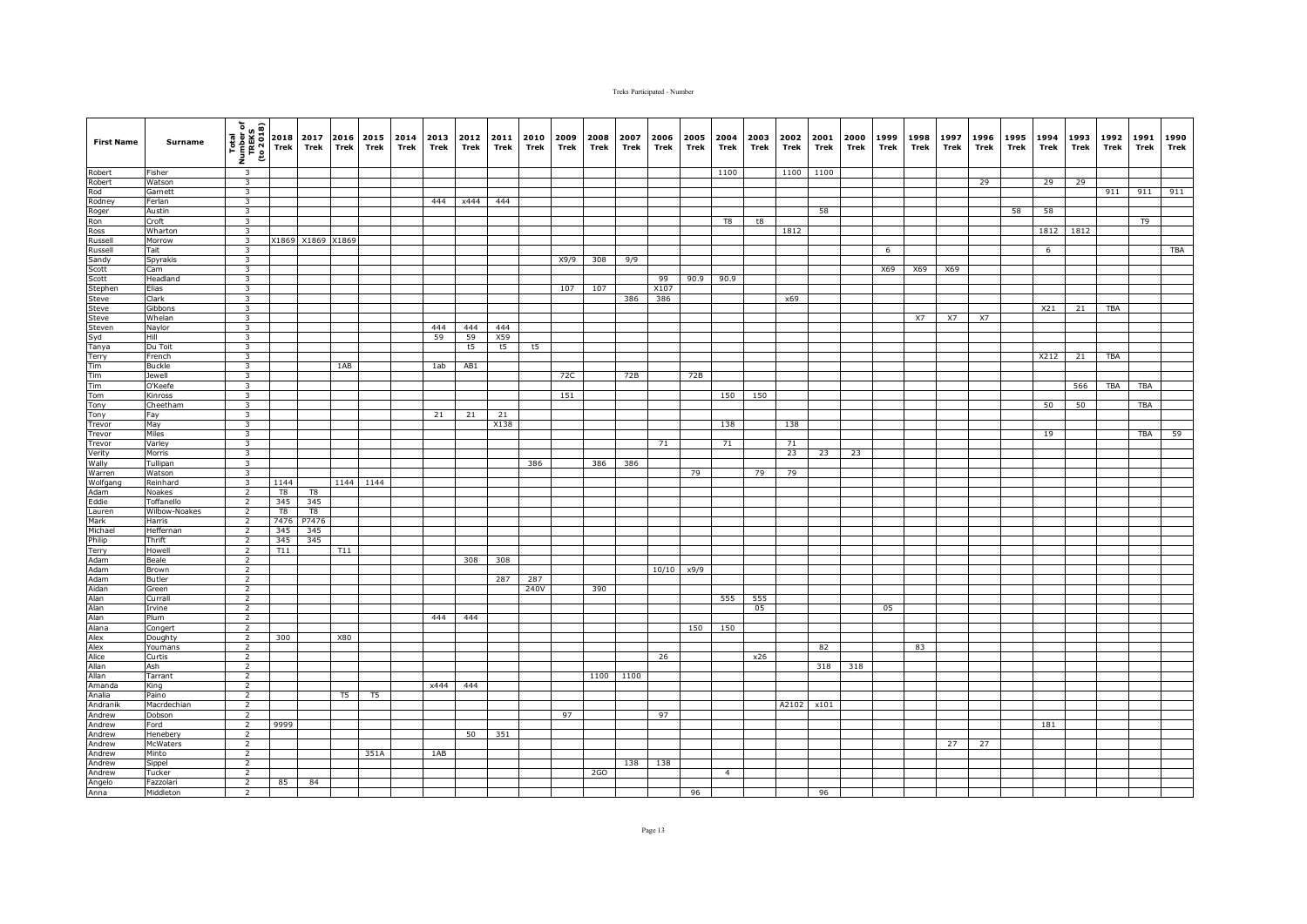| <b>First Name</b>                                                               | Surname             | $\frac{\frac{1}{2} \left(\frac{1}{2} \frac{1}{2} \right)}{\frac{1}{2} \left(\frac{1}{2} \frac{1}{2} \right)} = \frac{1}{2} \left(\frac{1}{2} \frac{1}{2} \right) = \frac{1}{2} \left(\frac{1}{2} \frac{1}{2} \right) = \frac{1}{2} \left(\frac{1}{2} \frac{1}{2} \right) = \frac{1}{2} \left(\frac{1}{2} \frac{1}{2} \right) = \frac{1}{2} \left(\frac{1}{2} \frac{1}{2} \right) = \frac{1}{2} \left(\frac{1}{2} \frac{1}{2} \right) = \frac{$ |                | 2017<br>Trek | Trek      | 2016 2015 2014<br>Trek | Trek | 2013 2012<br>Trek | Trek     | 2011<br>Trek | 2010<br>Trek | 2009<br>Trek | 2008<br>Trek | 2007<br>Trek | 2006<br>Trek | 2005<br>Trek   | 2004<br>Trek   | 2003<br>Trek | 2002<br>Trek | 2001<br>Trek | 2000<br>Trek | 1999<br>Trek | 1998<br>Trek | 1997<br>Trek | 1996<br>Trek | 1995<br>Trek | 1994<br>Trek | 1993<br>Trek | 1992<br>Trek | 1991<br>Trek | 1990<br>Trek |
|---------------------------------------------------------------------------------|---------------------|------------------------------------------------------------------------------------------------------------------------------------------------------------------------------------------------------------------------------------------------------------------------------------------------------------------------------------------------------------------------------------------------------------------------------------------------|----------------|--------------|-----------|------------------------|------|-------------------|----------|--------------|--------------|--------------|--------------|--------------|--------------|----------------|----------------|--------------|--------------|--------------|--------------|--------------|--------------|--------------|--------------|--------------|--------------|--------------|--------------|--------------|--------------|
| Robert                                                                          | Fisher              | $\overline{\mathbf{3}}$                                                                                                                                                                                                                                                                                                                                                                                                                        |                |              |           |                        |      |                   |          |              |              |              |              |              |              |                | 1100           |              | 1100         | 1100         |              |              |              |              |              |              |              |              |              |              |              |
| Robert                                                                          | Watson              | $\overline{\mathbf{3}}$                                                                                                                                                                                                                                                                                                                                                                                                                        |                |              |           |                        |      |                   |          |              |              |              |              |              |              |                |                |              |              |              |              |              |              |              | 29           |              | 29           | 29           |              |              |              |
| Robert<br>Rod<br>Roger<br>Ross<br>Russell<br>Russell<br>Sandy<br>Scott<br>Scott | Garnett             | $\overline{\mathbf{3}}$                                                                                                                                                                                                                                                                                                                                                                                                                        |                |              |           |                        |      |                   |          |              |              |              |              |              |              |                |                |              |              |              |              |              |              |              |              |              |              |              | 911          | 911          | 911          |
|                                                                                 | Ferlan<br>Austin    | 3                                                                                                                                                                                                                                                                                                                                                                                                                                              |                |              |           |                        |      |                   | 444 x444 | 444          |              |              |              |              |              |                |                |              |              |              |              |              |              |              |              |              |              |              |              |              |              |
|                                                                                 | Croft               | 3<br>3                                                                                                                                                                                                                                                                                                                                                                                                                                         |                |              |           |                        |      |                   |          |              |              |              |              |              |              |                | T8             | t8           |              | 58           |              |              |              |              |              | 58           | 58           |              |              | T9           |              |
|                                                                                 | Wharton             | $\overline{\mathbf{3}}$                                                                                                                                                                                                                                                                                                                                                                                                                        |                |              |           |                        |      |                   |          |              |              |              |              |              |              |                |                |              | 1812         |              |              |              |              |              |              |              | 1812         | 1812         |              |              |              |
|                                                                                 | Morrow              | $\overline{\mathbf{3}}$                                                                                                                                                                                                                                                                                                                                                                                                                        |                | X1869 X1869  | X1869     |                        |      |                   |          |              |              |              |              |              |              |                |                |              |              |              |              |              |              |              |              |              |              |              |              |              |              |
|                                                                                 | Tait                | $\overline{\mathbf{3}}$                                                                                                                                                                                                                                                                                                                                                                                                                        |                |              |           |                        |      |                   |          |              |              |              |              |              |              |                |                |              |              |              |              | 6            |              |              |              |              | 6            |              |              |              | TBA          |
|                                                                                 | Spyrakis            | $\overline{\mathbf{3}}$                                                                                                                                                                                                                                                                                                                                                                                                                        |                |              |           |                        |      |                   |          |              |              | X9/9         | 308          | 9/9          |              |                |                |              |              |              |              |              |              |              |              |              |              |              |              |              |              |
|                                                                                 | Cam                 | 3                                                                                                                                                                                                                                                                                                                                                                                                                                              |                |              |           |                        |      |                   |          |              |              |              |              |              |              |                |                |              |              |              |              | X69          | X69          | X69          |              |              |              |              |              |              |              |
| Scott                                                                           | Headland            | $\overline{\mathbf{3}}$                                                                                                                                                                                                                                                                                                                                                                                                                        |                |              |           |                        |      |                   |          |              |              |              |              |              | 99           | 90.9           | 90.9           |              |              |              |              |              |              |              |              |              |              |              |              |              |              |
| Stephen                                                                         | Elias               | $\overline{\mathbf{3}}$                                                                                                                                                                                                                                                                                                                                                                                                                        |                |              |           |                        |      |                   |          |              |              | 107          | 107          |              | X107         |                |                |              |              |              |              |              |              |              |              |              |              |              |              |              |              |
| Steve                                                                           | Clark               | $\overline{\mathbf{3}}$                                                                                                                                                                                                                                                                                                                                                                                                                        |                |              |           |                        |      |                   |          |              |              |              |              | 386          | 386          |                |                |              | x69          |              |              |              |              |              |              |              |              |              |              |              |              |
| Steve<br>Steve                                                                  | Gibbons             | $\overline{\mathbf{3}}$<br>$\overline{3}$                                                                                                                                                                                                                                                                                                                                                                                                      |                |              |           |                        |      |                   |          |              |              |              |              |              |              |                |                |              |              |              |              |              |              | <b>X7</b>    | <b>X7</b>    |              | X21          | 21           | TBA          |              |              |
|                                                                                 | Whelan<br>Naylor    | $\overline{\mathbf{3}}$                                                                                                                                                                                                                                                                                                                                                                                                                        |                |              |           |                        |      | 444               | 444      | 444          |              |              |              |              |              |                |                |              |              |              |              |              | <b>X7</b>    |              |              |              |              |              |              |              |              |
| Steven<br>Syd<br>Tanya                                                          | Hill                | $\overline{\mathbf{3}}$                                                                                                                                                                                                                                                                                                                                                                                                                        |                |              |           |                        |      | 59                | 59       | X59          |              |              |              |              |              |                |                |              |              |              |              |              |              |              |              |              |              |              |              |              |              |
|                                                                                 | Du Toit             | $\overline{\mathbf{3}}$                                                                                                                                                                                                                                                                                                                                                                                                                        |                |              |           |                        |      |                   | t5       | t5           | t5           |              |              |              |              |                |                |              |              |              |              |              |              |              |              |              |              |              |              |              |              |
| Terry                                                                           | French              | 3                                                                                                                                                                                                                                                                                                                                                                                                                                              |                |              |           |                        |      |                   |          |              |              |              |              |              |              |                |                |              |              |              |              |              |              |              |              |              | X212         | 21           | TBA          |              |              |
| Tim                                                                             | <b>Buckle</b>       | $\overline{\mathbf{3}}$                                                                                                                                                                                                                                                                                                                                                                                                                        |                |              | 1AB       |                        |      | 1ab               | AB1      |              |              |              |              |              |              |                |                |              |              |              |              |              |              |              |              |              |              |              |              |              |              |
| Tim                                                                             | Jewell              | 3                                                                                                                                                                                                                                                                                                                                                                                                                                              |                |              |           |                        |      |                   |          |              |              | 72C          |              | 72B          |              | 72B            |                |              |              |              |              |              |              |              |              |              |              |              |              |              |              |
| Tim                                                                             | O'Keefe             | $\overline{\mathbf{3}}$                                                                                                                                                                                                                                                                                                                                                                                                                        |                |              |           |                        |      |                   |          |              |              |              |              |              |              |                |                |              |              |              |              |              |              |              |              |              |              | 566          | <b>TBA</b>   | TBA          |              |
| Tom                                                                             | Kinross             | $\overline{\mathbf{3}}$                                                                                                                                                                                                                                                                                                                                                                                                                        |                |              |           |                        |      |                   |          |              |              | 151          |              |              |              |                | 150            | 150          |              |              |              |              |              |              |              |              |              |              |              |              |              |
| Tony                                                                            | Cheetham            | $\overline{\mathbf{3}}$                                                                                                                                                                                                                                                                                                                                                                                                                        |                |              |           |                        |      |                   |          |              |              |              |              |              |              |                |                |              |              |              |              |              |              |              |              |              | 50           | 50           |              | <b>TBA</b>   |              |
| Tony                                                                            | Fay                 | $\overline{\mathbf{3}}$<br>3                                                                                                                                                                                                                                                                                                                                                                                                                   |                |              |           |                        |      | 21                | 21       | 21           |              |              |              |              |              |                |                |              |              |              |              |              |              |              |              |              |              |              |              |              |              |
| Trevor<br>Trevor                                                                | May<br>Miles        | $\overline{\mathbf{3}}$                                                                                                                                                                                                                                                                                                                                                                                                                        |                |              |           |                        |      |                   |          | X138         |              |              |              |              |              |                | 138            |              | 138          |              |              |              |              |              |              |              | 19           |              |              | TBA          | 59           |
| Trevor                                                                          | Varley              | 3                                                                                                                                                                                                                                                                                                                                                                                                                                              |                |              |           |                        |      |                   |          |              |              |              |              |              | 71           |                | 71             |              | 71           |              |              |              |              |              |              |              |              |              |              |              |              |
| Verity                                                                          | Morris              | $\overline{\mathbf{3}}$                                                                                                                                                                                                                                                                                                                                                                                                                        |                |              |           |                        |      |                   |          |              |              |              |              |              |              |                |                |              | 23           | 23           | 23           |              |              |              |              |              |              |              |              |              |              |
| Wally                                                                           | Tullipan            | $\overline{\mathbf{3}}$                                                                                                                                                                                                                                                                                                                                                                                                                        |                |              |           |                        |      |                   |          |              | 386          |              | 386          | 386          |              |                |                |              |              |              |              |              |              |              |              |              |              |              |              |              |              |
| Warren                                                                          | Watson              | 3                                                                                                                                                                                                                                                                                                                                                                                                                                              |                |              |           |                        |      |                   |          |              |              |              |              |              |              | 79             |                | 79           | 79           |              |              |              |              |              |              |              |              |              |              |              |              |
| Wolfgang                                                                        | Reinhard            | $\overline{\mathbf{3}}$                                                                                                                                                                                                                                                                                                                                                                                                                        | 1144           |              |           | 1144 1144              |      |                   |          |              |              |              |              |              |              |                |                |              |              |              |              |              |              |              |              |              |              |              |              |              |              |
| Malam<br>Eddie<br>Lauren<br>Mark<br>Michael                                     | Noakes              | $\overline{2}$                                                                                                                                                                                                                                                                                                                                                                                                                                 | T <sub>8</sub> | T8           |           |                        |      |                   |          |              |              |              |              |              |              |                |                |              |              |              |              |              |              |              |              |              |              |              |              |              |              |
|                                                                                 | Toffanello          | $\overline{2}$                                                                                                                                                                                                                                                                                                                                                                                                                                 | 345            | 345          |           |                        |      |                   |          |              |              |              |              |              |              |                |                |              |              |              |              |              |              |              |              |              |              |              |              |              |              |
|                                                                                 | Wilbow-Noakes       | $\overline{2}$                                                                                                                                                                                                                                                                                                                                                                                                                                 | T8<br>7476     | T8<br>P7476  |           |                        |      |                   |          |              |              |              |              |              |              |                |                |              |              |              |              |              |              |              |              |              |              |              |              |              |              |
|                                                                                 | Harris<br>Heffernan | $\overline{2}$<br>$\overline{2}$                                                                                                                                                                                                                                                                                                                                                                                                               | 345            | 345          |           |                        |      |                   |          |              |              |              |              |              |              |                |                |              |              |              |              |              |              |              |              |              |              |              |              |              |              |
|                                                                                 | Thrift              | $\overline{2}$                                                                                                                                                                                                                                                                                                                                                                                                                                 | 345            | 345          |           |                        |      |                   |          |              |              |              |              |              |              |                |                |              |              |              |              |              |              |              |              |              |              |              |              |              |              |
| Philip<br>Terry                                                                 | Howell              | $\overline{2}$                                                                                                                                                                                                                                                                                                                                                                                                                                 | T11            |              | T11       |                        |      |                   |          |              |              |              |              |              |              |                |                |              |              |              |              |              |              |              |              |              |              |              |              |              |              |
|                                                                                 | Beale               | $\overline{2}$                                                                                                                                                                                                                                                                                                                                                                                                                                 |                |              |           |                        |      |                   | 308      | 308          |              |              |              |              |              |                |                |              |              |              |              |              |              |              |              |              |              |              |              |              |              |
|                                                                                 | Brown               | $\overline{2}$                                                                                                                                                                                                                                                                                                                                                                                                                                 |                |              |           |                        |      |                   |          |              |              |              |              |              |              | $10/10$ $x9/9$ |                |              |              |              |              |              |              |              |              |              |              |              |              |              |              |
|                                                                                 | <b>Butler</b>       | $\overline{2}$                                                                                                                                                                                                                                                                                                                                                                                                                                 |                |              |           |                        |      |                   |          | 287          | 287          |              |              |              |              |                |                |              |              |              |              |              |              |              |              |              |              |              |              |              |              |
|                                                                                 | Green               | 2                                                                                                                                                                                                                                                                                                                                                                                                                                              |                |              |           |                        |      |                   |          |              | 240V         |              | 390          |              |              |                |                |              |              |              |              |              |              |              |              |              |              |              |              |              |              |
|                                                                                 | Currall             | 2                                                                                                                                                                                                                                                                                                                                                                                                                                              |                |              |           |                        |      |                   |          |              |              |              |              |              |              |                | 555            | 555          |              |              |              |              |              |              |              |              |              |              |              |              |              |
|                                                                                 | Irvine<br>Plum      | $\overline{2}$<br>2                                                                                                                                                                                                                                                                                                                                                                                                                            |                |              |           |                        |      | 444               | 444      |              |              |              |              |              |              |                |                | 05           |              |              |              | 05           |              |              |              |              |              |              |              |              |              |
|                                                                                 | Congert             | $\overline{2}$                                                                                                                                                                                                                                                                                                                                                                                                                                 |                |              |           |                        |      |                   |          |              |              |              |              |              |              | 150            | 150            |              |              |              |              |              |              |              |              |              |              |              |              |              |              |
|                                                                                 | Doughty             | 2                                                                                                                                                                                                                                                                                                                                                                                                                                              | 300            |              | X80       |                        |      |                   |          |              |              |              |              |              |              |                |                |              |              |              |              |              |              |              |              |              |              |              |              |              |              |
|                                                                                 | Youmans             | $\overline{2}$                                                                                                                                                                                                                                                                                                                                                                                                                                 |                |              |           |                        |      |                   |          |              |              |              |              |              |              |                |                |              |              | 82           |              |              | 83           |              |              |              |              |              |              |              |              |
|                                                                                 | Curtis              | $\overline{2}$                                                                                                                                                                                                                                                                                                                                                                                                                                 |                |              |           |                        |      |                   |          |              |              |              |              |              | 26           |                |                | x26          |              |              |              |              |              |              |              |              |              |              |              |              |              |
|                                                                                 | Ash                 | 2                                                                                                                                                                                                                                                                                                                                                                                                                                              |                |              |           |                        |      |                   |          |              |              |              |              |              |              |                |                |              |              | 318          | 318          |              |              |              |              |              |              |              |              |              |              |
|                                                                                 | Tarrant             | 2                                                                                                                                                                                                                                                                                                                                                                                                                                              |                |              |           |                        |      |                   |          |              |              |              | 1100 1100    |              |              |                |                |              |              |              |              |              |              |              |              |              |              |              |              |              |              |
|                                                                                 | King                | 2                                                                                                                                                                                                                                                                                                                                                                                                                                              |                |              |           |                        |      | x444              | 444      |              |              |              |              |              |              |                |                |              |              |              |              |              |              |              |              |              |              |              |              |              |              |
|                                                                                 | Paino               | $\overline{2}$                                                                                                                                                                                                                                                                                                                                                                                                                                 |                |              | <b>T5</b> | T <sub>5</sub>         |      |                   |          |              |              |              |              |              |              |                |                |              |              |              |              |              |              |              |              |              |              |              |              |              |              |
|                                                                                 | Macrdechian         | $\overline{2}$                                                                                                                                                                                                                                                                                                                                                                                                                                 |                |              |           |                        |      |                   |          |              |              |              |              |              |              |                |                |              | A2102        | x101         |              |              |              |              |              |              |              |              |              |              |              |
| Andrew<br>Andrew<br>Andrew                                                      | Dobson              | $\overline{2}$                                                                                                                                                                                                                                                                                                                                                                                                                                 | 9999           |              |           |                        |      |                   |          |              |              | 97           |              |              | 97           |                |                |              |              |              |              |              |              |              |              |              | 181          |              |              |              |              |
|                                                                                 | Ford<br>Henebery    | $\overline{2}$<br>$\overline{2}$                                                                                                                                                                                                                                                                                                                                                                                                               |                |              |           |                        |      |                   | 50       | 351          |              |              |              |              |              |                |                |              |              |              |              |              |              |              |              |              |              |              |              |              |              |
| Andrew                                                                          | McWaters            | $\overline{2}$                                                                                                                                                                                                                                                                                                                                                                                                                                 |                |              |           |                        |      |                   |          |              |              |              |              |              |              |                |                |              |              |              |              |              |              | 27           | 27           |              |              |              |              |              |              |
| Andrew                                                                          | Minto               | $\overline{2}$                                                                                                                                                                                                                                                                                                                                                                                                                                 |                |              |           | 351A                   |      | 1AB               |          |              |              |              |              |              |              |                |                |              |              |              |              |              |              |              |              |              |              |              |              |              |              |
| Andrew                                                                          | Sippel              | $\overline{2}$                                                                                                                                                                                                                                                                                                                                                                                                                                 |                |              |           |                        |      |                   |          |              |              |              |              | 138          | 138          |                |                |              |              |              |              |              |              |              |              |              |              |              |              |              |              |
| Andrew                                                                          | Tucker              | $\overline{2}$                                                                                                                                                                                                                                                                                                                                                                                                                                 |                |              |           |                        |      |                   |          |              |              |              | 2GO          |              |              |                | $\overline{4}$ |              |              |              |              |              |              |              |              |              |              |              |              |              |              |
| Angelo<br>Anna                                                                  | Fazzolari           | $\overline{2}$                                                                                                                                                                                                                                                                                                                                                                                                                                 | 85             | 84           |           |                        |      |                   |          |              |              |              |              |              |              |                |                |              |              |              |              |              |              |              |              |              |              |              |              |              |              |
|                                                                                 | Middleton           | $\overline{2}$                                                                                                                                                                                                                                                                                                                                                                                                                                 |                |              |           |                        |      |                   |          |              |              |              |              |              |              | 96             |                |              |              | 96           |              |              |              |              |              |              |              |              |              |              |              |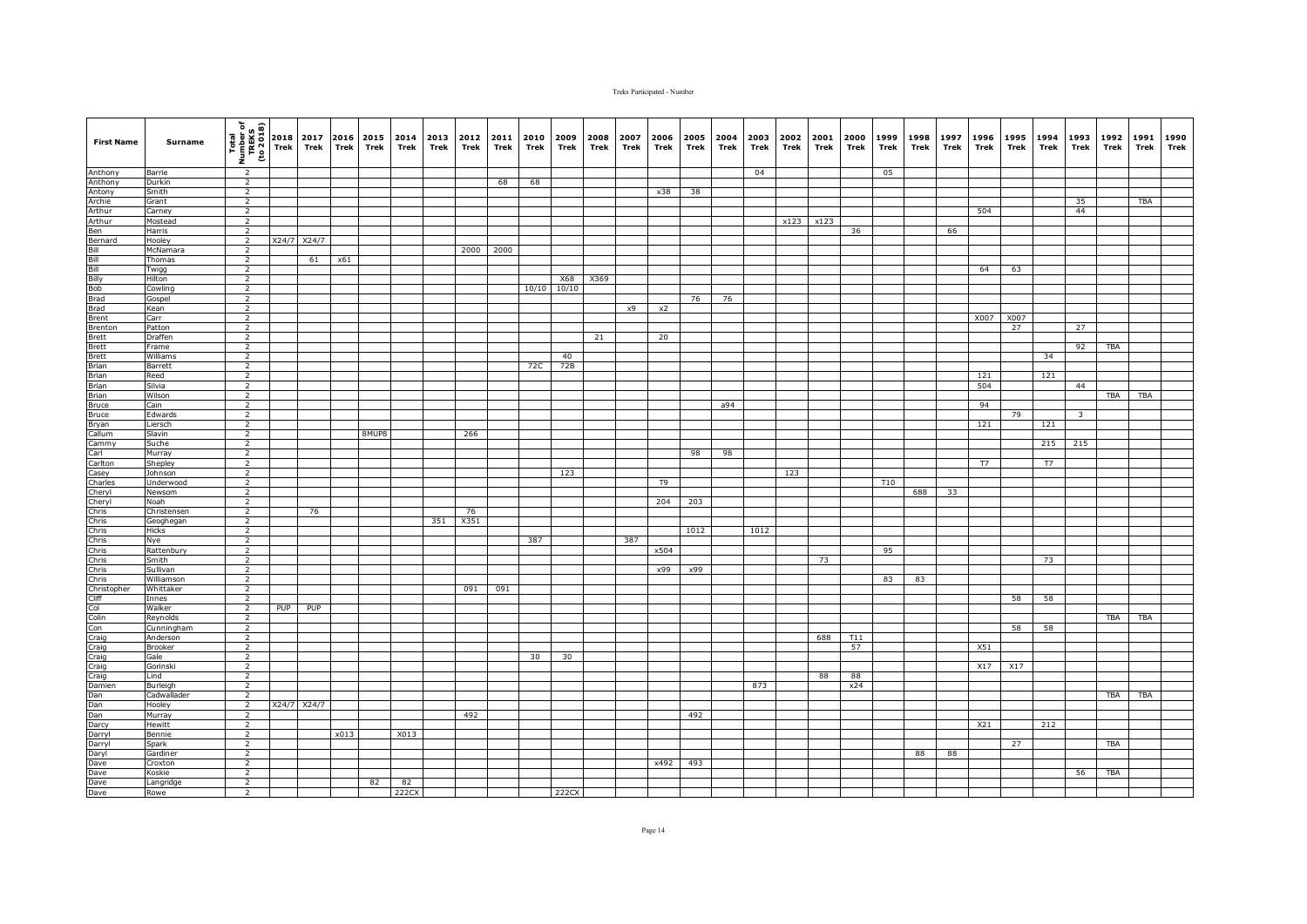| <b>First Name</b>                                                                                                                                                                                                                                                                                                                          | Surname           | $\begin{array}{c}\n\hline\n\text{Total} \\ \hline\n\text{Time} \\ \text{Time} \\ \text{Time} \\ \hline\n\end{array}\n\quad\n\begin{bmatrix}\n\text{Total} \\ \text{Total} \\ \text{Total} \\ \text{The} \\ \text{The} \\ \text{The} \\ \text{The} \\ \text{The} \\ \text{The} \\ \text{The} \\ \text{The} \\ \text{The} \\ \text{The} \\ \text{The} \\ \text{The} \\ \text{The} \\ \text{The} \\ \text{The} \\ \text{The} \\ \text{The} \\ \text{The} \\ \text{The} \\ \text{The} \\ \text{The} \\ \text{The} \\ \text{The} \\ \text{The$ |            | 2017<br>Trek | Trek        | 2016 2015<br>Trek | 2014<br>Trek | Trek | 2013 2012<br>Trek | 2011<br>Trek | 2010<br>Trek | 2009<br>Trek | 2008<br>Trek | 2007<br>Trek | 2006<br>Trek | 2005<br>Trek | 2004<br>Trek | 2003<br>Trek | 2002<br>Trek | 2001<br>Trek | 2000<br>Trek | 1999<br>Trek | 1998<br>Trek | 1997<br>Trek | 1996<br>Trek | 1995<br>Trek | 1994<br>Trek | 1993<br>Trek            | 1992<br>Trek | 1991<br>Trek | 1990<br>Trek |
|--------------------------------------------------------------------------------------------------------------------------------------------------------------------------------------------------------------------------------------------------------------------------------------------------------------------------------------------|-------------------|-------------------------------------------------------------------------------------------------------------------------------------------------------------------------------------------------------------------------------------------------------------------------------------------------------------------------------------------------------------------------------------------------------------------------------------------------------------------------------------------------------------------------------------------|------------|--------------|-------------|-------------------|--------------|------|-------------------|--------------|--------------|--------------|--------------|--------------|--------------|--------------|--------------|--------------|--------------|--------------|--------------|--------------|--------------|--------------|--------------|--------------|--------------|-------------------------|--------------|--------------|--------------|
| Anthony                                                                                                                                                                                                                                                                                                                                    | Barrie            | $\overline{2}$                                                                                                                                                                                                                                                                                                                                                                                                                                                                                                                            |            |              |             |                   |              |      |                   |              |              |              |              |              |              |              |              | 04           |              |              |              | 05           |              |              |              |              |              |                         |              |              |              |
| Anthony                                                                                                                                                                                                                                                                                                                                    | Durkin            | $\overline{2}$                                                                                                                                                                                                                                                                                                                                                                                                                                                                                                                            |            |              |             |                   |              |      |                   | 68           | 68           |              |              |              |              |              |              |              |              |              |              |              |              |              |              |              |              |                         |              |              |              |
| Antony<br>Antony                                                                                                                                                                                                                                                                                                                           | Smith             | $\overline{2}$                                                                                                                                                                                                                                                                                                                                                                                                                                                                                                                            |            |              |             |                   |              |      |                   |              |              |              |              |              | x38          | 38           |              |              |              |              |              |              |              |              |              |              |              |                         |              |              |              |
|                                                                                                                                                                                                                                                                                                                                            | Grant             | $\overline{2}$                                                                                                                                                                                                                                                                                                                                                                                                                                                                                                                            |            |              |             |                   |              |      |                   |              |              |              |              |              |              |              |              |              |              |              |              |              |              |              |              |              |              | 35                      |              | TBA          |              |
| Arthur                                                                                                                                                                                                                                                                                                                                     | Carney            | $\overline{2}$                                                                                                                                                                                                                                                                                                                                                                                                                                                                                                                            |            |              |             |                   |              |      |                   |              |              |              |              |              |              |              |              |              |              |              |              |              |              |              | 504          |              |              | 44                      |              |              |              |
|                                                                                                                                                                                                                                                                                                                                            | Mostead           | $\overline{2}$                                                                                                                                                                                                                                                                                                                                                                                                                                                                                                                            |            |              |             |                   |              |      |                   |              |              |              |              |              |              |              |              |              |              | x123 x123    |              |              |              |              |              |              |              |                         |              |              |              |
|                                                                                                                                                                                                                                                                                                                                            | Harris            | $\overline{2}$                                                                                                                                                                                                                                                                                                                                                                                                                                                                                                                            |            |              |             |                   |              |      |                   |              |              |              |              |              |              |              |              |              |              |              | 36           |              |              | 66           |              |              |              |                         |              |              |              |
|                                                                                                                                                                                                                                                                                                                                            | Hooley            | $\overline{2}$                                                                                                                                                                                                                                                                                                                                                                                                                                                                                                                            | X24/7      | X24/7        |             |                   |              |      |                   |              |              |              |              |              |              |              |              |              |              |              |              |              |              |              |              |              |              |                         |              |              |              |
|                                                                                                                                                                                                                                                                                                                                            | McNamara          | $\overline{2}$                                                                                                                                                                                                                                                                                                                                                                                                                                                                                                                            |            |              |             |                   |              |      | 2000              | 2000         |              |              |              |              |              |              |              |              |              |              |              |              |              |              |              |              |              |                         |              |              |              |
|                                                                                                                                                                                                                                                                                                                                            | Thomas            | $\overline{2}$                                                                                                                                                                                                                                                                                                                                                                                                                                                                                                                            |            | 61           | $\times 61$ |                   |              |      |                   |              |              |              |              |              |              |              |              |              |              |              |              |              |              |              |              |              |              |                         |              |              |              |
|                                                                                                                                                                                                                                                                                                                                            | Twigg             | $\overline{2}$                                                                                                                                                                                                                                                                                                                                                                                                                                                                                                                            |            |              |             |                   |              |      |                   |              |              |              |              |              |              |              |              |              |              |              |              |              |              |              | 64           | 63           |              |                         |              |              |              |
|                                                                                                                                                                                                                                                                                                                                            | Hilton            | $\overline{2}$                                                                                                                                                                                                                                                                                                                                                                                                                                                                                                                            |            |              |             |                   |              |      |                   |              |              | <b>X68</b>   | X369         |              |              |              |              |              |              |              |              |              |              |              |              |              |              |                         |              |              |              |
|                                                                                                                                                                                                                                                                                                                                            | Cowling           | $\overline{2}$                                                                                                                                                                                                                                                                                                                                                                                                                                                                                                                            |            |              |             |                   |              |      |                   |              | 10/10        | 10/10        |              |              |              |              |              |              |              |              |              |              |              |              |              |              |              |                         |              |              |              |
|                                                                                                                                                                                                                                                                                                                                            | Gospel            | $\overline{2}$                                                                                                                                                                                                                                                                                                                                                                                                                                                                                                                            |            |              |             |                   |              |      |                   |              |              |              |              |              |              | 76           | 76           |              |              |              |              |              |              |              |              |              |              |                         |              |              |              |
|                                                                                                                                                                                                                                                                                                                                            | Kean              | $\overline{2}$                                                                                                                                                                                                                                                                                                                                                                                                                                                                                                                            |            |              |             |                   |              |      |                   |              |              |              |              | x9           | x2           |              |              |              |              |              |              |              |              |              |              |              |              |                         |              |              |              |
|                                                                                                                                                                                                                                                                                                                                            | Carr              | $\overline{2}$                                                                                                                                                                                                                                                                                                                                                                                                                                                                                                                            |            |              |             |                   |              |      |                   |              |              |              |              |              |              |              |              |              |              |              |              |              |              |              | X007         | X007         |              |                         |              |              |              |
|                                                                                                                                                                                                                                                                                                                                            | Patton            | $\overline{2}$                                                                                                                                                                                                                                                                                                                                                                                                                                                                                                                            |            |              |             |                   |              |      |                   |              |              |              |              |              |              |              |              |              |              |              |              |              |              |              |              | 27           |              | 27                      |              |              |              |
|                                                                                                                                                                                                                                                                                                                                            | Draffen           | $\overline{2}$                                                                                                                                                                                                                                                                                                                                                                                                                                                                                                                            |            |              |             |                   |              |      |                   |              |              |              | 21           |              | 20           |              |              |              |              |              |              |              |              |              |              |              |              |                         |              |              |              |
|                                                                                                                                                                                                                                                                                                                                            | Frame<br>Williams | $\overline{2}$                                                                                                                                                                                                                                                                                                                                                                                                                                                                                                                            |            |              |             |                   |              |      |                   |              |              | 40           |              |              |              |              |              |              |              |              |              |              |              |              |              |              |              | 92                      | <b>TBA</b>   |              |              |
|                                                                                                                                                                                                                                                                                                                                            |                   | $\overline{2}$                                                                                                                                                                                                                                                                                                                                                                                                                                                                                                                            |            |              |             |                   |              |      |                   |              | 72C          | 72B          |              |              |              |              |              |              |              |              |              |              |              |              |              |              | 34           |                         |              |              |              |
| Brett<br>Brian<br>Brian<br>Brian                                                                                                                                                                                                                                                                                                           | Barrett<br>Reed   | $\overline{2}$<br>$\overline{2}$                                                                                                                                                                                                                                                                                                                                                                                                                                                                                                          |            |              |             |                   |              |      |                   |              |              |              |              |              |              |              |              |              |              |              |              |              |              |              | 121          |              | 121          |                         |              |              |              |
|                                                                                                                                                                                                                                                                                                                                            | Silvia            | $\overline{2}$                                                                                                                                                                                                                                                                                                                                                                                                                                                                                                                            |            |              |             |                   |              |      |                   |              |              |              |              |              |              |              |              |              |              |              |              |              |              |              | 504          |              |              | 44                      |              |              |              |
|                                                                                                                                                                                                                                                                                                                                            | Wilson            | $\overline{2}$                                                                                                                                                                                                                                                                                                                                                                                                                                                                                                                            |            |              |             |                   |              |      |                   |              |              |              |              |              |              |              |              |              |              |              |              |              |              |              |              |              |              |                         | <b>TBA</b>   | <b>TBA</b>   |              |
|                                                                                                                                                                                                                                                                                                                                            | Cain              | $\overline{2}$                                                                                                                                                                                                                                                                                                                                                                                                                                                                                                                            |            |              |             |                   |              |      |                   |              |              |              |              |              |              |              | a94          |              |              |              |              |              |              |              | 94           |              |              |                         |              |              |              |
| Brian<br>Bruce<br>Bruce                                                                                                                                                                                                                                                                                                                    | Edwards           | $\overline{2}$                                                                                                                                                                                                                                                                                                                                                                                                                                                                                                                            |            |              |             |                   |              |      |                   |              |              |              |              |              |              |              |              |              |              |              |              |              |              |              |              | 79           |              | $\overline{\mathbf{3}}$ |              |              |              |
|                                                                                                                                                                                                                                                                                                                                            | Liersch           | $\overline{2}$                                                                                                                                                                                                                                                                                                                                                                                                                                                                                                                            |            |              |             |                   |              |      |                   |              |              |              |              |              |              |              |              |              |              |              |              |              |              |              | 121          |              | 121          |                         |              |              |              |
|                                                                                                                                                                                                                                                                                                                                            | Slavin            | $\overline{2}$                                                                                                                                                                                                                                                                                                                                                                                                                                                                                                                            |            |              |             | 8MUP8             |              |      | 266               |              |              |              |              |              |              |              |              |              |              |              |              |              |              |              |              |              |              |                         |              |              |              |
|                                                                                                                                                                                                                                                                                                                                            | Suche             | $\overline{2}$                                                                                                                                                                                                                                                                                                                                                                                                                                                                                                                            |            |              |             |                   |              |      |                   |              |              |              |              |              |              |              |              |              |              |              |              |              |              |              |              |              | 215          | 215                     |              |              |              |
| Bryan<br>Callum<br>Cammy<br>Carl                                                                                                                                                                                                                                                                                                           | Murray            | $\overline{2}$                                                                                                                                                                                                                                                                                                                                                                                                                                                                                                                            |            |              |             |                   |              |      |                   |              |              |              |              |              |              | 98           | 98           |              |              |              |              |              |              |              |              |              |              |                         |              |              |              |
|                                                                                                                                                                                                                                                                                                                                            | Shepley           | $\overline{2}$                                                                                                                                                                                                                                                                                                                                                                                                                                                                                                                            |            |              |             |                   |              |      |                   |              |              |              |              |              |              |              |              |              |              |              |              |              |              |              | T7           |              | T7           |                         |              |              |              |
|                                                                                                                                                                                                                                                                                                                                            | Johnson           | $\overline{2}$                                                                                                                                                                                                                                                                                                                                                                                                                                                                                                                            |            |              |             |                   |              |      |                   |              |              | 123          |              |              |              |              |              |              | 123          |              |              |              |              |              |              |              |              |                         |              |              |              |
|                                                                                                                                                                                                                                                                                                                                            | Underwood         | $\overline{2}$                                                                                                                                                                                                                                                                                                                                                                                                                                                                                                                            |            |              |             |                   |              |      |                   |              |              |              |              |              | T9           |              |              |              |              |              |              | T10          |              |              |              |              |              |                         |              |              |              |
|                                                                                                                                                                                                                                                                                                                                            | Newsom            | $\overline{2}$                                                                                                                                                                                                                                                                                                                                                                                                                                                                                                                            |            |              |             |                   |              |      |                   |              |              |              |              |              |              |              |              |              |              |              |              |              | 688          | 33           |              |              |              |                         |              |              |              |
|                                                                                                                                                                                                                                                                                                                                            | Noah              | $\overline{2}$                                                                                                                                                                                                                                                                                                                                                                                                                                                                                                                            |            |              |             |                   |              |      |                   |              |              |              |              |              | 204          | 203          |              |              |              |              |              |              |              |              |              |              |              |                         |              |              |              |
|                                                                                                                                                                                                                                                                                                                                            | Christensen       | $\overline{2}$                                                                                                                                                                                                                                                                                                                                                                                                                                                                                                                            |            | 76           |             |                   |              |      | 76                |              |              |              |              |              |              |              |              |              |              |              |              |              |              |              |              |              |              |                         |              |              |              |
|                                                                                                                                                                                                                                                                                                                                            | Geoghegan         | $\overline{2}$                                                                                                                                                                                                                                                                                                                                                                                                                                                                                                                            |            |              |             |                   |              | 351  | X351              |              |              |              |              |              |              |              |              |              |              |              |              |              |              |              |              |              |              |                         |              |              |              |
|                                                                                                                                                                                                                                                                                                                                            | <b>Hicks</b>      | $\overline{2}$<br>$\overline{2}$                                                                                                                                                                                                                                                                                                                                                                                                                                                                                                          |            |              |             |                   |              |      |                   |              | 387          |              |              | 387          |              | 1012         |              | 1012         |              |              |              |              |              |              |              |              |              |                         |              |              |              |
|                                                                                                                                                                                                                                                                                                                                            | Nye<br>Rattenbury | $\overline{2}$                                                                                                                                                                                                                                                                                                                                                                                                                                                                                                                            |            |              |             |                   |              |      |                   |              |              |              |              |              | x504         |              |              |              |              |              |              | 95           |              |              |              |              |              |                         |              |              |              |
|                                                                                                                                                                                                                                                                                                                                            | Smith             | $\overline{2}$                                                                                                                                                                                                                                                                                                                                                                                                                                                                                                                            |            |              |             |                   |              |      |                   |              |              |              |              |              |              |              |              |              |              | 73           |              |              |              |              |              |              | 73           |                         |              |              |              |
|                                                                                                                                                                                                                                                                                                                                            | Sullivan          | $\overline{2}$                                                                                                                                                                                                                                                                                                                                                                                                                                                                                                                            |            |              |             |                   |              |      |                   |              |              |              |              |              | x99          | x99          |              |              |              |              |              |              |              |              |              |              |              |                         |              |              |              |
|                                                                                                                                                                                                                                                                                                                                            | Williamson        | $\overline{2}$                                                                                                                                                                                                                                                                                                                                                                                                                                                                                                                            |            |              |             |                   |              |      |                   |              |              |              |              |              |              |              |              |              |              |              |              | 83           | 83           |              |              |              |              |                         |              |              |              |
|                                                                                                                                                                                                                                                                                                                                            | Whittaker         | 2                                                                                                                                                                                                                                                                                                                                                                                                                                                                                                                                         |            |              |             |                   |              |      | 091               | 091          |              |              |              |              |              |              |              |              |              |              |              |              |              |              |              |              |              |                         |              |              |              |
|                                                                                                                                                                                                                                                                                                                                            | Innes             | $\overline{2}$                                                                                                                                                                                                                                                                                                                                                                                                                                                                                                                            |            |              |             |                   |              |      |                   |              |              |              |              |              |              |              |              |              |              |              |              |              |              |              |              | 58           | 58           |                         |              |              |              |
|                                                                                                                                                                                                                                                                                                                                            | Walker            | $\overline{2}$                                                                                                                                                                                                                                                                                                                                                                                                                                                                                                                            | <b>PUP</b> | PUP          |             |                   |              |      |                   |              |              |              |              |              |              |              |              |              |              |              |              |              |              |              |              |              |              |                         |              |              |              |
|                                                                                                                                                                                                                                                                                                                                            | Reynolds          | $\overline{2}$                                                                                                                                                                                                                                                                                                                                                                                                                                                                                                                            |            |              |             |                   |              |      |                   |              |              |              |              |              |              |              |              |              |              |              |              |              |              |              |              |              |              |                         | TBA          | TBA          |              |
|                                                                                                                                                                                                                                                                                                                                            | Cunningham        | $\overline{2}$                                                                                                                                                                                                                                                                                                                                                                                                                                                                                                                            |            |              |             |                   |              |      |                   |              |              |              |              |              |              |              |              |              |              |              |              |              |              |              |              | 58           | 58           |                         |              |              |              |
|                                                                                                                                                                                                                                                                                                                                            | Anderson          | $\overline{2}$                                                                                                                                                                                                                                                                                                                                                                                                                                                                                                                            |            |              |             |                   |              |      |                   |              |              |              |              |              |              |              |              |              |              | 688          | T11          |              |              |              |              |              |              |                         |              |              |              |
|                                                                                                                                                                                                                                                                                                                                            | Brooker           | $\overline{2}$                                                                                                                                                                                                                                                                                                                                                                                                                                                                                                                            |            |              |             |                   |              |      |                   |              |              |              |              |              |              |              |              |              |              |              | 57           |              |              |              | X51          |              |              |                         |              |              |              |
|                                                                                                                                                                                                                                                                                                                                            | Gale              | $\overline{2}$                                                                                                                                                                                                                                                                                                                                                                                                                                                                                                                            |            |              |             |                   |              |      |                   |              | 30           | 30           |              |              |              |              |              |              |              |              |              |              |              |              |              |              |              |                         |              |              |              |
|                                                                                                                                                                                                                                                                                                                                            | Gorinski          | $\overline{2}$                                                                                                                                                                                                                                                                                                                                                                                                                                                                                                                            |            |              |             |                   |              |      |                   |              |              |              |              |              |              |              |              |              |              |              |              |              |              |              | X17          | X17          |              |                         |              |              |              |
|                                                                                                                                                                                                                                                                                                                                            | Lind              | $\overline{2}$                                                                                                                                                                                                                                                                                                                                                                                                                                                                                                                            |            |              |             |                   |              |      |                   |              |              |              |              |              |              |              |              |              |              | 88           | 88           |              |              |              |              |              |              |                         |              |              |              |
|                                                                                                                                                                                                                                                                                                                                            | Burleigh          | $\overline{2}$                                                                                                                                                                                                                                                                                                                                                                                                                                                                                                                            |            |              |             |                   |              |      |                   |              |              |              |              |              |              |              |              | 873          |              |              | x24          |              |              |              |              |              |              |                         |              |              |              |
|                                                                                                                                                                                                                                                                                                                                            | Cadwallader       | $\overline{2}$                                                                                                                                                                                                                                                                                                                                                                                                                                                                                                                            |            |              |             |                   |              |      |                   |              |              |              |              |              |              |              |              |              |              |              |              |              |              |              |              |              |              |                         | TBA          | <b>TBA</b>   |              |
|                                                                                                                                                                                                                                                                                                                                            | Hooley            | $\overline{2}$                                                                                                                                                                                                                                                                                                                                                                                                                                                                                                                            |            | X24/7 X24/7  |             |                   |              |      |                   |              |              |              |              |              |              |              |              |              |              |              |              |              |              |              |              |              |              |                         |              |              |              |
|                                                                                                                                                                                                                                                                                                                                            | Murray            | $\overline{2}$                                                                                                                                                                                                                                                                                                                                                                                                                                                                                                                            |            |              |             |                   |              |      | 492               |              |              |              |              |              |              | 492          |              |              |              |              |              |              |              |              |              |              |              |                         |              |              |              |
| Carlton<br>Gharles<br>Cheryl<br>Chris<br>Chris<br>Chris<br>Chris<br>Chris<br>Chris<br>Chris<br>Chris<br>Chris<br>Colin<br>Craig<br>Caig<br>Craig<br>Chris<br>Chris<br>Chris<br>Chris<br>Chris<br>Chris<br>Chris<br>Chris<br>Chris<br>Chris<br>Chris<br>Chris<br>Chris<br>Chris<br>Chris<br>Chris<br>Chris<br>Chris<br>Chris<br>Chris<br>Ch | Hewitt            | $\overline{2}$<br>$\overline{2}$                                                                                                                                                                                                                                                                                                                                                                                                                                                                                                          |            |              | x013        |                   | X013         |      |                   |              |              |              |              |              |              |              |              |              |              |              |              |              |              |              | X21          |              | 212          |                         |              |              |              |
|                                                                                                                                                                                                                                                                                                                                            | Bennie<br>Spark   | $\overline{2}$                                                                                                                                                                                                                                                                                                                                                                                                                                                                                                                            |            |              |             |                   |              |      |                   |              |              |              |              |              |              |              |              |              |              |              |              |              |              |              |              | 27           |              |                         | TBA          |              |              |
| Daryl                                                                                                                                                                                                                                                                                                                                      | Gardiner          | $\overline{2}$                                                                                                                                                                                                                                                                                                                                                                                                                                                                                                                            |            |              |             |                   |              |      |                   |              |              |              |              |              |              |              |              |              |              |              |              |              | 88           | 88           |              |              |              |                         |              |              |              |
|                                                                                                                                                                                                                                                                                                                                            | Croxton           | $\overline{2}$                                                                                                                                                                                                                                                                                                                                                                                                                                                                                                                            |            |              |             |                   |              |      |                   |              |              |              |              |              | x492         | 493          |              |              |              |              |              |              |              |              |              |              |              |                         |              |              |              |
| Dave<br>Dave<br>Dave<br>Dave                                                                                                                                                                                                                                                                                                               | Koskie            | $\overline{2}$                                                                                                                                                                                                                                                                                                                                                                                                                                                                                                                            |            |              |             |                   |              |      |                   |              |              |              |              |              |              |              |              |              |              |              |              |              |              |              |              |              |              | 56                      | <b>TBA</b>   |              |              |
|                                                                                                                                                                                                                                                                                                                                            | Langridge         | $\overline{2}$                                                                                                                                                                                                                                                                                                                                                                                                                                                                                                                            |            |              |             | 82                | 82           |      |                   |              |              |              |              |              |              |              |              |              |              |              |              |              |              |              |              |              |              |                         |              |              |              |
|                                                                                                                                                                                                                                                                                                                                            | Rowe              | $\overline{2}$                                                                                                                                                                                                                                                                                                                                                                                                                                                                                                                            |            |              |             |                   | 222CX        |      |                   |              |              | 222CX        |              |              |              |              |              |              |              |              |              |              |              |              |              |              |              |                         |              |              |              |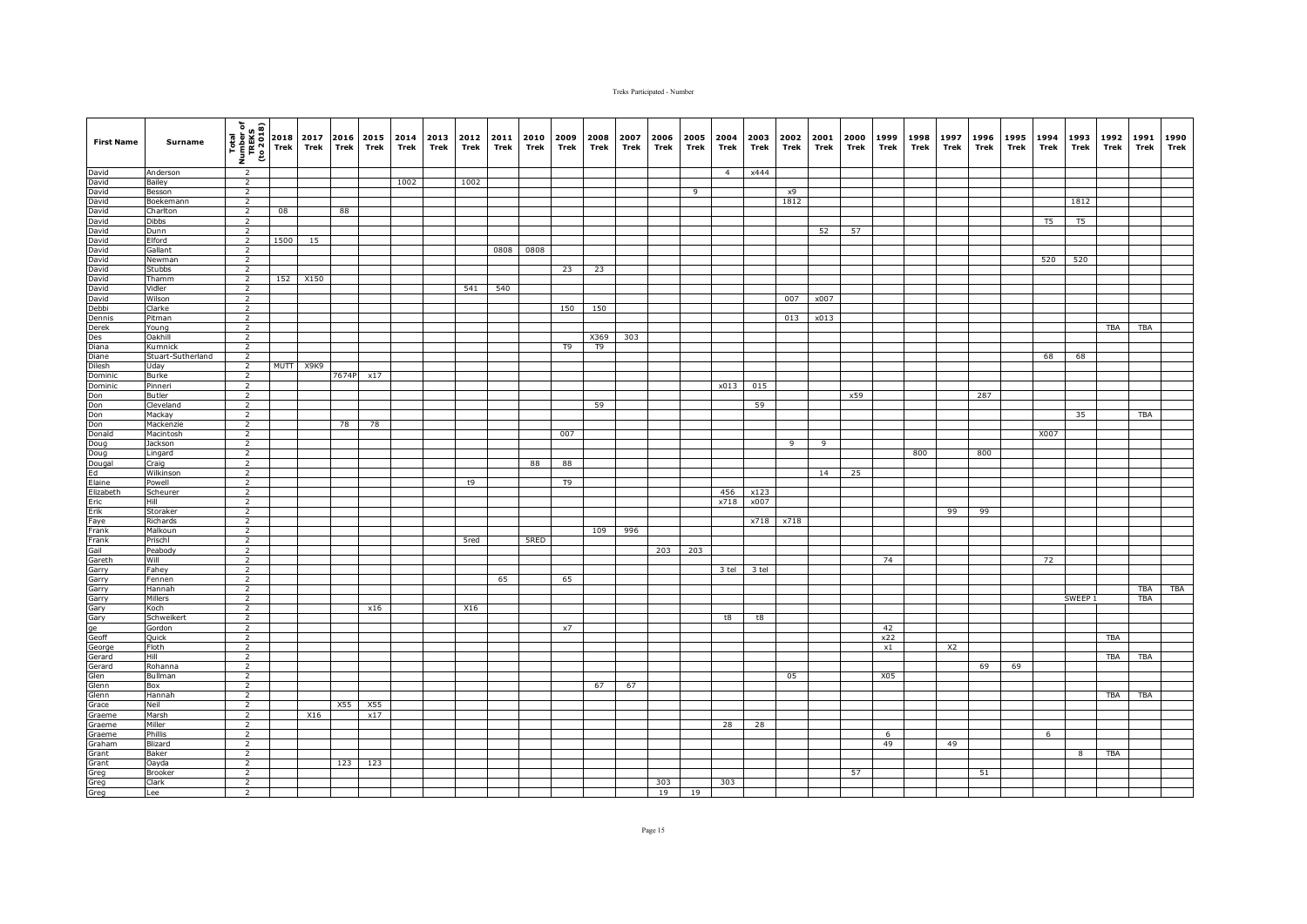| <b>First Name</b>                                                              | <b>Surname</b>        | Total<br>Number of<br>TREKS<br>TREKS<br>To 2018) | 2018<br>Trek | 2017<br>Trek | 2016<br><b>Trek</b> | 2015<br>Trek | 2014<br>Trek | 2013<br>Trek | 2012<br>Trek | 2011<br>Trek | 2010<br>Trek | 2009<br>Trek | 2008<br>Trek   | 2007<br>Trek | 2006<br>Trek | 2005<br>Trek   | 2004<br>Trek   | 2003<br>Trek | 2002<br>Trek | 2001<br>Trek | 2000<br>Trek | 1999<br>Trek | 1998<br>Trek | 1997<br>Trek   | 1996<br>Trek | 1995<br>Trek | 1994<br>Trek   | 1993<br>Trek            | 1992<br>Trek | 1991<br>Trek | 1990<br>Trek |
|--------------------------------------------------------------------------------|-----------------------|--------------------------------------------------|--------------|--------------|---------------------|--------------|--------------|--------------|--------------|--------------|--------------|--------------|----------------|--------------|--------------|----------------|----------------|--------------|--------------|--------------|--------------|--------------|--------------|----------------|--------------|--------------|----------------|-------------------------|--------------|--------------|--------------|
| David                                                                          | Anderson              | $\overline{2}$                                   |              |              |                     |              |              |              |              |              |              |              |                |              |              |                | $\overline{4}$ | x444         |              |              |              |              |              |                |              |              |                |                         |              |              |              |
| David                                                                          | Bailey                | $\overline{2}$                                   |              |              |                     |              | 1002         |              | 1002         |              |              |              |                |              |              |                |                |              |              |              |              |              |              |                |              |              |                |                         |              |              |              |
| David<br>David<br>David                                                        | Besson                | $\overline{2}$<br>$\overline{2}$                 |              |              |                     |              |              |              |              |              |              |              |                |              |              | $\overline{9}$ |                |              | x9<br>1812   |              |              |              |              |                |              |              |                |                         |              |              |              |
|                                                                                | Boekemann<br>Charlton | $\overline{2}$                                   | 08           |              | 88                  |              |              |              |              |              |              |              |                |              |              |                |                |              |              |              |              |              |              |                |              |              |                | 1812                    |              |              |              |
| David                                                                          | <b>Dibbs</b>          | $\overline{2}$                                   |              |              |                     |              |              |              |              |              |              |              |                |              |              |                |                |              |              |              |              |              |              |                |              |              | T <sub>5</sub> | T5                      |              |              |              |
| David                                                                          | Dunn                  | 2                                                |              |              |                     |              |              |              |              |              |              |              |                |              |              |                |                |              |              | 52           | 57           |              |              |                |              |              |                |                         |              |              |              |
|                                                                                | Elford                | $\overline{2}$                                   | 1500         | 15           |                     |              |              |              |              |              |              |              |                |              |              |                |                |              |              |              |              |              |              |                |              |              |                |                         |              |              |              |
|                                                                                | Gallant               | $\overline{2}$                                   |              |              |                     |              |              |              |              | 0808         | 0808         |              |                |              |              |                |                |              |              |              |              |              |              |                |              |              |                |                         |              |              |              |
| David<br>David<br>David<br>David<br>David<br>David                             | Newman                | $\overline{2}$                                   |              |              |                     |              |              |              |              |              |              |              |                |              |              |                |                |              |              |              |              |              |              |                |              |              | 520            | 520                     |              |              |              |
|                                                                                | Stubbs                | $\overline{2}$                                   |              |              |                     |              |              |              |              |              |              | 23           | 23             |              |              |                |                |              |              |              |              |              |              |                |              |              |                |                         |              |              |              |
|                                                                                | Thamm<br>Vidler       | $\overline{2}$<br>2                              | 152          | X150         |                     |              |              |              | 541          | 540          |              |              |                |              |              |                |                |              |              |              |              |              |              |                |              |              |                |                         |              |              |              |
|                                                                                | Wilson                | $\overline{2}$                                   |              |              |                     |              |              |              |              |              |              |              |                |              |              |                |                |              | 007          | x007         |              |              |              |                |              |              |                |                         |              |              |              |
|                                                                                | Clarke                | $\overline{2}$                                   |              |              |                     |              |              |              |              |              |              | 150          | 150            |              |              |                |                |              |              |              |              |              |              |                |              |              |                |                         |              |              |              |
|                                                                                | Pitman                | $\overline{2}$                                   |              |              |                     |              |              |              |              |              |              |              |                |              |              |                |                |              | 013          | x013         |              |              |              |                |              |              |                |                         |              |              |              |
|                                                                                | Young                 | $\overline{2}$                                   |              |              |                     |              |              |              |              |              |              |              |                |              |              |                |                |              |              |              |              |              |              |                |              |              |                |                         | <b>TBA</b>   | <b>TBA</b>   |              |
|                                                                                | Oakhill               | $\overline{2}$                                   |              |              |                     |              |              |              |              |              |              |              | X369           | 303          |              |                |                |              |              |              |              |              |              |                |              |              |                |                         |              |              |              |
|                                                                                | Kumnick               | $\overline{2}$                                   |              |              |                     |              |              |              |              |              |              | T9           | T <sub>9</sub> |              |              |                |                |              |              |              |              |              |              |                |              |              |                |                         |              |              |              |
| David<br>Debbi<br>Dennis<br>Des<br>Diana<br>Diane<br>Dilesh                    | Stuart-Sutherland     | $\overline{2}$                                   |              |              |                     |              |              |              |              |              |              |              |                |              |              |                |                |              |              |              |              |              |              |                |              |              | 68             | 68                      |              |              |              |
| Dominic                                                                        | Uday                  | $\overline{2}$                                   |              | MUTT X9K9    |                     |              |              |              |              |              |              |              |                |              |              |                |                |              |              |              |              |              |              |                |              |              |                |                         |              |              |              |
| <b>Dominic</b>                                                                 | Burke<br>Pinneri      | $\overline{2}$<br>$\overline{2}$                 |              |              | 7674P               | x17          |              |              |              |              |              |              |                |              |              |                | x013           | 015          |              |              |              |              |              |                |              |              |                |                         |              |              |              |
|                                                                                | Butler                | $\overline{2}$                                   |              |              |                     |              |              |              |              |              |              |              |                |              |              |                |                |              |              |              | x59          |              |              |                | 287          |              |                |                         |              |              |              |
|                                                                                | Cleveland             | $\overline{2}$                                   |              |              |                     |              |              |              |              |              |              |              | 59             |              |              |                |                | 59           |              |              |              |              |              |                |              |              |                |                         |              |              |              |
|                                                                                | Mackay                | $\overline{2}$                                   |              |              |                     |              |              |              |              |              |              |              |                |              |              |                |                |              |              |              |              |              |              |                |              |              |                | 35                      |              | TBA          |              |
|                                                                                | Mackenzie             | $\overline{2}$                                   |              |              | 78                  | 78           |              |              |              |              |              |              |                |              |              |                |                |              |              |              |              |              |              |                |              |              |                |                         |              |              |              |
|                                                                                | Macintosh             | $\overline{2}$                                   |              |              |                     |              |              |              |              |              |              | 007          |                |              |              |                |                |              |              |              |              |              |              |                |              |              | X007           |                         |              |              |              |
|                                                                                | Jackson               | 2                                                |              |              |                     |              |              |              |              |              |              |              |                |              |              |                |                |              | -9           | $\mathbf{q}$ |              |              |              |                |              |              |                |                         |              |              |              |
|                                                                                | Lingard               | $\overline{2}$<br>$\overline{2}$                 |              |              |                     |              |              |              |              |              |              | 88           |                |              |              |                |                |              |              |              |              |              | 800          |                | 800          |              |                |                         |              |              |              |
| Don<br>Don<br>Don<br>Donald<br>Doug<br>Dougal<br>Ed<br>Elaine                  | Craig<br>Wilkinson    | $\overline{2}$                                   |              |              |                     |              |              |              |              |              | 88           |              |                |              |              |                |                |              |              | 14           | 25           |              |              |                |              |              |                |                         |              |              |              |
|                                                                                | Powell                | $\overline{2}$                                   |              |              |                     |              |              |              | t9           |              |              | T9           |                |              |              |                |                |              |              |              |              |              |              |                |              |              |                |                         |              |              |              |
| Elizabeth                                                                      | Scheurer              | $\overline{2}$                                   |              |              |                     |              |              |              |              |              |              |              |                |              |              |                | 456            | x123         |              |              |              |              |              |                |              |              |                |                         |              |              |              |
| Eric<br>Erik                                                                   | Hill                  | $\overline{2}$                                   |              |              |                     |              |              |              |              |              |              |              |                |              |              |                | x718           | x007         |              |              |              |              |              |                |              |              |                |                         |              |              |              |
|                                                                                | Storaker              | $\overline{2}$                                   |              |              |                     |              |              |              |              |              |              |              |                |              |              |                |                |              |              |              |              |              |              | 99             | 99           |              |                |                         |              |              |              |
| Faye<br>Frank<br>Frank                                                         | Richards              | $\overline{2}$                                   |              |              |                     |              |              |              |              |              |              |              |                |              |              |                |                | x718         | x718         |              |              |              |              |                |              |              |                |                         |              |              |              |
|                                                                                | Malkoun               | $\overline{2}$<br>$\overline{2}$                 |              |              |                     |              |              |              |              |              |              |              | 109            | 996          |              |                |                |              |              |              |              |              |              |                |              |              |                |                         |              |              |              |
|                                                                                | Prischl<br>Peabody    | $\overline{2}$                                   |              |              |                     |              |              |              | 5red         |              | 5RED         |              |                |              | 203          | 203            |                |              |              |              |              |              |              |                |              |              |                |                         |              |              |              |
|                                                                                | Will                  | 2                                                |              |              |                     |              |              |              |              |              |              |              |                |              |              |                |                |              |              |              |              | 74           |              |                |              |              | 72             |                         |              |              |              |
|                                                                                | Fahey                 | $\overline{2}$                                   |              |              |                     |              |              |              |              |              |              |              |                |              |              |                | 3 tel          | 3 tel        |              |              |              |              |              |                |              |              |                |                         |              |              |              |
|                                                                                | Fennen                | $\overline{2}$                                   |              |              |                     |              |              |              |              | 65           |              | 65           |                |              |              |                |                |              |              |              |              |              |              |                |              |              |                |                         |              |              |              |
|                                                                                | Hannah                | 2                                                |              |              |                     |              |              |              |              |              |              |              |                |              |              |                |                |              |              |              |              |              |              |                |              |              |                |                         |              | TBA          | <b>TBA</b>   |
|                                                                                | Millers               | $\overline{2}$                                   |              |              |                     |              |              |              |              |              |              |              |                |              |              |                |                |              |              |              |              |              |              |                |              |              |                | SWEEP 1                 |              | TBA          |              |
|                                                                                | Koch                  | $\overline{2}$                                   |              |              |                     | x16          |              |              | X16          |              |              |              |                |              |              |                |                |              |              |              |              |              |              |                |              |              |                |                         |              |              |              |
|                                                                                | Schweikert            | $\overline{2}$<br>$\overline{2}$                 |              |              |                     |              |              |              |              |              |              | x7           |                |              |              |                | t8             | t8           |              |              |              |              |              |                |              |              |                |                         |              |              |              |
|                                                                                | Gordon<br>Quick       | $\overline{2}$                                   |              |              |                     |              |              |              |              |              |              |              |                |              |              |                |                |              |              |              |              | 42<br>x22    |              |                |              |              |                |                         | <b>TBA</b>   |              |              |
| Gail<br>Gareth<br>Garry<br>Garry<br>Garry<br>Gary<br>Geoff<br>George<br>George | Floth                 | $\overline{2}$                                   |              |              |                     |              |              |              |              |              |              |              |                |              |              |                |                |              |              |              |              | $\times 1$   |              | X <sub>2</sub> |              |              |                |                         |              |              |              |
|                                                                                | Hill                  | $\overline{2}$                                   |              |              |                     |              |              |              |              |              |              |              |                |              |              |                |                |              |              |              |              |              |              |                |              |              |                |                         | TBA          | TBA          |              |
| Gerard                                                                         | Rohanna               | $\overline{2}$                                   |              |              |                     |              |              |              |              |              |              |              |                |              |              |                |                |              |              |              |              |              |              |                | 69           | 69           |                |                         |              |              |              |
| Glen                                                                           | Bullman               | 2                                                |              |              |                     |              |              |              |              |              |              |              |                |              |              |                |                |              | 05           |              |              | X05          |              |                |              |              |                |                         |              |              |              |
| Glenn<br>Glenn<br>Grace                                                        | Box                   | $\overline{2}$                                   |              |              |                     |              |              |              |              |              |              |              | 67             | 67           |              |                |                |              |              |              |              |              |              |                |              |              |                |                         |              |              |              |
|                                                                                | Hannah                | $\overline{2}$                                   |              |              |                     |              |              |              |              |              |              |              |                |              |              |                |                |              |              |              |              |              |              |                |              |              |                |                         | TBA          | <b>TBA</b>   |              |
|                                                                                | Neil                  | $\overline{2}$                                   |              |              | X55                 | X55          |              |              |              |              |              |              |                |              |              |                |                |              |              |              |              |              |              |                |              |              |                |                         |              |              |              |
| Graeme<br>Graeme                                                               | Marsh<br>Miller       | $\overline{2}$<br>2                              |              | X16          |                     | x17          |              |              |              |              |              |              |                |              |              |                | 28             | 28           |              |              |              |              |              |                |              |              |                |                         |              |              |              |
| Graeme                                                                         | Phillis               | $\overline{2}$                                   |              |              |                     |              |              |              |              |              |              |              |                |              |              |                |                |              |              |              |              | 6            |              |                |              |              | 6              |                         |              |              |              |
| Graham                                                                         | Blizard               | $\overline{2}$                                   |              |              |                     |              |              |              |              |              |              |              |                |              |              |                |                |              |              |              |              | 49           |              | 49             |              |              |                |                         |              |              |              |
| Grant                                                                          | Baker                 | $\overline{2}$                                   |              |              |                     |              |              |              |              |              |              |              |                |              |              |                |                |              |              |              |              |              |              |                |              |              |                | $\overline{\mathbf{8}}$ | <b>TBA</b>   |              |              |
| Grant                                                                          | Oayda                 | $\overline{2}$                                   |              |              |                     | 123 123      |              |              |              |              |              |              |                |              |              |                |                |              |              |              |              |              |              |                |              |              |                |                         |              |              |              |
| Greg<br>Greg<br>Greg                                                           | <b>Brooker</b>        | $\overline{2}$                                   |              |              |                     |              |              |              |              |              |              |              |                |              |              |                |                |              |              |              | 57           |              |              |                | 51           |              |                |                         |              |              |              |
|                                                                                | Clark                 | $\overline{2}$                                   |              |              |                     |              |              |              |              |              |              |              |                |              | 303          |                | 303            |              |              |              |              |              |              |                |              |              |                |                         |              |              |              |
|                                                                                | Lee                   | $\overline{2}$                                   |              |              |                     |              |              |              |              |              |              |              |                |              | 19           | 19             |                |              |              |              |              |              |              |                |              |              |                |                         |              |              |              |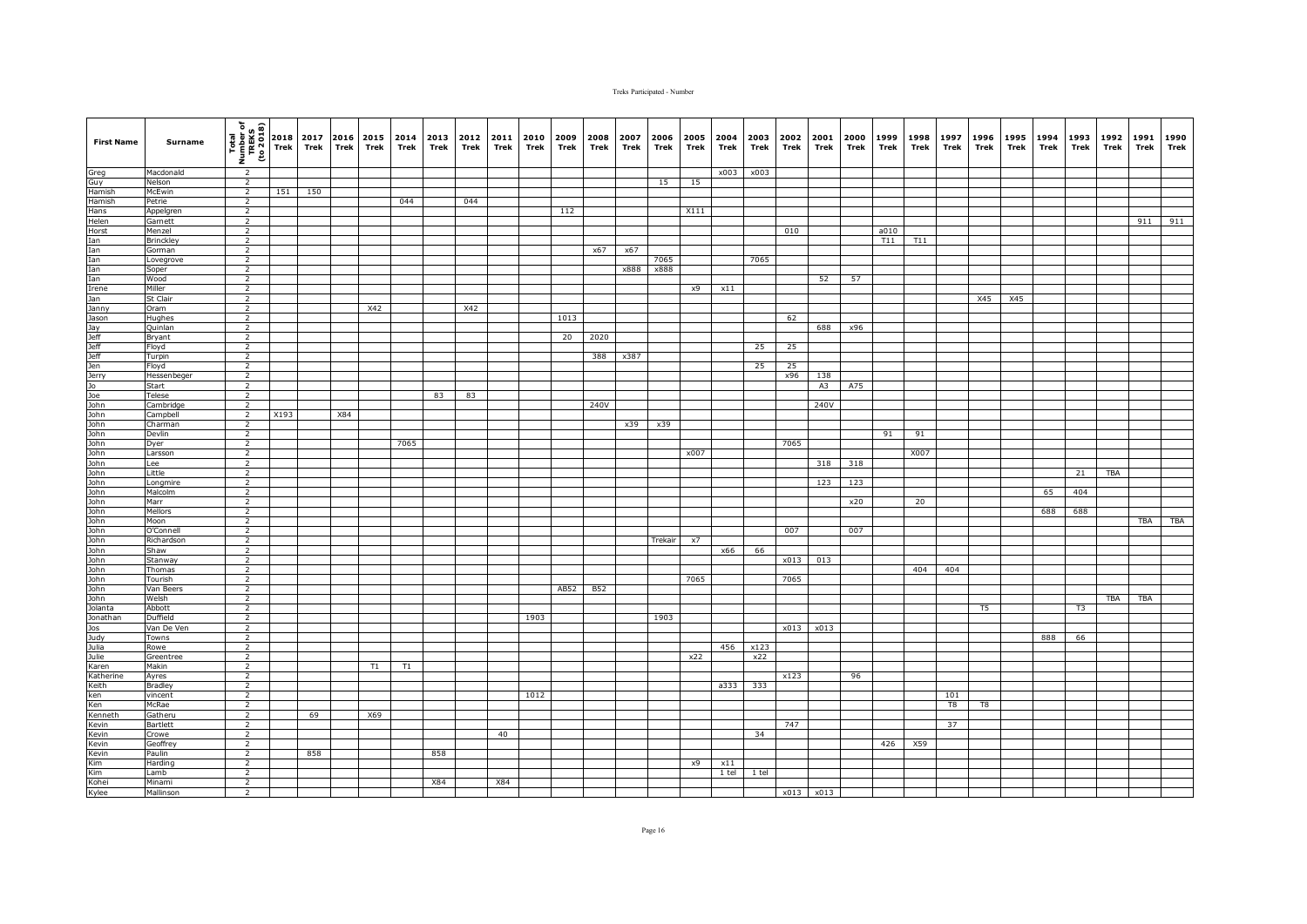| <b>First Name</b>                                                                                                                                                                                                                | <b>Surname</b>       | (1802 or)<br>TREKS<br>TREKS<br>Thom I | 2018<br>Trek | 2017<br>Trek | 2016<br><b>Trek</b> | 2015<br>Trek | 2014<br>Trek | 2013<br>Trek | 2012<br>Trek | 2011<br>Trek | 2010<br>Trek | 2009<br>Trek | 2008<br>Trek | 2007<br>Trek | 2006<br>Trek | 2005<br>Trek | 2004<br>Trek | 2003<br>Trek | 2002<br>Trek | 2001<br>Trek | 2000<br>Trek | 1999<br>Trek | 1998<br>Trek | 1997<br>Trek | 1996<br>Trek   | 1995<br>Trek | 1994<br>Trek | 1993<br>Trek | 1992<br>Trek | 1991<br>Trek | 1990<br>Trek |
|----------------------------------------------------------------------------------------------------------------------------------------------------------------------------------------------------------------------------------|----------------------|---------------------------------------|--------------|--------------|---------------------|--------------|--------------|--------------|--------------|--------------|--------------|--------------|--------------|--------------|--------------|--------------|--------------|--------------|--------------|--------------|--------------|--------------|--------------|--------------|----------------|--------------|--------------|--------------|--------------|--------------|--------------|
|                                                                                                                                                                                                                                  | Macdonald            | $\overline{2}$                        |              |              |                     |              |              |              |              |              |              |              |              |              |              |              | x003         | x003         |              |              |              |              |              |              |                |              |              |              |              |              |              |
| Greg<br>Guy<br>Hamish                                                                                                                                                                                                            | Nelson               | $\overline{2}$                        |              |              |                     |              |              |              |              |              |              |              |              |              | 15           | 15           |              |              |              |              |              |              |              |              |                |              |              |              |              |              |              |
|                                                                                                                                                                                                                                  | McEwin               | $\overline{2}$                        | 151          | 150          |                     |              |              |              |              |              |              |              |              |              |              |              |              |              |              |              |              |              |              |              |                |              |              |              |              |              |              |
| Hamish                                                                                                                                                                                                                           | Petrie               | $\overline{2}$                        |              |              |                     |              | 044          |              | 044          |              |              |              |              |              |              |              |              |              |              |              |              |              |              |              |                |              |              |              |              |              |              |
| Hans                                                                                                                                                                                                                             | Appelgren            | $\overline{2}$                        |              |              |                     |              |              |              |              |              |              | 112          |              |              |              | X111         |              |              |              |              |              |              |              |              |                |              |              |              |              |              |              |
| Helen                                                                                                                                                                                                                            | Garnett              | $\overline{2}$                        |              |              |                     |              |              |              |              |              |              |              |              |              |              |              |              |              |              |              |              |              |              |              |                |              |              |              |              | 911          | 911          |
|                                                                                                                                                                                                                                  | Menzel               | 2                                     |              |              |                     |              |              |              |              |              |              |              |              |              |              |              |              |              | 010          |              |              | a010         |              |              |                |              |              |              |              |              |              |
|                                                                                                                                                                                                                                  | <b>Brinckley</b>     | $\overline{2}$                        |              |              |                     |              |              |              |              |              |              |              |              |              |              |              |              |              |              |              |              | T11          | T11          |              |                |              |              |              |              |              |              |
|                                                                                                                                                                                                                                  | Gorman               | $\overline{2}$                        |              |              |                     |              |              |              |              |              |              |              | x67          | x67          |              |              |              |              |              |              |              |              |              |              |                |              |              |              |              |              |              |
|                                                                                                                                                                                                                                  | Lovegrove<br>Soper   | $\overline{2}$<br>$\overline{2}$      |              |              |                     |              |              |              |              |              |              |              |              | x888         | 7065<br>x888 |              |              | 7065         |              |              |              |              |              |              |                |              |              |              |              |              |              |
|                                                                                                                                                                                                                                  | Wood                 | $\overline{2}$                        |              |              |                     |              |              |              |              |              |              |              |              |              |              |              |              |              |              | 52           | 57           |              |              |              |                |              |              |              |              |              |              |
|                                                                                                                                                                                                                                  | Miller               | $\overline{2}$                        |              |              |                     |              |              |              |              |              |              |              |              |              |              | x9           | x11          |              |              |              |              |              |              |              |                |              |              |              |              |              |              |
|                                                                                                                                                                                                                                  | St Clair             | $\overline{2}$                        |              |              |                     |              |              |              |              |              |              |              |              |              |              |              |              |              |              |              |              |              |              |              | X45            | X45          |              |              |              |              |              |
|                                                                                                                                                                                                                                  | Oram                 | $\overline{2}$                        |              |              |                     | X42          |              |              | X42          |              |              |              |              |              |              |              |              |              |              |              |              |              |              |              |                |              |              |              |              |              |              |
|                                                                                                                                                                                                                                  | Hughes               | $\overline{2}$                        |              |              |                     |              |              |              |              |              |              | 1013         |              |              |              |              |              |              | 62           |              |              |              |              |              |                |              |              |              |              |              |              |
|                                                                                                                                                                                                                                  | Quinlan              | $\overline{2}$                        |              |              |                     |              |              |              |              |              |              |              |              |              |              |              |              |              |              | 688          | x96          |              |              |              |                |              |              |              |              |              |              |
|                                                                                                                                                                                                                                  | Bryant               | $\overline{2}$                        |              |              |                     |              |              |              |              |              |              | 20           | 2020         |              |              |              |              |              |              |              |              |              |              |              |                |              |              |              |              |              |              |
|                                                                                                                                                                                                                                  | Floyd                | $\overline{2}$                        |              |              |                     |              |              |              |              |              |              |              |              |              |              |              |              | 25           | 25           |              |              |              |              |              |                |              |              |              |              |              |              |
|                                                                                                                                                                                                                                  | Turpin               | $\overline{2}$                        |              |              |                     |              |              |              |              |              |              |              | 388          | x387         |              |              |              |              |              |              |              |              |              |              |                |              |              |              |              |              |              |
|                                                                                                                                                                                                                                  | Floyd                | $\overline{2}$                        |              |              |                     |              |              |              |              |              |              |              |              |              |              |              |              | 25           | 25<br>x96    |              |              |              |              |              |                |              |              |              |              |              |              |
|                                                                                                                                                                                                                                  | Hessenbeger<br>Start | $\overline{2}$<br>$\overline{2}$      |              |              |                     |              |              |              |              |              |              |              |              |              |              |              |              |              |              | 138<br>A3    | A75          |              |              |              |                |              |              |              |              |              |              |
|                                                                                                                                                                                                                                  | <b>Telese</b>        | $\overline{2}$                        |              |              |                     |              |              | 83           | 83           |              |              |              |              |              |              |              |              |              |              |              |              |              |              |              |                |              |              |              |              |              |              |
|                                                                                                                                                                                                                                  | Cambridge            | $\overline{2}$                        |              |              |                     |              |              |              |              |              |              |              | 240V         |              |              |              |              |              |              | 240V         |              |              |              |              |                |              |              |              |              |              |              |
|                                                                                                                                                                                                                                  | Campbell             | $\overline{2}$                        | X193         |              | X84                 |              |              |              |              |              |              |              |              |              |              |              |              |              |              |              |              |              |              |              |                |              |              |              |              |              |              |
|                                                                                                                                                                                                                                  | Charman              | $\overline{2}$                        |              |              |                     |              |              |              |              |              |              |              |              | x39          | x39          |              |              |              |              |              |              |              |              |              |                |              |              |              |              |              |              |
|                                                                                                                                                                                                                                  | Devlin               | $\overline{2}$                        |              |              |                     |              |              |              |              |              |              |              |              |              |              |              |              |              |              |              |              | 91           | 91           |              |                |              |              |              |              |              |              |
|                                                                                                                                                                                                                                  | Dyer                 | <sup>2</sup>                          |              |              |                     |              | 7065         |              |              |              |              |              |              |              |              |              |              |              | 7065         |              |              |              |              |              |                |              |              |              |              |              |              |
|                                                                                                                                                                                                                                  | Larsson              | $\overline{2}$                        |              |              |                     |              |              |              |              |              |              |              |              |              |              | x007         |              |              |              |              |              |              | X007         |              |                |              |              |              |              |              |              |
|                                                                                                                                                                                                                                  | Lee                  | $\overline{2}$                        |              |              |                     |              |              |              |              |              |              |              |              |              |              |              |              |              |              | 318          | 318          |              |              |              |                |              |              |              |              |              |              |
|                                                                                                                                                                                                                                  | Little               | $\overline{2}$<br>$\overline{2}$      |              |              |                     |              |              |              |              |              |              |              |              |              |              |              |              |              |              |              |              |              |              |              |                |              |              | 21           | <b>TBA</b>   |              |              |
|                                                                                                                                                                                                                                  | Longmire<br>Malcolm  | $\overline{2}$                        |              |              |                     |              |              |              |              |              |              |              |              |              |              |              |              |              |              | 123          | 123          |              |              |              |                |              | 65           | 404          |              |              |              |
|                                                                                                                                                                                                                                  | Marr                 | $\overline{2}$                        |              |              |                     |              |              |              |              |              |              |              |              |              |              |              |              |              |              |              | x20          |              | 20           |              |                |              |              |              |              |              |              |
|                                                                                                                                                                                                                                  | Mellors              | $\overline{2}$                        |              |              |                     |              |              |              |              |              |              |              |              |              |              |              |              |              |              |              |              |              |              |              |                |              | 688          | 688          |              |              |              |
|                                                                                                                                                                                                                                  | Moon                 | $\overline{2}$                        |              |              |                     |              |              |              |              |              |              |              |              |              |              |              |              |              |              |              |              |              |              |              |                |              |              |              |              | TBA          | TBA          |
|                                                                                                                                                                                                                                  | O'Connell            | $\overline{2}$                        |              |              |                     |              |              |              |              |              |              |              |              |              |              |              |              |              | 007          |              | 007          |              |              |              |                |              |              |              |              |              |              |
|                                                                                                                                                                                                                                  | Richardson           | $\overline{2}$                        |              |              |                     |              |              |              |              |              |              |              |              |              | Trekair      | x7           |              |              |              |              |              |              |              |              |                |              |              |              |              |              |              |
|                                                                                                                                                                                                                                  | Shaw                 | $\overline{2}$                        |              |              |                     |              |              |              |              |              |              |              |              |              |              |              | x66          | 66           |              |              |              |              |              |              |                |              |              |              |              |              |              |
|                                                                                                                                                                                                                                  | Stanway              | 2                                     |              |              |                     |              |              |              |              |              |              |              |              |              |              |              |              |              | x013         | 013          |              |              |              |              |                |              |              |              |              |              |              |
|                                                                                                                                                                                                                                  | Thomas               | $\overline{2}$                        |              |              |                     |              |              |              |              |              |              |              |              |              |              |              |              |              |              |              |              |              | 404          | 404          |                |              |              |              |              |              |              |
|                                                                                                                                                                                                                                  | Tourish              | $\overline{2}$                        |              |              |                     |              |              |              |              |              |              |              |              |              |              | 7065         |              |              | 7065         |              |              |              |              |              |                |              |              |              |              |              |              |
| Horst Liam<br>Information James Department of the Department of the Department of the Department of the Department of the Department of the Department of the Department of Department of Department of Department of Department | Van Beers<br>Welsh   | 2<br>$\overline{2}$                   |              |              |                     |              |              |              |              |              |              | AB52         | <b>B52</b>   |              |              |              |              |              |              |              |              |              |              |              |                |              |              |              | <b>TBA</b>   | TBA          |              |
|                                                                                                                                                                                                                                  | Abbott               | $\overline{2}$                        |              |              |                     |              |              |              |              |              |              |              |              |              |              |              |              |              |              |              |              |              |              |              | T <sub>5</sub> |              |              | T3           |              |              |              |
|                                                                                                                                                                                                                                  | Duffield             | $\overline{2}$                        |              |              |                     |              |              |              |              |              | 1903         |              |              |              | 1903         |              |              |              |              |              |              |              |              |              |                |              |              |              |              |              |              |
|                                                                                                                                                                                                                                  | Van De Ven           | $\overline{2}$                        |              |              |                     |              |              |              |              |              |              |              |              |              |              |              |              |              |              | x013 x013    |              |              |              |              |                |              |              |              |              |              |              |
|                                                                                                                                                                                                                                  | Towns                | $\overline{2}$                        |              |              |                     |              |              |              |              |              |              |              |              |              |              |              |              |              |              |              |              |              |              |              |                |              | 888          | 66           |              |              |              |
| Judy<br>Julia<br>Julie                                                                                                                                                                                                           | Rowe                 | $\overline{2}$                        |              |              |                     |              |              |              |              |              |              |              |              |              |              |              | 456          | x123         |              |              |              |              |              |              |                |              |              |              |              |              |              |
|                                                                                                                                                                                                                                  | Greentree            | $\overline{2}$                        |              |              |                     |              |              |              |              |              |              |              |              |              |              | x22          |              | x22          |              |              |              |              |              |              |                |              |              |              |              |              |              |
| Karen<br>Katherine                                                                                                                                                                                                               | Makin                | $\overline{2}$                        |              |              |                     | T1           | T1           |              |              |              |              |              |              |              |              |              |              |              |              |              |              |              |              |              |                |              |              |              |              |              |              |
|                                                                                                                                                                                                                                  | Ayres                | $\overline{2}$                        |              |              |                     |              |              |              |              |              |              |              |              |              |              |              |              |              | x123         |              | 96           |              |              |              |                |              |              |              |              |              |              |
| Keith                                                                                                                                                                                                                            | <b>Bradley</b>       | $\overline{2}$                        |              |              |                     |              |              |              |              |              |              |              |              |              |              |              | a333         | 333          |              |              |              |              |              |              |                |              |              |              |              |              |              |
| keith<br>Ken<br>Ken<br>Kevin                                                                                                                                                                                                     | vincent<br>McRae     | $\overline{2}$<br>$\overline{2}$      |              |              |                     |              |              |              |              |              | 1012         |              |              |              |              |              |              |              |              |              |              |              |              | 101<br>T8    | T8             |              |              |              |              |              |              |
|                                                                                                                                                                                                                                  | Gatheru              | $\overline{2}$                        |              | 69           |                     | X69          |              |              |              |              |              |              |              |              |              |              |              |              |              |              |              |              |              |              |                |              |              |              |              |              |              |
|                                                                                                                                                                                                                                  | Bartlett             | $\overline{2}$                        |              |              |                     |              |              |              |              |              |              |              |              |              |              |              |              |              | 747          |              |              |              |              | 37           |                |              |              |              |              |              |              |
| Kevin                                                                                                                                                                                                                            | Crowe                | $\overline{2}$                        |              |              |                     |              |              |              |              | 40           |              |              |              |              |              |              |              | 34           |              |              |              |              |              |              |                |              |              |              |              |              |              |
| Kevin                                                                                                                                                                                                                            | Geoffrey             | $\overline{2}$                        |              |              |                     |              |              |              |              |              |              |              |              |              |              |              |              |              |              |              |              | 426          | X59          |              |                |              |              |              |              |              |              |
|                                                                                                                                                                                                                                  | Paulin               | $\overline{2}$                        |              | 858          |                     |              |              | 858          |              |              |              |              |              |              |              |              |              |              |              |              |              |              |              |              |                |              |              |              |              |              |              |
|                                                                                                                                                                                                                                  | Harding              | $\overline{2}$                        |              |              |                     |              |              |              |              |              |              |              |              |              |              | x9           | x11          |              |              |              |              |              |              |              |                |              |              |              |              |              |              |
| Kevin<br>Kim<br>Kim<br>Kohei<br>Kylee                                                                                                                                                                                            | Lamb                 | $\overline{2}$                        |              |              |                     |              |              |              |              |              |              |              |              |              |              |              | 1 tel        | 1 tel        |              |              |              |              |              |              |                |              |              |              |              |              |              |
|                                                                                                                                                                                                                                  | Minami               | $\overline{2}$                        |              |              |                     |              |              | <b>X84</b>   |              | <b>X84</b>   |              |              |              |              |              |              |              |              |              |              |              |              |              |              |                |              |              |              |              |              |              |
|                                                                                                                                                                                                                                  | Mallinson            | $\overline{2}$                        |              |              |                     |              |              |              |              |              |              |              |              |              |              |              |              |              |              | x013 x013    |              |              |              |              |                |              |              |              |              |              |              |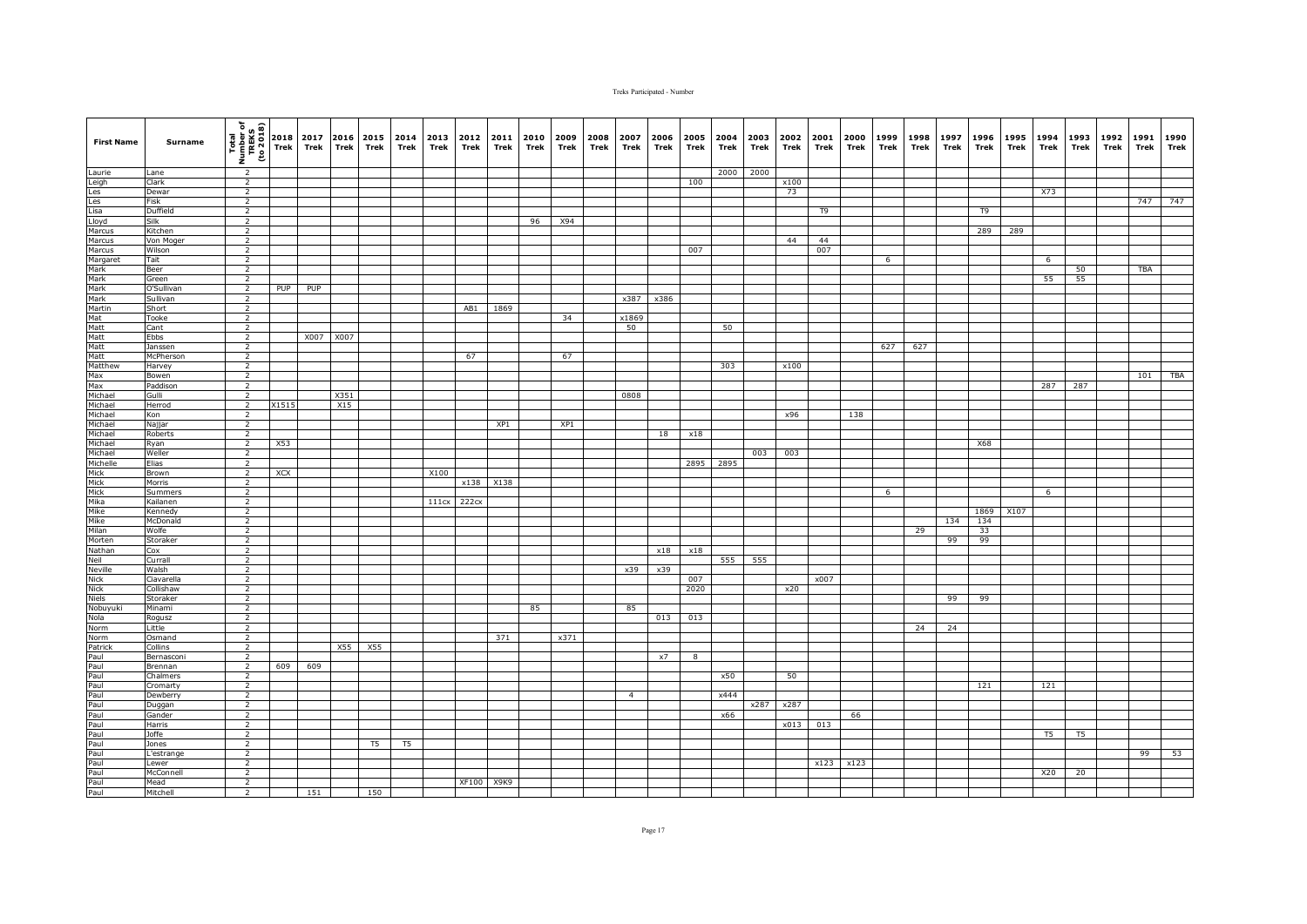| <b>First Name</b>                                                                                                      | Surname              | $\frac{\frac{1}{2} \left(\frac{1}{2} \frac{1}{2} \right)}{\frac{1}{2} \left(\frac{1}{2} \frac{1}{2} \right)} = \frac{1}{2} \left(\frac{1}{2} \frac{1}{2} \right)$ |            | 2017<br>Trek | Trek | 2016 2015 2014<br>Trek | Trek | 2013 2012<br>Trek | Trek       | 2011<br>Trek | 2010<br>Trek | 2009<br>Trek | 2008<br>Trek | 2007<br>Trek   | 2006<br>Trek | 2005<br>Trek | 2004<br>Trek | 2003<br>Trek | 2002<br>Trek | 2001<br>Trek | 2000<br>Trek | 1999<br>Trek | 1998<br>Trek | 1997<br>Trek | 1996<br>Trek | 1995<br>Trek | 1994<br>Trek   | 1993<br>Trek   | 1992<br>Trek | 1991<br>Trek | 1990<br>Trek |
|------------------------------------------------------------------------------------------------------------------------|----------------------|-------------------------------------------------------------------------------------------------------------------------------------------------------------------|------------|--------------|------|------------------------|------|-------------------|------------|--------------|--------------|--------------|--------------|----------------|--------------|--------------|--------------|--------------|--------------|--------------|--------------|--------------|--------------|--------------|--------------|--------------|----------------|----------------|--------------|--------------|--------------|
| Laurie                                                                                                                 | Lane                 | $\overline{2}$                                                                                                                                                    |            |              |      |                        |      |                   |            |              |              |              |              |                |              |              | 2000         | 2000         |              |              |              |              |              |              |              |              |                |                |              |              |              |
| Laurie<br>Leigh<br>Les<br>Lisa<br>Lisa<br>Lisa<br>Marcus<br>Marcus<br>Marcus<br>Mark<br>Mark                           | Clark                | $\overline{2}$                                                                                                                                                    |            |              |      |                        |      |                   |            |              |              |              |              |                |              | 100          |              |              | x100         |              |              |              |              |              |              |              |                |                |              |              |              |
|                                                                                                                        | Dewar                | $\overline{2}$                                                                                                                                                    |            |              |      |                        |      |                   |            |              |              |              |              |                |              |              |              |              | 73           |              |              |              |              |              |              |              | X73            |                |              |              |              |
|                                                                                                                        | Fisk                 | $\overline{2}$                                                                                                                                                    |            |              |      |                        |      |                   |            |              |              |              |              |                |              |              |              |              |              |              |              |              |              |              |              |              |                |                |              | 747          | 747          |
|                                                                                                                        | Duffield             | $\overline{2}$                                                                                                                                                    |            |              |      |                        |      |                   |            |              |              |              |              |                |              |              |              |              |              | T9           |              |              |              |              | T9           |              |                |                |              |              |              |
|                                                                                                                        | Silk                 | $\overline{2}$                                                                                                                                                    |            |              |      |                        |      |                   |            |              | 96           | X94          |              |                |              |              |              |              |              |              |              |              |              |              |              |              |                |                |              |              |              |
|                                                                                                                        | Kitchen<br>Von Moger | $\overline{2}$<br>2                                                                                                                                               |            |              |      |                        |      |                   |            |              |              |              |              |                |              |              |              |              | 44           | 44           |              |              |              |              | 289          | 289          |                |                |              |              |              |
|                                                                                                                        | Wilson               | 2                                                                                                                                                                 |            |              |      |                        |      |                   |            |              |              |              |              |                |              | 007          |              |              |              | 007          |              |              |              |              |              |              |                |                |              |              |              |
|                                                                                                                        | Tait                 | $\overline{2}$                                                                                                                                                    |            |              |      |                        |      |                   |            |              |              |              |              |                |              |              |              |              |              |              |              | 6            |              |              |              |              | $6\overline{}$ |                |              |              |              |
|                                                                                                                        | Beer                 | $\overline{2}$                                                                                                                                                    |            |              |      |                        |      |                   |            |              |              |              |              |                |              |              |              |              |              |              |              |              |              |              |              |              |                | 50             |              | TBA          |              |
| Mark                                                                                                                   | Green                | $\overline{2}$                                                                                                                                                    |            |              |      |                        |      |                   |            |              |              |              |              |                |              |              |              |              |              |              |              |              |              |              |              |              | 55             | 55             |              |              |              |
|                                                                                                                        | O'Sullivan           | $\overline{2}$                                                                                                                                                    | PUP        | PUP          |      |                        |      |                   |            |              |              |              |              |                |              |              |              |              |              |              |              |              |              |              |              |              |                |                |              |              |              |
|                                                                                                                        | Sullivan             | $\overline{2}$                                                                                                                                                    |            |              |      |                        |      |                   |            |              |              |              |              | x387           | x386         |              |              |              |              |              |              |              |              |              |              |              |                |                |              |              |              |
|                                                                                                                        | Short                | $\overline{2}$                                                                                                                                                    |            |              |      |                        |      |                   | AB1        | 1869         |              |              |              |                |              |              |              |              |              |              |              |              |              |              |              |              |                |                |              |              |              |
|                                                                                                                        | Tooke                | 2                                                                                                                                                                 |            |              |      |                        |      |                   |            |              |              | 34           |              | x1869          |              |              |              |              |              |              |              |              |              |              |              |              |                |                |              |              |              |
|                                                                                                                        | Cant                 | $\overline{2}$                                                                                                                                                    |            |              |      |                        |      |                   |            |              |              |              |              | 50             |              |              | 50           |              |              |              |              |              |              |              |              |              |                |                |              |              |              |
|                                                                                                                        | Ebbs                 | $\overline{2}$                                                                                                                                                    |            | X007 X007    |      |                        |      |                   |            |              |              |              |              |                |              |              |              |              |              |              |              |              |              |              |              |              |                |                |              |              |              |
|                                                                                                                        | Janssen              | $\overline{2}$                                                                                                                                                    |            |              |      |                        |      |                   |            |              |              |              |              |                |              |              |              |              |              |              |              | 627          | 627          |              |              |              |                |                |              |              |              |
|                                                                                                                        | McPherson            | $\overline{2}$                                                                                                                                                    |            |              |      |                        |      |                   | 67         |              |              | 67           |              |                |              |              |              |              |              |              |              |              |              |              |              |              |                |                |              |              |              |
|                                                                                                                        | Harvey               | $\overline{2}$                                                                                                                                                    |            |              |      |                        |      |                   |            |              |              |              |              |                |              |              | 303          |              | x100         |              |              |              |              |              |              |              |                |                |              |              |              |
|                                                                                                                        | Bowen                | $\overline{2}$                                                                                                                                                    |            |              |      |                        |      |                   |            |              |              |              |              |                |              |              |              |              |              |              |              |              |              |              |              |              |                |                |              | 101          | TBA          |
|                                                                                                                        | Paddison<br>Gulli    | $\overline{2}$<br>$\overline{2}$                                                                                                                                  |            |              | X351 |                        |      |                   |            |              |              |              |              | 0808           |              |              |              |              |              |              |              |              |              |              |              |              | 287            | 287            |              |              |              |
|                                                                                                                        | Herrod               | $\overline{2}$                                                                                                                                                    | X1515      |              | X15  |                        |      |                   |            |              |              |              |              |                |              |              |              |              |              |              |              |              |              |              |              |              |                |                |              |              |              |
| Mark<br>Mark<br>Matt<br>Matt<br>Matt<br>Matt<br>Matt<br>Max<br>Michael<br>Michael<br>Michael                           | Kon                  | $\overline{2}$                                                                                                                                                    |            |              |      |                        |      |                   |            |              |              |              |              |                |              |              |              |              | x96          |              | 138          |              |              |              |              |              |                |                |              |              |              |
| Michael                                                                                                                | Najjar               | $\overline{2}$                                                                                                                                                    |            |              |      |                        |      |                   |            | XP1          |              | XP1          |              |                |              |              |              |              |              |              |              |              |              |              |              |              |                |                |              |              |              |
|                                                                                                                        | Roberts              | $\overline{2}$                                                                                                                                                    |            |              |      |                        |      |                   |            |              |              |              |              |                | 18           | x18          |              |              |              |              |              |              |              |              |              |              |                |                |              |              |              |
|                                                                                                                        | Ryan                 | $\overline{2}$                                                                                                                                                    | X53        |              |      |                        |      |                   |            |              |              |              |              |                |              |              |              |              |              |              |              |              |              |              | X68          |              |                |                |              |              |              |
|                                                                                                                        | Weller               | $\overline{2}$                                                                                                                                                    |            |              |      |                        |      |                   |            |              |              |              |              |                |              |              |              | 003          | 003          |              |              |              |              |              |              |              |                |                |              |              |              |
| Michael<br>Michael<br>Mick<br>Mick<br>Mick<br>Mick<br>Mika<br>Mika<br>Mika<br>Mika<br>Mika<br>Mathan<br>Neil<br>Nathan | Elias                | $\overline{2}$                                                                                                                                                    |            |              |      |                        |      |                   |            |              |              |              |              |                |              | 2895         | 2895         |              |              |              |              |              |              |              |              |              |                |                |              |              |              |
|                                                                                                                        | Brown                | $\overline{2}$                                                                                                                                                    | <b>XCX</b> |              |      |                        |      | X100              |            |              |              |              |              |                |              |              |              |              |              |              |              |              |              |              |              |              |                |                |              |              |              |
|                                                                                                                        | Morris               | $\overline{2}$                                                                                                                                                    |            |              |      |                        |      |                   |            | x138 X138    |              |              |              |                |              |              |              |              |              |              |              |              |              |              |              |              |                |                |              |              |              |
|                                                                                                                        | Summers              | $\overline{2}$                                                                                                                                                    |            |              |      |                        |      |                   |            |              |              |              |              |                |              |              |              |              |              |              |              | 6            |              |              |              |              | 6              |                |              |              |              |
|                                                                                                                        | Kailanen             | $\overline{2}$                                                                                                                                                    |            |              |      |                        |      | 111cx 222cx       |            |              |              |              |              |                |              |              |              |              |              |              |              |              |              |              |              |              |                |                |              |              |              |
|                                                                                                                        | Kennedy              | $\overline{2}$                                                                                                                                                    |            |              |      |                        |      |                   |            |              |              |              |              |                |              |              |              |              |              |              |              |              |              |              | 1869         | X107         |                |                |              |              |              |
|                                                                                                                        | McDonald             | $\overline{2}$                                                                                                                                                    |            |              |      |                        |      |                   |            |              |              |              |              |                |              |              |              |              |              |              |              |              |              | 134          | 134          |              |                |                |              |              |              |
|                                                                                                                        | Wolfe<br>Storaker    | $\overline{2}$<br>$\overline{2}$                                                                                                                                  |            |              |      |                        |      |                   |            |              |              |              |              |                |              |              |              |              |              |              |              |              | 29           | 99           | 33<br>99     |              |                |                |              |              |              |
|                                                                                                                        | Cox                  | $\overline{2}$                                                                                                                                                    |            |              |      |                        |      |                   |            |              |              |              |              |                | x18          | x18          |              |              |              |              |              |              |              |              |              |              |                |                |              |              |              |
|                                                                                                                        | Currall              | $\overline{2}$                                                                                                                                                    |            |              |      |                        |      |                   |            |              |              |              |              |                |              |              | 555          | 555          |              |              |              |              |              |              |              |              |                |                |              |              |              |
|                                                                                                                        | Walsh                | $\overline{2}$                                                                                                                                                    |            |              |      |                        |      |                   |            |              |              |              |              | x39            | x39          |              |              |              |              |              |              |              |              |              |              |              |                |                |              |              |              |
|                                                                                                                        | Ciavarella           | $\overline{2}$                                                                                                                                                    |            |              |      |                        |      |                   |            |              |              |              |              |                |              | 007          |              |              |              | x007         |              |              |              |              |              |              |                |                |              |              |              |
| Neille<br>Nick<br>Nick<br>Niels<br>Nobuyuki<br>Nola<br>Norm<br>Norm                                                    | Collishaw            | 2                                                                                                                                                                 |            |              |      |                        |      |                   |            |              |              |              |              |                |              | 2020         |              |              | x20          |              |              |              |              |              |              |              |                |                |              |              |              |
|                                                                                                                        | Storaker             | 2                                                                                                                                                                 |            |              |      |                        |      |                   |            |              |              |              |              |                |              |              |              |              |              |              |              |              |              | 99           | 99           |              |                |                |              |              |              |
|                                                                                                                        | Minami               | $\overline{2}$                                                                                                                                                    |            |              |      |                        |      |                   |            |              | 85           |              |              | 85             |              |              |              |              |              |              |              |              |              |              |              |              |                |                |              |              |              |
|                                                                                                                        | Rogusz               | $\overline{2}$                                                                                                                                                    |            |              |      |                        |      |                   |            |              |              |              |              |                | 013          | 013          |              |              |              |              |              |              |              |              |              |              |                |                |              |              |              |
|                                                                                                                        | Little               | $\overline{2}$                                                                                                                                                    |            |              |      |                        |      |                   |            |              |              |              |              |                |              |              |              |              |              |              |              |              | 24           | 24           |              |              |                |                |              |              |              |
|                                                                                                                        | Osmand               | $\overline{2}$                                                                                                                                                    |            |              |      |                        |      |                   |            | 371          |              | x371         |              |                |              |              |              |              |              |              |              |              |              |              |              |              |                |                |              |              |              |
|                                                                                                                        | Collins              | $\overline{2}$                                                                                                                                                    |            |              | X55  | X55                    |      |                   |            |              |              |              |              |                |              |              |              |              |              |              |              |              |              |              |              |              |                |                |              |              |              |
|                                                                                                                        | Bernasconi           | 2                                                                                                                                                                 |            |              |      |                        |      |                   |            |              |              |              |              |                | x7           | 8            |              |              |              |              |              |              |              |              |              |              |                |                |              |              |              |
|                                                                                                                        | Brennan              | 2                                                                                                                                                                 | 609        | 609          |      |                        |      |                   |            |              |              |              |              |                |              |              |              |              |              |              |              |              |              |              |              |              |                |                |              |              |              |
|                                                                                                                        | Chalmers             | 2                                                                                                                                                                 |            |              |      |                        |      |                   |            |              |              |              |              |                |              |              | x50          |              | 50           |              |              |              |              |              |              |              |                |                |              |              |              |
|                                                                                                                        | Cromarty             | $\overline{2}$<br>$\overline{2}$                                                                                                                                  |            |              |      |                        |      |                   |            |              |              |              |              | $\overline{4}$ |              |              | x444         |              |              |              |              |              |              |              | 121          |              | 121            |                |              |              |              |
|                                                                                                                        | Dewberry<br>Duggan   | $\overline{2}$                                                                                                                                                    |            |              |      |                        |      |                   |            |              |              |              |              |                |              |              |              | x287         | x287         |              |              |              |              |              |              |              |                |                |              |              |              |
|                                                                                                                        | Gander               | $\overline{2}$                                                                                                                                                    |            |              |      |                        |      |                   |            |              |              |              |              |                |              |              | x66          |              |              |              | 66           |              |              |              |              |              |                |                |              |              |              |
|                                                                                                                        | Harris               | $\overline{2}$                                                                                                                                                    |            |              |      |                        |      |                   |            |              |              |              |              |                |              |              |              |              | x013         | 013          |              |              |              |              |              |              |                |                |              |              |              |
|                                                                                                                        | Joffe                | $\overline{2}$                                                                                                                                                    |            |              |      |                        |      |                   |            |              |              |              |              |                |              |              |              |              |              |              |              |              |              |              |              |              | T <sub>5</sub> | T <sub>5</sub> |              |              |              |
|                                                                                                                        | Jones                | $\overline{2}$                                                                                                                                                    |            |              |      | T <sub>5</sub>         | T5   |                   |            |              |              |              |              |                |              |              |              |              |              |              |              |              |              |              |              |              |                |                |              |              |              |
|                                                                                                                        | L'estrange           | 2                                                                                                                                                                 |            |              |      |                        |      |                   |            |              |              |              |              |                |              |              |              |              |              |              |              |              |              |              |              |              |                |                |              | 99           | 53           |
|                                                                                                                        | Lewer                | $\overline{2}$                                                                                                                                                    |            |              |      |                        |      |                   |            |              |              |              |              |                |              |              |              |              |              |              | x123 x123    |              |              |              |              |              |                |                |              |              |              |
|                                                                                                                        | McConnell            | $\overline{2}$                                                                                                                                                    |            |              |      |                        |      |                   |            |              |              |              |              |                |              |              |              |              |              |              |              |              |              |              |              |              | X20            | 20             |              |              |              |
|                                                                                                                        | Mead                 | $\overline{2}$                                                                                                                                                    |            |              |      |                        |      |                   | XF100 X9K9 |              |              |              |              |                |              |              |              |              |              |              |              |              |              |              |              |              |                |                |              |              |              |
|                                                                                                                        | Mitchell             | $2^{\circ}$                                                                                                                                                       |            | 151          |      | 150                    |      |                   |            |              |              |              |              |                |              |              |              |              |              |              |              |              |              |              |              |              |                |                |              |              |              |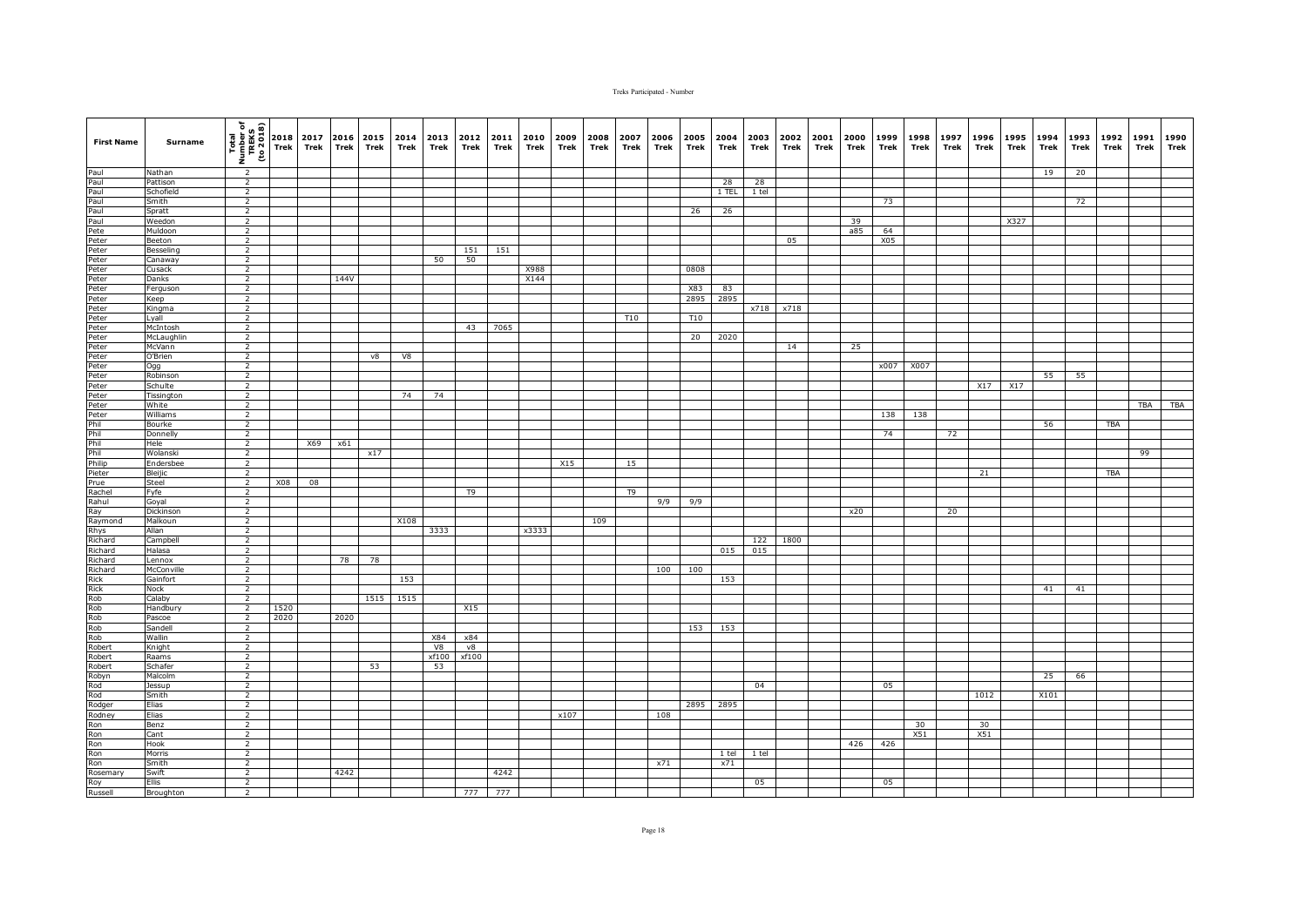| <b>First Name</b>                                                                                                                                                                                                              | Surname            | $\begin{array}{c}\n\hline\n\text{real} \\ \hline\n\text{real} \\ \text{m} \\ \hline\n\text{real} \\ \hline\n\text{real} \\ \hline\n\text{real}\n\end{array}\n\begin{array}{c}\n\hline\n\text{real} \\ \hline\n\text{real} \\ \hline\n\text{real} \\ \hline\n\text{real}\n\end{array}$ |            | 2017<br>Trek | Trek | 2016 2015<br>Trek | 2014<br>Trek | 2013<br>Trek | 2012<br>Trek   | 2011<br>Trek | 2010<br>Trek | 2009<br>Trek | 2008<br>Trek | 2007<br>Trek   | 2006<br>Trek | 2005<br>Trek | 2004<br>Trek | 2003<br>Trek | 2002<br>Trek | 2001<br>Trek | 2000<br>Trek | 1999<br>Trek | 1998<br>Trek | 1997<br>Trek | 1996<br>Trek | 1995<br>Trek | 1994<br>Trek | 1993<br>Trek | 1992<br>Trek | 1991<br>Trek | 1990<br>Trek |
|--------------------------------------------------------------------------------------------------------------------------------------------------------------------------------------------------------------------------------|--------------------|---------------------------------------------------------------------------------------------------------------------------------------------------------------------------------------------------------------------------------------------------------------------------------------|------------|--------------|------|-------------------|--------------|--------------|----------------|--------------|--------------|--------------|--------------|----------------|--------------|--------------|--------------|--------------|--------------|--------------|--------------|--------------|--------------|--------------|--------------|--------------|--------------|--------------|--------------|--------------|--------------|
|                                                                                                                                                                                                                                | Nathan             | $\overline{2}$                                                                                                                                                                                                                                                                        |            |              |      |                   |              |              |                |              |              |              |              |                |              |              |              |              |              |              |              |              |              |              |              |              | 19           | 20           |              |              |              |
|                                                                                                                                                                                                                                | Pattison           | $\overline{2}$                                                                                                                                                                                                                                                                        |            |              |      |                   |              |              |                |              |              |              |              |                |              |              | 28           | 28           |              |              |              |              |              |              |              |              |              |              |              |              |              |
|                                                                                                                                                                                                                                | Schofield          | $\overline{2}$                                                                                                                                                                                                                                                                        |            |              |      |                   |              |              |                |              |              |              |              |                |              |              | $1$ TEL      | 1 tel        |              |              |              |              |              |              |              |              |              |              |              |              |              |
|                                                                                                                                                                                                                                | Smith              | $\overline{2}$                                                                                                                                                                                                                                                                        |            |              |      |                   |              |              |                |              |              |              |              |                |              |              |              |              |              |              |              | 73           |              |              |              |              |              | 72           |              |              |              |
|                                                                                                                                                                                                                                | Spratt             | $\overline{2}$                                                                                                                                                                                                                                                                        |            |              |      |                   |              |              |                |              |              |              |              |                |              | 26           | 26           |              |              |              |              |              |              |              |              |              |              |              |              |              |              |
|                                                                                                                                                                                                                                | Weedon<br>Muldoon  | $\overline{2}$<br>2                                                                                                                                                                                                                                                                   |            |              |      |                   |              |              |                |              |              |              |              |                |              |              |              |              |              |              | 39<br>a85    | 64           |              |              |              | X327         |              |              |              |              |              |
|                                                                                                                                                                                                                                | Beeton             | $\overline{2}$                                                                                                                                                                                                                                                                        |            |              |      |                   |              |              |                |              |              |              |              |                |              |              |              |              | 05           |              |              | X05          |              |              |              |              |              |              |              |              |              |
|                                                                                                                                                                                                                                | Besseling          | $\overline{2}$                                                                                                                                                                                                                                                                        |            |              |      |                   |              |              | 151            | 151          |              |              |              |                |              |              |              |              |              |              |              |              |              |              |              |              |              |              |              |              |              |
|                                                                                                                                                                                                                                | Canaway            | $\overline{2}$                                                                                                                                                                                                                                                                        |            |              |      |                   |              | 50           | 50             |              |              |              |              |                |              |              |              |              |              |              |              |              |              |              |              |              |              |              |              |              |              |
|                                                                                                                                                                                                                                | Cusack             | $\overline{2}$                                                                                                                                                                                                                                                                        |            |              |      |                   |              |              |                |              | X988         |              |              |                |              | 0808         |              |              |              |              |              |              |              |              |              |              |              |              |              |              |              |
|                                                                                                                                                                                                                                | Danks              | $\overline{2}$                                                                                                                                                                                                                                                                        |            |              | 144V |                   |              |              |                |              | X144         |              |              |                |              |              |              |              |              |              |              |              |              |              |              |              |              |              |              |              |              |
|                                                                                                                                                                                                                                | Ferguson           | $\overline{2}$                                                                                                                                                                                                                                                                        |            |              |      |                   |              |              |                |              |              |              |              |                |              | X83          | 83           |              |              |              |              |              |              |              |              |              |              |              |              |              |              |
|                                                                                                                                                                                                                                | Keep<br>Kingma     | $\overline{2}$<br>$\overline{2}$                                                                                                                                                                                                                                                      |            |              |      |                   |              |              |                |              |              |              |              |                |              | 2895         | 2895         | x718         | x718         |              |              |              |              |              |              |              |              |              |              |              |              |
|                                                                                                                                                                                                                                | Lyall              | $\overline{2}$                                                                                                                                                                                                                                                                        |            |              |      |                   |              |              |                |              |              |              |              | T10            |              | T10          |              |              |              |              |              |              |              |              |              |              |              |              |              |              |              |
|                                                                                                                                                                                                                                | McIntosh           | $\overline{2}$                                                                                                                                                                                                                                                                        |            |              |      |                   |              |              | 43             | 7065         |              |              |              |                |              |              |              |              |              |              |              |              |              |              |              |              |              |              |              |              |              |
|                                                                                                                                                                                                                                | McLaughlin         | $\overline{2}$                                                                                                                                                                                                                                                                        |            |              |      |                   |              |              |                |              |              |              |              |                |              | 20           | 2020         |              |              |              |              |              |              |              |              |              |              |              |              |              |              |
|                                                                                                                                                                                                                                | McVann             | $\overline{2}$                                                                                                                                                                                                                                                                        |            |              |      |                   |              |              |                |              |              |              |              |                |              |              |              |              | 14           |              | 25           |              |              |              |              |              |              |              |              |              |              |
|                                                                                                                                                                                                                                | O'Brien            | $\overline{2}$                                                                                                                                                                                                                                                                        |            |              |      | v8                | V8           |              |                |              |              |              |              |                |              |              |              |              |              |              |              |              |              |              |              |              |              |              |              |              |              |
|                                                                                                                                                                                                                                | Ogg                | $\overline{2}$                                                                                                                                                                                                                                                                        |            |              |      |                   |              |              |                |              |              |              |              |                |              |              |              |              |              |              |              |              | x007 X007    |              |              |              |              |              |              |              |              |
|                                                                                                                                                                                                                                | Robinson           | $\overline{2}$                                                                                                                                                                                                                                                                        |            |              |      |                   |              |              |                |              |              |              |              |                |              |              |              |              |              |              |              |              |              |              |              |              | 55           | 55           |              |              |              |
|                                                                                                                                                                                                                                | Schulte            | $\overline{2}$                                                                                                                                                                                                                                                                        |            |              |      |                   |              |              |                |              |              |              |              |                |              |              |              |              |              |              |              |              |              |              | X17          | X17          |              |              |              |              |              |
|                                                                                                                                                                                                                                | Tissington         | $\overline{2}$                                                                                                                                                                                                                                                                        |            |              |      |                   | 74           | 74           |                |              |              |              |              |                |              |              |              |              |              |              |              |              |              |              |              |              |              |              |              |              |              |
|                                                                                                                                                                                                                                | White<br>Williams  | $\overline{2}$<br>$\overline{2}$                                                                                                                                                                                                                                                      |            |              |      |                   |              |              |                |              |              |              |              |                |              |              |              |              |              |              |              | 138          | 138          |              |              |              |              |              |              | TBA          | <b>TBA</b>   |
|                                                                                                                                                                                                                                | Bourke             | $\overline{2}$                                                                                                                                                                                                                                                                        |            |              |      |                   |              |              |                |              |              |              |              |                |              |              |              |              |              |              |              |              |              |              |              |              | 56           |              | <b>TBA</b>   |              |              |
|                                                                                                                                                                                                                                | Donnelly           | $\overline{2}$                                                                                                                                                                                                                                                                        |            |              |      |                   |              |              |                |              |              |              |              |                |              |              |              |              |              |              |              | 74           |              | 72           |              |              |              |              |              |              |              |
|                                                                                                                                                                                                                                | Hele               | $\overline{2}$                                                                                                                                                                                                                                                                        |            | X69          | x61  |                   |              |              |                |              |              |              |              |                |              |              |              |              |              |              |              |              |              |              |              |              |              |              |              |              |              |
|                                                                                                                                                                                                                                | Wolanski           | $\overline{2}$                                                                                                                                                                                                                                                                        |            |              |      | x17               |              |              |                |              |              |              |              |                |              |              |              |              |              |              |              |              |              |              |              |              |              |              |              | 99           |              |
|                                                                                                                                                                                                                                | Endersbee          | $\overline{2}$                                                                                                                                                                                                                                                                        |            |              |      |                   |              |              |                |              |              | X15          |              | 15             |              |              |              |              |              |              |              |              |              |              |              |              |              |              |              |              |              |
|                                                                                                                                                                                                                                | Bleijic            | $\overline{2}$                                                                                                                                                                                                                                                                        |            |              |      |                   |              |              |                |              |              |              |              |                |              |              |              |              |              |              |              |              |              |              | 21           |              |              |              | <b>TBA</b>   |              |              |
|                                                                                                                                                                                                                                | Steel              | $\overline{2}$                                                                                                                                                                                                                                                                        | <b>X08</b> | 08           |      |                   |              |              |                |              |              |              |              |                |              |              |              |              |              |              |              |              |              |              |              |              |              |              |              |              |              |
|                                                                                                                                                                                                                                | Fyfe               | $\overline{2}$<br>$\overline{2}$                                                                                                                                                                                                                                                      |            |              |      |                   |              |              | T <sub>9</sub> |              |              |              |              | T <sub>9</sub> | 9/9          |              |              |              |              |              |              |              |              |              |              |              |              |              |              |              |              |
|                                                                                                                                                                                                                                | Goyal<br>Dickinson | $\overline{2}$                                                                                                                                                                                                                                                                        |            |              |      |                   |              |              |                |              |              |              |              |                |              | 9/9          |              |              |              |              | x20          |              |              | 20           |              |              |              |              |              |              |              |
|                                                                                                                                                                                                                                | Malkoun            | $\overline{2}$                                                                                                                                                                                                                                                                        |            |              |      |                   | X108         |              |                |              |              |              | 109          |                |              |              |              |              |              |              |              |              |              |              |              |              |              |              |              |              |              |
|                                                                                                                                                                                                                                | Allan              | $\overline{2}$                                                                                                                                                                                                                                                                        |            |              |      |                   |              | 3333         |                |              | x3333        |              |              |                |              |              |              |              |              |              |              |              |              |              |              |              |              |              |              |              |              |
|                                                                                                                                                                                                                                | Campbell           | $\overline{2}$                                                                                                                                                                                                                                                                        |            |              |      |                   |              |              |                |              |              |              |              |                |              |              |              | 122          | 1800         |              |              |              |              |              |              |              |              |              |              |              |              |
|                                                                                                                                                                                                                                | Halasa             | $\overline{2}$                                                                                                                                                                                                                                                                        |            |              |      |                   |              |              |                |              |              |              |              |                |              |              | 015          | 015          |              |              |              |              |              |              |              |              |              |              |              |              |              |
|                                                                                                                                                                                                                                | Lennox             | 2                                                                                                                                                                                                                                                                                     |            |              | 78   | 78                |              |              |                |              |              |              |              |                |              |              |              |              |              |              |              |              |              |              |              |              |              |              |              |              |              |
|                                                                                                                                                                                                                                | McConville         | $\overline{2}$                                                                                                                                                                                                                                                                        |            |              |      |                   |              |              |                |              |              |              |              |                | 100          | 100          |              |              |              |              |              |              |              |              |              |              |              |              |              |              |              |
|                                                                                                                                                                                                                                | Gainfort           | $\overline{2}$                                                                                                                                                                                                                                                                        |            |              |      |                   | 153          |              |                |              |              |              |              |                |              |              | 153          |              |              |              |              |              |              |              |              |              |              |              |              |              |              |
|                                                                                                                                                                                                                                | Nock<br>Calaby     | $\overline{2}$<br>$\overline{2}$                                                                                                                                                                                                                                                      |            |              |      | 1515              | 1515         |              |                |              |              |              |              |                |              |              |              |              |              |              |              |              |              |              |              |              | 41           | 41           |              |              |              |
|                                                                                                                                                                                                                                | Handbury           | $\overline{2}$                                                                                                                                                                                                                                                                        | 1520       |              |      |                   |              |              | X15            |              |              |              |              |                |              |              |              |              |              |              |              |              |              |              |              |              |              |              |              |              |              |
|                                                                                                                                                                                                                                | Pascoe             | $\overline{2}$                                                                                                                                                                                                                                                                        | 2020       |              | 2020 |                   |              |              |                |              |              |              |              |                |              |              |              |              |              |              |              |              |              |              |              |              |              |              |              |              |              |
|                                                                                                                                                                                                                                | Sandell            | $\overline{2}$                                                                                                                                                                                                                                                                        |            |              |      |                   |              |              |                |              |              |              |              |                |              | 153          | 153          |              |              |              |              |              |              |              |              |              |              |              |              |              |              |
|                                                                                                                                                                                                                                | Wallin             | $\overline{2}$                                                                                                                                                                                                                                                                        |            |              |      |                   |              | X84          | x84            |              |              |              |              |                |              |              |              |              |              |              |              |              |              |              |              |              |              |              |              |              |              |
|                                                                                                                                                                                                                                | Knight             | $\overline{2}$                                                                                                                                                                                                                                                                        |            |              |      |                   |              | V8           | v8             |              |              |              |              |                |              |              |              |              |              |              |              |              |              |              |              |              |              |              |              |              |              |
|                                                                                                                                                                                                                                | Raams              | $\overline{2}$                                                                                                                                                                                                                                                                        |            |              |      |                   |              | xf100        | xf100          |              |              |              |              |                |              |              |              |              |              |              |              |              |              |              |              |              |              |              |              |              |              |
|                                                                                                                                                                                                                                | Schafer            | $\overline{2}$                                                                                                                                                                                                                                                                        |            |              |      | 53                |              | 53           |                |              |              |              |              |                |              |              |              |              |              |              |              |              |              |              |              |              |              |              |              |              |              |
|                                                                                                                                                                                                                                | Malcolm            | $\overline{2}$                                                                                                                                                                                                                                                                        |            |              |      |                   |              |              |                |              |              |              |              |                |              |              |              |              |              |              |              |              |              |              |              |              | 25           | 66           |              |              |              |
|                                                                                                                                                                                                                                | Jessup<br>Smith    | $\overline{2}$<br>$\overline{2}$                                                                                                                                                                                                                                                      |            |              |      |                   |              |              |                |              |              |              |              |                |              |              |              | 04           |              |              |              | 05           |              |              | 1012         |              | X101         |              |              |              |              |
|                                                                                                                                                                                                                                | Elias              | $\overline{2}$                                                                                                                                                                                                                                                                        |            |              |      |                   |              |              |                |              |              |              |              |                |              | 2895         | 2895         |              |              |              |              |              |              |              |              |              |              |              |              |              |              |
|                                                                                                                                                                                                                                | Elias              | $\overline{2}$                                                                                                                                                                                                                                                                        |            |              |      |                   |              |              |                |              |              | x107         |              |                | 108          |              |              |              |              |              |              |              |              |              |              |              |              |              |              |              |              |
|                                                                                                                                                                                                                                | Benz               | $\overline{2}$                                                                                                                                                                                                                                                                        |            |              |      |                   |              |              |                |              |              |              |              |                |              |              |              |              |              |              |              |              | 30           |              | 30           |              |              |              |              |              |              |
|                                                                                                                                                                                                                                | Cant               | $\overline{2}$                                                                                                                                                                                                                                                                        |            |              |      |                   |              |              |                |              |              |              |              |                |              |              |              |              |              |              |              |              | X51          |              | X51          |              |              |              |              |              |              |
|                                                                                                                                                                                                                                | Hook               | $\overline{2}$                                                                                                                                                                                                                                                                        |            |              |      |                   |              |              |                |              |              |              |              |                |              |              |              |              |              |              | 426          | 426          |              |              |              |              |              |              |              |              |              |
|                                                                                                                                                                                                                                | Morris             | $\overline{2}$                                                                                                                                                                                                                                                                        |            |              |      |                   |              |              |                |              |              |              |              |                |              |              | 1 tel        | $1$ tel      |              |              |              |              |              |              |              |              |              |              |              |              |              |
|                                                                                                                                                                                                                                | Smith              | $\overline{2}$                                                                                                                                                                                                                                                                        |            |              |      |                   |              |              |                |              |              |              |              |                | x71          |              | x71          |              |              |              |              |              |              |              |              |              |              |              |              |              |              |
|                                                                                                                                                                                                                                | Swift              | $\overline{2}$<br>$\overline{2}$                                                                                                                                                                                                                                                      |            |              | 4242 |                   |              |              |                | 4242         |              |              |              |                |              |              |              |              |              |              |              |              |              |              |              |              |              |              |              |              |              |
| Paul Paul Paul Peter Peter Peter Peter Peter Peter Peter Peter Peter Peter Peter Peter Peter Peter Peter Peter Peter Peter Peter Peter Peter Peter Peter Peter Peter Peter Peter Peter Peter Peter Peter Peter Peter Peter Pet | Ellis<br>Broughton | $\overline{2}$                                                                                                                                                                                                                                                                        |            |              |      |                   |              |              | 777            | 777          |              |              |              |                |              |              |              | 05           |              |              |              | 05           |              |              |              |              |              |              |              |              |              |
|                                                                                                                                                                                                                                |                    |                                                                                                                                                                                                                                                                                       |            |              |      |                   |              |              |                |              |              |              |              |                |              |              |              |              |              |              |              |              |              |              |              |              |              |              |              |              |              |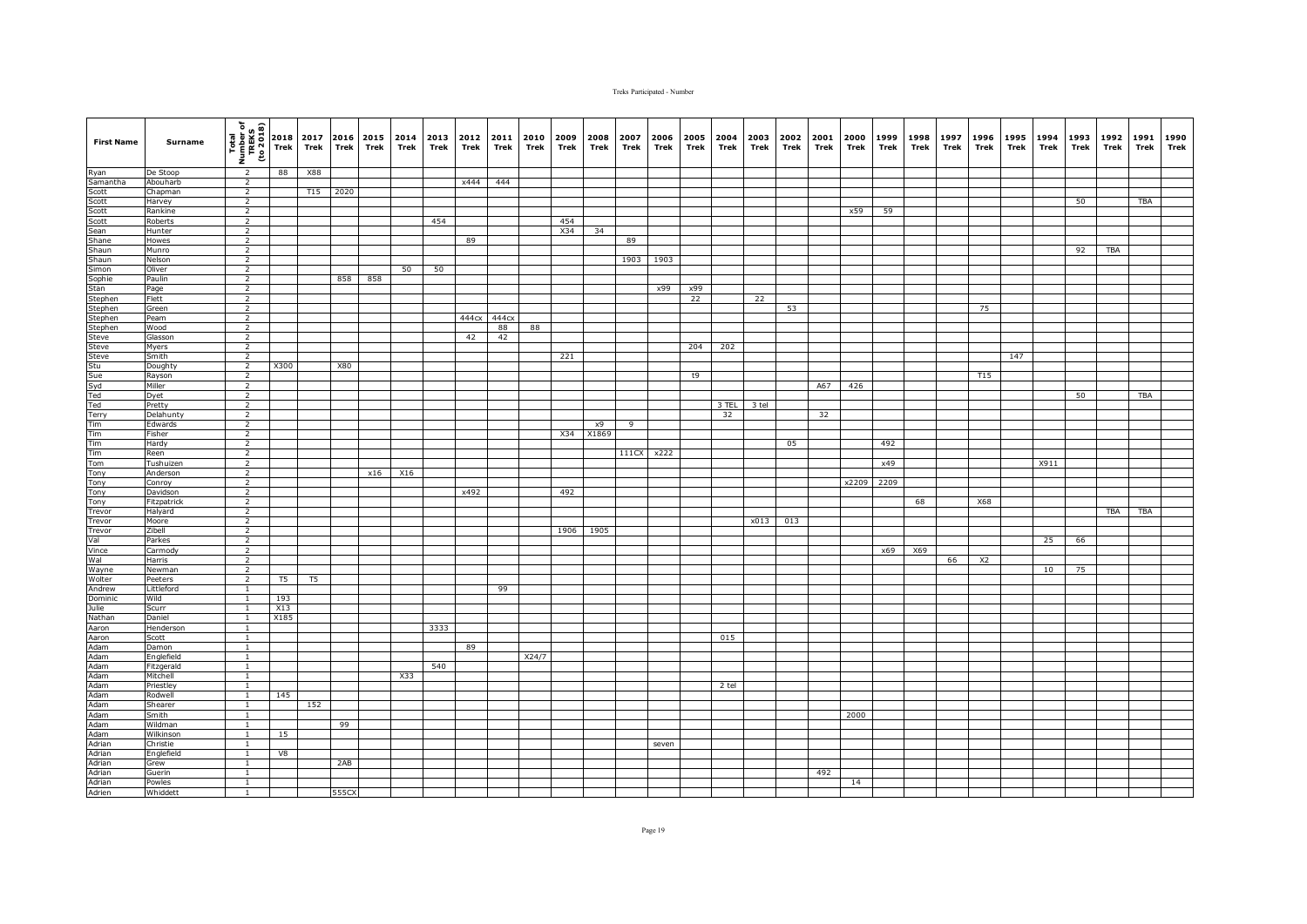| <b>First Name</b>                                                                                                                                                                   | Surname               | $\frac{\frac{1}{2} \left(\frac{1}{2} + \frac{1}{2} + \frac{1}{2} + \frac{1}{2} + \frac{1}{2} + \frac{1}{2} + \frac{1}{2} + \frac{1}{2} + \frac{1}{2} + \frac{1}{2} + \frac{1}{2} + \frac{1}{2} + \frac{1}{2} + \frac{1}{2} + \frac{1}{2} + \frac{1}{2} + \frac{1}{2} + \frac{1}{2} + \frac{1}{2} + \frac{1}{2} + \frac{1}{2} + \frac{1}{2} + \frac{1}{2} + \frac{1}{2} + \frac{1}{2} + \frac{1}{2} + \$ |      | 2017<br>Trek | 2016 2015<br>Trek | Trek | 2014<br>Trek | 2013 2012<br>Trek | Trek  | 2011<br>Trek | 2010<br>Trek | 2009<br>Trek | 2008<br>Trek | 2007<br>Trek | 2006<br>Trek | 2005<br>Trek | 2004<br>Trek | 2003<br>Trek | 2002<br>Trek | 2001<br>Trek | 2000<br>Trek | 1999<br>Trek | 1998<br>Trek | 1997<br>Trek | 1996<br>Trek   | 1995 1994<br>Trek | Trek | 1993<br>Trek | 1992<br>Trek | 1991<br>Trek | 1990<br>Trek |
|-------------------------------------------------------------------------------------------------------------------------------------------------------------------------------------|-----------------------|---------------------------------------------------------------------------------------------------------------------------------------------------------------------------------------------------------------------------------------------------------------------------------------------------------------------------------------------------------------------------------------------------------|------|--------------|-------------------|------|--------------|-------------------|-------|--------------|--------------|--------------|--------------|--------------|--------------|--------------|--------------|--------------|--------------|--------------|--------------|--------------|--------------|--------------|----------------|-------------------|------|--------------|--------------|--------------|--------------|
|                                                                                                                                                                                     | De Stoop              | $\overline{2}$                                                                                                                                                                                                                                                                                                                                                                                          | 88   | X88          |                   |      |              |                   |       |              |              |              |              |              |              |              |              |              |              |              |              |              |              |              |                |                   |      |              |              |              |              |
|                                                                                                                                                                                     | Abouharb              | $\overline{2}$                                                                                                                                                                                                                                                                                                                                                                                          |      |              |                   |      |              |                   | x444  | 444          |              |              |              |              |              |              |              |              |              |              |              |              |              |              |                |                   |      |              |              |              |              |
|                                                                                                                                                                                     | Chapman               | $\overline{2}$                                                                                                                                                                                                                                                                                                                                                                                          |      | T15          | 2020              |      |              |                   |       |              |              |              |              |              |              |              |              |              |              |              |              |              |              |              |                |                   |      |              |              |              |              |
|                                                                                                                                                                                     | Harvey                | $\overline{2}$                                                                                                                                                                                                                                                                                                                                                                                          |      |              |                   |      |              |                   |       |              |              |              |              |              |              |              |              |              |              |              |              |              |              |              |                |                   |      | 50           |              | TBA          |              |
|                                                                                                                                                                                     | Rankine               | $\overline{2}$                                                                                                                                                                                                                                                                                                                                                                                          |      |              |                   |      |              |                   |       |              |              |              |              |              |              |              |              |              |              |              | x59          | 59           |              |              |                |                   |      |              |              |              |              |
|                                                                                                                                                                                     | Roberts               | $\overline{2}$                                                                                                                                                                                                                                                                                                                                                                                          |      |              |                   |      |              | 454               |       |              |              | 454          |              |              |              |              |              |              |              |              |              |              |              |              |                |                   |      |              |              |              |              |
|                                                                                                                                                                                     | Hunter                | $\overline{2}$                                                                                                                                                                                                                                                                                                                                                                                          |      |              |                   |      |              |                   |       |              |              | X34          | 34           |              |              |              |              |              |              |              |              |              |              |              |                |                   |      |              |              |              |              |
|                                                                                                                                                                                     | Howes                 | $\overline{2}$                                                                                                                                                                                                                                                                                                                                                                                          |      |              |                   |      |              |                   | 89    |              |              |              |              | 89           |              |              |              |              |              |              |              |              |              |              |                |                   |      |              |              |              |              |
|                                                                                                                                                                                     | Munro                 | $\overline{2}$                                                                                                                                                                                                                                                                                                                                                                                          |      |              |                   |      |              |                   |       |              |              |              |              |              |              |              |              |              |              |              |              |              |              |              |                |                   |      | 92           | TBA          |              |              |
|                                                                                                                                                                                     | Nelson                | $\overline{2}$                                                                                                                                                                                                                                                                                                                                                                                          |      |              |                   |      |              |                   |       |              |              |              |              | 1903         | 1903         |              |              |              |              |              |              |              |              |              |                |                   |      |              |              |              |              |
|                                                                                                                                                                                     | Oliver<br>Paulin      | $\overline{2}$<br>$\overline{2}$                                                                                                                                                                                                                                                                                                                                                                        |      |              | 858               | 858  | 50           | 50                |       |              |              |              |              |              |              |              |              |              |              |              |              |              |              |              |                |                   |      |              |              |              |              |
|                                                                                                                                                                                     |                       | $\overline{2}$                                                                                                                                                                                                                                                                                                                                                                                          |      |              |                   |      |              |                   |       |              |              |              |              |              | x99          | x99          |              |              |              |              |              |              |              |              |                |                   |      |              |              |              |              |
|                                                                                                                                                                                     | Page<br>Flett         | $\overline{2}$                                                                                                                                                                                                                                                                                                                                                                                          |      |              |                   |      |              |                   |       |              |              |              |              |              |              | 22           |              | 22           |              |              |              |              |              |              |                |                   |      |              |              |              |              |
|                                                                                                                                                                                     | Green                 | $\overline{2}$                                                                                                                                                                                                                                                                                                                                                                                          |      |              |                   |      |              |                   |       |              |              |              |              |              |              |              |              |              | 53           |              |              |              |              |              | 75             |                   |      |              |              |              |              |
|                                                                                                                                                                                     | Peam                  | 2                                                                                                                                                                                                                                                                                                                                                                                                       |      |              |                   |      |              |                   | 444cx | 444cx        |              |              |              |              |              |              |              |              |              |              |              |              |              |              |                |                   |      |              |              |              |              |
|                                                                                                                                                                                     | <b>Mood</b>           | $\overline{2}$                                                                                                                                                                                                                                                                                                                                                                                          |      |              |                   |      |              |                   |       | 88           | 88           |              |              |              |              |              |              |              |              |              |              |              |              |              |                |                   |      |              |              |              |              |
|                                                                                                                                                                                     | Glasson               | $\overline{2}$                                                                                                                                                                                                                                                                                                                                                                                          |      |              |                   |      |              |                   | 42    | 42           |              |              |              |              |              |              |              |              |              |              |              |              |              |              |                |                   |      |              |              |              |              |
| Ryan<br>Scott<br>Scott<br>Scott<br>Scott<br>Scott<br>Scott<br>Stannen<br>Shannon<br>Scophie<br>Stephen<br>Stephen<br>Stephen<br>Stephen<br>Stephen<br>Stephen<br>Stephen<br>Stephen | Myers                 | $\overline{2}$                                                                                                                                                                                                                                                                                                                                                                                          |      |              |                   |      |              |                   |       |              |              |              |              |              |              | 204          | 202          |              |              |              |              |              |              |              |                |                   |      |              |              |              |              |
| Steve<br>Stu<br>Sue<br>Syd<br>Ted                                                                                                                                                   | Smith                 | $\overline{2}$                                                                                                                                                                                                                                                                                                                                                                                          |      |              |                   |      |              |                   |       |              |              | 221          |              |              |              |              |              |              |              |              |              |              |              |              |                | 147               |      |              |              |              |              |
|                                                                                                                                                                                     | Doughty               | $\overline{2}$                                                                                                                                                                                                                                                                                                                                                                                          | X300 |              | X80               |      |              |                   |       |              |              |              |              |              |              |              |              |              |              |              |              |              |              |              |                |                   |      |              |              |              |              |
|                                                                                                                                                                                     | Rayson                | $\overline{2}$                                                                                                                                                                                                                                                                                                                                                                                          |      |              |                   |      |              |                   |       |              |              |              |              |              |              | t9           |              |              |              |              |              |              |              |              | T15            |                   |      |              |              |              |              |
|                                                                                                                                                                                     | Miller                | $\overline{2}$                                                                                                                                                                                                                                                                                                                                                                                          |      |              |                   |      |              |                   |       |              |              |              |              |              |              |              |              |              |              | A67          | 426          |              |              |              |                |                   |      |              |              |              |              |
|                                                                                                                                                                                     | Dyet                  | $\overline{2}$                                                                                                                                                                                                                                                                                                                                                                                          |      |              |                   |      |              |                   |       |              |              |              |              |              |              |              |              |              |              |              |              |              |              |              |                |                   |      | 50           |              | <b>TBA</b>   |              |
| Ted                                                                                                                                                                                 | Pretty                | $\overline{2}$                                                                                                                                                                                                                                                                                                                                                                                          |      |              |                   |      |              |                   |       |              |              |              |              |              |              |              | 3 TEL        | 3 tel        |              |              |              |              |              |              |                |                   |      |              |              |              |              |
| Terry                                                                                                                                                                               | Delahunty             | $\overline{2}$                                                                                                                                                                                                                                                                                                                                                                                          |      |              |                   |      |              |                   |       |              |              |              |              |              |              |              | 32           |              |              | 32           |              |              |              |              |                |                   |      |              |              |              |              |
| Tim                                                                                                                                                                                 | Edwards               | $\overline{2}$                                                                                                                                                                                                                                                                                                                                                                                          |      |              |                   |      |              |                   |       |              |              |              | x9           | 9            |              |              |              |              |              |              |              |              |              |              |                |                   |      |              |              |              |              |
| Tim                                                                                                                                                                                 | Fisher                | $\overline{2}$                                                                                                                                                                                                                                                                                                                                                                                          |      |              |                   |      |              |                   |       |              |              | X34          | X1869        |              |              |              |              |              |              |              |              |              |              |              |                |                   |      |              |              |              |              |
| Tim<br>Tim                                                                                                                                                                          | Hardy                 | $\overline{2}$                                                                                                                                                                                                                                                                                                                                                                                          |      |              |                   |      |              |                   |       |              |              |              |              |              |              |              |              |              | 05           |              |              | 492          |              |              |                |                   |      |              |              |              |              |
|                                                                                                                                                                                     | Reen                  | $\overline{2}$                                                                                                                                                                                                                                                                                                                                                                                          |      |              |                   |      |              |                   |       |              |              |              |              | 111CX        | x222         |              |              |              |              |              |              |              |              |              |                |                   |      |              |              |              |              |
| Tom                                                                                                                                                                                 | Tushuizen             | $\overline{2}$                                                                                                                                                                                                                                                                                                                                                                                          |      |              |                   |      |              |                   |       |              |              |              |              |              |              |              |              |              |              |              |              | x49          |              |              |                |                   | X911 |              |              |              |              |
| Tony                                                                                                                                                                                | Anderson              | $\overline{2}$                                                                                                                                                                                                                                                                                                                                                                                          |      |              |                   | x16  | X16          |                   |       |              |              |              |              |              |              |              |              |              |              |              |              |              |              |              |                |                   |      |              |              |              |              |
| Tony                                                                                                                                                                                | Conroy                | $\overline{2}$                                                                                                                                                                                                                                                                                                                                                                                          |      |              |                   |      |              |                   |       |              |              |              |              |              |              |              |              |              |              |              | x2209        | 2209         |              |              |                |                   |      |              |              |              |              |
| <b>Tony</b>                                                                                                                                                                         | Davidson              | $\overline{2}$                                                                                                                                                                                                                                                                                                                                                                                          |      |              |                   |      |              |                   | x492  |              |              | 492          |              |              |              |              |              |              |              |              |              |              |              |              |                |                   |      |              |              |              |              |
| Tony                                                                                                                                                                                | Fitzpatrick           | 2                                                                                                                                                                                                                                                                                                                                                                                                       |      |              |                   |      |              |                   |       |              |              |              |              |              |              |              |              |              |              |              |              |              | 68           |              | X68            |                   |      |              |              |              |              |
| Trevor                                                                                                                                                                              | Halyard               | $\overline{2}$                                                                                                                                                                                                                                                                                                                                                                                          |      |              |                   |      |              |                   |       |              |              |              |              |              |              |              |              |              |              |              |              |              |              |              |                |                   |      |              | <b>TBA</b>   | <b>TBA</b>   |              |
| Trevor                                                                                                                                                                              | Moore                 | $\overline{2}$                                                                                                                                                                                                                                                                                                                                                                                          |      |              |                   |      |              |                   |       |              |              |              |              |              |              |              |              | x013         | 013          |              |              |              |              |              |                |                   |      |              |              |              |              |
| Trevor                                                                                                                                                                              | Zibell                | $\overline{2}$                                                                                                                                                                                                                                                                                                                                                                                          |      |              |                   |      |              |                   |       |              |              | 1906         | 1905         |              |              |              |              |              |              |              |              |              |              |              |                |                   |      |              |              |              |              |
| Val                                                                                                                                                                                 | Parkes                | $\overline{2}$                                                                                                                                                                                                                                                                                                                                                                                          |      |              |                   |      |              |                   |       |              |              |              |              |              |              |              |              |              |              |              |              |              |              |              |                |                   | 25   | 66           |              |              |              |
| Vince<br>Wal                                                                                                                                                                        | Carmody               | $\overline{2}$                                                                                                                                                                                                                                                                                                                                                                                          |      |              |                   |      |              |                   |       |              |              |              |              |              |              |              |              |              |              |              |              | x69          | X69          |              |                |                   |      |              |              |              |              |
|                                                                                                                                                                                     | Harris                | $\overline{2}$                                                                                                                                                                                                                                                                                                                                                                                          |      |              |                   |      |              |                   |       |              |              |              |              |              |              |              |              |              |              |              |              |              |              | 66           | X <sub>2</sub> |                   |      |              |              |              |              |
| Wayne                                                                                                                                                                               | Newman                | $\overline{2}$                                                                                                                                                                                                                                                                                                                                                                                          |      |              |                   |      |              |                   |       |              |              |              |              |              |              |              |              |              |              |              |              |              |              |              |                |                   | 10   | 75           |              |              |              |
| Wolter                                                                                                                                                                              | Peeters<br>Littleford | $\overline{2}$<br>$\mathbf{1}$                                                                                                                                                                                                                                                                                                                                                                          | T5   | T5           |                   |      |              |                   |       | 99           |              |              |              |              |              |              |              |              |              |              |              |              |              |              |                |                   |      |              |              |              |              |
| Andrew<br>Dominic                                                                                                                                                                   | Wild                  | $\mathbf{1}$                                                                                                                                                                                                                                                                                                                                                                                            | 193  |              |                   |      |              |                   |       |              |              |              |              |              |              |              |              |              |              |              |              |              |              |              |                |                   |      |              |              |              |              |
| Julie                                                                                                                                                                               | Scurr                 | $\mathbf{1}$                                                                                                                                                                                                                                                                                                                                                                                            | X13  |              |                   |      |              |                   |       |              |              |              |              |              |              |              |              |              |              |              |              |              |              |              |                |                   |      |              |              |              |              |
|                                                                                                                                                                                     | Daniel                | $\mathbf{1}$                                                                                                                                                                                                                                                                                                                                                                                            | X185 |              |                   |      |              |                   |       |              |              |              |              |              |              |              |              |              |              |              |              |              |              |              |                |                   |      |              |              |              |              |
|                                                                                                                                                                                     | Henderson             | $\overline{1}$                                                                                                                                                                                                                                                                                                                                                                                          |      |              |                   |      |              | 3333              |       |              |              |              |              |              |              |              |              |              |              |              |              |              |              |              |                |                   |      |              |              |              |              |
|                                                                                                                                                                                     | Scott                 | $\mathbf{1}$                                                                                                                                                                                                                                                                                                                                                                                            |      |              |                   |      |              |                   |       |              |              |              |              |              |              |              | 015          |              |              |              |              |              |              |              |                |                   |      |              |              |              |              |
|                                                                                                                                                                                     | Damon                 | $\mathbf{1}$                                                                                                                                                                                                                                                                                                                                                                                            |      |              |                   |      |              |                   | 89    |              |              |              |              |              |              |              |              |              |              |              |              |              |              |              |                |                   |      |              |              |              |              |
|                                                                                                                                                                                     | Englefield            | $\mathbf{1}$                                                                                                                                                                                                                                                                                                                                                                                            |      |              |                   |      |              |                   |       |              | X24/7        |              |              |              |              |              |              |              |              |              |              |              |              |              |                |                   |      |              |              |              |              |
|                                                                                                                                                                                     | Fitzgerald            | $\mathbf{1}$                                                                                                                                                                                                                                                                                                                                                                                            |      |              |                   |      |              | 540               |       |              |              |              |              |              |              |              |              |              |              |              |              |              |              |              |                |                   |      |              |              |              |              |
|                                                                                                                                                                                     | Mitchell              | $\mathbf{1}$                                                                                                                                                                                                                                                                                                                                                                                            |      |              |                   |      | X33          |                   |       |              |              |              |              |              |              |              |              |              |              |              |              |              |              |              |                |                   |      |              |              |              |              |
|                                                                                                                                                                                     | Priestley             | $\mathbf{1}$                                                                                                                                                                                                                                                                                                                                                                                            |      |              |                   |      |              |                   |       |              |              |              |              |              |              |              | 2 tel        |              |              |              |              |              |              |              |                |                   |      |              |              |              |              |
|                                                                                                                                                                                     | Rodwell               | $\mathbf{1}$                                                                                                                                                                                                                                                                                                                                                                                            | 145  |              |                   |      |              |                   |       |              |              |              |              |              |              |              |              |              |              |              |              |              |              |              |                |                   |      |              |              |              |              |
|                                                                                                                                                                                     | Shearer               | $\mathbf{1}$                                                                                                                                                                                                                                                                                                                                                                                            |      | 152          |                   |      |              |                   |       |              |              |              |              |              |              |              |              |              |              |              |              |              |              |              |                |                   |      |              |              |              |              |
|                                                                                                                                                                                     | Smith                 | $\mathbf{1}$                                                                                                                                                                                                                                                                                                                                                                                            |      |              |                   |      |              |                   |       |              |              |              |              |              |              |              |              |              |              |              | 2000         |              |              |              |                |                   |      |              |              |              |              |
|                                                                                                                                                                                     | Wildman               | $\mathbf{1}$                                                                                                                                                                                                                                                                                                                                                                                            |      |              | 99                |      |              |                   |       |              |              |              |              |              |              |              |              |              |              |              |              |              |              |              |                |                   |      |              |              |              |              |
|                                                                                                                                                                                     | Wilkinson             | $\mathbf{1}$                                                                                                                                                                                                                                                                                                                                                                                            | 15   |              |                   |      |              |                   |       |              |              |              |              |              |              |              |              |              |              |              |              |              |              |              |                |                   |      |              |              |              |              |
|                                                                                                                                                                                     | Christie              | $\mathbf{1}$                                                                                                                                                                                                                                                                                                                                                                                            |      |              |                   |      |              |                   |       |              |              |              |              |              | seven        |              |              |              |              |              |              |              |              |              |                |                   |      |              |              |              |              |
|                                                                                                                                                                                     | Englefield            | $\mathbf{1}$                                                                                                                                                                                                                                                                                                                                                                                            | V8   |              |                   |      |              |                   |       |              |              |              |              |              |              |              |              |              |              |              |              |              |              |              |                |                   |      |              |              |              |              |
|                                                                                                                                                                                     | Grew                  | $\overline{1}$                                                                                                                                                                                                                                                                                                                                                                                          |      |              | 2AB               |      |              |                   |       |              |              |              |              |              |              |              |              |              |              |              |              |              |              |              |                |                   |      |              |              |              |              |
|                                                                                                                                                                                     | Guerin                | 1                                                                                                                                                                                                                                                                                                                                                                                                       |      |              |                   |      |              |                   |       |              |              |              |              |              |              |              |              |              |              | 492          |              |              |              |              |                |                   |      |              |              |              |              |
|                                                                                                                                                                                     | Powles                | $\overline{1}$                                                                                                                                                                                                                                                                                                                                                                                          |      |              |                   |      |              |                   |       |              |              |              |              |              |              |              |              |              |              |              | 14           |              |              |              |                |                   |      |              |              |              |              |
|                                                                                                                                                                                     | Whiddett              | 1                                                                                                                                                                                                                                                                                                                                                                                                       |      |              | 555CX             |      |              |                   |       |              |              |              |              |              |              |              |              |              |              |              |              |              |              |              |                |                   |      |              |              |              |              |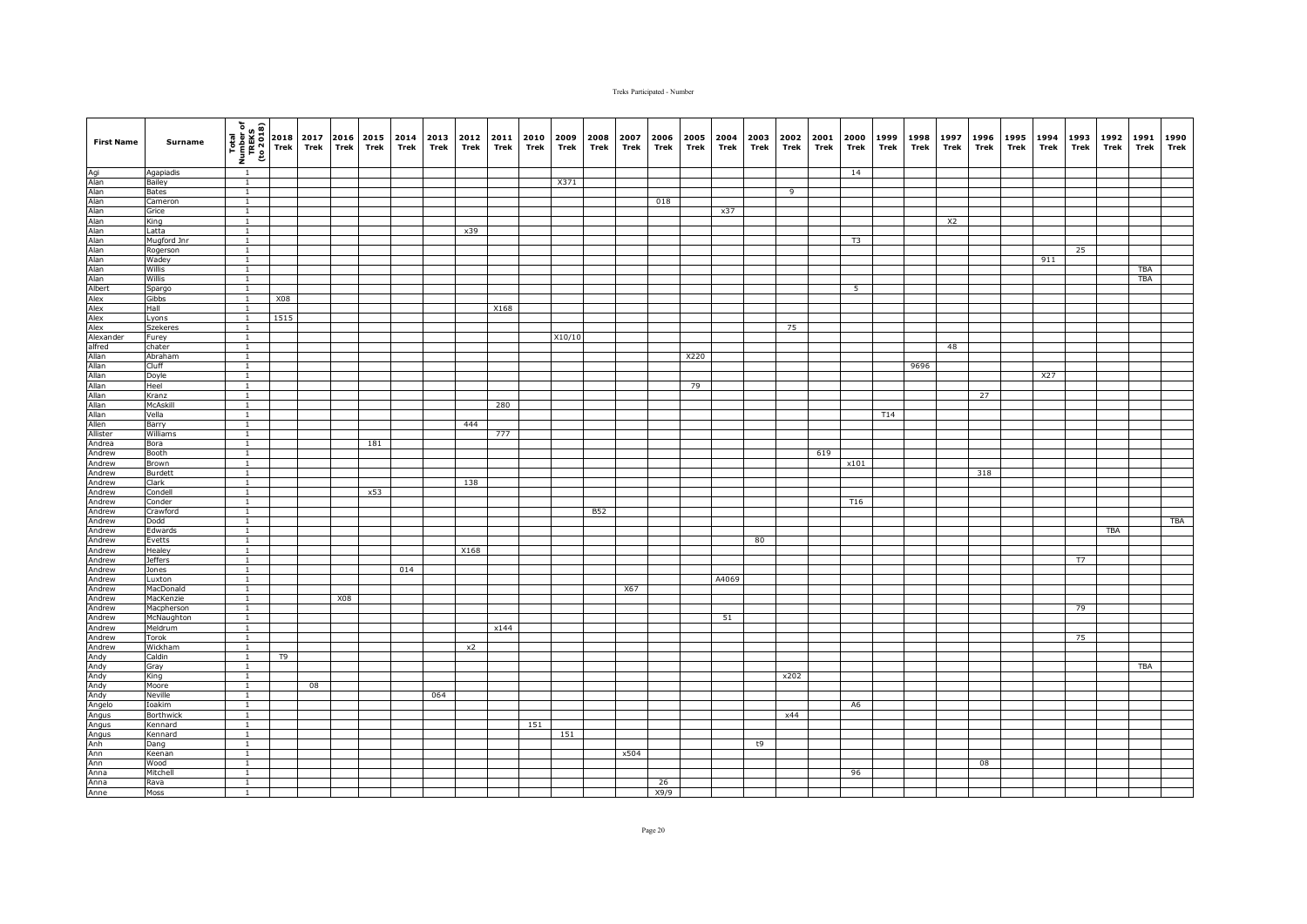| <b>First Name</b>                                                                                                   | Surname           | $\begin{array}{c c}\n\hline\n\text{total} & \text{total} \\ \hline\n\text{total} & \text{total} \\ \hline\n\text{total} & \text{total} \\ \hline\n\text{total} & \text{total} \\ \hline\n\text{total} & \text{total} \\ \hline\n\text{total} & \text{total} \\ \hline\n\text{total} & \text{total} \\ \hline\n\text{total} & \text{total} \\ \hline\n\text{total} & \text{total} \\ \hline\n\text{total} & \text{total} \\ \hline\n\text{total} & \text{total} \\ \hline\n\text{total} & \text{total} \\ \hline\n\text{total} & \text{total} \\ \h$ |                | 2017<br>Trek |     | 2016 2015<br>Trek Trek | 2014<br>Trek | Trek | 2013 2012 2011<br>Trek | Trek | 2010<br>Trek | 2009<br>Trek | 2008<br>Trek | 2007<br>Trek | 2006<br>Trek | 2005<br>Trek | 2004<br>Trek | 2003<br>Trek | 2002<br>Trek   | 2001<br>Trek | 2000<br>Trek   | 1999<br>Trek | 1998<br>Trek | 1997<br>Trek | 1996<br>Trek | 1995 1994<br>Trek | Trek | 1993<br>Trek | 1992<br>Trek | 1991<br>Trek      | 1990<br>Trek |
|---------------------------------------------------------------------------------------------------------------------|-------------------|-----------------------------------------------------------------------------------------------------------------------------------------------------------------------------------------------------------------------------------------------------------------------------------------------------------------------------------------------------------------------------------------------------------------------------------------------------------------------------------------------------------------------------------------------------|----------------|--------------|-----|------------------------|--------------|------|------------------------|------|--------------|--------------|--------------|--------------|--------------|--------------|--------------|--------------|----------------|--------------|----------------|--------------|--------------|--------------|--------------|-------------------|------|--------------|--------------|-------------------|--------------|
|                                                                                                                     | Agapiadis         |                                                                                                                                                                                                                                                                                                                                                                                                                                                                                                                                                     |                |              |     |                        |              |      |                        |      |              |              |              |              |              |              |              |              |                |              | 14             |              |              |              |              |                   |      |              |              |                   |              |
|                                                                                                                     | Bailey            | $\mathbf{1}$                                                                                                                                                                                                                                                                                                                                                                                                                                                                                                                                        |                |              |     |                        |              |      |                        |      |              | X371         |              |              |              |              |              |              |                |              |                |              |              |              |              |                   |      |              |              |                   |              |
|                                                                                                                     | <b>Bates</b>      | $\overline{1}$                                                                                                                                                                                                                                                                                                                                                                                                                                                                                                                                      |                |              |     |                        |              |      |                        |      |              |              |              |              |              |              |              |              | $\overline{9}$ |              |                |              |              |              |              |                   |      |              |              |                   |              |
|                                                                                                                     | Cameron           | $\mathbf{1}$                                                                                                                                                                                                                                                                                                                                                                                                                                                                                                                                        |                |              |     |                        |              |      |                        |      |              |              |              |              | 018          |              |              |              |                |              |                |              |              |              |              |                   |      |              |              |                   |              |
|                                                                                                                     | Grice             | $\overline{1}$                                                                                                                                                                                                                                                                                                                                                                                                                                                                                                                                      |                |              |     |                        |              |      |                        |      |              |              |              |              |              |              | x37          |              |                |              |                |              |              |              |              |                   |      |              |              |                   |              |
|                                                                                                                     | King              | $\mathbf{1}$                                                                                                                                                                                                                                                                                                                                                                                                                                                                                                                                        |                |              |     |                        |              |      |                        |      |              |              |              |              |              |              |              |              |                |              |                |              |              | X2           |              |                   |      |              |              |                   |              |
|                                                                                                                     | Latta             | $\mathbf{1}$                                                                                                                                                                                                                                                                                                                                                                                                                                                                                                                                        |                |              |     |                        |              |      | x39                    |      |              |              |              |              |              |              |              |              |                |              |                |              |              |              |              |                   |      |              |              |                   |              |
|                                                                                                                     | Mugford Jnr       | $\mathbf{1}$                                                                                                                                                                                                                                                                                                                                                                                                                                                                                                                                        |                |              |     |                        |              |      |                        |      |              |              |              |              |              |              |              |              |                |              | T <sub>3</sub> |              |              |              |              |                   |      |              |              |                   |              |
|                                                                                                                     | Rogerson          | $\mathbf{1}$<br>$\overline{1}$                                                                                                                                                                                                                                                                                                                                                                                                                                                                                                                      |                |              |     |                        |              |      |                        |      |              |              |              |              |              |              |              |              |                |              |                |              |              |              |              |                   |      | 25           |              |                   |              |
|                                                                                                                     | Wadey             |                                                                                                                                                                                                                                                                                                                                                                                                                                                                                                                                                     |                |              |     |                        |              |      |                        |      |              |              |              |              |              |              |              |              |                |              |                |              |              |              |              |                   | 911  |              |              |                   |              |
|                                                                                                                     | Willis<br>Willis  | $\mathbf{1}$<br>$\overline{1}$                                                                                                                                                                                                                                                                                                                                                                                                                                                                                                                      |                |              |     |                        |              |      |                        |      |              |              |              |              |              |              |              |              |                |              |                |              |              |              |              |                   |      |              |              | TBA<br><b>TBA</b> |              |
|                                                                                                                     | Spargo            | $\mathbf{1}$                                                                                                                                                                                                                                                                                                                                                                                                                                                                                                                                        |                |              |     |                        |              |      |                        |      |              |              |              |              |              |              |              |              |                |              | 5              |              |              |              |              |                   |      |              |              |                   |              |
|                                                                                                                     | Gibbs             | $\mathbf{1}$                                                                                                                                                                                                                                                                                                                                                                                                                                                                                                                                        | X08            |              |     |                        |              |      |                        |      |              |              |              |              |              |              |              |              |                |              |                |              |              |              |              |                   |      |              |              |                   |              |
|                                                                                                                     | Hall              | $\mathbf{1}$                                                                                                                                                                                                                                                                                                                                                                                                                                                                                                                                        |                |              |     |                        |              |      |                        | X168 |              |              |              |              |              |              |              |              |                |              |                |              |              |              |              |                   |      |              |              |                   |              |
|                                                                                                                     | Lyons             | $\mathbf{1}$                                                                                                                                                                                                                                                                                                                                                                                                                                                                                                                                        | 1515           |              |     |                        |              |      |                        |      |              |              |              |              |              |              |              |              |                |              |                |              |              |              |              |                   |      |              |              |                   |              |
|                                                                                                                     | Szekeres          | $\overline{1}$                                                                                                                                                                                                                                                                                                                                                                                                                                                                                                                                      |                |              |     |                        |              |      |                        |      |              |              |              |              |              |              |              |              | 75             |              |                |              |              |              |              |                   |      |              |              |                   |              |
|                                                                                                                     | Furey             | $\overline{1}$                                                                                                                                                                                                                                                                                                                                                                                                                                                                                                                                      |                |              |     |                        |              |      |                        |      |              | X10/10       |              |              |              |              |              |              |                |              |                |              |              |              |              |                   |      |              |              |                   |              |
|                                                                                                                     | chater            | $\overline{1}$                                                                                                                                                                                                                                                                                                                                                                                                                                                                                                                                      |                |              |     |                        |              |      |                        |      |              |              |              |              |              |              |              |              |                |              |                |              |              | 48           |              |                   |      |              |              |                   |              |
|                                                                                                                     | Abraham           | $\mathbf{1}$                                                                                                                                                                                                                                                                                                                                                                                                                                                                                                                                        |                |              |     |                        |              |      |                        |      |              |              |              |              |              | X220         |              |              |                |              |                |              |              |              |              |                   |      |              |              |                   |              |
|                                                                                                                     | Cluff             | $\mathbf{1}$                                                                                                                                                                                                                                                                                                                                                                                                                                                                                                                                        |                |              |     |                        |              |      |                        |      |              |              |              |              |              |              |              |              |                |              |                |              | 9696         |              |              |                   |      |              |              |                   |              |
|                                                                                                                     | Doyle             | $\mathbf{1}$                                                                                                                                                                                                                                                                                                                                                                                                                                                                                                                                        |                |              |     |                        |              |      |                        |      |              |              |              |              |              |              |              |              |                |              |                |              |              |              |              |                   | X27  |              |              |                   |              |
|                                                                                                                     | Heel              | $\mathbf{1}$                                                                                                                                                                                                                                                                                                                                                                                                                                                                                                                                        |                |              |     |                        |              |      |                        |      |              |              |              |              |              | 79           |              |              |                |              |                |              |              |              |              |                   |      |              |              |                   |              |
|                                                                                                                     | Kranz             | $\overline{1}$                                                                                                                                                                                                                                                                                                                                                                                                                                                                                                                                      |                |              |     |                        |              |      |                        |      |              |              |              |              |              |              |              |              |                |              |                |              |              |              | 27           |                   |      |              |              |                   |              |
|                                                                                                                     | McAskill          | $\overline{1}$                                                                                                                                                                                                                                                                                                                                                                                                                                                                                                                                      |                |              |     |                        |              |      |                        | 280  |              |              |              |              |              |              |              |              |                |              |                |              |              |              |              |                   |      |              |              |                   |              |
|                                                                                                                     | Vella             | $\overline{1}$                                                                                                                                                                                                                                                                                                                                                                                                                                                                                                                                      |                |              |     |                        |              |      |                        |      |              |              |              |              |              |              |              |              |                |              |                | T14          |              |              |              |                   |      |              |              |                   |              |
|                                                                                                                     | Barry             | $\mathbf{1}$                                                                                                                                                                                                                                                                                                                                                                                                                                                                                                                                        |                |              |     |                        |              |      | 444                    |      |              |              |              |              |              |              |              |              |                |              |                |              |              |              |              |                   |      |              |              |                   |              |
|                                                                                                                     | Williams          | $\overline{1}$                                                                                                                                                                                                                                                                                                                                                                                                                                                                                                                                      |                |              |     |                        |              |      |                        | 777  |              |              |              |              |              |              |              |              |                |              |                |              |              |              |              |                   |      |              |              |                   |              |
|                                                                                                                     | Bora              | $\mathbf{1}$                                                                                                                                                                                                                                                                                                                                                                                                                                                                                                                                        |                |              |     | 181                    |              |      |                        |      |              |              |              |              |              |              |              |              |                |              |                |              |              |              |              |                   |      |              |              |                   |              |
|                                                                                                                     | Booth             | $\mathbf{1}$<br>$\overline{1}$                                                                                                                                                                                                                                                                                                                                                                                                                                                                                                                      |                |              |     |                        |              |      |                        |      |              |              |              |              |              |              |              |              |                | 619          | x101           |              |              |              |              |                   |      |              |              |                   |              |
| Andrew<br>Andrew<br>Andrew<br>Andrew<br>Andrew<br>Andrew                                                            | Brown<br>Burdett  | $\overline{1}$                                                                                                                                                                                                                                                                                                                                                                                                                                                                                                                                      |                |              |     |                        |              |      |                        |      |              |              |              |              |              |              |              |              |                |              |                |              |              |              | 318          |                   |      |              |              |                   |              |
|                                                                                                                     | Clark             | $\overline{1}$                                                                                                                                                                                                                                                                                                                                                                                                                                                                                                                                      |                |              |     |                        |              |      | 138                    |      |              |              |              |              |              |              |              |              |                |              |                |              |              |              |              |                   |      |              |              |                   |              |
|                                                                                                                     | Condell           | $\mathbf{1}$                                                                                                                                                                                                                                                                                                                                                                                                                                                                                                                                        |                |              |     | x53                    |              |      |                        |      |              |              |              |              |              |              |              |              |                |              |                |              |              |              |              |                   |      |              |              |                   |              |
|                                                                                                                     | Conder            | $\mathbf{1}$                                                                                                                                                                                                                                                                                                                                                                                                                                                                                                                                        |                |              |     |                        |              |      |                        |      |              |              |              |              |              |              |              |              |                |              | <b>T16</b>     |              |              |              |              |                   |      |              |              |                   |              |
|                                                                                                                     | Crawford          | $\mathbf{1}$                                                                                                                                                                                                                                                                                                                                                                                                                                                                                                                                        |                |              |     |                        |              |      |                        |      |              |              | <b>B52</b>   |              |              |              |              |              |                |              |                |              |              |              |              |                   |      |              |              |                   |              |
|                                                                                                                     | Dodd              | $\mathbf{1}$                                                                                                                                                                                                                                                                                                                                                                                                                                                                                                                                        |                |              |     |                        |              |      |                        |      |              |              |              |              |              |              |              |              |                |              |                |              |              |              |              |                   |      |              |              |                   | TBA          |
| Andrew                                                                                                              | Edwards           | $\mathbf{1}$                                                                                                                                                                                                                                                                                                                                                                                                                                                                                                                                        |                |              |     |                        |              |      |                        |      |              |              |              |              |              |              |              |              |                |              |                |              |              |              |              |                   |      |              | <b>TBA</b>   |                   |              |
| Andrew                                                                                                              | Evetts            | $\mathbf{1}$                                                                                                                                                                                                                                                                                                                                                                                                                                                                                                                                        |                |              |     |                        |              |      |                        |      |              |              |              |              |              |              |              | 80           |                |              |                |              |              |              |              |                   |      |              |              |                   |              |
| Andrew                                                                                                              | Healey            | $\mathbf{1}$                                                                                                                                                                                                                                                                                                                                                                                                                                                                                                                                        |                |              |     |                        |              |      | X168                   |      |              |              |              |              |              |              |              |              |                |              |                |              |              |              |              |                   |      |              |              |                   |              |
| Andrew                                                                                                              | <b>Jeffers</b>    | $\mathbf{1}$                                                                                                                                                                                                                                                                                                                                                                                                                                                                                                                                        |                |              |     |                        |              |      |                        |      |              |              |              |              |              |              |              |              |                |              |                |              |              |              |              |                   |      | T7           |              |                   |              |
|                                                                                                                     | Jones             | $\mathbf{1}$                                                                                                                                                                                                                                                                                                                                                                                                                                                                                                                                        |                |              |     |                        | 014          |      |                        |      |              |              |              |              |              |              |              |              |                |              |                |              |              |              |              |                   |      |              |              |                   |              |
|                                                                                                                     | Luxton            | $\mathbf{1}$                                                                                                                                                                                                                                                                                                                                                                                                                                                                                                                                        |                |              |     |                        |              |      |                        |      |              |              |              |              |              |              | A4069        |              |                |              |                |              |              |              |              |                   |      |              |              |                   |              |
| Andrew<br>Andrew<br>Andrew<br>Andrew                                                                                | MacDonald         | $\mathbf{1}$                                                                                                                                                                                                                                                                                                                                                                                                                                                                                                                                        |                |              |     |                        |              |      |                        |      |              |              |              | X67          |              |              |              |              |                |              |                |              |              |              |              |                   |      |              |              |                   |              |
|                                                                                                                     | MacKenzie         | $\mathbf{1}$                                                                                                                                                                                                                                                                                                                                                                                                                                                                                                                                        |                |              | X08 |                        |              |      |                        |      |              |              |              |              |              |              |              |              |                |              |                |              |              |              |              |                   |      |              |              |                   |              |
| Andrew<br>Andrew<br>Andrew                                                                                          | Macpherson        | $\mathbf{1}$                                                                                                                                                                                                                                                                                                                                                                                                                                                                                                                                        |                |              |     |                        |              |      |                        |      |              |              |              |              |              |              |              |              |                |              |                |              |              |              |              |                   |      | 79           |              |                   |              |
|                                                                                                                     | McNaughton        | $\mathbf{1}$                                                                                                                                                                                                                                                                                                                                                                                                                                                                                                                                        |                |              |     |                        |              |      |                        |      |              |              |              |              |              |              | 51           |              |                |              |                |              |              |              |              |                   |      |              |              |                   |              |
|                                                                                                                     | Meldrum           | $\overline{1}$                                                                                                                                                                                                                                                                                                                                                                                                                                                                                                                                      |                |              |     |                        |              |      |                        | x144 |              |              |              |              |              |              |              |              |                |              |                |              |              |              |              |                   |      |              |              |                   |              |
|                                                                                                                     | Torok             | $\mathbf{1}$                                                                                                                                                                                                                                                                                                                                                                                                                                                                                                                                        |                |              |     |                        |              |      |                        |      |              |              |              |              |              |              |              |              |                |              |                |              |              |              |              |                   |      | 75           |              |                   |              |
|                                                                                                                     | Wickham<br>Caldin | $\mathbf{1}$                                                                                                                                                                                                                                                                                                                                                                                                                                                                                                                                        | T <sub>9</sub> |              |     |                        |              |      | x2                     |      |              |              |              |              |              |              |              |              |                |              |                |              |              |              |              |                   |      |              |              |                   |              |
|                                                                                                                     |                   | $\mathbf{1}$                                                                                                                                                                                                                                                                                                                                                                                                                                                                                                                                        |                |              |     |                        |              |      |                        |      |              |              |              |              |              |              |              |              |                |              |                |              |              |              |              |                   |      |              |              |                   |              |
| Andrew<br>Andy<br>Andy<br>Andy<br>Andy<br>Andy<br>Angus<br>Angus<br>Angus<br>Ann<br>Ann<br>Ann<br>Ann<br>Ann<br>Ann | Gray<br>King      | $\mathbf{1}$<br>$\mathbf{1}$                                                                                                                                                                                                                                                                                                                                                                                                                                                                                                                        |                |              |     |                        |              |      |                        |      |              |              |              |              |              |              |              |              | x202           |              |                |              |              |              |              |                   |      |              |              | TBA               |              |
|                                                                                                                     | Moore             | $\mathbf{1}$                                                                                                                                                                                                                                                                                                                                                                                                                                                                                                                                        |                | 08           |     |                        |              |      |                        |      |              |              |              |              |              |              |              |              |                |              |                |              |              |              |              |                   |      |              |              |                   |              |
|                                                                                                                     | Neville           | $\overline{1}$                                                                                                                                                                                                                                                                                                                                                                                                                                                                                                                                      |                |              |     |                        |              | 064  |                        |      |              |              |              |              |              |              |              |              |                |              |                |              |              |              |              |                   |      |              |              |                   |              |
|                                                                                                                     | Ioakim            | $\mathbf{1}$                                                                                                                                                                                                                                                                                                                                                                                                                                                                                                                                        |                |              |     |                        |              |      |                        |      |              |              |              |              |              |              |              |              |                |              | A <sub>6</sub> |              |              |              |              |                   |      |              |              |                   |              |
|                                                                                                                     | <b>Borthwick</b>  | $\mathbf{1}$                                                                                                                                                                                                                                                                                                                                                                                                                                                                                                                                        |                |              |     |                        |              |      |                        |      |              |              |              |              |              |              |              |              | x44            |              |                |              |              |              |              |                   |      |              |              |                   |              |
|                                                                                                                     | Kennard           | $\mathbf{1}$                                                                                                                                                                                                                                                                                                                                                                                                                                                                                                                                        |                |              |     |                        |              |      |                        |      | 151          |              |              |              |              |              |              |              |                |              |                |              |              |              |              |                   |      |              |              |                   |              |
|                                                                                                                     | Kennard           | $\mathbf{1}$                                                                                                                                                                                                                                                                                                                                                                                                                                                                                                                                        |                |              |     |                        |              |      |                        |      |              | 151          |              |              |              |              |              |              |                |              |                |              |              |              |              |                   |      |              |              |                   |              |
|                                                                                                                     | Dang              | $\mathbf{1}$                                                                                                                                                                                                                                                                                                                                                                                                                                                                                                                                        |                |              |     |                        |              |      |                        |      |              |              |              |              |              |              |              | t9           |                |              |                |              |              |              |              |                   |      |              |              |                   |              |
|                                                                                                                     | Keenan            | $\mathbf{1}$                                                                                                                                                                                                                                                                                                                                                                                                                                                                                                                                        |                |              |     |                        |              |      |                        |      |              |              |              | x504         |              |              |              |              |                |              |                |              |              |              |              |                   |      |              |              |                   |              |
|                                                                                                                     | <b>Wood</b>       | $\overline{1}$                                                                                                                                                                                                                                                                                                                                                                                                                                                                                                                                      |                |              |     |                        |              |      |                        |      |              |              |              |              |              |              |              |              |                |              |                |              |              |              | 08           |                   |      |              |              |                   |              |
|                                                                                                                     | Mitchell          | $\mathbf{1}$                                                                                                                                                                                                                                                                                                                                                                                                                                                                                                                                        |                |              |     |                        |              |      |                        |      |              |              |              |              |              |              |              |              |                |              | 96             |              |              |              |              |                   |      |              |              |                   |              |
|                                                                                                                     | Rava              | $\overline{1}$                                                                                                                                                                                                                                                                                                                                                                                                                                                                                                                                      |                |              |     |                        |              |      |                        |      |              |              |              |              | 26           |              |              |              |                |              |                |              |              |              |              |                   |      |              |              |                   |              |
|                                                                                                                     | Moss              | 1                                                                                                                                                                                                                                                                                                                                                                                                                                                                                                                                                   |                |              |     |                        |              |      |                        |      |              |              |              |              | X9/9         |              |              |              |                |              |                |              |              |              |              |                   |      |              |              |                   |              |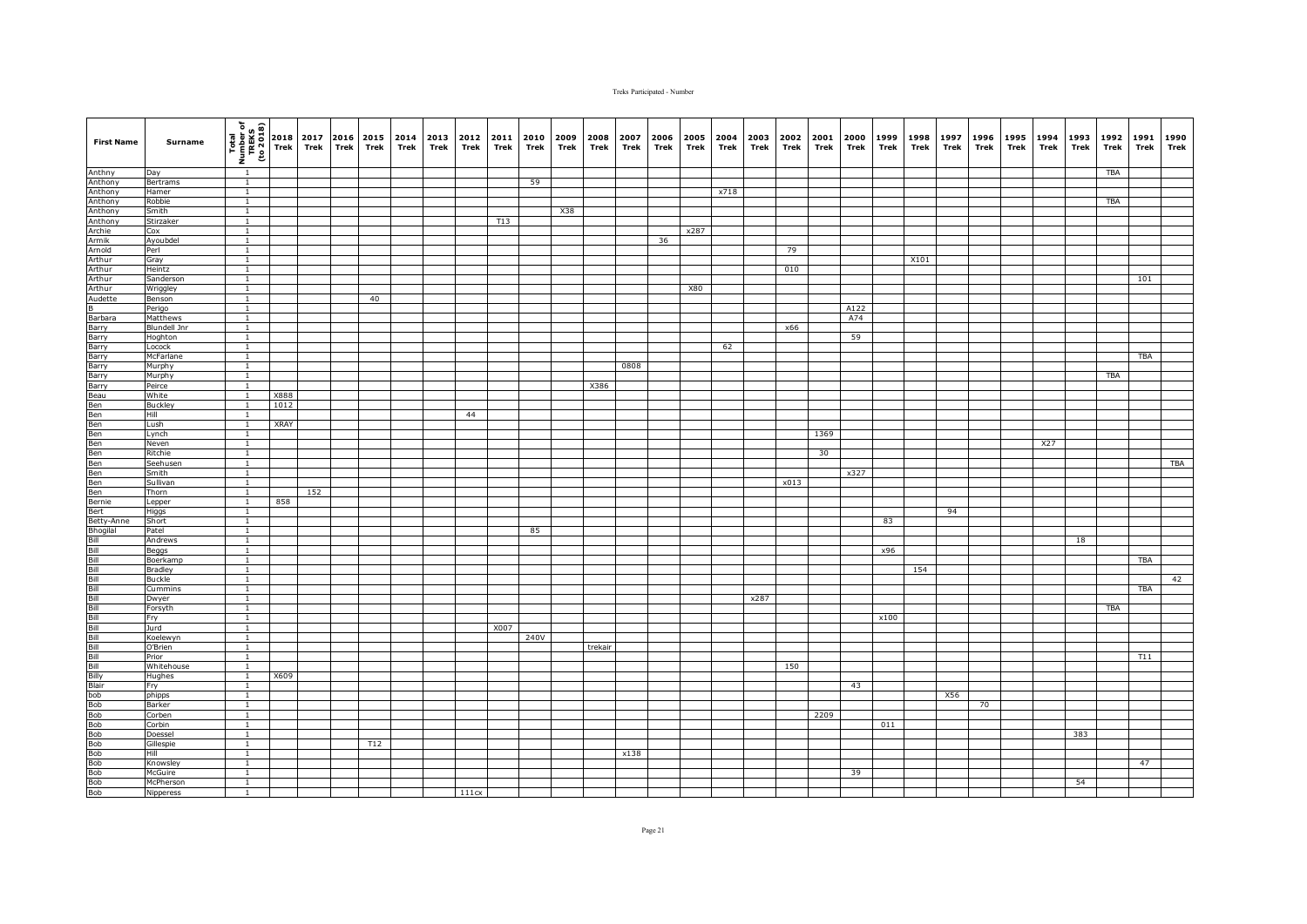| <b>First Name</b>                                                                                                                                                                                                                                           | Surname                         | $\begin{array}{c}\n\hline\n\text{real} \\ \hline\n\text{real} \\ \text{unif } \text{real} \\ \hline\n\text{real} \\ \hline\n\text{real} \\ \hline\n\end{array}$ |      | 2017<br>Trek | Trek | 2016 2015<br>Trek | 2014<br>Trek | Trek | 2013 2012<br>Trek | 2011<br>Trek | 2010<br>Trek | 2009<br>Trek | 2008<br>Trek | 2007<br>Trek | 2006<br>Trek | 2005<br>Trek | 2004<br>Trek | 2003<br>Trek | 2002<br>Trek | 2001<br>Trek | 2000<br>Trek | 1999<br>Trek | 1998<br>Trek | 1997<br>Trek | 1996<br>Trek | 1995<br>Trek | 1994<br>Trek | 1993<br>Trek | 1992<br>Trek | 1991<br>Trek | 1990<br>Trek |
|-------------------------------------------------------------------------------------------------------------------------------------------------------------------------------------------------------------------------------------------------------------|---------------------------------|-----------------------------------------------------------------------------------------------------------------------------------------------------------------|------|--------------|------|-------------------|--------------|------|-------------------|--------------|--------------|--------------|--------------|--------------|--------------|--------------|--------------|--------------|--------------|--------------|--------------|--------------|--------------|--------------|--------------|--------------|--------------|--------------|--------------|--------------|--------------|
| Anthny<br>Anthony<br>Anthony                                                                                                                                                                                                                                | Day                             | $\overline{1}$                                                                                                                                                  |      |              |      |                   |              |      |                   |              |              |              |              |              |              |              |              |              |              |              |              |              |              |              |              |              |              |              | TBA          |              |              |
|                                                                                                                                                                                                                                                             | Bertrams                        | $\overline{1}$                                                                                                                                                  |      |              |      |                   |              |      |                   |              | 59           |              |              |              |              |              |              |              |              |              |              |              |              |              |              |              |              |              |              |              |              |
|                                                                                                                                                                                                                                                             | Hamer                           | $\overline{1}$                                                                                                                                                  |      |              |      |                   |              |      |                   |              |              |              |              |              |              |              | x718         |              |              |              |              |              |              |              |              |              |              |              |              |              |              |
| Anthony<br>Anthony<br>Anthony<br>Archie                                                                                                                                                                                                                     | Robbie                          | $\mathbf{1}$                                                                                                                                                    |      |              |      |                   |              |      |                   |              |              |              |              |              |              |              |              |              |              |              |              |              |              |              |              |              |              |              | <b>TBA</b>   |              |              |
|                                                                                                                                                                                                                                                             | Smith                           | $\mathbf{1}$                                                                                                                                                    |      |              |      |                   |              |      |                   |              |              | X38          |              |              |              |              |              |              |              |              |              |              |              |              |              |              |              |              |              |              |              |
|                                                                                                                                                                                                                                                             | Stirzaker                       | $\mathbf{1}$                                                                                                                                                    |      |              |      |                   |              |      |                   | T13          |              |              |              |              |              |              |              |              |              |              |              |              |              |              |              |              |              |              |              |              |              |
|                                                                                                                                                                                                                                                             | Cox                             | $\mathbf{1}$                                                                                                                                                    |      |              |      |                   |              |      |                   |              |              |              |              |              |              | x287         |              |              |              |              |              |              |              |              |              |              |              |              |              |              |              |
| Armik<br>Arnold<br>Arthur                                                                                                                                                                                                                                   | Ayoubdel                        | $\overline{1}$                                                                                                                                                  |      |              |      |                   |              |      |                   |              |              |              |              |              | 36           |              |              |              |              |              |              |              |              |              |              |              |              |              |              |              |              |
|                                                                                                                                                                                                                                                             | Perl                            | $\overline{1}$                                                                                                                                                  |      |              |      |                   |              |      |                   |              |              |              |              |              |              |              |              |              | 79           |              |              |              |              |              |              |              |              |              |              |              |              |
|                                                                                                                                                                                                                                                             | Gray                            | $\overline{1}$                                                                                                                                                  |      |              |      |                   |              |      |                   |              |              |              |              |              |              |              |              |              |              |              |              |              | X101         |              |              |              |              |              |              |              |              |
|                                                                                                                                                                                                                                                             | Heintz                          | $\overline{1}$                                                                                                                                                  |      |              |      |                   |              |      |                   |              |              |              |              |              |              |              |              |              | 010          |              |              |              |              |              |              |              |              |              |              |              |              |
|                                                                                                                                                                                                                                                             | Sanderson                       | $\mathbf{1}$                                                                                                                                                    |      |              |      |                   |              |      |                   |              |              |              |              |              |              |              |              |              |              |              |              |              |              |              |              |              |              |              |              | 101          |              |
|                                                                                                                                                                                                                                                             | Wriggley                        | $\mathbf{1}$                                                                                                                                                    |      |              |      |                   |              |      |                   |              |              |              |              |              |              | <b>X80</b>   |              |              |              |              |              |              |              |              |              |              |              |              |              |              |              |
|                                                                                                                                                                                                                                                             | Benson                          | $\mathbf{1}$                                                                                                                                                    |      |              |      | 40                |              |      |                   |              |              |              |              |              |              |              |              |              |              |              |              |              |              |              |              |              |              |              |              |              |              |
|                                                                                                                                                                                                                                                             | Perigo                          | $\overline{1}$<br>$\overline{1}$                                                                                                                                |      |              |      |                   |              |      |                   |              |              |              |              |              |              |              |              |              |              |              | A122<br>A74  |              |              |              |              |              |              |              |              |              |              |
|                                                                                                                                                                                                                                                             | Matthews<br><b>Blundell Jnr</b> | $\overline{1}$                                                                                                                                                  |      |              |      |                   |              |      |                   |              |              |              |              |              |              |              |              |              | x66          |              |              |              |              |              |              |              |              |              |              |              |              |
|                                                                                                                                                                                                                                                             | Hoghton                         | $\overline{1}$                                                                                                                                                  |      |              |      |                   |              |      |                   |              |              |              |              |              |              |              |              |              |              |              | 59           |              |              |              |              |              |              |              |              |              |              |
|                                                                                                                                                                                                                                                             | Locock                          | $\mathbf{1}$                                                                                                                                                    |      |              |      |                   |              |      |                   |              |              |              |              |              |              |              | 62           |              |              |              |              |              |              |              |              |              |              |              |              |              |              |
|                                                                                                                                                                                                                                                             | McFarlane                       | $\overline{1}$                                                                                                                                                  |      |              |      |                   |              |      |                   |              |              |              |              |              |              |              |              |              |              |              |              |              |              |              |              |              |              |              |              | <b>TBA</b>   |              |
|                                                                                                                                                                                                                                                             | Murphy                          | $\mathbf{1}$                                                                                                                                                    |      |              |      |                   |              |      |                   |              |              |              |              | 0808         |              |              |              |              |              |              |              |              |              |              |              |              |              |              |              |              |              |
|                                                                                                                                                                                                                                                             | Murphy                          | $\mathbf{1}$                                                                                                                                                    |      |              |      |                   |              |      |                   |              |              |              |              |              |              |              |              |              |              |              |              |              |              |              |              |              |              |              | TBA          |              |              |
|                                                                                                                                                                                                                                                             | Peirce                          | $\overline{1}$                                                                                                                                                  |      |              |      |                   |              |      |                   |              |              |              | X386         |              |              |              |              |              |              |              |              |              |              |              |              |              |              |              |              |              |              |
|                                                                                                                                                                                                                                                             | White                           | $\overline{1}$                                                                                                                                                  | X888 |              |      |                   |              |      |                   |              |              |              |              |              |              |              |              |              |              |              |              |              |              |              |              |              |              |              |              |              |              |
|                                                                                                                                                                                                                                                             | <b>Buckley</b>                  | $\overline{1}$                                                                                                                                                  | 1012 |              |      |                   |              |      |                   |              |              |              |              |              |              |              |              |              |              |              |              |              |              |              |              |              |              |              |              |              |              |
|                                                                                                                                                                                                                                                             | Hill                            | $\mathbf{1}$                                                                                                                                                    |      |              |      |                   |              |      | 44                |              |              |              |              |              |              |              |              |              |              |              |              |              |              |              |              |              |              |              |              |              |              |
|                                                                                                                                                                                                                                                             | Lush                            | $\overline{1}$                                                                                                                                                  | XRAY |              |      |                   |              |      |                   |              |              |              |              |              |              |              |              |              |              |              |              |              |              |              |              |              |              |              |              |              |              |
|                                                                                                                                                                                                                                                             | Lynch                           | $\mathbf{1}$                                                                                                                                                    |      |              |      |                   |              |      |                   |              |              |              |              |              |              |              |              |              |              | 1369         |              |              |              |              |              |              |              |              |              |              |              |
|                                                                                                                                                                                                                                                             | Neven                           | $\mathbf{1}$                                                                                                                                                    |      |              |      |                   |              |      |                   |              |              |              |              |              |              |              |              |              |              |              |              |              |              |              |              |              | X27          |              |              |              |              |
|                                                                                                                                                                                                                                                             | Ritchie                         | $\mathbf{1}$                                                                                                                                                    |      |              |      |                   |              |      |                   |              |              |              |              |              |              |              |              |              |              | 30           |              |              |              |              |              |              |              |              |              |              |              |
|                                                                                                                                                                                                                                                             | Seehuser                        | $\overline{1}$                                                                                                                                                  |      |              |      |                   |              |      |                   |              |              |              |              |              |              |              |              |              |              |              |              |              |              |              |              |              |              |              |              |              | <b>TBA</b>   |
|                                                                                                                                                                                                                                                             | Smith                           | $\overline{1}$                                                                                                                                                  |      |              |      |                   |              |      |                   |              |              |              |              |              |              |              |              |              |              |              | x327         |              |              |              |              |              |              |              |              |              |              |
|                                                                                                                                                                                                                                                             | Sullivan                        | $\mathbf{1}$                                                                                                                                                    |      |              |      |                   |              |      |                   |              |              |              |              |              |              |              |              |              | x013         |              |              |              |              |              |              |              |              |              |              |              |              |
|                                                                                                                                                                                                                                                             | Thorn                           | $\mathbf{1}$                                                                                                                                                    |      | 152          |      |                   |              |      |                   |              |              |              |              |              |              |              |              |              |              |              |              |              |              |              |              |              |              |              |              |              |              |
|                                                                                                                                                                                                                                                             | Lepper                          | $\overline{1}$                                                                                                                                                  | 858  |              |      |                   |              |      |                   |              |              |              |              |              |              |              |              |              |              |              |              |              |              |              |              |              |              |              |              |              |              |
|                                                                                                                                                                                                                                                             | Higgs                           | $\mathbf{1}$                                                                                                                                                    |      |              |      |                   |              |      |                   |              |              |              |              |              |              |              |              |              |              |              |              |              |              | 94           |              |              |              |              |              |              |              |
|                                                                                                                                                                                                                                                             | Short                           | $\mathbf{1}$                                                                                                                                                    |      |              |      |                   |              |      |                   |              |              |              |              |              |              |              |              |              |              |              |              | 83           |              |              |              |              |              |              |              |              |              |
|                                                                                                                                                                                                                                                             | Patel                           | $\mathbf{1}$                                                                                                                                                    |      |              |      |                   |              |      |                   |              | 85           |              |              |              |              |              |              |              |              |              |              |              |              |              |              |              |              |              |              |              |              |
|                                                                                                                                                                                                                                                             | Andrews                         | $\mathbf{1}$                                                                                                                                                    |      |              |      |                   |              |      |                   |              |              |              |              |              |              |              |              |              |              |              |              |              |              |              |              |              |              | 18           |              |              |              |
|                                                                                                                                                                                                                                                             | Beggs                           | $\overline{1}$                                                                                                                                                  |      |              |      |                   |              |      |                   |              |              |              |              |              |              |              |              |              |              |              |              | x96          |              |              |              |              |              |              |              |              |              |
|                                                                                                                                                                                                                                                             | Boerkamp                        | $\overline{1}$                                                                                                                                                  |      |              |      |                   |              |      |                   |              |              |              |              |              |              |              |              |              |              |              |              |              |              |              |              |              |              |              |              | <b>TBA</b>   |              |
|                                                                                                                                                                                                                                                             | <b>Bradley</b>                  | $\overline{1}$                                                                                                                                                  |      |              |      |                   |              |      |                   |              |              |              |              |              |              |              |              |              |              |              |              |              | 154          |              |              |              |              |              |              |              |              |
|                                                                                                                                                                                                                                                             | <b>Buckle</b>                   | $\mathbf{1}$                                                                                                                                                    |      |              |      |                   |              |      |                   |              |              |              |              |              |              |              |              |              |              |              |              |              |              |              |              |              |              |              |              |              | 42           |
|                                                                                                                                                                                                                                                             | Cummins                         | $\mathbf{1}$                                                                                                                                                    |      |              |      |                   |              |      |                   |              |              |              |              |              |              |              |              |              |              |              |              |              |              |              |              |              |              |              |              | TBA          |              |
|                                                                                                                                                                                                                                                             | Dwyer                           | $\mathbf{1}$                                                                                                                                                    |      |              |      |                   |              |      |                   |              |              |              |              |              |              |              |              | x287         |              |              |              |              |              |              |              |              |              |              |              |              |              |
|                                                                                                                                                                                                                                                             | Forsyth                         | $\overline{1}$<br>$\overline{1}$                                                                                                                                |      |              |      |                   |              |      |                   |              |              |              |              |              |              |              |              |              |              |              |              |              |              |              |              |              |              |              | <b>TBA</b>   |              |              |
|                                                                                                                                                                                                                                                             | Fry                             | $\overline{1}$                                                                                                                                                  |      |              |      |                   |              |      |                   |              |              |              |              |              |              |              |              |              |              |              |              | x100         |              |              |              |              |              |              |              |              |              |
|                                                                                                                                                                                                                                                             | Jurd                            | $\overline{1}$                                                                                                                                                  |      |              |      |                   |              |      |                   | X007         | 240V         |              |              |              |              |              |              |              |              |              |              |              |              |              |              |              |              |              |              |              |              |
|                                                                                                                                                                                                                                                             | Koelewyn<br>O'Brien             | $\mathbf{1}$                                                                                                                                                    |      |              |      |                   |              |      |                   |              |              |              | trekair      |              |              |              |              |              |              |              |              |              |              |              |              |              |              |              |              |              |              |
|                                                                                                                                                                                                                                                             | Prior                           | $\mathbf{1}$                                                                                                                                                    |      |              |      |                   |              |      |                   |              |              |              |              |              |              |              |              |              |              |              |              |              |              |              |              |              |              |              |              | T11          |              |
|                                                                                                                                                                                                                                                             | Whitehouse                      | $\mathbf{1}$                                                                                                                                                    |      |              |      |                   |              |      |                   |              |              |              |              |              |              |              |              |              | 150          |              |              |              |              |              |              |              |              |              |              |              |              |
| Arthur<br>Arthur<br>Arthur Be Barbara<br>Berbara (Barbara Barry Tyry Barry Berbara)<br>Berbara Berbara Berbara<br>Berbara Berbara Berbara<br>Berbara Berbara Berbara<br>Berbara Berbara Berbara<br>Berbara Berbara Berbara<br>Berbara Berbara Berbara<br>Be | Hughes                          | $\mathbf{1}$                                                                                                                                                    | X609 |              |      |                   |              |      |                   |              |              |              |              |              |              |              |              |              |              |              |              |              |              |              |              |              |              |              |              |              |              |
|                                                                                                                                                                                                                                                             | Fry                             | $\overline{1}$                                                                                                                                                  |      |              |      |                   |              |      |                   |              |              |              |              |              |              |              |              |              |              |              | 43           |              |              |              |              |              |              |              |              |              |              |
|                                                                                                                                                                                                                                                             | phipps                          | $\overline{1}$                                                                                                                                                  |      |              |      |                   |              |      |                   |              |              |              |              |              |              |              |              |              |              |              |              |              |              | X56          |              |              |              |              |              |              |              |
|                                                                                                                                                                                                                                                             | Barker                          | $\mathbf{1}$                                                                                                                                                    |      |              |      |                   |              |      |                   |              |              |              |              |              |              |              |              |              |              |              |              |              |              |              | 70           |              |              |              |              |              |              |
|                                                                                                                                                                                                                                                             | Corben                          | $\mathbf{1}$                                                                                                                                                    |      |              |      |                   |              |      |                   |              |              |              |              |              |              |              |              |              |              | 2209         |              |              |              |              |              |              |              |              |              |              |              |
|                                                                                                                                                                                                                                                             | Corbin                          | $\mathbf{1}$                                                                                                                                                    |      |              |      |                   |              |      |                   |              |              |              |              |              |              |              |              |              |              |              |              | 011          |              |              |              |              |              |              |              |              |              |
|                                                                                                                                                                                                                                                             | Doessel                         | $\mathbf{1}$                                                                                                                                                    |      |              |      |                   |              |      |                   |              |              |              |              |              |              |              |              |              |              |              |              |              |              |              |              |              |              | 383          |              |              |              |
|                                                                                                                                                                                                                                                             | Gillespie                       | $\mathbf{1}$                                                                                                                                                    |      |              |      | T12               |              |      |                   |              |              |              |              |              |              |              |              |              |              |              |              |              |              |              |              |              |              |              |              |              |              |
|                                                                                                                                                                                                                                                             | Hill                            | $\overline{1}$                                                                                                                                                  |      |              |      |                   |              |      |                   |              |              |              |              | x138         |              |              |              |              |              |              |              |              |              |              |              |              |              |              |              |              |              |
|                                                                                                                                                                                                                                                             | Knowsley                        | $\overline{1}$                                                                                                                                                  |      |              |      |                   |              |      |                   |              |              |              |              |              |              |              |              |              |              |              |              |              |              |              |              |              |              |              |              | 47           |              |
|                                                                                                                                                                                                                                                             | McGuire                         | $\overline{1}$                                                                                                                                                  |      |              |      |                   |              |      |                   |              |              |              |              |              |              |              |              |              |              |              | 39           |              |              |              |              |              |              |              |              |              |              |
|                                                                                                                                                                                                                                                             | McPherson                       | $\overline{1}$                                                                                                                                                  |      |              |      |                   |              |      |                   |              |              |              |              |              |              |              |              |              |              |              |              |              |              |              |              |              |              | 54           |              |              |              |
|                                                                                                                                                                                                                                                             | Nipperess                       | 1                                                                                                                                                               |      |              |      |                   |              |      | 111cx             |              |              |              |              |              |              |              |              |              |              |              |              |              |              |              |              |              |              |              |              |              |              |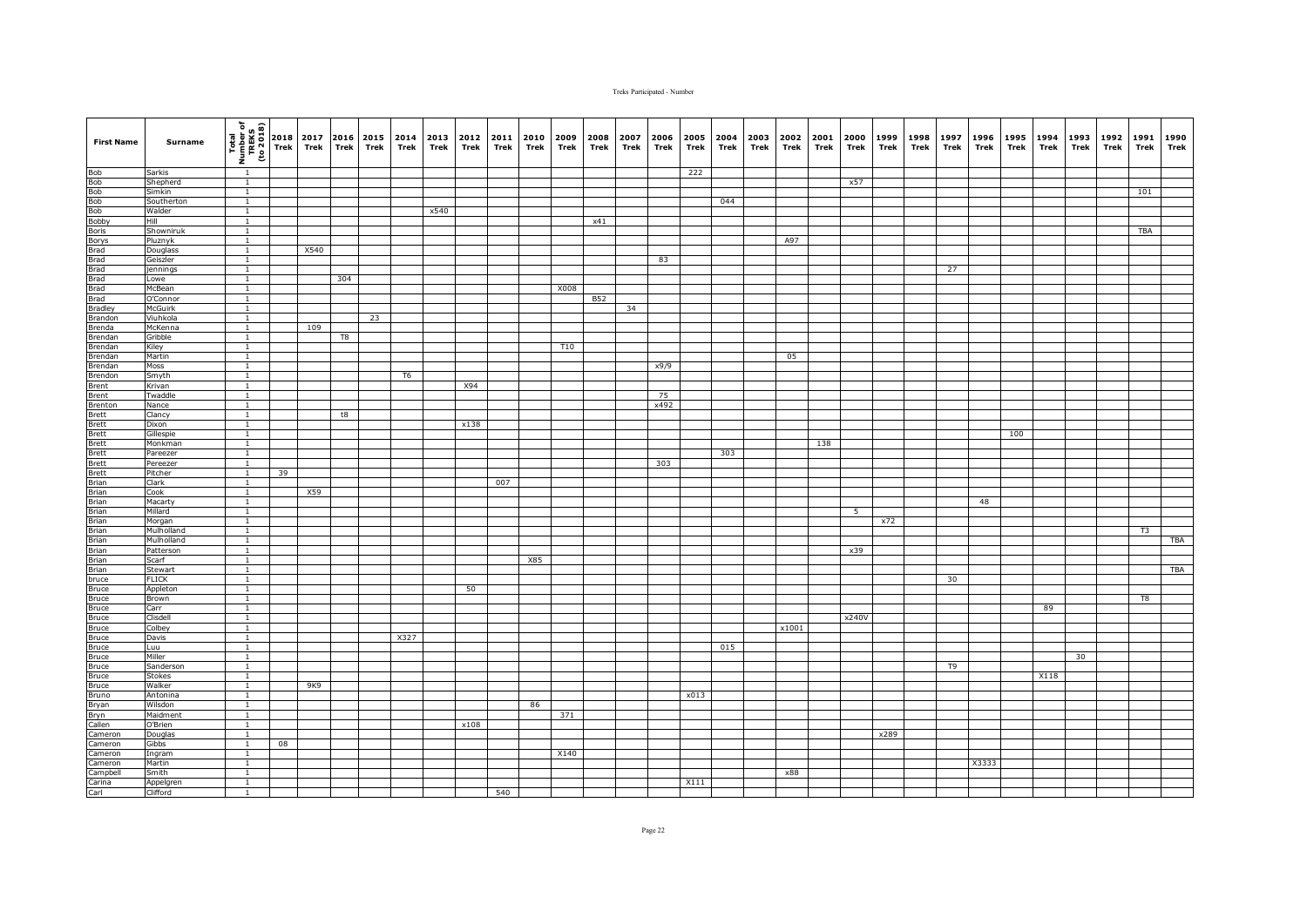| <b>First Name</b>                                                                                        | Surname              | (1802 or)<br>TREKS<br>TREKS<br>To 2018 | 2018<br>Trek | 2017<br>Trek | 2016<br><b>Trek</b> | 2015<br>Trek | 2014<br>Trek | 2013<br>Trek | 2012<br>Trek | 2011<br>Trek | 2010<br>Trek | 2009<br>Trek | 2008<br>Trek | 2007<br>Trek | 2006<br>Trek | 2005<br>Trek | 2004<br>Trek | 2003<br>Trek | 2002<br>Trek | 2001<br>Trek | 2000<br>Trek | 1999<br>Trek | 1998<br>Trek | 1997<br>Trek | 1996<br>Trek | 1995<br>Trek | 1994<br>Trek | 1993<br>Trek | 1992<br>Trek | 1991<br>Trek | 1990<br>Trek |
|----------------------------------------------------------------------------------------------------------|----------------------|----------------------------------------|--------------|--------------|---------------------|--------------|--------------|--------------|--------------|--------------|--------------|--------------|--------------|--------------|--------------|--------------|--------------|--------------|--------------|--------------|--------------|--------------|--------------|--------------|--------------|--------------|--------------|--------------|--------------|--------------|--------------|
|                                                                                                          | Sarkis               | $\overline{1}$                         |              |              |                     |              |              |              |              |              |              |              |              |              |              | 222          |              |              |              |              |              |              |              |              |              |              |              |              |              |              |              |
|                                                                                                          | Shepherd             | $\overline{1}$                         |              |              |                     |              |              |              |              |              |              |              |              |              |              |              |              |              |              |              | x57          |              |              |              |              |              |              |              |              |              |              |
|                                                                                                          | Simkin               | $\mathbf{1}$                           |              |              |                     |              |              |              |              |              |              |              |              |              |              |              |              |              |              |              |              |              |              |              |              |              |              |              |              | 101          |              |
|                                                                                                          | Southerton<br>Walder | $\overline{1}$                         |              |              |                     |              |              |              |              |              |              |              |              |              |              |              | 044          |              |              |              |              |              |              |              |              |              |              |              |              |              |              |
|                                                                                                          | Hill                 | $\mathbf{1}$<br>$\overline{1}$         |              |              |                     |              |              | x540         |              |              |              |              | x41          |              |              |              |              |              |              |              |              |              |              |              |              |              |              |              |              |              |              |
|                                                                                                          | Showniruk            | $\overline{1}$                         |              |              |                     |              |              |              |              |              |              |              |              |              |              |              |              |              |              |              |              |              |              |              |              |              |              |              |              | TBA          |              |
|                                                                                                          | Pluznyk              | $\mathbf{1}$                           |              |              |                     |              |              |              |              |              |              |              |              |              |              |              |              |              | A97          |              |              |              |              |              |              |              |              |              |              |              |              |
|                                                                                                          | Douglass             | $\overline{1}$                         |              | X540         |                     |              |              |              |              |              |              |              |              |              |              |              |              |              |              |              |              |              |              |              |              |              |              |              |              |              |              |
|                                                                                                          | Geiszler             |                                        |              |              |                     |              |              |              |              |              |              |              |              |              | 83           |              |              |              |              |              |              |              |              |              |              |              |              |              |              |              |              |
|                                                                                                          | jennings             | $\mathbf{1}$                           |              |              |                     |              |              |              |              |              |              |              |              |              |              |              |              |              |              |              |              |              |              | 27           |              |              |              |              |              |              |              |
|                                                                                                          | Lowe                 | $\mathbf{1}$                           |              |              | 304                 |              |              |              |              |              |              |              |              |              |              |              |              |              |              |              |              |              |              |              |              |              |              |              |              |              |              |
|                                                                                                          | McBean               | $\mathbf{1}$                           |              |              |                     |              |              |              |              |              |              | X008         |              |              |              |              |              |              |              |              |              |              |              |              |              |              |              |              |              |              |              |
|                                                                                                          | O'Connor             | $\overline{1}$                         |              |              |                     |              |              |              |              |              |              |              | <b>B52</b>   |              |              |              |              |              |              |              |              |              |              |              |              |              |              |              |              |              |              |
|                                                                                                          | <b>McGuirk</b>       | $\overline{1}$                         |              |              |                     | 23           |              |              |              |              |              |              |              | 34           |              |              |              |              |              |              |              |              |              |              |              |              |              |              |              |              |              |
| <b>Brandon</b><br>Brenda                                                                                 | Viuhkola<br>McKenna  | $\mathbf{1}$<br>$\mathbf{1}$           |              | 109          |                     |              |              |              |              |              |              |              |              |              |              |              |              |              |              |              |              |              |              |              |              |              |              |              |              |              |              |
| Brendan                                                                                                  | Gribble              | $\overline{1}$                         |              |              | T8                  |              |              |              |              |              |              |              |              |              |              |              |              |              |              |              |              |              |              |              |              |              |              |              |              |              |              |
| Brendan                                                                                                  | Kiley                | $\mathbf{1}$                           |              |              |                     |              |              |              |              |              |              | <b>T10</b>   |              |              |              |              |              |              |              |              |              |              |              |              |              |              |              |              |              |              |              |
| Brendan                                                                                                  | Martin               | $\overline{1}$                         |              |              |                     |              |              |              |              |              |              |              |              |              |              |              |              |              | 05           |              |              |              |              |              |              |              |              |              |              |              |              |
| Brendan                                                                                                  | Moss                 | $\overline{1}$                         |              |              |                     |              |              |              |              |              |              |              |              |              | x9/9         |              |              |              |              |              |              |              |              |              |              |              |              |              |              |              |              |
| Brendon                                                                                                  | Smyth                | $\mathbf{1}$                           |              |              |                     |              | T6           |              |              |              |              |              |              |              |              |              |              |              |              |              |              |              |              |              |              |              |              |              |              |              |              |
| Brent                                                                                                    | Krivan               | $\overline{1}$                         |              |              |                     |              |              |              | X94          |              |              |              |              |              |              |              |              |              |              |              |              |              |              |              |              |              |              |              |              |              |              |
|                                                                                                          | Twaddle              | $\overline{1}$                         |              |              |                     |              |              |              |              |              |              |              |              |              | 75           |              |              |              |              |              |              |              |              |              |              |              |              |              |              |              |              |
|                                                                                                          | Nance                | $\overline{1}$                         |              |              |                     |              |              |              |              |              |              |              |              |              | x492         |              |              |              |              |              |              |              |              |              |              |              |              |              |              |              |              |
|                                                                                                          | Clancy               | $\mathbf{1}$                           |              |              | t8                  |              |              |              |              |              |              |              |              |              |              |              |              |              |              |              |              |              |              |              |              |              |              |              |              |              |              |
|                                                                                                          | Dixon<br>Gillespie   | $\overline{1}$<br>$\overline{1}$       |              |              |                     |              |              |              | x138         |              |              |              |              |              |              |              |              |              |              |              |              |              |              |              |              | 100          |              |              |              |              |              |
|                                                                                                          | Monkman              |                                        |              |              |                     |              |              |              |              |              |              |              |              |              |              |              |              |              |              | 138          |              |              |              |              |              |              |              |              |              |              |              |
|                                                                                                          | Pareezer             | $\overline{1}$                         |              |              |                     |              |              |              |              |              |              |              |              |              |              |              | 303          |              |              |              |              |              |              |              |              |              |              |              |              |              |              |
| Brent<br>Brent<br>Brett<br>Brett<br>Brett<br>Brett<br>Brett<br>Brian<br>Brian<br>Brian<br>Brian          | Pereezer             | $\mathbf{1}$                           |              |              |                     |              |              |              |              |              |              |              |              |              | 303          |              |              |              |              |              |              |              |              |              |              |              |              |              |              |              |              |
|                                                                                                          | Pitcher              | $\overline{1}$                         | 39           |              |                     |              |              |              |              |              |              |              |              |              |              |              |              |              |              |              |              |              |              |              |              |              |              |              |              |              |              |
|                                                                                                          | Clark                | $\mathbf{1}$                           |              |              |                     |              |              |              |              | 007          |              |              |              |              |              |              |              |              |              |              |              |              |              |              |              |              |              |              |              |              |              |
|                                                                                                          | Cook                 | $\mathbf{1}$                           |              | X59          |                     |              |              |              |              |              |              |              |              |              |              |              |              |              |              |              |              |              |              |              |              |              |              |              |              |              |              |
|                                                                                                          | Macarty              | $\overline{1}$                         |              |              |                     |              |              |              |              |              |              |              |              |              |              |              |              |              |              |              |              |              |              |              | 48           |              |              |              |              |              |              |
|                                                                                                          | Millard              | $\mathbf{1}$                           |              |              |                     |              |              |              |              |              |              |              |              |              |              |              |              |              |              |              | 5            |              |              |              |              |              |              |              |              |              |              |
|                                                                                                          | Morgan<br>Mulholland | $\mathbf{1}$<br>$\overline{1}$         |              |              |                     |              |              |              |              |              |              |              |              |              |              |              |              |              |              |              |              | x72          |              |              |              |              |              |              |              | T3           |              |
|                                                                                                          | Mulholland           | $\mathbf{1}$                           |              |              |                     |              |              |              |              |              |              |              |              |              |              |              |              |              |              |              |              |              |              |              |              |              |              |              |              |              | TBA          |
|                                                                                                          | Patterson            | $\overline{1}$                         |              |              |                     |              |              |              |              |              |              |              |              |              |              |              |              |              |              |              | x39          |              |              |              |              |              |              |              |              |              |              |
|                                                                                                          | Scarf                | $\overline{1}$                         |              |              |                     |              |              |              |              |              | X85          |              |              |              |              |              |              |              |              |              |              |              |              |              |              |              |              |              |              |              |              |
|                                                                                                          | Stewart              | $\mathbf{1}$                           |              |              |                     |              |              |              |              |              |              |              |              |              |              |              |              |              |              |              |              |              |              |              |              |              |              |              |              |              | <b>TBA</b>   |
|                                                                                                          | <b>FLICK</b>         | $\overline{1}$                         |              |              |                     |              |              |              |              |              |              |              |              |              |              |              |              |              |              |              |              |              |              | 30           |              |              |              |              |              |              |              |
| Brian<br>Brian<br>Brian<br>Brian<br>Brian<br>Druce<br>Bruce<br>Bruce<br>Bruce<br>Bruce<br>Bruce<br>Bruce | Appleton             |                                        |              |              |                     |              |              |              | 50           |              |              |              |              |              |              |              |              |              |              |              |              |              |              |              |              |              |              |              |              |              |              |
|                                                                                                          | Brown                | $\overline{1}$                         |              |              |                     |              |              |              |              |              |              |              |              |              |              |              |              |              |              |              |              |              |              |              |              |              |              |              |              | T8           |              |
|                                                                                                          | Carr                 | $\overline{1}$                         |              |              |                     |              |              |              |              |              |              |              |              |              |              |              |              |              |              |              |              |              |              |              |              |              | 89           |              |              |              |              |
|                                                                                                          | Clisdell             | $\overline{1}$                         |              |              |                     |              |              |              |              |              |              |              |              |              |              |              |              |              |              |              | x240V        |              |              |              |              |              |              |              |              |              |              |
|                                                                                                          | Colbey               | $\mathbf{1}$                           |              |              |                     |              |              |              |              |              |              |              |              |              |              |              |              |              | x1001        |              |              |              |              |              |              |              |              |              |              |              |              |
| Bruce                                                                                                    | Davis<br>Luu         | $\mathbf{1}$<br>$\mathbf{1}$           |              |              |                     |              | X327         |              |              |              |              |              |              |              |              |              | 015          |              |              |              |              |              |              |              |              |              |              |              |              |              |              |
| Bruce                                                                                                    | Miller               | $\mathbf{1}$                           |              |              |                     |              |              |              |              |              |              |              |              |              |              |              |              |              |              |              |              |              |              |              |              |              |              | 30           |              |              |              |
| <b>Bruce</b>                                                                                             | Sanderson            | $\overline{1}$                         |              |              |                     |              |              |              |              |              |              |              |              |              |              |              |              |              |              |              |              |              |              | T9           |              |              |              |              |              |              |              |
| Bruce                                                                                                    | <b>Stokes</b>        | $\mathbf{1}$                           |              |              |                     |              |              |              |              |              |              |              |              |              |              |              |              |              |              |              |              |              |              |              |              |              | X118         |              |              |              |              |
| Bruce                                                                                                    | Walker               | $\overline{1}$                         |              | 9K9          |                     |              |              |              |              |              |              |              |              |              |              |              |              |              |              |              |              |              |              |              |              |              |              |              |              |              |              |
|                                                                                                          | Antonina             | $\mathbf{1}$                           |              |              |                     |              |              |              |              |              |              |              |              |              |              | x013         |              |              |              |              |              |              |              |              |              |              |              |              |              |              |              |
|                                                                                                          | Wilsdon              | <sup>1</sup>                           |              |              |                     |              |              |              |              |              | 86           |              |              |              |              |              |              |              |              |              |              |              |              |              |              |              |              |              |              |              |              |
| Bruno<br>Bryan<br>Bryan<br>Bryn<br>Callen<br>Cameron                                                     | Maidment             | $\mathbf{1}$                           |              |              |                     |              |              |              |              |              |              | 371          |              |              |              |              |              |              |              |              |              |              |              |              |              |              |              |              |              |              |              |
|                                                                                                          | O'Brien              | $\overline{1}$                         |              |              |                     |              |              |              | x108         |              |              |              |              |              |              |              |              |              |              |              |              |              |              |              |              |              |              |              |              |              |              |
|                                                                                                          | Douglas              | $\overline{1}$<br>$\overline{1}$       |              |              |                     |              |              |              |              |              |              |              |              |              |              |              |              |              |              |              |              | x289         |              |              |              |              |              |              |              |              |              |
| Cameron<br>Cameron                                                                                       | Gibbs<br>Ingram      | $\mathbf{1}$                           | 08           |              |                     |              |              |              |              |              |              | X140         |              |              |              |              |              |              |              |              |              |              |              |              |              |              |              |              |              |              |              |
| Cameron                                                                                                  | Martin               | $\overline{1}$                         |              |              |                     |              |              |              |              |              |              |              |              |              |              |              |              |              |              |              |              |              |              |              | X3333        |              |              |              |              |              |              |
|                                                                                                          | Smith                | $\overline{1}$                         |              |              |                     |              |              |              |              |              |              |              |              |              |              |              |              |              | x88          |              |              |              |              |              |              |              |              |              |              |              |              |
| Campbell<br>Carina<br>Carl                                                                               | Appelgren            | $\mathbf{1}$                           |              |              |                     |              |              |              |              |              |              |              |              |              |              | X111         |              |              |              |              |              |              |              |              |              |              |              |              |              |              |              |
|                                                                                                          | Clifford             | $\mathbf{1}$                           |              |              |                     |              |              |              |              | 540          |              |              |              |              |              |              |              |              |              |              |              |              |              |              |              |              |              |              |              |              |              |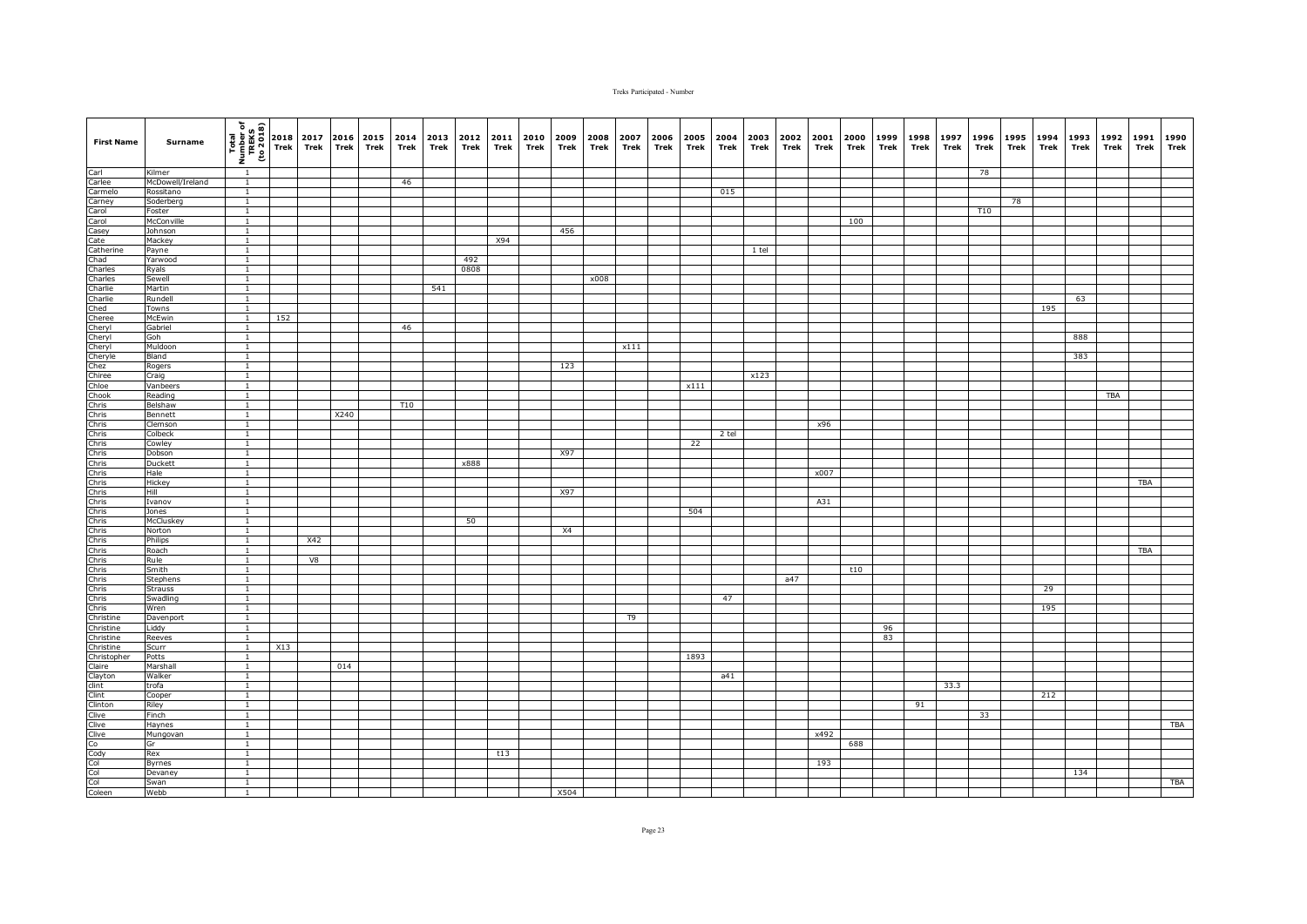| <b>First Name</b>                                                                                                                            | Surname           | $\frac{\frac{1}{2} \left(\frac{1}{2} + \frac{1}{2} + \frac{1}{2} + \frac{1}{2} + \frac{1}{2} + \frac{1}{2} + \frac{1}{2} + \frac{1}{2} + \frac{1}{2} + \frac{1}{2} + \frac{1}{2} + \frac{1}{2} + \frac{1}{2} + \frac{1}{2} + \frac{1}{2} + \frac{1}{2} + \frac{1}{2} + \frac{1}{2} + \frac{1}{2} + \frac{1}{2} + \frac{1}{2} + \frac{1}{2} + \frac{1}{2} + \frac{1}{2} + \frac{1}{2} + \frac{1}{2} + \$ |     | 2017<br>Trek | Trek | 2016 2015<br>Trek | 2014<br>Trek    | Trek | 2013 2012<br>Trek | 2011<br>Trek | 2010<br>Trek | 2009<br>Trek | 2008<br>Trek | 2007<br>Trek | 2006<br>Trek | 2005<br>Trek | 2004<br>Trek | 2003<br>Trek | 2002<br>Trek | 2001<br>Trek | 2000<br>Trek | 1999<br>Trek | 1998<br>Trek | 1997<br>Trek | 1996<br>Trek | 1995<br>Trek | 1994<br>Trek | 1993<br>Trek | 1992<br>Trek | 1991<br>Trek | 1990<br>Trek |
|----------------------------------------------------------------------------------------------------------------------------------------------|-------------------|---------------------------------------------------------------------------------------------------------------------------------------------------------------------------------------------------------------------------------------------------------------------------------------------------------------------------------------------------------------------------------------------------------|-----|--------------|------|-------------------|-----------------|------|-------------------|--------------|--------------|--------------|--------------|--------------|--------------|--------------|--------------|--------------|--------------|--------------|--------------|--------------|--------------|--------------|--------------|--------------|--------------|--------------|--------------|--------------|--------------|
| Carl<br>Carlee<br>Carmelo<br>Carney<br>Carol                                                                                                 | Kilmer            | $\overline{1}$                                                                                                                                                                                                                                                                                                                                                                                          |     |              |      |                   |                 |      |                   |              |              |              |              |              |              |              |              |              |              |              |              |              |              |              | 78           |              |              |              |              |              |              |
|                                                                                                                                              | McDowell/Ireland  | $\overline{1}$                                                                                                                                                                                                                                                                                                                                                                                          |     |              |      |                   | 46              |      |                   |              |              |              |              |              |              |              |              |              |              |              |              |              |              |              |              |              |              |              |              |              |              |
|                                                                                                                                              | Rossitano         | $\overline{1}$                                                                                                                                                                                                                                                                                                                                                                                          |     |              |      |                   |                 |      |                   |              |              |              |              |              |              |              | 015          |              |              |              |              |              |              |              |              |              |              |              |              |              |              |
|                                                                                                                                              | Soderberg         | $\mathbf{1}$                                                                                                                                                                                                                                                                                                                                                                                            |     |              |      |                   |                 |      |                   |              |              |              |              |              |              |              |              |              |              |              |              |              |              |              |              | 78           |              |              |              |              |              |
|                                                                                                                                              | Foster            | $\mathbf{1}$                                                                                                                                                                                                                                                                                                                                                                                            |     |              |      |                   |                 |      |                   |              |              |              |              |              |              |              |              |              |              |              |              |              |              |              | T10          |              |              |              |              |              |              |
| Carol                                                                                                                                        | McConville        | $\mathbf{1}$                                                                                                                                                                                                                                                                                                                                                                                            |     |              |      |                   |                 |      |                   |              |              |              |              |              |              |              |              |              |              |              | 100          |              |              |              |              |              |              |              |              |              |              |
| Casey                                                                                                                                        | Johnson           | $\mathbf{1}$                                                                                                                                                                                                                                                                                                                                                                                            |     |              |      |                   |                 |      |                   |              |              | 456          |              |              |              |              |              |              |              |              |              |              |              |              |              |              |              |              |              |              |              |
| Cate<br>Charles<br>Charles<br>Charles<br>Charles<br>Charles<br>Charles<br>Cheryl<br>Cheryl<br>Cheryl<br>Cheryl<br>Cheryl<br>Cheryl<br>Cheryl | Mackey            | $\overline{1}$                                                                                                                                                                                                                                                                                                                                                                                          |     |              |      |                   |                 |      |                   | X94          |              |              |              |              |              |              |              |              |              |              |              |              |              |              |              |              |              |              |              |              |              |
|                                                                                                                                              | Payne             | $\overline{1}$                                                                                                                                                                                                                                                                                                                                                                                          |     |              |      |                   |                 |      |                   |              |              |              |              |              |              |              |              | $1$ tel      |              |              |              |              |              |              |              |              |              |              |              |              |              |
|                                                                                                                                              | Yarwood           | $\overline{1}$                                                                                                                                                                                                                                                                                                                                                                                          |     |              |      |                   |                 |      | 492               |              |              |              |              |              |              |              |              |              |              |              |              |              |              |              |              |              |              |              |              |              |              |
|                                                                                                                                              | Ryals             | $\mathbf{1}$                                                                                                                                                                                                                                                                                                                                                                                            |     |              |      |                   |                 |      | 0808              |              |              |              |              |              |              |              |              |              |              |              |              |              |              |              |              |              |              |              |              |              |              |
|                                                                                                                                              | Sewell            | $\mathbf{1}$                                                                                                                                                                                                                                                                                                                                                                                            |     |              |      |                   |                 |      |                   |              |              |              | x008         |              |              |              |              |              |              |              |              |              |              |              |              |              |              |              |              |              |              |
|                                                                                                                                              | Martin            | $\mathbf{1}$                                                                                                                                                                                                                                                                                                                                                                                            |     |              |      |                   |                 | 541  |                   |              |              |              |              |              |              |              |              |              |              |              |              |              |              |              |              |              |              |              |              |              |              |
|                                                                                                                                              | Rundell           | $\mathbf{1}$                                                                                                                                                                                                                                                                                                                                                                                            |     |              |      |                   |                 |      |                   |              |              |              |              |              |              |              |              |              |              |              |              |              |              |              |              |              |              | 63           |              |              |              |
|                                                                                                                                              | Towns             | $\overline{1}$                                                                                                                                                                                                                                                                                                                                                                                          |     |              |      |                   |                 |      |                   |              |              |              |              |              |              |              |              |              |              |              |              |              |              |              |              |              | 195          |              |              |              |              |
|                                                                                                                                              | McEwin            | $\overline{1}$                                                                                                                                                                                                                                                                                                                                                                                          | 152 |              |      |                   |                 |      |                   |              |              |              |              |              |              |              |              |              |              |              |              |              |              |              |              |              |              |              |              |              |              |
|                                                                                                                                              | Gabriel           | $\overline{1}$                                                                                                                                                                                                                                                                                                                                                                                          |     |              |      |                   | 46              |      |                   |              |              |              |              |              |              |              |              |              |              |              |              |              |              |              |              |              |              |              |              |              |              |
|                                                                                                                                              | Goh               | $\overline{1}$                                                                                                                                                                                                                                                                                                                                                                                          |     |              |      |                   |                 |      |                   |              |              |              |              |              |              |              |              |              |              |              |              |              |              |              |              |              |              | 888          |              |              |              |
|                                                                                                                                              | Muldoon           | $\mathbf{1}$                                                                                                                                                                                                                                                                                                                                                                                            |     |              |      |                   |                 |      |                   |              |              |              |              | x111         |              |              |              |              |              |              |              |              |              |              |              |              |              |              |              |              |              |
|                                                                                                                                              | Bland             | $\overline{1}$                                                                                                                                                                                                                                                                                                                                                                                          |     |              |      |                   |                 |      |                   |              |              |              |              |              |              |              |              |              |              |              |              |              |              |              |              |              |              | 383          |              |              |              |
|                                                                                                                                              | Rogers            | $\mathbf{1}$                                                                                                                                                                                                                                                                                                                                                                                            |     |              |      |                   |                 |      |                   |              |              | 123          |              |              |              |              |              |              |              |              |              |              |              |              |              |              |              |              |              |              |              |
|                                                                                                                                              | Craig<br>Vanbeers | $\mathbf{1}$<br>$\overline{1}$                                                                                                                                                                                                                                                                                                                                                                          |     |              |      |                   |                 |      |                   |              |              |              |              |              |              | x111         |              | x123         |              |              |              |              |              |              |              |              |              |              |              |              |              |
|                                                                                                                                              | Reading           | $\overline{1}$                                                                                                                                                                                                                                                                                                                                                                                          |     |              |      |                   |                 |      |                   |              |              |              |              |              |              |              |              |              |              |              |              |              |              |              |              |              |              |              | <b>TBA</b>   |              |              |
|                                                                                                                                              | Belshaw           | $\overline{1}$                                                                                                                                                                                                                                                                                                                                                                                          |     |              |      |                   | T <sub>10</sub> |      |                   |              |              |              |              |              |              |              |              |              |              |              |              |              |              |              |              |              |              |              |              |              |              |
|                                                                                                                                              | Bennett           | $\mathbf{1}$                                                                                                                                                                                                                                                                                                                                                                                            |     |              | X240 |                   |                 |      |                   |              |              |              |              |              |              |              |              |              |              |              |              |              |              |              |              |              |              |              |              |              |              |
|                                                                                                                                              | Clemson           | $\overline{1}$                                                                                                                                                                                                                                                                                                                                                                                          |     |              |      |                   |                 |      |                   |              |              |              |              |              |              |              |              |              |              | x96          |              |              |              |              |              |              |              |              |              |              |              |
|                                                                                                                                              | Colbeck           | $\mathbf{1}$                                                                                                                                                                                                                                                                                                                                                                                            |     |              |      |                   |                 |      |                   |              |              |              |              |              |              |              | 2 tel        |              |              |              |              |              |              |              |              |              |              |              |              |              |              |
|                                                                                                                                              | Cowley            | $\mathbf{1}$                                                                                                                                                                                                                                                                                                                                                                                            |     |              |      |                   |                 |      |                   |              |              |              |              |              |              | 22           |              |              |              |              |              |              |              |              |              |              |              |              |              |              |              |
|                                                                                                                                              | Dobson            | $\mathbf{1}$                                                                                                                                                                                                                                                                                                                                                                                            |     |              |      |                   |                 |      |                   |              |              | X97          |              |              |              |              |              |              |              |              |              |              |              |              |              |              |              |              |              |              |              |
|                                                                                                                                              | Duckett           | $\overline{1}$                                                                                                                                                                                                                                                                                                                                                                                          |     |              |      |                   |                 |      | x888              |              |              |              |              |              |              |              |              |              |              |              |              |              |              |              |              |              |              |              |              |              |              |
|                                                                                                                                              | Hale              | $\overline{1}$                                                                                                                                                                                                                                                                                                                                                                                          |     |              |      |                   |                 |      |                   |              |              |              |              |              |              |              |              |              |              | x007         |              |              |              |              |              |              |              |              |              |              |              |
|                                                                                                                                              | Hickey            | $\mathbf{1}$                                                                                                                                                                                                                                                                                                                                                                                            |     |              |      |                   |                 |      |                   |              |              |              |              |              |              |              |              |              |              |              |              |              |              |              |              |              |              |              |              | TBA          |              |
|                                                                                                                                              | Hill              | $\mathbf{1}$                                                                                                                                                                                                                                                                                                                                                                                            |     |              |      |                   |                 |      |                   |              |              | X97          |              |              |              |              |              |              |              |              |              |              |              |              |              |              |              |              |              |              |              |
|                                                                                                                                              | Ivanov            | $\overline{1}$                                                                                                                                                                                                                                                                                                                                                                                          |     |              |      |                   |                 |      |                   |              |              |              |              |              |              |              |              |              |              | A31          |              |              |              |              |              |              |              |              |              |              |              |
|                                                                                                                                              | Jones             | $\mathbf{1}$                                                                                                                                                                                                                                                                                                                                                                                            |     |              |      |                   |                 |      |                   |              |              |              |              |              |              | 504          |              |              |              |              |              |              |              |              |              |              |              |              |              |              |              |
|                                                                                                                                              | McCluskey         | $\mathbf{1}$                                                                                                                                                                                                                                                                                                                                                                                            |     |              |      |                   |                 |      | 50                |              |              |              |              |              |              |              |              |              |              |              |              |              |              |              |              |              |              |              |              |              |              |
|                                                                                                                                              | Norton            | $\mathbf{1}$                                                                                                                                                                                                                                                                                                                                                                                            |     |              |      |                   |                 |      |                   |              |              | X4           |              |              |              |              |              |              |              |              |              |              |              |              |              |              |              |              |              |              |              |
|                                                                                                                                              | Philips           | $\mathbf{1}$                                                                                                                                                                                                                                                                                                                                                                                            |     | X42          |      |                   |                 |      |                   |              |              |              |              |              |              |              |              |              |              |              |              |              |              |              |              |              |              |              |              |              |              |
|                                                                                                                                              | Roach             | $\overline{1}$                                                                                                                                                                                                                                                                                                                                                                                          |     |              |      |                   |                 |      |                   |              |              |              |              |              |              |              |              |              |              |              |              |              |              |              |              |              |              |              |              | <b>TBA</b>   |              |
|                                                                                                                                              | Rule              | $\mathbf{1}$                                                                                                                                                                                                                                                                                                                                                                                            |     | V8           |      |                   |                 |      |                   |              |              |              |              |              |              |              |              |              |              |              |              |              |              |              |              |              |              |              |              |              |              |
|                                                                                                                                              | Smith             | $\mathbf{1}$                                                                                                                                                                                                                                                                                                                                                                                            |     |              |      |                   |                 |      |                   |              |              |              |              |              |              |              |              |              |              |              | t10          |              |              |              |              |              |              |              |              |              |              |
|                                                                                                                                              | <b>Stephens</b>   | $\mathbf{1}$                                                                                                                                                                                                                                                                                                                                                                                            |     |              |      |                   |                 |      |                   |              |              |              |              |              |              |              |              |              | a47          |              |              |              |              |              |              |              |              |              |              |              |              |
|                                                                                                                                              | <b>Strauss</b>    | $\mathbf{1}$                                                                                                                                                                                                                                                                                                                                                                                            |     |              |      |                   |                 |      |                   |              |              |              |              |              |              |              |              |              |              |              |              |              |              |              |              |              | 29           |              |              |              |              |
|                                                                                                                                              | Swadling          | $\mathbf{1}$                                                                                                                                                                                                                                                                                                                                                                                            |     |              |      |                   |                 |      |                   |              |              |              |              |              |              |              | 47           |              |              |              |              |              |              |              |              |              |              |              |              |              |              |
|                                                                                                                                              | Wren              | $\overline{1}$                                                                                                                                                                                                                                                                                                                                                                                          |     |              |      |                   |                 |      |                   |              |              |              |              |              |              |              |              |              |              |              |              |              |              |              |              |              | 195          |              |              |              |              |
|                                                                                                                                              | Davenport         | $\overline{1}$                                                                                                                                                                                                                                                                                                                                                                                          |     |              |      |                   |                 |      |                   |              |              |              |              | T9           |              |              |              |              |              |              |              |              |              |              |              |              |              |              |              |              |              |
|                                                                                                                                              | Liddy             | $\overline{1}$                                                                                                                                                                                                                                                                                                                                                                                          |     |              |      |                   |                 |      |                   |              |              |              |              |              |              |              |              |              |              |              |              | 96<br>83     |              |              |              |              |              |              |              |              |              |
| Christine                                                                                                                                    | Reeves<br>Scurr   | $\mathbf{1}$<br>$\mathbf{1}$                                                                                                                                                                                                                                                                                                                                                                            | X13 |              |      |                   |                 |      |                   |              |              |              |              |              |              |              |              |              |              |              |              |              |              |              |              |              |              |              |              |              |              |
| Christopher                                                                                                                                  | Potts             | $\mathbf{1}$                                                                                                                                                                                                                                                                                                                                                                                            |     |              |      |                   |                 |      |                   |              |              |              |              |              |              | 1893         |              |              |              |              |              |              |              |              |              |              |              |              |              |              |              |
|                                                                                                                                              | Marshall          | $\mathbf{1}$                                                                                                                                                                                                                                                                                                                                                                                            |     |              | 014  |                   |                 |      |                   |              |              |              |              |              |              |              |              |              |              |              |              |              |              |              |              |              |              |              |              |              |              |
|                                                                                                                                              | Walker            | $\mathbf{1}$                                                                                                                                                                                                                                                                                                                                                                                            |     |              |      |                   |                 |      |                   |              |              |              |              |              |              |              | a41          |              |              |              |              |              |              |              |              |              |              |              |              |              |              |
|                                                                                                                                              | trofa             | $\overline{1}$                                                                                                                                                                                                                                                                                                                                                                                          |     |              |      |                   |                 |      |                   |              |              |              |              |              |              |              |              |              |              |              |              |              |              | 33.3         |              |              |              |              |              |              |              |
|                                                                                                                                              | Cooper            | $\overline{1}$                                                                                                                                                                                                                                                                                                                                                                                          |     |              |      |                   |                 |      |                   |              |              |              |              |              |              |              |              |              |              |              |              |              |              |              |              |              | 212          |              |              |              |              |
|                                                                                                                                              | Riley             | $\mathbf{1}$                                                                                                                                                                                                                                                                                                                                                                                            |     |              |      |                   |                 |      |                   |              |              |              |              |              |              |              |              |              |              |              |              |              | 91           |              |              |              |              |              |              |              |              |
|                                                                                                                                              | Finch             | $\mathbf{1}$                                                                                                                                                                                                                                                                                                                                                                                            |     |              |      |                   |                 |      |                   |              |              |              |              |              |              |              |              |              |              |              |              |              |              |              | 33           |              |              |              |              |              |              |
|                                                                                                                                              | Haynes            | $\mathbf{1}$                                                                                                                                                                                                                                                                                                                                                                                            |     |              |      |                   |                 |      |                   |              |              |              |              |              |              |              |              |              |              |              |              |              |              |              |              |              |              |              |              |              | <b>TBA</b>   |
|                                                                                                                                              | Mungovan          | $\mathbf{1}$                                                                                                                                                                                                                                                                                                                                                                                            |     |              |      |                   |                 |      |                   |              |              |              |              |              |              |              |              |              |              | x492         |              |              |              |              |              |              |              |              |              |              |              |
|                                                                                                                                              | Gr                | $\mathbf{1}$                                                                                                                                                                                                                                                                                                                                                                                            |     |              |      |                   |                 |      |                   |              |              |              |              |              |              |              |              |              |              |              | 688          |              |              |              |              |              |              |              |              |              |              |
|                                                                                                                                              | Rex               | $\overline{1}$                                                                                                                                                                                                                                                                                                                                                                                          |     |              |      |                   |                 |      |                   | t13          |              |              |              |              |              |              |              |              |              |              |              |              |              |              |              |              |              |              |              |              |              |
|                                                                                                                                              | Byrnes            | $\overline{1}$                                                                                                                                                                                                                                                                                                                                                                                          |     |              |      |                   |                 |      |                   |              |              |              |              |              |              |              |              |              |              | 193          |              |              |              |              |              |              |              |              |              |              |              |
|                                                                                                                                              | Devaney           | $\mathbf{1}$                                                                                                                                                                                                                                                                                                                                                                                            |     |              |      |                   |                 |      |                   |              |              |              |              |              |              |              |              |              |              |              |              |              |              |              |              |              |              | 134          |              |              |              |
| Claire<br>Clayton<br>Clint<br>Clint<br>Clive<br>Clive<br>Clive<br>Clive<br>Clive<br>Clive<br>Clint<br>Clint<br>Clint<br>Clint<br>Clint       | Swan              | $\overline{1}$                                                                                                                                                                                                                                                                                                                                                                                          |     |              |      |                   |                 |      |                   |              |              |              |              |              |              |              |              |              |              |              |              |              |              |              |              |              |              |              |              |              | TBA          |
|                                                                                                                                              | Webb              | 1                                                                                                                                                                                                                                                                                                                                                                                                       |     |              |      |                   |                 |      |                   |              |              | X504         |              |              |              |              |              |              |              |              |              |              |              |              |              |              |              |              |              |              |              |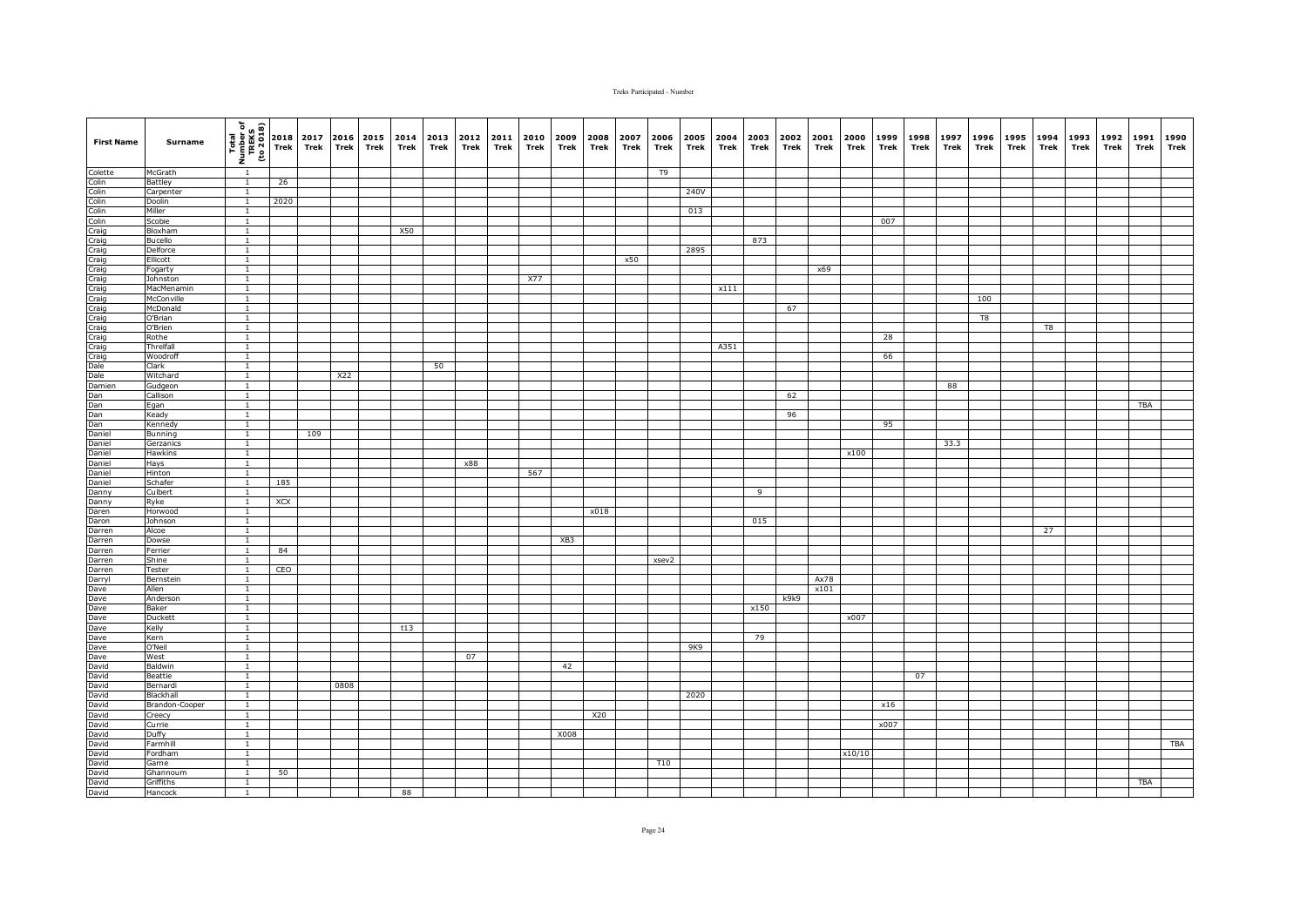| <b>First Name</b>                                                                                                                                                                                                              | Surname                   | $\begin{array}{c}\n\hline\n\text{Total} \\ \hline\n\text{I} \\ \hline\n\text{I} \\ \hline\n\end{array}\n\quad\n\begin{bmatrix}\n\text{total} \\ \text{total} \\ \text{total} \\ \text{Total} \\ \text{The} \\ \text{The} \\ \text{The} \\ \text{The} \\ \text{The} \\ \text{The} \\ \text{The} \\ \text{The} \\ \text{The} \\ \text{The} \\ \text{The} \\ \text{The} \\ \text{The} \\ \text{The} \\ \text{The} \\ \text{The} \\ \text{The} \\ \text{The} \\ \text{The} \\ \text{The} \\ \text{The} \\ \text{The} \\ \text{The} \\ $ |      | 2017<br>Trek | 2016<br>Trek | 2015<br>Trek | 2014<br>Trek | 2013<br>Trek | 2012<br>Trek | 2011<br>Trek | 2010<br>Trek | 2009<br>Trek | 2008<br>Trek | 2007<br>Trek | 2006<br>Trek    | 2005<br>Trek | 2004<br>Trek | 2003<br>Trek | 2002<br>Trek | 2001<br>Trek | 2000<br>Trek | 1999<br>Trek | 1998<br>Trek | 1997<br>Trek | 1996<br>Trek | 1995<br>Trek | 1994<br>Trek | 1993<br>Trek | 1992<br>Trek | 1991<br>Trek | 1990<br>Trek |
|--------------------------------------------------------------------------------------------------------------------------------------------------------------------------------------------------------------------------------|---------------------------|-------------------------------------------------------------------------------------------------------------------------------------------------------------------------------------------------------------------------------------------------------------------------------------------------------------------------------------------------------------------------------------------------------------------------------------------------------------------------------------------------------------------------------------|------|--------------|--------------|--------------|--------------|--------------|--------------|--------------|--------------|--------------|--------------|--------------|-----------------|--------------|--------------|--------------|--------------|--------------|--------------|--------------|--------------|--------------|--------------|--------------|--------------|--------------|--------------|--------------|--------------|
| Colette                                                                                                                                                                                                                        | McGrath                   | $\overline{1}$                                                                                                                                                                                                                                                                                                                                                                                                                                                                                                                      |      |              |              |              |              |              |              |              |              |              |              |              | T9              |              |              |              |              |              |              |              |              |              |              |              |              |              |              |              |              |
|                                                                                                                                                                                                                                | <b>Battley</b>            | $\overline{1}$                                                                                                                                                                                                                                                                                                                                                                                                                                                                                                                      | 26   |              |              |              |              |              |              |              |              |              |              |              |                 |              |              |              |              |              |              |              |              |              |              |              |              |              |              |              |              |
|                                                                                                                                                                                                                                | Carpenter                 | $\mathbf{1}$                                                                                                                                                                                                                                                                                                                                                                                                                                                                                                                        |      |              |              |              |              |              |              |              |              |              |              |              |                 | 240V         |              |              |              |              |              |              |              |              |              |              |              |              |              |              |              |
|                                                                                                                                                                                                                                | Doolin                    | $\overline{1}$                                                                                                                                                                                                                                                                                                                                                                                                                                                                                                                      | 2020 |              |              |              |              |              |              |              |              |              |              |              |                 |              |              |              |              |              |              |              |              |              |              |              |              |              |              |              |              |
|                                                                                                                                                                                                                                | Miller<br>Scobie          | $\mathbf{1}$<br>$\overline{1}$                                                                                                                                                                                                                                                                                                                                                                                                                                                                                                      |      |              |              |              |              |              |              |              |              |              |              |              |                 | 013          |              |              |              |              |              | 007          |              |              |              |              |              |              |              |              |              |
|                                                                                                                                                                                                                                | Bloxham                   | $\overline{1}$                                                                                                                                                                                                                                                                                                                                                                                                                                                                                                                      |      |              |              |              | X50          |              |              |              |              |              |              |              |                 |              |              |              |              |              |              |              |              |              |              |              |              |              |              |              |              |
|                                                                                                                                                                                                                                | Bucello                   | $\overline{1}$                                                                                                                                                                                                                                                                                                                                                                                                                                                                                                                      |      |              |              |              |              |              |              |              |              |              |              |              |                 |              |              | 873          |              |              |              |              |              |              |              |              |              |              |              |              |              |
|                                                                                                                                                                                                                                | Delforce                  | $\overline{1}$                                                                                                                                                                                                                                                                                                                                                                                                                                                                                                                      |      |              |              |              |              |              |              |              |              |              |              |              |                 | 2895         |              |              |              |              |              |              |              |              |              |              |              |              |              |              |              |
|                                                                                                                                                                                                                                | Ellicott                  | $\overline{1}$                                                                                                                                                                                                                                                                                                                                                                                                                                                                                                                      |      |              |              |              |              |              |              |              |              |              |              | x50          |                 |              |              |              |              |              |              |              |              |              |              |              |              |              |              |              |              |
|                                                                                                                                                                                                                                | Fogarty                   | $\mathbf{1}$                                                                                                                                                                                                                                                                                                                                                                                                                                                                                                                        |      |              |              |              |              |              |              |              |              |              |              |              |                 |              |              |              |              | x69          |              |              |              |              |              |              |              |              |              |              |              |
|                                                                                                                                                                                                                                | Johnston                  | $\mathbf{1}$                                                                                                                                                                                                                                                                                                                                                                                                                                                                                                                        |      |              |              |              |              |              |              |              | X77          |              |              |              |                 |              |              |              |              |              |              |              |              |              |              |              |              |              |              |              |              |
|                                                                                                                                                                                                                                | MacMenamin                | $\mathbf{1}$                                                                                                                                                                                                                                                                                                                                                                                                                                                                                                                        |      |              |              |              |              |              |              |              |              |              |              |              |                 |              | x111         |              |              |              |              |              |              |              |              |              |              |              |              |              |              |
|                                                                                                                                                                                                                                | McConville                | $\overline{1}$                                                                                                                                                                                                                                                                                                                                                                                                                                                                                                                      |      |              |              |              |              |              |              |              |              |              |              |              |                 |              |              |              |              |              |              |              |              |              | 100          |              |              |              |              |              |              |
|                                                                                                                                                                                                                                | McDonald                  | $\mathbf{1}$                                                                                                                                                                                                                                                                                                                                                                                                                                                                                                                        |      |              |              |              |              |              |              |              |              |              |              |              |                 |              |              |              | 67           |              |              |              |              |              |              |              |              |              |              |              |              |
|                                                                                                                                                                                                                                | O'Brian<br>O'Brien        | $\mathbf{1}$<br>$\mathbf{1}$                                                                                                                                                                                                                                                                                                                                                                                                                                                                                                        |      |              |              |              |              |              |              |              |              |              |              |              |                 |              |              |              |              |              |              |              |              |              | T8           |              | T8           |              |              |              |              |
|                                                                                                                                                                                                                                | Rothe                     | $\mathbf{1}$                                                                                                                                                                                                                                                                                                                                                                                                                                                                                                                        |      |              |              |              |              |              |              |              |              |              |              |              |                 |              |              |              |              |              |              | 28           |              |              |              |              |              |              |              |              |              |
|                                                                                                                                                                                                                                | Threlfall                 | $\mathbf{1}$                                                                                                                                                                                                                                                                                                                                                                                                                                                                                                                        |      |              |              |              |              |              |              |              |              |              |              |              |                 |              | A351         |              |              |              |              |              |              |              |              |              |              |              |              |              |              |
|                                                                                                                                                                                                                                | Woodroff                  | $\overline{1}$                                                                                                                                                                                                                                                                                                                                                                                                                                                                                                                      |      |              |              |              |              |              |              |              |              |              |              |              |                 |              |              |              |              |              |              | 66           |              |              |              |              |              |              |              |              |              |
|                                                                                                                                                                                                                                | Clark                     | $\overline{1}$                                                                                                                                                                                                                                                                                                                                                                                                                                                                                                                      |      |              |              |              |              | 50           |              |              |              |              |              |              |                 |              |              |              |              |              |              |              |              |              |              |              |              |              |              |              |              |
|                                                                                                                                                                                                                                | Witchard                  | $\mathbf{1}$                                                                                                                                                                                                                                                                                                                                                                                                                                                                                                                        |      |              | X22          |              |              |              |              |              |              |              |              |              |                 |              |              |              |              |              |              |              |              |              |              |              |              |              |              |              |              |
|                                                                                                                                                                                                                                | Gudgeon                   | $\overline{1}$                                                                                                                                                                                                                                                                                                                                                                                                                                                                                                                      |      |              |              |              |              |              |              |              |              |              |              |              |                 |              |              |              |              |              |              |              |              | 88           |              |              |              |              |              |              |              |
|                                                                                                                                                                                                                                | Callison                  | $\overline{1}$                                                                                                                                                                                                                                                                                                                                                                                                                                                                                                                      |      |              |              |              |              |              |              |              |              |              |              |              |                 |              |              |              | 62           |              |              |              |              |              |              |              |              |              |              |              |              |
|                                                                                                                                                                                                                                | Egan                      | $\overline{1}$                                                                                                                                                                                                                                                                                                                                                                                                                                                                                                                      |      |              |              |              |              |              |              |              |              |              |              |              |                 |              |              |              |              |              |              |              |              |              |              |              |              |              |              | <b>TBA</b>   |              |
|                                                                                                                                                                                                                                | Keady                     | $\mathbf{1}$<br>$\overline{1}$                                                                                                                                                                                                                                                                                                                                                                                                                                                                                                      |      |              |              |              |              |              |              |              |              |              |              |              |                 |              |              |              | 96           |              |              |              |              |              |              |              |              |              |              |              |              |
|                                                                                                                                                                                                                                | Kennedy<br><b>Bunning</b> | $\overline{1}$                                                                                                                                                                                                                                                                                                                                                                                                                                                                                                                      |      | 109          |              |              |              |              |              |              |              |              |              |              |                 |              |              |              |              |              |              | 95           |              |              |              |              |              |              |              |              |              |
| Colicolinin in Colicolinin angle Colicolinin angle Colicolinin angle Colicolinin angle Colicolinin angle Colicolinin angle Colicolinin angle Colicolinin angle Colicolinin angle Colicolining Colicolining Colicolining Colico | Gerzanics                 |                                                                                                                                                                                                                                                                                                                                                                                                                                                                                                                                     |      |              |              |              |              |              |              |              |              |              |              |              |                 |              |              |              |              |              |              |              |              | 33.3         |              |              |              |              |              |              |              |
|                                                                                                                                                                                                                                | Hawkins                   | $\mathbf{1}$                                                                                                                                                                                                                                                                                                                                                                                                                                                                                                                        |      |              |              |              |              |              |              |              |              |              |              |              |                 |              |              |              |              |              | x100         |              |              |              |              |              |              |              |              |              |              |
|                                                                                                                                                                                                                                | Hays                      | $\overline{1}$                                                                                                                                                                                                                                                                                                                                                                                                                                                                                                                      |      |              |              |              |              |              | x88          |              |              |              |              |              |                 |              |              |              |              |              |              |              |              |              |              |              |              |              |              |              |              |
|                                                                                                                                                                                                                                | Hinton                    | $\overline{1}$                                                                                                                                                                                                                                                                                                                                                                                                                                                                                                                      |      |              |              |              |              |              |              |              | 567          |              |              |              |                 |              |              |              |              |              |              |              |              |              |              |              |              |              |              |              |              |
|                                                                                                                                                                                                                                | Schafer                   | $\mathbf{1}$                                                                                                                                                                                                                                                                                                                                                                                                                                                                                                                        | 185  |              |              |              |              |              |              |              |              |              |              |              |                 |              |              |              |              |              |              |              |              |              |              |              |              |              |              |              |              |
| Danny                                                                                                                                                                                                                          | Culbert                   | $\mathbf{1}$                                                                                                                                                                                                                                                                                                                                                                                                                                                                                                                        |      |              |              |              |              |              |              |              |              |              |              |              |                 |              |              | 9            |              |              |              |              |              |              |              |              |              |              |              |              |              |
| Danny                                                                                                                                                                                                                          | Ryke                      | $\overline{1}$                                                                                                                                                                                                                                                                                                                                                                                                                                                                                                                      | XCX  |              |              |              |              |              |              |              |              |              |              |              |                 |              |              |              |              |              |              |              |              |              |              |              |              |              |              |              |              |
| Daren<br>Daron                                                                                                                                                                                                                 | Horwood<br>Johnson        | $\mathbf{1}$<br>$\mathbf{1}$                                                                                                                                                                                                                                                                                                                                                                                                                                                                                                        |      |              |              |              |              |              |              |              |              |              | x018         |              |                 |              |              | 015          |              |              |              |              |              |              |              |              |              |              |              |              |              |
| <b>Darren</b>                                                                                                                                                                                                                  | Alcoe                     | $\mathbf{1}$                                                                                                                                                                                                                                                                                                                                                                                                                                                                                                                        |      |              |              |              |              |              |              |              |              |              |              |              |                 |              |              |              |              |              |              |              |              |              |              |              | 27           |              |              |              |              |
| Darren                                                                                                                                                                                                                         | Dowse                     | $\mathbf{1}$                                                                                                                                                                                                                                                                                                                                                                                                                                                                                                                        |      |              |              |              |              |              |              |              |              | XB3          |              |              |                 |              |              |              |              |              |              |              |              |              |              |              |              |              |              |              |              |
| Darren                                                                                                                                                                                                                         | Ferrier                   | $\mathbf{1}$                                                                                                                                                                                                                                                                                                                                                                                                                                                                                                                        | 84   |              |              |              |              |              |              |              |              |              |              |              |                 |              |              |              |              |              |              |              |              |              |              |              |              |              |              |              |              |
| Darren                                                                                                                                                                                                                         | Shine                     | $\overline{1}$                                                                                                                                                                                                                                                                                                                                                                                                                                                                                                                      |      |              |              |              |              |              |              |              |              |              |              |              | xsev2           |              |              |              |              |              |              |              |              |              |              |              |              |              |              |              |              |
|                                                                                                                                                                                                                                | Tester                    | $\mathbf{1}$                                                                                                                                                                                                                                                                                                                                                                                                                                                                                                                        | CEO  |              |              |              |              |              |              |              |              |              |              |              |                 |              |              |              |              |              |              |              |              |              |              |              |              |              |              |              |              |
|                                                                                                                                                                                                                                | Bernstein                 | $\overline{1}$                                                                                                                                                                                                                                                                                                                                                                                                                                                                                                                      |      |              |              |              |              |              |              |              |              |              |              |              |                 |              |              |              |              | Ax78         |              |              |              |              |              |              |              |              |              |              |              |
|                                                                                                                                                                                                                                | Allen                     | $\overline{1}$                                                                                                                                                                                                                                                                                                                                                                                                                                                                                                                      |      |              |              |              |              |              |              |              |              |              |              |              |                 |              |              |              |              | x101         |              |              |              |              |              |              |              |              |              |              |              |
|                                                                                                                                                                                                                                | Anderson                  | $\mathbf{1}$                                                                                                                                                                                                                                                                                                                                                                                                                                                                                                                        |      |              |              |              |              |              |              |              |              |              |              |              |                 |              |              |              | k9k9         |              |              |              |              |              |              |              |              |              |              |              |              |
| Darren<br>Dave<br>Dave<br>Dave<br>Dave<br>David<br>David<br>David<br>David<br>David<br>David<br>David<br>David<br>David<br>David<br>David<br>David                                                                             | Baker<br>Duckett          | $\overline{1}$<br>$\overline{1}$                                                                                                                                                                                                                                                                                                                                                                                                                                                                                                    |      |              |              |              |              |              |              |              |              |              |              |              |                 |              |              | x150         |              |              | x007         |              |              |              |              |              |              |              |              |              |              |
|                                                                                                                                                                                                                                | Kelly                     | $\mathbf{1}$                                                                                                                                                                                                                                                                                                                                                                                                                                                                                                                        |      |              |              |              | t13          |              |              |              |              |              |              |              |                 |              |              |              |              |              |              |              |              |              |              |              |              |              |              |              |              |
|                                                                                                                                                                                                                                | Kern                      | $\mathbf{1}$                                                                                                                                                                                                                                                                                                                                                                                                                                                                                                                        |      |              |              |              |              |              |              |              |              |              |              |              |                 |              |              | 79           |              |              |              |              |              |              |              |              |              |              |              |              |              |
|                                                                                                                                                                                                                                | O'Neil                    | $\mathbf{1}$                                                                                                                                                                                                                                                                                                                                                                                                                                                                                                                        |      |              |              |              |              |              |              |              |              |              |              |              |                 | 9K9          |              |              |              |              |              |              |              |              |              |              |              |              |              |              |              |
|                                                                                                                                                                                                                                | West                      | $\mathbf{1}$                                                                                                                                                                                                                                                                                                                                                                                                                                                                                                                        |      |              |              |              |              |              | 07           |              |              |              |              |              |                 |              |              |              |              |              |              |              |              |              |              |              |              |              |              |              |              |
|                                                                                                                                                                                                                                | Baldwin                   | $\overline{1}$                                                                                                                                                                                                                                                                                                                                                                                                                                                                                                                      |      |              |              |              |              |              |              |              |              | 42           |              |              |                 |              |              |              |              |              |              |              |              |              |              |              |              |              |              |              |              |
|                                                                                                                                                                                                                                | Beattie                   | $\mathbf{1}$                                                                                                                                                                                                                                                                                                                                                                                                                                                                                                                        |      |              |              |              |              |              |              |              |              |              |              |              |                 |              |              |              |              |              |              |              | 07           |              |              |              |              |              |              |              |              |
|                                                                                                                                                                                                                                | Bernardi                  | $\overline{1}$                                                                                                                                                                                                                                                                                                                                                                                                                                                                                                                      |      |              | 0808         |              |              |              |              |              |              |              |              |              |                 |              |              |              |              |              |              |              |              |              |              |              |              |              |              |              |              |
|                                                                                                                                                                                                                                | Blackhall                 | $\mathbf{1}$                                                                                                                                                                                                                                                                                                                                                                                                                                                                                                                        |      |              |              |              |              |              |              |              |              |              |              |              |                 | 2020         |              |              |              |              |              |              |              |              |              |              |              |              |              |              |              |
|                                                                                                                                                                                                                                | Brandon-Cooper            | <sup>1</sup>                                                                                                                                                                                                                                                                                                                                                                                                                                                                                                                        |      |              |              |              |              |              |              |              |              |              |              |              |                 |              |              |              |              |              |              | x16          |              |              |              |              |              |              |              |              |              |
|                                                                                                                                                                                                                                | Creecy<br>Currie          | $\mathbf{1}$<br><sup>1</sup>                                                                                                                                                                                                                                                                                                                                                                                                                                                                                                        |      |              |              |              |              |              |              |              |              |              | X20          |              |                 |              |              |              |              |              |              | x007         |              |              |              |              |              |              |              |              |              |
|                                                                                                                                                                                                                                | Duffy                     | $\overline{1}$                                                                                                                                                                                                                                                                                                                                                                                                                                                                                                                      |      |              |              |              |              |              |              |              |              | X008         |              |              |                 |              |              |              |              |              |              |              |              |              |              |              |              |              |              |              |              |
|                                                                                                                                                                                                                                | Farmhill                  | $\overline{1}$                                                                                                                                                                                                                                                                                                                                                                                                                                                                                                                      |      |              |              |              |              |              |              |              |              |              |              |              |                 |              |              |              |              |              |              |              |              |              |              |              |              |              |              |              | TBA          |
|                                                                                                                                                                                                                                | Fordham                   | $\overline{1}$                                                                                                                                                                                                                                                                                                                                                                                                                                                                                                                      |      |              |              |              |              |              |              |              |              |              |              |              |                 |              |              |              |              |              | x10/10       |              |              |              |              |              |              |              |              |              |              |
|                                                                                                                                                                                                                                | Garne                     | $\mathbf{1}$                                                                                                                                                                                                                                                                                                                                                                                                                                                                                                                        |      |              |              |              |              |              |              |              |              |              |              |              | T <sub>10</sub> |              |              |              |              |              |              |              |              |              |              |              |              |              |              |              |              |
| David<br>David<br>David<br>David<br>David                                                                                                                                                                                      | Ghannoum                  | $\mathbf{1}$                                                                                                                                                                                                                                                                                                                                                                                                                                                                                                                        | 50   |              |              |              |              |              |              |              |              |              |              |              |                 |              |              |              |              |              |              |              |              |              |              |              |              |              |              |              |              |
|                                                                                                                                                                                                                                | Griffiths                 | $\mathbf{1}$                                                                                                                                                                                                                                                                                                                                                                                                                                                                                                                        |      |              |              |              |              |              |              |              |              |              |              |              |                 |              |              |              |              |              |              |              |              |              |              |              |              |              |              | <b>TBA</b>   |              |
|                                                                                                                                                                                                                                | Hancock                   | $\mathbf{1}$                                                                                                                                                                                                                                                                                                                                                                                                                                                                                                                        |      |              |              |              | 88           |              |              |              |              |              |              |              |                 |              |              |              |              |              |              |              |              |              |              |              |              |              |              |              |              |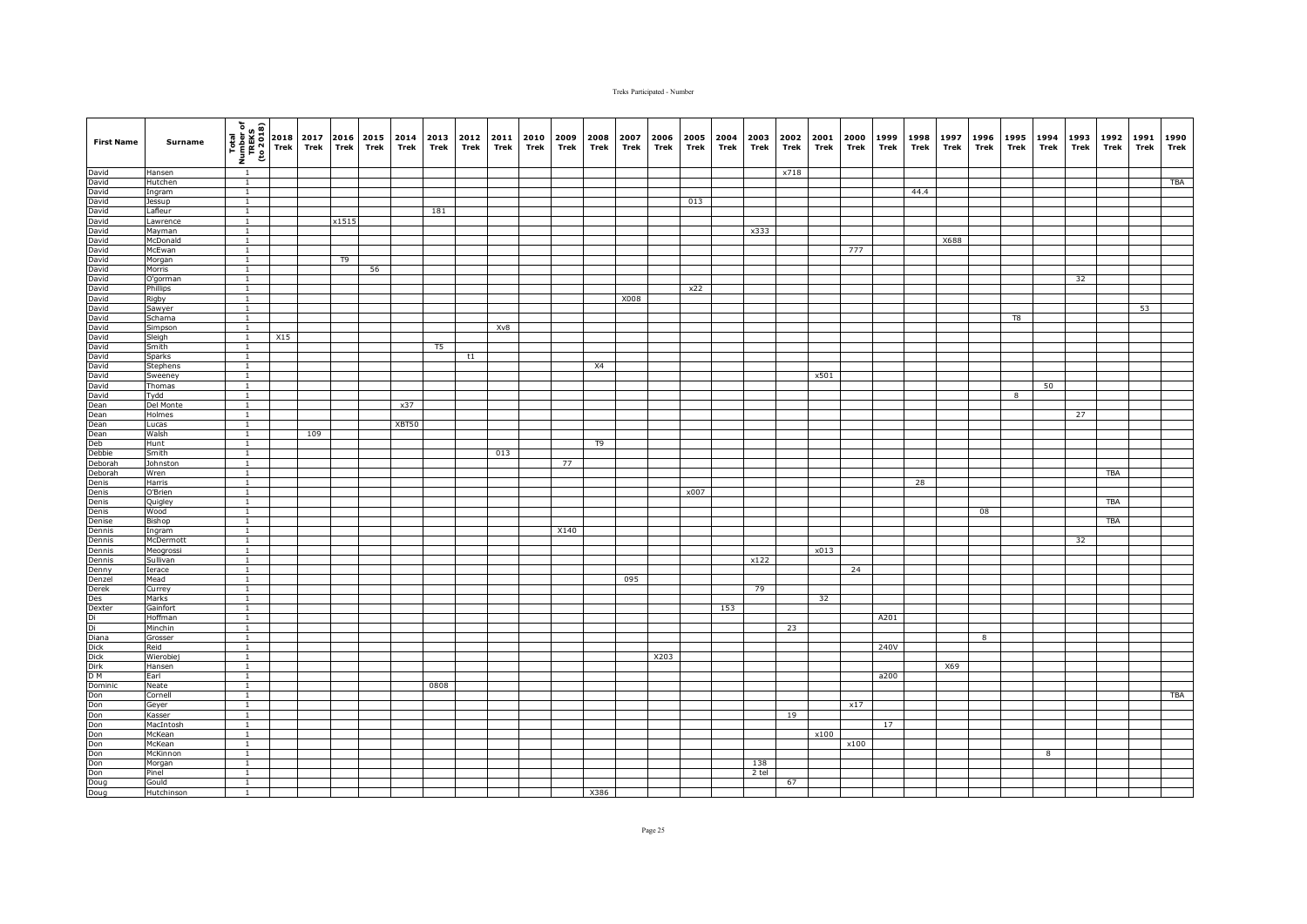| <b>First Name</b>                                                                                                                                                                                                                                                 | Surname            | $\begin{bmatrix}\n\overline{1} & \overline{1} & \overline{1} & \overline{1} \\ \overline{1} & \overline{1} & \overline{1} & \overline{1} \\ \overline{1} & \overline{1} & \overline{1} & \overline{1} \\ \overline{1} & \overline{1} & \overline{1}\n\end{bmatrix}\n\begin{bmatrix}\n2018 \\ 716\n\end{bmatrix}$ |     | Trek | <b>Trek</b> | 2017 2016 2015 2014<br>Trek | Trek  | 2013 2012<br>Trek | Trek | 2011<br>Trek | 2010<br>Trek | 2009<br>Trek | 2008<br>Trek | 2007<br>Trek | 2006<br>Trek | 2005<br>Trek | 2004<br>Trek | 2003<br>Trek | 2002<br>Trek | 2001<br>Trek | 2000<br>Trek | 1999<br>Trek | 1998<br>Trek | 1997<br>Trek | 1996<br>Trek | 1995 1994<br>Trek       | Trek | 1993<br>Trek | 1992<br>Trek | 1991<br>Trek | 1990<br>Trek |
|-------------------------------------------------------------------------------------------------------------------------------------------------------------------------------------------------------------------------------------------------------------------|--------------------|------------------------------------------------------------------------------------------------------------------------------------------------------------------------------------------------------------------------------------------------------------------------------------------------------------------|-----|------|-------------|-----------------------------|-------|-------------------|------|--------------|--------------|--------------|--------------|--------------|--------------|--------------|--------------|--------------|--------------|--------------|--------------|--------------|--------------|--------------|--------------|-------------------------|------|--------------|--------------|--------------|--------------|
| David<br>David                                                                                                                                                                                                                                                    | Hansen             |                                                                                                                                                                                                                                                                                                                  |     |      |             |                             |       |                   |      |              |              |              |              |              |              |              |              |              | x718         |              |              |              |              |              |              |                         |      |              |              |              |              |
|                                                                                                                                                                                                                                                                   | Hutchen            | $\mathbf{1}$                                                                                                                                                                                                                                                                                                     |     |      |             |                             |       |                   |      |              |              |              |              |              |              |              |              |              |              |              |              |              |              |              |              |                         |      |              |              |              | <b>TBA</b>   |
| David<br>David<br>David<br>David<br>David<br>David<br>David<br>David<br>David<br>David<br>David<br>David<br>David<br>David<br>David<br>David<br>David<br>David<br>David<br>David<br>David<br>David<br>David<br>David<br>David<br>David<br>David<br>David<br>David | Ingram             | $\overline{1}$                                                                                                                                                                                                                                                                                                   |     |      |             |                             |       |                   |      |              |              |              |              |              |              |              |              |              |              |              |              |              | 44.4         |              |              |                         |      |              |              |              |              |
|                                                                                                                                                                                                                                                                   | Jessup             | $\mathbf{1}$                                                                                                                                                                                                                                                                                                     |     |      |             |                             |       |                   |      |              |              |              |              |              |              | 013          |              |              |              |              |              |              |              |              |              |                         |      |              |              |              |              |
|                                                                                                                                                                                                                                                                   | Lafleur            | $\overline{1}$                                                                                                                                                                                                                                                                                                   |     |      |             |                             |       | 181               |      |              |              |              |              |              |              |              |              |              |              |              |              |              |              |              |              |                         |      |              |              |              |              |
|                                                                                                                                                                                                                                                                   | Lawrence           | $\mathbf{1}$                                                                                                                                                                                                                                                                                                     |     |      | x1515       |                             |       |                   |      |              |              |              |              |              |              |              |              |              |              |              |              |              |              |              |              |                         |      |              |              |              |              |
|                                                                                                                                                                                                                                                                   | Mayman<br>McDonald | $\overline{1}$<br>$\mathbf{1}$                                                                                                                                                                                                                                                                                   |     |      |             |                             |       |                   |      |              |              |              |              |              |              |              |              | x333         |              |              |              |              |              | X688         |              |                         |      |              |              |              |              |
|                                                                                                                                                                                                                                                                   | McEwan             | $\mathbf{1}$                                                                                                                                                                                                                                                                                                     |     |      |             |                             |       |                   |      |              |              |              |              |              |              |              |              |              |              |              | 777          |              |              |              |              |                         |      |              |              |              |              |
|                                                                                                                                                                                                                                                                   | Morgan             | $\overline{1}$                                                                                                                                                                                                                                                                                                   |     |      | T9          |                             |       |                   |      |              |              |              |              |              |              |              |              |              |              |              |              |              |              |              |              |                         |      |              |              |              |              |
|                                                                                                                                                                                                                                                                   | Morris             | $\overline{1}$                                                                                                                                                                                                                                                                                                   |     |      |             | 56                          |       |                   |      |              |              |              |              |              |              |              |              |              |              |              |              |              |              |              |              |                         |      |              |              |              |              |
|                                                                                                                                                                                                                                                                   | O'gorman           | $\overline{1}$                                                                                                                                                                                                                                                                                                   |     |      |             |                             |       |                   |      |              |              |              |              |              |              |              |              |              |              |              |              |              |              |              |              |                         |      | 32           |              |              |              |
|                                                                                                                                                                                                                                                                   | Phillips           | $\mathbf{1}$                                                                                                                                                                                                                                                                                                     |     |      |             |                             |       |                   |      |              |              |              |              |              |              | x22          |              |              |              |              |              |              |              |              |              |                         |      |              |              |              |              |
|                                                                                                                                                                                                                                                                   | Rigby              | $\mathbf{1}$                                                                                                                                                                                                                                                                                                     |     |      |             |                             |       |                   |      |              |              |              |              | X008         |              |              |              |              |              |              |              |              |              |              |              |                         |      |              |              |              |              |
|                                                                                                                                                                                                                                                                   | Sawyer             | $\overline{1}$                                                                                                                                                                                                                                                                                                   |     |      |             |                             |       |                   |      |              |              |              |              |              |              |              |              |              |              |              |              |              |              |              |              |                         |      |              |              | 53           |              |
|                                                                                                                                                                                                                                                                   | Schama             | $\mathbf{1}$                                                                                                                                                                                                                                                                                                     |     |      |             |                             |       |                   |      |              |              |              |              |              |              |              |              |              |              |              |              |              |              |              |              | T8                      |      |              |              |              |              |
|                                                                                                                                                                                                                                                                   | Simpson            | $\overline{1}$                                                                                                                                                                                                                                                                                                   |     |      |             |                             |       |                   |      | Xv8          |              |              |              |              |              |              |              |              |              |              |              |              |              |              |              |                         |      |              |              |              |              |
|                                                                                                                                                                                                                                                                   | Sleigh             | $\mathbf{1}$                                                                                                                                                                                                                                                                                                     | X15 |      |             |                             |       |                   |      |              |              |              |              |              |              |              |              |              |              |              |              |              |              |              |              |                         |      |              |              |              |              |
|                                                                                                                                                                                                                                                                   | Smith              | $\mathbf{1}$                                                                                                                                                                                                                                                                                                     |     |      |             |                             |       | T5                |      |              |              |              |              |              |              |              |              |              |              |              |              |              |              |              |              |                         |      |              |              |              |              |
|                                                                                                                                                                                                                                                                   | Sparks             | $\mathbf{1}$                                                                                                                                                                                                                                                                                                     |     |      |             |                             |       |                   | t1   |              |              |              |              |              |              |              |              |              |              |              |              |              |              |              |              |                         |      |              |              |              |              |
| David                                                                                                                                                                                                                                                             | Stephens           | $\mathbf{1}$                                                                                                                                                                                                                                                                                                     |     |      |             |                             |       |                   |      |              |              |              | X4           |              |              |              |              |              |              |              |              |              |              |              |              |                         |      |              |              |              |              |
| David                                                                                                                                                                                                                                                             | Sweeney            | $\overline{1}$                                                                                                                                                                                                                                                                                                   |     |      |             |                             |       |                   |      |              |              |              |              |              |              |              |              |              |              | x501         |              |              |              |              |              |                         |      |              |              |              |              |
|                                                                                                                                                                                                                                                                   | Thomas             | <sup>1</sup>                                                                                                                                                                                                                                                                                                     |     |      |             |                             |       |                   |      |              |              |              |              |              |              |              |              |              |              |              |              |              |              |              |              |                         | 50   |              |              |              |              |
|                                                                                                                                                                                                                                                                   | Tydd               | $\overline{1}$                                                                                                                                                                                                                                                                                                   |     |      |             |                             |       |                   |      |              |              |              |              |              |              |              |              |              |              |              |              |              |              |              |              | $\overline{\mathbf{8}}$ |      |              |              |              |              |
|                                                                                                                                                                                                                                                                   | Del Monte          | $\overline{1}$                                                                                                                                                                                                                                                                                                   |     |      |             |                             | x37   |                   |      |              |              |              |              |              |              |              |              |              |              |              |              |              |              |              |              |                         |      |              |              |              |              |
|                                                                                                                                                                                                                                                                   | Holmes             | $\overline{1}$                                                                                                                                                                                                                                                                                                   |     |      |             |                             |       |                   |      |              |              |              |              |              |              |              |              |              |              |              |              |              |              |              |              |                         |      | 27           |              |              |              |
| David<br>David<br>Dean<br>Dean<br>Debbie<br>Debbie                                                                                                                                                                                                                | Lucas<br>Walsh     | $\mathbf{1}$<br>$\mathbf{1}$                                                                                                                                                                                                                                                                                     |     | 109  |             |                             | XBT50 |                   |      |              |              |              |              |              |              |              |              |              |              |              |              |              |              |              |              |                         |      |              |              |              |              |
|                                                                                                                                                                                                                                                                   | Hunt               | $\overline{1}$                                                                                                                                                                                                                                                                                                   |     |      |             |                             |       |                   |      |              |              |              | T9           |              |              |              |              |              |              |              |              |              |              |              |              |                         |      |              |              |              |              |
|                                                                                                                                                                                                                                                                   | Smith              | $\overline{1}$                                                                                                                                                                                                                                                                                                   |     |      |             |                             |       |                   |      | 013          |              |              |              |              |              |              |              |              |              |              |              |              |              |              |              |                         |      |              |              |              |              |
| Deborah                                                                                                                                                                                                                                                           | Johnston           | $\mathbf{1}$                                                                                                                                                                                                                                                                                                     |     |      |             |                             |       |                   |      |              |              | 77           |              |              |              |              |              |              |              |              |              |              |              |              |              |                         |      |              |              |              |              |
|                                                                                                                                                                                                                                                                   | Wren               | $\overline{1}$                                                                                                                                                                                                                                                                                                   |     |      |             |                             |       |                   |      |              |              |              |              |              |              |              |              |              |              |              |              |              |              |              |              |                         |      |              | <b>TBA</b>   |              |              |
| Deborah<br>Denis                                                                                                                                                                                                                                                  | Harris             | $\mathbf{1}$                                                                                                                                                                                                                                                                                                     |     |      |             |                             |       |                   |      |              |              |              |              |              |              |              |              |              |              |              |              |              | 28           |              |              |                         |      |              |              |              |              |
| Denis<br>Denis<br>Denis                                                                                                                                                                                                                                           | O'Brien            | $\mathbf{1}$                                                                                                                                                                                                                                                                                                     |     |      |             |                             |       |                   |      |              |              |              |              |              |              | x007         |              |              |              |              |              |              |              |              |              |                         |      |              |              |              |              |
|                                                                                                                                                                                                                                                                   | Quigley            | $\mathbf{1}$                                                                                                                                                                                                                                                                                                     |     |      |             |                             |       |                   |      |              |              |              |              |              |              |              |              |              |              |              |              |              |              |              |              |                         |      |              | <b>TBA</b>   |              |              |
|                                                                                                                                                                                                                                                                   | Wood               | $\mathbf{1}$                                                                                                                                                                                                                                                                                                     |     |      |             |                             |       |                   |      |              |              |              |              |              |              |              |              |              |              |              |              |              |              |              | 08           |                         |      |              |              |              |              |
| Denise                                                                                                                                                                                                                                                            | Bishop             | $\mathbf{1}$                                                                                                                                                                                                                                                                                                     |     |      |             |                             |       |                   |      |              |              |              |              |              |              |              |              |              |              |              |              |              |              |              |              |                         |      |              | TBA          |              |              |
| Dennis                                                                                                                                                                                                                                                            | Ingram             | $\overline{1}$                                                                                                                                                                                                                                                                                                   |     |      |             |                             |       |                   |      |              |              | X140         |              |              |              |              |              |              |              |              |              |              |              |              |              |                         |      |              |              |              |              |
| Dennis                                                                                                                                                                                                                                                            | McDermott          | $\mathbf{1}$                                                                                                                                                                                                                                                                                                     |     |      |             |                             |       |                   |      |              |              |              |              |              |              |              |              |              |              |              |              |              |              |              |              |                         |      | 32           |              |              |              |
| Dennis                                                                                                                                                                                                                                                            | Meogrossi          | $\mathbf{1}$                                                                                                                                                                                                                                                                                                     |     |      |             |                             |       |                   |      |              |              |              |              |              |              |              |              |              |              | x013         |              |              |              |              |              |                         |      |              |              |              |              |
| Dennis                                                                                                                                                                                                                                                            | Sullivan           | <sup>1</sup>                                                                                                                                                                                                                                                                                                     |     |      |             |                             |       |                   |      |              |              |              |              |              |              |              |              | x122         |              |              |              |              |              |              |              |                         |      |              |              |              |              |
| Denny<br>Denzel                                                                                                                                                                                                                                                   | Ierace             | $\mathbf{1}$                                                                                                                                                                                                                                                                                                     |     |      |             |                             |       |                   |      |              |              |              |              |              |              |              |              |              |              |              | 24           |              |              |              |              |                         |      |              |              |              |              |
|                                                                                                                                                                                                                                                                   | Mead               | <sup>1</sup>                                                                                                                                                                                                                                                                                                     |     |      |             |                             |       |                   |      |              |              |              |              | 095          |              |              |              |              |              |              |              |              |              |              |              |                         |      |              |              |              |              |
|                                                                                                                                                                                                                                                                   | Currey             | $\overline{1}$                                                                                                                                                                                                                                                                                                   |     |      |             |                             |       |                   |      |              |              |              |              |              |              |              |              | 79           |              |              |              |              |              |              |              |                         |      |              |              |              |              |
| Derek<br>Dexter<br>Diexter<br>Diana<br>Diana<br>Diana<br>Dom Don Don Don<br>Don Don Don<br>Don Don<br>Don Don<br>Don Don Don<br>Don Don                                                                                                                           | Marks<br>Gainfort  | $\mathbf{1}$<br>$\overline{1}$                                                                                                                                                                                                                                                                                   |     |      |             |                             |       |                   |      |              |              |              |              |              |              |              | 153          |              |              | 32           |              |              |              |              |              |                         |      |              |              |              |              |
|                                                                                                                                                                                                                                                                   | Hoffman            | $\mathbf{1}$                                                                                                                                                                                                                                                                                                     |     |      |             |                             |       |                   |      |              |              |              |              |              |              |              |              |              |              |              |              | A201         |              |              |              |                         |      |              |              |              |              |
|                                                                                                                                                                                                                                                                   | Minchin            | $\mathbf{1}$                                                                                                                                                                                                                                                                                                     |     |      |             |                             |       |                   |      |              |              |              |              |              |              |              |              |              | 23           |              |              |              |              |              |              |                         |      |              |              |              |              |
|                                                                                                                                                                                                                                                                   | Grosser            | $\mathbf{1}$                                                                                                                                                                                                                                                                                                     |     |      |             |                             |       |                   |      |              |              |              |              |              |              |              |              |              |              |              |              |              |              |              | 8            |                         |      |              |              |              |              |
|                                                                                                                                                                                                                                                                   | Reid               | $\overline{1}$                                                                                                                                                                                                                                                                                                   |     |      |             |                             |       |                   |      |              |              |              |              |              |              |              |              |              |              |              |              | 240V         |              |              |              |                         |      |              |              |              |              |
|                                                                                                                                                                                                                                                                   | Wierobiej          | $\mathbf{1}$                                                                                                                                                                                                                                                                                                     |     |      |             |                             |       |                   |      |              |              |              |              |              | X203         |              |              |              |              |              |              |              |              |              |              |                         |      |              |              |              |              |
|                                                                                                                                                                                                                                                                   | Hansen             | $\overline{1}$                                                                                                                                                                                                                                                                                                   |     |      |             |                             |       |                   |      |              |              |              |              |              |              |              |              |              |              |              |              |              |              | X69          |              |                         |      |              |              |              |              |
|                                                                                                                                                                                                                                                                   | Earl               | $\mathbf{1}$                                                                                                                                                                                                                                                                                                     |     |      |             |                             |       |                   |      |              |              |              |              |              |              |              |              |              |              |              |              | a200         |              |              |              |                         |      |              |              |              |              |
|                                                                                                                                                                                                                                                                   | Neate              | $\mathbf{1}$                                                                                                                                                                                                                                                                                                     |     |      |             |                             |       | 0808              |      |              |              |              |              |              |              |              |              |              |              |              |              |              |              |              |              |                         |      |              |              |              |              |
|                                                                                                                                                                                                                                                                   | Cornell            | $\overline{1}$                                                                                                                                                                                                                                                                                                   |     |      |             |                             |       |                   |      |              |              |              |              |              |              |              |              |              |              |              |              |              |              |              |              |                         |      |              |              |              | TBA          |
|                                                                                                                                                                                                                                                                   | Geyer              | $\mathbf{1}$                                                                                                                                                                                                                                                                                                     |     |      |             |                             |       |                   |      |              |              |              |              |              |              |              |              |              |              |              | x17          |              |              |              |              |                         |      |              |              |              |              |
|                                                                                                                                                                                                                                                                   | Kasser             | $\mathbf{1}$                                                                                                                                                                                                                                                                                                     |     |      |             |                             |       |                   |      |              |              |              |              |              |              |              |              |              | 19           |              |              |              |              |              |              |                         |      |              |              |              |              |
|                                                                                                                                                                                                                                                                   | MacIntosh          | $\mathbf{1}$                                                                                                                                                                                                                                                                                                     |     |      |             |                             |       |                   |      |              |              |              |              |              |              |              |              |              |              |              |              | 17           |              |              |              |                         |      |              |              |              |              |
|                                                                                                                                                                                                                                                                   | McKean             | $\overline{1}$                                                                                                                                                                                                                                                                                                   |     |      |             |                             |       |                   |      |              |              |              |              |              |              |              |              |              |              | x100         |              |              |              |              |              |                         |      |              |              |              |              |
|                                                                                                                                                                                                                                                                   | McKean             | $\overline{1}$                                                                                                                                                                                                                                                                                                   |     |      |             |                             |       |                   |      |              |              |              |              |              |              |              |              |              |              |              | x100         |              |              |              |              |                         |      |              |              |              |              |
|                                                                                                                                                                                                                                                                   | McKinnon           | $\mathbf{1}$                                                                                                                                                                                                                                                                                                     |     |      |             |                             |       |                   |      |              |              |              |              |              |              |              |              |              |              |              |              |              |              |              |              |                         | 8    |              |              |              |              |
|                                                                                                                                                                                                                                                                   | Morgan             | $\mathbf{1}$                                                                                                                                                                                                                                                                                                     |     |      |             |                             |       |                   |      |              |              |              |              |              |              |              |              | 138          |              |              |              |              |              |              |              |                         |      |              |              |              |              |
|                                                                                                                                                                                                                                                                   |                    |                                                                                                                                                                                                                                                                                                                  |     |      |             |                             |       |                   |      |              |              |              |              |              |              |              |              |              |              |              |              |              |              |              |              |                         |      |              |              |              |              |
|                                                                                                                                                                                                                                                                   | Pinel<br>Gould     | 1<br>$\mathbf{1}$                                                                                                                                                                                                                                                                                                |     |      |             |                             |       |                   |      |              |              |              |              |              |              |              |              | 2 tel        | 67           |              |              |              |              |              |              |                         |      |              |              |              |              |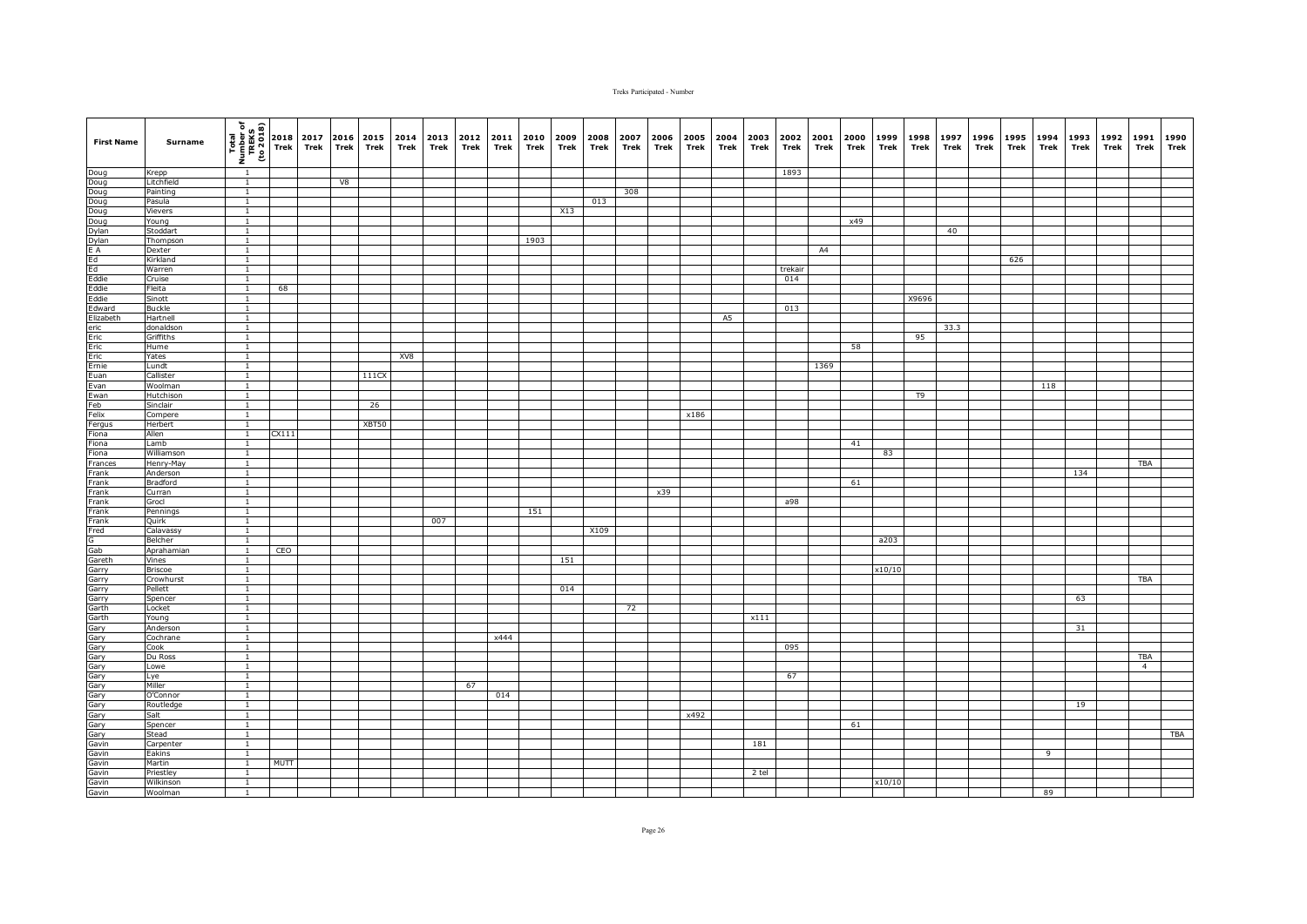| <b>First Name</b>                                                                                                                                                                                        | Surname                 | (1802 or)<br>TREKS<br>TREKS<br>To 2018 | 2018<br>Trek | 2017<br>Trek | 2016<br>Trek | 2015<br>Trek | 2014<br>Trek | 2013<br>Trek | 2012<br>Trek | 2011<br>Trek | 2010<br>Trek | 2009<br>Trek | 2008<br>Trek | 2007<br>Trek | 2006<br>Trek | 2005<br>Trek | 2004<br>Trek   | 2003<br>Trek | 2002<br><b>Trek</b> | 2001<br>Trek | 2000<br>Trek | 1999<br>Trek | 1998<br>Trek | 1997<br>Trek | 1996<br>Trek | 1995<br>Trek | 1994<br>Trek   | 1993<br>Trek | 1992<br>Trek | 1991<br>Trek   | 1990<br>Trek |
|----------------------------------------------------------------------------------------------------------------------------------------------------------------------------------------------------------|-------------------------|----------------------------------------|--------------|--------------|--------------|--------------|--------------|--------------|--------------|--------------|--------------|--------------|--------------|--------------|--------------|--------------|----------------|--------------|---------------------|--------------|--------------|--------------|--------------|--------------|--------------|--------------|----------------|--------------|--------------|----------------|--------------|
| Doug<br>Doug<br>Doug<br>Doug<br>Doug<br>Dylan<br>E A<br>Eddie<br>Eddie<br>Eddie<br>Eddie                                                                                                                 | Krepp                   | $\overline{1}$                         |              |              |              |              |              |              |              |              |              |              |              |              |              |              |                |              | 1893                |              |              |              |              |              |              |              |                |              |              |                |              |
|                                                                                                                                                                                                          | Litchfield              | $\overline{1}$                         |              |              | V8           |              |              |              |              |              |              |              |              |              |              |              |                |              |                     |              |              |              |              |              |              |              |                |              |              |                |              |
|                                                                                                                                                                                                          | Painting                | $\mathbf{1}$                           |              |              |              |              |              |              |              |              |              |              |              | 308          |              |              |                |              |                     |              |              |              |              |              |              |              |                |              |              |                |              |
|                                                                                                                                                                                                          | Pasula<br>Vievers       | $\overline{1}$<br>$\mathbf{1}$         |              |              |              |              |              |              |              |              |              | X13          | 013          |              |              |              |                |              |                     |              |              |              |              |              |              |              |                |              |              |                |              |
|                                                                                                                                                                                                          | Young                   | $\overline{1}$                         |              |              |              |              |              |              |              |              |              |              |              |              |              |              |                |              |                     |              | x49          |              |              |              |              |              |                |              |              |                |              |
|                                                                                                                                                                                                          | Stoddart                | $\overline{1}$                         |              |              |              |              |              |              |              |              |              |              |              |              |              |              |                |              |                     |              |              |              |              | 40           |              |              |                |              |              |                |              |
|                                                                                                                                                                                                          | Thompson                | $\overline{1}$                         |              |              |              |              |              |              |              |              | 1903         |              |              |              |              |              |                |              |                     |              |              |              |              |              |              |              |                |              |              |                |              |
|                                                                                                                                                                                                          | Dexter                  | $\overline{1}$                         |              |              |              |              |              |              |              |              |              |              |              |              |              |              |                |              |                     | A4           |              |              |              |              |              |              |                |              |              |                |              |
|                                                                                                                                                                                                          | Kirkland                | $\overline{1}$                         |              |              |              |              |              |              |              |              |              |              |              |              |              |              |                |              |                     |              |              |              |              |              |              | 626          |                |              |              |                |              |
|                                                                                                                                                                                                          | Warren                  | $\mathbf{1}$                           |              |              |              |              |              |              |              |              |              |              |              |              |              |              |                |              | trekair             |              |              |              |              |              |              |              |                |              |              |                |              |
|                                                                                                                                                                                                          | Cruise                  | $\overline{1}$                         |              |              |              |              |              |              |              |              |              |              |              |              |              |              |                |              | 014                 |              |              |              |              |              |              |              |                |              |              |                |              |
|                                                                                                                                                                                                          | Fleita                  | $\mathbf{1}$                           | 68           |              |              |              |              |              |              |              |              |              |              |              |              |              |                |              |                     |              |              |              |              |              |              |              |                |              |              |                |              |
| Edward                                                                                                                                                                                                   | Sinott<br><b>Buckle</b> | $\overline{1}$<br>$\mathbf{1}$         |              |              |              |              |              |              |              |              |              |              |              |              |              |              |                |              | 013                 |              |              |              | X9696        |              |              |              |                |              |              |                |              |
|                                                                                                                                                                                                          | Hartnell                | $\mathbf{1}$                           |              |              |              |              |              |              |              |              |              |              |              |              |              |              | A <sub>5</sub> |              |                     |              |              |              |              |              |              |              |                |              |              |                |              |
| Edward<br>Elizabeth<br>eric<br>Eric<br>Eric<br>Eric<br>Euan<br>Euan                                                                                                                                      | donaldson               | $\mathbf{1}$                           |              |              |              |              |              |              |              |              |              |              |              |              |              |              |                |              |                     |              |              |              |              | 33.3         |              |              |                |              |              |                |              |
|                                                                                                                                                                                                          | Griffiths               | $\mathbf{1}$                           |              |              |              |              |              |              |              |              |              |              |              |              |              |              |                |              |                     |              |              |              | 95           |              |              |              |                |              |              |                |              |
|                                                                                                                                                                                                          | Hume                    | $\mathbf{1}$                           |              |              |              |              |              |              |              |              |              |              |              |              |              |              |                |              |                     |              | 58           |              |              |              |              |              |                |              |              |                |              |
|                                                                                                                                                                                                          | Yates                   | $\overline{1}$                         |              |              |              |              | XV8          |              |              |              |              |              |              |              |              |              |                |              |                     |              |              |              |              |              |              |              |                |              |              |                |              |
|                                                                                                                                                                                                          | Lundt                   | $\overline{1}$                         |              |              |              |              |              |              |              |              |              |              |              |              |              |              |                |              |                     | 1369         |              |              |              |              |              |              |                |              |              |                |              |
|                                                                                                                                                                                                          | Callister               | $\mathbf{1}$                           |              |              |              | 111CX        |              |              |              |              |              |              |              |              |              |              |                |              |                     |              |              |              |              |              |              |              |                |              |              |                |              |
|                                                                                                                                                                                                          | Woolman                 | $\overline{1}$                         |              |              |              |              |              |              |              |              |              |              |              |              |              |              |                |              |                     |              |              |              |              |              |              |              | 118            |              |              |                |              |
| Evan<br>Ewan<br>Feb                                                                                                                                                                                      | Hutchison               | $\overline{1}$                         |              |              |              |              |              |              |              |              |              |              |              |              |              |              |                |              |                     |              |              |              | T9           |              |              |              |                |              |              |                |              |
|                                                                                                                                                                                                          | Sinclair                | $\overline{1}$                         |              |              |              | 26           |              |              |              |              |              |              |              |              |              |              |                |              |                     |              |              |              |              |              |              |              |                |              |              |                |              |
|                                                                                                                                                                                                          | Compere<br>Herbert      | $\mathbf{1}$<br>$\overline{1}$         |              |              |              | XBT50        |              |              |              |              |              |              |              |              |              | x186         |                |              |                     |              |              |              |              |              |              |              |                |              |              |                |              |
| Felix<br>Felix<br>Fergus<br>Fiona                                                                                                                                                                        | Allen                   | $\mathbf{1}$                           | CX111        |              |              |              |              |              |              |              |              |              |              |              |              |              |                |              |                     |              |              |              |              |              |              |              |                |              |              |                |              |
|                                                                                                                                                                                                          | Lamb                    |                                        |              |              |              |              |              |              |              |              |              |              |              |              |              |              |                |              |                     |              | 41           |              |              |              |              |              |                |              |              |                |              |
| Fiona<br>Fiona                                                                                                                                                                                           | Williamson              | $\mathbf{1}$                           |              |              |              |              |              |              |              |              |              |              |              |              |              |              |                |              |                     |              |              | 83           |              |              |              |              |                |              |              |                |              |
| Frances                                                                                                                                                                                                  | Henry-May               | $\overline{1}$                         |              |              |              |              |              |              |              |              |              |              |              |              |              |              |                |              |                     |              |              |              |              |              |              |              |                |              |              | <b>TBA</b>     |              |
| Frank                                                                                                                                                                                                    | Anderson                | $\overline{1}$                         |              |              |              |              |              |              |              |              |              |              |              |              |              |              |                |              |                     |              |              |              |              |              |              |              |                | 134          |              |                |              |
| Frank                                                                                                                                                                                                    | Bradford                | $\mathbf{1}$                           |              |              |              |              |              |              |              |              |              |              |              |              |              |              |                |              |                     |              | 61           |              |              |              |              |              |                |              |              |                |              |
| Frank                                                                                                                                                                                                    | Curran                  | $\mathbf{1}$                           |              |              |              |              |              |              |              |              |              |              |              |              | x39          |              |                |              |                     |              |              |              |              |              |              |              |                |              |              |                |              |
| Frank<br>Frank                                                                                                                                                                                           | Grocl                   | $\overline{1}$                         |              |              |              |              |              |              |              |              |              |              |              |              |              |              |                |              | a98                 |              |              |              |              |              |              |              |                |              |              |                |              |
| Frank                                                                                                                                                                                                    | Pennings<br>Quirk       | $\mathbf{1}$<br>$\mathbf{1}$           |              |              |              |              |              | 007          |              |              | 151          |              |              |              |              |              |                |              |                     |              |              |              |              |              |              |              |                |              |              |                |              |
|                                                                                                                                                                                                          | Calavassy               | $\mathbf{1}$                           |              |              |              |              |              |              |              |              |              |              | X109         |              |              |              |                |              |                     |              |              |              |              |              |              |              |                |              |              |                |              |
|                                                                                                                                                                                                          | Belcher                 | $\mathbf{1}$                           |              |              |              |              |              |              |              |              |              |              |              |              |              |              |                |              |                     |              |              | a203         |              |              |              |              |                |              |              |                |              |
|                                                                                                                                                                                                          | Aprahamian              | $\mathbf{1}$                           | CEO          |              |              |              |              |              |              |              |              |              |              |              |              |              |                |              |                     |              |              |              |              |              |              |              |                |              |              |                |              |
|                                                                                                                                                                                                          | Vines                   | $\overline{1}$                         |              |              |              |              |              |              |              |              |              | 151          |              |              |              |              |                |              |                     |              |              |              |              |              |              |              |                |              |              |                |              |
|                                                                                                                                                                                                          | Briscoe                 | $\mathbf{1}$                           |              |              |              |              |              |              |              |              |              |              |              |              |              |              |                |              |                     |              |              | x10/10       |              |              |              |              |                |              |              |                |              |
|                                                                                                                                                                                                          | Crowhurst               | $\overline{1}$                         |              |              |              |              |              |              |              |              |              |              |              |              |              |              |                |              |                     |              |              |              |              |              |              |              |                |              |              | <b>TBA</b>     |              |
|                                                                                                                                                                                                          | Pellett                 | $\overline{1}$                         |              |              |              |              |              |              |              |              |              | 014          |              |              |              |              |                |              |                     |              |              |              |              |              |              |              |                |              |              |                |              |
|                                                                                                                                                                                                          | Spencer                 | $\mathbf{1}$                           |              |              |              |              |              |              |              |              |              |              |              |              |              |              |                |              |                     |              |              |              |              |              |              |              |                | 63           |              |                |              |
| Fred Gaben Care (Gaben)<br>Gaben Gaben (Gaben)<br>Gaben Gaben Gaben Gaben Gaben (Gaben)<br>Gaben Gaben Gaben Gaben Gaben Gaben Gaben Gaben Gaben Gaben Gaben Gaben Gaben Gaben Gaben Gaben Gaben Gaben G | Locket                  | $\overline{1}$<br>$\overline{1}$       |              |              |              |              |              |              |              |              |              |              |              | 72           |              |              |                |              |                     |              |              |              |              |              |              |              |                |              |              |                |              |
|                                                                                                                                                                                                          | Young<br>Anderson       | $\overline{1}$                         |              |              |              |              |              |              |              |              |              |              |              |              |              |              |                | x111         |                     |              |              |              |              |              |              |              |                | 31           |              |                |              |
|                                                                                                                                                                                                          | Cochrane                | $\mathbf{1}$                           |              |              |              |              |              |              |              | x444         |              |              |              |              |              |              |                |              |                     |              |              |              |              |              |              |              |                |              |              |                |              |
|                                                                                                                                                                                                          | Cook                    | $\mathbf{1}$                           |              |              |              |              |              |              |              |              |              |              |              |              |              |              |                |              | 095                 |              |              |              |              |              |              |              |                |              |              |                |              |
|                                                                                                                                                                                                          | Du Ross                 | $\mathbf{1}$                           |              |              |              |              |              |              |              |              |              |              |              |              |              |              |                |              |                     |              |              |              |              |              |              |              |                |              |              | <b>TBA</b>     |              |
|                                                                                                                                                                                                          | Lowe                    | $\overline{1}$                         |              |              |              |              |              |              |              |              |              |              |              |              |              |              |                |              |                     |              |              |              |              |              |              |              |                |              |              | $\overline{4}$ |              |
|                                                                                                                                                                                                          | Lye                     | $\mathbf{1}$                           |              |              |              |              |              |              |              |              |              |              |              |              |              |              |                |              | 67                  |              |              |              |              |              |              |              |                |              |              |                |              |
|                                                                                                                                                                                                          | Miller                  | $\overline{1}$                         |              |              |              |              |              |              | 67           |              |              |              |              |              |              |              |                |              |                     |              |              |              |              |              |              |              |                |              |              |                |              |
|                                                                                                                                                                                                          | O'Connor                | $\mathbf{1}$                           |              |              |              |              |              |              |              | 014          |              |              |              |              |              |              |                |              |                     |              |              |              |              |              |              |              |                |              |              |                |              |
|                                                                                                                                                                                                          | Routledge               | $\mathbf{1}$                           |              |              |              |              |              |              |              |              |              |              |              |              |              |              |                |              |                     |              |              |              |              |              |              |              |                | 19           |              |                |              |
|                                                                                                                                                                                                          | Salt                    | $\mathbf{1}$                           |              |              |              |              |              |              |              |              |              |              |              |              |              | x492         |                |              |                     |              |              |              |              |              |              |              |                |              |              |                |              |
|                                                                                                                                                                                                          | Spencer                 | $\overline{1}$<br>$\overline{1}$       |              |              |              |              |              |              |              |              |              |              |              |              |              |              |                |              |                     |              | 61           |              |              |              |              |              |                |              |              |                | <b>TBA</b>   |
|                                                                                                                                                                                                          | Stead                   | $\overline{1}$                         |              |              |              |              |              |              |              |              |              |              |              |              |              |              |                | 181          |                     |              |              |              |              |              |              |              |                |              |              |                |              |
|                                                                                                                                                                                                          | Carpenter<br>Eakins     | $\overline{1}$                         |              |              |              |              |              |              |              |              |              |              |              |              |              |              |                |              |                     |              |              |              |              |              |              |              | $\overline{9}$ |              |              |                |              |
|                                                                                                                                                                                                          | Martin                  | $\overline{1}$                         | <b>MUTT</b>  |              |              |              |              |              |              |              |              |              |              |              |              |              |                |              |                     |              |              |              |              |              |              |              |                |              |              |                |              |
|                                                                                                                                                                                                          | Priestley               | $\mathbf{1}$                           |              |              |              |              |              |              |              |              |              |              |              |              |              |              |                | 2 tel        |                     |              |              |              |              |              |              |              |                |              |              |                |              |
|                                                                                                                                                                                                          | Wilkinson               | $\overline{1}$                         |              |              |              |              |              |              |              |              |              |              |              |              |              |              |                |              |                     |              |              | x10/10       |              |              |              |              |                |              |              |                |              |
|                                                                                                                                                                                                          | Woolman                 | $\mathbf{1}$                           |              |              |              |              |              |              |              |              |              |              |              |              |              |              |                |              |                     |              |              |              |              |              |              |              | 89             |              |              |                |              |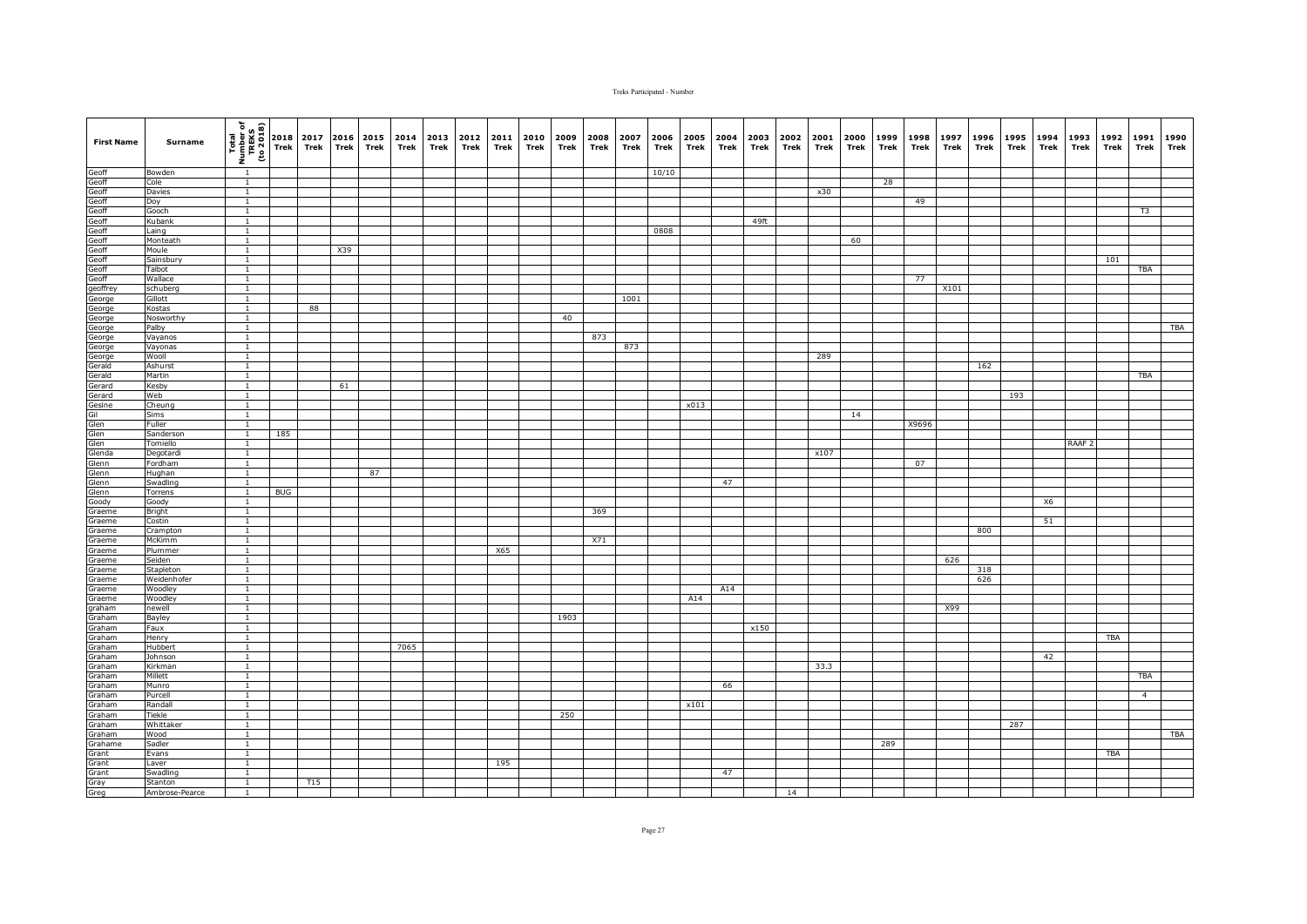| <b>First Name</b>                                                                                        | Surname             | (1802 or)<br>TREKS<br>TREKS<br>To 2018 | 2018<br>Trek | 2017<br>Trek | <b>Trek</b> | 2016 2015<br>Trek | 2014<br>Trek | 2013<br>Trek | 2012<br>Trek | 2011<br>Trek | 2010<br>Trek | 2009<br>Trek | 2008<br>Trek | 2007<br>Trek | 2006<br>Trek | 2005<br>Trek | 2004<br>Trek | 2003<br>Trek | 2002<br>Trek | 2001<br>Trek | 2000<br>Trek | 1999<br>Trek | 1998<br>Trek | 1997<br>Trek | 1996<br>Trek | 1995<br>Trek | 1994<br>Trek | 1993<br>Trek      | 1992<br>Trek | 1991<br>Trek   | 1990<br>Trek |
|----------------------------------------------------------------------------------------------------------|---------------------|----------------------------------------|--------------|--------------|-------------|-------------------|--------------|--------------|--------------|--------------|--------------|--------------|--------------|--------------|--------------|--------------|--------------|--------------|--------------|--------------|--------------|--------------|--------------|--------------|--------------|--------------|--------------|-------------------|--------------|----------------|--------------|
|                                                                                                          | Bowden              | $\overline{1}$                         |              |              |             |                   |              |              |              |              |              |              |              |              | 10/10        |              |              |              |              |              |              |              |              |              |              |              |              |                   |              |                |              |
| Geoff<br>Geoff<br>Geoff<br>Geoff<br>Geoff<br>Geoff<br>Geoff<br>Geoff<br>Geoff<br>Geoff<br>Geoff<br>Geoff | Cole                | $\overline{1}$                         |              |              |             |                   |              |              |              |              |              |              |              |              |              |              |              |              |              |              |              | 28           |              |              |              |              |              |                   |              |                |              |
|                                                                                                          | Davies              | $\mathbf{1}$<br>$\overline{1}$         |              |              |             |                   |              |              |              |              |              |              |              |              |              |              |              |              |              | x30          |              |              | 49           |              |              |              |              |                   |              |                |              |
|                                                                                                          | Doy<br>Gooch        | $\mathbf{1}$                           |              |              |             |                   |              |              |              |              |              |              |              |              |              |              |              |              |              |              |              |              |              |              |              |              |              |                   |              | T <sub>3</sub> |              |
|                                                                                                          | Kubank              | $\overline{1}$                         |              |              |             |                   |              |              |              |              |              |              |              |              |              |              |              | 49ft         |              |              |              |              |              |              |              |              |              |                   |              |                |              |
|                                                                                                          | Laing               | $\overline{1}$                         |              |              |             |                   |              |              |              |              |              |              |              |              | 0808         |              |              |              |              |              |              |              |              |              |              |              |              |                   |              |                |              |
|                                                                                                          | Monteath            | $\overline{1}$                         |              |              |             |                   |              |              |              |              |              |              |              |              |              |              |              |              |              |              | 60           |              |              |              |              |              |              |                   |              |                |              |
|                                                                                                          | Moule               | $\overline{1}$                         |              |              | X39         |                   |              |              |              |              |              |              |              |              |              |              |              |              |              |              |              |              |              |              |              |              |              |                   |              |                |              |
|                                                                                                          | Sainsbury<br>Talbot | $\overline{1}$<br>$\mathbf{1}$         |              |              |             |                   |              |              |              |              |              |              |              |              |              |              |              |              |              |              |              |              |              |              |              |              |              |                   | 101          | TBA            |              |
|                                                                                                          | Wallace             | $\mathbf{1}$                           |              |              |             |                   |              |              |              |              |              |              |              |              |              |              |              |              |              |              |              |              | 77           |              |              |              |              |                   |              |                |              |
|                                                                                                          | schuberg            | $\mathbf{1}$                           |              |              |             |                   |              |              |              |              |              |              |              |              |              |              |              |              |              |              |              |              |              | X101         |              |              |              |                   |              |                |              |
|                                                                                                          | Gillott             | $\overline{1}$                         |              |              |             |                   |              |              |              |              |              |              |              | 1001         |              |              |              |              |              |              |              |              |              |              |              |              |              |                   |              |                |              |
| George                                                                                                   | Kostas              | $\overline{1}$                         |              | 88           |             |                   |              |              |              |              |              |              |              |              |              |              |              |              |              |              |              |              |              |              |              |              |              |                   |              |                |              |
| George                                                                                                   | Nosworthy           | $\mathbf{1}$                           |              |              |             |                   |              |              |              |              |              | 40           |              |              |              |              |              |              |              |              |              |              |              |              |              |              |              |                   |              |                |              |
|                                                                                                          | Palby               | $\mathbf{1}$<br>$\overline{1}$         |              |              |             |                   |              |              |              |              |              |              |              |              |              |              |              |              |              |              |              |              |              |              |              |              |              |                   |              |                | <b>TBA</b>   |
|                                                                                                          | Vayanos<br>Vayonas  | $\mathbf{1}$                           |              |              |             |                   |              |              |              |              |              |              | 873          | 873          |              |              |              |              |              |              |              |              |              |              |              |              |              |                   |              |                |              |
|                                                                                                          | Wooll               | $\overline{1}$                         |              |              |             |                   |              |              |              |              |              |              |              |              |              |              |              |              |              | 289          |              |              |              |              |              |              |              |                   |              |                |              |
|                                                                                                          | Ashurst             | $\overline{1}$                         |              |              |             |                   |              |              |              |              |              |              |              |              |              |              |              |              |              |              |              |              |              |              | 162          |              |              |                   |              |                |              |
| George<br>George<br>George<br>George<br>Gerald<br>Gerald                                                 | Martin              | $\mathbf{1}$                           |              |              |             |                   |              |              |              |              |              |              |              |              |              |              |              |              |              |              |              |              |              |              |              |              |              |                   |              | TBA            |              |
| Gerard                                                                                                   | Kesby               | $\overline{1}$                         |              |              | 61          |                   |              |              |              |              |              |              |              |              |              |              |              |              |              |              |              |              |              |              |              |              |              |                   |              |                |              |
|                                                                                                          | Web                 | $\overline{1}$<br>$\overline{1}$       |              |              |             |                   |              |              |              |              |              |              |              |              |              |              |              |              |              |              |              |              |              |              |              | 193          |              |                   |              |                |              |
|                                                                                                          | Cheung<br>Sims      | $\mathbf{1}$                           |              |              |             |                   |              |              |              |              |              |              |              |              |              | x013         |              |              |              |              | 14           |              |              |              |              |              |              |                   |              |                |              |
|                                                                                                          | Fuller              | $\overline{1}$                         |              |              |             |                   |              |              |              |              |              |              |              |              |              |              |              |              |              |              |              |              | X9696        |              |              |              |              |                   |              |                |              |
|                                                                                                          | Sanderson           | $\mathbf{1}$                           | 185          |              |             |                   |              |              |              |              |              |              |              |              |              |              |              |              |              |              |              |              |              |              |              |              |              |                   |              |                |              |
|                                                                                                          | Tomiello            |                                        |              |              |             |                   |              |              |              |              |              |              |              |              |              |              |              |              |              |              |              |              |              |              |              |              |              | RAAF <sub>2</sub> |              |                |              |
|                                                                                                          | Degotardi           | $\mathbf{1}$                           |              |              |             |                   |              |              |              |              |              |              |              |              |              |              |              |              |              | x107         |              |              |              |              |              |              |              |                   |              |                |              |
|                                                                                                          | Fordham             | $\overline{1}$<br>$\overline{1}$       |              |              |             |                   |              |              |              |              |              |              |              |              |              |              |              |              |              |              |              |              | 07           |              |              |              |              |                   |              |                |              |
|                                                                                                          | Hughan<br>Swadling  | $\mathbf{1}$                           |              |              |             | 87                |              |              |              |              |              |              |              |              |              |              | 47           |              |              |              |              |              |              |              |              |              |              |                   |              |                |              |
| Gerard<br>Gesine<br>Gil<br>Glen<br>Glen<br>Glenn<br>Glenn<br>Glenn<br>Glenn<br>Glenn                     | Torrens             | $\mathbf{1}$                           | <b>BUG</b>   |              |             |                   |              |              |              |              |              |              |              |              |              |              |              |              |              |              |              |              |              |              |              |              |              |                   |              |                |              |
| Goody                                                                                                    | Goody               | $\overline{1}$                         |              |              |             |                   |              |              |              |              |              |              |              |              |              |              |              |              |              |              |              |              |              |              |              |              | X6           |                   |              |                |              |
| Graeme                                                                                                   | Bright              | $\mathbf{1}$                           |              |              |             |                   |              |              |              |              |              |              | 369          |              |              |              |              |              |              |              |              |              |              |              |              |              |              |                   |              |                |              |
| Graeme                                                                                                   | Costin              | $\mathbf{1}$                           |              |              |             |                   |              |              |              |              |              |              |              |              |              |              |              |              |              |              |              |              |              |              |              |              | 51           |                   |              |                |              |
| Graeme                                                                                                   | Crampton            | $\overline{1}$<br>$\mathbf{1}$         |              |              |             |                   |              |              |              |              |              |              | X71          |              |              |              |              |              |              |              |              |              |              |              | 800          |              |              |                   |              |                |              |
| Graeme<br>Graeme                                                                                         | McKimm<br>Plummer   | $\overline{1}$                         |              |              |             |                   |              |              |              | X65          |              |              |              |              |              |              |              |              |              |              |              |              |              |              |              |              |              |                   |              |                |              |
| Graeme                                                                                                   | Seiden              | $\overline{1}$                         |              |              |             |                   |              |              |              |              |              |              |              |              |              |              |              |              |              |              |              |              |              | 626          |              |              |              |                   |              |                |              |
| Graeme                                                                                                   | Stapleton           | $\mathbf{1}$                           |              |              |             |                   |              |              |              |              |              |              |              |              |              |              |              |              |              |              |              |              |              |              | 318          |              |              |                   |              |                |              |
| Graeme                                                                                                   | Weidenhofer         | <sup>1</sup>                           |              |              |             |                   |              |              |              |              |              |              |              |              |              |              |              |              |              |              |              |              |              |              | 626          |              |              |                   |              |                |              |
| Graeme                                                                                                   | Woodley             |                                        |              |              |             |                   |              |              |              |              |              |              |              |              |              |              | A14          |              |              |              |              |              |              |              |              |              |              |                   |              |                |              |
| Graeme                                                                                                   | Woodley             | $\mathbf{1}$                           |              |              |             |                   |              |              |              |              |              |              |              |              |              | A14          |              |              |              |              |              |              |              |              |              |              |              |                   |              |                |              |
| graham<br>Graham                                                                                         | newell<br>Bayley    | $\overline{1}$<br>$\overline{1}$       |              |              |             |                   |              |              |              |              |              | 1903         |              |              |              |              |              |              |              |              |              |              |              | X99          |              |              |              |                   |              |                |              |
| Graham                                                                                                   | Faux                | $\overline{1}$                         |              |              |             |                   |              |              |              |              |              |              |              |              |              |              |              | x150         |              |              |              |              |              |              |              |              |              |                   |              |                |              |
| Graham                                                                                                   | Henry               | $\mathbf{1}$                           |              |              |             |                   |              |              |              |              |              |              |              |              |              |              |              |              |              |              |              |              |              |              |              |              |              |                   | <b>TBA</b>   |                |              |
| Graham                                                                                                   | Hubbert             | $\mathbf{1}$                           |              |              |             |                   | 7065         |              |              |              |              |              |              |              |              |              |              |              |              |              |              |              |              |              |              |              |              |                   |              |                |              |
| Graham                                                                                                   | Johnson             | $\mathbf{1}$                           |              |              |             |                   |              |              |              |              |              |              |              |              |              |              |              |              |              |              |              |              |              |              |              |              | 42           |                   |              |                |              |
| Graham                                                                                                   | Kirkman             | $\overline{1}$                         |              |              |             |                   |              |              |              |              |              |              |              |              |              |              |              |              |              | 33.3         |              |              |              |              |              |              |              |                   |              |                |              |
| Graham<br>Graham                                                                                         | Millett<br>Munro    | $\mathbf{1}$<br>$\overline{1}$         |              |              |             |                   |              |              |              |              |              |              |              |              |              |              | 66           |              |              |              |              |              |              |              |              |              |              |                   |              | TBA            |              |
| Graham                                                                                                   | Purcell             | $\mathbf{1}$                           |              |              |             |                   |              |              |              |              |              |              |              |              |              |              |              |              |              |              |              |              |              |              |              |              |              |                   |              | $\overline{4}$ |              |
| Graham                                                                                                   | Randall             | 1                                      |              |              |             |                   |              |              |              |              |              |              |              |              |              | x101         |              |              |              |              |              |              |              |              |              |              |              |                   |              |                |              |
| Graham                                                                                                   | Tiekle              | $\mathbf{1}$                           |              |              |             |                   |              |              |              |              |              | 250          |              |              |              |              |              |              |              |              |              |              |              |              |              |              |              |                   |              |                |              |
| Graham                                                                                                   | Whittaker           | $\overline{1}$                         |              |              |             |                   |              |              |              |              |              |              |              |              |              |              |              |              |              |              |              |              |              |              |              | 287          |              |                   |              |                |              |
| Graham                                                                                                   | Wood                | $\overline{1}$                         |              |              |             |                   |              |              |              |              |              |              |              |              |              |              |              |              |              |              |              |              |              |              |              |              |              |                   |              |                | <b>TBA</b>   |
| Grahame<br>Grant                                                                                         | Sadler<br>Evans     | $\overline{1}$<br>$\mathbf{1}$         |              |              |             |                   |              |              |              |              |              |              |              |              |              |              |              |              |              |              |              | 289          |              |              |              |              |              |                   | <b>TBA</b>   |                |              |
| Grant                                                                                                    | Laver               | $\mathbf{1}$                           |              |              |             |                   |              |              |              | 195          |              |              |              |              |              |              |              |              |              |              |              |              |              |              |              |              |              |                   |              |                |              |
|                                                                                                          | Swadling            | $\mathbf{1}$                           |              |              |             |                   |              |              |              |              |              |              |              |              |              |              | 47           |              |              |              |              |              |              |              |              |              |              |                   |              |                |              |
| Grant<br>Gray<br>Gray                                                                                    | Stanton             | $\overline{1}$                         |              | T15          |             |                   |              |              |              |              |              |              |              |              |              |              |              |              |              |              |              |              |              |              |              |              |              |                   |              |                |              |
|                                                                                                          | Ambrose-Pearce      | $\mathbf{1}$                           |              |              |             |                   |              |              |              |              |              |              |              |              |              |              |              |              | 14           |              |              |              |              |              |              |              |              |                   |              |                |              |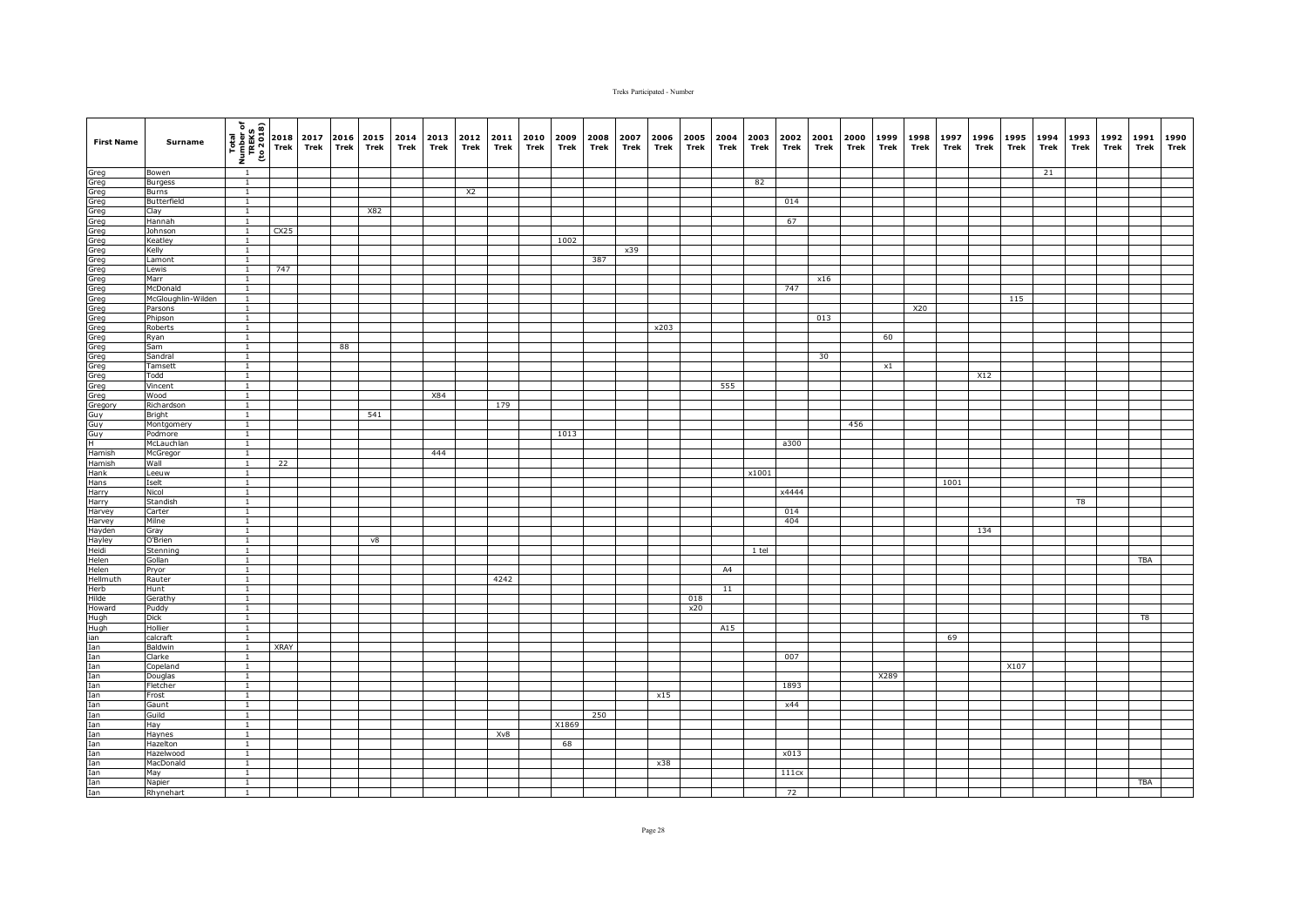| <b>First Name</b>                                                                                                                                                                                                                                                                                                                                                                            | Surname               | $\begin{bmatrix}\n\overline{1} & \overline{1} & \overline{1} & \overline{1} \\ \overline{1} & \overline{1} & \overline{1} & \overline{1} \\ \overline{1} & \overline{1} & \overline{1} & \overline{1} \\ \overline{1} & \overline{1} & \overline{1}\n\end{bmatrix}\n\begin{bmatrix}\n2018 \\ 716\n\end{bmatrix}$ |             | 2017<br>Trek | Trek | 2016 2015 2014<br>Trek | Trek | 2013 2012<br>Trek | Trek           | 2011<br>Trek | 2010<br>Trek | 2009<br>Trek | 2008<br>Trek | 2007<br>Trek | 2006<br>Trek | 2005<br>Trek | 2004<br>Trek | 2003<br>Trek | 2002<br>Trek | 2001<br>Trek | 2000<br>Trek | 1999<br>Trek | 1998<br>Trek | 1997<br>Trek | 1996<br>Trek | 1995 1994<br>Trek | Trek | 1993<br>Trek | 1992<br>Trek | 1991<br>Trek | 1990<br>Trek |
|----------------------------------------------------------------------------------------------------------------------------------------------------------------------------------------------------------------------------------------------------------------------------------------------------------------------------------------------------------------------------------------------|-----------------------|------------------------------------------------------------------------------------------------------------------------------------------------------------------------------------------------------------------------------------------------------------------------------------------------------------------|-------------|--------------|------|------------------------|------|-------------------|----------------|--------------|--------------|--------------|--------------|--------------|--------------|--------------|--------------|--------------|--------------|--------------|--------------|--------------|--------------|--------------|--------------|-------------------|------|--------------|--------------|--------------|--------------|
| $\frac{1}{2} \frac{1}{2} \frac{1}{2} \frac{1}{2} \frac{1}{2} \left( \frac{1}{2} \frac{1}{2} \frac{1}{2} \frac{1}{2} \frac{1}{2} \frac{1}{2} \frac{1}{2} \frac{1}{2} \frac{1}{2} \frac{1}{2} \frac{1}{2} \frac{1}{2} \frac{1}{2} \frac{1}{2} \frac{1}{2} \frac{1}{2} \frac{1}{2} \frac{1}{2} \frac{1}{2} \frac{1}{2} \frac{1}{2} \frac{1}{2} \frac{1}{2} \frac{1}{2} \frac{1}{2} \frac{1}{2}$ | Bowen                 |                                                                                                                                                                                                                                                                                                                  |             |              |      |                        |      |                   |                |              |              |              |              |              |              |              |              |              |              |              |              |              |              |              |              |                   | 21   |              |              |              |              |
|                                                                                                                                                                                                                                                                                                                                                                                              | <b>Burgess</b>        | $\mathbf{1}$                                                                                                                                                                                                                                                                                                     |             |              |      |                        |      |                   |                |              |              |              |              |              |              |              |              | 82           |              |              |              |              |              |              |              |                   |      |              |              |              |              |
|                                                                                                                                                                                                                                                                                                                                                                                              | Burns                 | $\overline{1}$                                                                                                                                                                                                                                                                                                   |             |              |      |                        |      |                   | X <sub>2</sub> |              |              |              |              |              |              |              |              |              |              |              |              |              |              |              |              |                   |      |              |              |              |              |
|                                                                                                                                                                                                                                                                                                                                                                                              | Butterfield           | $\mathbf{1}$<br>$\overline{1}$                                                                                                                                                                                                                                                                                   |             |              |      |                        |      |                   |                |              |              |              |              |              |              |              |              |              | 014          |              |              |              |              |              |              |                   |      |              |              |              |              |
|                                                                                                                                                                                                                                                                                                                                                                                              | Clay<br>Hannah        | $\mathbf{1}$                                                                                                                                                                                                                                                                                                     |             |              |      | X82                    |      |                   |                |              |              |              |              |              |              |              |              |              | 67           |              |              |              |              |              |              |                   |      |              |              |              |              |
|                                                                                                                                                                                                                                                                                                                                                                                              | Johnson               |                                                                                                                                                                                                                                                                                                                  | CX25        |              |      |                        |      |                   |                |              |              |              |              |              |              |              |              |              |              |              |              |              |              |              |              |                   |      |              |              |              |              |
|                                                                                                                                                                                                                                                                                                                                                                                              | Keatley               | $\mathbf{1}$                                                                                                                                                                                                                                                                                                     |             |              |      |                        |      |                   |                |              |              | 1002         |              |              |              |              |              |              |              |              |              |              |              |              |              |                   |      |              |              |              |              |
|                                                                                                                                                                                                                                                                                                                                                                                              | Kelly                 | <sup>1</sup>                                                                                                                                                                                                                                                                                                     |             |              |      |                        |      |                   |                |              |              |              |              | x39          |              |              |              |              |              |              |              |              |              |              |              |                   |      |              |              |              |              |
|                                                                                                                                                                                                                                                                                                                                                                                              | Lamont                | $\mathbf{1}$                                                                                                                                                                                                                                                                                                     |             |              |      |                        |      |                   |                |              |              |              | 387          |              |              |              |              |              |              |              |              |              |              |              |              |                   |      |              |              |              |              |
|                                                                                                                                                                                                                                                                                                                                                                                              | Lewis                 | $\overline{1}$                                                                                                                                                                                                                                                                                                   | 747         |              |      |                        |      |                   |                |              |              |              |              |              |              |              |              |              |              |              |              |              |              |              |              |                   |      |              |              |              |              |
|                                                                                                                                                                                                                                                                                                                                                                                              | Marr                  | $\mathbf{1}$                                                                                                                                                                                                                                                                                                     |             |              |      |                        |      |                   |                |              |              |              |              |              |              |              |              |              |              | x16          |              |              |              |              |              |                   |      |              |              |              |              |
|                                                                                                                                                                                                                                                                                                                                                                                              | McDonald              | $\mathbf{1}$                                                                                                                                                                                                                                                                                                     |             |              |      |                        |      |                   |                |              |              |              |              |              |              |              |              |              | 747          |              |              |              |              |              |              |                   |      |              |              |              |              |
|                                                                                                                                                                                                                                                                                                                                                                                              | McGloughlin-Wilden    | $\mathbf{1}$                                                                                                                                                                                                                                                                                                     |             |              |      |                        |      |                   |                |              |              |              |              |              |              |              |              |              |              |              |              |              |              |              |              | 115               |      |              |              |              |              |
|                                                                                                                                                                                                                                                                                                                                                                                              | Parsons               | $\overline{1}$<br>$\mathbf{1}$                                                                                                                                                                                                                                                                                   |             |              |      |                        |      |                   |                |              |              |              |              |              |              |              |              |              |              | 013          |              |              | X20          |              |              |                   |      |              |              |              |              |
|                                                                                                                                                                                                                                                                                                                                                                                              | Phipson<br>Roberts    | $\overline{1}$                                                                                                                                                                                                                                                                                                   |             |              |      |                        |      |                   |                |              |              |              |              |              | x203         |              |              |              |              |              |              |              |              |              |              |                   |      |              |              |              |              |
|                                                                                                                                                                                                                                                                                                                                                                                              | Ryan                  | $\mathbf{1}$                                                                                                                                                                                                                                                                                                     |             |              |      |                        |      |                   |                |              |              |              |              |              |              |              |              |              |              |              |              | 60           |              |              |              |                   |      |              |              |              |              |
|                                                                                                                                                                                                                                                                                                                                                                                              | Sam                   | $\mathbf{1}$                                                                                                                                                                                                                                                                                                     |             |              | 88   |                        |      |                   |                |              |              |              |              |              |              |              |              |              |              |              |              |              |              |              |              |                   |      |              |              |              |              |
|                                                                                                                                                                                                                                                                                                                                                                                              | Sandral               | $\mathbf{1}$                                                                                                                                                                                                                                                                                                     |             |              |      |                        |      |                   |                |              |              |              |              |              |              |              |              |              |              | 30           |              |              |              |              |              |                   |      |              |              |              |              |
|                                                                                                                                                                                                                                                                                                                                                                                              | Tamsett               | $\mathbf{1}$                                                                                                                                                                                                                                                                                                     |             |              |      |                        |      |                   |                |              |              |              |              |              |              |              |              |              |              |              |              | $\times 1$   |              |              |              |                   |      |              |              |              |              |
|                                                                                                                                                                                                                                                                                                                                                                                              | Todd                  | $\overline{1}$                                                                                                                                                                                                                                                                                                   |             |              |      |                        |      |                   |                |              |              |              |              |              |              |              |              |              |              |              |              |              |              |              | X12          |                   |      |              |              |              |              |
|                                                                                                                                                                                                                                                                                                                                                                                              | Vincent               | <sup>1</sup>                                                                                                                                                                                                                                                                                                     |             |              |      |                        |      |                   |                |              |              |              |              |              |              |              | 555          |              |              |              |              |              |              |              |              |                   |      |              |              |              |              |
|                                                                                                                                                                                                                                                                                                                                                                                              | <b>Wood</b>           | $\overline{1}$                                                                                                                                                                                                                                                                                                   |             |              |      |                        |      | <b>X84</b>        |                |              |              |              |              |              |              |              |              |              |              |              |              |              |              |              |              |                   |      |              |              |              |              |
|                                                                                                                                                                                                                                                                                                                                                                                              | Richardson            | $\overline{1}$                                                                                                                                                                                                                                                                                                   |             |              |      |                        |      |                   |                | 179          |              |              |              |              |              |              |              |              |              |              |              |              |              |              |              |                   |      |              |              |              |              |
|                                                                                                                                                                                                                                                                                                                                                                                              | Bright                | $\overline{1}$                                                                                                                                                                                                                                                                                                   |             |              |      | 541                    |      |                   |                |              |              |              |              |              |              |              |              |              |              |              |              |              |              |              |              |                   |      |              |              |              |              |
|                                                                                                                                                                                                                                                                                                                                                                                              | Montgomery<br>Podmore | $\mathbf{1}$<br>$\mathbf{1}$                                                                                                                                                                                                                                                                                     |             |              |      |                        |      |                   |                |              |              | 1013         |              |              |              |              |              |              |              |              | 456          |              |              |              |              |                   |      |              |              |              |              |
|                                                                                                                                                                                                                                                                                                                                                                                              | McLauchlan            | $\overline{1}$                                                                                                                                                                                                                                                                                                   |             |              |      |                        |      |                   |                |              |              |              |              |              |              |              |              |              | a300         |              |              |              |              |              |              |                   |      |              |              |              |              |
|                                                                                                                                                                                                                                                                                                                                                                                              | McGregor              | $\overline{1}$                                                                                                                                                                                                                                                                                                   |             |              |      |                        |      | 444               |                |              |              |              |              |              |              |              |              |              |              |              |              |              |              |              |              |                   |      |              |              |              |              |
|                                                                                                                                                                                                                                                                                                                                                                                              | Wall                  | $\mathbf{1}$                                                                                                                                                                                                                                                                                                     | 22          |              |      |                        |      |                   |                |              |              |              |              |              |              |              |              |              |              |              |              |              |              |              |              |                   |      |              |              |              |              |
| Hank<br>Hans                                                                                                                                                                                                                                                                                                                                                                                 | Leeuw                 | $\overline{1}$                                                                                                                                                                                                                                                                                                   |             |              |      |                        |      |                   |                |              |              |              |              |              |              |              |              | x1001        |              |              |              |              |              |              |              |                   |      |              |              |              |              |
|                                                                                                                                                                                                                                                                                                                                                                                              | Iselt                 | $\mathbf{1}$                                                                                                                                                                                                                                                                                                     |             |              |      |                        |      |                   |                |              |              |              |              |              |              |              |              |              |              |              |              |              |              | 1001         |              |                   |      |              |              |              |              |
| Harry<br>Harry<br>Harry                                                                                                                                                                                                                                                                                                                                                                      | Nicol                 | $\mathbf{1}$                                                                                                                                                                                                                                                                                                     |             |              |      |                        |      |                   |                |              |              |              |              |              |              |              |              |              | x4444        |              |              |              |              |              |              |                   |      |              |              |              |              |
|                                                                                                                                                                                                                                                                                                                                                                                              | Standish              | $\mathbf{1}$                                                                                                                                                                                                                                                                                                     |             |              |      |                        |      |                   |                |              |              |              |              |              |              |              |              |              |              |              |              |              |              |              |              |                   |      | T8           |              |              |              |
|                                                                                                                                                                                                                                                                                                                                                                                              | Carter                | $\mathbf{1}$                                                                                                                                                                                                                                                                                                     |             |              |      |                        |      |                   |                |              |              |              |              |              |              |              |              |              | 014<br>404   |              |              |              |              |              |              |                   |      |              |              |              |              |
| Harvey                                                                                                                                                                                                                                                                                                                                                                                       | Milne<br>Gray         | $\mathbf{1}$<br>$\overline{1}$                                                                                                                                                                                                                                                                                   |             |              |      |                        |      |                   |                |              |              |              |              |              |              |              |              |              |              |              |              |              |              |              | 134          |                   |      |              |              |              |              |
| Hayden<br>Hayley<br>Heidi                                                                                                                                                                                                                                                                                                                                                                    | O'Brien               | $\mathbf{1}$                                                                                                                                                                                                                                                                                                     |             |              |      | v8                     |      |                   |                |              |              |              |              |              |              |              |              |              |              |              |              |              |              |              |              |                   |      |              |              |              |              |
|                                                                                                                                                                                                                                                                                                                                                                                              | Stenning              | $\mathbf{1}$                                                                                                                                                                                                                                                                                                     |             |              |      |                        |      |                   |                |              |              |              |              |              |              |              |              | 1 tel        |              |              |              |              |              |              |              |                   |      |              |              |              |              |
|                                                                                                                                                                                                                                                                                                                                                                                              | Gollan                | <sup>1</sup>                                                                                                                                                                                                                                                                                                     |             |              |      |                        |      |                   |                |              |              |              |              |              |              |              |              |              |              |              |              |              |              |              |              |                   |      |              |              | <b>TBA</b>   |              |
|                                                                                                                                                                                                                                                                                                                                                                                              | Pryor                 | $\mathbf{1}$                                                                                                                                                                                                                                                                                                     |             |              |      |                        |      |                   |                |              |              |              |              |              |              |              | A4           |              |              |              |              |              |              |              |              |                   |      |              |              |              |              |
|                                                                                                                                                                                                                                                                                                                                                                                              | Rauter                | $\mathbf{1}$                                                                                                                                                                                                                                                                                                     |             |              |      |                        |      |                   |                | 4242         |              |              |              |              |              |              |              |              |              |              |              |              |              |              |              |                   |      |              |              |              |              |
|                                                                                                                                                                                                                                                                                                                                                                                              | Hunt                  | $\overline{1}$                                                                                                                                                                                                                                                                                                   |             |              |      |                        |      |                   |                |              |              |              |              |              |              |              | 11           |              |              |              |              |              |              |              |              |                   |      |              |              |              |              |
|                                                                                                                                                                                                                                                                                                                                                                                              | Gerathy               | $\mathbf{1}$                                                                                                                                                                                                                                                                                                     |             |              |      |                        |      |                   |                |              |              |              |              |              |              | 018          |              |              |              |              |              |              |              |              |              |                   |      |              |              |              |              |
|                                                                                                                                                                                                                                                                                                                                                                                              | Puddy                 | $\overline{1}$                                                                                                                                                                                                                                                                                                   |             |              |      |                        |      |                   |                |              |              |              |              |              |              | x20          |              |              |              |              |              |              |              |              |              |                   |      |              |              |              |              |
|                                                                                                                                                                                                                                                                                                                                                                                              | Dick<br>Hollier       | $\mathbf{1}$<br>$\mathbf{1}$                                                                                                                                                                                                                                                                                     |             |              |      |                        |      |                   |                |              |              |              |              |              |              |              | A15          |              |              |              |              |              |              |              |              |                   |      |              |              | T8           |              |
|                                                                                                                                                                                                                                                                                                                                                                                              | calcraft              | $\mathbf{1}$                                                                                                                                                                                                                                                                                                     |             |              |      |                        |      |                   |                |              |              |              |              |              |              |              |              |              |              |              |              |              |              | 69           |              |                   |      |              |              |              |              |
|                                                                                                                                                                                                                                                                                                                                                                                              | Baldwin               | $\mathbf{1}$                                                                                                                                                                                                                                                                                                     | <b>XRAY</b> |              |      |                        |      |                   |                |              |              |              |              |              |              |              |              |              |              |              |              |              |              |              |              |                   |      |              |              |              |              |
|                                                                                                                                                                                                                                                                                                                                                                                              | Clarke                | $\mathbf{1}$                                                                                                                                                                                                                                                                                                     |             |              |      |                        |      |                   |                |              |              |              |              |              |              |              |              |              | 007          |              |              |              |              |              |              |                   |      |              |              |              |              |
|                                                                                                                                                                                                                                                                                                                                                                                              | Copeland              | $\overline{1}$                                                                                                                                                                                                                                                                                                   |             |              |      |                        |      |                   |                |              |              |              |              |              |              |              |              |              |              |              |              |              |              |              |              | X107              |      |              |              |              |              |
|                                                                                                                                                                                                                                                                                                                                                                                              | Douglas               | $\mathbf{1}$                                                                                                                                                                                                                                                                                                     |             |              |      |                        |      |                   |                |              |              |              |              |              |              |              |              |              |              |              |              | X289         |              |              |              |                   |      |              |              |              |              |
|                                                                                                                                                                                                                                                                                                                                                                                              | Fletcher              | $\mathbf{1}$                                                                                                                                                                                                                                                                                                     |             |              |      |                        |      |                   |                |              |              |              |              |              |              |              |              |              | 1893         |              |              |              |              |              |              |                   |      |              |              |              |              |
|                                                                                                                                                                                                                                                                                                                                                                                              | Frost                 | $\overline{1}$                                                                                                                                                                                                                                                                                                   |             |              |      |                        |      |                   |                |              |              |              |              |              | x15          |              |              |              |              |              |              |              |              |              |              |                   |      |              |              |              |              |
|                                                                                                                                                                                                                                                                                                                                                                                              | Gaunt                 | 1                                                                                                                                                                                                                                                                                                                |             |              |      |                        |      |                   |                |              |              |              |              |              |              |              |              |              | x44          |              |              |              |              |              |              |                   |      |              |              |              |              |
|                                                                                                                                                                                                                                                                                                                                                                                              | Guild                 | $\mathbf{1}$                                                                                                                                                                                                                                                                                                     |             |              |      |                        |      |                   |                |              |              |              | 250          |              |              |              |              |              |              |              |              |              |              |              |              |                   |      |              |              |              |              |
|                                                                                                                                                                                                                                                                                                                                                                                              | Hay                   | $\mathbf{1}$<br>$\mathbf{1}$                                                                                                                                                                                                                                                                                     |             |              |      |                        |      |                   |                | Xv8          |              | X1869        |              |              |              |              |              |              |              |              |              |              |              |              |              |                   |      |              |              |              |              |
|                                                                                                                                                                                                                                                                                                                                                                                              | Haynes<br>Hazelton    | $\overline{1}$                                                                                                                                                                                                                                                                                                   |             |              |      |                        |      |                   |                |              |              | 68           |              |              |              |              |              |              |              |              |              |              |              |              |              |                   |      |              |              |              |              |
|                                                                                                                                                                                                                                                                                                                                                                                              | Hazelwood             | $\mathbf{1}$                                                                                                                                                                                                                                                                                                     |             |              |      |                        |      |                   |                |              |              |              |              |              |              |              |              |              | x013         |              |              |              |              |              |              |                   |      |              |              |              |              |
|                                                                                                                                                                                                                                                                                                                                                                                              | MacDonald             | $\overline{1}$                                                                                                                                                                                                                                                                                                   |             |              |      |                        |      |                   |                |              |              |              |              |              | x38          |              |              |              |              |              |              |              |              |              |              |                   |      |              |              |              |              |
|                                                                                                                                                                                                                                                                                                                                                                                              | May                   | 1                                                                                                                                                                                                                                                                                                                |             |              |      |                        |      |                   |                |              |              |              |              |              |              |              |              |              | 111cx        |              |              |              |              |              |              |                   |      |              |              |              |              |
|                                                                                                                                                                                                                                                                                                                                                                                              | Napier                | $\mathbf{1}$                                                                                                                                                                                                                                                                                                     |             |              |      |                        |      |                   |                |              |              |              |              |              |              |              |              |              |              |              |              |              |              |              |              |                   |      |              |              | <b>TBA</b>   |              |
|                                                                                                                                                                                                                                                                                                                                                                                              | Rhynehart             | $\mathbf{1}$                                                                                                                                                                                                                                                                                                     |             |              |      |                        |      |                   |                |              |              |              |              |              |              |              |              |              | 72           |              |              |              |              |              |              |                   |      |              |              |              |              |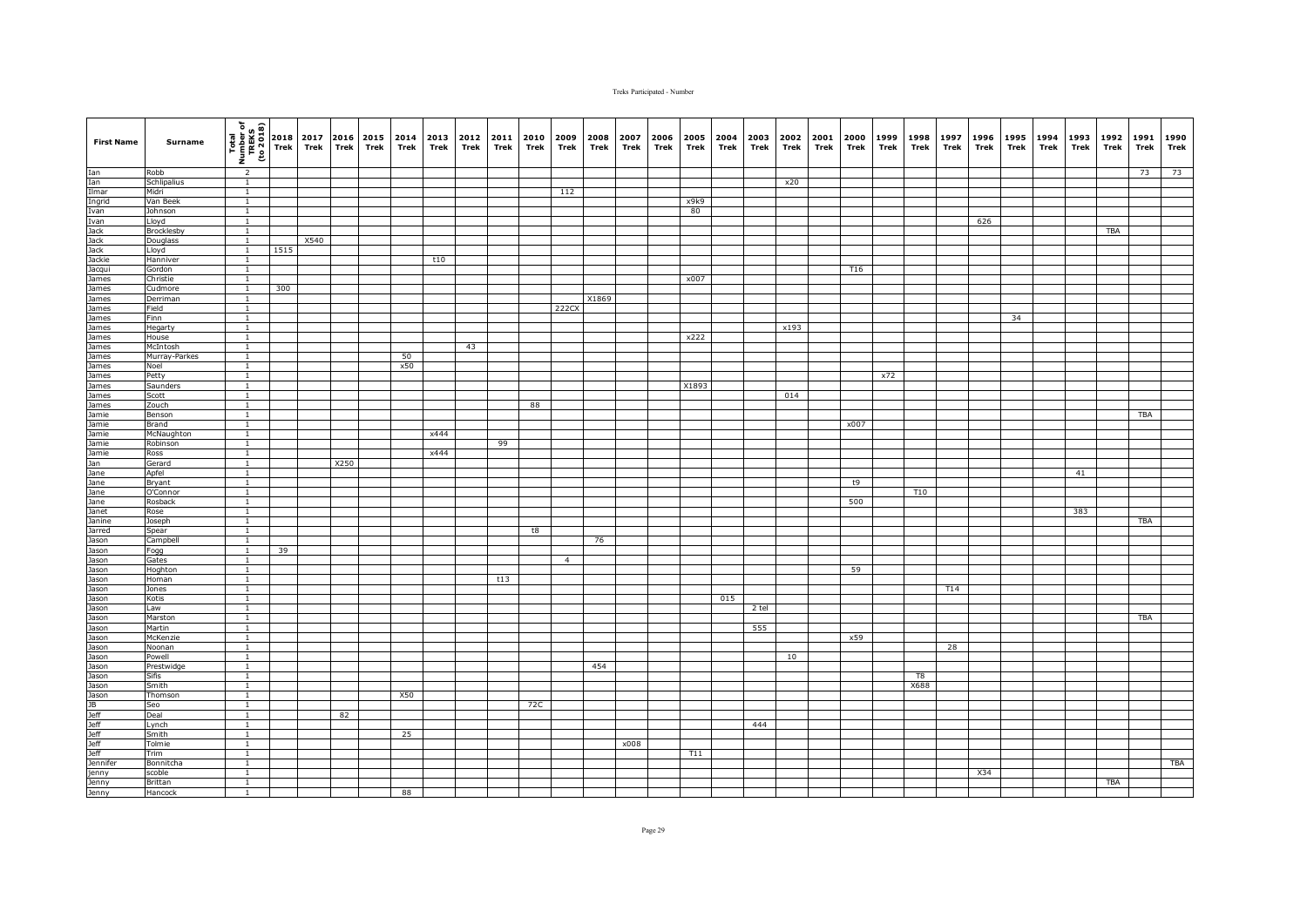| <b>First Name</b>                                                                                                                                                                                                                    | Surname                    | Total<br>Number of<br>TREKS<br>(to 2018) | 2018<br><b>Trek</b> | 2017<br>Trek | Trek | 2016 2015<br>Trek | 2014<br>Trek | Trek | 2013 2012<br>Trek | 2011<br>Trek | 2010<br>Trek | 2009<br>Trek   | 2008<br>Trek | 2007<br>Trek | 2006<br>Trek | 2005<br>Trek | 2004<br>Trek | 2003<br>Trek | 2002<br>Trek | 2001<br>Trek | 2000<br>Trek | 1999<br>Trek | 1998<br>Trek | 1997<br>Trek | 1996<br>Trek | 1995<br>Trek | 1994<br>Trek | 1993<br>Trek | 1992<br>Trek | 1991<br>Trek | 1990<br>Trek |
|--------------------------------------------------------------------------------------------------------------------------------------------------------------------------------------------------------------------------------------|----------------------------|------------------------------------------|---------------------|--------------|------|-------------------|--------------|------|-------------------|--------------|--------------|----------------|--------------|--------------|--------------|--------------|--------------|--------------|--------------|--------------|--------------|--------------|--------------|--------------|--------------|--------------|--------------|--------------|--------------|--------------|--------------|
| Ian<br>Ian<br>Ilmar<br>Ingrid<br>Ivan                                                                                                                                                                                                | Robb                       | $\overline{2}$                           |                     |              |      |                   |              |      |                   |              |              |                |              |              |              |              |              |              |              |              |              |              |              |              |              |              |              |              |              | 73           | 73           |
|                                                                                                                                                                                                                                      | <b>Schlipalius</b>         | $\overline{1}$                           |                     |              |      |                   |              |      |                   |              |              |                |              |              |              |              |              |              | x20          |              |              |              |              |              |              |              |              |              |              |              |              |
|                                                                                                                                                                                                                                      | Midri                      | $\overline{1}$                           |                     |              |      |                   |              |      |                   |              |              | 112            |              |              |              |              |              |              |              |              |              |              |              |              |              |              |              |              |              |              |              |
|                                                                                                                                                                                                                                      | Van Beek                   | $\mathbf{1}$                             |                     |              |      |                   |              |      |                   |              |              |                |              |              |              | x9k9         |              |              |              |              |              |              |              |              |              |              |              |              |              |              |              |
|                                                                                                                                                                                                                                      | Johnson                    | $\mathbf{1}$                             |                     |              |      |                   |              |      |                   |              |              |                |              |              |              | 80           |              |              |              |              |              |              |              |              |              |              |              |              |              |              |              |
|                                                                                                                                                                                                                                      | Lloyd<br>Brocklesby        | $\mathbf{1}$<br>$\mathbf{1}$             |                     |              |      |                   |              |      |                   |              |              |                |              |              |              |              |              |              |              |              |              |              |              |              | 626          |              |              |              | <b>TBA</b>   |              |              |
|                                                                                                                                                                                                                                      | Douglass                   | $\overline{1}$                           |                     | X540         |      |                   |              |      |                   |              |              |                |              |              |              |              |              |              |              |              |              |              |              |              |              |              |              |              |              |              |              |
|                                                                                                                                                                                                                                      | Lloyd                      | $\overline{1}$                           | 1515                |              |      |                   |              |      |                   |              |              |                |              |              |              |              |              |              |              |              |              |              |              |              |              |              |              |              |              |              |              |
|                                                                                                                                                                                                                                      | Hanniver                   | $\overline{1}$                           |                     |              |      |                   |              | t10  |                   |              |              |                |              |              |              |              |              |              |              |              |              |              |              |              |              |              |              |              |              |              |              |
|                                                                                                                                                                                                                                      | Gordon                     | $\mathbf{1}$                             |                     |              |      |                   |              |      |                   |              |              |                |              |              |              |              |              |              |              |              | T16          |              |              |              |              |              |              |              |              |              |              |
|                                                                                                                                                                                                                                      | Christie                   | $\mathbf{1}$                             |                     |              |      |                   |              |      |                   |              |              |                |              |              |              | x007         |              |              |              |              |              |              |              |              |              |              |              |              |              |              |              |
|                                                                                                                                                                                                                                      | Cudmore                    | $\mathbf{1}$                             | 300                 |              |      |                   |              |      |                   |              |              |                |              |              |              |              |              |              |              |              |              |              |              |              |              |              |              |              |              |              |              |
|                                                                                                                                                                                                                                      | Derriman                   | $\mathbf{1}$<br>$\overline{1}$           |                     |              |      |                   |              |      |                   |              |              |                | X1869        |              |              |              |              |              |              |              |              |              |              |              |              |              |              |              |              |              |              |
| Ivan<br>Jack<br>Jack<br>Jackie<br>Jacqui<br>James<br>James<br>James<br>James<br>James                                                                                                                                                | Field<br>Finn              | $\overline{1}$                           |                     |              |      |                   |              |      |                   |              |              | 222CX          |              |              |              |              |              |              |              |              |              |              |              |              |              | 34           |              |              |              |              |              |
|                                                                                                                                                                                                                                      | Hegarty                    | $\overline{1}$                           |                     |              |      |                   |              |      |                   |              |              |                |              |              |              |              |              |              | x193         |              |              |              |              |              |              |              |              |              |              |              |              |
| James<br>James<br>James                                                                                                                                                                                                              | House                      | $\overline{1}$                           |                     |              |      |                   |              |      |                   |              |              |                |              |              |              | x222         |              |              |              |              |              |              |              |              |              |              |              |              |              |              |              |
|                                                                                                                                                                                                                                      | McIntosh                   | $\mathbf{1}$                             |                     |              |      |                   |              |      | 43                |              |              |                |              |              |              |              |              |              |              |              |              |              |              |              |              |              |              |              |              |              |              |
| James                                                                                                                                                                                                                                | Murray-Parkes              | $\mathbf{1}$                             |                     |              |      |                   | 50           |      |                   |              |              |                |              |              |              |              |              |              |              |              |              |              |              |              |              |              |              |              |              |              |              |
| James<br>James                                                                                                                                                                                                                       | Noel                       | $\overline{1}$                           |                     |              |      |                   | x50          |      |                   |              |              |                |              |              |              |              |              |              |              |              |              |              |              |              |              |              |              |              |              |              |              |
|                                                                                                                                                                                                                                      | Petty                      | $\mathbf{1}$                             |                     |              |      |                   |              |      |                   |              |              |                |              |              |              |              |              |              |              |              |              | x72          |              |              |              |              |              |              |              |              |              |
| James                                                                                                                                                                                                                                | Saunders                   | $\mathbf{1}$                             |                     |              |      |                   |              |      |                   |              |              |                |              |              |              | X1893        |              |              |              |              |              |              |              |              |              |              |              |              |              |              |              |
|                                                                                                                                                                                                                                      | Scott<br>Zouch             | $\overline{1}$<br>$\mathbf{1}$           |                     |              |      |                   |              |      |                   |              | 88           |                |              |              |              |              |              |              | 014          |              |              |              |              |              |              |              |              |              |              |              |              |
|                                                                                                                                                                                                                                      | Benson                     | $\mathbf{1}$                             |                     |              |      |                   |              |      |                   |              |              |                |              |              |              |              |              |              |              |              |              |              |              |              |              |              |              |              |              | TBA          |              |
|                                                                                                                                                                                                                                      | Brand                      | $\mathbf{1}$                             |                     |              |      |                   |              |      |                   |              |              |                |              |              |              |              |              |              |              |              | x007         |              |              |              |              |              |              |              |              |              |              |
|                                                                                                                                                                                                                                      | McNaughton                 | $\mathbf{1}$                             |                     |              |      |                   |              | x444 |                   |              |              |                |              |              |              |              |              |              |              |              |              |              |              |              |              |              |              |              |              |              |              |
|                                                                                                                                                                                                                                      | Robinson                   | $\mathbf{1}$                             |                     |              |      |                   |              |      |                   | 99           |              |                |              |              |              |              |              |              |              |              |              |              |              |              |              |              |              |              |              |              |              |
|                                                                                                                                                                                                                                      | Ross                       | $\mathbf{1}$                             |                     |              |      |                   |              | x444 |                   |              |              |                |              |              |              |              |              |              |              |              |              |              |              |              |              |              |              |              |              |              |              |
|                                                                                                                                                                                                                                      | Gerard                     | $\mathbf{1}$                             |                     |              | X250 |                   |              |      |                   |              |              |                |              |              |              |              |              |              |              |              |              |              |              |              |              |              |              |              |              |              |              |
|                                                                                                                                                                                                                                      | Apfel                      | $\overline{1}$                           |                     |              |      |                   |              |      |                   |              |              |                |              |              |              |              |              |              |              |              |              |              |              |              |              |              |              | 41           |              |              |              |
|                                                                                                                                                                                                                                      | Bryant<br>O'Connor         | $\overline{1}$<br>$\mathbf{1}$           |                     |              |      |                   |              |      |                   |              |              |                |              |              |              |              |              |              |              |              | t9           |              | T10          |              |              |              |              |              |              |              |              |
|                                                                                                                                                                                                                                      | Rosback                    | $\mathbf{1}$                             |                     |              |      |                   |              |      |                   |              |              |                |              |              |              |              |              |              |              |              | 500          |              |              |              |              |              |              |              |              |              |              |
|                                                                                                                                                                                                                                      | Rose                       | $\mathbf{1}$                             |                     |              |      |                   |              |      |                   |              |              |                |              |              |              |              |              |              |              |              |              |              |              |              |              |              |              | 383          |              |              |              |
|                                                                                                                                                                                                                                      | Joseph                     | $\mathbf{1}$                             |                     |              |      |                   |              |      |                   |              |              |                |              |              |              |              |              |              |              |              |              |              |              |              |              |              |              |              |              | TBA          |              |
| Jarred                                                                                                                                                                                                                               | Spear                      | $\overline{1}$                           |                     |              |      |                   |              |      |                   |              | t8           |                |              |              |              |              |              |              |              |              |              |              |              |              |              |              |              |              |              |              |              |
|                                                                                                                                                                                                                                      | Campbell                   | $\mathbf{1}$                             |                     |              |      |                   |              |      |                   |              |              |                | 76           |              |              |              |              |              |              |              |              |              |              |              |              |              |              |              |              |              |              |
|                                                                                                                                                                                                                                      | Fogg                       | $\mathbf{1}$                             | 39                  |              |      |                   |              |      |                   |              |              |                |              |              |              |              |              |              |              |              |              |              |              |              |              |              |              |              |              |              |              |
|                                                                                                                                                                                                                                      | Gates                      | $\overline{1}$                           |                     |              |      |                   |              |      |                   |              |              | $\overline{4}$ |              |              |              |              |              |              |              |              |              |              |              |              |              |              |              |              |              |              |              |
|                                                                                                                                                                                                                                      | Hoghton                    | $\mathbf{1}$<br>$\mathbf{1}$             |                     |              |      |                   |              |      |                   |              |              |                |              |              |              |              |              |              |              |              | 59           |              |              |              |              |              |              |              |              |              |              |
|                                                                                                                                                                                                                                      | Homan<br>Jones             | $\overline{1}$                           |                     |              |      |                   |              |      |                   | t13          |              |                |              |              |              |              |              |              |              |              |              |              |              | T14          |              |              |              |              |              |              |              |
| <u>Jason Jason (Jason Jason Jason Jason Jason Jason Jason Jason Jason Jason Jason Jason Jason Jason Jason Jason Jason Jason Jason Jason Jason Jason Jason Jason Jason Jason Jason Jason Jason Jason Jason Jason Jason Jason Jaso</u> | Kotis                      | $\overline{1}$                           |                     |              |      |                   |              |      |                   |              |              |                |              |              |              |              | 015          |              |              |              |              |              |              |              |              |              |              |              |              |              |              |
|                                                                                                                                                                                                                                      | Law                        | $\overline{1}$                           |                     |              |      |                   |              |      |                   |              |              |                |              |              |              |              |              | 2 tel        |              |              |              |              |              |              |              |              |              |              |              |              |              |
|                                                                                                                                                                                                                                      | Marston                    | $\overline{1}$                           |                     |              |      |                   |              |      |                   |              |              |                |              |              |              |              |              |              |              |              |              |              |              |              |              |              |              |              |              | <b>TBA</b>   |              |
|                                                                                                                                                                                                                                      | Martin                     | $\mathbf{1}$                             |                     |              |      |                   |              |      |                   |              |              |                |              |              |              |              |              | 555          |              |              |              |              |              |              |              |              |              |              |              |              |              |
|                                                                                                                                                                                                                                      | McKenzie                   | $\overline{1}$                           |                     |              |      |                   |              |      |                   |              |              |                |              |              |              |              |              |              |              |              | x59          |              |              |              |              |              |              |              |              |              |              |
|                                                                                                                                                                                                                                      | Noonan                     | $\mathbf{1}$                             |                     |              |      |                   |              |      |                   |              |              |                |              |              |              |              |              |              |              |              |              |              |              | 28           |              |              |              |              |              |              |              |
|                                                                                                                                                                                                                                      | Powell                     | $\mathbf{1}$                             |                     |              |      |                   |              |      |                   |              |              |                |              |              |              |              |              |              | 10           |              |              |              |              |              |              |              |              |              |              |              |              |
|                                                                                                                                                                                                                                      | Prestwidge<br><b>Sifis</b> | $\mathbf{1}$<br>$\mathbf{1}$             |                     |              |      |                   |              |      |                   |              |              |                | 454          |              |              |              |              |              |              |              |              |              | T8           |              |              |              |              |              |              |              |              |
|                                                                                                                                                                                                                                      | Smith                      | $\overline{1}$                           |                     |              |      |                   |              |      |                   |              |              |                |              |              |              |              |              |              |              |              |              |              | X688         |              |              |              |              |              |              |              |              |
|                                                                                                                                                                                                                                      | Thomson                    | $\mathbf{1}$                             |                     |              |      |                   | X50          |      |                   |              |              |                |              |              |              |              |              |              |              |              |              |              |              |              |              |              |              |              |              |              |              |
|                                                                                                                                                                                                                                      | Seo                        | $\mathbf{1}$                             |                     |              |      |                   |              |      |                   |              | 72C          |                |              |              |              |              |              |              |              |              |              |              |              |              |              |              |              |              |              |              |              |
|                                                                                                                                                                                                                                      | Deal                       | $\mathbf{1}$                             |                     |              | 82   |                   |              |      |                   |              |              |                |              |              |              |              |              |              |              |              |              |              |              |              |              |              |              |              |              |              |              |
|                                                                                                                                                                                                                                      | Lynch                      | $\overline{1}$                           |                     |              |      |                   |              |      |                   |              |              |                |              |              |              |              |              | 444          |              |              |              |              |              |              |              |              |              |              |              |              |              |
|                                                                                                                                                                                                                                      | Smith                      | $\mathbf{1}$                             |                     |              |      |                   | 25           |      |                   |              |              |                |              |              |              |              |              |              |              |              |              |              |              |              |              |              |              |              |              |              |              |
|                                                                                                                                                                                                                                      | Tolmie                     | $\mathbf{1}$<br>$\overline{1}$           |                     |              |      |                   |              |      |                   |              |              |                |              | x008         |              |              |              |              |              |              |              |              |              |              |              |              |              |              |              |              |              |
|                                                                                                                                                                                                                                      | Trim                       | $\overline{1}$                           |                     |              |      |                   |              |      |                   |              |              |                |              |              |              | T11          |              |              |              |              |              |              |              |              |              |              |              |              |              |              | TBA          |
|                                                                                                                                                                                                                                      | Bonnitcha<br>scoble        | $\mathbf{1}$                             |                     |              |      |                   |              |      |                   |              |              |                |              |              |              |              |              |              |              |              |              |              |              |              | X34          |              |              |              |              |              |              |
| jenny<br>Jenny<br>Jenny                                                                                                                                                                                                              | Brittan                    | $\mathbf{1}$                             |                     |              |      |                   |              |      |                   |              |              |                |              |              |              |              |              |              |              |              |              |              |              |              |              |              |              |              | <b>TBA</b>   |              |              |
|                                                                                                                                                                                                                                      | Hancock                    | 1                                        |                     |              |      |                   | 88           |      |                   |              |              |                |              |              |              |              |              |              |              |              |              |              |              |              |              |              |              |              |              |              |              |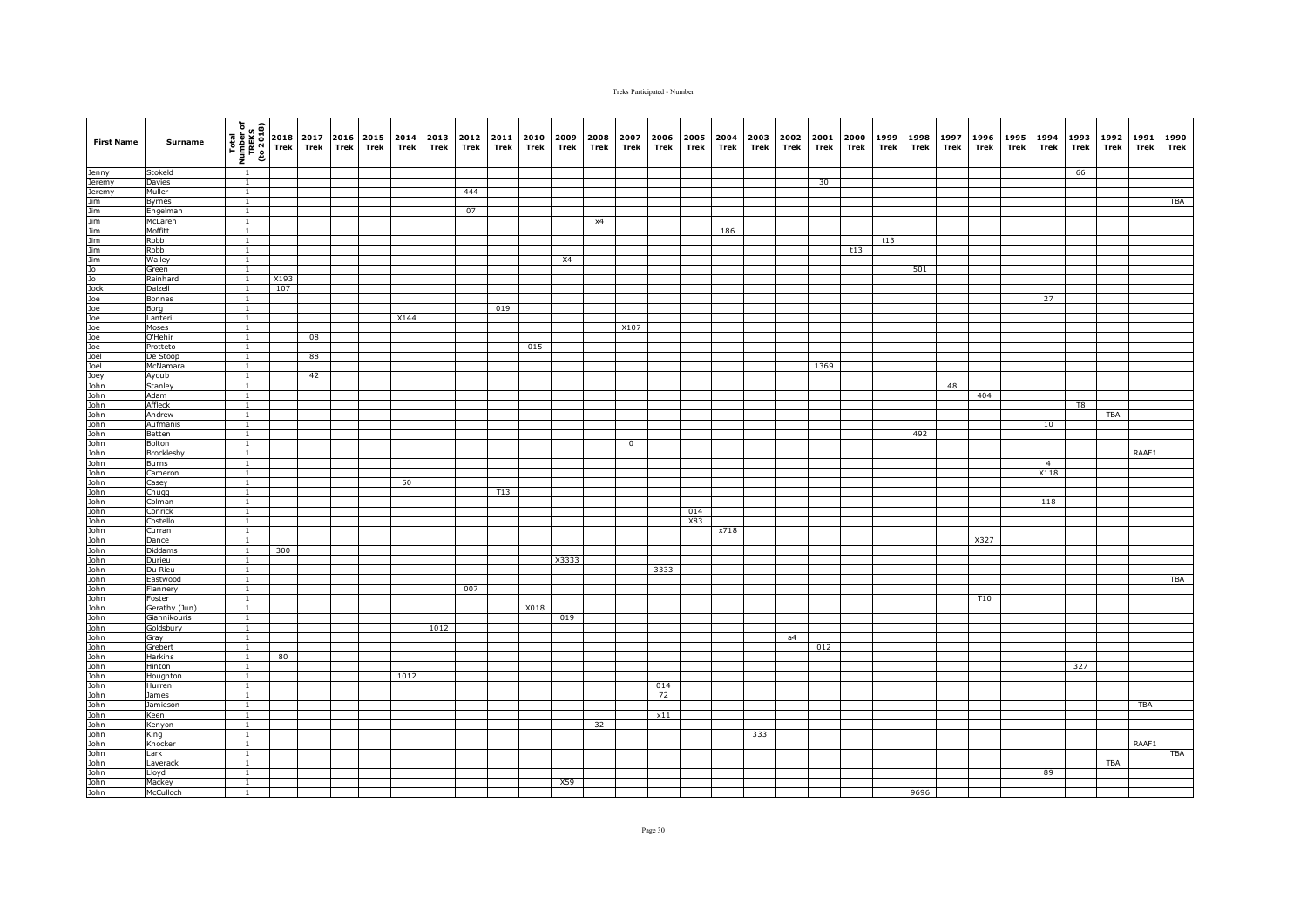| <b>First Name</b> | Surname                       | (1802 or)<br>TREKS<br>TREKS<br>Thom I | 2018<br>Trek | 2017<br>Trek | 2016 2015<br><b>Trek</b> | Trek | 2014<br>Trek | 2013<br>Trek | 2012<br>Trek | 2011<br>Trek | 2010<br>Trek | 2009<br>Trek | 2008<br>Trek | 2007<br>Trek   | 2006<br>Trek | 2005<br>Trek | 2004<br>Trek | 2003<br>Trek | 2002<br>Trek | 2001<br>Trek | 2000<br>Trek | 1999<br>Trek | 1998<br>Trek | 1997<br>Trek | 1996<br>Trek | 1995<br>Trek | 1994<br>Trek   | 1993<br>Trek | 1992<br>Trek | 1991<br>Trek | 1990<br>Trek |
|-------------------|-------------------------------|---------------------------------------|--------------|--------------|--------------------------|------|--------------|--------------|--------------|--------------|--------------|--------------|--------------|----------------|--------------|--------------|--------------|--------------|--------------|--------------|--------------|--------------|--------------|--------------|--------------|--------------|----------------|--------------|--------------|--------------|--------------|
|                   |                               |                                       |              |              |                          |      |              |              |              |              |              |              |              |                |              |              |              |              |              |              |              |              |              |              |              |              |                |              |              |              |              |
| Jenny             | Stokeld                       | $\overline{1}$                        |              |              |                          |      |              |              |              |              |              |              |              |                |              |              |              |              |              |              |              |              |              |              |              |              |                | 66           |              |              |              |
| Jeremy            | Davies                        | $\overline{1}$                        |              |              |                          |      |              |              |              |              |              |              |              |                |              |              |              |              |              | 30           |              |              |              |              |              |              |                |              |              |              |              |
|                   | Muller                        | $\overline{1}$                        |              |              |                          |      |              |              | 444          |              |              |              |              |                |              |              |              |              |              |              |              |              |              |              |              |              |                |              |              |              |              |
|                   | Byrnes<br>Engelmar            | $\mathbf{1}$<br>$\mathbf{1}$          |              |              |                          |      |              |              | 07           |              |              |              |              |                |              |              |              |              |              |              |              |              |              |              |              |              |                |              |              |              | <b>TBA</b>   |
|                   | McLaren                       | $\overline{1}$                        |              |              |                          |      |              |              |              |              |              |              | x4           |                |              |              |              |              |              |              |              |              |              |              |              |              |                |              |              |              |              |
|                   | Moffitt                       | $\overline{1}$                        |              |              |                          |      |              |              |              |              |              |              |              |                |              |              | 186          |              |              |              |              |              |              |              |              |              |                |              |              |              |              |
|                   | Robb                          | $\overline{1}$                        |              |              |                          |      |              |              |              |              |              |              |              |                |              |              |              |              |              |              |              | t13          |              |              |              |              |                |              |              |              |              |
|                   | Robb                          | $\overline{1}$                        |              |              |                          |      |              |              |              |              |              |              |              |                |              |              |              |              |              |              | t13          |              |              |              |              |              |                |              |              |              |              |
|                   | Walley                        | $\overline{1}$                        |              |              |                          |      |              |              |              |              |              | X4           |              |                |              |              |              |              |              |              |              |              |              |              |              |              |                |              |              |              |              |
|                   | Green                         | $\mathbf{1}$                          |              |              |                          |      |              |              |              |              |              |              |              |                |              |              |              |              |              |              |              |              | 501          |              |              |              |                |              |              |              |              |
|                   | Reinhard                      | $\mathbf{1}$                          | X193         |              |                          |      |              |              |              |              |              |              |              |                |              |              |              |              |              |              |              |              |              |              |              |              |                |              |              |              |              |
|                   | Dalzell                       | <sup>1</sup>                          | 107          |              |                          |      |              |              |              |              |              |              |              |                |              |              |              |              |              |              |              |              |              |              |              |              |                |              |              |              |              |
|                   | Bonnes                        | $\overline{1}$                        |              |              |                          |      |              |              |              |              |              |              |              |                |              |              |              |              |              |              |              |              |              |              |              |              | 27             |              |              |              |              |
|                   | Borg                          | $\overline{1}$<br>$\overline{1}$      |              |              |                          |      | X144         |              |              | 019          |              |              |              |                |              |              |              |              |              |              |              |              |              |              |              |              |                |              |              |              |              |
|                   | Lanteri<br>Moses              | $\overline{1}$                        |              |              |                          |      |              |              |              |              |              |              |              | X107           |              |              |              |              |              |              |              |              |              |              |              |              |                |              |              |              |              |
|                   | O'Hehir                       | $\overline{1}$                        |              | 08           |                          |      |              |              |              |              |              |              |              |                |              |              |              |              |              |              |              |              |              |              |              |              |                |              |              |              |              |
|                   | Protteto                      | $\mathbf{1}$                          |              |              |                          |      |              |              |              |              | 015          |              |              |                |              |              |              |              |              |              |              |              |              |              |              |              |                |              |              |              |              |
|                   | De Stoop                      | $\overline{1}$                        |              | 88           |                          |      |              |              |              |              |              |              |              |                |              |              |              |              |              |              |              |              |              |              |              |              |                |              |              |              |              |
|                   | McNamara                      | $\overline{1}$                        |              |              |                          |      |              |              |              |              |              |              |              |                |              |              |              |              |              | 1369         |              |              |              |              |              |              |                |              |              |              |              |
|                   | Ayoub                         | $\mathbf{1}$                          |              | 42           |                          |      |              |              |              |              |              |              |              |                |              |              |              |              |              |              |              |              |              |              |              |              |                |              |              |              |              |
|                   | Stanley                       | $\overline{1}$                        |              |              |                          |      |              |              |              |              |              |              |              |                |              |              |              |              |              |              |              |              |              | 48           |              |              |                |              |              |              |              |
|                   | Adam                          | $\overline{1}$                        |              |              |                          |      |              |              |              |              |              |              |              |                |              |              |              |              |              |              |              |              |              |              | 404          |              |                |              |              |              |              |
|                   | Affleck                       | $\overline{1}$                        |              |              |                          |      |              |              |              |              |              |              |              |                |              |              |              |              |              |              |              |              |              |              |              |              |                | T8           |              |              |              |
|                   | Andrew<br>Aufmanis            | $\mathbf{1}$<br>$\mathbf{1}$          |              |              |                          |      |              |              |              |              |              |              |              |                |              |              |              |              |              |              |              |              |              |              |              |              |                |              | TBA          |              |              |
|                   | Betten                        | $\mathbf{1}$                          |              |              |                          |      |              |              |              |              |              |              |              |                |              |              |              |              |              |              |              |              | 492          |              |              |              | 10             |              |              |              |              |
|                   | Bolton                        | $\overline{1}$                        |              |              |                          |      |              |              |              |              |              |              |              | $\overline{0}$ |              |              |              |              |              |              |              |              |              |              |              |              |                |              |              |              |              |
|                   | Brocklesby                    | $\mathbf{1}$                          |              |              |                          |      |              |              |              |              |              |              |              |                |              |              |              |              |              |              |              |              |              |              |              |              |                |              |              | RAAF1        |              |
|                   | Burns                         | $\mathbf{1}$                          |              |              |                          |      |              |              |              |              |              |              |              |                |              |              |              |              |              |              |              |              |              |              |              |              | $\overline{4}$ |              |              |              |              |
|                   | Cameron                       | $\overline{1}$                        |              |              |                          |      |              |              |              |              |              |              |              |                |              |              |              |              |              |              |              |              |              |              |              |              | X118           |              |              |              |              |
|                   | Casey                         | $\overline{1}$                        |              |              |                          |      | 50           |              |              |              |              |              |              |                |              |              |              |              |              |              |              |              |              |              |              |              |                |              |              |              |              |
|                   | Chugg                         | $\mathbf{1}$                          |              |              |                          |      |              |              |              | T13          |              |              |              |                |              |              |              |              |              |              |              |              |              |              |              |              |                |              |              |              |              |
|                   | Colman                        | $\mathbf{1}$                          |              |              |                          |      |              |              |              |              |              |              |              |                |              |              |              |              |              |              |              |              |              |              |              |              | 118            |              |              |              |              |
|                   | Conrick<br>Costello           | $\mathbf{1}$<br>$\mathbf{1}$          |              |              |                          |      |              |              |              |              |              |              |              |                |              | 014<br>X83   |              |              |              |              |              |              |              |              |              |              |                |              |              |              |              |
|                   | Curran                        | $\overline{1}$                        |              |              |                          |      |              |              |              |              |              |              |              |                |              |              | x718         |              |              |              |              |              |              |              |              |              |                |              |              |              |              |
|                   | Dance                         | <sup>1</sup>                          |              |              |                          |      |              |              |              |              |              |              |              |                |              |              |              |              |              |              |              |              |              |              | X327         |              |                |              |              |              |              |
|                   | Diddams                       | $\overline{1}$                        | 300          |              |                          |      |              |              |              |              |              |              |              |                |              |              |              |              |              |              |              |              |              |              |              |              |                |              |              |              |              |
|                   | Durieu                        | $\overline{1}$                        |              |              |                          |      |              |              |              |              |              | X3333        |              |                |              |              |              |              |              |              |              |              |              |              |              |              |                |              |              |              |              |
|                   | Du Rieu                       | $\mathbf{1}$                          |              |              |                          |      |              |              |              |              |              |              |              |                | 3333         |              |              |              |              |              |              |              |              |              |              |              |                |              |              |              |              |
|                   | Eastwood                      | <sup>1</sup>                          |              |              |                          |      |              |              |              |              |              |              |              |                |              |              |              |              |              |              |              |              |              |              |              |              |                |              |              |              | TBA          |
|                   | Flannery                      | $\overline{1}$                        |              |              |                          |      |              |              | 007          |              |              |              |              |                |              |              |              |              |              |              |              |              |              |              |              |              |                |              |              |              |              |
|                   | Foster                        | $\mathbf{1}$                          |              |              |                          |      |              |              |              |              |              |              |              |                |              |              |              |              |              |              |              |              |              |              | T10          |              |                |              |              |              |              |
|                   | Gerathy (Jun)<br>Giannikouris | $\overline{1}$<br>$\overline{1}$      |              |              |                          |      |              |              |              |              | X018         | 019          |              |                |              |              |              |              |              |              |              |              |              |              |              |              |                |              |              |              |              |
|                   | Goldsbury                     | $\overline{1}$                        |              |              |                          |      |              | 1012         |              |              |              |              |              |                |              |              |              |              |              |              |              |              |              |              |              |              |                |              |              |              |              |
|                   | Gray                          | $\overline{1}$                        |              |              |                          |      |              |              |              |              |              |              |              |                |              |              |              |              | a4           |              |              |              |              |              |              |              |                |              |              |              |              |
|                   | Grebert                       | $\mathbf{1}$                          |              |              |                          |      |              |              |              |              |              |              |              |                |              |              |              |              |              | 012          |              |              |              |              |              |              |                |              |              |              |              |
|                   | Harkins                       | $\mathbf{1}$                          | 80           |              |                          |      |              |              |              |              |              |              |              |                |              |              |              |              |              |              |              |              |              |              |              |              |                |              |              |              |              |
|                   | Hinton                        | $\overline{1}$                        |              |              |                          |      |              |              |              |              |              |              |              |                |              |              |              |              |              |              |              |              |              |              |              |              |                | 327          |              |              |              |
|                   | Houghton                      | $\mathbf{1}$                          |              |              |                          |      | 1012         |              |              |              |              |              |              |                |              |              |              |              |              |              |              |              |              |              |              |              |                |              |              |              |              |
|                   | Hurren                        | $\overline{1}$                        |              |              |                          |      |              |              |              |              |              |              |              |                | 014          |              |              |              |              |              |              |              |              |              |              |              |                |              |              |              |              |
|                   | James                         | $\overline{1}$                        |              |              |                          |      |              |              |              |              |              |              |              |                | 72           |              |              |              |              |              |              |              |              |              |              |              |                |              |              |              |              |
|                   | Jamieson                      | $\mathbf{1}$<br>$\mathbf{1}$          |              |              |                          |      |              |              |              |              |              |              |              |                | x11          |              |              |              |              |              |              |              |              |              |              |              |                |              |              | TBA          |              |
|                   | Keen<br>Kenyon                | $\overline{1}$                        |              |              |                          |      |              |              |              |              |              |              | 32           |                |              |              |              |              |              |              |              |              |              |              |              |              |                |              |              |              |              |
|                   | King                          | $\overline{1}$                        |              |              |                          |      |              |              |              |              |              |              |              |                |              |              |              | 333          |              |              |              |              |              |              |              |              |                |              |              |              |              |
|                   | Knocker                       | $\overline{1}$                        |              |              |                          |      |              |              |              |              |              |              |              |                |              |              |              |              |              |              |              |              |              |              |              |              |                |              |              | RAAF1        |              |
|                   | Lark                          | $\overline{1}$                        |              |              |                          |      |              |              |              |              |              |              |              |                |              |              |              |              |              |              |              |              |              |              |              |              |                |              |              |              | <b>TBA</b>   |
|                   | Laverack                      | $\overline{1}$                        |              |              |                          |      |              |              |              |              |              |              |              |                |              |              |              |              |              |              |              |              |              |              |              |              |                |              | <b>TBA</b>   |              |              |
|                   | Lloyd                         | $\mathbf{1}$                          |              |              |                          |      |              |              |              |              |              |              |              |                |              |              |              |              |              |              |              |              |              |              |              |              | 89             |              |              |              |              |
|                   | Mackey                        | $\mathbf{1}$                          |              |              |                          |      |              |              |              |              |              | X59          |              |                |              |              |              |              |              |              |              |              |              |              |              |              |                |              |              |              |              |
|                   | McCulloch                     | $\mathbf{1}$                          |              |              |                          |      |              |              |              |              |              |              |              |                |              |              |              |              |              |              |              |              | 9696         |              |              |              |                |              |              |              |              |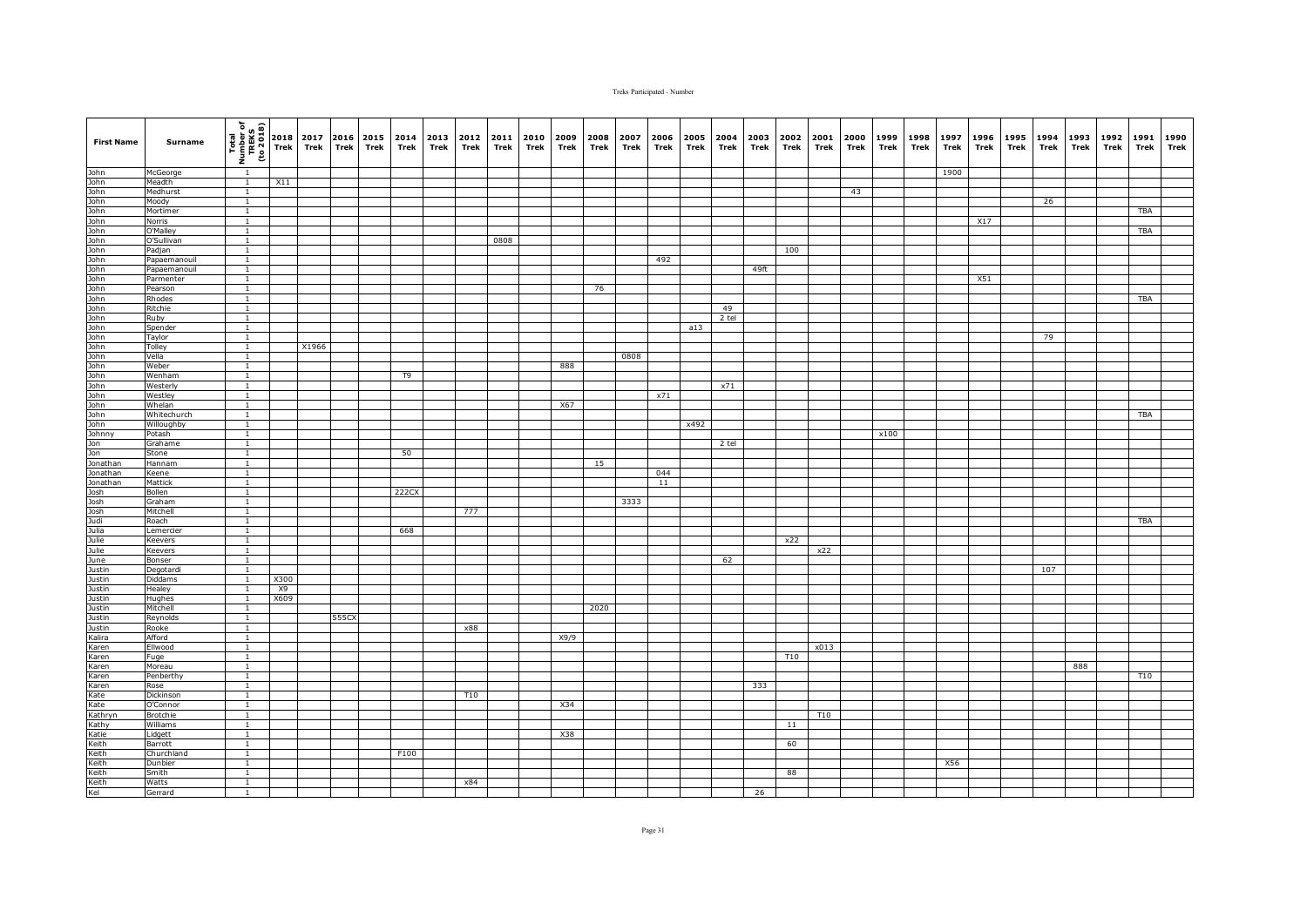| <b>First Name</b>                                                                                                                                                                               | Surname               | $\begin{bmatrix}\n\text{Total} \\ \text{Total} \\ \text{Number} \\ \text{total} \\ \text{total}\n\end{bmatrix}\n\begin{bmatrix}\n\text{Total} \\ \text{Total} \\ \text{Total} \\ \text{The} \\ \text{The} \\ \text{The} \\ \text{The} \\ \text{The} \\ \text{The} \\ \text{The} \\ \text{The} \\ \text{The} \\ \text{The} \\ \text{The} \\ \text{The} \\ \text{The} \\ \text{The} \\ \text{The} \\ \text{The} \\ \text{The} \\ \text{The} \\ \text{The} \\ \text{The} \\ \text{The} \\ \text{The} \\ \text{The} \\ \text{The} \\ \text{The} \\ \$ |           | 2017<br>Trek | 2016<br>Trek | 2015<br>Trek | 2014<br>Trek | 2013<br>Trek | 2012<br>Trek | 2011<br>Trek | 2010<br>Trek | 2009<br>Trek | 2008<br>Trek | 2007<br>Trek | 2006<br>Trek | 2005<br>Trek | 2004<br>Trek | 2003<br>Trek | 2002<br><b>Trek</b> | 2001<br>Trek | 2000<br>Trek | 1999<br>Trek | 1998<br>Trek | 1997<br>Trek | 1996<br>Trek | 1995<br>Trek | 1994<br>Trek | 1993<br>Trek | 1992<br>Trek | 1991<br>Trek | 1990<br>Trek |
|-------------------------------------------------------------------------------------------------------------------------------------------------------------------------------------------------|-----------------------|---------------------------------------------------------------------------------------------------------------------------------------------------------------------------------------------------------------------------------------------------------------------------------------------------------------------------------------------------------------------------------------------------------------------------------------------------------------------------------------------------------------------------------------------------|-----------|--------------|--------------|--------------|--------------|--------------|--------------|--------------|--------------|--------------|--------------|--------------|--------------|--------------|--------------|--------------|---------------------|--------------|--------------|--------------|--------------|--------------|--------------|--------------|--------------|--------------|--------------|--------------|--------------|
| John<br>John<br>John<br>John<br>John                                                                                                                                                            | McGeorge              | $\overline{1}$                                                                                                                                                                                                                                                                                                                                                                                                                                                                                                                                    |           |              |              |              |              |              |              |              |              |              |              |              |              |              |              |              |                     |              |              |              |              | 1900         |              |              |              |              |              |              |              |
|                                                                                                                                                                                                 | Meadth                | $\overline{1}$                                                                                                                                                                                                                                                                                                                                                                                                                                                                                                                                    | X11       |              |              |              |              |              |              |              |              |              |              |              |              |              |              |              |                     |              |              |              |              |              |              |              |              |              |              |              |              |
|                                                                                                                                                                                                 | Medhurst              | $\mathbf{1}$                                                                                                                                                                                                                                                                                                                                                                                                                                                                                                                                      |           |              |              |              |              |              |              |              |              |              |              |              |              |              |              |              |                     |              | 43           |              |              |              |              |              |              |              |              |              |              |
|                                                                                                                                                                                                 | Moody                 | $\overline{1}$                                                                                                                                                                                                                                                                                                                                                                                                                                                                                                                                    |           |              |              |              |              |              |              |              |              |              |              |              |              |              |              |              |                     |              |              |              |              |              |              |              | 26           |              |              |              |              |
|                                                                                                                                                                                                 | Mortimer<br>Norris    | $\mathbf{1}$<br>$\overline{1}$                                                                                                                                                                                                                                                                                                                                                                                                                                                                                                                    |           |              |              |              |              |              |              |              |              |              |              |              |              |              |              |              |                     |              |              |              |              |              | X17          |              |              |              |              | TBA          |              |
|                                                                                                                                                                                                 | O'Mallev              | $\overline{1}$                                                                                                                                                                                                                                                                                                                                                                                                                                                                                                                                    |           |              |              |              |              |              |              |              |              |              |              |              |              |              |              |              |                     |              |              |              |              |              |              |              |              |              |              | <b>TBA</b>   |              |
|                                                                                                                                                                                                 | O'Sullivan            | $\overline{1}$                                                                                                                                                                                                                                                                                                                                                                                                                                                                                                                                    |           |              |              |              |              |              |              | 0808         |              |              |              |              |              |              |              |              |                     |              |              |              |              |              |              |              |              |              |              |              |              |
|                                                                                                                                                                                                 | Padjan                | $\overline{1}$                                                                                                                                                                                                                                                                                                                                                                                                                                                                                                                                    |           |              |              |              |              |              |              |              |              |              |              |              |              |              |              |              | 100                 |              |              |              |              |              |              |              |              |              |              |              |              |
|                                                                                                                                                                                                 | Papaemanouil          | $\overline{1}$                                                                                                                                                                                                                                                                                                                                                                                                                                                                                                                                    |           |              |              |              |              |              |              |              |              |              |              |              | 492          |              |              |              |                     |              |              |              |              |              |              |              |              |              |              |              |              |
|                                                                                                                                                                                                 | Papaemanouil          | $\mathbf{1}$                                                                                                                                                                                                                                                                                                                                                                                                                                                                                                                                      |           |              |              |              |              |              |              |              |              |              |              |              |              |              |              | 49ft         |                     |              |              |              |              |              |              |              |              |              |              |              |              |
|                                                                                                                                                                                                 | Parmenter             | $\mathbf{1}$                                                                                                                                                                                                                                                                                                                                                                                                                                                                                                                                      |           |              |              |              |              |              |              |              |              |              |              |              |              |              |              |              |                     |              |              |              |              |              | X51          |              |              |              |              |              |              |
|                                                                                                                                                                                                 | Pearson               | $\mathbf{1}$                                                                                                                                                                                                                                                                                                                                                                                                                                                                                                                                      |           |              |              |              |              |              |              |              |              |              | 76           |              |              |              |              |              |                     |              |              |              |              |              |              |              |              |              |              |              |              |
|                                                                                                                                                                                                 | Rhodes                | $\overline{1}$                                                                                                                                                                                                                                                                                                                                                                                                                                                                                                                                    |           |              |              |              |              |              |              |              |              |              |              |              |              |              |              |              |                     |              |              |              |              |              |              |              |              |              |              | TBA          |              |
|                                                                                                                                                                                                 | Ritchie               | $\mathbf{1}$                                                                                                                                                                                                                                                                                                                                                                                                                                                                                                                                      |           |              |              |              |              |              |              |              |              |              |              |              |              |              | 49           |              |                     |              |              |              |              |              |              |              |              |              |              |              |              |
|                                                                                                                                                                                                 | Ruby<br>Spender       | $\mathbf{1}$<br>$\mathbf{1}$                                                                                                                                                                                                                                                                                                                                                                                                                                                                                                                      |           |              |              |              |              |              |              |              |              |              |              |              |              | a13          | 2 tel        |              |                     |              |              |              |              |              |              |              |              |              |              |              |              |
|                                                                                                                                                                                                 | Taylor                | $\mathbf{1}$                                                                                                                                                                                                                                                                                                                                                                                                                                                                                                                                      |           |              |              |              |              |              |              |              |              |              |              |              |              |              |              |              |                     |              |              |              |              |              |              |              | 79           |              |              |              |              |
|                                                                                                                                                                                                 | Tolley                | $\mathbf{1}$                                                                                                                                                                                                                                                                                                                                                                                                                                                                                                                                      |           | X1966        |              |              |              |              |              |              |              |              |              |              |              |              |              |              |                     |              |              |              |              |              |              |              |              |              |              |              |              |
|                                                                                                                                                                                                 | Vella                 | $\mathbf{1}$                                                                                                                                                                                                                                                                                                                                                                                                                                                                                                                                      |           |              |              |              |              |              |              |              |              |              |              | 0808         |              |              |              |              |                     |              |              |              |              |              |              |              |              |              |              |              |              |
|                                                                                                                                                                                                 | Weber                 | $\overline{1}$                                                                                                                                                                                                                                                                                                                                                                                                                                                                                                                                    |           |              |              |              |              |              |              |              |              | 888          |              |              |              |              |              |              |                     |              |              |              |              |              |              |              |              |              |              |              |              |
|                                                                                                                                                                                                 | Wenham                | $\mathbf{1}$                                                                                                                                                                                                                                                                                                                                                                                                                                                                                                                                      |           |              |              |              | T9           |              |              |              |              |              |              |              |              |              |              |              |                     |              |              |              |              |              |              |              |              |              |              |              |              |
|                                                                                                                                                                                                 | Westerly              | $\overline{1}$                                                                                                                                                                                                                                                                                                                                                                                                                                                                                                                                    |           |              |              |              |              |              |              |              |              |              |              |              |              |              | x71          |              |                     |              |              |              |              |              |              |              |              |              |              |              |              |
|                                                                                                                                                                                                 | Westley               | $\overline{1}$                                                                                                                                                                                                                                                                                                                                                                                                                                                                                                                                    |           |              |              |              |              |              |              |              |              |              |              |              | x71          |              |              |              |                     |              |              |              |              |              |              |              |              |              |              |              |              |
|                                                                                                                                                                                                 | Whelan                | $\overline{1}$                                                                                                                                                                                                                                                                                                                                                                                                                                                                                                                                    |           |              |              |              |              |              |              |              |              | X67          |              |              |              |              |              |              |                     |              |              |              |              |              |              |              |              |              |              |              |              |
|                                                                                                                                                                                                 | Whitechurch           | $\mathbf{1}$                                                                                                                                                                                                                                                                                                                                                                                                                                                                                                                                      |           |              |              |              |              |              |              |              |              |              |              |              |              |              |              |              |                     |              |              |              |              |              |              |              |              |              |              | TBA          |              |
|                                                                                                                                                                                                 | Willoughby<br>Potash  | $\overline{1}$<br>$\overline{1}$                                                                                                                                                                                                                                                                                                                                                                                                                                                                                                                  |           |              |              |              |              |              |              |              |              |              |              |              |              | x492         |              |              |                     |              |              | x100         |              |              |              |              |              |              |              |              |              |
|                                                                                                                                                                                                 | Grahame               | $\mathbf{1}$                                                                                                                                                                                                                                                                                                                                                                                                                                                                                                                                      |           |              |              |              |              |              |              |              |              |              |              |              |              |              | 2 tel        |              |                     |              |              |              |              |              |              |              |              |              |              |              |              |
|                                                                                                                                                                                                 | Stone                 | $\mathbf{1}$                                                                                                                                                                                                                                                                                                                                                                                                                                                                                                                                      |           |              |              |              | 50           |              |              |              |              |              |              |              |              |              |              |              |                     |              |              |              |              |              |              |              |              |              |              |              |              |
| John<br>John John John<br>John John John<br>John John<br>John John John<br>John John John<br>John John<br>John John<br>John John<br>John<br>John<br>John John<br>John<br>John John<br>John John | Hannam                | $\mathbf{1}$                                                                                                                                                                                                                                                                                                                                                                                                                                                                                                                                      |           |              |              |              |              |              |              |              |              |              | 15           |              |              |              |              |              |                     |              |              |              |              |              |              |              |              |              |              |              |              |
|                                                                                                                                                                                                 | Keene                 | $\overline{1}$                                                                                                                                                                                                                                                                                                                                                                                                                                                                                                                                    |           |              |              |              |              |              |              |              |              |              |              |              | 044          |              |              |              |                     |              |              |              |              |              |              |              |              |              |              |              |              |
|                                                                                                                                                                                                 | Mattick               | $\mathbf{1}$                                                                                                                                                                                                                                                                                                                                                                                                                                                                                                                                      |           |              |              |              |              |              |              |              |              |              |              |              | 11           |              |              |              |                     |              |              |              |              |              |              |              |              |              |              |              |              |
| Josh<br>Josh<br>Josh<br>Julia<br>Julie<br>Julie<br>Justin<br>Justin<br>Justin                                                                                                                   | Bollen                | $\mathbf{1}$                                                                                                                                                                                                                                                                                                                                                                                                                                                                                                                                      |           |              |              |              | 222CX        |              |              |              |              |              |              |              |              |              |              |              |                     |              |              |              |              |              |              |              |              |              |              |              |              |
|                                                                                                                                                                                                 | Graham                | $\overline{1}$                                                                                                                                                                                                                                                                                                                                                                                                                                                                                                                                    |           |              |              |              |              |              |              |              |              |              |              | 3333         |              |              |              |              |                     |              |              |              |              |              |              |              |              |              |              |              |              |
|                                                                                                                                                                                                 | Mitchell              | $\mathbf{1}$                                                                                                                                                                                                                                                                                                                                                                                                                                                                                                                                      |           |              |              |              |              |              | 777          |              |              |              |              |              |              |              |              |              |                     |              |              |              |              |              |              |              |              |              |              |              |              |
|                                                                                                                                                                                                 | Roach                 | $\mathbf{1}$<br>$\overline{1}$                                                                                                                                                                                                                                                                                                                                                                                                                                                                                                                    |           |              |              |              | 668          |              |              |              |              |              |              |              |              |              |              |              |                     |              |              |              |              |              |              |              |              |              |              | TBA          |              |
|                                                                                                                                                                                                 | Lemercier<br>Keevers  | $\mathbf{1}$                                                                                                                                                                                                                                                                                                                                                                                                                                                                                                                                      |           |              |              |              |              |              |              |              |              |              |              |              |              |              |              |              | x22                 |              |              |              |              |              |              |              |              |              |              |              |              |
|                                                                                                                                                                                                 | Keevers               | $\overline{1}$                                                                                                                                                                                                                                                                                                                                                                                                                                                                                                                                    |           |              |              |              |              |              |              |              |              |              |              |              |              |              |              |              |                     | x22          |              |              |              |              |              |              |              |              |              |              |              |
|                                                                                                                                                                                                 | Bonser                | $\overline{1}$                                                                                                                                                                                                                                                                                                                                                                                                                                                                                                                                    |           |              |              |              |              |              |              |              |              |              |              |              |              |              | 62           |              |                     |              |              |              |              |              |              |              |              |              |              |              |              |
|                                                                                                                                                                                                 | Degotardi             | $\mathbf{1}$                                                                                                                                                                                                                                                                                                                                                                                                                                                                                                                                      |           |              |              |              |              |              |              |              |              |              |              |              |              |              |              |              |                     |              |              |              |              |              |              |              | 107          |              |              |              |              |
|                                                                                                                                                                                                 | Diddams               | $\overline{1}$                                                                                                                                                                                                                                                                                                                                                                                                                                                                                                                                    | X300      |              |              |              |              |              |              |              |              |              |              |              |              |              |              |              |                     |              |              |              |              |              |              |              |              |              |              |              |              |
|                                                                                                                                                                                                 | Healey                |                                                                                                                                                                                                                                                                                                                                                                                                                                                                                                                                                   | <b>X9</b> |              |              |              |              |              |              |              |              |              |              |              |              |              |              |              |                     |              |              |              |              |              |              |              |              |              |              |              |              |
| Justin<br>Justin                                                                                                                                                                                | Hughes                | $\overline{1}$                                                                                                                                                                                                                                                                                                                                                                                                                                                                                                                                    | X609      |              |              |              |              |              |              |              |              |              |              |              |              |              |              |              |                     |              |              |              |              |              |              |              |              |              |              |              |              |
|                                                                                                                                                                                                 | Mitchell              | $\overline{1}$                                                                                                                                                                                                                                                                                                                                                                                                                                                                                                                                    |           |              |              |              |              |              |              |              |              |              | 2020         |              |              |              |              |              |                     |              |              |              |              |              |              |              |              |              |              |              |              |
| Justin<br>Justin<br>Kalira                                                                                                                                                                      | Reynolds              | $\overline{1}$                                                                                                                                                                                                                                                                                                                                                                                                                                                                                                                                    |           |              | 555CX        |              |              |              |              |              |              |              |              |              |              |              |              |              |                     |              |              |              |              |              |              |              |              |              |              |              |              |
|                                                                                                                                                                                                 | Rooke                 | $\overline{1}$                                                                                                                                                                                                                                                                                                                                                                                                                                                                                                                                    |           |              |              |              |              |              | x88          |              |              |              |              |              |              |              |              |              |                     |              |              |              |              |              |              |              |              |              |              |              |              |
| Karen                                                                                                                                                                                           | Afford<br>Ellwood     | $\mathbf{1}$<br>$\mathbf{1}$                                                                                                                                                                                                                                                                                                                                                                                                                                                                                                                      |           |              |              |              |              |              |              |              |              | X9/9         |              |              |              |              |              |              |                     | x013         |              |              |              |              |              |              |              |              |              |              |              |
| Karen                                                                                                                                                                                           | Fuge                  | $\mathbf{1}$                                                                                                                                                                                                                                                                                                                                                                                                                                                                                                                                      |           |              |              |              |              |              |              |              |              |              |              |              |              |              |              |              | <b>T10</b>          |              |              |              |              |              |              |              |              |              |              |              |              |
| Karen                                                                                                                                                                                           | Moreau                | $\overline{1}$                                                                                                                                                                                                                                                                                                                                                                                                                                                                                                                                    |           |              |              |              |              |              |              |              |              |              |              |              |              |              |              |              |                     |              |              |              |              |              |              |              |              | 888          |              |              |              |
| Karen                                                                                                                                                                                           | Penberthy             | $\mathbf{1}$                                                                                                                                                                                                                                                                                                                                                                                                                                                                                                                                      |           |              |              |              |              |              |              |              |              |              |              |              |              |              |              |              |                     |              |              |              |              |              |              |              |              |              |              | <b>T10</b>   |              |
| Karen                                                                                                                                                                                           | Rose                  | $\overline{1}$                                                                                                                                                                                                                                                                                                                                                                                                                                                                                                                                    |           |              |              |              |              |              |              |              |              |              |              |              |              |              |              | 333          |                     |              |              |              |              |              |              |              |              |              |              |              |              |
| Kate<br>Kate<br>Kathryn<br>Kathy                                                                                                                                                                | Dickinson             | $\mathbf{1}$                                                                                                                                                                                                                                                                                                                                                                                                                                                                                                                                      |           |              |              |              |              |              | T10          |              |              |              |              |              |              |              |              |              |                     |              |              |              |              |              |              |              |              |              |              |              |              |
|                                                                                                                                                                                                 | O'Connor              | $\mathbf{1}$                                                                                                                                                                                                                                                                                                                                                                                                                                                                                                                                      |           |              |              |              |              |              |              |              |              | X34          |              |              |              |              |              |              |                     |              |              |              |              |              |              |              |              |              |              |              |              |
|                                                                                                                                                                                                 | Brotchie              | $\mathbf{1}$                                                                                                                                                                                                                                                                                                                                                                                                                                                                                                                                      |           |              |              |              |              |              |              |              |              |              |              |              |              |              |              |              |                     | T10          |              |              |              |              |              |              |              |              |              |              |              |
|                                                                                                                                                                                                 | Williams              | $\overline{1}$                                                                                                                                                                                                                                                                                                                                                                                                                                                                                                                                    |           |              |              |              |              |              |              |              |              |              |              |              |              |              |              |              | 11                  |              |              |              |              |              |              |              |              |              |              |              |              |
| Katie                                                                                                                                                                                           | Lidgett               | $\overline{1}$<br>$\overline{1}$                                                                                                                                                                                                                                                                                                                                                                                                                                                                                                                  |           |              |              |              |              |              |              |              |              | X38          |              |              |              |              |              |              |                     |              |              |              |              |              |              |              |              |              |              |              |              |
| Keith<br>Keith                                                                                                                                                                                  | Barrott<br>Churchland | $\overline{1}$                                                                                                                                                                                                                                                                                                                                                                                                                                                                                                                                    |           |              |              |              | F100         |              |              |              |              |              |              |              |              |              |              |              | 60                  |              |              |              |              |              |              |              |              |              |              |              |              |
| Keith                                                                                                                                                                                           | Dunbier               | $\mathbf{1}$                                                                                                                                                                                                                                                                                                                                                                                                                                                                                                                                      |           |              |              |              |              |              |              |              |              |              |              |              |              |              |              |              |                     |              |              |              |              | X56          |              |              |              |              |              |              |              |
|                                                                                                                                                                                                 | Smith                 |                                                                                                                                                                                                                                                                                                                                                                                                                                                                                                                                                   |           |              |              |              |              |              |              |              |              |              |              |              |              |              |              |              | 88                  |              |              |              |              |              |              |              |              |              |              |              |              |
| Keith<br>Keith<br>Kel                                                                                                                                                                           | Watts                 | $\mathbf{1}$                                                                                                                                                                                                                                                                                                                                                                                                                                                                                                                                      |           |              |              |              |              |              | x84          |              |              |              |              |              |              |              |              |              |                     |              |              |              |              |              |              |              |              |              |              |              |              |
|                                                                                                                                                                                                 | Gerrard               | $\mathbf{1}$                                                                                                                                                                                                                                                                                                                                                                                                                                                                                                                                      |           |              |              |              |              |              |              |              |              |              |              |              |              |              |              | 26           |                     |              |              |              |              |              |              |              |              |              |              |              |              |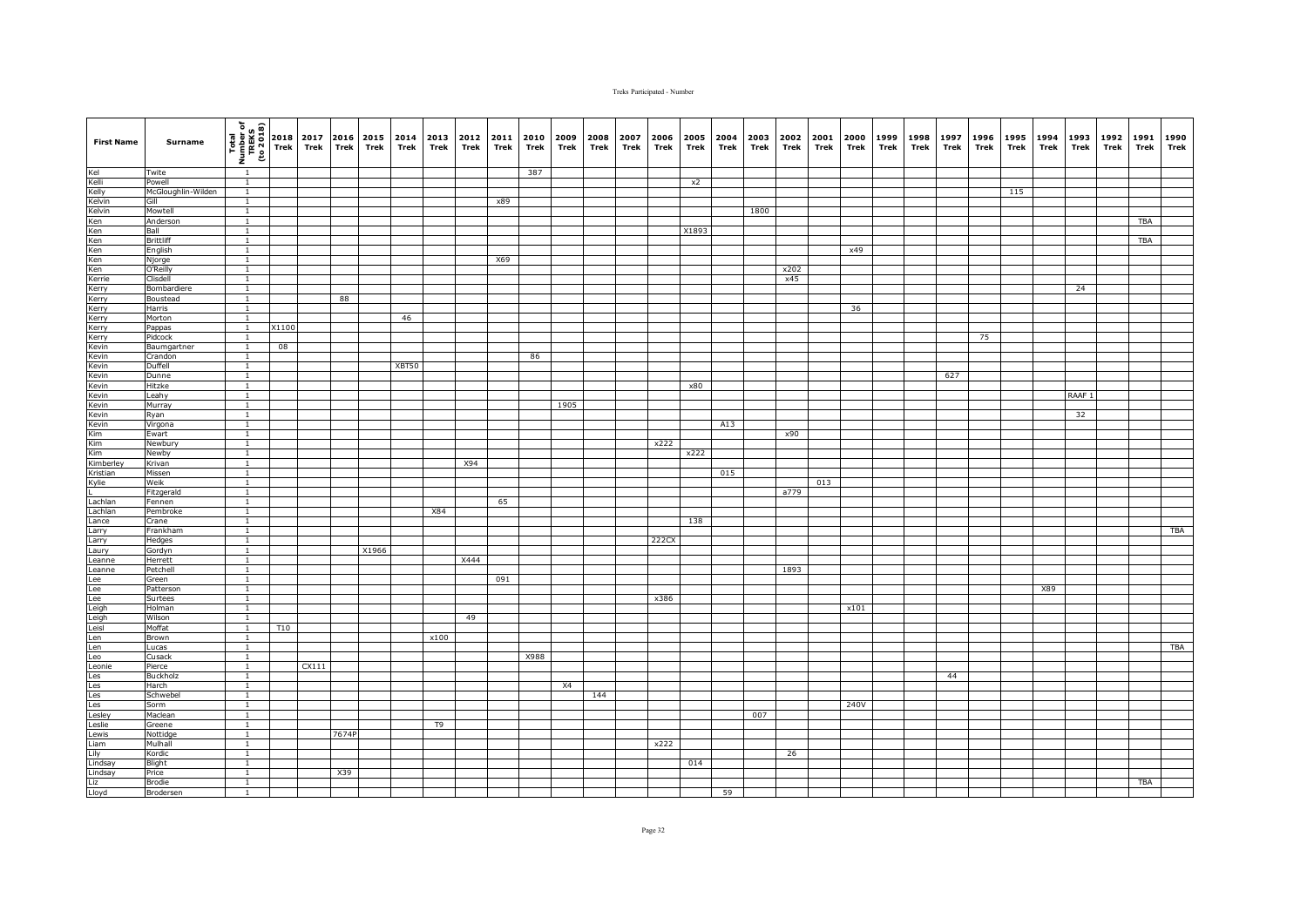| <b>First Name</b>                                                                            | Surname                   | (1802 or)<br>TREKS<br>TREKS<br>Thom I | 2018<br>Trek    | 2017<br>Trek | 2016<br><b>Trek</b> | 2015<br>Trek | 2014<br>Trek | 2013<br>Trek | 2012<br>Trek | 2011<br>Trek | 2010<br>Trek | 2009<br>Trek | 2008<br>Trek | 2007<br>Trek | 2006<br>Trek | 2005<br>Trek | 2004<br>Trek | 2003<br>Trek | 2002<br>Trek | 2001<br>Trek | 2000<br>Trek | 1999<br>Trek | 1998<br>Trek | 1997<br>Trek | 1996<br>Trek | 1995<br>Trek | 1994<br>Trek | 1993<br>Trek      | 1992<br>Trek | 1991<br>Trek | 1990<br>Trek |
|----------------------------------------------------------------------------------------------|---------------------------|---------------------------------------|-----------------|--------------|---------------------|--------------|--------------|--------------|--------------|--------------|--------------|--------------|--------------|--------------|--------------|--------------|--------------|--------------|--------------|--------------|--------------|--------------|--------------|--------------|--------------|--------------|--------------|-------------------|--------------|--------------|--------------|
|                                                                                              | Twite                     | $\overline{1}$                        |                 |              |                     |              |              |              |              |              | 387          |              |              |              |              |              |              |              |              |              |              |              |              |              |              |              |              |                   |              |              |              |
| Kel<br>Kelli Kelli<br>Kelvin Kelvin<br>Kelvin<br>Ken<br>Ken<br>Ken<br>Ken<br>Kerrie<br>Kerry | Powell                    | $\overline{1}$                        |                 |              |                     |              |              |              |              |              |              |              |              |              |              | x2           |              |              |              |              |              |              |              |              |              |              |              |                   |              |              |              |
|                                                                                              | McGloughlin-Wilden        | $\mathbf{1}$                          |                 |              |                     |              |              |              |              |              |              |              |              |              |              |              |              |              |              |              |              |              |              |              |              | 115          |              |                   |              |              |              |
|                                                                                              | Gill                      | $\overline{1}$                        |                 |              |                     |              |              |              |              | x89          |              |              |              |              |              |              |              |              |              |              |              |              |              |              |              |              |              |                   |              |              |              |
|                                                                                              | Mowtell                   | $\mathbf{1}$                          |                 |              |                     |              |              |              |              |              |              |              |              |              |              |              |              | 1800         |              |              |              |              |              |              |              |              |              |                   |              |              |              |
|                                                                                              | Anderson                  | $\overline{1}$                        |                 |              |                     |              |              |              |              |              |              |              |              |              |              |              |              |              |              |              |              |              |              |              |              |              |              |                   |              | TBA          |              |
|                                                                                              | Ball                      | $\overline{1}$                        |                 |              |                     |              |              |              |              |              |              |              |              |              |              | X1893        |              |              |              |              |              |              |              |              |              |              |              |                   |              |              |              |
|                                                                                              | <b>Brittliff</b>          | $\mathbf{1}$                          |                 |              |                     |              |              |              |              |              |              |              |              |              |              |              |              |              |              |              |              |              |              |              |              |              |              |                   |              | <b>TBA</b>   |              |
|                                                                                              | English                   | $\overline{1}$                        |                 |              |                     |              |              |              |              |              |              |              |              |              |              |              |              |              |              |              | x49          |              |              |              |              |              |              |                   |              |              |              |
|                                                                                              | Njorge<br>O'Reilly        | $\mathbf{1}$                          |                 |              |                     |              |              |              |              | X69          |              |              |              |              |              |              |              |              | x202         |              |              |              |              |              |              |              |              |                   |              |              |              |
|                                                                                              | Clisdell                  | $\mathbf{1}$                          |                 |              |                     |              |              |              |              |              |              |              |              |              |              |              |              |              | x45          |              |              |              |              |              |              |              |              |                   |              |              |              |
|                                                                                              | Bombardiere               | $\mathbf{1}$                          |                 |              |                     |              |              |              |              |              |              |              |              |              |              |              |              |              |              |              |              |              |              |              |              |              |              | 24                |              |              |              |
|                                                                                              | Boustead                  | $\overline{1}$                        |                 |              | 88                  |              |              |              |              |              |              |              |              |              |              |              |              |              |              |              |              |              |              |              |              |              |              |                   |              |              |              |
| Kerry<br>Kerry<br>Kerry<br>Kerry<br>Kevin<br>Kevin                                           | Harris                    | $\overline{1}$                        |                 |              |                     |              |              |              |              |              |              |              |              |              |              |              |              |              |              |              | 36           |              |              |              |              |              |              |                   |              |              |              |
|                                                                                              | Morton                    | $\mathbf{1}$                          |                 |              |                     |              | 46           |              |              |              |              |              |              |              |              |              |              |              |              |              |              |              |              |              |              |              |              |                   |              |              |              |
|                                                                                              | Pappas                    | $\mathbf{1}$                          | X1100           |              |                     |              |              |              |              |              |              |              |              |              |              |              |              |              |              |              |              |              |              |              |              |              |              |                   |              |              |              |
|                                                                                              | Pidcock                   | $\overline{1}$                        |                 |              |                     |              |              |              |              |              |              |              |              |              |              |              |              |              |              |              |              |              |              |              | 75           |              |              |                   |              |              |              |
|                                                                                              | Baumgartner               | $\mathbf{1}$                          | 08              |              |                     |              |              |              |              |              |              |              |              |              |              |              |              |              |              |              |              |              |              |              |              |              |              |                   |              |              |              |
|                                                                                              | Crandon                   | $\mathbf{1}$                          |                 |              |                     |              |              |              |              |              | 86           |              |              |              |              |              |              |              |              |              |              |              |              |              |              |              |              |                   |              |              |              |
| Kevin                                                                                        | Duffell                   | $\overline{1}$                        |                 |              |                     |              | XBT50        |              |              |              |              |              |              |              |              |              |              |              |              |              |              |              |              |              |              |              |              |                   |              |              |              |
| Kevin                                                                                        | Dunne                     | $\mathbf{1}$                          |                 |              |                     |              |              |              |              |              |              |              |              |              |              |              |              |              |              |              |              |              |              | 627          |              |              |              |                   |              |              |              |
| Kevin<br>Kevin<br>Kevin                                                                      | Hitzke                    | $\overline{1}$                        |                 |              |                     |              |              |              |              |              |              |              |              |              |              | x80          |              |              |              |              |              |              |              |              |              |              |              |                   |              |              |              |
|                                                                                              | Leahy                     | $\overline{1}$                        |                 |              |                     |              |              |              |              |              |              |              |              |              |              |              |              |              |              |              |              |              |              |              |              |              |              | RAAF <sub>1</sub> |              |              |              |
|                                                                                              | Murray                    | $\overline{1}$                        |                 |              |                     |              |              |              |              |              |              | 1905         |              |              |              |              |              |              |              |              |              |              |              |              |              |              |              |                   |              |              |              |
|                                                                                              | Ryan                      | $\mathbf{1}$                          |                 |              |                     |              |              |              |              |              |              |              |              |              |              |              |              |              |              |              |              |              |              |              |              |              |              | 32                |              |              |              |
|                                                                                              | Virgona                   | $\overline{1}$                        |                 |              |                     |              |              |              |              |              |              |              |              |              |              |              | A13          |              |              |              |              |              |              |              |              |              |              |                   |              |              |              |
|                                                                                              | Ewart                     | $\overline{1}$                        |                 |              |                     |              |              |              |              |              |              |              |              |              |              |              |              |              | x90          |              |              |              |              |              |              |              |              |                   |              |              |              |
|                                                                                              | Newbury                   |                                       |                 |              |                     |              |              |              |              |              |              |              |              |              | x222         |              |              |              |              |              |              |              |              |              |              |              |              |                   |              |              |              |
|                                                                                              | Newby                     | $\overline{1}$                        |                 |              |                     |              |              |              |              |              |              |              |              |              |              | x222         |              |              |              |              |              |              |              |              |              |              |              |                   |              |              |              |
| Kevin<br>Kevin<br>Kim<br>Kim<br>Kimberley<br>Kristian<br>Kylie                               | Krivan                    | $\mathbf{1}$<br>$\overline{1}$        |                 |              |                     |              |              |              | X94          |              |              |              |              |              |              |              | 015          |              |              |              |              |              |              |              |              |              |              |                   |              |              |              |
|                                                                                              | Missen<br>Weik            | $\mathbf{1}$                          |                 |              |                     |              |              |              |              |              |              |              |              |              |              |              |              |              |              | 013          |              |              |              |              |              |              |              |                   |              |              |              |
|                                                                                              | Fitzgerald                | $\mathbf{1}$                          |                 |              |                     |              |              |              |              |              |              |              |              |              |              |              |              |              | a779         |              |              |              |              |              |              |              |              |                   |              |              |              |
|                                                                                              | Fennen                    | $\overline{1}$                        |                 |              |                     |              |              |              |              | 65           |              |              |              |              |              |              |              |              |              |              |              |              |              |              |              |              |              |                   |              |              |              |
| Lachlan<br>Lachlan                                                                           | Pembroke                  | $\mathbf{1}$                          |                 |              |                     |              |              | X84          |              |              |              |              |              |              |              |              |              |              |              |              |              |              |              |              |              |              |              |                   |              |              |              |
| Lance                                                                                        | Crane                     | $\mathbf{1}$                          |                 |              |                     |              |              |              |              |              |              |              |              |              |              | 138          |              |              |              |              |              |              |              |              |              |              |              |                   |              |              |              |
| Larry                                                                                        | Frankham                  | $\overline{1}$                        |                 |              |                     |              |              |              |              |              |              |              |              |              |              |              |              |              |              |              |              |              |              |              |              |              |              |                   |              |              | <b>TBA</b>   |
| Larry                                                                                        | Hedges                    | $\mathbf{1}$                          |                 |              |                     |              |              |              |              |              |              |              |              |              | 222CX        |              |              |              |              |              |              |              |              |              |              |              |              |                   |              |              |              |
| Laury                                                                                        | Gordyn                    | $\overline{1}$                        |                 |              |                     | X1966        |              |              |              |              |              |              |              |              |              |              |              |              |              |              |              |              |              |              |              |              |              |                   |              |              |              |
| Leanne                                                                                       | Herrett                   | $\overline{1}$                        |                 |              |                     |              |              |              | X444         |              |              |              |              |              |              |              |              |              |              |              |              |              |              |              |              |              |              |                   |              |              |              |
| Leanne                                                                                       | Petchell                  | $\mathbf{1}$                          |                 |              |                     |              |              |              |              |              |              |              |              |              |              |              |              |              | 1893         |              |              |              |              |              |              |              |              |                   |              |              |              |
|                                                                                              | Green                     | $\overline{1}$                        |                 |              |                     |              |              |              |              | 091          |              |              |              |              |              |              |              |              |              |              |              |              |              |              |              |              |              |                   |              |              |              |
|                                                                                              | Patterson                 | $\overline{1}$                        |                 |              |                     |              |              |              |              |              |              |              |              |              |              |              |              |              |              |              |              |              |              |              |              |              | X89          |                   |              |              |              |
|                                                                                              | Surtees                   | $\mathbf{1}$                          |                 |              |                     |              |              |              |              |              |              |              |              |              | x386         |              |              |              |              |              |              |              |              |              |              |              |              |                   |              |              |              |
|                                                                                              | Holman                    | $\overline{1}$                        |                 |              |                     |              |              |              |              |              |              |              |              |              |              |              |              |              |              |              | x101         |              |              |              |              |              |              |                   |              |              |              |
|                                                                                              | Wilson                    | $\overline{1}$                        |                 |              |                     |              |              |              | 49           |              |              |              |              |              |              |              |              |              |              |              |              |              |              |              |              |              |              |                   |              |              |              |
|                                                                                              | Moffat                    | $\overline{1}$                        | T <sub>10</sub> |              |                     |              |              |              |              |              |              |              |              |              |              |              |              |              |              |              |              |              |              |              |              |              |              |                   |              |              |              |
|                                                                                              | Brown                     | $\mathbf{1}$                          |                 |              |                     |              |              | x100         |              |              |              |              |              |              |              |              |              |              |              |              |              |              |              |              |              |              |              |                   |              |              |              |
|                                                                                              | Lucas                     | $\mathbf{1}$                          |                 |              |                     |              |              |              |              |              |              |              |              |              |              |              |              |              |              |              |              |              |              |              |              |              |              |                   |              |              | <b>TBA</b>   |
|                                                                                              | Cusack                    | $\mathbf{1}$<br>$\overline{1}$        |                 |              |                     |              |              |              |              |              | X988         |              |              |              |              |              |              |              |              |              |              |              |              |              |              |              |              |                   |              |              |              |
|                                                                                              | Pierce<br><b>Buckholz</b> | $\mathbf{1}$                          |                 | CX111        |                     |              |              |              |              |              |              |              |              |              |              |              |              |              |              |              |              |              |              | 44           |              |              |              |                   |              |              |              |
|                                                                                              | Harch                     | $\overline{1}$                        |                 |              |                     |              |              |              |              |              |              | X4           |              |              |              |              |              |              |              |              |              |              |              |              |              |              |              |                   |              |              |              |
|                                                                                              | Schwebel                  | $\mathbf{1}$                          |                 |              |                     |              |              |              |              |              |              |              | 144          |              |              |              |              |              |              |              |              |              |              |              |              |              |              |                   |              |              |              |
|                                                                                              | Sorm                      | 1                                     |                 |              |                     |              |              |              |              |              |              |              |              |              |              |              |              |              |              |              | 240V         |              |              |              |              |              |              |                   |              |              |              |
|                                                                                              | Maclean                   | $\mathbf{1}$                          |                 |              |                     |              |              |              |              |              |              |              |              |              |              |              |              | 007          |              |              |              |              |              |              |              |              |              |                   |              |              |              |
|                                                                                              | Greene                    | $\overline{1}$                        |                 |              |                     |              |              | T9           |              |              |              |              |              |              |              |              |              |              |              |              |              |              |              |              |              |              |              |                   |              |              |              |
| Lewis                                                                                        | Nottidge                  | $\overline{1}$                        |                 |              | 7674P               |              |              |              |              |              |              |              |              |              |              |              |              |              |              |              |              |              |              |              |              |              |              |                   |              |              |              |
| Liam                                                                                         | Mulhall                   | $\mathbf{1}$                          |                 |              |                     |              |              |              |              |              |              |              |              |              | x222         |              |              |              |              |              |              |              |              |              |              |              |              |                   |              |              |              |
|                                                                                              | Kordic                    | $\mathbf{1}$                          |                 |              |                     |              |              |              |              |              |              |              |              |              |              |              |              |              | 26           |              |              |              |              |              |              |              |              |                   |              |              |              |
|                                                                                              | Blight                    | $\mathbf{1}$                          |                 |              |                     |              |              |              |              |              |              |              |              |              |              | 014          |              |              |              |              |              |              |              |              |              |              |              |                   |              |              |              |
| Lily<br>Lindsay<br>Lindsay<br>Liz<br>Lloyd                                                   | Price                     |                                       |                 |              | X39                 |              |              |              |              |              |              |              |              |              |              |              |              |              |              |              |              |              |              |              |              |              |              |                   |              |              |              |
|                                                                                              | <b>Brodie</b>             | $\mathbf{1}$                          |                 |              |                     |              |              |              |              |              |              |              |              |              |              |              |              |              |              |              |              |              |              |              |              |              |              |                   |              | TBA          |              |
|                                                                                              | Brodersen                 | $\mathbf{1}$                          |                 |              |                     |              |              |              |              |              |              |              |              |              |              |              | 59           |              |              |              |              |              |              |              |              |              |              |                   |              |              |              |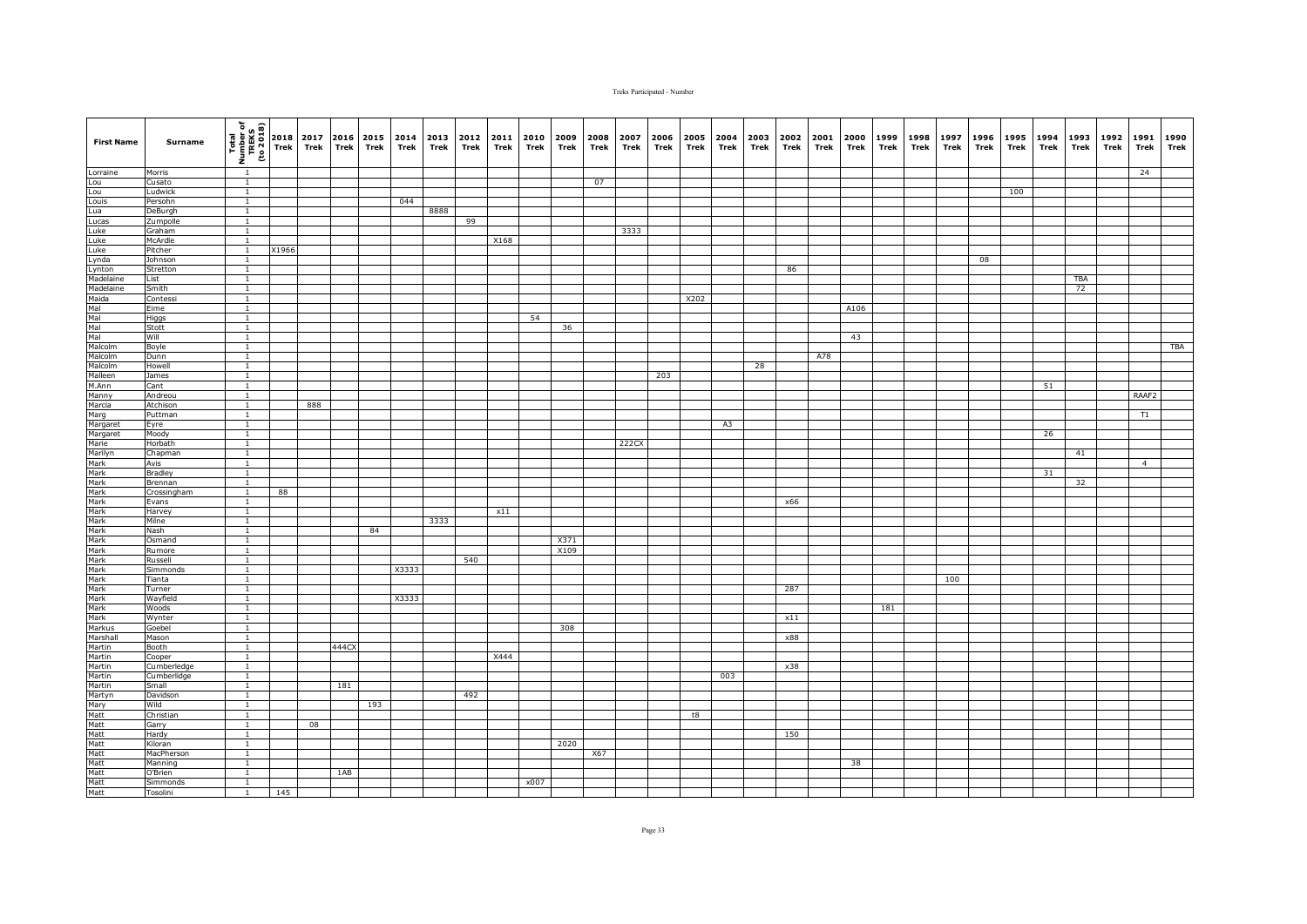| <b>First Name</b>                                                                | Surname             | (1802 or)<br>TREKS<br>TREKS<br>To 2018 | 2018  | 2017 | 2016        | 2015 | 2014  | 2013 | 2012 | 2011 | 2010 | 2009 | 2008 | 2007  | 2006 | 2005 | 2004 | 2003 | 2002 | 2001 | 2000 | 1999 | 1998 | 1997 | 1996 | 1995 | 1994 | 1993 | 1992 | 1991           | 1990 |
|----------------------------------------------------------------------------------|---------------------|----------------------------------------|-------|------|-------------|------|-------|------|------|------|------|------|------|-------|------|------|------|------|------|------|------|------|------|------|------|------|------|------|------|----------------|------|
|                                                                                  |                     |                                        | Trek  | Trek | <b>Trek</b> | Trek | Trek  | Trek | Trek | Trek | Trek | Trek | Trek | Trek  | Trek | Trek | Trek | Trek | Trek | Trek | Trek | Trek | Trek | Trek | Trek | Trek | Trek | Trek | Trek | Trek           | Trek |
| Lorraine                                                                         | Morris              | $\overline{1}$                         |       |      |             |      |       |      |      |      |      |      |      |       |      |      |      |      |      |      |      |      |      |      |      |      |      |      |      | 24             |      |
| Lou                                                                              | Cusato              | $\overline{1}$                         |       |      |             |      |       |      |      |      |      |      | 07   |       |      |      |      |      |      |      |      |      |      |      |      |      |      |      |      |                |      |
| Lou<br>Louis<br>Lua                                                              | Ludwick             | $\mathbf{1}$                           |       |      |             |      |       |      |      |      |      |      |      |       |      |      |      |      |      |      |      |      |      |      |      | 100  |      |      |      |                |      |
|                                                                                  | Persohn             | $\overline{1}$                         |       |      |             |      | 044   | 8888 |      |      |      |      |      |       |      |      |      |      |      |      |      |      |      |      |      |      |      |      |      |                |      |
| Lucas                                                                            | DeBurgh<br>Zumpolle | $\mathbf{1}$<br>$\overline{1}$         |       |      |             |      |       |      | 99   |      |      |      |      |       |      |      |      |      |      |      |      |      |      |      |      |      |      |      |      |                |      |
| Luke                                                                             | Graham              | $\overline{1}$                         |       |      |             |      |       |      |      |      |      |      |      | 3333  |      |      |      |      |      |      |      |      |      |      |      |      |      |      |      |                |      |
| Luke                                                                             | McArdle             | $\mathbf{1}$                           |       |      |             |      |       |      |      | X168 |      |      |      |       |      |      |      |      |      |      |      |      |      |      |      |      |      |      |      |                |      |
| Luke                                                                             | Pitcher             | $\overline{1}$                         | X1966 |      |             |      |       |      |      |      |      |      |      |       |      |      |      |      |      |      |      |      |      |      |      |      |      |      |      |                |      |
|                                                                                  | Johnson             |                                        |       |      |             |      |       |      |      |      |      |      |      |       |      |      |      |      |      |      |      |      |      |      | 08   |      |      |      |      |                |      |
| Luke<br>Lynda<br>Lynton<br>Madelaine<br>Maida                                    | Stretton            | $\mathbf{1}$                           |       |      |             |      |       |      |      |      |      |      |      |       |      |      |      |      | 86   |      |      |      |      |      |      |      |      |      |      |                |      |
|                                                                                  | List                | $\mathbf{1}$                           |       |      |             |      |       |      |      |      |      |      |      |       |      |      |      |      |      |      |      |      |      |      |      |      |      | TBA  |      |                |      |
|                                                                                  | Smith               | $\mathbf{1}$                           |       |      |             |      |       |      |      |      |      |      |      |       |      |      |      |      |      |      |      |      |      |      |      |      |      | 72   |      |                |      |
|                                                                                  | Contessi            | $\overline{1}$                         |       |      |             |      |       |      |      |      |      |      |      |       |      | X202 |      |      |      |      |      |      |      |      |      |      |      |      |      |                |      |
|                                                                                  | Eime                | $\mathbf{1}$<br>$\mathbf{1}$           |       |      |             |      |       |      |      |      | 54   |      |      |       |      |      |      |      |      |      | A106 |      |      |      |      |      |      |      |      |                |      |
| Malua<br>Mal<br>Mal<br>Mal<br>Malcolm<br>Malcolm                                 | Higgs<br>Stott      | $\mathbf{1}$                           |       |      |             |      |       |      |      |      |      | 36   |      |       |      |      |      |      |      |      |      |      |      |      |      |      |      |      |      |                |      |
|                                                                                  | Will                | $\overline{1}$                         |       |      |             |      |       |      |      |      |      |      |      |       |      |      |      |      |      |      | 43   |      |      |      |      |      |      |      |      |                |      |
|                                                                                  | Boyle               | $\mathbf{1}$                           |       |      |             |      |       |      |      |      |      |      |      |       |      |      |      |      |      |      |      |      |      |      |      |      |      |      |      |                | TBA  |
|                                                                                  | Dunn                | $\overline{1}$                         |       |      |             |      |       |      |      |      |      |      |      |       |      |      |      |      |      | A78  |      |      |      |      |      |      |      |      |      |                |      |
| Malcolm                                                                          | Howell              | $\overline{1}$                         |       |      |             |      |       |      |      |      |      |      |      |       |      |      |      | 28   |      |      |      |      |      |      |      |      |      |      |      |                |      |
| Malleen                                                                          | James               | $\mathbf{1}$                           |       |      |             |      |       |      |      |      |      |      |      |       | 203  |      |      |      |      |      |      |      |      |      |      |      |      |      |      |                |      |
| M.Ann                                                                            | Cant                | $\overline{1}$                         |       |      |             |      |       |      |      |      |      |      |      |       |      |      |      |      |      |      |      |      |      |      |      |      | 51   |      |      |                |      |
| Manny<br>Marcia                                                                  | Andreou             | $\overline{1}$                         |       |      |             |      |       |      |      |      |      |      |      |       |      |      |      |      |      |      |      |      |      |      |      |      |      |      |      | RAAF2          |      |
|                                                                                  | Atchison            | $\overline{1}$                         |       | 888  |             |      |       |      |      |      |      |      |      |       |      |      |      |      |      |      |      |      |      |      |      |      |      |      |      |                |      |
|                                                                                  | Puttman             | $\mathbf{1}$<br>$\overline{1}$         |       |      |             |      |       |      |      |      |      |      |      |       |      |      |      |      |      |      |      |      |      |      |      |      |      |      |      | T1             |      |
|                                                                                  | Eyre<br>Moody       | $\overline{1}$                         |       |      |             |      |       |      |      |      |      |      |      |       |      |      | A3   |      |      |      |      |      |      |      |      |      | 26   |      |      |                |      |
|                                                                                  | Horbath             |                                        |       |      |             |      |       |      |      |      |      |      |      | 222CX |      |      |      |      |      |      |      |      |      |      |      |      |      |      |      |                |      |
|                                                                                  | Chapman             | $\mathbf{1}$                           |       |      |             |      |       |      |      |      |      |      |      |       |      |      |      |      |      |      |      |      |      |      |      |      |      | 41   |      |                |      |
|                                                                                  | Avis                | $\mathbf{1}$                           |       |      |             |      |       |      |      |      |      |      |      |       |      |      |      |      |      |      |      |      |      |      |      |      |      |      |      | $\overline{4}$ |      |
|                                                                                  | Bradley             | $\overline{1}$                         |       |      |             |      |       |      |      |      |      |      |      |       |      |      |      |      |      |      |      |      |      |      |      |      | 31   |      |      |                |      |
|                                                                                  | Brennan             | $\mathbf{1}$                           |       |      |             |      |       |      |      |      |      |      |      |       |      |      |      |      |      |      |      |      |      |      |      |      |      | 32   |      |                |      |
|                                                                                  | Crossingham         | $\mathbf{1}$                           | 88    |      |             |      |       |      |      |      |      |      |      |       |      |      |      |      |      |      |      |      |      |      |      |      |      |      |      |                |      |
|                                                                                  | Evans               | $\overline{1}$                         |       |      |             |      |       |      |      |      |      |      |      |       |      |      |      |      | x66  |      |      |      |      |      |      |      |      |      |      |                |      |
|                                                                                  | Harvey              | $\mathbf{1}$                           |       |      |             |      |       |      |      | x11  |      |      |      |       |      |      |      |      |      |      |      |      |      |      |      |      |      |      |      |                |      |
|                                                                                  | Milne<br>Nash       | $\mathbf{1}$<br>$\overline{1}$         |       |      |             | 84   |       | 3333 |      |      |      |      |      |       |      |      |      |      |      |      |      |      |      |      |      |      |      |      |      |                |      |
|                                                                                  | Osmand              | $\mathbf{1}$                           |       |      |             |      |       |      |      |      |      | X371 |      |       |      |      |      |      |      |      |      |      |      |      |      |      |      |      |      |                |      |
|                                                                                  | Rumore              | $\overline{1}$                         |       |      |             |      |       |      |      |      |      | X109 |      |       |      |      |      |      |      |      |      |      |      |      |      |      |      |      |      |                |      |
|                                                                                  | Russell             | $\overline{1}$                         |       |      |             |      |       |      | 540  |      |      |      |      |       |      |      |      |      |      |      |      |      |      |      |      |      |      |      |      |                |      |
|                                                                                  | Simmonds            | $\mathbf{1}$                           |       |      |             |      | X3333 |      |      |      |      |      |      |       |      |      |      |      |      |      |      |      |      |      |      |      |      |      |      |                |      |
|                                                                                  | <b>Tianta</b>       | $\mathbf{1}$                           |       |      |             |      |       |      |      |      |      |      |      |       |      |      |      |      |      |      |      |      |      | 100  |      |      |      |      |      |                |      |
|                                                                                  | Turner              |                                        |       |      |             |      |       |      |      |      |      |      |      |       |      |      |      |      | 287  |      |      |      |      |      |      |      |      |      |      |                |      |
|                                                                                  | Wayfield            | $\overline{1}$                         |       |      |             |      | X3333 |      |      |      |      |      |      |       |      |      |      |      |      |      |      |      |      |      |      |      |      |      |      |                |      |
|                                                                                  | Woods               | $\overline{1}$<br>$\overline{1}$       |       |      |             |      |       |      |      |      |      |      |      |       |      |      |      |      | x11  |      |      | 181  |      |      |      |      |      |      |      |                |      |
|                                                                                  | Wynter<br>Goebel    | $\overline{1}$                         |       |      |             |      |       |      |      |      |      | 308  |      |       |      |      |      |      |      |      |      |      |      |      |      |      |      |      |      |                |      |
| Marshall                                                                         | Mason               | $\mathbf{1}$                           |       |      |             |      |       |      |      |      |      |      |      |       |      |      |      |      | x88  |      |      |      |      |      |      |      |      |      |      |                |      |
| Martin                                                                           | Booth               | $\mathbf{1}$                           |       |      | 444CX       |      |       |      |      |      |      |      |      |       |      |      |      |      |      |      |      |      |      |      |      |      |      |      |      |                |      |
| Martin                                                                           | Cooper              | $\mathbf{1}$                           |       |      |             |      |       |      |      | X444 |      |      |      |       |      |      |      |      |      |      |      |      |      |      |      |      |      |      |      |                |      |
| Martin                                                                           | Cumberledge         | $\overline{1}$                         |       |      |             |      |       |      |      |      |      |      |      |       |      |      |      |      | x38  |      |      |      |      |      |      |      |      |      |      |                |      |
| Martin                                                                           | Cumberlidge         | $\mathbf{1}$                           |       |      |             |      |       |      |      |      |      |      |      |       |      |      | 003  |      |      |      |      |      |      |      |      |      |      |      |      |                |      |
|                                                                                  | Small               | $\overline{1}$                         |       |      | 181         |      |       |      |      |      |      |      |      |       |      |      |      |      |      |      |      |      |      |      |      |      |      |      |      |                |      |
|                                                                                  | Davidson            | $\overline{1}$                         |       |      |             |      |       |      | 492  |      |      |      |      |       |      |      |      |      |      |      |      |      |      |      |      |      |      |      |      |                |      |
|                                                                                  | Wild                | 1                                      |       |      |             | 193  |       |      |      |      |      |      |      |       |      |      |      |      |      |      |      |      |      |      |      |      |      |      |      |                |      |
|                                                                                  | Christian<br>Garry  | $\mathbf{1}$<br>$\overline{1}$         |       | 08   |             |      |       |      |      |      |      |      |      |       |      | t8   |      |      |      |      |      |      |      |      |      |      |      |      |      |                |      |
|                                                                                  | Hardy               | $\overline{1}$                         |       |      |             |      |       |      |      |      |      |      |      |       |      |      |      |      | 150  |      |      |      |      |      |      |      |      |      |      |                |      |
|                                                                                  | Kiloran             | $\overline{1}$                         |       |      |             |      |       |      |      |      |      | 2020 |      |       |      |      |      |      |      |      |      |      |      |      |      |      |      |      |      |                |      |
|                                                                                  | MacPherson          | $\overline{1}$                         |       |      |             |      |       |      |      |      |      |      | X67  |       |      |      |      |      |      |      |      |      |      |      |      |      |      |      |      |                |      |
|                                                                                  | Manning             | $\overline{1}$                         |       |      |             |      |       |      |      |      |      |      |      |       |      |      |      |      |      |      | 38   |      |      |      |      |      |      |      |      |                |      |
| Martin<br>Martyn<br>Mary<br>Matt<br>Matt<br>Matt<br>Matt<br>Matt<br>Matt<br>Matt | O'Brien             | $\overline{1}$                         |       |      | 1AB         |      |       |      |      |      |      |      |      |       |      |      |      |      |      |      |      |      |      |      |      |      |      |      |      |                |      |
|                                                                                  | Simmonds            | $\overline{1}$                         |       |      |             |      |       |      |      |      | x007 |      |      |       |      |      |      |      |      |      |      |      |      |      |      |      |      |      |      |                |      |
|                                                                                  | Tosolini            | 1                                      | 145   |      |             |      |       |      |      |      |      |      |      |       |      |      |      |      |      |      |      |      |      |      |      |      |      |      |      |                |      |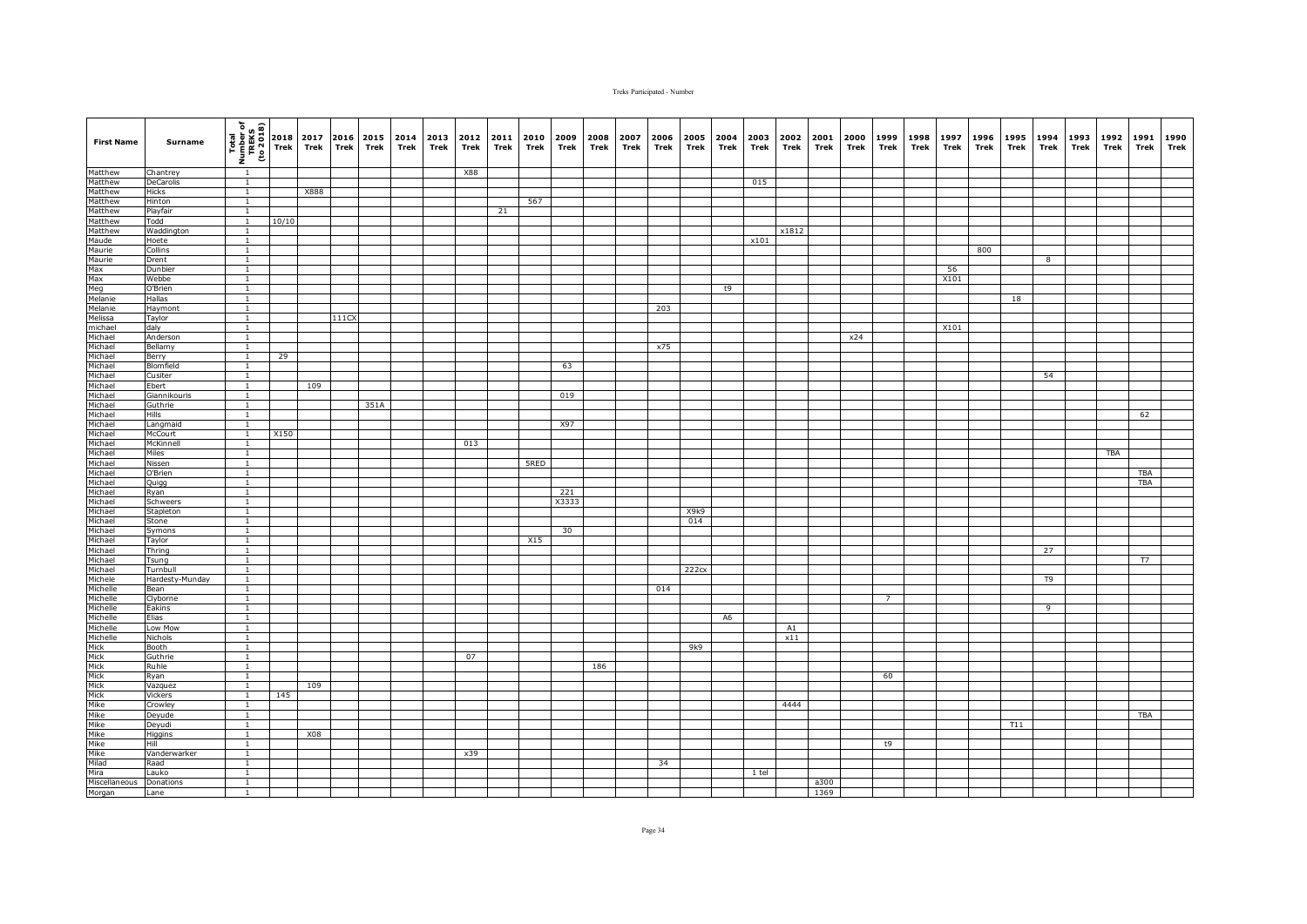| <b>First Name</b>                                                                                                                                                                                                                                                               | Surname                 | $\frac{\frac{1}{2} \left(\frac{1}{2} + \frac{1}{2} + \frac{1}{2} + \frac{1}{2} + \frac{1}{2} + \frac{1}{2} + \frac{1}{2} + \frac{1}{2} + \frac{1}{2} + \frac{1}{2} + \frac{1}{2} + \frac{1}{2} + \frac{1}{2} + \frac{1}{2} + \frac{1}{2} + \frac{1}{2} + \frac{1}{2} + \frac{1}{2} + \frac{1}{2} + \frac{1}{2} + \frac{1}{2} + \frac{1}{2} + \frac{1}{2} + \frac{1}{2} + \frac{1}{2} + \frac{1}{2} + \$ |       | 2017<br>Trek | Trek  | 2016 2015<br>Trek | 2014<br>Trek | 2013 2012<br>Trek | Trek       | 2011<br>Trek | 2010<br>Trek | 2009<br>Trek | 2008<br>Trek | 2007<br>Trek | 2006<br>Trek | 2005<br>Trek | 2004<br>Trek   | 2003<br>Trek | 2002<br>Trek | 2001<br>Trek | 2000<br>Trek | 1999<br>Trek   | 1998<br>Trek | 1997<br>Trek | 1996<br>Trek | 1995<br>Trek | 1994<br>Trek | 1993<br>Trek | 1992<br>Trek | 1991<br>Trek | 1990<br>Trek |
|---------------------------------------------------------------------------------------------------------------------------------------------------------------------------------------------------------------------------------------------------------------------------------|-------------------------|---------------------------------------------------------------------------------------------------------------------------------------------------------------------------------------------------------------------------------------------------------------------------------------------------------------------------------------------------------------------------------------------------------|-------|--------------|-------|-------------------|--------------|-------------------|------------|--------------|--------------|--------------|--------------|--------------|--------------|--------------|----------------|--------------|--------------|--------------|--------------|----------------|--------------|--------------|--------------|--------------|--------------|--------------|--------------|--------------|--------------|
| Matthew                                                                                                                                                                                                                                                                         | Chantrey                | $\overline{1}$                                                                                                                                                                                                                                                                                                                                                                                          |       |              |       |                   |              |                   | <b>X88</b> |              |              |              |              |              |              |              |                |              |              |              |              |                |              |              |              |              |              |              |              |              |              |
| Matthew                                                                                                                                                                                                                                                                         | DeCarolis               | $\overline{1}$                                                                                                                                                                                                                                                                                                                                                                                          |       |              |       |                   |              |                   |            |              |              |              |              |              |              |              |                | 015          |              |              |              |                |              |              |              |              |              |              |              |              |              |
| Matthew                                                                                                                                                                                                                                                                         | Hicks                   | $\overline{1}$                                                                                                                                                                                                                                                                                                                                                                                          |       | X888         |       |                   |              |                   |            |              |              |              |              |              |              |              |                |              |              |              |              |                |              |              |              |              |              |              |              |              |              |
| Matthew                                                                                                                                                                                                                                                                         | Hinton                  | $\mathbf{1}$                                                                                                                                                                                                                                                                                                                                                                                            |       |              |       |                   |              |                   |            |              | 567          |              |              |              |              |              |                |              |              |              |              |                |              |              |              |              |              |              |              |              |              |
| Matthew<br>Matthew                                                                                                                                                                                                                                                              | Playfair                | $\mathbf{1}$                                                                                                                                                                                                                                                                                                                                                                                            |       |              |       |                   |              |                   |            | 21           |              |              |              |              |              |              |                |              |              |              |              |                |              |              |              |              |              |              |              |              |              |
| Matthew                                                                                                                                                                                                                                                                         | Todd<br>Waddington      | $\mathbf{1}$<br>$\mathbf{1}$                                                                                                                                                                                                                                                                                                                                                                            | 10/10 |              |       |                   |              |                   |            |              |              |              |              |              |              |              |                |              | x1812        |              |              |                |              |              |              |              |              |              |              |              |              |
|                                                                                                                                                                                                                                                                                 | Hoete                   | $\overline{1}$                                                                                                                                                                                                                                                                                                                                                                                          |       |              |       |                   |              |                   |            |              |              |              |              |              |              |              |                | x101         |              |              |              |                |              |              |              |              |              |              |              |              |              |
|                                                                                                                                                                                                                                                                                 | Collins                 | $\overline{1}$                                                                                                                                                                                                                                                                                                                                                                                          |       |              |       |                   |              |                   |            |              |              |              |              |              |              |              |                |              |              |              |              |                |              |              | 800          |              |              |              |              |              |              |
|                                                                                                                                                                                                                                                                                 | Drent                   | $\overline{1}$                                                                                                                                                                                                                                                                                                                                                                                          |       |              |       |                   |              |                   |            |              |              |              |              |              |              |              |                |              |              |              |              |                |              |              |              |              | 8            |              |              |              |              |
| Maude<br>Maurie<br>Max<br>Max<br>Meg<br>Melanie<br>Melanie<br>Melanie<br>Michael<br>Michael<br>Michael<br>Michael<br>Michael<br>Michael                                                                                                                                         | Dunbier                 | $\mathbf{1}$                                                                                                                                                                                                                                                                                                                                                                                            |       |              |       |                   |              |                   |            |              |              |              |              |              |              |              |                |              |              |              |              |                |              | 56           |              |              |              |              |              |              |              |
|                                                                                                                                                                                                                                                                                 | Webbe                   | $\mathbf{1}$                                                                                                                                                                                                                                                                                                                                                                                            |       |              |       |                   |              |                   |            |              |              |              |              |              |              |              |                |              |              |              |              |                |              | X101         |              |              |              |              |              |              |              |
|                                                                                                                                                                                                                                                                                 | O'Brien                 | $\mathbf{1}$                                                                                                                                                                                                                                                                                                                                                                                            |       |              |       |                   |              |                   |            |              |              |              |              |              |              |              | t9             |              |              |              |              |                |              |              |              |              |              |              |              |              |              |
|                                                                                                                                                                                                                                                                                 | Hallas                  | $\mathbf{1}$<br>$\overline{1}$                                                                                                                                                                                                                                                                                                                                                                          |       |              |       |                   |              |                   |            |              |              |              |              |              | 203          |              |                |              |              |              |              |                |              |              |              | 18           |              |              |              |              |              |
|                                                                                                                                                                                                                                                                                 | Haymont<br>Taylor       | $\overline{1}$                                                                                                                                                                                                                                                                                                                                                                                          |       |              | 111CX |                   |              |                   |            |              |              |              |              |              |              |              |                |              |              |              |              |                |              |              |              |              |              |              |              |              |              |
|                                                                                                                                                                                                                                                                                 | daly                    | $\overline{1}$                                                                                                                                                                                                                                                                                                                                                                                          |       |              |       |                   |              |                   |            |              |              |              |              |              |              |              |                |              |              |              |              |                |              | X101         |              |              |              |              |              |              |              |
|                                                                                                                                                                                                                                                                                 | Anderson                | $\overline{1}$                                                                                                                                                                                                                                                                                                                                                                                          |       |              |       |                   |              |                   |            |              |              |              |              |              |              |              |                |              |              |              | x24          |                |              |              |              |              |              |              |              |              |              |
|                                                                                                                                                                                                                                                                                 | Bellamy                 | $\mathbf{1}$                                                                                                                                                                                                                                                                                                                                                                                            |       |              |       |                   |              |                   |            |              |              |              |              |              | x75          |              |                |              |              |              |              |                |              |              |              |              |              |              |              |              |              |
|                                                                                                                                                                                                                                                                                 | Berry                   | $\overline{1}$                                                                                                                                                                                                                                                                                                                                                                                          | 29    |              |       |                   |              |                   |            |              |              |              |              |              |              |              |                |              |              |              |              |                |              |              |              |              |              |              |              |              |              |
|                                                                                                                                                                                                                                                                                 | Blomfield               | $\mathbf{1}$                                                                                                                                                                                                                                                                                                                                                                                            |       |              |       |                   |              |                   |            |              |              | 63           |              |              |              |              |                |              |              |              |              |                |              |              |              |              |              |              |              |              |              |
|                                                                                                                                                                                                                                                                                 | Cusiter                 | $\mathbf{1}$                                                                                                                                                                                                                                                                                                                                                                                            |       |              |       |                   |              |                   |            |              |              |              |              |              |              |              |                |              |              |              |              |                |              |              |              |              | 54           |              |              |              |              |
|                                                                                                                                                                                                                                                                                 | Ebert                   | $\overline{1}$                                                                                                                                                                                                                                                                                                                                                                                          |       | 109          |       |                   |              |                   |            |              |              |              |              |              |              |              |                |              |              |              |              |                |              |              |              |              |              |              |              |              |              |
|                                                                                                                                                                                                                                                                                 | Giannikouris            | $\overline{1}$<br>$\overline{1}$                                                                                                                                                                                                                                                                                                                                                                        |       |              |       | 351A              |              |                   |            |              |              | 019          |              |              |              |              |                |              |              |              |              |                |              |              |              |              |              |              |              |              |              |
|                                                                                                                                                                                                                                                                                 | Guthrie<br>Hills        | $\mathbf{1}$                                                                                                                                                                                                                                                                                                                                                                                            |       |              |       |                   |              |                   |            |              |              |              |              |              |              |              |                |              |              |              |              |                |              |              |              |              |              |              |              | 62           |              |
|                                                                                                                                                                                                                                                                                 | Langmaid                | $\overline{1}$                                                                                                                                                                                                                                                                                                                                                                                          |       |              |       |                   |              |                   |            |              |              | X97          |              |              |              |              |                |              |              |              |              |                |              |              |              |              |              |              |              |              |              |
|                                                                                                                                                                                                                                                                                 | McCourt                 | $\mathbf{1}$                                                                                                                                                                                                                                                                                                                                                                                            | X150  |              |       |                   |              |                   |            |              |              |              |              |              |              |              |                |              |              |              |              |                |              |              |              |              |              |              |              |              |              |
|                                                                                                                                                                                                                                                                                 | McKinnell               | $\mathbf{1}$                                                                                                                                                                                                                                                                                                                                                                                            |       |              |       |                   |              |                   | 013        |              |              |              |              |              |              |              |                |              |              |              |              |                |              |              |              |              |              |              |              |              |              |
|                                                                                                                                                                                                                                                                                 | Miles                   | $\mathbf{1}$                                                                                                                                                                                                                                                                                                                                                                                            |       |              |       |                   |              |                   |            |              |              |              |              |              |              |              |                |              |              |              |              |                |              |              |              |              |              |              | TBA          |              |              |
| Michael<br>Michael<br>Michael<br>Michael<br>Michael<br>Michael<br>Michael<br>Michael<br>Michael<br>Michael<br>Michael<br>Michael<br>Michael<br>Michael<br>Michael<br>Michael<br>Michael<br>Michael<br>Michael<br>Michael<br>Michael<br>Michael<br>Michael<br>Michael<br>Michael | Nissen                  | $\overline{1}$                                                                                                                                                                                                                                                                                                                                                                                          |       |              |       |                   |              |                   |            |              | 5RED         |              |              |              |              |              |                |              |              |              |              |                |              |              |              |              |              |              |              |              |              |
|                                                                                                                                                                                                                                                                                 | O'Brien                 | $\overline{1}$                                                                                                                                                                                                                                                                                                                                                                                          |       |              |       |                   |              |                   |            |              |              |              |              |              |              |              |                |              |              |              |              |                |              |              |              |              |              |              |              | TBA          |              |
|                                                                                                                                                                                                                                                                                 | Quigg                   | $\mathbf{1}$                                                                                                                                                                                                                                                                                                                                                                                            |       |              |       |                   |              |                   |            |              |              | 221          |              |              |              |              |                |              |              |              |              |                |              |              |              |              |              |              |              | TBA          |              |
|                                                                                                                                                                                                                                                                                 | Ryan<br>Schweers        | $\mathbf{1}$<br>$\overline{1}$                                                                                                                                                                                                                                                                                                                                                                          |       |              |       |                   |              |                   |            |              |              | X3333        |              |              |              |              |                |              |              |              |              |                |              |              |              |              |              |              |              |              |              |
|                                                                                                                                                                                                                                                                                 | Stapleton               | $\mathbf{1}$                                                                                                                                                                                                                                                                                                                                                                                            |       |              |       |                   |              |                   |            |              |              |              |              |              |              | X9k9         |                |              |              |              |              |                |              |              |              |              |              |              |              |              |              |
|                                                                                                                                                                                                                                                                                 | Stone                   | $\mathbf{1}$                                                                                                                                                                                                                                                                                                                                                                                            |       |              |       |                   |              |                   |            |              |              |              |              |              |              | 014          |                |              |              |              |              |                |              |              |              |              |              |              |              |              |              |
|                                                                                                                                                                                                                                                                                 | Symons                  | $\mathbf{1}$                                                                                                                                                                                                                                                                                                                                                                                            |       |              |       |                   |              |                   |            |              |              | 30           |              |              |              |              |                |              |              |              |              |                |              |              |              |              |              |              |              |              |              |
|                                                                                                                                                                                                                                                                                 | Taylor                  | $\mathbf{1}$                                                                                                                                                                                                                                                                                                                                                                                            |       |              |       |                   |              |                   |            |              | X15          |              |              |              |              |              |                |              |              |              |              |                |              |              |              |              |              |              |              |              |              |
|                                                                                                                                                                                                                                                                                 | Thring                  | $\overline{1}$                                                                                                                                                                                                                                                                                                                                                                                          |       |              |       |                   |              |                   |            |              |              |              |              |              |              |              |                |              |              |              |              |                |              |              |              |              | 27           |              |              |              |              |
| Michael                                                                                                                                                                                                                                                                         | Tsung                   | $\mathbf{1}$                                                                                                                                                                                                                                                                                                                                                                                            |       |              |       |                   |              |                   |            |              |              |              |              |              |              |              |                |              |              |              |              |                |              |              |              |              |              |              |              | <b>T7</b>    |              |
|                                                                                                                                                                                                                                                                                 | Turnbull                | $\mathbf{1}$                                                                                                                                                                                                                                                                                                                                                                                            |       |              |       |                   |              |                   |            |              |              |              |              |              |              | 222cx        |                |              |              |              |              |                |              |              |              |              |              |              |              |              |              |
|                                                                                                                                                                                                                                                                                 | Hardesty-Munday<br>Bean | $\mathbf{1}$<br>$\mathbf{1}$                                                                                                                                                                                                                                                                                                                                                                            |       |              |       |                   |              |                   |            |              |              |              |              |              | 014          |              |                |              |              |              |              |                |              |              |              |              | T9           |              |              |              |              |
|                                                                                                                                                                                                                                                                                 | Clyborne                | $\mathbf{1}$                                                                                                                                                                                                                                                                                                                                                                                            |       |              |       |                   |              |                   |            |              |              |              |              |              |              |              |                |              |              |              |              | $\overline{7}$ |              |              |              |              |              |              |              |              |              |
|                                                                                                                                                                                                                                                                                 | Eakins                  | $\overline{1}$                                                                                                                                                                                                                                                                                                                                                                                          |       |              |       |                   |              |                   |            |              |              |              |              |              |              |              |                |              |              |              |              |                |              |              |              |              | 9            |              |              |              |              |
|                                                                                                                                                                                                                                                                                 | Elias                   | $\overline{1}$                                                                                                                                                                                                                                                                                                                                                                                          |       |              |       |                   |              |                   |            |              |              |              |              |              |              |              | A <sub>6</sub> |              |              |              |              |                |              |              |              |              |              |              |              |              |              |
|                                                                                                                                                                                                                                                                                 | Low Mow                 | $\overline{1}$                                                                                                                                                                                                                                                                                                                                                                                          |       |              |       |                   |              |                   |            |              |              |              |              |              |              |              |                |              | A1           |              |              |                |              |              |              |              |              |              |              |              |              |
|                                                                                                                                                                                                                                                                                 | Nichols                 | $\overline{1}$                                                                                                                                                                                                                                                                                                                                                                                          |       |              |       |                   |              |                   |            |              |              |              |              |              |              |              |                |              | x11          |              |              |                |              |              |              |              |              |              |              |              |              |
|                                                                                                                                                                                                                                                                                 | Booth                   | $\mathbf{1}$                                                                                                                                                                                                                                                                                                                                                                                            |       |              |       |                   |              |                   |            |              |              |              |              |              |              | 9k9          |                |              |              |              |              |                |              |              |              |              |              |              |              |              |              |
|                                                                                                                                                                                                                                                                                 | Guthrie                 | $\mathbf{1}$                                                                                                                                                                                                                                                                                                                                                                                            |       |              |       |                   |              |                   | 07         |              |              |              |              |              |              |              |                |              |              |              |              |                |              |              |              |              |              |              |              |              |              |
|                                                                                                                                                                                                                                                                                 | Ruhle                   | $\mathbf{1}$<br>$\mathbf{1}$                                                                                                                                                                                                                                                                                                                                                                            |       |              |       |                   |              |                   |            |              |              |              | 186          |              |              |              |                |              |              |              |              |                |              |              |              |              |              |              |              |              |              |
|                                                                                                                                                                                                                                                                                 | Ryan<br>Vazquez         | $\overline{1}$                                                                                                                                                                                                                                                                                                                                                                                          |       | 109          |       |                   |              |                   |            |              |              |              |              |              |              |              |                |              |              |              |              | 60             |              |              |              |              |              |              |              |              |              |
|                                                                                                                                                                                                                                                                                 | Vickers                 | $\overline{1}$                                                                                                                                                                                                                                                                                                                                                                                          | 145   |              |       |                   |              |                   |            |              |              |              |              |              |              |              |                |              |              |              |              |                |              |              |              |              |              |              |              |              |              |
|                                                                                                                                                                                                                                                                                 | Crowley                 | $\mathbf{1}$                                                                                                                                                                                                                                                                                                                                                                                            |       |              |       |                   |              |                   |            |              |              |              |              |              |              |              |                |              | 4444         |              |              |                |              |              |              |              |              |              |              |              |              |
|                                                                                                                                                                                                                                                                                 | Deyude                  | $\mathbf{1}$                                                                                                                                                                                                                                                                                                                                                                                            |       |              |       |                   |              |                   |            |              |              |              |              |              |              |              |                |              |              |              |              |                |              |              |              |              |              |              |              | <b>TBA</b>   |              |
|                                                                                                                                                                                                                                                                                 | Deyudi                  | $\mathbf{1}$                                                                                                                                                                                                                                                                                                                                                                                            |       |              |       |                   |              |                   |            |              |              |              |              |              |              |              |                |              |              |              |              |                |              |              |              | T11          |              |              |              |              |              |
|                                                                                                                                                                                                                                                                                 | Higgins                 | $\mathbf{1}$                                                                                                                                                                                                                                                                                                                                                                                            |       | X08          |       |                   |              |                   |            |              |              |              |              |              |              |              |                |              |              |              |              |                |              |              |              |              |              |              |              |              |              |
|                                                                                                                                                                                                                                                                                 | Hill                    | $\mathbf{1}$                                                                                                                                                                                                                                                                                                                                                                                            |       |              |       |                   |              |                   |            |              |              |              |              |              |              |              |                |              |              |              |              | t9             |              |              |              |              |              |              |              |              |              |
|                                                                                                                                                                                                                                                                                 | Vanderwarker            | $\overline{1}$                                                                                                                                                                                                                                                                                                                                                                                          |       |              |       |                   |              |                   | x39        |              |              |              |              |              |              |              |                |              |              |              |              |                |              |              |              |              |              |              |              |              |              |
|                                                                                                                                                                                                                                                                                 | Raad                    | $\overline{1}$<br>$\overline{1}$                                                                                                                                                                                                                                                                                                                                                                        |       |              |       |                   |              |                   |            |              |              |              |              |              | 34           |              |                |              |              |              |              |                |              |              |              |              |              |              |              |              |              |
|                                                                                                                                                                                                                                                                                 | Lauko<br>Donations      | $\overline{1}$                                                                                                                                                                                                                                                                                                                                                                                          |       |              |       |                   |              |                   |            |              |              |              |              |              |              |              |                | 1 tel        |              | a300         |              |                |              |              |              |              |              |              |              |              |              |
|                                                                                                                                                                                                                                                                                 | Lane                    | 1                                                                                                                                                                                                                                                                                                                                                                                                       |       |              |       |                   |              |                   |            |              |              |              |              |              |              |              |                |              |              | 1369         |              |                |              |              |              |              |              |              |              |              |              |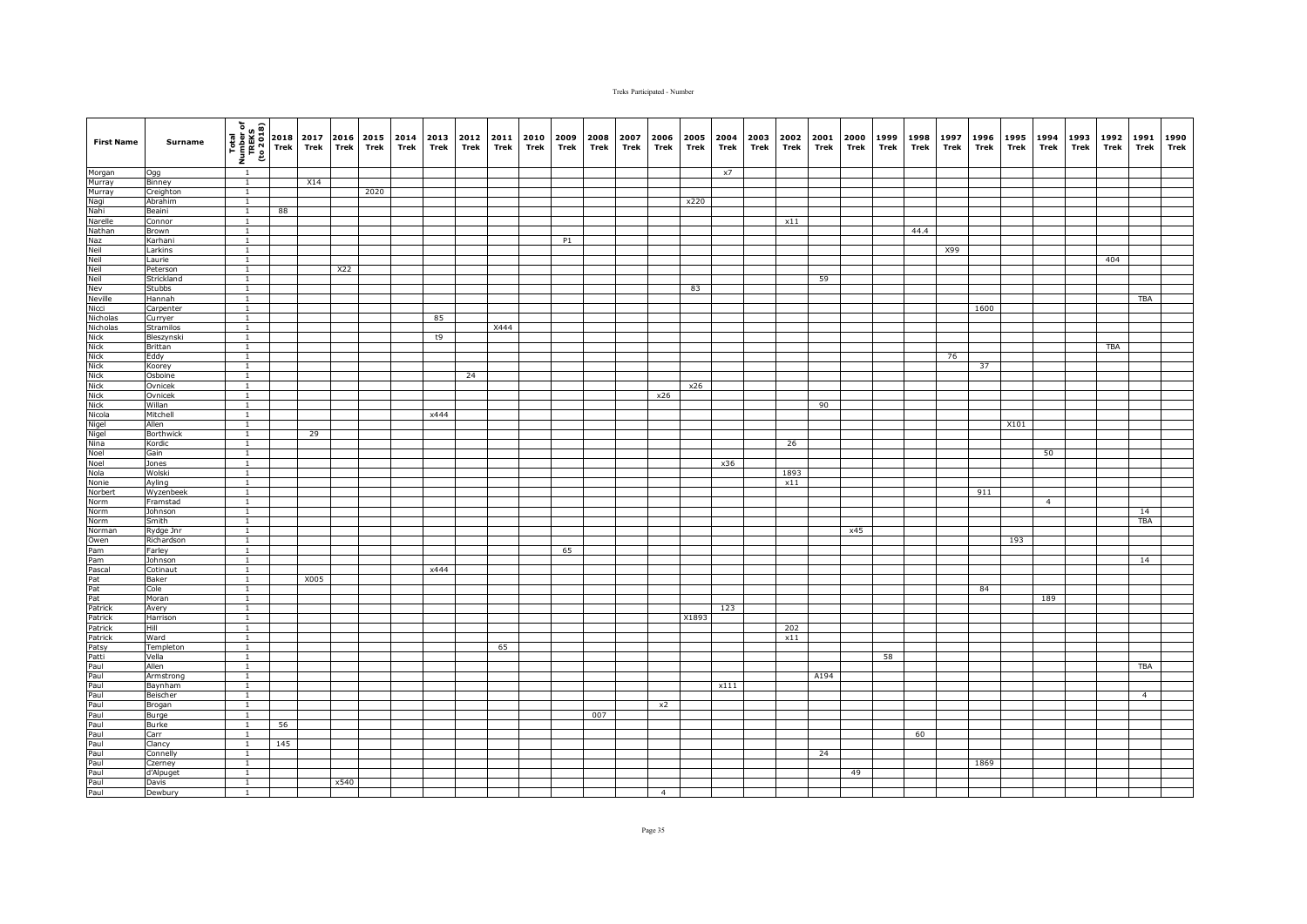| <b>First Name</b>                                                                                                     | Surname              | (1802 or)<br>TREKS<br>TREKS<br>To 2018 | 2018<br>Trek | 2017<br>Trek | 2016<br><b>Trek</b> | 2015<br>Trek | 2014<br>Trek | 2013<br>Trek | 2012<br>Trek | 2011<br>Trek | 2010<br>Trek | 2009<br>Trek | 2008<br>Trek | 2007<br>Trek | 2006<br>Trek   | 2005<br>Trek | 2004<br>Trek | 2003<br>Trek | 2002<br>Trek | 2001<br>Trek | 2000<br>Trek | 1999<br>Trek | 1998<br>Trek | 1997<br>Trek | 1996<br>Trek | 1995<br>Trek | 1994<br>Trek   | 1993<br>Trek | 1992<br>Trek | 1991<br>Trek   | 1990<br>Trek |
|-----------------------------------------------------------------------------------------------------------------------|----------------------|----------------------------------------|--------------|--------------|---------------------|--------------|--------------|--------------|--------------|--------------|--------------|--------------|--------------|--------------|----------------|--------------|--------------|--------------|--------------|--------------|--------------|--------------|--------------|--------------|--------------|--------------|----------------|--------------|--------------|----------------|--------------|
| Morgan<br>Murray                                                                                                      | Ogg                  | $\overline{1}$                         |              |              |                     |              |              |              |              |              |              |              |              |              |                |              | x7           |              |              |              |              |              |              |              |              |              |                |              |              |                |              |
|                                                                                                                       | Binney               | $\overline{1}$                         |              | X14          |                     |              |              |              |              |              |              |              |              |              |                |              |              |              |              |              |              |              |              |              |              |              |                |              |              |                |              |
| Murray<br>Murray<br>Nagi<br>Nahi                                                                                      | Creighton            | $\overline{1}$                         |              |              |                     | 2020         |              |              |              |              |              |              |              |              |                |              |              |              |              |              |              |              |              |              |              |              |                |              |              |                |              |
|                                                                                                                       | Abrahim              | $\overline{1}$                         |              |              |                     |              |              |              |              |              |              |              |              |              |                | x220         |              |              |              |              |              |              |              |              |              |              |                |              |              |                |              |
|                                                                                                                       | Beaini               | $\mathbf{1}$                           | 88           |              |                     |              |              |              |              |              |              |              |              |              |                |              |              |              |              |              |              |              |              |              |              |              |                |              |              |                |              |
|                                                                                                                       | Connor<br>Brown      | $\overline{1}$<br>$\overline{1}$       |              |              |                     |              |              |              |              |              |              |              |              |              |                |              |              |              | x11          |              |              |              | 44.4         |              |              |              |                |              |              |                |              |
|                                                                                                                       | Karhani              | $\overline{1}$                         |              |              |                     |              |              |              |              |              |              | P1           |              |              |                |              |              |              |              |              |              |              |              |              |              |              |                |              |              |                |              |
|                                                                                                                       | Larkins              | $\overline{1}$                         |              |              |                     |              |              |              |              |              |              |              |              |              |                |              |              |              |              |              |              |              |              | X99          |              |              |                |              |              |                |              |
|                                                                                                                       | Laurie               |                                        |              |              |                     |              |              |              |              |              |              |              |              |              |                |              |              |              |              |              |              |              |              |              |              |              |                |              | 404          |                |              |
|                                                                                                                       | Peterson             | $\mathbf{1}$                           |              |              | X22                 |              |              |              |              |              |              |              |              |              |                |              |              |              |              |              |              |              |              |              |              |              |                |              |              |                |              |
|                                                                                                                       | Strickland           | $\mathbf{1}$                           |              |              |                     |              |              |              |              |              |              |              |              |              |                |              |              |              |              | 59           |              |              |              |              |              |              |                |              |              |                |              |
|                                                                                                                       | <b>Stubbs</b>        | $\mathbf{1}$                           |              |              |                     |              |              |              |              |              |              |              |              |              |                | 83           |              |              |              |              |              |              |              |              |              |              |                |              |              |                |              |
| Narelle<br>Nathan<br>Naz<br>Neil<br>Neil<br>Neil<br>Neville<br>Nicholas<br>Nicholas                                   | Hannah               | $\overline{1}$<br>$\overline{1}$       |              |              |                     |              |              |              |              |              |              |              |              |              |                |              |              |              |              |              |              |              |              |              | 1600         |              |                |              |              | TBA            |              |
|                                                                                                                       | Carpenter<br>Curryer | $\mathbf{1}$                           |              |              |                     |              |              | 85           |              |              |              |              |              |              |                |              |              |              |              |              |              |              |              |              |              |              |                |              |              |                |              |
| Nicholas                                                                                                              | Stramilos            | $\mathbf{1}$                           |              |              |                     |              |              |              |              | X444         |              |              |              |              |                |              |              |              |              |              |              |              |              |              |              |              |                |              |              |                |              |
|                                                                                                                       | Bleszynski           | $\overline{1}$                         |              |              |                     |              |              | t9           |              |              |              |              |              |              |                |              |              |              |              |              |              |              |              |              |              |              |                |              |              |                |              |
|                                                                                                                       | Brittan              | $\mathbf{1}$                           |              |              |                     |              |              |              |              |              |              |              |              |              |                |              |              |              |              |              |              |              |              |              |              |              |                |              | TBA          |                |              |
|                                                                                                                       | Eddy                 | $\overline{1}$                         |              |              |                     |              |              |              |              |              |              |              |              |              |                |              |              |              |              |              |              |              |              | 76           |              |              |                |              |              |                |              |
|                                                                                                                       | Koorey               | $\overline{1}$                         |              |              |                     |              |              |              |              |              |              |              |              |              |                |              |              |              |              |              |              |              |              |              | 37           |              |                |              |              |                |              |
|                                                                                                                       | Osboine              | $\mathbf{1}$                           |              |              |                     |              |              |              | 24           |              |              |              |              |              |                |              |              |              |              |              |              |              |              |              |              |              |                |              |              |                |              |
|                                                                                                                       | Ovnicek              | $\overline{1}$<br>$\overline{1}$       |              |              |                     |              |              |              |              |              |              |              |              |              |                | x26          |              |              |              |              |              |              |              |              |              |              |                |              |              |                |              |
|                                                                                                                       | Ovnicek<br>Willan    | $\overline{1}$                         |              |              |                     |              |              |              |              |              |              |              |              |              | x26            |              |              |              |              | 90           |              |              |              |              |              |              |                |              |              |                |              |
|                                                                                                                       | Mitchell             | $\mathbf{1}$                           |              |              |                     |              |              | x444         |              |              |              |              |              |              |                |              |              |              |              |              |              |              |              |              |              |              |                |              |              |                |              |
|                                                                                                                       | Allen                | $\overline{1}$                         |              |              |                     |              |              |              |              |              |              |              |              |              |                |              |              |              |              |              |              |              |              |              |              | X101         |                |              |              |                |              |
|                                                                                                                       | Borthwick            | $\overline{1}$                         |              | 29           |                     |              |              |              |              |              |              |              |              |              |                |              |              |              |              |              |              |              |              |              |              |              |                |              |              |                |              |
|                                                                                                                       | Kordic               |                                        |              |              |                     |              |              |              |              |              |              |              |              |              |                |              |              |              | 26           |              |              |              |              |              |              |              |                |              |              |                |              |
|                                                                                                                       | Gain                 | $\overline{1}$                         |              |              |                     |              |              |              |              |              |              |              |              |              |                |              |              |              |              |              |              |              |              |              |              |              | 50             |              |              |                |              |
| Nick<br>Nick<br>Nick<br>Nick<br>Nick<br>Nick<br>Nicola<br>Nigel<br>Nina<br>Noel<br>Nola<br>Nola<br>Nola               | Jones                | $\overline{1}$                         |              |              |                     |              |              |              |              |              |              |              |              |              |                |              | x36          |              |              |              |              |              |              |              |              |              |                |              |              |                |              |
|                                                                                                                       | Wolski               | $\overline{1}$                         |              |              |                     |              |              |              |              |              |              |              |              |              |                |              |              |              | 1893         |              |              |              |              |              |              |              |                |              |              |                |              |
|                                                                                                                       | Ayling<br>Wyzenbeek  | $\mathbf{1}$<br>$\mathbf{1}$           |              |              |                     |              |              |              |              |              |              |              |              |              |                |              |              |              | x11          |              |              |              |              |              | 911          |              |                |              |              |                |              |
| Norbert<br>Norbert<br>Norm                                                                                            | Framstad             | $\overline{1}$                         |              |              |                     |              |              |              |              |              |              |              |              |              |                |              |              |              |              |              |              |              |              |              |              |              | $\overline{4}$ |              |              |                |              |
|                                                                                                                       | Johnson              | $\mathbf{1}$                           |              |              |                     |              |              |              |              |              |              |              |              |              |                |              |              |              |              |              |              |              |              |              |              |              |                |              |              | 14             |              |
| Norm                                                                                                                  | Smith                | $\mathbf{1}$                           |              |              |                     |              |              |              |              |              |              |              |              |              |                |              |              |              |              |              |              |              |              |              |              |              |                |              |              | <b>TBA</b>     |              |
|                                                                                                                       | Rydge Jnr            | $\overline{1}$                         |              |              |                     |              |              |              |              |              |              |              |              |              |                |              |              |              |              |              | x45          |              |              |              |              |              |                |              |              |                |              |
|                                                                                                                       | Richardson           | $\mathbf{1}$                           |              |              |                     |              |              |              |              |              |              |              |              |              |                |              |              |              |              |              |              |              |              |              |              | 193          |                |              |              |                |              |
|                                                                                                                       | Farley               | $\overline{1}$                         |              |              |                     |              |              |              |              |              |              | 65           |              |              |                |              |              |              |              |              |              |              |              |              |              |              |                |              |              |                |              |
|                                                                                                                       | Johnson<br>Cotinaut  | $\overline{1}$<br>$\mathbf{1}$         |              |              |                     |              |              | x444         |              |              |              |              |              |              |                |              |              |              |              |              |              |              |              |              |              |              |                |              |              | 14             |              |
|                                                                                                                       | Baker                | $\overline{1}$                         |              | X005         |                     |              |              |              |              |              |              |              |              |              |                |              |              |              |              |              |              |              |              |              |              |              |                |              |              |                |              |
|                                                                                                                       | Cole                 | $\overline{1}$                         |              |              |                     |              |              |              |              |              |              |              |              |              |                |              |              |              |              |              |              |              |              |              | 84           |              |                |              |              |                |              |
| Norman<br>Owen<br>Pam<br>Pam<br>Pascal<br>Pat<br>Pat<br>Pat<br>Pat<br>Pat<br>Patrick<br>Patrick<br>Patrick<br>Patrick | Moran                | $\overline{1}$                         |              |              |                     |              |              |              |              |              |              |              |              |              |                |              |              |              |              |              |              |              |              |              |              |              | 189            |              |              |                |              |
|                                                                                                                       | Avery                | $\overline{1}$                         |              |              |                     |              |              |              |              |              |              |              |              |              |                |              | 123          |              |              |              |              |              |              |              |              |              |                |              |              |                |              |
|                                                                                                                       | Harrison             | $\overline{1}$                         |              |              |                     |              |              |              |              |              |              |              |              |              |                | X1893        |              |              |              |              |              |              |              |              |              |              |                |              |              |                |              |
|                                                                                                                       | Hill                 | $\overline{1}$                         |              |              |                     |              |              |              |              |              |              |              |              |              |                |              |              |              | 202          |              |              |              |              |              |              |              |                |              |              |                |              |
| Patrick                                                                                                               | Ward<br>Templeton    | $\mathbf{1}$<br>$\mathbf{1}$           |              |              |                     |              |              |              |              |              |              |              |              |              |                |              |              |              | x11          |              |              |              |              |              |              |              |                |              |              |                |              |
|                                                                                                                       | Vella                | $\mathbf{1}$                           |              |              |                     |              |              |              |              | 65           |              |              |              |              |                |              |              |              |              |              |              | 58           |              |              |              |              |                |              |              |                |              |
|                                                                                                                       | Allen                | $\overline{1}$                         |              |              |                     |              |              |              |              |              |              |              |              |              |                |              |              |              |              |              |              |              |              |              |              |              |                |              |              | TBA            |              |
|                                                                                                                       | Armstrong            | $\mathbf{1}$                           |              |              |                     |              |              |              |              |              |              |              |              |              |                |              |              |              |              | A194         |              |              |              |              |              |              |                |              |              |                |              |
|                                                                                                                       | Baynham              | $\overline{1}$                         |              |              |                     |              |              |              |              |              |              |              |              |              |                |              | x111         |              |              |              |              |              |              |              |              |              |                |              |              |                |              |
|                                                                                                                       | Beischer             | $\overline{1}$                         |              |              |                     |              |              |              |              |              |              |              |              |              |                |              |              |              |              |              |              |              |              |              |              |              |                |              |              | $\overline{4}$ |              |
|                                                                                                                       | Brogan               | <sup>1</sup>                           |              |              |                     |              |              |              |              |              |              |              |              |              | x2             |              |              |              |              |              |              |              |              |              |              |              |                |              |              |                |              |
|                                                                                                                       | Burge                | $\mathbf{1}$                           |              |              |                     |              |              |              |              |              |              |              | 007          |              |                |              |              |              |              |              |              |              |              |              |              |              |                |              |              |                |              |
|                                                                                                                       | Burke                | $\overline{1}$<br>$\overline{1}$       | 56           |              |                     |              |              |              |              |              |              |              |              |              |                |              |              |              |              |              |              |              |              |              |              |              |                |              |              |                |              |
|                                                                                                                       | Carr<br>Clancy       | $\overline{1}$                         | 145          |              |                     |              |              |              |              |              |              |              |              |              |                |              |              |              |              |              |              |              | 60           |              |              |              |                |              |              |                |              |
|                                                                                                                       | Connelly             | $\mathbf{1}$                           |              |              |                     |              |              |              |              |              |              |              |              |              |                |              |              |              |              | 24           |              |              |              |              |              |              |                |              |              |                |              |
|                                                                                                                       | Czerney              | $\overline{1}$                         |              |              |                     |              |              |              |              |              |              |              |              |              |                |              |              |              |              |              |              |              |              |              | 1869         |              |                |              |              |                |              |
|                                                                                                                       | d'Alpuget            | $\mathbf{1}$                           |              |              |                     |              |              |              |              |              |              |              |              |              |                |              |              |              |              |              | 49           |              |              |              |              |              |                |              |              |                |              |
|                                                                                                                       | Davis                | $\overline{1}$                         |              |              | x540                |              |              |              |              |              |              |              |              |              |                |              |              |              |              |              |              |              |              |              |              |              |                |              |              |                |              |
|                                                                                                                       | Dewbury              | $\mathbf{1}$                           |              |              |                     |              |              |              |              |              |              |              |              |              | $\overline{4}$ |              |              |              |              |              |              |              |              |              |              |              |                |              |              |                |              |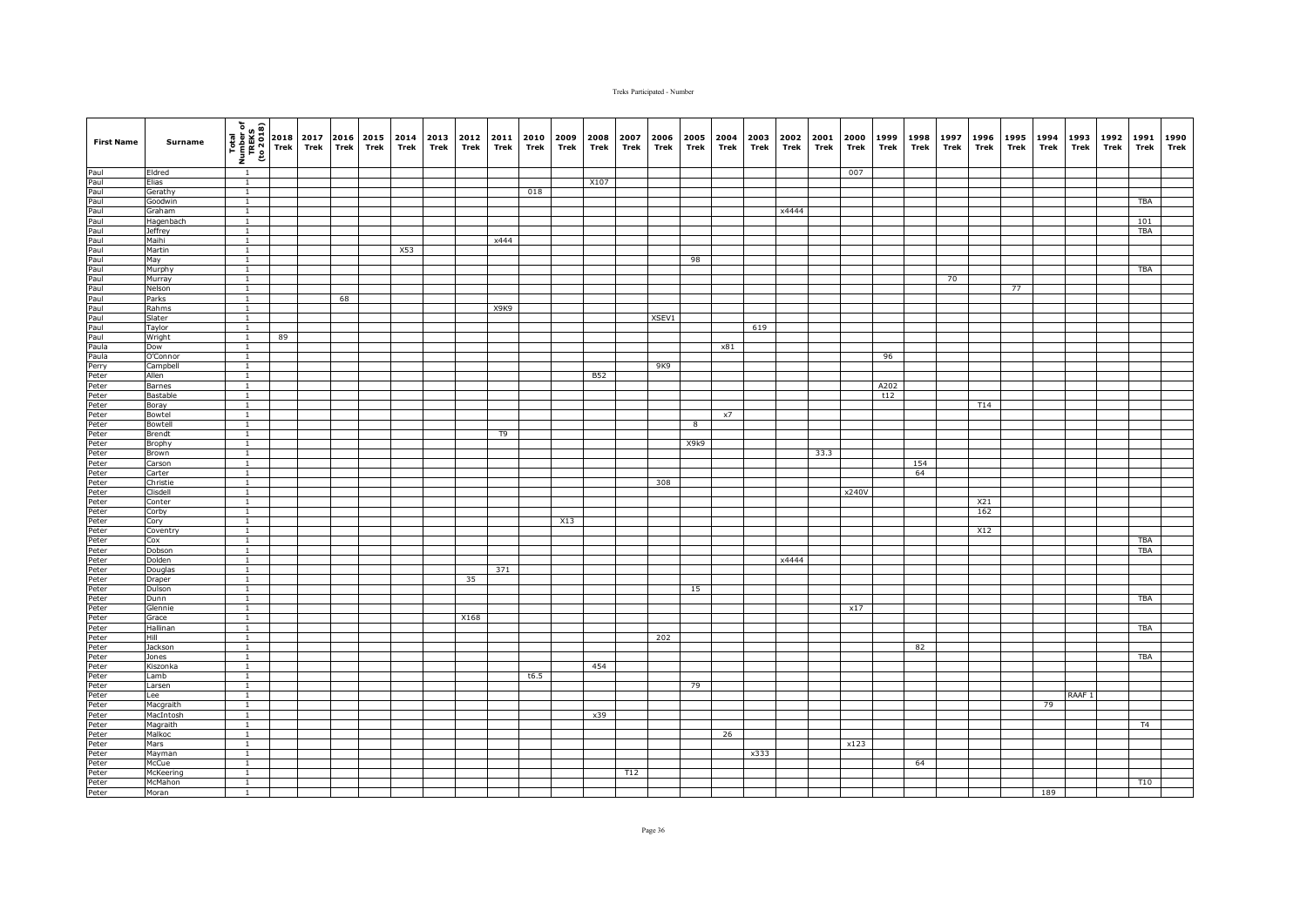| <b>First Name</b> | Surname                 | $\begin{array}{c}\n\hline\n\text{real} \\ \hline\n\text{real} \\ \text{unif } \text{real} \\ \hline\n\text{real} \\ \hline\n\text{real} \\ \hline\n\end{array}$ |    | 2017<br>Trek | Trek | 2016 2015 | Trek | 2014<br>Trek | 2013 2012<br>Trek | Trek | 2011<br>Trek                  | 2010<br>Trek | 2009<br>Trek | 2008<br>Trek | 2007<br>Trek | 2006<br>Trek | 2005<br>Trek | 2004<br>Trek | 2003<br>Trek | 2002<br>Trek | 2001<br>Trek | 2000<br>Trek | 1999<br>Trek | 1998<br>Trek | 1997<br>Trek | 1996<br>Trek | 1995<br>Trek | 1994<br>Trek | 1993<br>Trek      | 1992<br>Trek | 1991<br>Trek | 1990<br>Trek |
|-------------------|-------------------------|-----------------------------------------------------------------------------------------------------------------------------------------------------------------|----|--------------|------|-----------|------|--------------|-------------------|------|-------------------------------|--------------|--------------|--------------|--------------|--------------|--------------|--------------|--------------|--------------|--------------|--------------|--------------|--------------|--------------|--------------|--------------|--------------|-------------------|--------------|--------------|--------------|
|                   | Eldred                  | $\overline{1}$                                                                                                                                                  |    |              |      |           |      |              |                   |      |                               |              |              |              |              |              |              |              |              |              |              | 007          |              |              |              |              |              |              |                   |              |              |              |
|                   | Elias                   | $\overline{1}$                                                                                                                                                  |    |              |      |           |      |              |                   |      |                               |              |              | X107         |              |              |              |              |              |              |              |              |              |              |              |              |              |              |                   |              |              |              |
|                   | Gerathy                 | $\overline{1}$                                                                                                                                                  |    |              |      |           |      |              |                   |      |                               | 018          |              |              |              |              |              |              |              |              |              |              |              |              |              |              |              |              |                   |              |              |              |
|                   | Goodwin                 | $\mathbf{1}$                                                                                                                                                    |    |              |      |           |      |              |                   |      |                               |              |              |              |              |              |              |              |              |              |              |              |              |              |              |              |              |              |                   |              | <b>TBA</b>   |              |
|                   | Graham                  | $\mathbf{1}$                                                                                                                                                    |    |              |      |           |      |              |                   |      |                               |              |              |              |              |              |              |              |              | x4444        |              |              |              |              |              |              |              |              |                   |              |              |              |
|                   | Hagenbach               | $\mathbf{1}$                                                                                                                                                    |    |              |      |           |      |              |                   |      |                               |              |              |              |              |              |              |              |              |              |              |              |              |              |              |              |              |              |                   |              | 101          |              |
|                   | <b>Jeffrey</b><br>Maihi | $\mathbf{1}$<br>$\overline{1}$                                                                                                                                  |    |              |      |           |      |              |                   |      | x444                          |              |              |              |              |              |              |              |              |              |              |              |              |              |              |              |              |              |                   |              | <b>TBA</b>   |              |
|                   | Martin                  | $\overline{1}$                                                                                                                                                  |    |              |      |           |      | X53          |                   |      |                               |              |              |              |              |              |              |              |              |              |              |              |              |              |              |              |              |              |                   |              |              |              |
|                   | May                     | $\overline{1}$                                                                                                                                                  |    |              |      |           |      |              |                   |      |                               |              |              |              |              |              | 98           |              |              |              |              |              |              |              |              |              |              |              |                   |              |              |              |
|                   | Murphy                  | $\mathbf{1}$                                                                                                                                                    |    |              |      |           |      |              |                   |      |                               |              |              |              |              |              |              |              |              |              |              |              |              |              |              |              |              |              |                   |              | TBA          |              |
|                   | Murray                  | $\mathbf{1}$                                                                                                                                                    |    |              |      |           |      |              |                   |      |                               |              |              |              |              |              |              |              |              |              |              |              |              |              | 70           |              |              |              |                   |              |              |              |
|                   | Nelson                  | $\mathbf{1}$                                                                                                                                                    |    |              |      |           |      |              |                   |      |                               |              |              |              |              |              |              |              |              |              |              |              |              |              |              |              | 77           |              |                   |              |              |              |
|                   | Parks                   | $\mathbf{1}$                                                                                                                                                    |    |              | 68   |           |      |              |                   |      |                               |              |              |              |              |              |              |              |              |              |              |              |              |              |              |              |              |              |                   |              |              |              |
|                   | Rahms                   | $\overline{1}$                                                                                                                                                  |    |              |      |           |      |              |                   |      | X <sub>9</sub> K <sub>9</sub> |              |              |              |              |              |              |              |              |              |              |              |              |              |              |              |              |              |                   |              |              |              |
|                   | Slater                  | $\overline{1}$                                                                                                                                                  |    |              |      |           |      |              |                   |      |                               |              |              |              |              | XSEV1        |              |              |              |              |              |              |              |              |              |              |              |              |                   |              |              |              |
|                   | Taylor                  | $\overline{1}$                                                                                                                                                  |    |              |      |           |      |              |                   |      |                               |              |              |              |              |              |              |              | 619          |              |              |              |              |              |              |              |              |              |                   |              |              |              |
|                   | Wright<br>Dow           | $\overline{1}$<br>$\mathbf{1}$                                                                                                                                  | 89 |              |      |           |      |              |                   |      |                               |              |              |              |              |              |              | x81          |              |              |              |              |              |              |              |              |              |              |                   |              |              |              |
|                   | O'Connor                | $\overline{1}$                                                                                                                                                  |    |              |      |           |      |              |                   |      |                               |              |              |              |              |              |              |              |              |              |              |              | 96           |              |              |              |              |              |                   |              |              |              |
|                   | Campbell                | $\mathbf{1}$                                                                                                                                                    |    |              |      |           |      |              |                   |      |                               |              |              |              |              | 9K9          |              |              |              |              |              |              |              |              |              |              |              |              |                   |              |              |              |
|                   | Allen                   | $\mathbf{1}$                                                                                                                                                    |    |              |      |           |      |              |                   |      |                               |              |              | B52          |              |              |              |              |              |              |              |              |              |              |              |              |              |              |                   |              |              |              |
|                   | Barnes                  | $\overline{1}$                                                                                                                                                  |    |              |      |           |      |              |                   |      |                               |              |              |              |              |              |              |              |              |              |              |              | A202         |              |              |              |              |              |                   |              |              |              |
|                   | Bastable                | $\overline{1}$                                                                                                                                                  |    |              |      |           |      |              |                   |      |                               |              |              |              |              |              |              |              |              |              |              |              | t12          |              |              |              |              |              |                   |              |              |              |
|                   | Boray                   | $\overline{1}$                                                                                                                                                  |    |              |      |           |      |              |                   |      |                               |              |              |              |              |              |              |              |              |              |              |              |              |              |              | T14          |              |              |                   |              |              |              |
|                   | Bowtel                  | $\mathbf{1}$                                                                                                                                                    |    |              |      |           |      |              |                   |      |                               |              |              |              |              |              |              | x7           |              |              |              |              |              |              |              |              |              |              |                   |              |              |              |
|                   | Bowtell                 | $\overline{1}$                                                                                                                                                  |    |              |      |           |      |              |                   |      |                               |              |              |              |              |              | 8            |              |              |              |              |              |              |              |              |              |              |              |                   |              |              |              |
|                   | Brendt                  | $\mathbf{1}$                                                                                                                                                    |    |              |      |           |      |              |                   |      | T9                            |              |              |              |              |              |              |              |              |              |              |              |              |              |              |              |              |              |                   |              |              |              |
|                   | Brophy<br>Brown         | $\mathbf{1}$<br>$\mathbf{1}$                                                                                                                                    |    |              |      |           |      |              |                   |      |                               |              |              |              |              |              | X9k9         |              |              |              | 33.3         |              |              |              |              |              |              |              |                   |              |              |              |
|                   | Carson                  | $\overline{1}$                                                                                                                                                  |    |              |      |           |      |              |                   |      |                               |              |              |              |              |              |              |              |              |              |              |              |              | 154          |              |              |              |              |                   |              |              |              |
|                   | Carter                  | $\overline{1}$                                                                                                                                                  |    |              |      |           |      |              |                   |      |                               |              |              |              |              |              |              |              |              |              |              |              |              | 64           |              |              |              |              |                   |              |              |              |
|                   | Christie                | $\mathbf{1}$                                                                                                                                                    |    |              |      |           |      |              |                   |      |                               |              |              |              |              | 308          |              |              |              |              |              |              |              |              |              |              |              |              |                   |              |              |              |
|                   | Clisdell                | $\mathbf{1}$                                                                                                                                                    |    |              |      |           |      |              |                   |      |                               |              |              |              |              |              |              |              |              |              |              | x240V        |              |              |              |              |              |              |                   |              |              |              |
|                   | Conter                  | $\overline{1}$                                                                                                                                                  |    |              |      |           |      |              |                   |      |                               |              |              |              |              |              |              |              |              |              |              |              |              |              |              | X21          |              |              |                   |              |              |              |
|                   | Corby                   | $\mathbf{1}$                                                                                                                                                    |    |              |      |           |      |              |                   |      |                               |              |              |              |              |              |              |              |              |              |              |              |              |              |              | 162          |              |              |                   |              |              |              |
|                   | Cory                    | $\mathbf{1}$                                                                                                                                                    |    |              |      |           |      |              |                   |      |                               |              | X13          |              |              |              |              |              |              |              |              |              |              |              |              |              |              |              |                   |              |              |              |
|                   | Coventry                | $\mathbf{1}$                                                                                                                                                    |    |              |      |           |      |              |                   |      |                               |              |              |              |              |              |              |              |              |              |              |              |              |              |              | X12          |              |              |                   |              |              |              |
|                   | Cox                     | $\mathbf{1}$                                                                                                                                                    |    |              |      |           |      |              |                   |      |                               |              |              |              |              |              |              |              |              |              |              |              |              |              |              |              |              |              |                   |              | TBA          |              |
|                   | Dobson<br>Dolden        | $\overline{1}$<br>$\overline{1}$                                                                                                                                |    |              |      |           |      |              |                   |      |                               |              |              |              |              |              |              |              |              | x4444        |              |              |              |              |              |              |              |              |                   |              | <b>TBA</b>   |              |
|                   | Douglas                 | $\overline{1}$                                                                                                                                                  |    |              |      |           |      |              |                   |      | 371                           |              |              |              |              |              |              |              |              |              |              |              |              |              |              |              |              |              |                   |              |              |              |
|                   | Draper                  | $\mathbf{1}$                                                                                                                                                    |    |              |      |           |      |              |                   | 35   |                               |              |              |              |              |              |              |              |              |              |              |              |              |              |              |              |              |              |                   |              |              |              |
|                   | Dulson                  | $\mathbf{1}$                                                                                                                                                    |    |              |      |           |      |              |                   |      |                               |              |              |              |              |              | 15           |              |              |              |              |              |              |              |              |              |              |              |                   |              |              |              |
|                   | Dunn                    | $\mathbf{1}$                                                                                                                                                    |    |              |      |           |      |              |                   |      |                               |              |              |              |              |              |              |              |              |              |              |              |              |              |              |              |              |              |                   |              | TBA          |              |
|                   | Glennie                 | $\overline{1}$                                                                                                                                                  |    |              |      |           |      |              |                   |      |                               |              |              |              |              |              |              |              |              |              |              | x17          |              |              |              |              |              |              |                   |              |              |              |
|                   | Grace                   | $\overline{1}$                                                                                                                                                  |    |              |      |           |      |              |                   | X168 |                               |              |              |              |              |              |              |              |              |              |              |              |              |              |              |              |              |              |                   |              |              |              |
|                   | Hallinan                | $\overline{1}$                                                                                                                                                  |    |              |      |           |      |              |                   |      |                               |              |              |              |              |              |              |              |              |              |              |              |              |              |              |              |              |              |                   |              | <b>TBA</b>   |              |
|                   | Hill                    | $\overline{1}$                                                                                                                                                  |    |              |      |           |      |              |                   |      |                               |              |              |              |              | 202          |              |              |              |              |              |              |              |              |              |              |              |              |                   |              |              |              |
|                   | Jackson                 | $\mathbf{1}$                                                                                                                                                    |    |              |      |           |      |              |                   |      |                               |              |              |              |              |              |              |              |              |              |              |              |              | 82           |              |              |              |              |                   |              |              |              |
|                   | Jones                   | $\mathbf{1}$                                                                                                                                                    |    |              |      |           |      |              |                   |      |                               |              |              |              |              |              |              |              |              |              |              |              |              |              |              |              |              |              |                   |              | <b>TBA</b>   |              |
|                   | Kiszonka<br>Lamb        | $\mathbf{1}$<br>$\mathbf{1}$                                                                                                                                    |    |              |      |           |      |              |                   |      |                               | t6.5         |              | 454          |              |              |              |              |              |              |              |              |              |              |              |              |              |              |                   |              |              |              |
|                   | Larsen                  | $\overline{1}$                                                                                                                                                  |    |              |      |           |      |              |                   |      |                               |              |              |              |              |              | 79           |              |              |              |              |              |              |              |              |              |              |              |                   |              |              |              |
|                   | Lee                     | $\overline{1}$                                                                                                                                                  |    |              |      |           |      |              |                   |      |                               |              |              |              |              |              |              |              |              |              |              |              |              |              |              |              |              |              | RAAF <sub>1</sub> |              |              |              |
|                   | Macgraith               | $\mathbf{1}$                                                                                                                                                    |    |              |      |           |      |              |                   |      |                               |              |              |              |              |              |              |              |              |              |              |              |              |              |              |              |              | 79           |                   |              |              |              |
|                   | MacIntosh               | $\mathbf{1}$                                                                                                                                                    |    |              |      |           |      |              |                   |      |                               |              |              | x39          |              |              |              |              |              |              |              |              |              |              |              |              |              |              |                   |              |              |              |
|                   | Magraith                | $\mathbf{1}$                                                                                                                                                    |    |              |      |           |      |              |                   |      |                               |              |              |              |              |              |              |              |              |              |              |              |              |              |              |              |              |              |                   |              | T4           |              |
|                   | Malkoc                  | $\mathbf{1}$                                                                                                                                                    |    |              |      |           |      |              |                   |      |                               |              |              |              |              |              |              | 26           |              |              |              |              |              |              |              |              |              |              |                   |              |              |              |
|                   | Mars                    | $\mathbf{1}$                                                                                                                                                    |    |              |      |           |      |              |                   |      |                               |              |              |              |              |              |              |              |              |              |              | x123         |              |              |              |              |              |              |                   |              |              |              |
|                   | Mayman                  | $\overline{1}$                                                                                                                                                  |    |              |      |           |      |              |                   |      |                               |              |              |              |              |              |              |              | x333         |              |              |              |              |              |              |              |              |              |                   |              |              |              |
|                   | McCue                   | $\overline{1}$<br>$\overline{1}$                                                                                                                                |    |              |      |           |      |              |                   |      |                               |              |              |              |              |              |              |              |              |              |              |              |              | 64           |              |              |              |              |                   |              |              |              |
|                   | McKeering<br>McMahon    | $\overline{1}$                                                                                                                                                  |    |              |      |           |      |              |                   |      |                               |              |              |              | T12          |              |              |              |              |              |              |              |              |              |              |              |              |              |                   |              | T10          |              |
|                   | Moran                   | 1                                                                                                                                                               |    |              |      |           |      |              |                   |      |                               |              |              |              |              |              |              |              |              |              |              |              |              |              |              |              |              | 189          |                   |              |              |              |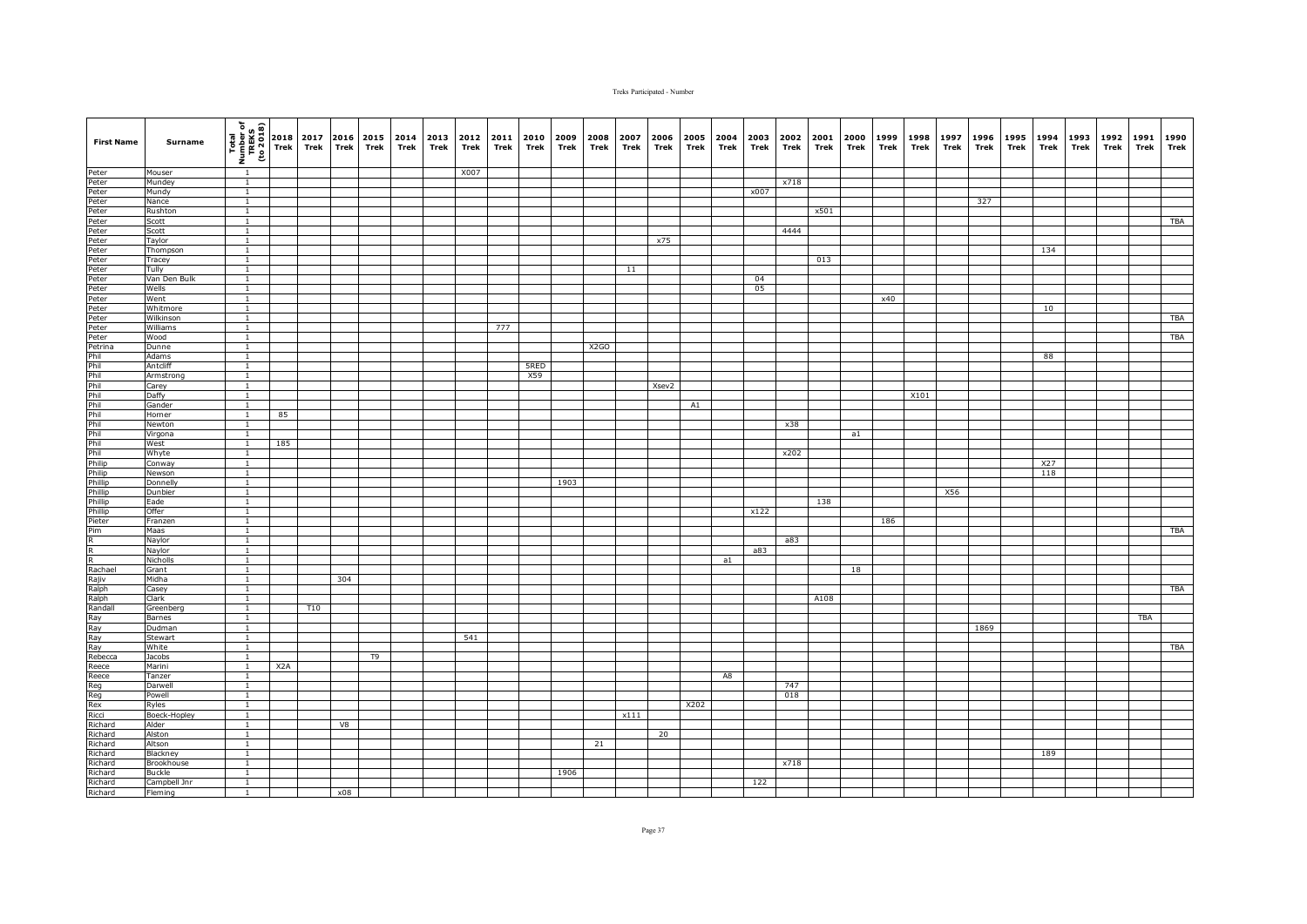| <b>First Name</b>                                                                                                                                                                                                                | Surname            | $\begin{bmatrix} \overline{t} & \overline{u} & \overline{u} \\ \overline{u} & \overline{u} & \overline{u} \\ \overline{u} & \overline{u} & \overline{u} \\ \overline{u} & \overline{u} & \overline{u} \end{bmatrix} \begin{bmatrix} 2018 \\ 2018 \\ \overline{u} & \overline{u} \end{bmatrix}$ |     | 2017<br>Trek | 2016<br><b>Trek</b> | 2015<br>Trek   | 2014<br>Trek | 2013<br>Trek | 2012<br>Trek | 2011<br>Trek | 2010<br>Trek | 2009<br>Trek | 2008<br>Trek | 2007<br>Trek | 2006<br>Trek | 2005<br>Trek | 2004<br>Trek | 2003<br>Trek | 2002<br>Trek | 2001<br>Trek | 2000<br>Trek | 1999<br>Trek | 1998<br>Trek | 1997<br>Trek | 1996<br>Trek | 1995<br>Trek | 1994<br>Trek | 1993<br>Trek | 1992<br>Trek | 1991<br>Trek | 1990<br>Trek |
|----------------------------------------------------------------------------------------------------------------------------------------------------------------------------------------------------------------------------------|--------------------|------------------------------------------------------------------------------------------------------------------------------------------------------------------------------------------------------------------------------------------------------------------------------------------------|-----|--------------|---------------------|----------------|--------------|--------------|--------------|--------------|--------------|--------------|--------------|--------------|--------------|--------------|--------------|--------------|--------------|--------------|--------------|--------------|--------------|--------------|--------------|--------------|--------------|--------------|--------------|--------------|--------------|
|                                                                                                                                                                                                                                  | Mouser             | $\overline{1}$                                                                                                                                                                                                                                                                                 |     |              |                     |                |              |              | X007         |              |              |              |              |              |              |              |              |              |              |              |              |              |              |              |              |              |              |              |              |              |              |
|                                                                                                                                                                                                                                  | Mundey             | $\overline{1}$                                                                                                                                                                                                                                                                                 |     |              |                     |                |              |              |              |              |              |              |              |              |              |              |              |              | x718         |              |              |              |              |              |              |              |              |              |              |              |              |
|                                                                                                                                                                                                                                  | Mundy              | $\overline{1}$                                                                                                                                                                                                                                                                                 |     |              |                     |                |              |              |              |              |              |              |              |              |              |              |              | x007         |              |              |              |              |              |              |              |              |              |              |              |              |              |
|                                                                                                                                                                                                                                  | Nance              | $\mathbf{1}$                                                                                                                                                                                                                                                                                   |     |              |                     |                |              |              |              |              |              |              |              |              |              |              |              |              |              |              |              |              |              |              | 327          |              |              |              |              |              |              |
|                                                                                                                                                                                                                                  | Rushton            | $\mathbf{1}$                                                                                                                                                                                                                                                                                   |     |              |                     |                |              |              |              |              |              |              |              |              |              |              |              |              |              | x501         |              |              |              |              |              |              |              |              |              |              |              |
|                                                                                                                                                                                                                                  | Scott<br>Scott     | $\mathbf{1}$<br>1                                                                                                                                                                                                                                                                              |     |              |                     |                |              |              |              |              |              |              |              |              |              |              |              |              | 4444         |              |              |              |              |              |              |              |              |              |              |              | TBA          |
|                                                                                                                                                                                                                                  | Taylor             | $\overline{1}$                                                                                                                                                                                                                                                                                 |     |              |                     |                |              |              |              |              |              |              |              |              | x75          |              |              |              |              |              |              |              |              |              |              |              |              |              |              |              |              |
|                                                                                                                                                                                                                                  | Thompson           | $\overline{1}$                                                                                                                                                                                                                                                                                 |     |              |                     |                |              |              |              |              |              |              |              |              |              |              |              |              |              |              |              |              |              |              |              |              | 134          |              |              |              |              |
|                                                                                                                                                                                                                                  | Tracey             | $\overline{1}$                                                                                                                                                                                                                                                                                 |     |              |                     |                |              |              |              |              |              |              |              |              |              |              |              |              |              | 013          |              |              |              |              |              |              |              |              |              |              |              |
|                                                                                                                                                                                                                                  | Tully              | $\mathbf{1}$                                                                                                                                                                                                                                                                                   |     |              |                     |                |              |              |              |              |              |              |              | 11           |              |              |              |              |              |              |              |              |              |              |              |              |              |              |              |              |              |
|                                                                                                                                                                                                                                  | Van Den Bulk       | $\mathbf{1}$                                                                                                                                                                                                                                                                                   |     |              |                     |                |              |              |              |              |              |              |              |              |              |              |              | 04           |              |              |              |              |              |              |              |              |              |              |              |              |              |
|                                                                                                                                                                                                                                  | Wells              | $\mathbf{1}$                                                                                                                                                                                                                                                                                   |     |              |                     |                |              |              |              |              |              |              |              |              |              |              |              | 05           |              |              |              |              |              |              |              |              |              |              |              |              |              |
|                                                                                                                                                                                                                                  | Went               | $\mathbf{1}$                                                                                                                                                                                                                                                                                   |     |              |                     |                |              |              |              |              |              |              |              |              |              |              |              |              |              |              |              | x40          |              |              |              |              |              |              |              |              |              |
|                                                                                                                                                                                                                                  | Whitmore           | $\overline{1}$                                                                                                                                                                                                                                                                                 |     |              |                     |                |              |              |              |              |              |              |              |              |              |              |              |              |              |              |              |              |              |              |              |              | 10           |              |              |              |              |
|                                                                                                                                                                                                                                  | Wilkinson          | $\overline{1}$                                                                                                                                                                                                                                                                                 |     |              |                     |                |              |              |              |              |              |              |              |              |              |              |              |              |              |              |              |              |              |              |              |              |              |              |              |              | TBA          |
|                                                                                                                                                                                                                                  | Williams<br>Wood   | $\overline{1}$<br>$\overline{1}$                                                                                                                                                                                                                                                               |     |              |                     |                |              |              |              | 777          |              |              |              |              |              |              |              |              |              |              |              |              |              |              |              |              |              |              |              |              | <b>TBA</b>   |
|                                                                                                                                                                                                                                  | Dunne              | $\mathbf{1}$                                                                                                                                                                                                                                                                                   |     |              |                     |                |              |              |              |              |              |              | X2GO         |              |              |              |              |              |              |              |              |              |              |              |              |              |              |              |              |              |              |
|                                                                                                                                                                                                                                  | Adams              | $\overline{1}$                                                                                                                                                                                                                                                                                 |     |              |                     |                |              |              |              |              |              |              |              |              |              |              |              |              |              |              |              |              |              |              |              |              | 88           |              |              |              |              |
|                                                                                                                                                                                                                                  | Antcliff           | $\mathbf{1}$                                                                                                                                                                                                                                                                                   |     |              |                     |                |              |              |              |              | 5RED         |              |              |              |              |              |              |              |              |              |              |              |              |              |              |              |              |              |              |              |              |
|                                                                                                                                                                                                                                  | Armstron           | $\mathbf{1}$                                                                                                                                                                                                                                                                                   |     |              |                     |                |              |              |              |              | X59          |              |              |              |              |              |              |              |              |              |              |              |              |              |              |              |              |              |              |              |              |
|                                                                                                                                                                                                                                  | Carey              | $\overline{1}$                                                                                                                                                                                                                                                                                 |     |              |                     |                |              |              |              |              |              |              |              |              | Xsev2        |              |              |              |              |              |              |              |              |              |              |              |              |              |              |              |              |
|                                                                                                                                                                                                                                  | Daffy              | $\overline{1}$                                                                                                                                                                                                                                                                                 |     |              |                     |                |              |              |              |              |              |              |              |              |              |              |              |              |              |              |              |              | X101         |              |              |              |              |              |              |              |              |
|                                                                                                                                                                                                                                  | Gander             | $\mathbf{1}$                                                                                                                                                                                                                                                                                   |     |              |                     |                |              |              |              |              |              |              |              |              |              | A1           |              |              |              |              |              |              |              |              |              |              |              |              |              |              |              |
|                                                                                                                                                                                                                                  | Horner             | 1                                                                                                                                                                                                                                                                                              | 85  |              |                     |                |              |              |              |              |              |              |              |              |              |              |              |              |              |              |              |              |              |              |              |              |              |              |              |              |              |
|                                                                                                                                                                                                                                  | Newton             | $\mathbf{1}$                                                                                                                                                                                                                                                                                   |     |              |                     |                |              |              |              |              |              |              |              |              |              |              |              |              | x38          |              |              |              |              |              |              |              |              |              |              |              |              |
|                                                                                                                                                                                                                                  | Virgona<br>West    | $\mathbf{1}$<br>$\mathbf{1}$                                                                                                                                                                                                                                                                   | 185 |              |                     |                |              |              |              |              |              |              |              |              |              |              |              |              |              |              | a1           |              |              |              |              |              |              |              |              |              |              |
|                                                                                                                                                                                                                                  | Whyte              | $\mathbf{1}$                                                                                                                                                                                                                                                                                   |     |              |                     |                |              |              |              |              |              |              |              |              |              |              |              |              | x202         |              |              |              |              |              |              |              |              |              |              |              |              |
|                                                                                                                                                                                                                                  | Conway             | $\mathbf{1}$                                                                                                                                                                                                                                                                                   |     |              |                     |                |              |              |              |              |              |              |              |              |              |              |              |              |              |              |              |              |              |              |              |              | X27          |              |              |              |              |
|                                                                                                                                                                                                                                  | Newson             | $\overline{1}$                                                                                                                                                                                                                                                                                 |     |              |                     |                |              |              |              |              |              |              |              |              |              |              |              |              |              |              |              |              |              |              |              |              | 118          |              |              |              |              |
|                                                                                                                                                                                                                                  | Donnelly           | $\overline{1}$                                                                                                                                                                                                                                                                                 |     |              |                     |                |              |              |              |              |              | 1903         |              |              |              |              |              |              |              |              |              |              |              |              |              |              |              |              |              |              |              |
|                                                                                                                                                                                                                                  | Dunbier            | $\mathbf{1}$                                                                                                                                                                                                                                                                                   |     |              |                     |                |              |              |              |              |              |              |              |              |              |              |              |              |              |              |              |              |              | X56          |              |              |              |              |              |              |              |
|                                                                                                                                                                                                                                  | Eade               | $\overline{1}$                                                                                                                                                                                                                                                                                 |     |              |                     |                |              |              |              |              |              |              |              |              |              |              |              |              |              | 138          |              |              |              |              |              |              |              |              |              |              |              |
|                                                                                                                                                                                                                                  | Offer              | $\mathbf{1}$                                                                                                                                                                                                                                                                                   |     |              |                     |                |              |              |              |              |              |              |              |              |              |              |              | x122         |              |              |              |              |              |              |              |              |              |              |              |              |              |
|                                                                                                                                                                                                                                  | Franzen            | $\mathbf{1}$                                                                                                                                                                                                                                                                                   |     |              |                     |                |              |              |              |              |              |              |              |              |              |              |              |              |              |              |              | 186          |              |              |              |              |              |              |              |              |              |
|                                                                                                                                                                                                                                  | Maas               | $\mathbf{1}$<br>$\mathbf{1}$                                                                                                                                                                                                                                                                   |     |              |                     |                |              |              |              |              |              |              |              |              |              |              |              |              | a83          |              |              |              |              |              |              |              |              |              |              |              | TBA          |
|                                                                                                                                                                                                                                  | Naylor<br>Naylor   | $\mathbf{1}$                                                                                                                                                                                                                                                                                   |     |              |                     |                |              |              |              |              |              |              |              |              |              |              |              | a83          |              |              |              |              |              |              |              |              |              |              |              |              |              |
|                                                                                                                                                                                                                                  | Nicholls           | $\mathbf{1}$                                                                                                                                                                                                                                                                                   |     |              |                     |                |              |              |              |              |              |              |              |              |              |              | a1           |              |              |              |              |              |              |              |              |              |              |              |              |              |              |
|                                                                                                                                                                                                                                  | Grant              | $\mathbf{1}$                                                                                                                                                                                                                                                                                   |     |              |                     |                |              |              |              |              |              |              |              |              |              |              |              |              |              |              | 18           |              |              |              |              |              |              |              |              |              |              |
|                                                                                                                                                                                                                                  | Midha              | $\mathbf{1}$                                                                                                                                                                                                                                                                                   |     |              | 304                 |                |              |              |              |              |              |              |              |              |              |              |              |              |              |              |              |              |              |              |              |              |              |              |              |              |              |
|                                                                                                                                                                                                                                  | Casey              | $\mathbf{1}$                                                                                                                                                                                                                                                                                   |     |              |                     |                |              |              |              |              |              |              |              |              |              |              |              |              |              |              |              |              |              |              |              |              |              |              |              |              | <b>TBA</b>   |
| Peter Retter er eter Peter Peter Peter Peter Peter Peter Peter Peter Peter Peter Peter Peter Peter Peter Peter<br>Peter Peter Peter Peter Peter Peter Peter Peter Peter Peter Peter Peter Peter Peter Peter Peter Peter Peter Pe | Clark              | $\mathbf{1}$                                                                                                                                                                                                                                                                                   |     |              |                     |                |              |              |              |              |              |              |              |              |              |              |              |              |              | A108         |              |              |              |              |              |              |              |              |              |              |              |
|                                                                                                                                                                                                                                  | Greenberg          | $\mathbf{1}$                                                                                                                                                                                                                                                                                   |     | T10          |                     |                |              |              |              |              |              |              |              |              |              |              |              |              |              |              |              |              |              |              |              |              |              |              |              |              |              |
|                                                                                                                                                                                                                                  | Barnes             | $\overline{1}$                                                                                                                                                                                                                                                                                 |     |              |                     |                |              |              |              |              |              |              |              |              |              |              |              |              |              |              |              |              |              |              |              |              |              |              |              | TBA          |              |
|                                                                                                                                                                                                                                  | Dudman             | $\overline{1}$                                                                                                                                                                                                                                                                                 |     |              |                     |                |              |              |              |              |              |              |              |              |              |              |              |              |              |              |              |              |              |              | 1869         |              |              |              |              |              |              |
|                                                                                                                                                                                                                                  | Stewart<br>White   | $\overline{1}$<br>$\mathbf{1}$                                                                                                                                                                                                                                                                 |     |              |                     |                |              |              | 541          |              |              |              |              |              |              |              |              |              |              |              |              |              |              |              |              |              |              |              |              |              | TBA          |
|                                                                                                                                                                                                                                  |                    | $\mathbf{1}$                                                                                                                                                                                                                                                                                   |     |              |                     | T <sub>9</sub> |              |              |              |              |              |              |              |              |              |              |              |              |              |              |              |              |              |              |              |              |              |              |              |              |              |
|                                                                                                                                                                                                                                  | Jacobs<br>Marini   | 1                                                                                                                                                                                                                                                                                              | X2A |              |                     |                |              |              |              |              |              |              |              |              |              |              |              |              |              |              |              |              |              |              |              |              |              |              |              |              |              |
|                                                                                                                                                                                                                                  | Tanzer             | $\mathbf{1}$                                                                                                                                                                                                                                                                                   |     |              |                     |                |              |              |              |              |              |              |              |              |              |              | A8           |              |              |              |              |              |              |              |              |              |              |              |              |              |              |
|                                                                                                                                                                                                                                  | Darwell            | $\overline{1}$                                                                                                                                                                                                                                                                                 |     |              |                     |                |              |              |              |              |              |              |              |              |              |              |              |              | 747          |              |              |              |              |              |              |              |              |              |              |              |              |
|                                                                                                                                                                                                                                  | Powell             | $\overline{1}$                                                                                                                                                                                                                                                                                 |     |              |                     |                |              |              |              |              |              |              |              |              |              |              |              |              | 018          |              |              |              |              |              |              |              |              |              |              |              |              |
|                                                                                                                                                                                                                                  | Ryles              | $\mathbf{1}$                                                                                                                                                                                                                                                                                   |     |              |                     |                |              |              |              |              |              |              |              |              |              | X202         |              |              |              |              |              |              |              |              |              |              |              |              |              |              |              |
|                                                                                                                                                                                                                                  | Boeck-Hopley       | $\mathbf{1}$                                                                                                                                                                                                                                                                                   |     |              |                     |                |              |              |              |              |              |              |              | x111         |              |              |              |              |              |              |              |              |              |              |              |              |              |              |              |              |              |
|                                                                                                                                                                                                                                  | Alder              | 1                                                                                                                                                                                                                                                                                              |     |              | V8                  |                |              |              |              |              |              |              |              |              |              |              |              |              |              |              |              |              |              |              |              |              |              |              |              |              |              |
|                                                                                                                                                                                                                                  | Alston             | $\mathbf{1}$                                                                                                                                                                                                                                                                                   |     |              |                     |                |              |              |              |              |              |              |              |              | 20           |              |              |              |              |              |              |              |              |              |              |              |              |              |              |              |              |
|                                                                                                                                                                                                                                  | Altson<br>Blackney | $\mathbf{1}$<br>$\overline{1}$                                                                                                                                                                                                                                                                 |     |              |                     |                |              |              |              |              |              |              | 21           |              |              |              |              |              |              |              |              |              |              |              |              |              | 189          |              |              |              |              |
|                                                                                                                                                                                                                                  | Brookhouse         | $\overline{1}$                                                                                                                                                                                                                                                                                 |     |              |                     |                |              |              |              |              |              |              |              |              |              |              |              |              | x718         |              |              |              |              |              |              |              |              |              |              |              |              |
|                                                                                                                                                                                                                                  | Buckle             | $\overline{1}$                                                                                                                                                                                                                                                                                 |     |              |                     |                |              |              |              |              |              | 1906         |              |              |              |              |              |              |              |              |              |              |              |              |              |              |              |              |              |              |              |
|                                                                                                                                                                                                                                  | Campbell Jnr       | $\overline{1}$                                                                                                                                                                                                                                                                                 |     |              |                     |                |              |              |              |              |              |              |              |              |              |              |              | 122          |              |              |              |              |              |              |              |              |              |              |              |              |              |
|                                                                                                                                                                                                                                  | Fleming            | $\mathbf{1}$                                                                                                                                                                                                                                                                                   |     |              | x08                 |                |              |              |              |              |              |              |              |              |              |              |              |              |              |              |              |              |              |              |              |              |              |              |              |              |              |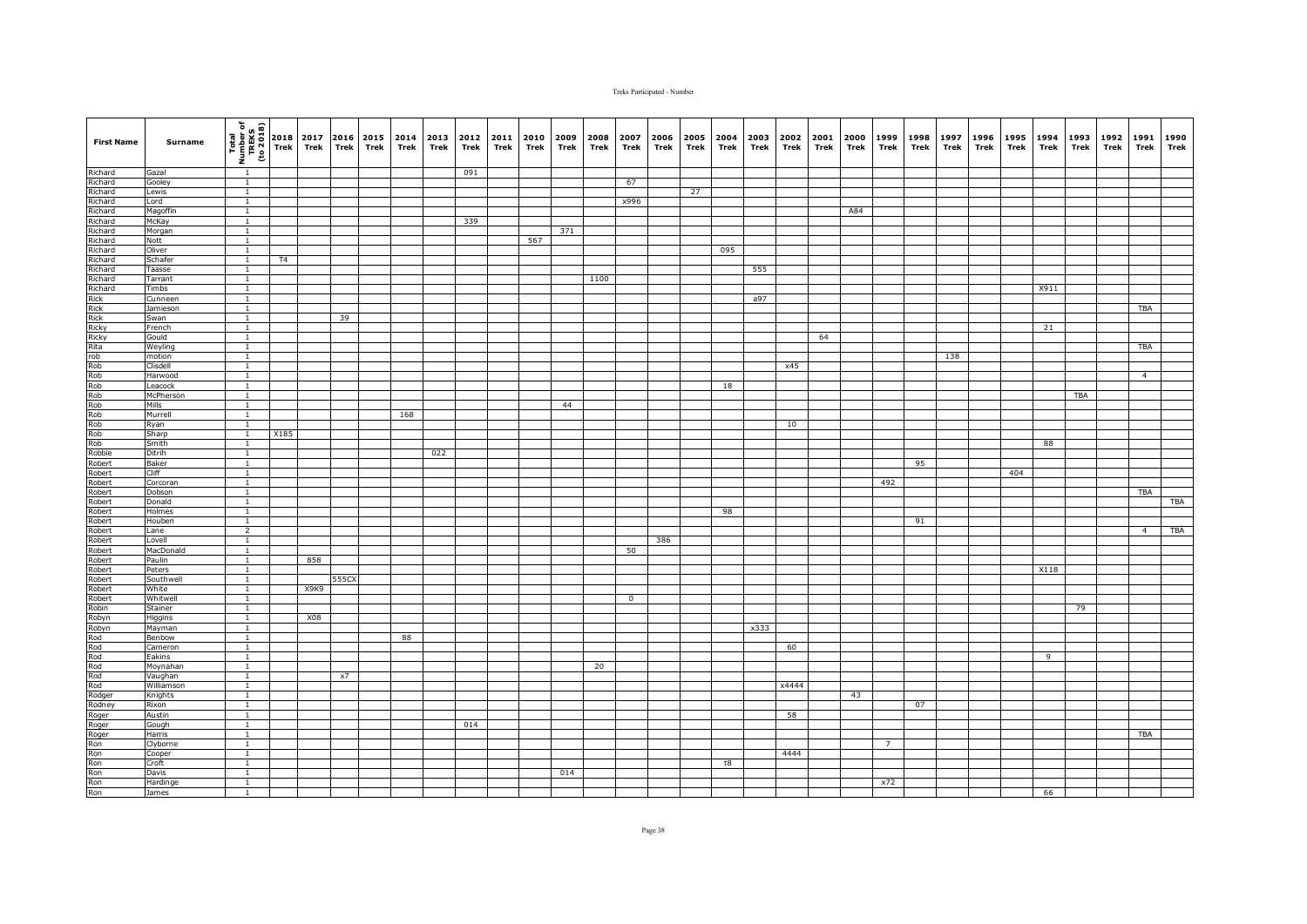| <b>First Name</b>                                                                                                                                                                                                                                                                                               | Surname             | $\begin{array}{c}\n\hline\n\text{real} \\ \hline\n\text{real} \\ \text{unif } \text{real} \\ \hline\n\text{real} \\ \hline\n\text{real} \\ \hline\n\end{array}$ |      | 2017<br>Trek | Trek  | 2016 2015<br>Trek | 2014<br>Trek | 2013 2012<br>Trek | Trek | 2011<br>Trek | 2010<br>Trek | 2009<br>Trek | 2008<br>Trek | 2007<br>Trek | 2006<br>Trek | 2005<br>Trek | 2004<br>Trek | 2003<br>Trek | 2002<br>Trek | 2001<br>Trek | 2000<br>Trek | 1999<br>Trek   | 1998<br>Trek | 1997<br>Trek | 1996<br>Trek | 1995<br>Trek | 1994<br>Trek | 1993<br>Trek | 1992<br>Trek | 1991<br>Trek   | 1990<br>Trek |
|-----------------------------------------------------------------------------------------------------------------------------------------------------------------------------------------------------------------------------------------------------------------------------------------------------------------|---------------------|-----------------------------------------------------------------------------------------------------------------------------------------------------------------|------|--------------|-------|-------------------|--------------|-------------------|------|--------------|--------------|--------------|--------------|--------------|--------------|--------------|--------------|--------------|--------------|--------------|--------------|----------------|--------------|--------------|--------------|--------------|--------------|--------------|--------------|----------------|--------------|
| Richard                                                                                                                                                                                                                                                                                                         | Gazal               | $\overline{1}$                                                                                                                                                  |      |              |       |                   |              |                   | 091  |              |              |              |              |              |              |              |              |              |              |              |              |                |              |              |              |              |              |              |              |                |              |
| Richard<br>Richard                                                                                                                                                                                                                                                                                              | Gooley              | $\overline{1}$                                                                                                                                                  |      |              |       |                   |              |                   |      |              |              |              |              | 67           |              |              |              |              |              |              |              |                |              |              |              |              |              |              |              |                |              |
|                                                                                                                                                                                                                                                                                                                 | Lewis               | $\overline{1}$                                                                                                                                                  |      |              |       |                   |              |                   |      |              |              |              |              |              |              | 27           |              |              |              |              |              |                |              |              |              |              |              |              |              |                |              |
| Richard                                                                                                                                                                                                                                                                                                         | Lord                | $\mathbf{1}$                                                                                                                                                    |      |              |       |                   |              |                   |      |              |              |              |              | x996         |              |              |              |              |              |              |              |                |              |              |              |              |              |              |              |                |              |
| Richard<br>Richard<br>Richard                                                                                                                                                                                                                                                                                   | Magoffin            | $\mathbf{1}$                                                                                                                                                    |      |              |       |                   |              |                   |      |              |              |              |              |              |              |              |              |              |              |              | A84          |                |              |              |              |              |              |              |              |                |              |
|                                                                                                                                                                                                                                                                                                                 | McKay               | $\mathbf{1}$                                                                                                                                                    |      |              |       |                   |              |                   | 339  |              |              |              |              |              |              |              |              |              |              |              |              |                |              |              |              |              |              |              |              |                |              |
|                                                                                                                                                                                                                                                                                                                 | Morgan              | $\mathbf{1}$                                                                                                                                                    |      |              |       |                   |              |                   |      |              |              | 371          |              |              |              |              |              |              |              |              |              |                |              |              |              |              |              |              |              |                |              |
|                                                                                                                                                                                                                                                                                                                 | Nott                | $\overline{1}$                                                                                                                                                  |      |              |       |                   |              |                   |      |              | 567          |              |              |              |              |              |              |              |              |              |              |                |              |              |              |              |              |              |              |                |              |
|                                                                                                                                                                                                                                                                                                                 | Oliver              | $\overline{1}$                                                                                                                                                  |      |              |       |                   |              |                   |      |              |              |              |              |              |              |              | 095          |              |              |              |              |                |              |              |              |              |              |              |              |                |              |
|                                                                                                                                                                                                                                                                                                                 | Schafer             | $\overline{1}$                                                                                                                                                  | T4   |              |       |                   |              |                   |      |              |              |              |              |              |              |              |              |              |              |              |              |                |              |              |              |              |              |              |              |                |              |
|                                                                                                                                                                                                                                                                                                                 | Taasse              | $\mathbf{1}$                                                                                                                                                    |      |              |       |                   |              |                   |      |              |              |              |              |              |              |              |              | 555          |              |              |              |                |              |              |              |              |              |              |              |                |              |
|                                                                                                                                                                                                                                                                                                                 | Tarrant             | $\mathbf{1}$                                                                                                                                                    |      |              |       |                   |              |                   |      |              |              |              | 1100         |              |              |              |              |              |              |              |              |                |              |              |              |              |              |              |              |                |              |
|                                                                                                                                                                                                                                                                                                                 | Timbs               | $\mathbf{1}$                                                                                                                                                    |      |              |       |                   |              |                   |      |              |              |              |              |              |              |              |              |              |              |              |              |                |              |              |              |              | X911         |              |              |                |              |
|                                                                                                                                                                                                                                                                                                                 | Cunneen             | $\mathbf{1}$                                                                                                                                                    |      |              |       |                   |              |                   |      |              |              |              |              |              |              |              |              | a97          |              |              |              |                |              |              |              |              |              |              |              |                |              |
|                                                                                                                                                                                                                                                                                                                 | Jamieson            | $\overline{1}$                                                                                                                                                  |      |              |       |                   |              |                   |      |              |              |              |              |              |              |              |              |              |              |              |              |                |              |              |              |              |              |              |              | <b>TBA</b>     |              |
|                                                                                                                                                                                                                                                                                                                 | Swan                | $\overline{1}$                                                                                                                                                  |      |              | 39    |                   |              |                   |      |              |              |              |              |              |              |              |              |              |              |              |              |                |              |              |              |              |              |              |              |                |              |
|                                                                                                                                                                                                                                                                                                                 | French              | $\overline{1}$                                                                                                                                                  |      |              |       |                   |              |                   |      |              |              |              |              |              |              |              |              |              |              |              |              |                |              |              |              |              | 21           |              |              |                |              |
|                                                                                                                                                                                                                                                                                                                 | Gould<br>Weyling    | $\overline{1}$<br>$\mathbf{1}$                                                                                                                                  |      |              |       |                   |              |                   |      |              |              |              |              |              |              |              |              |              |              | 64           |              |                |              |              |              |              |              |              |              | TBA            |              |
|                                                                                                                                                                                                                                                                                                                 | motion              | $\overline{1}$                                                                                                                                                  |      |              |       |                   |              |                   |      |              |              |              |              |              |              |              |              |              |              |              |              |                |              |              |              |              |              |              |              |                |              |
|                                                                                                                                                                                                                                                                                                                 | Clisdell            | $\mathbf{1}$                                                                                                                                                    |      |              |       |                   |              |                   |      |              |              |              |              |              |              |              |              |              | x45          |              |              |                |              | 138          |              |              |              |              |              |                |              |
|                                                                                                                                                                                                                                                                                                                 | Harwood             | $\mathbf{1}$                                                                                                                                                    |      |              |       |                   |              |                   |      |              |              |              |              |              |              |              |              |              |              |              |              |                |              |              |              |              |              |              |              | $\overline{4}$ |              |
|                                                                                                                                                                                                                                                                                                                 | Leacock             | $\overline{1}$                                                                                                                                                  |      |              |       |                   |              |                   |      |              |              |              |              |              |              |              | 18           |              |              |              |              |                |              |              |              |              |              |              |              |                |              |
|                                                                                                                                                                                                                                                                                                                 | McPherson           | $\overline{1}$                                                                                                                                                  |      |              |       |                   |              |                   |      |              |              |              |              |              |              |              |              |              |              |              |              |                |              |              |              |              |              | <b>TBA</b>   |              |                |              |
|                                                                                                                                                                                                                                                                                                                 | Mills               | $\overline{1}$                                                                                                                                                  |      |              |       |                   |              |                   |      |              |              | 44           |              |              |              |              |              |              |              |              |              |                |              |              |              |              |              |              |              |                |              |
|                                                                                                                                                                                                                                                                                                                 | Murrell             | $\mathbf{1}$                                                                                                                                                    |      |              |       |                   | 168          |                   |      |              |              |              |              |              |              |              |              |              |              |              |              |                |              |              |              |              |              |              |              |                |              |
|                                                                                                                                                                                                                                                                                                                 | Ryan                | $\overline{1}$                                                                                                                                                  |      |              |       |                   |              |                   |      |              |              |              |              |              |              |              |              |              | 10           |              |              |                |              |              |              |              |              |              |              |                |              |
|                                                                                                                                                                                                                                                                                                                 | Sharp               | $\mathbf{1}$                                                                                                                                                    | X185 |              |       |                   |              |                   |      |              |              |              |              |              |              |              |              |              |              |              |              |                |              |              |              |              |              |              |              |                |              |
|                                                                                                                                                                                                                                                                                                                 | Smith               | $\mathbf{1}$                                                                                                                                                    |      |              |       |                   |              |                   |      |              |              |              |              |              |              |              |              |              |              |              |              |                |              |              |              |              | 88           |              |              |                |              |
|                                                                                                                                                                                                                                                                                                                 | Ditrih              | $\mathbf{1}$                                                                                                                                                    |      |              |       |                   |              | 022               |      |              |              |              |              |              |              |              |              |              |              |              |              |                |              |              |              |              |              |              |              |                |              |
| Richard<br>Richard<br>Richard<br>Richard<br>Richard<br>Richard<br>Richard<br>Robbert<br>Robbert<br>Robbert<br>Robbert<br>Robbert<br>Robbert<br>Robbert<br>Robbert<br>Robbert<br>Robbert<br>Robbert<br>Robbert<br>Robbert<br>Robbert<br>Robbert<br>Robbert<br>Robbert<br>Robbert<br>Robbert<br>Robbert<br>Robber | Baker               | $\overline{1}$                                                                                                                                                  |      |              |       |                   |              |                   |      |              |              |              |              |              |              |              |              |              |              |              |              |                | 95           |              |              |              |              |              |              |                |              |
|                                                                                                                                                                                                                                                                                                                 | Cliff               | $\overline{1}$                                                                                                                                                  |      |              |       |                   |              |                   |      |              |              |              |              |              |              |              |              |              |              |              |              |                |              |              |              | 404          |              |              |              |                |              |
|                                                                                                                                                                                                                                                                                                                 | Corcoran            | $\mathbf{1}$                                                                                                                                                    |      |              |       |                   |              |                   |      |              |              |              |              |              |              |              |              |              |              |              |              | 492            |              |              |              |              |              |              |              |                |              |
|                                                                                                                                                                                                                                                                                                                 | Dobson              | $\mathbf{1}$                                                                                                                                                    |      |              |       |                   |              |                   |      |              |              |              |              |              |              |              |              |              |              |              |              |                |              |              |              |              |              |              |              | TBA            |              |
|                                                                                                                                                                                                                                                                                                                 | Donald              | $\overline{1}$                                                                                                                                                  |      |              |       |                   |              |                   |      |              |              |              |              |              |              |              |              |              |              |              |              |                |              |              |              |              |              |              |              |                | <b>TBA</b>   |
|                                                                                                                                                                                                                                                                                                                 | Holmes              | $\mathbf{1}$                                                                                                                                                    |      |              |       |                   |              |                   |      |              |              |              |              |              |              |              | 98           |              |              |              |              |                |              |              |              |              |              |              |              |                |              |
|                                                                                                                                                                                                                                                                                                                 | Houben              | $\mathbf{1}$                                                                                                                                                    |      |              |       |                   |              |                   |      |              |              |              |              |              |              |              |              |              |              |              |              |                | 91           |              |              |              |              |              |              |                |              |
|                                                                                                                                                                                                                                                                                                                 | Lane                | $\overline{2}$                                                                                                                                                  |      |              |       |                   |              |                   |      |              |              |              |              |              |              |              |              |              |              |              |              |                |              |              |              |              |              |              |              | $\overline{4}$ | <b>TBA</b>   |
|                                                                                                                                                                                                                                                                                                                 | Lovell              | $\mathbf{1}$                                                                                                                                                    |      |              |       |                   |              |                   |      |              |              |              |              |              | 386          |              |              |              |              |              |              |                |              |              |              |              |              |              |              |                |              |
|                                                                                                                                                                                                                                                                                                                 | MacDonald           | $\overline{1}$                                                                                                                                                  |      |              |       |                   |              |                   |      |              |              |              |              | 50           |              |              |              |              |              |              |              |                |              |              |              |              |              |              |              |                |              |
|                                                                                                                                                                                                                                                                                                                 | Paulin              | $\mathbf{1}$                                                                                                                                                    |      | 858          |       |                   |              |                   |      |              |              |              |              |              |              |              |              |              |              |              |              |                |              |              |              |              |              |              |              |                |              |
|                                                                                                                                                                                                                                                                                                                 | Peters              | $\overline{1}$                                                                                                                                                  |      |              |       |                   |              |                   |      |              |              |              |              |              |              |              |              |              |              |              |              |                |              |              |              |              | X118         |              |              |                |              |
|                                                                                                                                                                                                                                                                                                                 | Southwell           | $\mathbf{1}$                                                                                                                                                    |      |              | 555CX |                   |              |                   |      |              |              |              |              |              |              |              |              |              |              |              |              |                |              |              |              |              |              |              |              |                |              |
|                                                                                                                                                                                                                                                                                                                 | White               | $\mathbf{1}$                                                                                                                                                    |      | X9K9         |       |                   |              |                   |      |              |              |              |              |              |              |              |              |              |              |              |              |                |              |              |              |              |              |              |              |                |              |
|                                                                                                                                                                                                                                                                                                                 | Whitwell            | $\mathbf{1}$                                                                                                                                                    |      |              |       |                   |              |                   |      |              |              |              |              | $\mathbf 0$  |              |              |              |              |              |              |              |                |              |              |              |              |              |              |              |                |              |
|                                                                                                                                                                                                                                                                                                                 | Stainer             | $\overline{1}$                                                                                                                                                  |      |              |       |                   |              |                   |      |              |              |              |              |              |              |              |              |              |              |              |              |                |              |              |              |              |              | 79           |              |                |              |
|                                                                                                                                                                                                                                                                                                                 | Higgins             | $\overline{1}$                                                                                                                                                  |      | X08          |       |                   |              |                   |      |              |              |              |              |              |              |              |              |              |              |              |              |                |              |              |              |              |              |              |              |                |              |
|                                                                                                                                                                                                                                                                                                                 | Mayman              | $\overline{1}$                                                                                                                                                  |      |              |       |                   |              |                   |      |              |              |              |              |              |              |              |              | x333         |              |              |              |                |              |              |              |              |              |              |              |                |              |
|                                                                                                                                                                                                                                                                                                                 | Benbow              | $\overline{1}$                                                                                                                                                  |      |              |       |                   | 88           |                   |      |              |              |              |              |              |              |              |              |              | 60           |              |              |                |              |              |              |              |              |              |              |                |              |
|                                                                                                                                                                                                                                                                                                                 | Cameron             | $\mathbf{1}$                                                                                                                                                    |      |              |       |                   |              |                   |      |              |              |              |              |              |              |              |              |              |              |              |              |                |              |              |              |              |              |              |              |                |              |
|                                                                                                                                                                                                                                                                                                                 | Eakins              | $\mathbf{1}$<br>$\mathbf{1}$                                                                                                                                    |      |              |       |                   |              |                   |      |              |              |              |              |              |              |              |              |              |              |              |              |                |              |              |              |              | 9            |              |              |                |              |
|                                                                                                                                                                                                                                                                                                                 | Moynahan<br>Vaughan | $\mathbf{1}$                                                                                                                                                    |      |              | x7    |                   |              |                   |      |              |              |              | 20           |              |              |              |              |              |              |              |              |                |              |              |              |              |              |              |              |                |              |
|                                                                                                                                                                                                                                                                                                                 | Williamson          | $\overline{1}$                                                                                                                                                  |      |              |       |                   |              |                   |      |              |              |              |              |              |              |              |              |              | x4444        |              |              |                |              |              |              |              |              |              |              |                |              |
|                                                                                                                                                                                                                                                                                                                 | Knights             | $\overline{1}$                                                                                                                                                  |      |              |       |                   |              |                   |      |              |              |              |              |              |              |              |              |              |              |              | 43           |                |              |              |              |              |              |              |              |                |              |
|                                                                                                                                                                                                                                                                                                                 | Rixon               | $\mathbf{1}$                                                                                                                                                    |      |              |       |                   |              |                   |      |              |              |              |              |              |              |              |              |              |              |              |              |                | 07           |              |              |              |              |              |              |                |              |
|                                                                                                                                                                                                                                                                                                                 | Austin              | $\mathbf{1}$                                                                                                                                                    |      |              |       |                   |              |                   |      |              |              |              |              |              |              |              |              |              | 58           |              |              |                |              |              |              |              |              |              |              |                |              |
|                                                                                                                                                                                                                                                                                                                 | Gough               | $\mathbf{1}$                                                                                                                                                    |      |              |       |                   |              |                   | 014  |              |              |              |              |              |              |              |              |              |              |              |              |                |              |              |              |              |              |              |              |                |              |
|                                                                                                                                                                                                                                                                                                                 | Harris              | $\mathbf{1}$                                                                                                                                                    |      |              |       |                   |              |                   |      |              |              |              |              |              |              |              |              |              |              |              |              |                |              |              |              |              |              |              |              | <b>TBA</b>     |              |
|                                                                                                                                                                                                                                                                                                                 | Clyborne            | $\mathbf{1}$                                                                                                                                                    |      |              |       |                   |              |                   |      |              |              |              |              |              |              |              |              |              |              |              |              | $\overline{7}$ |              |              |              |              |              |              |              |                |              |
|                                                                                                                                                                                                                                                                                                                 | Cooper              | $\overline{1}$                                                                                                                                                  |      |              |       |                   |              |                   |      |              |              |              |              |              |              |              |              |              | 4444         |              |              |                |              |              |              |              |              |              |              |                |              |
|                                                                                                                                                                                                                                                                                                                 | Croft               | $\overline{1}$                                                                                                                                                  |      |              |       |                   |              |                   |      |              |              |              |              |              |              |              | t8           |              |              |              |              |                |              |              |              |              |              |              |              |                |              |
|                                                                                                                                                                                                                                                                                                                 | Davis               | $\mathbf{1}$                                                                                                                                                    |      |              |       |                   |              |                   |      |              |              | 014          |              |              |              |              |              |              |              |              |              |                |              |              |              |              |              |              |              |                |              |
|                                                                                                                                                                                                                                                                                                                 | Hardinge            | $\mathbf{1}$                                                                                                                                                    |      |              |       |                   |              |                   |      |              |              |              |              |              |              |              |              |              |              |              |              | x72            |              |              |              |              |              |              |              |                |              |
| Robert<br>Robert<br>Robert<br>Robert<br>Robert<br>Robert<br>Robert<br>Rod Rod<br>Rod Rod<br>Robert<br>Robert<br>Robert<br>Robert<br>Robert<br>Robert<br>Robert<br>Robert<br>Robert<br>Robert<br>Robert<br>Robert<br>Robert<br>Robert<br>Robert<br>Robert<br>Robert<br>Robert<br>Robert                          | James               | 1                                                                                                                                                               |      |              |       |                   |              |                   |      |              |              |              |              |              |              |              |              |              |              |              |              |                |              |              |              |              | 66           |              |              |                |              |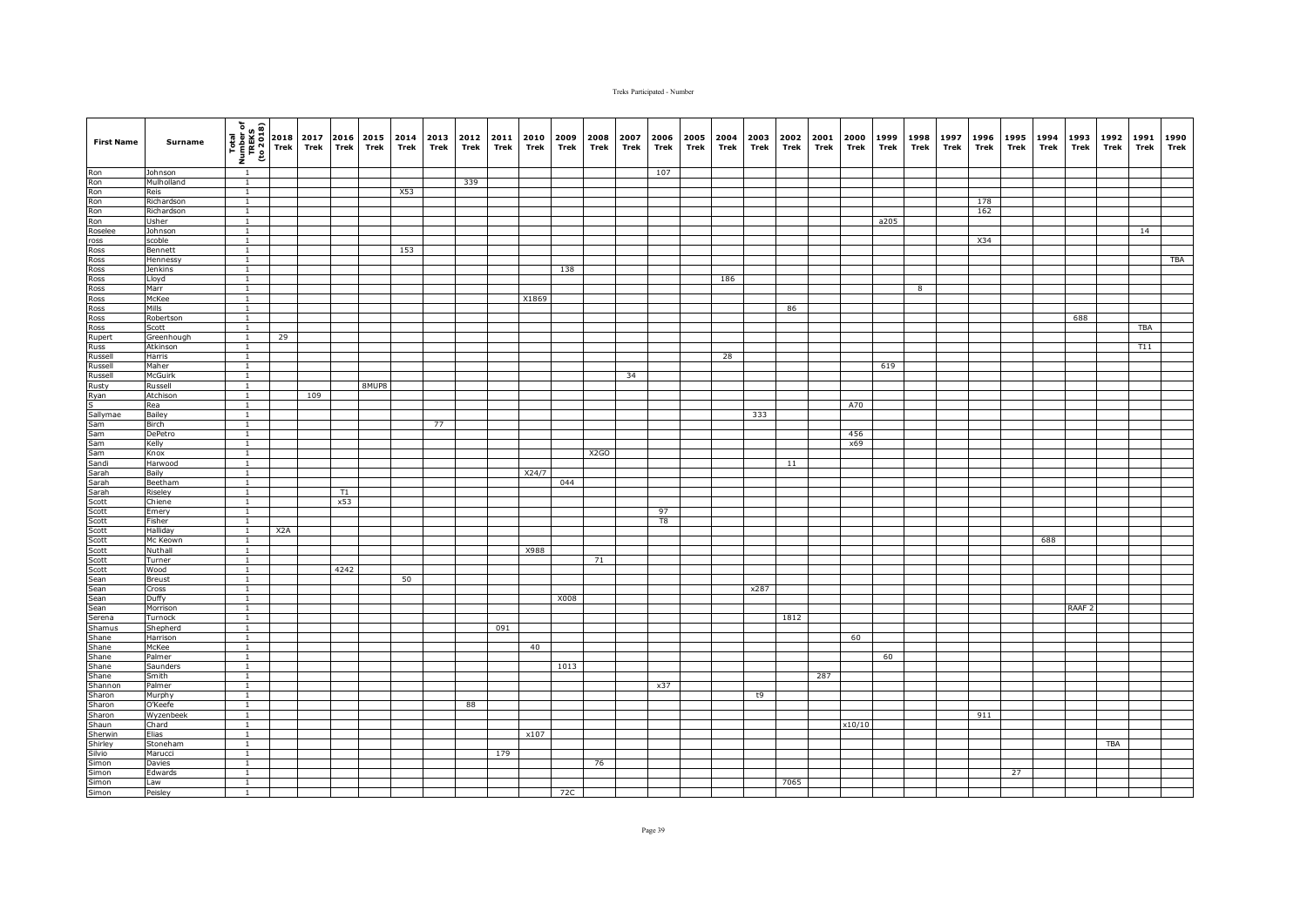| <b>First Name</b>                                                                                                                                                                                                                                                                                                                 | Surname              | $\begin{array}{c c c} & \text{if } a & \text{if } a & \text{if } a & \text{if } a & \text{if } a & \text{if } a & \text{if } a & \text{if } a & \text{if } a & \text{if } a & \text{if } a & \text{if } a & \text{if } a & \text{if } a & \text{if } a & \text{if } a & \text{if } a & \text{if } a & \text{if } a & \text{if } a & \text{if } a & \text{if } a & \text{if } a & \text{if } a & \text{if } a & \text{if } a & \text{if } a & \text{if } a & \text{if } a & \text{if }$ |                  | Trek | <b>Trek</b> | 2017 2016 2015<br>Trek | 2014<br>Trek | 2013<br>Trek | 2012<br>Trek | 2011<br>Trek | 2010<br>Trek | 2009<br>Trek | 2008<br>Trek      | 2007<br>Trek | 2006<br>Trek | 2005<br>Trek | 2004<br>Trek | 2003<br>Trek | 2002<br>Trek | Trek | 2001 2000<br>Trek | 1999<br>Trek | 1998<br>Trek | 1997<br>Trek | 1996<br>Trek | 1995 1994<br>Trek | Trek | 1993<br>Trek      | 1992<br>Trek | 1991<br>Trek | 1990<br>Trek |
|-----------------------------------------------------------------------------------------------------------------------------------------------------------------------------------------------------------------------------------------------------------------------------------------------------------------------------------|----------------------|----------------------------------------------------------------------------------------------------------------------------------------------------------------------------------------------------------------------------------------------------------------------------------------------------------------------------------------------------------------------------------------------------------------------------------------------------------------------------------------|------------------|------|-------------|------------------------|--------------|--------------|--------------|--------------|--------------|--------------|-------------------|--------------|--------------|--------------|--------------|--------------|--------------|------|-------------------|--------------|--------------|--------------|--------------|-------------------|------|-------------------|--------------|--------------|--------------|
| Ron<br>Ron<br>Ron<br>Ron<br>Ron<br>Roselee<br>Pose                                                                                                                                                                                                                                                                                | Johnson              |                                                                                                                                                                                                                                                                                                                                                                                                                                                                                        |                  |      |             |                        |              |              |              |              |              |              |                   |              | 107          |              |              |              |              |      |                   |              |              |              |              |                   |      |                   |              |              |              |
|                                                                                                                                                                                                                                                                                                                                   | Mulholland           | $\mathbf{1}$                                                                                                                                                                                                                                                                                                                                                                                                                                                                           |                  |      |             |                        |              |              | 339          |              |              |              |                   |              |              |              |              |              |              |      |                   |              |              |              |              |                   |      |                   |              |              |              |
|                                                                                                                                                                                                                                                                                                                                   | Reis                 | $\overline{1}$                                                                                                                                                                                                                                                                                                                                                                                                                                                                         |                  |      |             |                        | X53          |              |              |              |              |              |                   |              |              |              |              |              |              |      |                   |              |              |              |              |                   |      |                   |              |              |              |
|                                                                                                                                                                                                                                                                                                                                   | Richardson           | $\mathbf{1}$                                                                                                                                                                                                                                                                                                                                                                                                                                                                           |                  |      |             |                        |              |              |              |              |              |              |                   |              |              |              |              |              |              |      |                   |              |              |              | 178          |                   |      |                   |              |              |              |
|                                                                                                                                                                                                                                                                                                                                   | Richardson           | $\overline{1}$                                                                                                                                                                                                                                                                                                                                                                                                                                                                         |                  |      |             |                        |              |              |              |              |              |              |                   |              |              |              |              |              |              |      |                   |              |              |              | 162          |                   |      |                   |              |              |              |
|                                                                                                                                                                                                                                                                                                                                   | Usher                | $\mathbf{1}$                                                                                                                                                                                                                                                                                                                                                                                                                                                                           |                  |      |             |                        |              |              |              |              |              |              |                   |              |              |              |              |              |              |      |                   | a205         |              |              |              |                   |      |                   |              |              |              |
|                                                                                                                                                                                                                                                                                                                                   | Johnson<br>scoble    | $\mathbf{1}$<br>$\mathbf{1}$                                                                                                                                                                                                                                                                                                                                                                                                                                                           |                  |      |             |                        |              |              |              |              |              |              |                   |              |              |              |              |              |              |      |                   |              |              |              | X34          |                   |      |                   |              | 14           |              |
|                                                                                                                                                                                                                                                                                                                                   | Bennett              | $\overline{1}$                                                                                                                                                                                                                                                                                                                                                                                                                                                                         |                  |      |             |                        | 153          |              |              |              |              |              |                   |              |              |              |              |              |              |      |                   |              |              |              |              |                   |      |                   |              |              |              |
|                                                                                                                                                                                                                                                                                                                                   | Hennessy             | $\overline{1}$                                                                                                                                                                                                                                                                                                                                                                                                                                                                         |                  |      |             |                        |              |              |              |              |              |              |                   |              |              |              |              |              |              |      |                   |              |              |              |              |                   |      |                   |              |              | <b>TBA</b>   |
|                                                                                                                                                                                                                                                                                                                                   | Jenkins              | $\mathbf{1}$                                                                                                                                                                                                                                                                                                                                                                                                                                                                           |                  |      |             |                        |              |              |              |              |              | 138          |                   |              |              |              |              |              |              |      |                   |              |              |              |              |                   |      |                   |              |              |              |
|                                                                                                                                                                                                                                                                                                                                   | Lloyd                | $\overline{1}$                                                                                                                                                                                                                                                                                                                                                                                                                                                                         |                  |      |             |                        |              |              |              |              |              |              |                   |              |              |              | 186          |              |              |      |                   |              |              |              |              |                   |      |                   |              |              |              |
|                                                                                                                                                                                                                                                                                                                                   | Marr                 | $\mathbf{1}$                                                                                                                                                                                                                                                                                                                                                                                                                                                                           |                  |      |             |                        |              |              |              |              |              |              |                   |              |              |              |              |              |              |      |                   |              | 8            |              |              |                   |      |                   |              |              |              |
|                                                                                                                                                                                                                                                                                                                                   | McKee                | $\overline{1}$                                                                                                                                                                                                                                                                                                                                                                                                                                                                         |                  |      |             |                        |              |              |              |              | X1869        |              |                   |              |              |              |              |              |              |      |                   |              |              |              |              |                   |      |                   |              |              |              |
|                                                                                                                                                                                                                                                                                                                                   | Mills                | $\overline{1}$                                                                                                                                                                                                                                                                                                                                                                                                                                                                         |                  |      |             |                        |              |              |              |              |              |              |                   |              |              |              |              |              | 86           |      |                   |              |              |              |              |                   |      |                   |              |              |              |
|                                                                                                                                                                                                                                                                                                                                   | Robertson            | $\mathbf{1}$                                                                                                                                                                                                                                                                                                                                                                                                                                                                           |                  |      |             |                        |              |              |              |              |              |              |                   |              |              |              |              |              |              |      |                   |              |              |              |              |                   |      | 688               |              |              |              |
|                                                                                                                                                                                                                                                                                                                                   | Scott                | $\mathbf{1}$                                                                                                                                                                                                                                                                                                                                                                                                                                                                           |                  |      |             |                        |              |              |              |              |              |              |                   |              |              |              |              |              |              |      |                   |              |              |              |              |                   |      |                   |              | TBA          |              |
|                                                                                                                                                                                                                                                                                                                                   | Greenhough           | $\overline{1}$                                                                                                                                                                                                                                                                                                                                                                                                                                                                         | 29               |      |             |                        |              |              |              |              |              |              |                   |              |              |              |              |              |              |      |                   |              |              |              |              |                   |      |                   |              |              |              |
|                                                                                                                                                                                                                                                                                                                                   | Atkinson             | $\mathbf{1}$                                                                                                                                                                                                                                                                                                                                                                                                                                                                           |                  |      |             |                        |              |              |              |              |              |              |                   |              |              |              |              |              |              |      |                   |              |              |              |              |                   |      |                   |              | T11          |              |
|                                                                                                                                                                                                                                                                                                                                   | Harris               | $\mathbf{1}$                                                                                                                                                                                                                                                                                                                                                                                                                                                                           |                  |      |             |                        |              |              |              |              |              |              |                   |              |              |              | 28           |              |              |      |                   |              |              |              |              |                   |      |                   |              |              |              |
| Russell<br>Russell                                                                                                                                                                                                                                                                                                                | Maher                | $\mathbf{1}$                                                                                                                                                                                                                                                                                                                                                                                                                                                                           |                  |      |             |                        |              |              |              |              |              |              |                   |              |              |              |              |              |              |      |                   | 619          |              |              |              |                   |      |                   |              |              |              |
|                                                                                                                                                                                                                                                                                                                                   | McGuirk              | $\mathbf{1}$                                                                                                                                                                                                                                                                                                                                                                                                                                                                           |                  |      |             |                        |              |              |              |              |              |              |                   | 34           |              |              |              |              |              |      |                   |              |              |              |              |                   |      |                   |              |              |              |
| Rusty                                                                                                                                                                                                                                                                                                                             | Russell              | $\mathbf{1}$                                                                                                                                                                                                                                                                                                                                                                                                                                                                           |                  |      |             | 8MUP8                  |              |              |              |              |              |              |                   |              |              |              |              |              |              |      |                   |              |              |              |              |                   |      |                   |              |              |              |
|                                                                                                                                                                                                                                                                                                                                   | Atchison             | $\overline{1}$                                                                                                                                                                                                                                                                                                                                                                                                                                                                         |                  | 109  |             |                        |              |              |              |              |              |              |                   |              |              |              |              |              |              |      |                   |              |              |              |              |                   |      |                   |              |              |              |
|                                                                                                                                                                                                                                                                                                                                   | Rea                  | $\overline{1}$                                                                                                                                                                                                                                                                                                                                                                                                                                                                         |                  |      |             |                        |              |              |              |              |              |              |                   |              |              |              |              |              |              |      | A70               |              |              |              |              |                   |      |                   |              |              |              |
|                                                                                                                                                                                                                                                                                                                                   | Bailey               | $\mathbf{1}$                                                                                                                                                                                                                                                                                                                                                                                                                                                                           |                  |      |             |                        |              |              |              |              |              |              |                   |              |              |              |              | 333          |              |      |                   |              |              |              |              |                   |      |                   |              |              |              |
|                                                                                                                                                                                                                                                                                                                                   | Birch                | $\overline{1}$                                                                                                                                                                                                                                                                                                                                                                                                                                                                         |                  |      |             |                        |              | 77           |              |              |              |              |                   |              |              |              |              |              |              |      |                   |              |              |              |              |                   |      |                   |              |              |              |
|                                                                                                                                                                                                                                                                                                                                   | DePetro              | $\overline{1}$<br>$\overline{1}$                                                                                                                                                                                                                                                                                                                                                                                                                                                       |                  |      |             |                        |              |              |              |              |              |              |                   |              |              |              |              |              |              |      | 456<br>x69        |              |              |              |              |                   |      |                   |              |              |              |
|                                                                                                                                                                                                                                                                                                                                   | Kelly<br>Knox        | $\mathbf{1}$                                                                                                                                                                                                                                                                                                                                                                                                                                                                           |                  |      |             |                        |              |              |              |              |              |              | X <sub>2</sub> GO |              |              |              |              |              |              |      |                   |              |              |              |              |                   |      |                   |              |              |              |
|                                                                                                                                                                                                                                                                                                                                   | Harwood              | $\mathbf{1}$                                                                                                                                                                                                                                                                                                                                                                                                                                                                           |                  |      |             |                        |              |              |              |              |              |              |                   |              |              |              |              |              | 11           |      |                   |              |              |              |              |                   |      |                   |              |              |              |
|                                                                                                                                                                                                                                                                                                                                   | Baily                | $\overline{1}$                                                                                                                                                                                                                                                                                                                                                                                                                                                                         |                  |      |             |                        |              |              |              |              | X24/7        |              |                   |              |              |              |              |              |              |      |                   |              |              |              |              |                   |      |                   |              |              |              |
|                                                                                                                                                                                                                                                                                                                                   | Beetham              | $\mathbf{1}$                                                                                                                                                                                                                                                                                                                                                                                                                                                                           |                  |      |             |                        |              |              |              |              |              | 044          |                   |              |              |              |              |              |              |      |                   |              |              |              |              |                   |      |                   |              |              |              |
|                                                                                                                                                                                                                                                                                                                                   | Riseley              | $\mathbf{1}$                                                                                                                                                                                                                                                                                                                                                                                                                                                                           |                  |      | T1          |                        |              |              |              |              |              |              |                   |              |              |              |              |              |              |      |                   |              |              |              |              |                   |      |                   |              |              |              |
|                                                                                                                                                                                                                                                                                                                                   | Chiene               | $\mathbf{1}$                                                                                                                                                                                                                                                                                                                                                                                                                                                                           |                  |      | x53         |                        |              |              |              |              |              |              |                   |              |              |              |              |              |              |      |                   |              |              |              |              |                   |      |                   |              |              |              |
|                                                                                                                                                                                                                                                                                                                                   | Emery                | $\mathbf{1}$                                                                                                                                                                                                                                                                                                                                                                                                                                                                           |                  |      |             |                        |              |              |              |              |              |              |                   |              | 97           |              |              |              |              |      |                   |              |              |              |              |                   |      |                   |              |              |              |
|                                                                                                                                                                                                                                                                                                                                   | Fisher               | $\overline{1}$                                                                                                                                                                                                                                                                                                                                                                                                                                                                         |                  |      |             |                        |              |              |              |              |              |              |                   |              | T8           |              |              |              |              |      |                   |              |              |              |              |                   |      |                   |              |              |              |
|                                                                                                                                                                                                                                                                                                                                   | Halliday             |                                                                                                                                                                                                                                                                                                                                                                                                                                                                                        | X <sub>2</sub> A |      |             |                        |              |              |              |              |              |              |                   |              |              |              |              |              |              |      |                   |              |              |              |              |                   |      |                   |              |              |              |
|                                                                                                                                                                                                                                                                                                                                   | Mc Keown             | $\mathbf{1}$                                                                                                                                                                                                                                                                                                                                                                                                                                                                           |                  |      |             |                        |              |              |              |              |              |              |                   |              |              |              |              |              |              |      |                   |              |              |              |              |                   | 688  |                   |              |              |              |
|                                                                                                                                                                                                                                                                                                                                   | Nuthall              | $\overline{1}$                                                                                                                                                                                                                                                                                                                                                                                                                                                                         |                  |      |             |                        |              |              |              |              | X988         |              |                   |              |              |              |              |              |              |      |                   |              |              |              |              |                   |      |                   |              |              |              |
|                                                                                                                                                                                                                                                                                                                                   | Turner               | $\mathbf{1}$                                                                                                                                                                                                                                                                                                                                                                                                                                                                           |                  |      |             |                        |              |              |              |              |              |              | 71                |              |              |              |              |              |              |      |                   |              |              |              |              |                   |      |                   |              |              |              |
|                                                                                                                                                                                                                                                                                                                                   | Wood                 | $\mathbf{1}$                                                                                                                                                                                                                                                                                                                                                                                                                                                                           |                  |      | 4242        |                        |              |              |              |              |              |              |                   |              |              |              |              |              |              |      |                   |              |              |              |              |                   |      |                   |              |              |              |
| Ryan<br>Salah Samman<br>Samman Samman<br>Samman<br>Saman<br>Sacott Scott<br>Scott<br>Scott<br>Scott<br>Scott<br>Scott<br>Scott<br>Scott<br>Scott<br>Scott<br>Scott<br>Scott<br>Scott<br>Scott<br>Scott<br>Scott<br>Scott<br>Scott<br>Scott<br>Scott<br>Scott<br>Scott<br>Scott<br>Scott<br>Scott<br>Scott<br>Scott<br>Scott<br>Sc | <b>Breust</b>        | $\overline{1}$                                                                                                                                                                                                                                                                                                                                                                                                                                                                         |                  |      |             |                        | 50           |              |              |              |              |              |                   |              |              |              |              |              |              |      |                   |              |              |              |              |                   |      |                   |              |              |              |
|                                                                                                                                                                                                                                                                                                                                   | Cross                | $\overline{1}$                                                                                                                                                                                                                                                                                                                                                                                                                                                                         |                  |      |             |                        |              |              |              |              |              |              |                   |              |              |              |              | x287         |              |      |                   |              |              |              |              |                   |      |                   |              |              |              |
|                                                                                                                                                                                                                                                                                                                                   | Duffy                | $\mathbf{1}$                                                                                                                                                                                                                                                                                                                                                                                                                                                                           |                  |      |             |                        |              |              |              |              |              | X008         |                   |              |              |              |              |              |              |      |                   |              |              |              |              |                   |      |                   |              |              |              |
|                                                                                                                                                                                                                                                                                                                                   | Morrison             |                                                                                                                                                                                                                                                                                                                                                                                                                                                                                        |                  |      |             |                        |              |              |              |              |              |              |                   |              |              |              |              |              |              |      |                   |              |              |              |              |                   |      | RAAF <sub>2</sub> |              |              |              |
|                                                                                                                                                                                                                                                                                                                                   | Turnock              | $\mathbf{1}$<br>$\overline{1}$                                                                                                                                                                                                                                                                                                                                                                                                                                                         |                  |      |             |                        |              |              |              |              |              |              |                   |              |              |              |              |              | 1812         |      |                   |              |              |              |              |                   |      |                   |              |              |              |
|                                                                                                                                                                                                                                                                                                                                   | Shepherd<br>Harrison | $\mathbf{1}$                                                                                                                                                                                                                                                                                                                                                                                                                                                                           |                  |      |             |                        |              |              |              | 091          |              |              |                   |              |              |              |              |              |              |      | 60                |              |              |              |              |                   |      |                   |              |              |              |
|                                                                                                                                                                                                                                                                                                                                   | McKee                | $\mathbf{1}$                                                                                                                                                                                                                                                                                                                                                                                                                                                                           |                  |      |             |                        |              |              |              |              | 40           |              |                   |              |              |              |              |              |              |      |                   |              |              |              |              |                   |      |                   |              |              |              |
| Shane                                                                                                                                                                                                                                                                                                                             | Palmer               | $\mathbf{1}$                                                                                                                                                                                                                                                                                                                                                                                                                                                                           |                  |      |             |                        |              |              |              |              |              |              |                   |              |              |              |              |              |              |      |                   | 60           |              |              |              |                   |      |                   |              |              |              |
|                                                                                                                                                                                                                                                                                                                                   | Saunders             | $\overline{1}$                                                                                                                                                                                                                                                                                                                                                                                                                                                                         |                  |      |             |                        |              |              |              |              |              | 1013         |                   |              |              |              |              |              |              |      |                   |              |              |              |              |                   |      |                   |              |              |              |
| Shane<br>Shane                                                                                                                                                                                                                                                                                                                    | Smith                | $\mathbf{1}$                                                                                                                                                                                                                                                                                                                                                                                                                                                                           |                  |      |             |                        |              |              |              |              |              |              |                   |              |              |              |              |              |              | 287  |                   |              |              |              |              |                   |      |                   |              |              |              |
|                                                                                                                                                                                                                                                                                                                                   | Palmer               | <sup>1</sup>                                                                                                                                                                                                                                                                                                                                                                                                                                                                           |                  |      |             |                        |              |              |              |              |              |              |                   |              | x37          |              |              |              |              |      |                   |              |              |              |              |                   |      |                   |              |              |              |
| Shannon<br>Sharon<br>Sharon<br>Sharon                                                                                                                                                                                                                                                                                             | Murphy               | $\overline{1}$                                                                                                                                                                                                                                                                                                                                                                                                                                                                         |                  |      |             |                        |              |              |              |              |              |              |                   |              |              |              |              | t9           |              |      |                   |              |              |              |              |                   |      |                   |              |              |              |
|                                                                                                                                                                                                                                                                                                                                   | O'Keefe              | 1                                                                                                                                                                                                                                                                                                                                                                                                                                                                                      |                  |      |             |                        |              |              | 88           |              |              |              |                   |              |              |              |              |              |              |      |                   |              |              |              |              |                   |      |                   |              |              |              |
|                                                                                                                                                                                                                                                                                                                                   | Wyzenbeek            | $\mathbf{1}$                                                                                                                                                                                                                                                                                                                                                                                                                                                                           |                  |      |             |                        |              |              |              |              |              |              |                   |              |              |              |              |              |              |      |                   |              |              |              | 911          |                   |      |                   |              |              |              |
| Shaun<br>Sherwin                                                                                                                                                                                                                                                                                                                  | Chard                | <sup>1</sup>                                                                                                                                                                                                                                                                                                                                                                                                                                                                           |                  |      |             |                        |              |              |              |              |              |              |                   |              |              |              |              |              |              |      | x10/10            |              |              |              |              |                   |      |                   |              |              |              |
|                                                                                                                                                                                                                                                                                                                                   | Elias                | $\overline{1}$                                                                                                                                                                                                                                                                                                                                                                                                                                                                         |                  |      |             |                        |              |              |              |              | x107         |              |                   |              |              |              |              |              |              |      |                   |              |              |              |              |                   |      |                   |              |              |              |
| Shirley                                                                                                                                                                                                                                                                                                                           | Stoneham             | $\overline{1}$                                                                                                                                                                                                                                                                                                                                                                                                                                                                         |                  |      |             |                        |              |              |              |              |              |              |                   |              |              |              |              |              |              |      |                   |              |              |              |              |                   |      |                   | TBA          |              |              |
| Silvio                                                                                                                                                                                                                                                                                                                            | Marucci              | $\mathbf{1}$                                                                                                                                                                                                                                                                                                                                                                                                                                                                           |                  |      |             |                        |              |              |              | 179          |              |              |                   |              |              |              |              |              |              |      |                   |              |              |              |              |                   |      |                   |              |              |              |
| Simon                                                                                                                                                                                                                                                                                                                             | Davies               | $\overline{1}$                                                                                                                                                                                                                                                                                                                                                                                                                                                                         |                  |      |             |                        |              |              |              |              |              |              | 76                |              |              |              |              |              |              |      |                   |              |              |              |              |                   |      |                   |              |              |              |
| Simon<br>Simon<br>Simon                                                                                                                                                                                                                                                                                                           | Edwards              | $\mathbf{1}$                                                                                                                                                                                                                                                                                                                                                                                                                                                                           |                  |      |             |                        |              |              |              |              |              |              |                   |              |              |              |              |              |              |      |                   |              |              |              |              | 27                |      |                   |              |              |              |
|                                                                                                                                                                                                                                                                                                                                   | Law                  | $\mathbf{1}$                                                                                                                                                                                                                                                                                                                                                                                                                                                                           |                  |      |             |                        |              |              |              |              |              |              |                   |              |              |              |              |              | 7065         |      |                   |              |              |              |              |                   |      |                   |              |              |              |
|                                                                                                                                                                                                                                                                                                                                   | Peisley              | $\mathbf{1}$                                                                                                                                                                                                                                                                                                                                                                                                                                                                           |                  |      |             |                        |              |              |              |              |              | 72C          |                   |              |              |              |              |              |              |      |                   |              |              |              |              |                   |      |                   |              |              |              |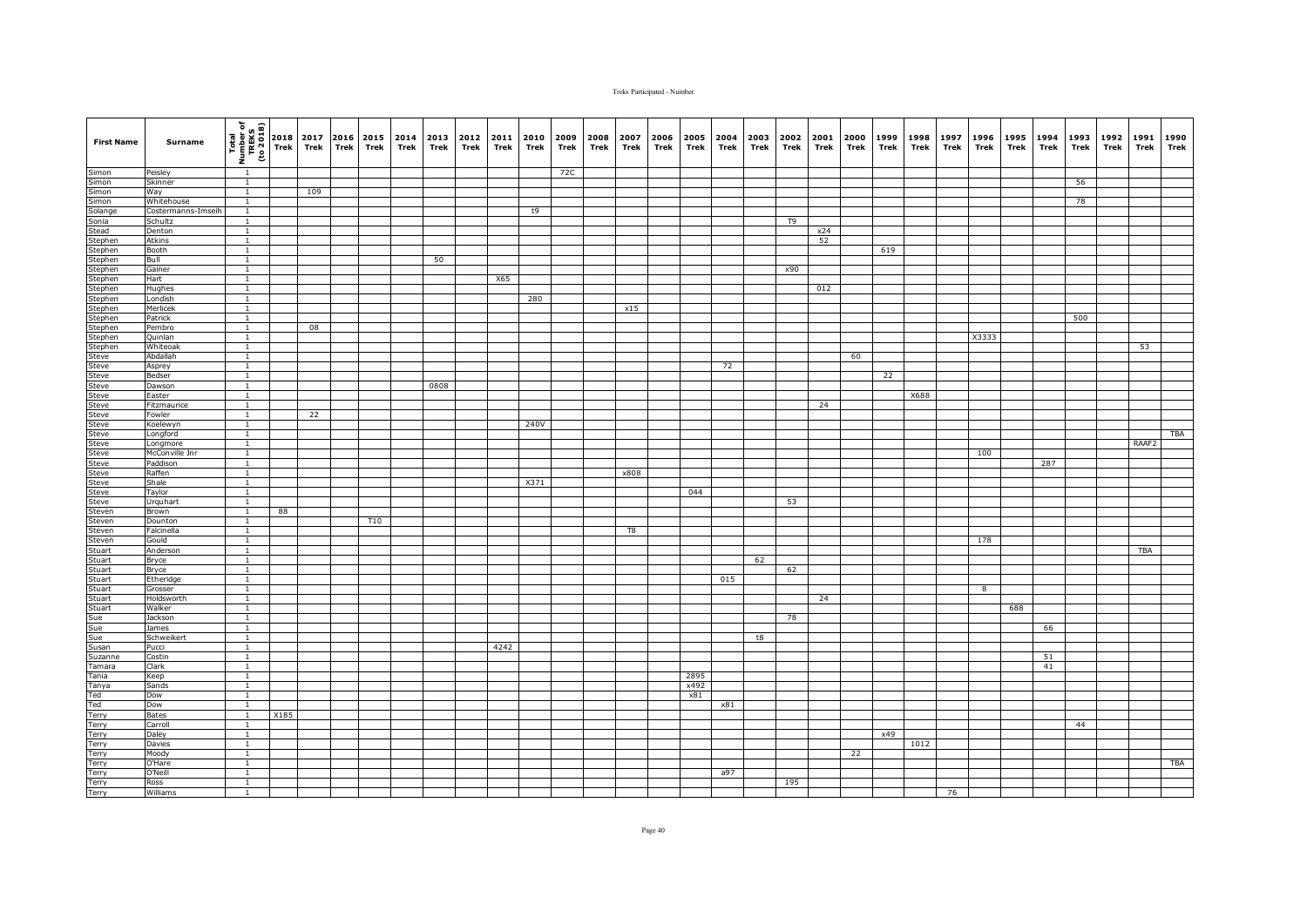| <b>First Name</b>                                                                                   | Surname                    | $\begin{array}{c}\n\hline\n\text{1} & \text{1} & \text{1} \\ \hline\n\text{1} & \text{1} & \text{1} \\ \hline\n\text{2} & \text{2} & \text{2} \\ \hline\n\text{3} & \text{3} & \text{3} \\ \hline\n\text{4} & \text{5} & \text{2} \\ \hline\n\text{5} & \text{1} & \text{1} \\ \hline\n\text{6} & \text{1} & \text{1} \\ \hline\n\text{7} & \text{1} & \text{1} \\ \hline\n\text{8} & \text{1} & \text{1} \\ \hline\n\text{9} & \text{1$ |      | 2017<br>Trek | 2016 2015<br>Trek | Trek       | 2014<br>Trek | 2013 2012<br>Trek | Trek | 2011<br>Trek | 2010<br>Trek | 2009<br>Trek | 2008<br>Trek | 2007<br>Trek | 2006<br>Trek | 2005<br>Trek | 2004<br>Trek | 2003<br>Trek | 2002<br>Trek   | 2001<br>Trek | 2000<br>Trek | 1999<br>Trek | 1998<br>Trek | 1997<br>Trek | 1996<br>Trek | 1995<br>Trek | 1994<br>Trek | 1993<br>Trek | 1992<br>Trek | 1991<br>Trek | 1990<br>Trek |
|-----------------------------------------------------------------------------------------------------|----------------------------|------------------------------------------------------------------------------------------------------------------------------------------------------------------------------------------------------------------------------------------------------------------------------------------------------------------------------------------------------------------------------------------------------------------------------------------|------|--------------|-------------------|------------|--------------|-------------------|------|--------------|--------------|--------------|--------------|--------------|--------------|--------------|--------------|--------------|----------------|--------------|--------------|--------------|--------------|--------------|--------------|--------------|--------------|--------------|--------------|--------------|--------------|
| Simon                                                                                               | Peisley                    | $\overline{1}$                                                                                                                                                                                                                                                                                                                                                                                                                           |      |              |                   |            |              |                   |      |              |              | 72C          |              |              |              |              |              |              |                |              |              |              |              |              |              |              |              |              |              |              |              |
| Simon<br>Simon                                                                                      | Skinner                    | $\overline{1}$                                                                                                                                                                                                                                                                                                                                                                                                                           |      |              |                   |            |              |                   |      |              |              |              |              |              |              |              |              |              |                |              |              |              |              |              |              |              |              | 56           |              |              |              |
|                                                                                                     | Way                        | $\overline{1}$                                                                                                                                                                                                                                                                                                                                                                                                                           |      | 109          |                   |            |              |                   |      |              |              |              |              |              |              |              |              |              |                |              |              |              |              |              |              |              |              |              |              |              |              |
| Simon                                                                                               | Whitehouse                 | $\mathbf{1}$                                                                                                                                                                                                                                                                                                                                                                                                                             |      |              |                   |            |              |                   |      |              |              |              |              |              |              |              |              |              |                |              |              |              |              |              |              |              |              | 78           |              |              |              |
| Solange                                                                                             | Costermanns-Imseih         | $\mathbf{1}$                                                                                                                                                                                                                                                                                                                                                                                                                             |      |              |                   |            |              |                   |      |              | t9           |              |              |              |              |              |              |              |                |              |              |              |              |              |              |              |              |              |              |              |              |
| Sonia                                                                                               | Schultz                    | $\mathbf{1}$                                                                                                                                                                                                                                                                                                                                                                                                                             |      |              |                   |            |              |                   |      |              |              |              |              |              |              |              |              |              | T <sub>9</sub> |              |              |              |              |              |              |              |              |              |              |              |              |
| Stead<br>Stephen                                                                                    | Denton<br><b>Atkins</b>    | $\mathbf{1}$<br>$\overline{1}$                                                                                                                                                                                                                                                                                                                                                                                                           |      |              |                   |            |              |                   |      |              |              |              |              |              |              |              |              |              |                | x24<br>52    |              |              |              |              |              |              |              |              |              |              |              |
| Stephen                                                                                             | Booth                      | $\overline{1}$                                                                                                                                                                                                                                                                                                                                                                                                                           |      |              |                   |            |              |                   |      |              |              |              |              |              |              |              |              |              |                |              |              | 619          |              |              |              |              |              |              |              |              |              |
|                                                                                                     | Bull                       | $\overline{1}$                                                                                                                                                                                                                                                                                                                                                                                                                           |      |              |                   |            |              | 50                |      |              |              |              |              |              |              |              |              |              |                |              |              |              |              |              |              |              |              |              |              |              |              |
| Stephen<br>Stephen                                                                                  | Gainer                     | $\mathbf{1}$                                                                                                                                                                                                                                                                                                                                                                                                                             |      |              |                   |            |              |                   |      |              |              |              |              |              |              |              |              |              | x90            |              |              |              |              |              |              |              |              |              |              |              |              |
| Stephen                                                                                             | Hart                       | $\mathbf{1}$                                                                                                                                                                                                                                                                                                                                                                                                                             |      |              |                   |            |              |                   |      | X65          |              |              |              |              |              |              |              |              |                |              |              |              |              |              |              |              |              |              |              |              |              |
| Stephen                                                                                             | Hughes                     | $\mathbf{1}$                                                                                                                                                                                                                                                                                                                                                                                                                             |      |              |                   |            |              |                   |      |              |              |              |              |              |              |              |              |              |                | 012          |              |              |              |              |              |              |              |              |              |              |              |
| Stephen                                                                                             | Londish                    | $\mathbf{1}$                                                                                                                                                                                                                                                                                                                                                                                                                             |      |              |                   |            |              |                   |      |              | 280          |              |              |              |              |              |              |              |                |              |              |              |              |              |              |              |              |              |              |              |              |
| Stephen                                                                                             | Merlicek                   | $\overline{1}$                                                                                                                                                                                                                                                                                                                                                                                                                           |      |              |                   |            |              |                   |      |              |              |              |              | x15          |              |              |              |              |                |              |              |              |              |              |              |              |              |              |              |              |              |
| Stephen                                                                                             | Patrick                    | $\mathbf{1}$                                                                                                                                                                                                                                                                                                                                                                                                                             |      |              |                   |            |              |                   |      |              |              |              |              |              |              |              |              |              |                |              |              |              |              |              |              |              |              | 500          |              |              |              |
| Stephen                                                                                             | Pembro                     | $\overline{1}$<br>$\overline{1}$                                                                                                                                                                                                                                                                                                                                                                                                         |      | 08           |                   |            |              |                   |      |              |              |              |              |              |              |              |              |              |                |              |              |              |              |              | X3333        |              |              |              |              |              |              |
| Stephen<br>Stephen                                                                                  | Quinlan<br>Whiteoak        | $\mathbf{1}$                                                                                                                                                                                                                                                                                                                                                                                                                             |      |              |                   |            |              |                   |      |              |              |              |              |              |              |              |              |              |                |              |              |              |              |              |              |              |              |              |              | 53           |              |
| Steve                                                                                               | Abdallah                   | $\mathbf{1}$                                                                                                                                                                                                                                                                                                                                                                                                                             |      |              |                   |            |              |                   |      |              |              |              |              |              |              |              |              |              |                |              | 60           |              |              |              |              |              |              |              |              |              |              |
|                                                                                                     | Asprey                     | $\mathbf{1}$                                                                                                                                                                                                                                                                                                                                                                                                                             |      |              |                   |            |              |                   |      |              |              |              |              |              |              |              | 72           |              |                |              |              |              |              |              |              |              |              |              |              |              |              |
| Steve<br>Steve                                                                                      | Bedser                     | $\mathbf{1}$                                                                                                                                                                                                                                                                                                                                                                                                                             |      |              |                   |            |              |                   |      |              |              |              |              |              |              |              |              |              |                |              |              | 22           |              |              |              |              |              |              |              |              |              |
| Steve                                                                                               | Dawson                     | $\overline{1}$                                                                                                                                                                                                                                                                                                                                                                                                                           |      |              |                   |            |              | 0808              |      |              |              |              |              |              |              |              |              |              |                |              |              |              |              |              |              |              |              |              |              |              |              |
|                                                                                                     | Easter                     | $\overline{1}$                                                                                                                                                                                                                                                                                                                                                                                                                           |      |              |                   |            |              |                   |      |              |              |              |              |              |              |              |              |              |                |              |              |              | X688         |              |              |              |              |              |              |              |              |
|                                                                                                     | Fitzmaurice                | $\overline{1}$                                                                                                                                                                                                                                                                                                                                                                                                                           |      |              |                   |            |              |                   |      |              |              |              |              |              |              |              |              |              |                | 24           |              |              |              |              |              |              |              |              |              |              |              |
|                                                                                                     | Fowler                     | $\mathbf{1}$                                                                                                                                                                                                                                                                                                                                                                                                                             |      | 22           |                   |            |              |                   |      |              |              |              |              |              |              |              |              |              |                |              |              |              |              |              |              |              |              |              |              |              |              |
|                                                                                                     | Koelewyn                   | $\overline{1}$                                                                                                                                                                                                                                                                                                                                                                                                                           |      |              |                   |            |              |                   |      |              | 240V         |              |              |              |              |              |              |              |                |              |              |              |              |              |              |              |              |              |              |              |              |
| Steve<br>Steve<br>Steve<br>Steve<br>Steve<br>Steve<br>Steve                                         | Longford                   | $\mathbf{1}$                                                                                                                                                                                                                                                                                                                                                                                                                             |      |              |                   |            |              |                   |      |              |              |              |              |              |              |              |              |              |                |              |              |              |              |              |              |              |              |              |              |              | <b>TBA</b>   |
|                                                                                                     | Longmore<br>McConville Jnr | $\mathbf{1}$<br>$\mathbf{1}$                                                                                                                                                                                                                                                                                                                                                                                                             |      |              |                   |            |              |                   |      |              |              |              |              |              |              |              |              |              |                |              |              |              |              |              | 100          |              |              |              |              | RAAF2        |              |
|                                                                                                     | Paddison                   | $\overline{1}$                                                                                                                                                                                                                                                                                                                                                                                                                           |      |              |                   |            |              |                   |      |              |              |              |              |              |              |              |              |              |                |              |              |              |              |              |              |              | 287          |              |              |              |              |
| Steve<br>Steve<br>Steve<br>Steve                                                                    | Raffen                     | $\overline{1}$                                                                                                                                                                                                                                                                                                                                                                                                                           |      |              |                   |            |              |                   |      |              |              |              |              | x808         |              |              |              |              |                |              |              |              |              |              |              |              |              |              |              |              |              |
|                                                                                                     | Shale                      | $\mathbf{1}$                                                                                                                                                                                                                                                                                                                                                                                                                             |      |              |                   |            |              |                   |      |              | X371         |              |              |              |              |              |              |              |                |              |              |              |              |              |              |              |              |              |              |              |              |
|                                                                                                     | Taylor                     | $\mathbf{1}$                                                                                                                                                                                                                                                                                                                                                                                                                             |      |              |                   |            |              |                   |      |              |              |              |              |              |              | 044          |              |              |                |              |              |              |              |              |              |              |              |              |              |              |              |
| Steve<br>Steven                                                                                     | Urquhart                   | $\mathbf{1}$                                                                                                                                                                                                                                                                                                                                                                                                                             |      |              |                   |            |              |                   |      |              |              |              |              |              |              |              |              |              | 53             |              |              |              |              |              |              |              |              |              |              |              |              |
|                                                                                                     | Brown                      | $\mathbf{1}$                                                                                                                                                                                                                                                                                                                                                                                                                             | 88   |              |                   |            |              |                   |      |              |              |              |              |              |              |              |              |              |                |              |              |              |              |              |              |              |              |              |              |              |              |
| Steven                                                                                              | Dounton                    | $\mathbf{1}$                                                                                                                                                                                                                                                                                                                                                                                                                             |      |              |                   | <b>T10</b> |              |                   |      |              |              |              |              |              |              |              |              |              |                |              |              |              |              |              |              |              |              |              |              |              |              |
| Steven                                                                                              | Falcinella                 | $\mathbf{1}$<br>$\mathbf{1}$                                                                                                                                                                                                                                                                                                                                                                                                             |      |              |                   |            |              |                   |      |              |              |              |              | T8           |              |              |              |              |                |              |              |              |              |              |              |              |              |              |              |              |              |
| Steven                                                                                              | Gould<br>Anderson          | $\overline{1}$                                                                                                                                                                                                                                                                                                                                                                                                                           |      |              |                   |            |              |                   |      |              |              |              |              |              |              |              |              |              |                |              |              |              |              |              | 178          |              |              |              |              | TBA          |              |
| Stuart<br>Stuart                                                                                    | Bryce                      | $\mathbf{1}$                                                                                                                                                                                                                                                                                                                                                                                                                             |      |              |                   |            |              |                   |      |              |              |              |              |              |              |              |              | 62           |                |              |              |              |              |              |              |              |              |              |              |              |              |
|                                                                                                     | Bryce                      | $\mathbf{1}$                                                                                                                                                                                                                                                                                                                                                                                                                             |      |              |                   |            |              |                   |      |              |              |              |              |              |              |              |              |              | 62             |              |              |              |              |              |              |              |              |              |              |              |              |
|                                                                                                     | Etheridge                  | $\mathbf{1}$                                                                                                                                                                                                                                                                                                                                                                                                                             |      |              |                   |            |              |                   |      |              |              |              |              |              |              |              | 015          |              |                |              |              |              |              |              |              |              |              |              |              |              |              |
|                                                                                                     | Grosser                    | $\mathbf{1}$                                                                                                                                                                                                                                                                                                                                                                                                                             |      |              |                   |            |              |                   |      |              |              |              |              |              |              |              |              |              |                |              |              |              |              |              | 8            |              |              |              |              |              |              |
| Stuart<br>Stuart<br>Stuart<br>Stuart<br>Stuart<br>Stuart<br>Sue<br>Sue<br>Susan<br>Tanara<br>Tanara | Holdsworth                 | $\mathbf{1}$                                                                                                                                                                                                                                                                                                                                                                                                                             |      |              |                   |            |              |                   |      |              |              |              |              |              |              |              |              |              |                | 24           |              |              |              |              |              |              |              |              |              |              |              |
|                                                                                                     | Walker                     | $\overline{1}$                                                                                                                                                                                                                                                                                                                                                                                                                           |      |              |                   |            |              |                   |      |              |              |              |              |              |              |              |              |              |                |              |              |              |              |              |              | 688          |              |              |              |              |              |
|                                                                                                     | Jackson                    | $\overline{1}$                                                                                                                                                                                                                                                                                                                                                                                                                           |      |              |                   |            |              |                   |      |              |              |              |              |              |              |              |              |              | 78             |              |              |              |              |              |              |              |              |              |              |              |              |
|                                                                                                     | James                      | $\overline{1}$                                                                                                                                                                                                                                                                                                                                                                                                                           |      |              |                   |            |              |                   |      |              |              |              |              |              |              |              |              |              |                |              |              |              |              |              |              |              | 66           |              |              |              |              |
|                                                                                                     | Schweikert<br>Pucci        | $\overline{1}$<br>$\mathbf{1}$                                                                                                                                                                                                                                                                                                                                                                                                           |      |              |                   |            |              |                   |      |              |              |              |              |              |              |              |              | t8           |                |              |              |              |              |              |              |              |              |              |              |              |              |
|                                                                                                     | Costin                     | $\mathbf{1}$                                                                                                                                                                                                                                                                                                                                                                                                                             |      |              |                   |            |              |                   |      | 4242         |              |              |              |              |              |              |              |              |                |              |              |              |              |              |              |              | 51           |              |              |              |              |
|                                                                                                     | Clark                      | $\mathbf{1}$                                                                                                                                                                                                                                                                                                                                                                                                                             |      |              |                   |            |              |                   |      |              |              |              |              |              |              |              |              |              |                |              |              |              |              |              |              |              | 41           |              |              |              |              |
| Tania                                                                                               | Keep                       | $\mathbf{1}$                                                                                                                                                                                                                                                                                                                                                                                                                             |      |              |                   |            |              |                   |      |              |              |              |              |              |              | 2895         |              |              |                |              |              |              |              |              |              |              |              |              |              |              |              |
| Tanya                                                                                               | Sands                      | $\overline{1}$                                                                                                                                                                                                                                                                                                                                                                                                                           |      |              |                   |            |              |                   |      |              |              |              |              |              |              | x492         |              |              |                |              |              |              |              |              |              |              |              |              |              |              |              |
| Ted                                                                                                 | Dow                        | $\overline{1}$                                                                                                                                                                                                                                                                                                                                                                                                                           |      |              |                   |            |              |                   |      |              |              |              |              |              |              | x81          |              |              |                |              |              |              |              |              |              |              |              |              |              |              |              |
| Ted                                                                                                 | Dow                        | $\mathbf{1}$                                                                                                                                                                                                                                                                                                                                                                                                                             |      |              |                   |            |              |                   |      |              |              |              |              |              |              |              | x81          |              |                |              |              |              |              |              |              |              |              |              |              |              |              |
| Terry                                                                                               | <b>Bates</b>               | $\mathbf{1}$                                                                                                                                                                                                                                                                                                                                                                                                                             | X185 |              |                   |            |              |                   |      |              |              |              |              |              |              |              |              |              |                |              |              |              |              |              |              |              |              |              |              |              |              |
| <b>Terry</b>                                                                                        | Carroll                    | $\mathbf{1}$                                                                                                                                                                                                                                                                                                                                                                                                                             |      |              |                   |            |              |                   |      |              |              |              |              |              |              |              |              |              |                |              |              |              |              |              |              |              |              | 44           |              |              |              |
| Terry                                                                                               | Daley                      | $\mathbf{1}$                                                                                                                                                                                                                                                                                                                                                                                                                             |      |              |                   |            |              |                   |      |              |              |              |              |              |              |              |              |              |                |              |              | x49          |              |              |              |              |              |              |              |              |              |
| <b>Terry</b>                                                                                        | Davies                     | $\mathbf{1}$<br>$\overline{1}$                                                                                                                                                                                                                                                                                                                                                                                                           |      |              |                   |            |              |                   |      |              |              |              |              |              |              |              |              |              |                |              | 22           |              | 1012         |              |              |              |              |              |              |              |              |
| Terry<br>Terry                                                                                      | Moody<br>O'Hare            | $\overline{1}$                                                                                                                                                                                                                                                                                                                                                                                                                           |      |              |                   |            |              |                   |      |              |              |              |              |              |              |              |              |              |                |              |              |              |              |              |              |              |              |              |              |              | <b>TBA</b>   |
| Terry                                                                                               | O'Neill                    | $\mathbf{1}$                                                                                                                                                                                                                                                                                                                                                                                                                             |      |              |                   |            |              |                   |      |              |              |              |              |              |              |              | a97          |              |                |              |              |              |              |              |              |              |              |              |              |              |              |
| Terry                                                                                               | Ross                       | $\mathbf{1}$                                                                                                                                                                                                                                                                                                                                                                                                                             |      |              |                   |            |              |                   |      |              |              |              |              |              |              |              |              |              | 195            |              |              |              |              |              |              |              |              |              |              |              |              |
| Terry                                                                                               | Williams                   | 1                                                                                                                                                                                                                                                                                                                                                                                                                                        |      |              |                   |            |              |                   |      |              |              |              |              |              |              |              |              |              |                |              |              |              |              | 76           |              |              |              |              |              |              |              |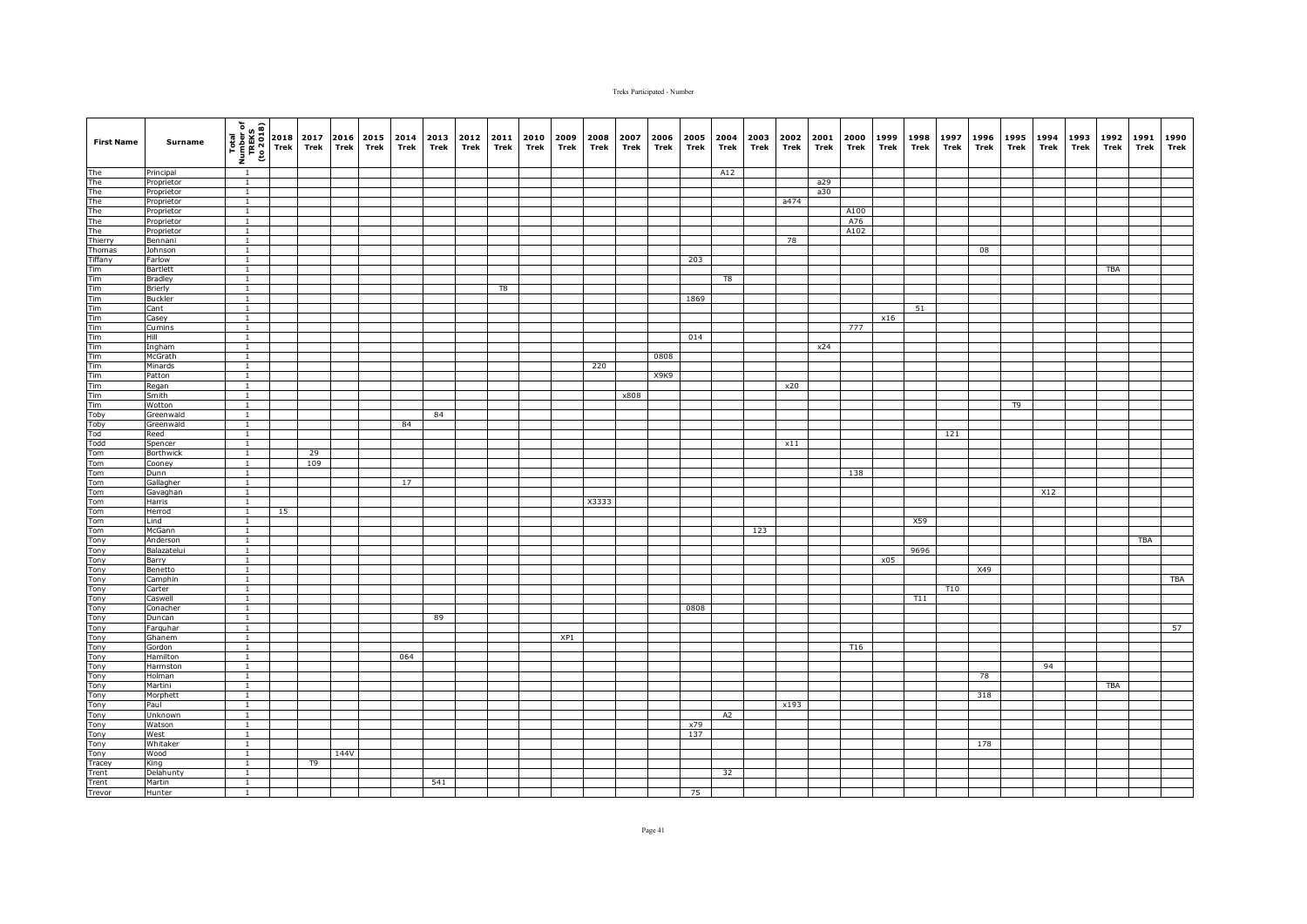| <b>First Name</b>                                                                                                         | Surname                  | (1802 or)<br>TREKS<br>TREKS<br>To 2018 | 2018<br>Trek | 2017<br>Trek | 2016<br><b>Trek</b> | 2015<br>Trek | 2014<br>Trek | 2013<br>Trek | 2012<br>Trek | 2011<br>Trek | 2010<br>Trek | 2009<br>Trek | 2008<br>Trek | 2007<br>Trek | 2006<br>Trek | 2005<br>Trek | 2004<br>Trek | 2003<br>Trek | 2002<br>Trek | 2001<br>Trek | 2000<br>Trek    | 1999<br>Trek | 1998<br>Trek | 1997<br>Trek | 1996<br>Trek | 1995<br>Trek | 1994<br>Trek | 1993<br>Trek | 1992<br>Trek | 1991<br>Trek | 1990<br>Trek |
|---------------------------------------------------------------------------------------------------------------------------|--------------------------|----------------------------------------|--------------|--------------|---------------------|--------------|--------------|--------------|--------------|--------------|--------------|--------------|--------------|--------------|--------------|--------------|--------------|--------------|--------------|--------------|-----------------|--------------|--------------|--------------|--------------|--------------|--------------|--------------|--------------|--------------|--------------|
| The<br>The<br>The<br>The<br>The<br>The<br>Thing<br>Thomas                                                                 | Principal                | $\overline{1}$                         |              |              |                     |              |              |              |              |              |              |              |              |              |              |              | A12          |              |              |              |                 |              |              |              |              |              |              |              |              |              |              |
|                                                                                                                           | Proprietor               | $\overline{1}$                         |              |              |                     |              |              |              |              |              |              |              |              |              |              |              |              |              |              | a29          |                 |              |              |              |              |              |              |              |              |              |              |
|                                                                                                                           | Proprietor               | $\mathbf{1}$                           |              |              |                     |              |              |              |              |              |              |              |              |              |              |              |              |              |              | a30          |                 |              |              |              |              |              |              |              |              |              |              |
|                                                                                                                           | Proprietor               | $\overline{1}$                         |              |              |                     |              |              |              |              |              |              |              |              |              |              |              |              |              | a474         |              |                 |              |              |              |              |              |              |              |              |              |              |
|                                                                                                                           | Proprietor               | $\mathbf{1}$                           |              |              |                     |              |              |              |              |              |              |              |              |              |              |              |              |              |              |              | A100            |              |              |              |              |              |              |              |              |              |              |
|                                                                                                                           | Proprietor<br>Proprietor | $\overline{1}$<br>$\overline{1}$       |              |              |                     |              |              |              |              |              |              |              |              |              |              |              |              |              |              |              | A76<br>A102     |              |              |              |              |              |              |              |              |              |              |
|                                                                                                                           | Bennani                  | $\mathbf{1}$                           |              |              |                     |              |              |              |              |              |              |              |              |              |              |              |              |              | 78           |              |                 |              |              |              |              |              |              |              |              |              |              |
|                                                                                                                           | Johnson                  | $\overline{1}$                         |              |              |                     |              |              |              |              |              |              |              |              |              |              |              |              |              |              |              |                 |              |              |              | 08           |              |              |              |              |              |              |
|                                                                                                                           | Farlow                   |                                        |              |              |                     |              |              |              |              |              |              |              |              |              |              | 203          |              |              |              |              |                 |              |              |              |              |              |              |              |              |              |              |
|                                                                                                                           | Bartlett                 | $\mathbf{1}$                           |              |              |                     |              |              |              |              |              |              |              |              |              |              |              |              |              |              |              |                 |              |              |              |              |              |              |              | TBA          |              |              |
|                                                                                                                           | Bradley                  | $\mathbf{1}$                           |              |              |                     |              |              |              |              |              |              |              |              |              |              |              | T8           |              |              |              |                 |              |              |              |              |              |              |              |              |              |              |
|                                                                                                                           | Brierly                  | $\mathbf{1}$                           |              |              |                     |              |              |              |              | T8           |              |              |              |              |              |              |              |              |              |              |                 |              |              |              |              |              |              |              |              |              |              |
|                                                                                                                           | Buckler                  | $\overline{1}$                         |              |              |                     |              |              |              |              |              |              |              |              |              |              | 1869         |              |              |              |              |                 |              |              |              |              |              |              |              |              |              |              |
|                                                                                                                           | Cant                     | $\overline{1}$                         |              |              |                     |              |              |              |              |              |              |              |              |              |              |              |              |              |              |              |                 |              | 51           |              |              |              |              |              |              |              |              |
|                                                                                                                           | Casey                    | $\mathbf{1}$                           |              |              |                     |              |              |              |              |              |              |              |              |              |              |              |              |              |              |              |                 | x16          |              |              |              |              |              |              |              |              |              |
|                                                                                                                           | Cumins<br>Hill           | $\mathbf{1}$<br>$\overline{1}$         |              |              |                     |              |              |              |              |              |              |              |              |              |              | 014          |              |              |              |              | 777             |              |              |              |              |              |              |              |              |              |              |
|                                                                                                                           | Ingham                   | $\mathbf{1}$                           |              |              |                     |              |              |              |              |              |              |              |              |              |              |              |              |              |              | x24          |                 |              |              |              |              |              |              |              |              |              |              |
|                                                                                                                           | McGrath                  | $\overline{1}$                         |              |              |                     |              |              |              |              |              |              |              |              |              | 0808         |              |              |              |              |              |                 |              |              |              |              |              |              |              |              |              |              |
|                                                                                                                           | Minards                  | $\overline{1}$                         |              |              |                     |              |              |              |              |              |              |              | 220          |              |              |              |              |              |              |              |                 |              |              |              |              |              |              |              |              |              |              |
|                                                                                                                           | Patton                   | $\mathbf{1}$                           |              |              |                     |              |              |              |              |              |              |              |              |              | X9K9         |              |              |              |              |              |                 |              |              |              |              |              |              |              |              |              |              |
|                                                                                                                           | Regan                    | $\overline{1}$                         |              |              |                     |              |              |              |              |              |              |              |              |              |              |              |              |              | x20          |              |                 |              |              |              |              |              |              |              |              |              |              |
|                                                                                                                           | <b>Smith</b>             | $\overline{1}$                         |              |              |                     |              |              |              |              |              |              |              |              | x808         |              |              |              |              |              |              |                 |              |              |              |              |              |              |              |              |              |              |
|                                                                                                                           | Wotton                   | $\overline{1}$                         |              |              |                     |              |              |              |              |              |              |              |              |              |              |              |              |              |              |              |                 |              |              |              |              | T9           |              |              |              |              |              |
|                                                                                                                           | Greenwald                | $\mathbf{1}$                           |              |              |                     |              |              | 84           |              |              |              |              |              |              |              |              |              |              |              |              |                 |              |              |              |              |              |              |              |              |              |              |
|                                                                                                                           | Greenwald                | $\overline{1}$<br>$\overline{1}$       |              |              |                     |              | 84           |              |              |              |              |              |              |              |              |              |              |              |              |              |                 |              |              |              |              |              |              |              |              |              |              |
|                                                                                                                           | Reed<br>Spencer          |                                        |              |              |                     |              |              |              |              |              |              |              |              |              |              |              |              |              | x11          |              |                 |              |              | 121          |              |              |              |              |              |              |              |
|                                                                                                                           | Borthwick                | $\overline{1}$                         |              | 29           |                     |              |              |              |              |              |              |              |              |              |              |              |              |              |              |              |                 |              |              |              |              |              |              |              |              |              |              |
|                                                                                                                           | Cooney                   | $\overline{1}$                         |              | 109          |                     |              |              |              |              |              |              |              |              |              |              |              |              |              |              |              |                 |              |              |              |              |              |              |              |              |              |              |
|                                                                                                                           | Dunn                     | $\overline{1}$                         |              |              |                     |              |              |              |              |              |              |              |              |              |              |              |              |              |              |              | 138             |              |              |              |              |              |              |              |              |              |              |
|                                                                                                                           | Gallagher                | $\mathbf{1}$                           |              |              |                     |              | 17           |              |              |              |              |              |              |              |              |              |              |              |              |              |                 |              |              |              |              |              |              |              |              |              |              |
|                                                                                                                           | Gavaghan                 | $\mathbf{1}$                           |              |              |                     |              |              |              |              |              |              |              |              |              |              |              |              |              |              |              |                 |              |              |              |              |              | X12          |              |              |              |              |
|                                                                                                                           | Harris                   | $\overline{1}$                         |              |              |                     |              |              |              |              |              |              |              | X3333        |              |              |              |              |              |              |              |                 |              |              |              |              |              |              |              |              |              |              |
|                                                                                                                           | Herrod                   | $\overline{1}$                         | 15           |              |                     |              |              |              |              |              |              |              |              |              |              |              |              |              |              |              |                 |              |              |              |              |              |              |              |              |              |              |
|                                                                                                                           | Lind                     | $\mathbf{1}$                           |              |              |                     |              |              |              |              |              |              |              |              |              |              |              |              |              |              |              |                 |              | X59          |              |              |              |              |              |              |              |              |
|                                                                                                                           | McGann<br>Anderson       | $\overline{1}$<br>$\mathbf{1}$         |              |              |                     |              |              |              |              |              |              |              |              |              |              |              |              | 123          |              |              |                 |              |              |              |              |              |              |              |              | TBA          |              |
|                                                                                                                           | Balazatelui              | $\overline{1}$                         |              |              |                     |              |              |              |              |              |              |              |              |              |              |              |              |              |              |              |                 |              | 9696         |              |              |              |              |              |              |              |              |
|                                                                                                                           | Barry                    | $\overline{1}$                         |              |              |                     |              |              |              |              |              |              |              |              |              |              |              |              |              |              |              |                 | x05          |              |              |              |              |              |              |              |              |              |
|                                                                                                                           | Benetto                  | $\mathbf{1}$                           |              |              |                     |              |              |              |              |              |              |              |              |              |              |              |              |              |              |              |                 |              |              |              | X49          |              |              |              |              |              |              |
|                                                                                                                           | Camphin                  | <sup>1</sup>                           |              |              |                     |              |              |              |              |              |              |              |              |              |              |              |              |              |              |              |                 |              |              |              |              |              |              |              |              |              | <b>TBA</b>   |
|                                                                                                                           | Carter                   | $\overline{1}$                         |              |              |                     |              |              |              |              |              |              |              |              |              |              |              |              |              |              |              |                 |              |              | T10          |              |              |              |              |              |              |              |
|                                                                                                                           | Caswell                  | $\mathbf{1}$                           |              |              |                     |              |              |              |              |              |              |              |              |              |              |              |              |              |              |              |                 |              | T11          |              |              |              |              |              |              |              |              |
| Tom<br>Tomy Tony<br>Tony Tony<br>Tony Tony<br>Tony Tony<br>Tony Tony<br>Tony Tony<br>Tony<br>Tony<br>Tony<br>Tony<br>Tony | Conacher                 | $\overline{1}$                         |              |              |                     |              |              |              |              |              |              |              |              |              |              | 0808         |              |              |              |              |                 |              |              |              |              |              |              |              |              |              |              |
|                                                                                                                           | Duncan                   | $\overline{1}$                         |              |              |                     |              |              | 89           |              |              |              |              |              |              |              |              |              |              |              |              |                 |              |              |              |              |              |              |              |              |              |              |
|                                                                                                                           | Farquhar<br>Ghanem       | $\overline{1}$<br>$\mathbf{1}$         |              |              |                     |              |              |              |              |              |              | XP1          |              |              |              |              |              |              |              |              |                 |              |              |              |              |              |              |              |              |              | 57           |
|                                                                                                                           | Gordon                   | $\mathbf{1}$                           |              |              |                     |              |              |              |              |              |              |              |              |              |              |              |              |              |              |              | T <sub>16</sub> |              |              |              |              |              |              |              |              |              |              |
|                                                                                                                           | Hamilton                 | $\mathbf{1}$                           |              |              |                     |              | 064          |              |              |              |              |              |              |              |              |              |              |              |              |              |                 |              |              |              |              |              |              |              |              |              |              |
|                                                                                                                           | Harmston                 | $\overline{1}$                         |              |              |                     |              |              |              |              |              |              |              |              |              |              |              |              |              |              |              |                 |              |              |              |              |              | 94           |              |              |              |              |
|                                                                                                                           | Holman                   | $\mathbf{1}$                           |              |              |                     |              |              |              |              |              |              |              |              |              |              |              |              |              |              |              |                 |              |              |              | 78           |              |              |              |              |              |              |
|                                                                                                                           | Martini                  | $\overline{1}$                         |              |              |                     |              |              |              |              |              |              |              |              |              |              |              |              |              |              |              |                 |              |              |              |              |              |              |              | <b>TBA</b>   |              |              |
|                                                                                                                           | Morphett                 | $\overline{1}$                         |              |              |                     |              |              |              |              |              |              |              |              |              |              |              |              |              |              |              |                 |              |              |              | 318          |              |              |              |              |              |              |
|                                                                                                                           | Paul                     | <sup>1</sup>                           |              |              |                     |              |              |              |              |              |              |              |              |              |              |              |              |              | x193         |              |                 |              |              |              |              |              |              |              |              |              |              |
|                                                                                                                           | Unknown                  | $\mathbf{1}$                           |              |              |                     |              |              |              |              |              |              |              |              |              |              |              | A2           |              |              |              |                 |              |              |              |              |              |              |              |              |              |              |
|                                                                                                                           | Watson                   | $\overline{1}$                         |              |              |                     |              |              |              |              |              |              |              |              |              |              | x79          |              |              |              |              |                 |              |              |              |              |              |              |              |              |              |              |
|                                                                                                                           | West                     | $\overline{1}$                         |              |              |                     |              |              |              |              |              |              |              |              |              |              | 137          |              |              |              |              |                 |              |              |              |              |              |              |              |              |              |              |
|                                                                                                                           | Whitaker<br>Wood         | $\overline{1}$<br>$\overline{1}$       |              |              | 144V                |              |              |              |              |              |              |              |              |              |              |              |              |              |              |              |                 |              |              |              | 178          |              |              |              |              |              |              |
|                                                                                                                           | King                     | $\overline{1}$                         |              | T9           |                     |              |              |              |              |              |              |              |              |              |              |              |              |              |              |              |                 |              |              |              |              |              |              |              |              |              |              |
|                                                                                                                           | Delahunty                |                                        |              |              |                     |              |              |              |              |              |              |              |              |              |              |              | 32           |              |              |              |                 |              |              |              |              |              |              |              |              |              |              |
| Tony<br>Tony<br>Tracey<br>Trent<br>Trent                                                                                  | Martin                   | $\mathbf{1}$                           |              |              |                     |              |              | 541          |              |              |              |              |              |              |              |              |              |              |              |              |                 |              |              |              |              |              |              |              |              |              |              |
|                                                                                                                           | Hunter                   | $\mathbf{1}$                           |              |              |                     |              |              |              |              |              |              |              |              |              |              | 75           |              |              |              |              |                 |              |              |              |              |              |              |              |              |              |              |